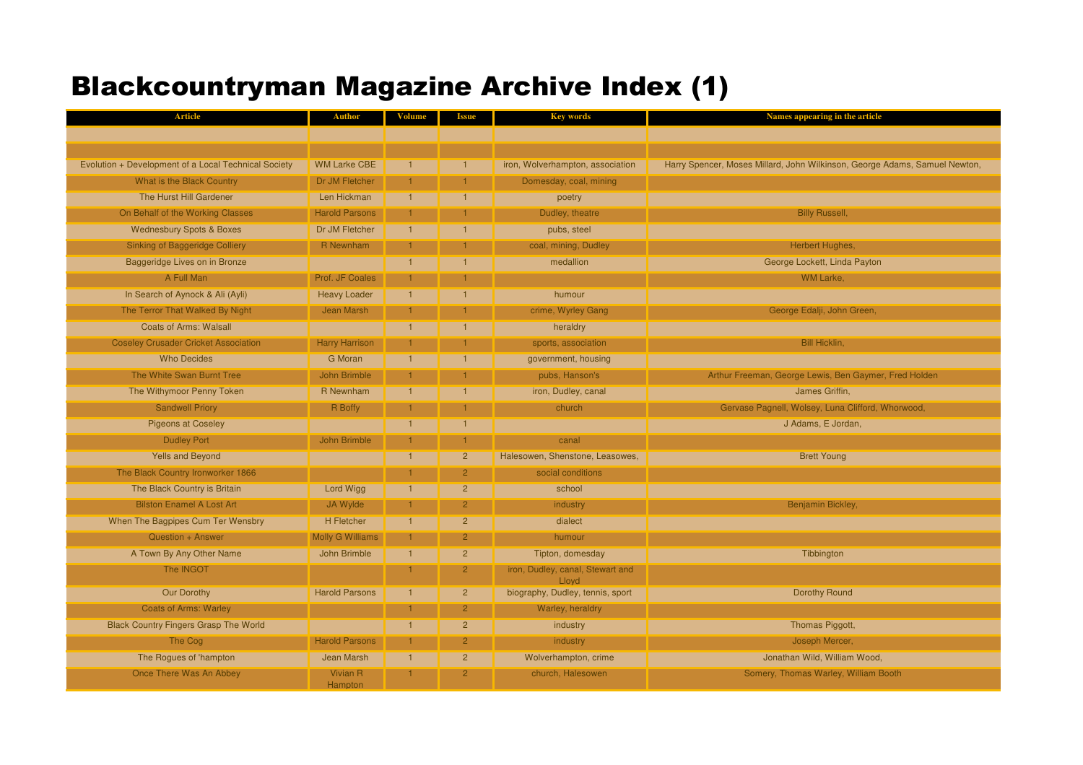## Blackcountryman Magazine Archive Index (1)

| <b>Article</b>                                       | Author                  |                | <b>Key words</b>                          | Names appearing in the article                                             |
|------------------------------------------------------|-------------------------|----------------|-------------------------------------------|----------------------------------------------------------------------------|
|                                                      |                         |                |                                           |                                                                            |
|                                                      |                         |                |                                           |                                                                            |
| Evolution + Development of a Local Technical Society | <b>WM Larke CBE</b>     |                | iron, Wolverhampton, association          | Harry Spencer, Moses Millard, John Wilkinson, George Adams, Samuel Newton, |
| What is the Black Country                            | <b>Dr JM Fletcher</b>   |                | Domesday, coal, mining                    |                                                                            |
| The Hurst Hill Gardener                              | Len Hickman             |                | poetry                                    |                                                                            |
| On Behalf of the Working Classes                     | <b>Harold Parsons</b>   |                | Dudley, theatre                           | <b>Billy Russell,</b>                                                      |
| <b>Wednesbury Spots &amp; Boxes</b>                  | Dr JM Fletcher          |                | pubs, steel                               |                                                                            |
| <b>Sinking of Baggeridge Colliery</b>                | R Newnham               |                | coal, mining, Dudley                      | Herbert Hughes,                                                            |
| Baggeridge Lives on in Bronze                        |                         |                | medallion                                 | George Lockett, Linda Payton                                               |
| A Full Man                                           | Prof. JF Coales         |                |                                           | WM Larke,                                                                  |
| In Search of Aynock & Ali (Ayli)                     | <b>Heavy Loader</b>     |                | humour                                    |                                                                            |
| The Terror That Walked By Night                      | Jean Marsh              |                | crime, Wyrley Gang                        | George Edalji, John Green,                                                 |
| <b>Coats of Arms: Walsall</b>                        |                         |                | heraldry                                  |                                                                            |
| <b>Coseley Crusader Cricket Association</b>          | <b>Harry Harrison</b>   |                | sports, association                       | <b>Bill Hicklin,</b>                                                       |
| <b>Who Decides</b>                                   | <b>G</b> Moran          |                | government, housing                       |                                                                            |
| The White Swan Burnt Tree                            | <b>John Brimble</b>     |                | pubs, Hanson's                            | Arthur Freeman, George Lewis, Ben Gaymer, Fred Holden                      |
| The Withymoor Penny Token                            | R Newnham               |                | iron, Dudley, canal                       | James Griffin,                                                             |
| <b>Sandwell Priory</b>                               | R Boffy                 |                | church                                    | Gervase Pagnell, Wolsey, Luna Clifford, Whorwood,                          |
| <b>Pigeons at Coseley</b>                            |                         |                |                                           | J Adams, E Jordan,                                                         |
| <b>Dudley Port</b>                                   | <b>John Brimble</b>     |                | canal                                     |                                                                            |
| <b>Yells and Beyond</b>                              |                         | $\overline{2}$ | Halesowen, Shenstone, Leasowes,           | <b>Brett Young</b>                                                         |
| The Black Country Ironworker 1866                    |                         | $\overline{2}$ | social conditions                         |                                                                            |
| The Black Country is Britain                         | Lord Wigg               | $\overline{2}$ | school                                    |                                                                            |
| <b>Bilston Enamel A Lost Art</b>                     | JA Wylde                | $\overline{2}$ | industry                                  | Benjamin Bickley,                                                          |
| When The Bagpipes Cum Ter Wensbry                    | H Fletcher              | $\overline{2}$ | dialect                                   |                                                                            |
| <b>Question + Answer</b>                             | <b>Molly G Williams</b> | $\overline{2}$ | humour                                    |                                                                            |
| A Town By Any Other Name                             | John Brimble            | $\overline{2}$ | Tipton, domesday                          | Tibbington                                                                 |
| The INGOT                                            |                         | $\overline{2}$ | iron, Dudley, canal, Stewart and<br>Llovd |                                                                            |
| Our Dorothy                                          | <b>Harold Parsons</b>   | $\overline{2}$ | biography, Dudley, tennis, sport          | Dorothy Round                                                              |
| <b>Coats of Arms: Warley</b>                         |                         | $\overline{2}$ | Warley, heraldry                          |                                                                            |
| <b>Black Country Fingers Grasp The World</b>         |                         | $\overline{2}$ | industry                                  | Thomas Piggott,                                                            |
| The Cog                                              | <b>Harold Parsons</b>   | $\overline{2}$ | industry                                  | Joseph Mercer,                                                             |
| The Rogues of 'hampton                               | Jean Marsh              | $\overline{2}$ | Wolverhampton, crime                      | Jonathan Wild, William Wood,                                               |
| Once There Was An Abbey                              | Vivian R<br>Hampton     | $\mathcal{P}$  | church. Halesowen                         | Somery, Thomas Warley, William Booth                                       |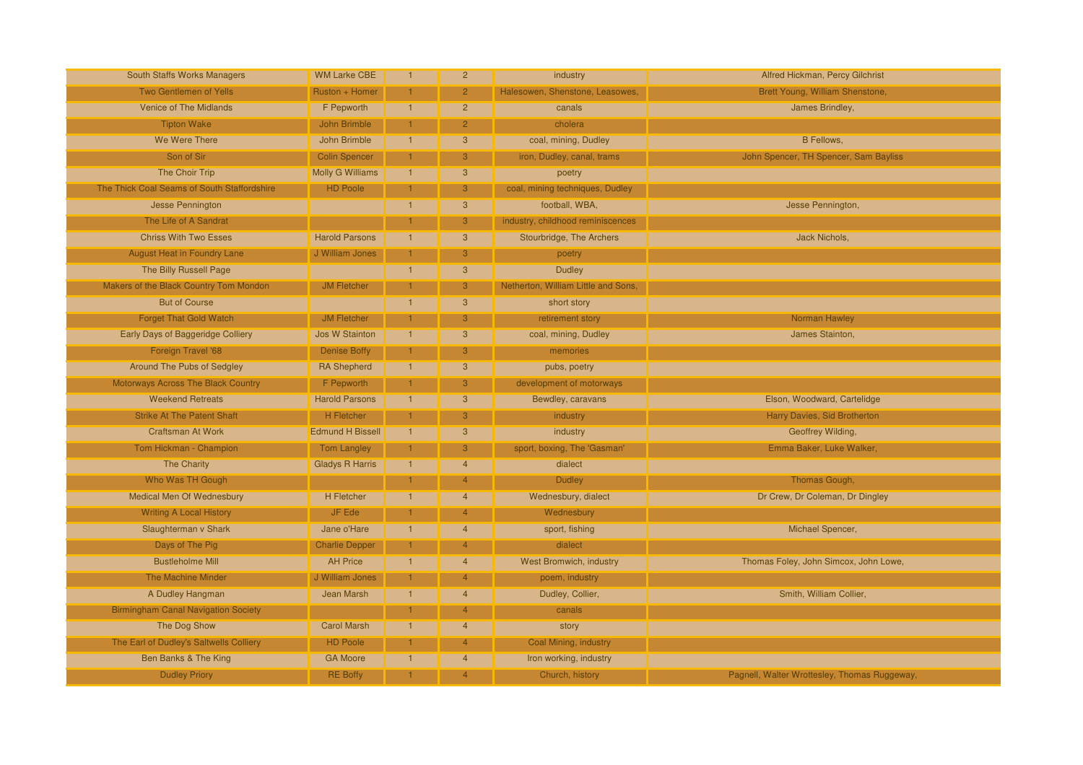| South Staffs Works Managers                 | <b>WM Larke CBE</b>     |                | $\overline{2}$ | industry                            | Alfred Hickman, Percy Gilchrist              |
|---------------------------------------------|-------------------------|----------------|----------------|-------------------------------------|----------------------------------------------|
| <b>Two Gentlemen of Yells</b>               | Ruston + Homer          |                | $\overline{2}$ | Halesowen, Shenstone, Leasowes,     | Brett Young, William Shenstone,              |
| <b>Venice of The Midlands</b>               | F Pepworth              |                | $\overline{2}$ | canals                              | James Brindley,                              |
| <b>Tipton Wake</b>                          | John Brimble            |                | $\overline{2}$ | cholera                             |                                              |
| We Were There                               | John Brimble            |                | 3              | coal, mining, Dudley                | <b>B</b> Fellows,                            |
| Son of Sir                                  | <b>Colin Spencer</b>    |                | 3              | iron, Dudley, canal, trams          | John Spencer, TH Spencer, Sam Bayliss        |
| The Choir Trip                              | <b>Molly G Williams</b> |                | 3              | poetry                              |                                              |
| The Thick Coal Seams of South Staffordshire | <b>HD Poole</b>         |                | 3              | coal, mining techniques, Dudley     |                                              |
| <b>Jesse Pennington</b>                     |                         |                | 3              | football, WBA,                      | Jesse Pennington,                            |
| The Life of A Sandrat                       |                         |                | 3              | industry, childhood reminiscences   |                                              |
| <b>Chriss With Two Esses</b>                | <b>Harold Parsons</b>   |                | 3              | Stourbridge, The Archers            | Jack Nichols,                                |
| <b>August Heat in Foundry Lane</b>          | J William Jones         |                | 3              | poetry                              |                                              |
| The Billy Russell Page                      |                         | $\overline{1}$ | $\overline{3}$ | <b>Dudley</b>                       |                                              |
| Makers of the Black Country Tom Mondon      | <b>JM Fletcher</b>      |                | 3              | Netherton, William Little and Sons, |                                              |
| <b>But of Course</b>                        |                         |                | 3              | short story                         |                                              |
| <b>Forget That Gold Watch</b>               | <b>JM Fletcher</b>      |                | 3              | retirement story                    | Norman Hawley                                |
| Early Days of Baggeridge Colliery           | Jos W Stainton          |                | 3              | coal, mining, Dudley                | James Stainton,                              |
| <b>Foreign Travel '68</b>                   | <b>Denise Boffy</b>     |                | 3              | memories                            |                                              |
| Around The Pubs of Sedgley                  | <b>RA Shepherd</b>      |                | $\overline{3}$ | pubs, poetry                        |                                              |
| Motorways Across The Black Country          | F Pepworth              |                | 3              | development of motorways            |                                              |
| <b>Weekend Retreats</b>                     | <b>Harold Parsons</b>   |                | 3              | Bewdley, caravans                   | Elson, Woodward, Cartelidge                  |
| <b>Strike At The Patent Shaft</b>           | <b>H</b> Fletcher       |                | 3              | industry                            | Harry Davies, Sid Brotherton                 |
| <b>Craftsman At Work</b>                    | <b>Edmund H Bissell</b> | $\overline{1}$ | 3              | industry                            | Geoffrey Wilding,                            |
| Tom Hickman - Champion                      | <b>Tom Langley</b>      |                | 3              | sport, boxing, The 'Gasman'         | Emma Baker, Luke Walker,                     |
| The Charity                                 | <b>Gladys R Harris</b>  |                | $\overline{4}$ | dialect                             |                                              |
| Who Was TH Gough                            |                         |                | $\overline{4}$ | <b>Dudley</b>                       | Thomas Gough,                                |
| Medical Men Of Wednesbury                   | <b>H</b> Fletcher       |                | $\overline{4}$ | Wednesbury, dialect                 | Dr Crew, Dr Coleman, Dr Dingley              |
| <b>Writing A Local History</b>              | JF Ede                  |                | $\overline{4}$ | Wednesbury                          |                                              |
| Slaughterman v Shark                        | Jane o'Hare             |                | $\overline{4}$ | sport, fishing                      | Michael Spencer,                             |
| Days of The Pig                             | <b>Charlie Depper</b>   |                | $\overline{4}$ | dialect                             |                                              |
| <b>Bustleholme Mill</b>                     | <b>AH Price</b>         |                | $\overline{4}$ | West Bromwich, industry             | Thomas Foley, John Simcox, John Lowe,        |
| <b>The Machine Minder</b>                   | J William Jones         |                | $\Delta$       | poem, industry                      |                                              |
| A Dudley Hangman                            | Jean Marsh              |                | $\overline{4}$ | Dudley, Collier,                    | Smith, William Collier,                      |
| <b>Birmingham Canal Navigation Society</b>  |                         |                | 4              | canals                              |                                              |
| The Dog Show                                | <b>Carol Marsh</b>      |                | $\overline{4}$ | story                               |                                              |
| The Earl of Dudley's Saltwells Colliery     | <b>HD Poole</b>         |                | $\overline{4}$ | Coal Mining, industry               |                                              |
| Ben Banks & The King                        | <b>GA Moore</b>         |                | $\overline{4}$ | Iron working, industry              |                                              |
| <b>Dudley Priory</b>                        | <b>RE Boffy</b>         |                | $\Delta$       | Church, history                     | Pagnell, Walter Wrottesley, Thomas Ruggeway, |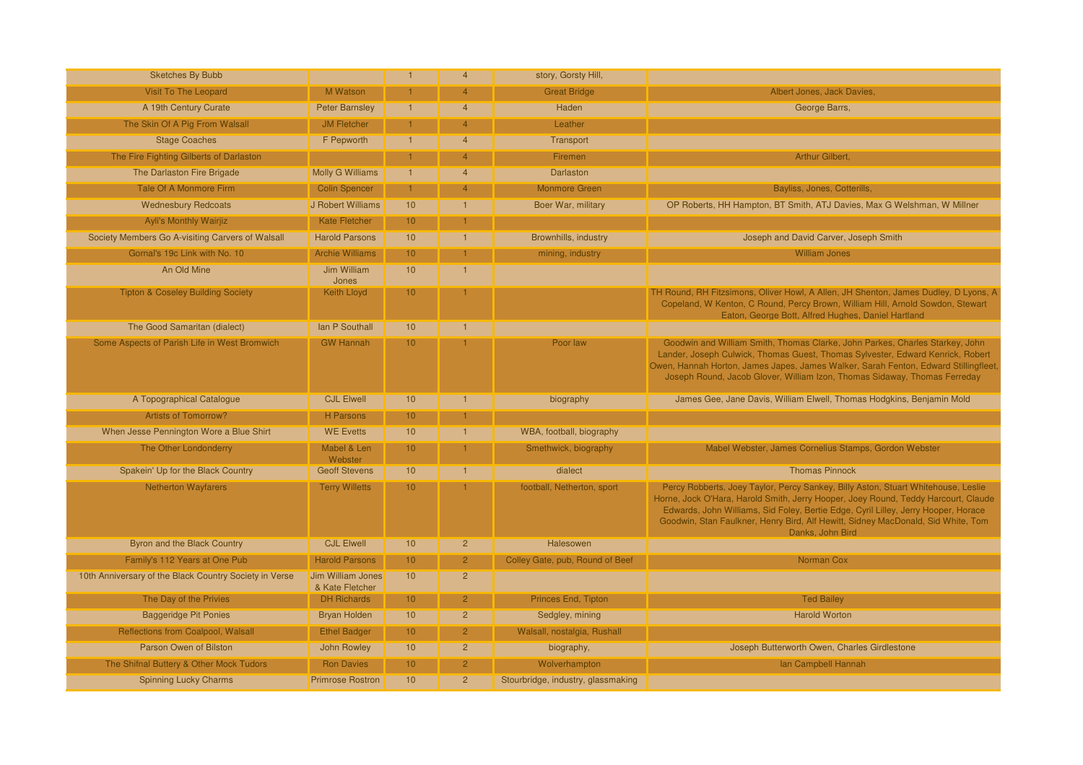| <b>Sketches By Bubb</b>                                |                                       |                 | $\overline{4}$ | story, Gorsty Hill,                |                                                                                                                                                                |
|--------------------------------------------------------|---------------------------------------|-----------------|----------------|------------------------------------|----------------------------------------------------------------------------------------------------------------------------------------------------------------|
| <b>Visit To The Leopard</b>                            | <b>M</b> Watson                       |                 |                | <b>Great Bridge</b>                | Albert Jones, Jack Davies,                                                                                                                                     |
| A 19th Century Curate                                  | <b>Peter Barnsley</b>                 |                 | $\overline{4}$ | Haden                              | George Barrs,                                                                                                                                                  |
| The Skin Of A Pig From Walsall                         | <b>JM Fletcher</b>                    |                 | $\overline{4}$ | Leather                            |                                                                                                                                                                |
| <b>Stage Coaches</b>                                   | F Pepworth                            |                 | $\overline{4}$ | Transport                          |                                                                                                                                                                |
| The Fire Fighting Gilberts of Darlaston                |                                       |                 |                | Firemen                            | Arthur Gilbert,                                                                                                                                                |
| The Darlaston Fire Brigade                             | <b>Molly G Williams</b>               | $\overline{1}$  | $\overline{4}$ | Darlaston                          |                                                                                                                                                                |
| Tale Of A Monmore Firm                                 | <b>Colin Spencer</b>                  | $\overline{1}$  | $\Delta$       | <b>Monmore Green</b>               | Bayliss, Jones, Cotterills,                                                                                                                                    |
| <b>Wednesbury Redcoats</b>                             | J Robert Williams                     | 10              | $\mathbf{1}$   | Boer War, military                 | OP Roberts, HH Hampton, BT Smith, ATJ Davies, Max G Welshman, W Millner                                                                                        |
| <b>Ayli's Monthly Wairjiz</b>                          | Kate Fletcher                         | 10 <sup>°</sup> |                |                                    |                                                                                                                                                                |
| Society Members Go A-visiting Carvers of Walsall       | <b>Harold Parsons</b>                 | 10              | $\overline{1}$ | Brownhills, industry               | Joseph and David Carver, Joseph Smith                                                                                                                          |
| Gornal's 19c Link with No. 10                          | <b>Archie Williams</b>                | 10 <sup>°</sup> |                | mining, industry                   | <b>William Jones</b>                                                                                                                                           |
| An Old Mine                                            | Jim William                           | 10              |                |                                    |                                                                                                                                                                |
| <b>Tipton &amp; Coseley Building Society</b>           | Jones<br>Keith Lloyd                  | 10 <sup>1</sup> |                |                                    | TH Round, RH Fitzsimons, Oliver Howl, A Allen, JH Shenton, James Dudley, D Lyons, A                                                                            |
|                                                        |                                       |                 |                |                                    | Copeland, W Kenton, C Round, Percy Brown, William Hill, Arnold Sowdon, Stewart                                                                                 |
|                                                        | lan P Southall                        | 10 <sup>1</sup> |                |                                    | Eaton, George Bott, Alfred Hughes, Daniel Hartland                                                                                                             |
| The Good Samaritan (dialect)                           |                                       | 10 <sup>°</sup> |                | Poor law                           |                                                                                                                                                                |
| Some Aspects of Parish Life in West Bromwich           | <b>GW Hannah</b>                      |                 |                |                                    | Goodwin and William Smith, Thomas Clarke, John Parkes, Charles Starkey, John<br>Lander, Joseph Culwick, Thomas Guest, Thomas Sylvester, Edward Kenrick, Robert |
|                                                        |                                       |                 |                |                                    | Owen, Hannah Horton, James Japes, James Walker, Sarah Fenton, Edward Stillingfleet,                                                                            |
|                                                        |                                       |                 |                |                                    | Joseph Round, Jacob Glover, William Izon, Thomas Sidaway, Thomas Ferreday                                                                                      |
| A Topographical Catalogue                              | <b>CJL Elwell</b>                     | 10              | -1             | biography                          | James Gee, Jane Davis, William Elwell, Thomas Hodgkins, Benjamin Mold                                                                                          |
| <b>Artists of Tomorrow?</b>                            | <b>H</b> Parsons                      | 10 <sup>°</sup> |                |                                    |                                                                                                                                                                |
| When Jesse Pennington Wore a Blue Shirt                | <b>WE Evetts</b>                      | 10              | $\mathbf{1}$   | WBA, football, biography           |                                                                                                                                                                |
| The Other Londonderry                                  | Mabel & Len                           | 10 <sup>°</sup> |                | Smethwick, biography               | Mabel Webster, James Cornelius Stamps, Gordon Webster                                                                                                          |
| Spakein' Up for the Black Country                      | Webster<br><b>Geoff Stevens</b>       | 10              | $\mathbf{1}$   | dialect                            | <b>Thomas Pinnock</b>                                                                                                                                          |
| <b>Netherton Wayfarers</b>                             | <b>Terry Willetts</b>                 | 10 <sup>°</sup> |                | football, Netherton, sport         | Percy Robberts, Joey Taylor, Percy Sankey, Billy Aston, Stuart Whitehouse, Leslie                                                                              |
|                                                        |                                       |                 |                |                                    | Horne, Jock O'Hara, Harold Smith, Jerry Hooper, Joey Round, Teddy Harcourt, Claude                                                                             |
|                                                        |                                       |                 |                |                                    | Edwards, John Williams, Sid Foley, Bertie Edge, Cyril Lilley, Jerry Hooper, Horace                                                                             |
|                                                        |                                       |                 |                |                                    | Goodwin, Stan Faulkner, Henry Bird, Alf Hewitt, Sidney MacDonald, Sid White, Tom<br>Danks, John Bird                                                           |
| Byron and the Black Country                            | <b>CJL Elwell</b>                     | 10              | $\overline{2}$ | Halesowen                          |                                                                                                                                                                |
| Family's 112 Years at One Pub                          | <b>Harold Parsons</b>                 | 10              | $\overline{2}$ | Colley Gate, pub, Round of Beef    | Norman Cox                                                                                                                                                     |
| 10th Anniversary of the Black Country Society in Verse | Jim William Jones                     | 10              | $\overline{2}$ |                                    |                                                                                                                                                                |
| The Day of the Privies                                 | & Kate Fletcher<br><b>DH Richards</b> | 10 <sup>°</sup> | $\mathbf{2}$   | Princes End, Tipton                | <b>Ted Bailey</b>                                                                                                                                              |
| <b>Baggeridge Pit Ponies</b>                           | <b>Bryan Holden</b>                   | 10              | $\overline{2}$ | Sedgley, mining                    | <b>Harold Worton</b>                                                                                                                                           |
| Reflections from Coalpool, Walsall                     | <b>Ethel Badger</b>                   | 10 <sup>°</sup> | 2 <sup>1</sup> | Walsall, nostalgia, Rushall        |                                                                                                                                                                |
| Parson Owen of Bilston                                 | John Rowley                           | 10              | $\overline{2}$ | biography,                         | Joseph Butterworth Owen, Charles Girdlestone                                                                                                                   |
| The Shifnal Buttery & Other Mock Tudors                | <b>Ron Davies</b>                     | 10 <sup>°</sup> | $\overline{2}$ | Wolverhampton                      | Ian Campbell Hannah                                                                                                                                            |
|                                                        | <b>Primrose Rostron</b>               | 10              | $\overline{2}$ |                                    |                                                                                                                                                                |
| <b>Spinning Lucky Charms</b>                           |                                       |                 |                | Stourbridge, industry, glassmaking |                                                                                                                                                                |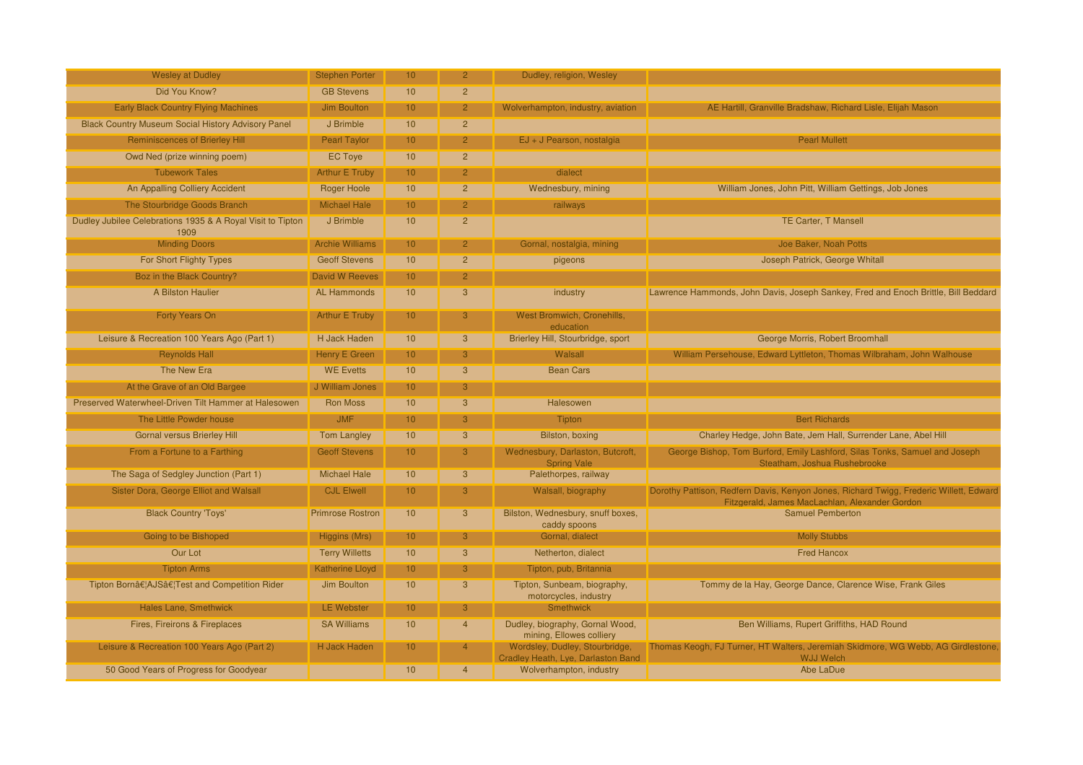| <b>Wesley at Dudley</b>                                            | <b>Stephen Porter</b>   | 10 <sup>1</sup> | $\mathcal{P}$  | Dudley, religion, Wesley                                             |                                                                                                                                          |
|--------------------------------------------------------------------|-------------------------|-----------------|----------------|----------------------------------------------------------------------|------------------------------------------------------------------------------------------------------------------------------------------|
| Did You Know?                                                      | <b>GB Stevens</b>       | 10              | $\overline{2}$ |                                                                      |                                                                                                                                          |
| <b>Early Black Country Flying Machines</b>                         | <b>Jim Boulton</b>      | 10              | $\overline{2}$ | Wolverhampton, industry, aviation                                    | AE Hartill, Granville Bradshaw, Richard Lisle, Elijah Mason                                                                              |
| <b>Black Country Museum Social History Advisory Panel</b>          | J Brimble               | 10              | $\overline{2}$ |                                                                      |                                                                                                                                          |
| <b>Reminiscences of Brierley Hill</b>                              | <b>Pearl Taylor</b>     | 10              | $\overline{2}$ | EJ + J Pearson, nostalgia                                            | <b>Pearl Mullett</b>                                                                                                                     |
| Owd Ned (prize winning poem)                                       | <b>EC Toye</b>          | 10              | $\overline{2}$ |                                                                      |                                                                                                                                          |
| <b>Tubework Tales</b>                                              | <b>Arthur E Truby</b>   | 10 <sup>°</sup> | $\overline{2}$ | dialect                                                              |                                                                                                                                          |
| An Appalling Colliery Accident                                     | Roger Hoole             | 10              | $\overline{2}$ | Wednesbury, mining                                                   | William Jones, John Pitt, William Gettings, Job Jones                                                                                    |
| The Stourbridge Goods Branch                                       | <b>Michael Hale</b>     | 10              | $\overline{2}$ | railways                                                             |                                                                                                                                          |
| Dudley Jubilee Celebrations 1935 & A Royal Visit to Tipton<br>1909 | J Brimble               | 10              | $\overline{2}$ |                                                                      | TE Carter, T Mansell                                                                                                                     |
| <b>Minding Doors</b>                                               | <b>Archie Williams</b>  | 10 <sup>°</sup> | $\overline{2}$ | Gornal, nostalgia, mining                                            | Joe Baker, Noah Potts                                                                                                                    |
| For Short Flighty Types                                            | <b>Geoff Stevens</b>    | 10              | $\overline{2}$ | pigeons                                                              | Joseph Patrick, George Whitall                                                                                                           |
| Boz in the Black Country?                                          | <b>David W Reeves</b>   | 10              | $\overline{2}$ |                                                                      |                                                                                                                                          |
| A Bilston Haulier                                                  | <b>AL Hammonds</b>      | 10              | 3              | industry                                                             | Lawrence Hammonds, John Davis, Joseph Sankey, Fred and Enoch Brittle, Bill Beddard                                                       |
| Forty Years On                                                     | Arthur E Truby          | 10              | 3              | West Bromwich, Cronehills,<br>education                              |                                                                                                                                          |
| Leisure & Recreation 100 Years Ago (Part 1)                        | H Jack Haden            | 10              | 3              | Brierley Hill, Stourbridge, sport                                    | George Morris, Robert Broomhall                                                                                                          |
| <b>Reynolds Hall</b>                                               | Henry E Green           | 10 <sup>1</sup> | 3              | Walsall                                                              | William Persehouse, Edward Lyttleton, Thomas Wilbraham, John Walhouse                                                                    |
| The New Era                                                        | <b>WE Evetts</b>        | 10              | 3              | <b>Bean Cars</b>                                                     |                                                                                                                                          |
| At the Grave of an Old Bargee                                      | J William Jones         | 10 <sup>°</sup> | 3 <sup>1</sup> |                                                                      |                                                                                                                                          |
| Preserved Waterwheel-Driven Tilt Hammer at Halesowen               | <b>Ron Moss</b>         | 10              | 3              | Halesowen                                                            |                                                                                                                                          |
| The Little Powder house                                            | <b>JMF</b>              | 10              | $\mathbf{3}$   | Tipton                                                               | <b>Bert Richards</b>                                                                                                                     |
| <b>Gornal versus Brierley Hill</b>                                 | <b>Tom Langley</b>      | 10              | 3              | Bilston, boxing                                                      | Charley Hedge, John Bate, Jem Hall, Surrender Lane, Abel Hill                                                                            |
| From a Fortune to a Farthing                                       | <b>Geoff Stevens</b>    | 10 <sup>1</sup> | 3 <sup>1</sup> | Wednesbury, Darlaston, Butcroft,<br><b>Spring Vale</b>               | George Bishop, Tom Burford, Emily Lashford, Silas Tonks, Samuel and Joseph<br>Steatham, Joshua Rushebrooke                               |
| The Saga of Sedgley Junction (Part 1)                              | <b>Michael Hale</b>     | 10              | 3              | Palethorpes, railway                                                 |                                                                                                                                          |
| Sister Dora, George Elliot and Walsall                             | <b>CJL Elwell</b>       | 10              | 3              | Walsall, biography                                                   | Dorothy Pattison, Redfern Davis, Kenyon Jones, Richard Twigg, Frederic Willett, Edward<br>Fitzgerald, James MacLachlan, Alexander Gordon |
| <b>Black Country 'Toys'</b>                                        | <b>Primrose Rostron</b> | 10              | 3              | Bilston, Wednesbury, snuff boxes,<br>caddy spoons                    | <b>Samuel Pemberton</b>                                                                                                                  |
| Going to be Bishoped                                               | Higgins (Mrs)           | 10 <sup>°</sup> | 3              | Gornal, dialect                                                      | <b>Molly Stubbs</b>                                                                                                                      |
| Our Lot                                                            | <b>Terry Willetts</b>   | 10              | 3              | Netherton, dialect                                                   | <b>Fred Hancox</b>                                                                                                                       |
| <b>Tipton Arms</b>                                                 | <b>Katherine Lloyd</b>  | 10              | 3              | Tipton, pub, Britannia                                               |                                                                                                                                          |
| Tipton Born…AJS…Test and Competition Rider                         | Jim Boulton             | 10              | 3              | Tipton, Sunbeam, biography,<br>motorcycles, industry                 | Tommy de la Hay, George Dance, Clarence Wise, Frank Giles                                                                                |
| <b>Hales Lane, Smethwick</b>                                       | <b>LE Webster</b>       | 10 <sup>°</sup> | 3              | Smethwick                                                            |                                                                                                                                          |
| Fires, Fireirons & Fireplaces                                      | <b>SA Williams</b>      | 10              | $\overline{4}$ | Dudley, biography, Gornal Wood,<br>mining, Ellowes colliery          | Ben Williams, Rupert Griffiths, HAD Round                                                                                                |
| Leisure & Recreation 100 Years Ago (Part 2)                        | H Jack Haden            | 10              |                | Wordsley, Dudley, Stourbridge,<br>Cradley Heath, Lye, Darlaston Band | Thomas Keogh, FJ Turner, HT Walters, Jeremiah Skidmore, WG Webb, AG Girdlestone,<br><b>WJJ Welch</b>                                     |
| 50 Good Years of Progress for Goodyear                             |                         | 10              | $\overline{4}$ | Wolverhampton, industry                                              | Abe LaDue                                                                                                                                |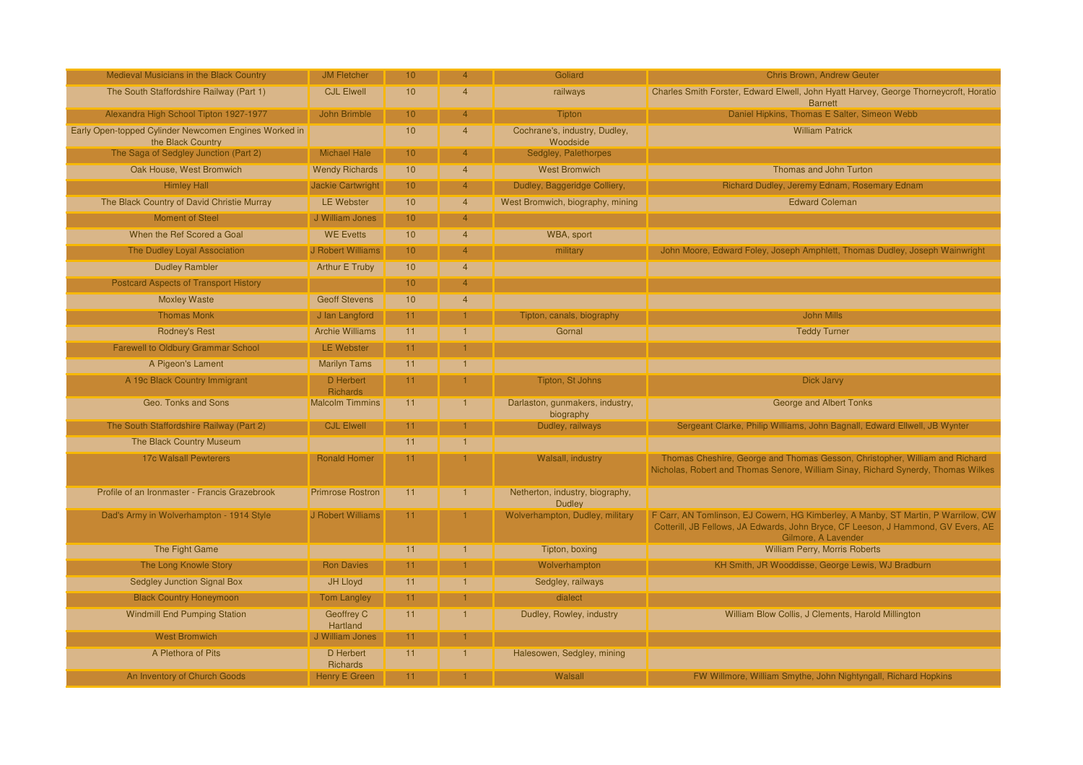| Medieval Musicians in the Black Country                                    | <b>JM Fletcher</b>       | 10 <sup>°</sup> | $\Delta$                | Goliard                                          | Chris Brown, Andrew Geuter                                                                                                                                                                    |
|----------------------------------------------------------------------------|--------------------------|-----------------|-------------------------|--------------------------------------------------|-----------------------------------------------------------------------------------------------------------------------------------------------------------------------------------------------|
| The South Staffordshire Railway (Part 1)                                   | <b>CJL Elwell</b>        | 10              | $\overline{A}$          | railways                                         | Charles Smith Forster, Edward Elwell, John Hyatt Harvey, George Thorneycroft, Horatio<br><b>Barnett</b>                                                                                       |
| Alexandra High School Tipton 1927-1977                                     | <b>John Brimble</b>      | 10              | $\overline{\mathbf{A}}$ | Tipton                                           | Daniel Hipkins, Thomas E Salter, Simeon Webb                                                                                                                                                  |
| Early Open-topped Cylinder Newcomen Engines Worked in<br>the Black Country |                          | 10              | $\overline{4}$          | Cochrane's, industry, Dudley,<br>Woodside        | <b>William Patrick</b>                                                                                                                                                                        |
| The Saga of Sedgley Junction (Part 2)                                      | <b>Michael Hale</b>      | 10              |                         | Sedgley, Palethorpes                             |                                                                                                                                                                                               |
| Oak House, West Bromwich                                                   | <b>Wendy Richards</b>    | 10              | $\overline{A}$          | <b>West Bromwich</b>                             | Thomas and John Turton                                                                                                                                                                        |
| <b>Himley Hall</b>                                                         | <b>Jackie Cartwright</b> | 10              | $\overline{\mathbf{4}}$ | Dudley, Baggeridge Colliery,                     | Richard Dudley, Jeremy Ednam, Rosemary Ednam                                                                                                                                                  |
| The Black Country of David Christie Murray                                 | <b>LE Webster</b>        | 10              | $\overline{4}$          | West Bromwich, biography, mining                 | <b>Edward Coleman</b>                                                                                                                                                                         |
| <b>Moment of Steel</b>                                                     | J William Jones          | 10              | Δ                       |                                                  |                                                                                                                                                                                               |
| When the Ref Scored a Goal                                                 | <b>WE Evetts</b>         | 10              | $\overline{4}$          | WBA, sport                                       |                                                                                                                                                                                               |
| The Dudley Loyal Association                                               | J Robert Williams        | 10              | $\overline{4}$          | military                                         | John Moore, Edward Foley, Joseph Amphlett, Thomas Dudley, Joseph Wainwright                                                                                                                   |
| <b>Dudley Rambler</b>                                                      | Arthur E Truby           | 10              | $\overline{4}$          |                                                  |                                                                                                                                                                                               |
| <b>Postcard Aspects of Transport History</b>                               |                          | 10              | $\overline{4}$          |                                                  |                                                                                                                                                                                               |
| <b>Moxley Waste</b>                                                        | <b>Geoff Stevens</b>     | 10              | $\overline{4}$          |                                                  |                                                                                                                                                                                               |
| <b>Thomas Monk</b>                                                         | J lan Langford           | 11              | 1                       | Tipton, canals, biography                        | John Mills                                                                                                                                                                                    |
| <b>Rodney's Rest</b>                                                       | <b>Archie Williams</b>   | 11              | $\overline{1}$          | Gornal                                           | <b>Teddy Turner</b>                                                                                                                                                                           |
| <b>Farewell to Oldbury Grammar School</b>                                  | <b>LE Webster</b>        | 11              | 1                       |                                                  |                                                                                                                                                                                               |
| A Pigeon's Lament                                                          | <b>Marilyn Tams</b>      | 11              | $\mathbf{1}$            |                                                  |                                                                                                                                                                                               |
| A 19c Black Country Immigrant                                              | D Herbert<br>Richards    | 11              |                         | Tipton, St Johns                                 | Dick Jarvy                                                                                                                                                                                    |
| Geo. Tonks and Sons                                                        | <b>Malcolm Timmins</b>   | 11              | $\mathbf{1}$            | Darlaston, gunmakers, industry,<br>biography     | <b>George and Albert Tonks</b>                                                                                                                                                                |
| The South Staffordshire Railway (Part 2)                                   | <b>CJL Elwell</b>        | 11              |                         | Dudley, railways                                 | Sergeant Clarke, Philip Williams, John Bagnall, Edward Ellwell, JB Wynter                                                                                                                     |
| The Black Country Museum                                                   |                          | 11              |                         |                                                  |                                                                                                                                                                                               |
| <b>17c Walsall Pewterers</b>                                               | Ronald Homer             | 11              |                         | Walsall, industry                                | Thomas Cheshire, George and Thomas Gesson, Christopher, William and Richard<br>Nicholas, Robert and Thomas Senore, William Sinay, Richard Synerdy, Thomas Wilkes                              |
| Profile of an Ironmaster - Francis Grazebrook                              | <b>Primrose Rostron</b>  | 11              | $\mathbf{1}$            | Netherton, industry, biography,<br><b>Dudley</b> |                                                                                                                                                                                               |
| Dad's Army in Wolverhampton - 1914 Style                                   | J Robert Williams        | 11              |                         | Wolverhampton, Dudley, military                  | F Carr, AN Tomlinson, EJ Cowern, HG Kimberley, A Manby, ST Martin, P Warrilow, CW<br>Cotterill, JB Fellows, JA Edwards, John Bryce, CF Leeson, J Hammond, GV Evers, AE<br>Gilmore, A Lavender |
| The Fight Game                                                             |                          | 11              |                         | Tipton, boxing                                   | William Perry, Morris Roberts                                                                                                                                                                 |
| The Long Knowle Story                                                      | <b>Ron Davies</b>        | 11              |                         | Wolverhampton                                    | KH Smith, JR Wooddisse, George Lewis, WJ Bradburn                                                                                                                                             |
| <b>Sedgley Junction Signal Box</b>                                         | JH Lloyd                 | 11              |                         | Sedgley, railways                                |                                                                                                                                                                                               |
| <b>Black Country Honeymoon</b>                                             | <b>Tom Langley</b>       | 11              |                         | dialect                                          |                                                                                                                                                                                               |
| <b>Windmill End Pumping Station</b>                                        | Geoffrey C<br>Hartland   | 11              |                         | Dudley, Rowley, industry                         | William Blow Collis, J Clements, Harold Millington                                                                                                                                            |
| <b>West Bromwich</b>                                                       | J William Jones          | 11              |                         |                                                  |                                                                                                                                                                                               |
| A Plethora of Pits                                                         | D Herbert<br>Richards    | 11              | $\mathbf{1}$            | Halesowen, Sedgley, mining                       |                                                                                                                                                                                               |
| An Inventory of Church Goods                                               | Henry E Green            | 11              |                         | Walsall                                          | FW Willmore, William Smythe, John Nightyngall, Richard Hopkins                                                                                                                                |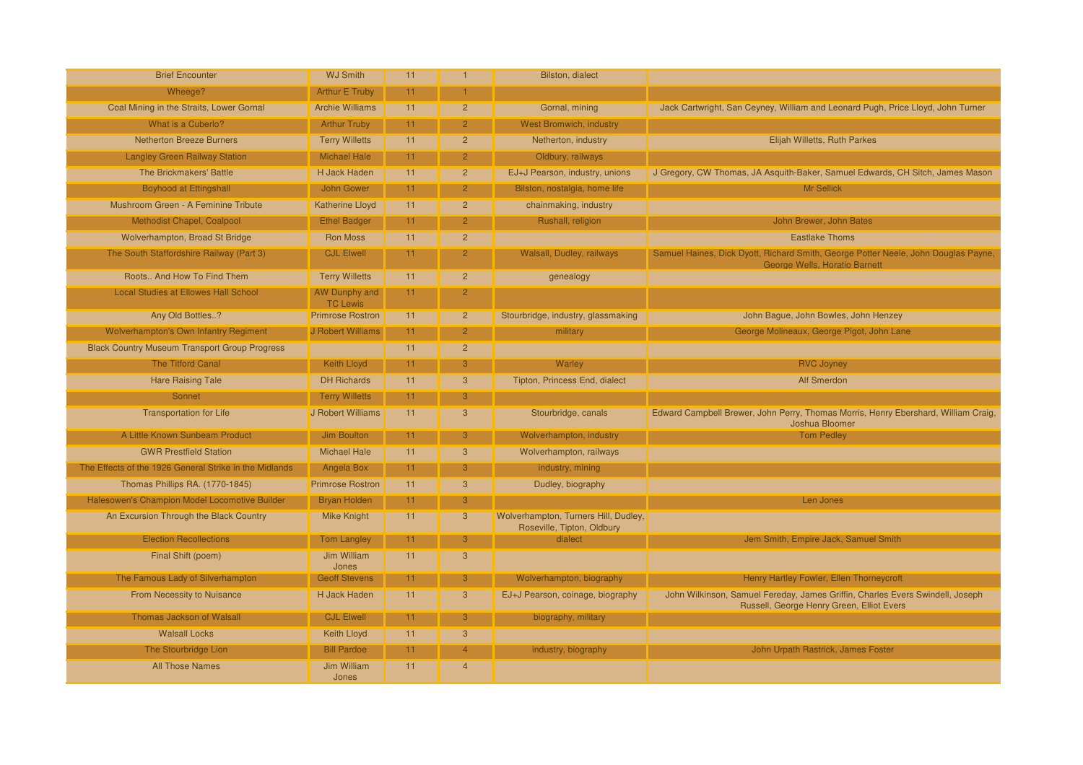| <b>Brief Encounter</b>                                 | <b>WJ Smith</b>                  | 11              | $\overline{1}$ | <b>Bilston, dialect</b>                                            |                                                                                                                            |
|--------------------------------------------------------|----------------------------------|-----------------|----------------|--------------------------------------------------------------------|----------------------------------------------------------------------------------------------------------------------------|
| Wheege?                                                | <b>Arthur E Truby</b>            | 11              |                |                                                                    |                                                                                                                            |
| Coal Mining in the Straits, Lower Gornal               | <b>Archie Williams</b>           | 11              | $\overline{2}$ | Gornal, mining                                                     | Jack Cartwright, San Ceyney, William and Leonard Pugh, Price Lloyd, John Turner                                            |
| What is a Cuberlo?                                     | <b>Arthur Truby</b>              | 11 <sub>1</sub> | 2 <sup>1</sup> | <b>West Bromwich, industry</b>                                     |                                                                                                                            |
| <b>Netherton Breeze Burners</b>                        | <b>Terry Willetts</b>            | 11              | $\overline{2}$ | Netherton, industry                                                | Elijah Willetts, Ruth Parkes                                                                                               |
| <b>Langley Green Railway Station</b>                   | Michael Hale                     | 11 <sub>1</sub> | $\overline{2}$ | Oldbury, railways                                                  |                                                                                                                            |
| The Brickmakers' Battle                                | <b>H Jack Haden</b>              | 11              | $\overline{2}$ | EJ+J Pearson, industry, unions                                     | J Gregory, CW Thomas, JA Asquith-Baker, Samuel Edwards, CH Sitch, James Mason                                              |
| <b>Boyhood at Ettingshall</b>                          | John Gower                       | 11 <sub>1</sub> | $\overline{2}$ | Bilston, nostalgia, home life                                      | Mr Sellick                                                                                                                 |
| Mushroom Green - A Feminine Tribute                    | <b>Katherine Lloyd</b>           | 11              | $\overline{2}$ | chainmaking, industry                                              |                                                                                                                            |
| Methodist Chapel, Coalpool                             | <b>Ethel Badger</b>              | 11 <sub>1</sub> | $\overline{2}$ | Rushall, religion                                                  | John Brewer, John Bates                                                                                                    |
| Wolverhampton, Broad St Bridge                         | <b>Ron Moss</b>                  | 11              | $\overline{2}$ |                                                                    | <b>Eastlake Thoms</b>                                                                                                      |
| The South Staffordshire Railway (Part 3)               | <b>CJL Elwell</b>                | 11              | $\overline{2}$ | Walsall, Dudley, railways                                          | Samuel Haines, Dick Dyott, Richard Smith, George Potter Neele, John Douglas Payne,<br>George Wells, Horatio Barnett        |
| Roots And How To Find Them                             | <b>Terry Willetts</b>            | 11              | $\overline{2}$ | genealogy                                                          |                                                                                                                            |
| <b>Local Studies at Ellowes Hall School</b>            | AW Dunphy and<br><b>TC Lewis</b> | 11              | $\overline{2}$ |                                                                    |                                                                                                                            |
| Any Old Bottles?                                       | <b>Primrose Rostron</b>          | 11              | $\overline{2}$ | Stourbridge, industry, glassmaking                                 | John Bague, John Bowles, John Henzey                                                                                       |
| <b>Wolverhampton's Own Infantry Regiment</b>           | J Robert Williams                | 11              | $\overline{2}$ | military                                                           | George Molineaux, George Pigot, John Lane                                                                                  |
| <b>Black Country Museum Transport Group Progress</b>   |                                  | 11              | 2 <sup>2</sup> |                                                                    |                                                                                                                            |
| <b>The Titford Canal</b>                               | <b>Keith Lloyd</b>               | 11 <sub>1</sub> | 3              | Warley                                                             | <b>RVC Joyney</b>                                                                                                          |
| <b>Hare Raising Tale</b>                               | <b>DH Richards</b>               | 11              | 3 <sup>5</sup> | Tipton, Princess End, dialect                                      | <b>Alf Smerdon</b>                                                                                                         |
| Sonnet                                                 | <b>Terry Willetts</b>            | 11 <sub>1</sub> | 3 <sup>°</sup> |                                                                    |                                                                                                                            |
| <b>Transportation for Life</b>                         | J Robert Williams                | 11              | $\mathbf{3}$   | Stourbridge, canals                                                | Edward Campbell Brewer, John Perry, Thomas Morris, Henry Ebershard, William Craig,<br>Joshua Bloomer                       |
| A Little Known Sunbeam Product                         | Jim Boulton                      | 11 <sub>1</sub> | 3              | Wolverhampton, industry                                            | <b>Tom Pedley</b>                                                                                                          |
| <b>GWR Prestfield Station</b>                          | <b>Michael Hale</b>              | 11              | $\mathbf{3}$   | Wolverhampton, railways                                            |                                                                                                                            |
| The Effects of the 1926 General Strike in the Midlands | Angela Box                       | 11 <sub>1</sub> | 3              | industry, mining                                                   |                                                                                                                            |
| Thomas Phillips RA. (1770-1845)                        | <b>Primrose Rostron</b>          | 11              | 3              | Dudley, biography                                                  |                                                                                                                            |
| Halesowen's Champion Model Locomotive Builder          | <b>Bryan Holden</b>              | 11              | 3              |                                                                    | Len Jones                                                                                                                  |
| An Excursion Through the Black Country                 | Mike Knight                      | 11              | 3              | Wolverhampton, Turners Hill, Dudley.<br>Roseville, Tipton, Oldbury |                                                                                                                            |
| <b>Election Recollections</b>                          | <b>Tom Langley</b>               | 11 <sub>1</sub> | 3              | dialect                                                            | Jem Smith, Empire Jack, Samuel Smith                                                                                       |
| Final Shift (poem)                                     | Jim William<br>Jones             | 11              | 3              |                                                                    |                                                                                                                            |
| The Famous Lady of Silverhampton                       | <b>Geoff Stevens</b>             | 11 <sub>1</sub> | 3              | Wolverhampton, biography                                           | Henry Hartley Fowler, Ellen Thorneycroft                                                                                   |
| From Necessity to Nuisance                             | <b>H Jack Haden</b>              | 11              | 3              | EJ+J Pearson, coinage, biography                                   | John Wilkinson, Samuel Fereday, James Griffin, Charles Evers Swindell, Joseph<br>Russell, George Henry Green, Elliot Evers |
| <b>Thomas Jackson of Walsall</b>                       | <b>CJL Elwell</b>                | 11 <sub>1</sub> | 3              | biography, military                                                |                                                                                                                            |
| <b>Walsall Locks</b>                                   | <b>Keith Lloyd</b>               | 11              | 3              |                                                                    |                                                                                                                            |
| The Stourbridge Lion                                   | <b>Bill Pardoe</b>               | 11              | $\overline{4}$ | industry, biography                                                | John Urpath Rastrick, James Foster                                                                                         |
| <b>All Those Names</b>                                 | Jim William<br>Jones             | 11              | $\overline{4}$ |                                                                    |                                                                                                                            |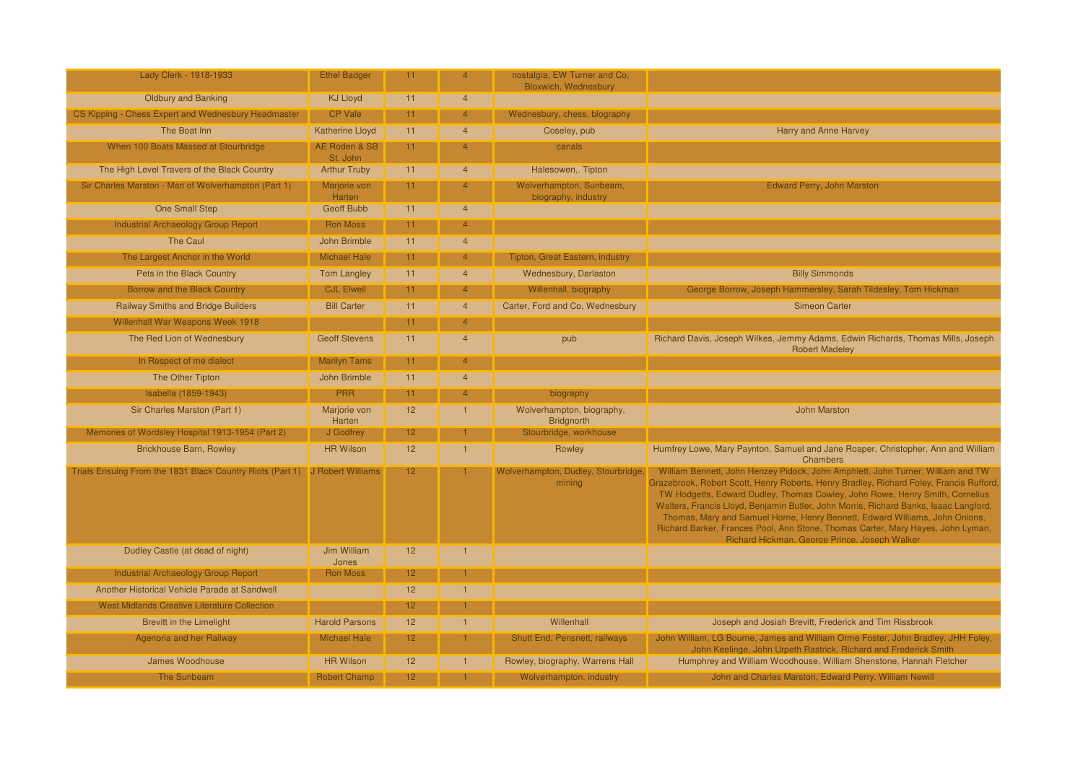| Lady Clerk - 1918-1933                                                      | <b>Ethel Badger</b>       | 11              | $\overline{4}$ | nostalgia, EW Turner and Co,<br>Bloxwich, Wednesbury |                                                                                                                                                                                                                                                                                                                                                                                                                                                                                                                                                                       |
|-----------------------------------------------------------------------------|---------------------------|-----------------|----------------|------------------------------------------------------|-----------------------------------------------------------------------------------------------------------------------------------------------------------------------------------------------------------------------------------------------------------------------------------------------------------------------------------------------------------------------------------------------------------------------------------------------------------------------------------------------------------------------------------------------------------------------|
| <b>Oldbury and Banking</b>                                                  | <b>KJ Lloyd</b>           | 11              | $\overline{4}$ |                                                      |                                                                                                                                                                                                                                                                                                                                                                                                                                                                                                                                                                       |
| CS Kipping - Chess Expert and Wednesbury Headmaster                         | <b>CP Vale</b>            | 11              | $\overline{4}$ | Wednesbury, chess, biography                         |                                                                                                                                                                                                                                                                                                                                                                                                                                                                                                                                                                       |
| The Boat Inn                                                                | <b>Katherine Lloyd</b>    | 11              | $\overline{4}$ | Coseley, pub                                         | Harry and Anne Harvey                                                                                                                                                                                                                                                                                                                                                                                                                                                                                                                                                 |
| When 100 Boats Massed at Stourbridge                                        | AE Roden & SB<br>St. John | 11              | $\overline{4}$ | canals                                               |                                                                                                                                                                                                                                                                                                                                                                                                                                                                                                                                                                       |
| The High Level Travers of the Black Country                                 | <b>Arthur Truby</b>       | 11              | $\overline{4}$ | Halesowen,. Tipton                                   |                                                                                                                                                                                                                                                                                                                                                                                                                                                                                                                                                                       |
| Sir Charles Marston - Man of Wolverhampton (Part 1)                         | Marjorie von<br>Harten    | 11              |                | Wolverhampton, Sunbeam,<br>biography, industry       | Edward Perry, John Marston                                                                                                                                                                                                                                                                                                                                                                                                                                                                                                                                            |
| One Small Step                                                              | Geoff Bubb                | 11              | $\overline{4}$ |                                                      |                                                                                                                                                                                                                                                                                                                                                                                                                                                                                                                                                                       |
| <b>Industrial Archaeology Group Report</b>                                  | Ron Moss                  | 11              | $\overline{4}$ |                                                      |                                                                                                                                                                                                                                                                                                                                                                                                                                                                                                                                                                       |
| <b>The Caul</b>                                                             | John Brimble              | 11              | $\overline{4}$ |                                                      |                                                                                                                                                                                                                                                                                                                                                                                                                                                                                                                                                                       |
| The Largest Anchor in the World                                             | <b>Michael Hale</b>       | 11              | $\overline{4}$ | <b>Tipton, Great Eastern, industry</b>               |                                                                                                                                                                                                                                                                                                                                                                                                                                                                                                                                                                       |
| Pets in the Black Country                                                   | Tom Langley               | 11              | $\overline{4}$ | Wednesbury, Darlaston                                | <b>Billy Simmonds</b>                                                                                                                                                                                                                                                                                                                                                                                                                                                                                                                                                 |
| Borrow and the Black Country                                                | <b>CJL Elwell</b>         | 11              | $\overline{4}$ | Willenhall, biography                                | George Borrow, Joseph Hammersley, Sarah Tildesley, Tom Hickman                                                                                                                                                                                                                                                                                                                                                                                                                                                                                                        |
| Railway Smiths and Bridge Builders                                          | <b>Bill Carter</b>        | 11              | $\overline{4}$ | Carter, Ford and Co, Wednesbury                      | <b>Simeon Carter</b>                                                                                                                                                                                                                                                                                                                                                                                                                                                                                                                                                  |
| Willenhall War Weapons Week 1918                                            |                           | 11              | $\overline{4}$ |                                                      |                                                                                                                                                                                                                                                                                                                                                                                                                                                                                                                                                                       |
| The Red Lion of Wednesbury                                                  | <b>Geoff Stevens</b>      | 11              | $\overline{4}$ | pub                                                  | Richard Davis, Joseph Wilkes, Jemmy Adams, Edwin Richards, Thomas Mills, Joseph<br><b>Robert Madeley</b>                                                                                                                                                                                                                                                                                                                                                                                                                                                              |
| In Respect of me dialect                                                    | <b>Marilyn Tams</b>       | 11              | $\overline{4}$ |                                                      |                                                                                                                                                                                                                                                                                                                                                                                                                                                                                                                                                                       |
| The Other Tipton                                                            | John Brimble              | 11              | $\overline{4}$ |                                                      |                                                                                                                                                                                                                                                                                                                                                                                                                                                                                                                                                                       |
| Isabella (1859-1943)                                                        | <b>PRR</b>                | 11              | $\overline{4}$ | biography                                            |                                                                                                                                                                                                                                                                                                                                                                                                                                                                                                                                                                       |
| Sir Charles Marston (Part 1)                                                | Marjorie von<br>Harten    | 12              | $\blacksquare$ | Wolverhampton, biography,<br><b>Bridgnorth</b>       | <b>John Marston</b>                                                                                                                                                                                                                                                                                                                                                                                                                                                                                                                                                   |
| Memories of Wordsley Hospital 1913-1954 (Part 2)                            | J Godfrey                 | 12              |                | Stourbridge, workhouse                               |                                                                                                                                                                                                                                                                                                                                                                                                                                                                                                                                                                       |
| <b>Brickhouse Barn, Rowley</b>                                              | <b>HR Wilson</b>          | 12              |                | Rowley                                               | Humfrey Lowe, Mary Paynton, Samuel and Jane Roaper, Christopher, Ann and William<br><b>Chambers</b>                                                                                                                                                                                                                                                                                                                                                                                                                                                                   |
| Trials Ensuing From the 1831 Black Country Riots (Part 1) J Robert Williams |                           | 12 <sub>2</sub> |                | Wolverhampton, Dudley, Stourbridge,<br>mining        | William Bennett, John Henzey Pidock, John Amphlett, John Turner, William and TW<br>Grazebrook, Robert Scott, Henry Roberts, Henry Bradley, Richard Foley, Francis Rufford,<br>TW Hodgetts, Edward Dudley, Thomas Cowley, John Rowe, Henry Smith, Cornelius<br>Walters, Francis Lloyd, Benjamin Butler, John Morris, Richard Banks, Isaac Langford,<br>Thomas, Mary and Samuel Horne, Henry Bennett, Edward Williams, John Onions,<br>Richard Barker, Frances Pool, Ann Stone, Thomas Carter, Mary Hayes, John Lyman,<br>Richard Hickman, George Prince, Joseph Walker |
| Dudley Castle (at dead of night)                                            | Jim William<br>Jones      | 12              | 1              |                                                      |                                                                                                                                                                                                                                                                                                                                                                                                                                                                                                                                                                       |
| Industrial Archaeology Group Report                                         | <b>Ron Moss</b>           | 12              |                |                                                      |                                                                                                                                                                                                                                                                                                                                                                                                                                                                                                                                                                       |
| Another Historical Vehicle Parade at Sandwell                               |                           | 12              |                |                                                      |                                                                                                                                                                                                                                                                                                                                                                                                                                                                                                                                                                       |
| <b>West Midlands Creative Literature Collection</b>                         |                           | 12              |                |                                                      |                                                                                                                                                                                                                                                                                                                                                                                                                                                                                                                                                                       |
| <b>Brevitt in the Limelight</b>                                             | <b>Harold Parsons</b>     | 12              |                | Willenhall                                           | Joseph and Josiah Brevitt, Frederick and Tim Rissbrook                                                                                                                                                                                                                                                                                                                                                                                                                                                                                                                |
| <b>Agenoria and her Railway</b>                                             | <b>Michael Hale</b>       | 12              |                | Shutt End, Pensnett, railways                        | John William, LG Bourne, James and William Orme Foster, John Bradley, JHH Foley,<br>John Keelinge, John Urpeth Rastrick, Richard and Frederick Smith                                                                                                                                                                                                                                                                                                                                                                                                                  |
| James Woodhouse                                                             | <b>HR Wilson</b>          | 12              |                | Rowley, biography, Warrens Hall                      | Humphrey and William Woodhouse, William Shenstone, Hannah Fletcher                                                                                                                                                                                                                                                                                                                                                                                                                                                                                                    |
| <b>The Sunbeam</b>                                                          | <b>Robert Champ</b>       | 12              |                | Wolverhampton, industry                              | John and Charles Marston, Edward Perry, William Newill                                                                                                                                                                                                                                                                                                                                                                                                                                                                                                                |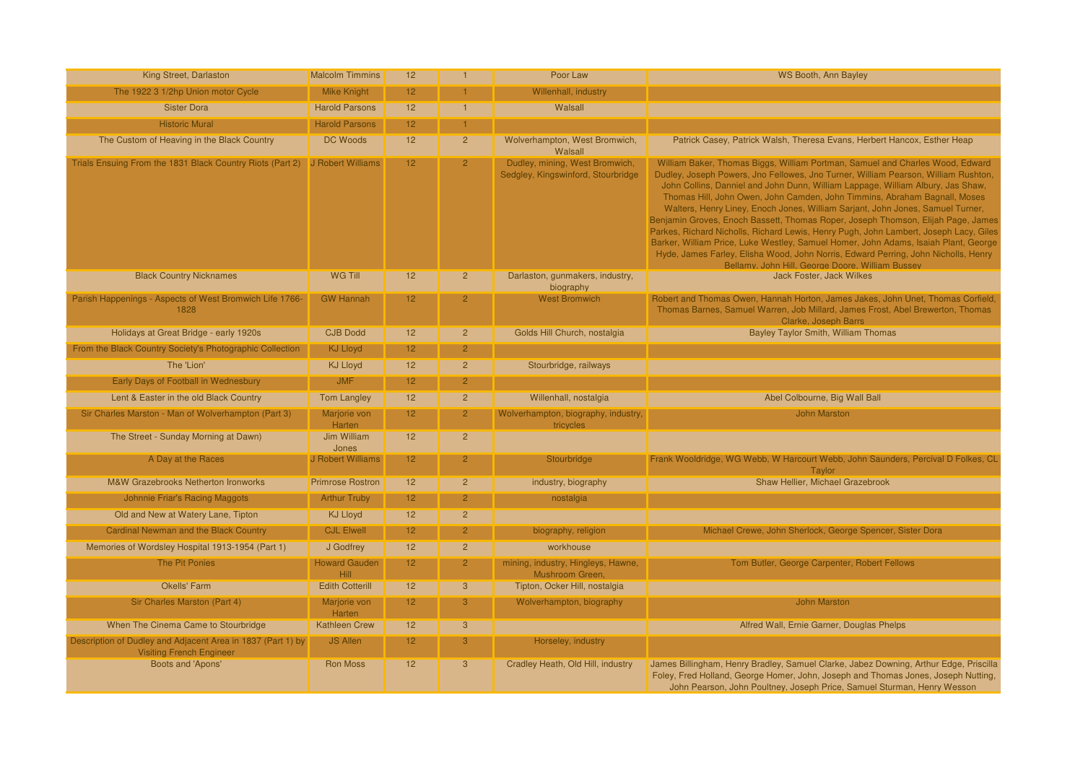| King Street, Darlaston                                                                         | <b>Malcolm Timmins</b>              | 12              |                | Poor Law                                                             | <b>WS Booth, Ann Bayley</b>                                                                                                                                                                                                                                                                                                                                                                                                                                                                                                                                                                                                                                                                                                                                                                                                         |
|------------------------------------------------------------------------------------------------|-------------------------------------|-----------------|----------------|----------------------------------------------------------------------|-------------------------------------------------------------------------------------------------------------------------------------------------------------------------------------------------------------------------------------------------------------------------------------------------------------------------------------------------------------------------------------------------------------------------------------------------------------------------------------------------------------------------------------------------------------------------------------------------------------------------------------------------------------------------------------------------------------------------------------------------------------------------------------------------------------------------------------|
| The 1922 3 1/2hp Union motor Cycle                                                             | <b>Mike Knight</b>                  | 12 <sub>2</sub> |                | Willenhall, industry                                                 |                                                                                                                                                                                                                                                                                                                                                                                                                                                                                                                                                                                                                                                                                                                                                                                                                                     |
| <b>Sister Dora</b>                                                                             | <b>Harold Parsons</b>               | 12              |                | Walsall                                                              |                                                                                                                                                                                                                                                                                                                                                                                                                                                                                                                                                                                                                                                                                                                                                                                                                                     |
| <b>Historic Mural</b>                                                                          | <b>Harold Parsons</b>               | 12 <sub>2</sub> |                |                                                                      |                                                                                                                                                                                                                                                                                                                                                                                                                                                                                                                                                                                                                                                                                                                                                                                                                                     |
| The Custom of Heaving in the Black Country                                                     | DC Woods                            | 12              | $\overline{2}$ | Wolverhampton, West Bromwich,<br>Walsall                             | Patrick Casey, Patrick Walsh, Theresa Evans, Herbert Hancox, Esther Heap                                                                                                                                                                                                                                                                                                                                                                                                                                                                                                                                                                                                                                                                                                                                                            |
| Trials Ensuing From the 1831 Black Country Riots (Part 2) J Robert Williams                    |                                     | 12 <sub>2</sub> | $\overline{2}$ | Dudley, mining, West Bromwich,<br>Sedgley, Kingswinford, Stourbridge | William Baker, Thomas Biggs, William Portman, Samuel and Charles Wood, Edward<br>Dudley, Joseph Powers, Jno Fellowes, Jno Turner, William Pearson, William Rushton,<br>John Collins, Danniel and John Dunn, William Lappage, William Albury, Jas Shaw,<br>Thomas Hill, John Owen, John Camden, John Timmins, Abraham Bagnall, Moses<br>Walters, Henry Liney, Enoch Jones, William Sarjant, John Jones, Samuel Turner,<br>Benjamin Groves, Enoch Bassett, Thomas Roper, Joseph Thomson, Elijah Page, James<br>Parkes, Richard Nicholls, Richard Lewis, Henry Pugh, John Lambert, Joseph Lacy, Giles<br>Barker, William Price, Luke Westley, Samuel Homer, John Adams, Isaiah Plant, George<br>Hyde, James Farley, Elisha Wood, John Norris, Edward Perring, John Nicholls, Henry<br>Bellamy, John Hill, George Doore, William Bussey |
| <b>Black Country Nicknames</b>                                                                 | WG Till                             | 12 <sub>2</sub> | $\overline{2}$ | Darlaston, gunmakers, industry,<br>biography                         | <b>Jack Foster, Jack Wilkes</b>                                                                                                                                                                                                                                                                                                                                                                                                                                                                                                                                                                                                                                                                                                                                                                                                     |
| Parish Happenings - Aspects of West Bromwich Life 1766-<br>1828                                | <b>GW Hannah</b>                    | 12 <sub>2</sub> | $\overline{2}$ | <b>West Bromwich</b>                                                 | Robert and Thomas Owen, Hannah Horton, James Jakes, John Unet, Thomas Corfield,<br>Thomas Barnes, Samuel Warren, Job Millard, James Frost, Abel Brewerton, Thomas<br>Clarke, Joseph Barrs                                                                                                                                                                                                                                                                                                                                                                                                                                                                                                                                                                                                                                           |
| Holidays at Great Bridge - early 1920s                                                         | <b>CJB Dodd</b>                     | 12 <sup>2</sup> | $\overline{2}$ | Golds Hill Church, nostalgia                                         | <b>Bayley Taylor Smith, William Thomas</b>                                                                                                                                                                                                                                                                                                                                                                                                                                                                                                                                                                                                                                                                                                                                                                                          |
| From the Black Country Society's Photographic Collection                                       | <b>KJ Lloyd</b>                     | 12 <sub>1</sub> | 2 <sup>1</sup> |                                                                      |                                                                                                                                                                                                                                                                                                                                                                                                                                                                                                                                                                                                                                                                                                                                                                                                                                     |
| The 'Lion'                                                                                     | <b>KJ Lloyd</b>                     | 12              | $\overline{2}$ | Stourbridge, railways                                                |                                                                                                                                                                                                                                                                                                                                                                                                                                                                                                                                                                                                                                                                                                                                                                                                                                     |
| Early Days of Football in Wednesbury                                                           | <b>JMF</b>                          | 12 <sub>2</sub> | $\overline{2}$ |                                                                      |                                                                                                                                                                                                                                                                                                                                                                                                                                                                                                                                                                                                                                                                                                                                                                                                                                     |
| Lent & Easter in the old Black Country                                                         | <b>Tom Langley</b>                  | 12              | $\overline{2}$ | Willenhall, nostalgia                                                | Abel Colbourne, Big Wall Ball                                                                                                                                                                                                                                                                                                                                                                                                                                                                                                                                                                                                                                                                                                                                                                                                       |
| Sir Charles Marston - Man of Wolverhampton (Part 3)                                            | Marjorie von<br>Harten              | 12 <sub>2</sub> | $\overline{2}$ | Wolverhampton, biography, industry,<br>tricvcles                     | <b>John Marston</b>                                                                                                                                                                                                                                                                                                                                                                                                                                                                                                                                                                                                                                                                                                                                                                                                                 |
| The Street - Sunday Morning at Dawn)                                                           | Jim William<br>Jones                | 12 <sub>2</sub> | $\overline{2}$ |                                                                      |                                                                                                                                                                                                                                                                                                                                                                                                                                                                                                                                                                                                                                                                                                                                                                                                                                     |
| A Day at the Races                                                                             | J Robert Williams                   | 12 <sub>1</sub> | $\overline{2}$ | Stourbridge                                                          | Frank Wooldridge, WG Webb, W Harcourt Webb, John Saunders, Percival D Folkes, CL<br><b>Taylor</b>                                                                                                                                                                                                                                                                                                                                                                                                                                                                                                                                                                                                                                                                                                                                   |
| <b>M&amp;W Grazebrooks Netherton Ironworks</b>                                                 | <b>Primrose Rostron</b>             | 12 <sub>2</sub> | 2 <sup>1</sup> | industry, biography                                                  | Shaw Hellier, Michael Grazebrook                                                                                                                                                                                                                                                                                                                                                                                                                                                                                                                                                                                                                                                                                                                                                                                                    |
| Johnnie Friar's Racing Maggots                                                                 | <b>Arthur Truby</b>                 | 12 <sub>2</sub> | $\overline{2}$ | nostalgia                                                            |                                                                                                                                                                                                                                                                                                                                                                                                                                                                                                                                                                                                                                                                                                                                                                                                                                     |
| Old and New at Watery Lane, Tipton                                                             | <b>KJ Lloyd</b>                     | 12              | $\overline{2}$ |                                                                      |                                                                                                                                                                                                                                                                                                                                                                                                                                                                                                                                                                                                                                                                                                                                                                                                                                     |
| <b>Cardinal Newman and the Black Country</b>                                                   | <b>CJL Elwell</b>                   | 12 <sub>2</sub> | $\overline{2}$ | biography, religion                                                  | Michael Crewe, John Sherlock, George Spencer, Sister Dora                                                                                                                                                                                                                                                                                                                                                                                                                                                                                                                                                                                                                                                                                                                                                                           |
| Memories of Wordsley Hospital 1913-1954 (Part 1)                                               | J Godfrey                           | 12              | $\overline{2}$ | workhouse                                                            |                                                                                                                                                                                                                                                                                                                                                                                                                                                                                                                                                                                                                                                                                                                                                                                                                                     |
| <b>The Pit Ponies</b>                                                                          | <b>Howard Gauden</b><br><b>Hill</b> | 12 <sub>2</sub> | $\overline{2}$ | mining, industry, Hingleys, Hawne,<br>Mushroom Green,                | Tom Butler, George Carpenter, Robert Fellows                                                                                                                                                                                                                                                                                                                                                                                                                                                                                                                                                                                                                                                                                                                                                                                        |
| <b>Okells' Farm</b>                                                                            | <b>Edith Cotterill</b>              | 12              | $\mathbf{3}$   | Tipton, Ocker Hill, nostalgia                                        |                                                                                                                                                                                                                                                                                                                                                                                                                                                                                                                                                                                                                                                                                                                                                                                                                                     |
| Sir Charles Marston (Part 4)                                                                   | Marjorie von<br>Harten              | 12 <sub>1</sub> | 3 <sup>1</sup> | Wolverhampton, biography                                             | <b>John Marston</b>                                                                                                                                                                                                                                                                                                                                                                                                                                                                                                                                                                                                                                                                                                                                                                                                                 |
| When The Cinema Came to Stourbridge                                                            | <b>Kathleen Crew</b>                | 12              | $\overline{3}$ |                                                                      | Alfred Wall, Ernie Garner, Douglas Phelps                                                                                                                                                                                                                                                                                                                                                                                                                                                                                                                                                                                                                                                                                                                                                                                           |
| Description of Dudley and Adjacent Area in 1837 (Part 1) by<br><b>Visiting French Engineer</b> | <b>JS Allen</b>                     | 12 <sup>°</sup> | 3              | Horseley, industry                                                   |                                                                                                                                                                                                                                                                                                                                                                                                                                                                                                                                                                                                                                                                                                                                                                                                                                     |
| Boots and 'Apons'                                                                              | <b>Ron Moss</b>                     | 12              | 3              | Cradley Heath, Old Hill, industry                                    | James Billingham, Henry Bradley, Samuel Clarke, Jabez Downing, Arthur Edge, Priscilla<br>Foley, Fred Holland, George Homer, John, Joseph and Thomas Jones, Joseph Nutting,<br>John Pearson, John Poultney, Joseph Price, Samuel Sturman, Henry Wesson                                                                                                                                                                                                                                                                                                                                                                                                                                                                                                                                                                               |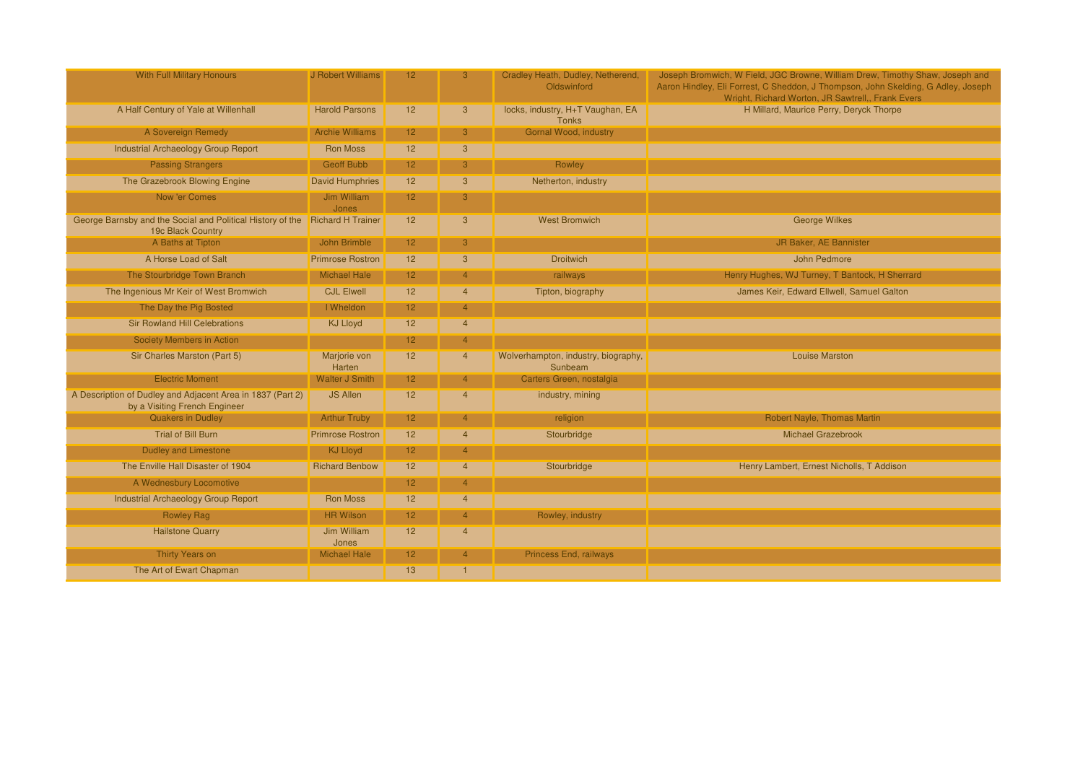| <b>With Full Military Honours</b>                                                                 | J Robert Williams           | 12 <sub>1</sub> | $\mathbf{3}$   | Cradley Heath, Dudley, Netherend,<br>Oldswinford | Joseph Bromwich, W Field, JGC Browne, William Drew, Timothy Shaw, Joseph and<br>Aaron Hindley, Eli Forrest, C Sheddon, J Thompson, John Skelding, G Adley, Joseph<br>Wright, Richard Worton, JR Sawtrell,, Frank Evers |
|---------------------------------------------------------------------------------------------------|-----------------------------|-----------------|----------------|--------------------------------------------------|------------------------------------------------------------------------------------------------------------------------------------------------------------------------------------------------------------------------|
| A Half Century of Yale at Willenhall                                                              | <b>Harold Parsons</b>       | 12 <sup>2</sup> | 3 <sup>5</sup> | locks, industry, H+T Vaughan, EA<br><b>Tonks</b> | H Millard, Maurice Perry, Deryck Thorpe                                                                                                                                                                                |
| A Sovereign Remedy                                                                                | <b>Archie Williams</b>      | 12 <sub>2</sub> | 3              | Gornal Wood, industry                            |                                                                                                                                                                                                                        |
| Industrial Archaeology Group Report                                                               | <b>Ron Moss</b>             | 12              | 3              |                                                  |                                                                                                                                                                                                                        |
| <b>Passing Strangers</b>                                                                          | <b>Geoff Bubb</b>           | 12 <sup>2</sup> | 3              | Rowley                                           |                                                                                                                                                                                                                        |
| The Grazebrook Blowing Engine                                                                     | <b>David Humphries</b>      | 12              | 3              | Netherton, industry                              |                                                                                                                                                                                                                        |
| Now 'er Comes                                                                                     | Jim William<br><b>Jones</b> | 12 <sub>1</sub> | 3              |                                                  |                                                                                                                                                                                                                        |
| George Barnsby and the Social and Political History of the Richard H Trainer<br>19c Black Country |                             | 12              | $\mathbf{3}$   | <b>West Bromwich</b>                             | <b>George Wilkes</b>                                                                                                                                                                                                   |
| A Baths at Tipton                                                                                 | John Brimble                | 12 <sub>1</sub> | 3              |                                                  | JR Baker, AE Bannister                                                                                                                                                                                                 |
| A Horse Load of Salt                                                                              | <b>Primrose Rostron</b>     | 12              | 3              | <b>Droitwich</b>                                 | John Pedmore                                                                                                                                                                                                           |
| The Stourbridge Town Branch                                                                       | <b>Michael Hale</b>         | 12              | $\overline{4}$ | railways                                         | Henry Hughes, WJ Turney, T Bantock, H Sherrard                                                                                                                                                                         |
| The Ingenious Mr Keir of West Bromwich                                                            | <b>CJL Elwell</b>           | 12              | $\overline{4}$ | Tipton, biography                                | James Keir, Edward Ellwell, Samuel Galton                                                                                                                                                                              |
| The Day the Pig Bosted                                                                            | I Wheldon                   | 12 <sup>2</sup> | $\overline{4}$ |                                                  |                                                                                                                                                                                                                        |
| <b>Sir Rowland Hill Celebrations</b>                                                              | <b>KJ Lloyd</b>             | 12              | $\overline{4}$ |                                                  |                                                                                                                                                                                                                        |
| Society Members in Action                                                                         |                             | 12 <sub>2</sub> | $\overline{4}$ |                                                  |                                                                                                                                                                                                                        |
| Sir Charles Marston (Part 5)                                                                      | Marjorie von<br>Harten      | 12              | $\overline{4}$ | Wolverhampton, industry, biography,<br>Sunbeam   | <b>Louise Marston</b>                                                                                                                                                                                                  |
| <b>Electric Moment</b>                                                                            | <b>Walter J Smith</b>       | 12              | $\overline{4}$ | Carters Green, nostalgia                         |                                                                                                                                                                                                                        |
| A Description of Dudley and Adjacent Area in 1837 (Part 2)<br>by a Visiting French Engineer       | <b>JS Allen</b>             | 12              | $\overline{4}$ | industry, mining                                 |                                                                                                                                                                                                                        |
| <b>Quakers in Dudley</b>                                                                          | <b>Arthur Truby</b>         | 12 <sup>2</sup> | $\overline{4}$ | religion                                         | <b>Robert Nayle, Thomas Martin</b>                                                                                                                                                                                     |
| <b>Trial of Bill Burn</b>                                                                         | <b>Primrose Rostron</b>     | 12              | $\overline{4}$ | Stourbridge                                      | <b>Michael Grazebrook</b>                                                                                                                                                                                              |
| <b>Dudley and Limestone</b>                                                                       | <b>KJ Lloyd</b>             | 12 <sub>1</sub> | $\overline{4}$ |                                                  |                                                                                                                                                                                                                        |
| The Enville Hall Disaster of 1904                                                                 | <b>Richard Benbow</b>       | 12              | $\overline{4}$ | Stourbridge                                      | Henry Lambert, Ernest Nicholls, T Addison                                                                                                                                                                              |
| A Wednesbury Locomotive                                                                           |                             | 12              | $\overline{4}$ |                                                  |                                                                                                                                                                                                                        |
| Industrial Archaeology Group Report                                                               | <b>Ron Moss</b>             | 12 <sub>2</sub> | $\overline{4}$ |                                                  |                                                                                                                                                                                                                        |
| <b>Rowley Rag</b>                                                                                 | <b>HR Wilson</b>            | 12              | $\overline{4}$ | Rowley, industry                                 |                                                                                                                                                                                                                        |
| <b>Hailstone Quarry</b>                                                                           | Jim William<br>Jones        | 12              | $\overline{4}$ |                                                  |                                                                                                                                                                                                                        |
| <b>Thirty Years on</b>                                                                            | <b>Michael Hale</b>         | 12 <sub>2</sub> | 4              | Princess End, railways                           |                                                                                                                                                                                                                        |
| The Art of Ewart Chapman                                                                          |                             | 13              |                |                                                  |                                                                                                                                                                                                                        |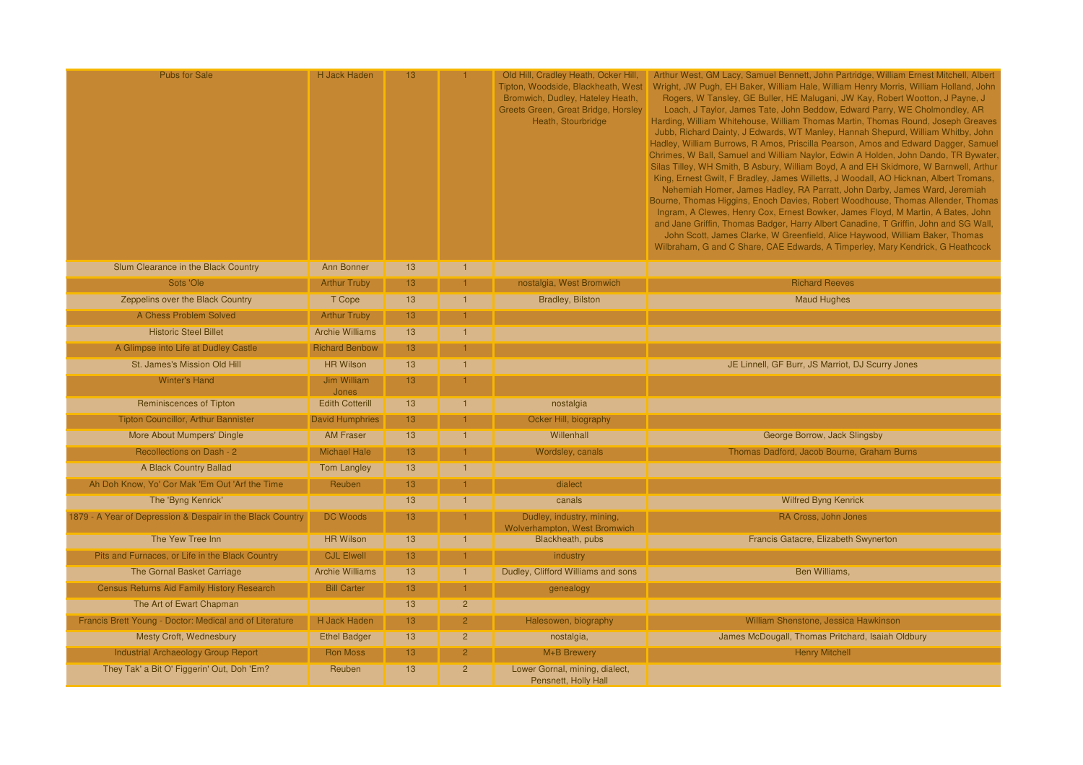| Pubs for Sale                                              | H Jack Haden           | 13 <sup>°</sup> |                | Old Hill, Cradley Heath, Ocker Hill,<br>Tipton, Woodside, Blackheath, West<br>Bromwich, Dudley, Hateley Heath,<br>Greets Green, Great Bridge, Horsley<br>Heath, Stourbridge | Arthur West, GM Lacy, Samuel Bennett, John Partridge, William Ernest Mitchell, Albert<br>Wright, JW Pugh, EH Baker, William Hale, William Henry Morris, William Holland, John<br>Rogers, W Tansley, GE Buller, HE Malugani, JW Kay, Robert Wootton, J Payne, J<br>Loach, J Taylor, James Tate, John Beddow, Edward Parry, WE Cholmondley, AR<br>Harding, William Whitehouse, William Thomas Martin, Thomas Round, Joseph Greaves<br>Jubb, Richard Dainty, J Edwards, WT Manley, Hannah Shepurd, William Whitby, John<br>Hadley, William Burrows, R Amos, Priscilla Pearson, Amos and Edward Dagger, Samuel<br>Chrimes, W Ball, Samuel and William Naylor, Edwin A Holden, John Dando, TR Bywater<br>Silas Tilley, WH Smith, B Asbury, William Boyd, A and EH Skidmore, W Barnwell, Arthur<br>King, Ernest Gwilt, F Bradley, James Willetts, J Woodall, AO Hicknan, Albert Tromans,<br>Nehemiah Homer, James Hadley, RA Parratt, John Darby, James Ward, Jeremiah<br>Bourne, Thomas Higgins, Enoch Davies, Robert Woodhouse, Thomas Allender, Thomas<br>Ingram, A Clewes, Henry Cox, Ernest Bowker, James Floyd, M Martin, A Bates, John<br>and Jane Griffin, Thomas Badger, Harry Albert Canadine, T Griffin, John and SG Wall,<br>John Scott, James Clarke, W Greenfield, Alice Haywood, William Baker, Thomas<br>Wilbraham, G and C Share, CAE Edwards, A Timperley, Mary Kendrick, G Heathcock |
|------------------------------------------------------------|------------------------|-----------------|----------------|-----------------------------------------------------------------------------------------------------------------------------------------------------------------------------|---------------------------------------------------------------------------------------------------------------------------------------------------------------------------------------------------------------------------------------------------------------------------------------------------------------------------------------------------------------------------------------------------------------------------------------------------------------------------------------------------------------------------------------------------------------------------------------------------------------------------------------------------------------------------------------------------------------------------------------------------------------------------------------------------------------------------------------------------------------------------------------------------------------------------------------------------------------------------------------------------------------------------------------------------------------------------------------------------------------------------------------------------------------------------------------------------------------------------------------------------------------------------------------------------------------------------------------------------------------------------------------------------|
| Slum Clearance in the Black Country                        | <b>Ann Bonner</b>      | 13              |                |                                                                                                                                                                             |                                                                                                                                                                                                                                                                                                                                                                                                                                                                                                                                                                                                                                                                                                                                                                                                                                                                                                                                                                                                                                                                                                                                                                                                                                                                                                                                                                                                   |
| Sots 'Ole                                                  | <b>Arthur Truby</b>    | 13              |                | nostalgia, West Bromwich                                                                                                                                                    | <b>Richard Reeves</b>                                                                                                                                                                                                                                                                                                                                                                                                                                                                                                                                                                                                                                                                                                                                                                                                                                                                                                                                                                                                                                                                                                                                                                                                                                                                                                                                                                             |
| Zeppelins over the Black Country                           | T Cope                 | 13              |                | Bradley, Bilston                                                                                                                                                            | <b>Maud Hughes</b>                                                                                                                                                                                                                                                                                                                                                                                                                                                                                                                                                                                                                                                                                                                                                                                                                                                                                                                                                                                                                                                                                                                                                                                                                                                                                                                                                                                |
| A Chess Problem Solved                                     | <b>Arthur Truby</b>    | 13              | 1.             |                                                                                                                                                                             |                                                                                                                                                                                                                                                                                                                                                                                                                                                                                                                                                                                                                                                                                                                                                                                                                                                                                                                                                                                                                                                                                                                                                                                                                                                                                                                                                                                                   |
| <b>Historic Steel Billet</b>                               | <b>Archie Williams</b> | 13              | $\overline{1}$ |                                                                                                                                                                             |                                                                                                                                                                                                                                                                                                                                                                                                                                                                                                                                                                                                                                                                                                                                                                                                                                                                                                                                                                                                                                                                                                                                                                                                                                                                                                                                                                                                   |
| A Glimpse into Life at Dudley Castle                       | <b>Richard Benbow</b>  | 13              | 1.             |                                                                                                                                                                             |                                                                                                                                                                                                                                                                                                                                                                                                                                                                                                                                                                                                                                                                                                                                                                                                                                                                                                                                                                                                                                                                                                                                                                                                                                                                                                                                                                                                   |
| St. James's Mission Old Hill                               | <b>HR Wilson</b>       | 13              | $\overline{1}$ |                                                                                                                                                                             | JE Linnell, GF Burr, JS Marriot, DJ Scurry Jones                                                                                                                                                                                                                                                                                                                                                                                                                                                                                                                                                                                                                                                                                                                                                                                                                                                                                                                                                                                                                                                                                                                                                                                                                                                                                                                                                  |
| <b>Winter's Hand</b>                                       | Jim William<br>Jones   | 13              |                |                                                                                                                                                                             |                                                                                                                                                                                                                                                                                                                                                                                                                                                                                                                                                                                                                                                                                                                                                                                                                                                                                                                                                                                                                                                                                                                                                                                                                                                                                                                                                                                                   |
| <b>Reminiscences of Tipton</b>                             | <b>Edith Cotterill</b> | 13              | $\mathbf{1}$   | nostalgia                                                                                                                                                                   |                                                                                                                                                                                                                                                                                                                                                                                                                                                                                                                                                                                                                                                                                                                                                                                                                                                                                                                                                                                                                                                                                                                                                                                                                                                                                                                                                                                                   |
| <b>Tipton Councillor, Arthur Bannister</b>                 | <b>David Humphries</b> | 13              |                | Ocker Hill, biography                                                                                                                                                       |                                                                                                                                                                                                                                                                                                                                                                                                                                                                                                                                                                                                                                                                                                                                                                                                                                                                                                                                                                                                                                                                                                                                                                                                                                                                                                                                                                                                   |
| More About Mumpers' Dingle                                 | <b>AM Fraser</b>       | 13              | $\blacksquare$ | Willenhall                                                                                                                                                                  | George Borrow, Jack Slingsby                                                                                                                                                                                                                                                                                                                                                                                                                                                                                                                                                                                                                                                                                                                                                                                                                                                                                                                                                                                                                                                                                                                                                                                                                                                                                                                                                                      |
| <b>Recollections on Dash - 2</b>                           | <b>Michael Hale</b>    | 13              |                | Wordsley, canals                                                                                                                                                            | Thomas Dadford, Jacob Bourne, Graham Burns                                                                                                                                                                                                                                                                                                                                                                                                                                                                                                                                                                                                                                                                                                                                                                                                                                                                                                                                                                                                                                                                                                                                                                                                                                                                                                                                                        |
| A Black Country Ballad                                     | <b>Tom Langley</b>     | 13              | $\blacksquare$ |                                                                                                                                                                             |                                                                                                                                                                                                                                                                                                                                                                                                                                                                                                                                                                                                                                                                                                                                                                                                                                                                                                                                                                                                                                                                                                                                                                                                                                                                                                                                                                                                   |
| Ah Doh Know, Yo' Cor Mak 'Em Out 'Arf the Time             | Reuben                 | 13              |                | dialect                                                                                                                                                                     |                                                                                                                                                                                                                                                                                                                                                                                                                                                                                                                                                                                                                                                                                                                                                                                                                                                                                                                                                                                                                                                                                                                                                                                                                                                                                                                                                                                                   |
| The 'Byng Kenrick'                                         |                        | 13              |                | canals                                                                                                                                                                      | <b>Wilfred Byng Kenrick</b>                                                                                                                                                                                                                                                                                                                                                                                                                                                                                                                                                                                                                                                                                                                                                                                                                                                                                                                                                                                                                                                                                                                                                                                                                                                                                                                                                                       |
| 1879 - A Year of Depression & Despair in the Black Country | <b>DC Woods</b>        | 13              |                | Dudley, industry, mining,<br>Wolverhampton, West Bromwich                                                                                                                   | RA Cross, John Jones                                                                                                                                                                                                                                                                                                                                                                                                                                                                                                                                                                                                                                                                                                                                                                                                                                                                                                                                                                                                                                                                                                                                                                                                                                                                                                                                                                              |
| The Yew Tree Inn                                           | <b>HR Wilson</b>       | 13              |                | Blackheath, pubs                                                                                                                                                            | Francis Gatacre, Elizabeth Swynerton                                                                                                                                                                                                                                                                                                                                                                                                                                                                                                                                                                                                                                                                                                                                                                                                                                                                                                                                                                                                                                                                                                                                                                                                                                                                                                                                                              |
| Pits and Furnaces, or Life in the Black Country            | <b>CJL Elwell</b>      | 13              |                | industry                                                                                                                                                                    |                                                                                                                                                                                                                                                                                                                                                                                                                                                                                                                                                                                                                                                                                                                                                                                                                                                                                                                                                                                                                                                                                                                                                                                                                                                                                                                                                                                                   |
| The Gornal Basket Carriage                                 | <b>Archie Williams</b> | 13              |                | Dudley, Clifford Williams and sons                                                                                                                                          | Ben Williams,                                                                                                                                                                                                                                                                                                                                                                                                                                                                                                                                                                                                                                                                                                                                                                                                                                                                                                                                                                                                                                                                                                                                                                                                                                                                                                                                                                                     |
| <b>Census Returns Aid Family History Research</b>          | <b>Bill Carter</b>     | 13              |                | genealogy                                                                                                                                                                   |                                                                                                                                                                                                                                                                                                                                                                                                                                                                                                                                                                                                                                                                                                                                                                                                                                                                                                                                                                                                                                                                                                                                                                                                                                                                                                                                                                                                   |
| The Art of Ewart Chapman                                   |                        | 13              | $\overline{2}$ |                                                                                                                                                                             |                                                                                                                                                                                                                                                                                                                                                                                                                                                                                                                                                                                                                                                                                                                                                                                                                                                                                                                                                                                                                                                                                                                                                                                                                                                                                                                                                                                                   |
| Francis Brett Young - Doctor: Medical and of Literature    | H Jack Haden           | 13              | 2 <sup>1</sup> | Halesowen, biography                                                                                                                                                        | William Shenstone, Jessica Hawkinson                                                                                                                                                                                                                                                                                                                                                                                                                                                                                                                                                                                                                                                                                                                                                                                                                                                                                                                                                                                                                                                                                                                                                                                                                                                                                                                                                              |
| Mesty Croft, Wednesbury                                    | <b>Ethel Badger</b>    | 13              | $\overline{2}$ | nostalgia,                                                                                                                                                                  | James McDougall, Thomas Pritchard, Isaiah Oldbury                                                                                                                                                                                                                                                                                                                                                                                                                                                                                                                                                                                                                                                                                                                                                                                                                                                                                                                                                                                                                                                                                                                                                                                                                                                                                                                                                 |
| Industrial Archaeology Group Report                        | <b>Ron Moss</b>        | 13              | $\overline{2}$ | M+B Brewery                                                                                                                                                                 | <b>Henry Mitchell</b>                                                                                                                                                                                                                                                                                                                                                                                                                                                                                                                                                                                                                                                                                                                                                                                                                                                                                                                                                                                                                                                                                                                                                                                                                                                                                                                                                                             |
| They Tak' a Bit O' Figgerin' Out, Doh 'Em?                 | Reuben                 | 13              | $\overline{2}$ | Lower Gornal, mining, dialect,<br>Pensnett, Holly Hall                                                                                                                      |                                                                                                                                                                                                                                                                                                                                                                                                                                                                                                                                                                                                                                                                                                                                                                                                                                                                                                                                                                                                                                                                                                                                                                                                                                                                                                                                                                                                   |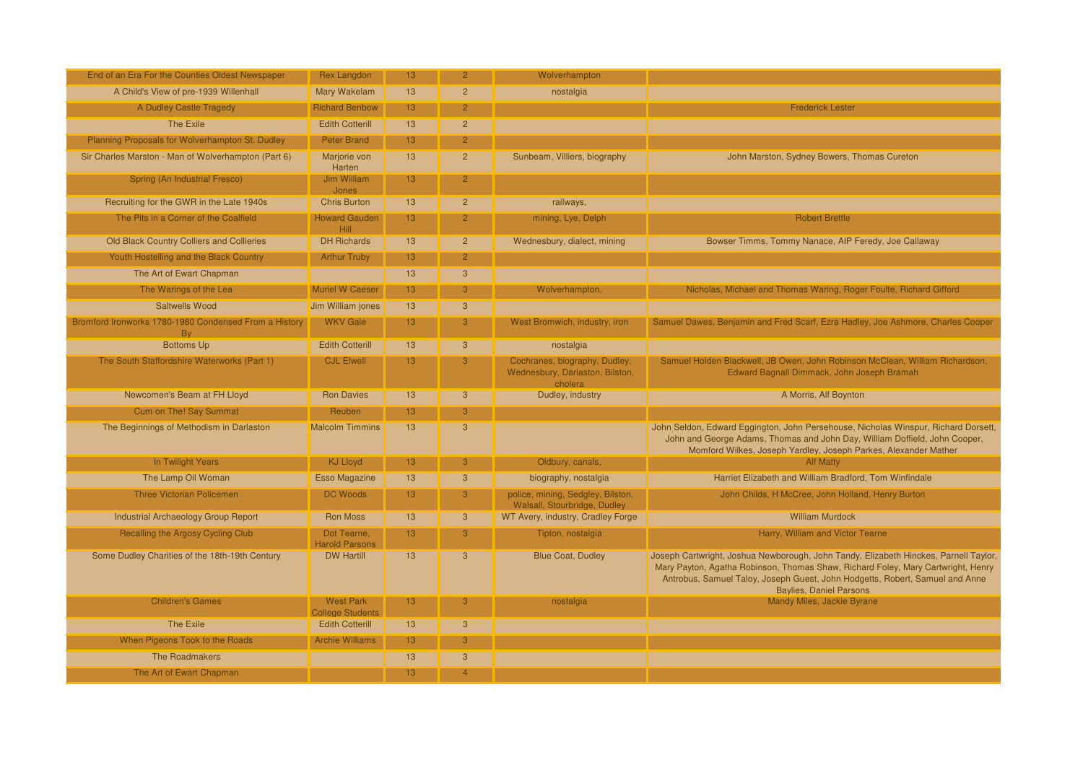| End of an Era For the Counties Oldest Newspaper                    | Rex Langdon                                 | 13 <sup>°</sup> | $\overline{2}$ | Wolverhampton                                                               |                                                                                                                                                                                                                                                                                            |
|--------------------------------------------------------------------|---------------------------------------------|-----------------|----------------|-----------------------------------------------------------------------------|--------------------------------------------------------------------------------------------------------------------------------------------------------------------------------------------------------------------------------------------------------------------------------------------|
| A Child's View of pre-1939 Willenhall                              | <b>Mary Wakelam</b>                         | 13              | $\overline{2}$ | nostalgia                                                                   |                                                                                                                                                                                                                                                                                            |
| A Dudley Castle Tragedy                                            | <b>Richard Benbow</b>                       | 13              | $\overline{2}$ |                                                                             | <b>Frederick Lester</b>                                                                                                                                                                                                                                                                    |
| The Exile                                                          | <b>Edith Cotterill</b>                      | 13              | $\overline{2}$ |                                                                             |                                                                                                                                                                                                                                                                                            |
| Planning Proposals for Wolverhampton St. Dudley                    | <b>Peter Brand</b>                          | 13              | $\overline{2}$ |                                                                             |                                                                                                                                                                                                                                                                                            |
| Sir Charles Marston - Man of Wolverhampton (Part 6)                | Marjorie von<br>Harten                      | 13              | $\overline{2}$ | Sunbeam, Villiers, biography                                                | John Marston, Sydney Bowers, Thomas Cureton                                                                                                                                                                                                                                                |
| Spring (An Industrial Fresco)                                      | Jim William<br>Jones                        | 13              | $\overline{a}$ |                                                                             |                                                                                                                                                                                                                                                                                            |
| Recruiting for the GWR in the Late 1940s                           | <b>Chris Burton</b>                         | 13              | $\overline{2}$ | railways,                                                                   |                                                                                                                                                                                                                                                                                            |
| The Pits in a Corner of the Coalfield                              | <b>Howard Gauden</b><br>Hill                | 13              | $\mathcal{P}$  | mining, Lye, Delph                                                          | <b>Robert Brettle</b>                                                                                                                                                                                                                                                                      |
| Old Black Country Colliers and Collieries                          | <b>DH Richards</b>                          | 13              | 2 <sup>1</sup> | Wednesbury, dialect, mining                                                 | Bowser Timms, Tommy Nanace, AIP Feredy, Joe Callaway                                                                                                                                                                                                                                       |
| Youth Hostelling and the Black Country                             | <b>Arthur Truby</b>                         | 13              | $\overline{2}$ |                                                                             |                                                                                                                                                                                                                                                                                            |
| The Art of Ewart Chapman                                           |                                             | 13              | 3              |                                                                             |                                                                                                                                                                                                                                                                                            |
| The Warings of the Lea                                             | <b>Muriel W Caeser</b>                      | 13              | 3              | Wolverhampton,                                                              | Nicholas, Michael and Thomas Waring, Roger Foulte, Richard Gifford                                                                                                                                                                                                                         |
| <b>Saltwells Wood</b>                                              | Jim William jones                           | 13              | 3              |                                                                             |                                                                                                                                                                                                                                                                                            |
| Bromford Ironworks 1780-1980 Condensed From a History<br><b>Bv</b> | <b>WKV Gale</b>                             | 13              | 3              | West Bromwich, industry, iron                                               | Samuel Dawes, Benjamin and Fred Scarf, Ezra Hadley, Joe Ashmore, Charles Cooper                                                                                                                                                                                                            |
| <b>Bottoms Up</b>                                                  | <b>Edith Cotterill</b>                      | 13              | 3              | nostalgia                                                                   |                                                                                                                                                                                                                                                                                            |
| The South Staffordshire Waterworks (Part 1)                        | <b>CJL Elwell</b>                           | 13              | 3              | Cochranes, biography, Dudley,<br>Wednesbury, Darlaston, Bilston,<br>cholera | Samuel Holden Blackwell, JB Owen, John Robinson McClean, William Richardson,<br>Edward Bagnall Dimmack, John Joseph Bramah                                                                                                                                                                 |
| Newcomen's Beam at FH Lloyd                                        | <b>Ron Davies</b>                           | 13              | 3              | Dudley, industry                                                            | A Morris, Alf Boynton                                                                                                                                                                                                                                                                      |
| Cum on The! Say Summat                                             | Reuben                                      | 13              | 3              |                                                                             |                                                                                                                                                                                                                                                                                            |
| The Beginnings of Methodism in Darlaston                           | <b>Malcolm Timmins</b>                      | 13              | $\overline{3}$ |                                                                             | John Seldon, Edward Eggington, John Persehouse, Nicholas Winspur, Richard Dorsett,<br>John and George Adams, Thomas and John Day, William Doffield, John Cooper,<br>Momford Wilkes, Joseph Yardley, Joseph Parkes, Alexander Mather                                                        |
| In Twilight Years                                                  | <b>KJ Lloyd</b>                             | 13              | 3              | Oldbury, canals,                                                            | <b>Alf Matty</b>                                                                                                                                                                                                                                                                           |
| The Lamp Oil Woman                                                 | <b>Esso Magazine</b>                        | 13              | $\mathbf{3}$   | biography, nostalgia                                                        | Harriet Elizabeth and William Bradford, Tom Winfindale                                                                                                                                                                                                                                     |
| <b>Three Victorian Policemen</b>                                   | <b>DC Woods</b>                             | 13              | 3              | police, mining, Sedgley, Bilston,<br>Walsall, Stourbridge, Dudley           | John Childs, H McCree, John Holland, Henry Burton                                                                                                                                                                                                                                          |
| Industrial Archaeology Group Report                                | <b>Ron Moss</b>                             | 13              | 3              | WT Avery, industry, Cradley Forge                                           | <b>William Murdock</b>                                                                                                                                                                                                                                                                     |
| Recalling the Argosy Cycling Club                                  | Dot Tearne,<br><b>Harold Parsons</b>        | 13              | 3              | Tipton, nostalgia                                                           | Harry, William and Victor Tearne                                                                                                                                                                                                                                                           |
| Some Dudley Charities of the 18th-19th Century                     | <b>DW Hartill</b>                           | 13              | 3              | <b>Blue Coat, Dudley</b>                                                    | Joseph Cartwright, Joshua Newborough, John Tandy, Elizabeth Hinckes, Parnell Taylor,<br>Mary Payton, Agatha Robinson, Thomas Shaw, Richard Foley, Mary Cartwright, Henry<br>Antrobus, Samuel Taloy, Joseph Guest, John Hodgetts, Robert, Samuel and Anne<br><b>Baylies, Daniel Parsons</b> |
| <b>Children's Games</b>                                            | <b>West Park</b><br><b>College Students</b> | 13              | 3              | nostalgia                                                                   | Mandy Miles, Jackie Byrane                                                                                                                                                                                                                                                                 |
| <b>The Exile</b>                                                   | <b>Edith Cotterill</b>                      | 13              | 3              |                                                                             |                                                                                                                                                                                                                                                                                            |
| When Pigeons Took to the Roads                                     | <b>Archie Williams</b>                      | 13              | 3              |                                                                             |                                                                                                                                                                                                                                                                                            |
| The Roadmakers                                                     |                                             | 13              | $\mathbf{3}$   |                                                                             |                                                                                                                                                                                                                                                                                            |
| The Art of Ewart Chapman                                           |                                             | 13              | $\overline{4}$ |                                                                             |                                                                                                                                                                                                                                                                                            |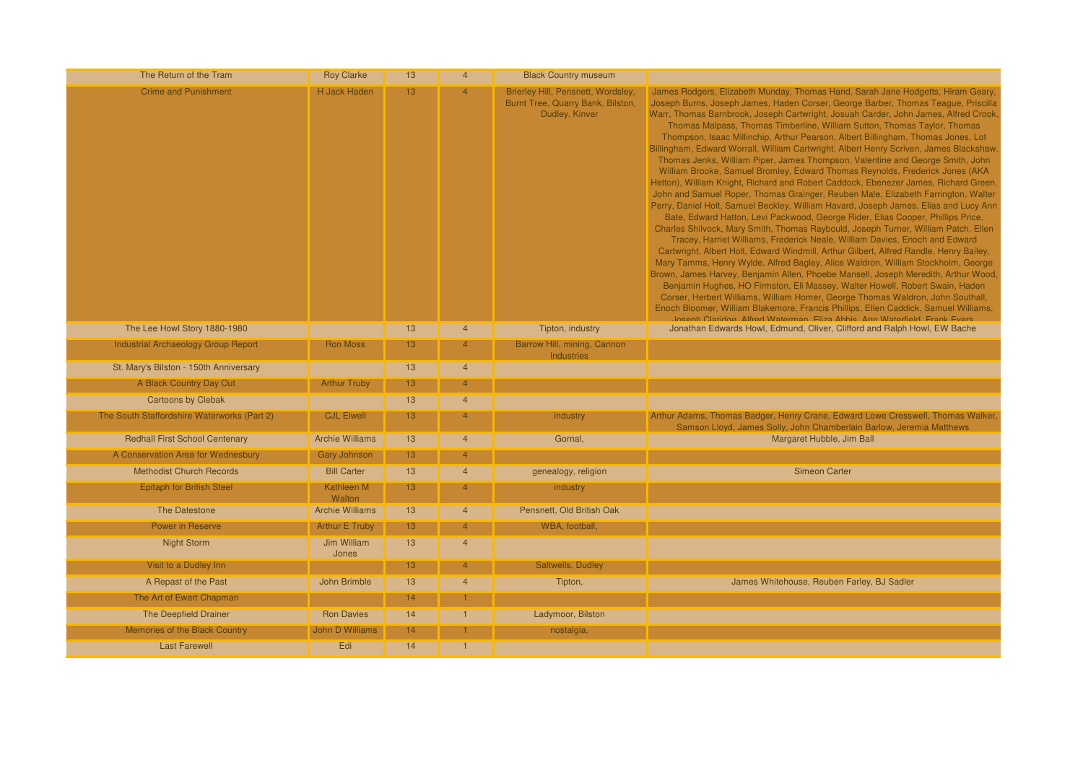| The Return of the Tram                      | <b>Roy Clarke</b>      | 13              |                | <b>Black Country museum</b>                                                               |                                                                                                                                                                                                                                                                                                                                                                                                                                                                                                                                                                                                                                                                                                                                                                                                                                                                                                                                                                                                                                                                                                                                                                                                                                                                                                                                                                                                                                                                                                                                                                                                                                                                                                                                                                                                                               |
|---------------------------------------------|------------------------|-----------------|----------------|-------------------------------------------------------------------------------------------|-------------------------------------------------------------------------------------------------------------------------------------------------------------------------------------------------------------------------------------------------------------------------------------------------------------------------------------------------------------------------------------------------------------------------------------------------------------------------------------------------------------------------------------------------------------------------------------------------------------------------------------------------------------------------------------------------------------------------------------------------------------------------------------------------------------------------------------------------------------------------------------------------------------------------------------------------------------------------------------------------------------------------------------------------------------------------------------------------------------------------------------------------------------------------------------------------------------------------------------------------------------------------------------------------------------------------------------------------------------------------------------------------------------------------------------------------------------------------------------------------------------------------------------------------------------------------------------------------------------------------------------------------------------------------------------------------------------------------------------------------------------------------------------------------------------------------------|
| <b>Crime and Punishment</b>                 | <b>H Jack Haden</b>    | 13 <sup>°</sup> |                | Brierley Hill, Pensnett, Wordsley,<br>Burnt Tree, Quarry Bank, Bilston,<br>Dudley, Kinver | James Rodgers, Elizabeth Munday, Thomas Hand, Sarah Jane Hodgetts, Hiram Geary,<br>Joseph Burns, Joseph James, Haden Corser, George Barber, Thomas Teague, Priscilla<br>Warr, Thomas Barnbrook, Joseph Cartwright, Josuah Carder, John James, Alfred Crook,<br>Thomas Malpass, Thomas Timberline, William Sutton, Thomas Taylor, Thomas<br>Thompson, Isaac Millinchip, Arthur Pearson, Albert Billingham, Thomas Jones, Lot<br>Billingham, Edward Worrall, William Cartwright, Albert Henry Scriven, James Blackshaw,<br>Thomas Jenks, William Piper, James Thompson, Valentine and George Smith, John<br>William Brooke, Samuel Bromley, Edward Thomas Reynolds, Frederick Jones (AKA<br>Hetton), William Knight, Richard and Robert Caddock, Ebenezer James, Richard Green,<br>John and Samuel Roper, Thomas Grainger, Reuben Male, Elizabeth Farrington, Walter<br>Perry, Daniel Holt, Samuel Beckley, William Havard, Joseph James, Elias and Lucy Ann<br>Bate, Edward Hatton, Levi Packwood, George Rider, Elias Cooper, Phillips Price,<br>Charles Shilvock, Mary Smith, Thomas Raybould, Joseph Turner, William Patch, Ellen<br>Tracey, Harriet Williams, Frederick Neale, William Davies, Enoch and Edward<br>Cartwright, Albert Holt, Edward Windmill, Arthur Gilbert, Alfred Randle, Henry Bailey,<br>Mary Tamms, Henry Wylde, Alfred Bagley, Alice Waldron, William Stockholm, George<br>Brown, James Harvey, Benjamin Allen, Phoebe Mansell, Joseph Meredith, Arthur Wood,<br>Benjamin Hughes, HO Firmston, Eli Massey, Walter Howell, Robert Swain, Haden<br>Corser, Herbert Williams, William Homer, George Thomas Waldron, John Southall,<br>Enoch Bloomer, William Blakemore, Francis Phillips, Ellen Caddick, Samuel Williams,<br>Joseph Claridge, Alfred Waterman, Fliza Abbis, Ann Waterfield, Frank Evers |
| The Lee Howl Story 1880-1980                |                        | 13              | $\overline{4}$ | Tipton, industry                                                                          | Jonathan Edwards Howl, Edmund, Oliver, Clifford and Ralph Howl, EW Bache                                                                                                                                                                                                                                                                                                                                                                                                                                                                                                                                                                                                                                                                                                                                                                                                                                                                                                                                                                                                                                                                                                                                                                                                                                                                                                                                                                                                                                                                                                                                                                                                                                                                                                                                                      |
| <b>Industrial Archaeology Group Report</b>  | <b>Ron Moss</b>        | 13              | $\overline{4}$ | Barrow Hill, mining, Cannon<br><b>Industries</b>                                          |                                                                                                                                                                                                                                                                                                                                                                                                                                                                                                                                                                                                                                                                                                                                                                                                                                                                                                                                                                                                                                                                                                                                                                                                                                                                                                                                                                                                                                                                                                                                                                                                                                                                                                                                                                                                                               |
| St. Mary's Bilston - 150th Anniversary      |                        | 13              | $\overline{4}$ |                                                                                           |                                                                                                                                                                                                                                                                                                                                                                                                                                                                                                                                                                                                                                                                                                                                                                                                                                                                                                                                                                                                                                                                                                                                                                                                                                                                                                                                                                                                                                                                                                                                                                                                                                                                                                                                                                                                                               |
| A Black Country Day Out                     | <b>Arthur Truby</b>    | 13 <sup>°</sup> | $\overline{4}$ |                                                                                           |                                                                                                                                                                                                                                                                                                                                                                                                                                                                                                                                                                                                                                                                                                                                                                                                                                                                                                                                                                                                                                                                                                                                                                                                                                                                                                                                                                                                                                                                                                                                                                                                                                                                                                                                                                                                                               |
| <b>Cartoons by Clebak</b>                   |                        | 13              | $\overline{4}$ |                                                                                           |                                                                                                                                                                                                                                                                                                                                                                                                                                                                                                                                                                                                                                                                                                                                                                                                                                                                                                                                                                                                                                                                                                                                                                                                                                                                                                                                                                                                                                                                                                                                                                                                                                                                                                                                                                                                                               |
| The South Staffordshire Waterworks (Part 2) | <b>CJL Elwell</b>      | 13              |                | industry                                                                                  | Arthur Adams, Thomas Badger, Henry Crane, Edward Lowe Cresswell, Thomas Walker<br>Samson Lloyd, James Solly, John Chamberlain Barlow, Jeremia Matthews                                                                                                                                                                                                                                                                                                                                                                                                                                                                                                                                                                                                                                                                                                                                                                                                                                                                                                                                                                                                                                                                                                                                                                                                                                                                                                                                                                                                                                                                                                                                                                                                                                                                        |
| <b>Redhall First School Centenary</b>       | <b>Archie Williams</b> | 13              | $\overline{4}$ | Gornal,                                                                                   | Margaret Hubble, Jim Ball                                                                                                                                                                                                                                                                                                                                                                                                                                                                                                                                                                                                                                                                                                                                                                                                                                                                                                                                                                                                                                                                                                                                                                                                                                                                                                                                                                                                                                                                                                                                                                                                                                                                                                                                                                                                     |
| A Conservation Area for Wednesbury          | <b>Gary Johnson</b>    | 13              |                |                                                                                           |                                                                                                                                                                                                                                                                                                                                                                                                                                                                                                                                                                                                                                                                                                                                                                                                                                                                                                                                                                                                                                                                                                                                                                                                                                                                                                                                                                                                                                                                                                                                                                                                                                                                                                                                                                                                                               |
| <b>Methodist Church Records</b>             | <b>Bill Carter</b>     | 13              |                | genealogy, religion                                                                       | <b>Simeon Carter</b>                                                                                                                                                                                                                                                                                                                                                                                                                                                                                                                                                                                                                                                                                                                                                                                                                                                                                                                                                                                                                                                                                                                                                                                                                                                                                                                                                                                                                                                                                                                                                                                                                                                                                                                                                                                                          |
| <b>Epitaph for British Steel</b>            | Kathleen M<br>Walton   | 13              |                | industry                                                                                  |                                                                                                                                                                                                                                                                                                                                                                                                                                                                                                                                                                                                                                                                                                                                                                                                                                                                                                                                                                                                                                                                                                                                                                                                                                                                                                                                                                                                                                                                                                                                                                                                                                                                                                                                                                                                                               |
| The Datestone                               | <b>Archie Williams</b> | 13              |                | Pensnett, Old British Oak                                                                 |                                                                                                                                                                                                                                                                                                                                                                                                                                                                                                                                                                                                                                                                                                                                                                                                                                                                                                                                                                                                                                                                                                                                                                                                                                                                                                                                                                                                                                                                                                                                                                                                                                                                                                                                                                                                                               |
| <b>Power in Reserve</b>                     | <b>Arthur E Truby</b>  | 13 <sup>°</sup> |                | WBA, football,                                                                            |                                                                                                                                                                                                                                                                                                                                                                                                                                                                                                                                                                                                                                                                                                                                                                                                                                                                                                                                                                                                                                                                                                                                                                                                                                                                                                                                                                                                                                                                                                                                                                                                                                                                                                                                                                                                                               |
| Night Storm                                 | Jim William<br>Jones   | 13              | $\Delta$       |                                                                                           |                                                                                                                                                                                                                                                                                                                                                                                                                                                                                                                                                                                                                                                                                                                                                                                                                                                                                                                                                                                                                                                                                                                                                                                                                                                                                                                                                                                                                                                                                                                                                                                                                                                                                                                                                                                                                               |
| Visit to a Dudley Inn                       |                        | 13 <sup>°</sup> |                | <b>Saltwells, Dudley</b>                                                                  |                                                                                                                                                                                                                                                                                                                                                                                                                                                                                                                                                                                                                                                                                                                                                                                                                                                                                                                                                                                                                                                                                                                                                                                                                                                                                                                                                                                                                                                                                                                                                                                                                                                                                                                                                                                                                               |
| A Repast of the Past                        | John Brimble           | 13              |                | Tipton,                                                                                   | James Whitehouse, Reuben Farley, BJ Sadler                                                                                                                                                                                                                                                                                                                                                                                                                                                                                                                                                                                                                                                                                                                                                                                                                                                                                                                                                                                                                                                                                                                                                                                                                                                                                                                                                                                                                                                                                                                                                                                                                                                                                                                                                                                    |
| The Art of Ewart Chapman                    |                        | 14              |                |                                                                                           |                                                                                                                                                                                                                                                                                                                                                                                                                                                                                                                                                                                                                                                                                                                                                                                                                                                                                                                                                                                                                                                                                                                                                                                                                                                                                                                                                                                                                                                                                                                                                                                                                                                                                                                                                                                                                               |
| The Deepfield Drainer                       | <b>Ron Davies</b>      | 14              |                | Ladymoor, Bilston                                                                         |                                                                                                                                                                                                                                                                                                                                                                                                                                                                                                                                                                                                                                                                                                                                                                                                                                                                                                                                                                                                                                                                                                                                                                                                                                                                                                                                                                                                                                                                                                                                                                                                                                                                                                                                                                                                                               |
| Memories of the Black Country               | <b>John D Williams</b> | 14              |                | nostalgia,                                                                                |                                                                                                                                                                                                                                                                                                                                                                                                                                                                                                                                                                                                                                                                                                                                                                                                                                                                                                                                                                                                                                                                                                                                                                                                                                                                                                                                                                                                                                                                                                                                                                                                                                                                                                                                                                                                                               |
| <b>Last Farewell</b>                        | Edi                    | 14              |                |                                                                                           |                                                                                                                                                                                                                                                                                                                                                                                                                                                                                                                                                                                                                                                                                                                                                                                                                                                                                                                                                                                                                                                                                                                                                                                                                                                                                                                                                                                                                                                                                                                                                                                                                                                                                                                                                                                                                               |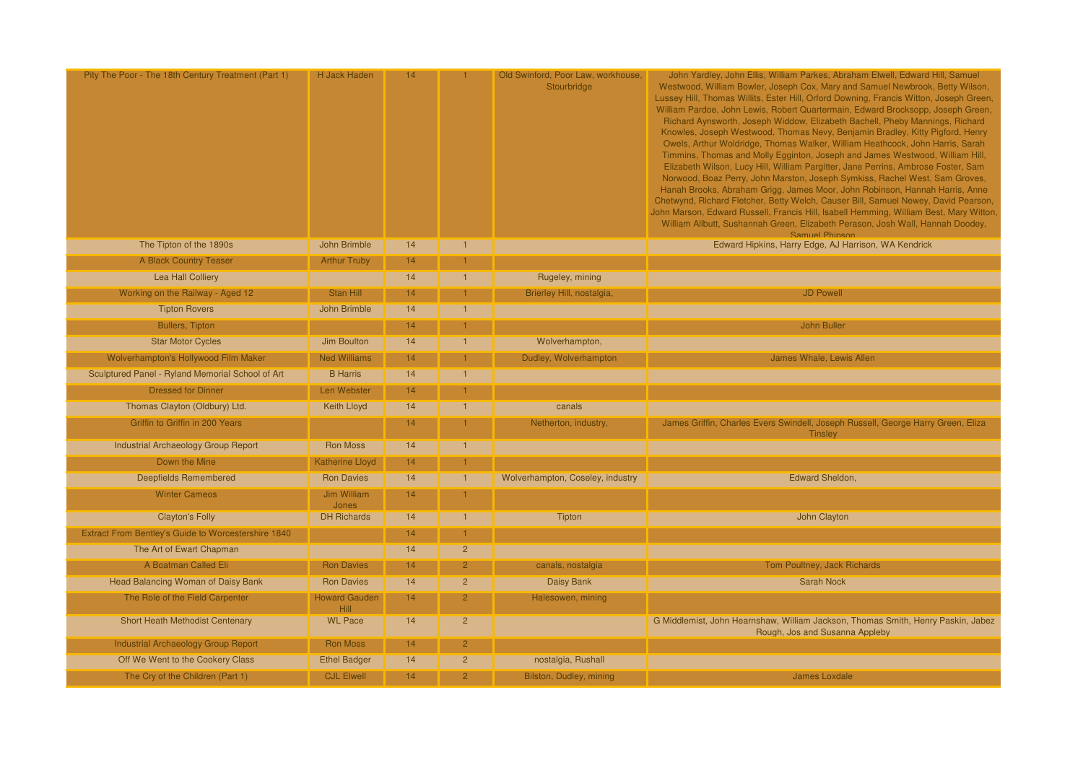| Pity The Poor - The 18th Century Treatment (Part 1) | H Jack Haden                        | 14 |                | Old Swinford, Poor Law, workhouse,<br>Stourbridge | John Yardley, John Ellis, William Parkes, Abraham Elwell, Edward Hill, Samuel<br>Westwood, William Bowler, Joseph Cox, Mary and Samuel Newbrook, Betty Wilson,<br>Lussey Hill, Thomas Willits, Ester Hill, Orford Downing, Francis Witton, Joseph Green.<br>William Pardoe, John Lewis, Robert Quartermain, Edward Brocksopp, Joseph Green,<br>Richard Aynsworth, Joseph Widdow, Elizabeth Bachell, Pheby Mannings, Richard<br>Knowles, Joseph Westwood, Thomas Nevy, Benjamin Bradley, Kitty Pigford, Henry<br>Owels, Arthur Woldridge, Thomas Walker, William Heathcock, John Harris, Sarah<br>Timmins, Thomas and Molly Egginton, Joseph and James Westwood, William Hill,<br>Elizabeth Wilson, Lucy Hill, William Pargitter, Jane Perrins, Ambrose Foster, Sam<br>Norwood, Boaz Perry, John Marston, Joseph Symkiss, Rachel West, Sam Groves,<br>Hanah Brooks, Abraham Grigg, James Moor, John Robinson, Hannah Harris, Anne<br>Chetwynd, Richard Fletcher, Betty Welch, Causer Bill, Samuel Newey, David Pearson,<br>John Marson, Edward Russell, Francis Hill, Isabell Hemming, William Best, Mary Witton,<br>William Allbutt, Sushannah Green, Elizabeth Perason, Josh Wall, Hannah Doodey,<br>Samuel Phinson |
|-----------------------------------------------------|-------------------------------------|----|----------------|---------------------------------------------------|----------------------------------------------------------------------------------------------------------------------------------------------------------------------------------------------------------------------------------------------------------------------------------------------------------------------------------------------------------------------------------------------------------------------------------------------------------------------------------------------------------------------------------------------------------------------------------------------------------------------------------------------------------------------------------------------------------------------------------------------------------------------------------------------------------------------------------------------------------------------------------------------------------------------------------------------------------------------------------------------------------------------------------------------------------------------------------------------------------------------------------------------------------------------------------------------------------------------|
| The Tipton of the 1890s                             | John Brimble                        | 14 | $\overline{1}$ |                                                   | Edward Hipkins, Harry Edge, AJ Harrison, WA Kendrick                                                                                                                                                                                                                                                                                                                                                                                                                                                                                                                                                                                                                                                                                                                                                                                                                                                                                                                                                                                                                                                                                                                                                                 |
| A Black Country Teaser                              | <b>Arthur Truby</b>                 | 14 |                |                                                   |                                                                                                                                                                                                                                                                                                                                                                                                                                                                                                                                                                                                                                                                                                                                                                                                                                                                                                                                                                                                                                                                                                                                                                                                                      |
| Lea Hall Colliery                                   |                                     | 14 | $\overline{1}$ | Rugeley, mining                                   |                                                                                                                                                                                                                                                                                                                                                                                                                                                                                                                                                                                                                                                                                                                                                                                                                                                                                                                                                                                                                                                                                                                                                                                                                      |
| Working on the Railway - Aged 12                    | Stan Hill                           | 14 |                | Brierley Hill, nostalgia,                         | <b>JD Powell</b>                                                                                                                                                                                                                                                                                                                                                                                                                                                                                                                                                                                                                                                                                                                                                                                                                                                                                                                                                                                                                                                                                                                                                                                                     |
| <b>Tipton Rovers</b>                                | John Brimble                        | 14 | $\overline{1}$ |                                                   |                                                                                                                                                                                                                                                                                                                                                                                                                                                                                                                                                                                                                                                                                                                                                                                                                                                                                                                                                                                                                                                                                                                                                                                                                      |
| <b>Bullers, Tipton</b>                              |                                     | 14 |                |                                                   | John Buller                                                                                                                                                                                                                                                                                                                                                                                                                                                                                                                                                                                                                                                                                                                                                                                                                                                                                                                                                                                                                                                                                                                                                                                                          |
| <b>Star Motor Cycles</b>                            | <b>Jim Boulton</b>                  | 14 | $\overline{1}$ | Wolverhampton,                                    |                                                                                                                                                                                                                                                                                                                                                                                                                                                                                                                                                                                                                                                                                                                                                                                                                                                                                                                                                                                                                                                                                                                                                                                                                      |
| Wolverhampton's Hollywood Film Maker                | <b>Ned Williams</b>                 | 14 |                | Dudley, Wolverhampton                             | <b>James Whale, Lewis Allen</b>                                                                                                                                                                                                                                                                                                                                                                                                                                                                                                                                                                                                                                                                                                                                                                                                                                                                                                                                                                                                                                                                                                                                                                                      |
| Sculptured Panel - Ryland Memorial School of Art    | <b>B</b> Harris                     | 14 | $\overline{1}$ |                                                   |                                                                                                                                                                                                                                                                                                                                                                                                                                                                                                                                                                                                                                                                                                                                                                                                                                                                                                                                                                                                                                                                                                                                                                                                                      |
| <b>Dressed for Dinner</b>                           | Len Webster                         | 14 |                |                                                   |                                                                                                                                                                                                                                                                                                                                                                                                                                                                                                                                                                                                                                                                                                                                                                                                                                                                                                                                                                                                                                                                                                                                                                                                                      |
| Thomas Clayton (Oldbury) Ltd.                       | Keith Lloyd                         | 14 |                | canals                                            |                                                                                                                                                                                                                                                                                                                                                                                                                                                                                                                                                                                                                                                                                                                                                                                                                                                                                                                                                                                                                                                                                                                                                                                                                      |
| Griffin to Griffin in 200 Years                     |                                     | 14 |                | Netherton, industry,                              | James Griffin, Charles Evers Swindell, Joseph Russell, George Harry Green, Eliza<br><b>Tinsley</b>                                                                                                                                                                                                                                                                                                                                                                                                                                                                                                                                                                                                                                                                                                                                                                                                                                                                                                                                                                                                                                                                                                                   |
| <b>Industrial Archaeology Group Report</b>          | <b>Ron Moss</b>                     | 14 | $\overline{1}$ |                                                   |                                                                                                                                                                                                                                                                                                                                                                                                                                                                                                                                                                                                                                                                                                                                                                                                                                                                                                                                                                                                                                                                                                                                                                                                                      |
| Down the Mine                                       | <b>Katherine Lloyd</b>              | 14 |                |                                                   |                                                                                                                                                                                                                                                                                                                                                                                                                                                                                                                                                                                                                                                                                                                                                                                                                                                                                                                                                                                                                                                                                                                                                                                                                      |
| <b>Deepfields Remembered</b>                        | <b>Ron Davies</b>                   | 14 | $\overline{1}$ | Wolverhampton, Coseley, industry                  | <b>Edward Sheldon,</b>                                                                                                                                                                                                                                                                                                                                                                                                                                                                                                                                                                                                                                                                                                                                                                                                                                                                                                                                                                                                                                                                                                                                                                                               |
| <b>Winter Cameos</b>                                | Jim William<br>Jones                | 14 |                |                                                   |                                                                                                                                                                                                                                                                                                                                                                                                                                                                                                                                                                                                                                                                                                                                                                                                                                                                                                                                                                                                                                                                                                                                                                                                                      |
| <b>Clayton's Folly</b>                              | <b>DH Richards</b>                  | 14 |                | <b>Tipton</b>                                     | John Clayton                                                                                                                                                                                                                                                                                                                                                                                                                                                                                                                                                                                                                                                                                                                                                                                                                                                                                                                                                                                                                                                                                                                                                                                                         |
| Extract From Bentley's Guide to Worcestershire 1840 |                                     | 14 |                |                                                   |                                                                                                                                                                                                                                                                                                                                                                                                                                                                                                                                                                                                                                                                                                                                                                                                                                                                                                                                                                                                                                                                                                                                                                                                                      |
| The Art of Ewart Chapman                            |                                     | 14 | $\overline{2}$ |                                                   |                                                                                                                                                                                                                                                                                                                                                                                                                                                                                                                                                                                                                                                                                                                                                                                                                                                                                                                                                                                                                                                                                                                                                                                                                      |
| A Boatman Called Eli                                | <b>Ron Davies</b>                   | 14 | $\overline{2}$ | canals, nostalgia                                 | Tom Poultney, Jack Richards                                                                                                                                                                                                                                                                                                                                                                                                                                                                                                                                                                                                                                                                                                                                                                                                                                                                                                                                                                                                                                                                                                                                                                                          |
| Head Balancing Woman of Daisy Bank                  | <b>Ron Davies</b>                   | 14 | $\overline{2}$ | Daisy Bank                                        | <b>Sarah Nock</b>                                                                                                                                                                                                                                                                                                                                                                                                                                                                                                                                                                                                                                                                                                                                                                                                                                                                                                                                                                                                                                                                                                                                                                                                    |
| The Role of the Field Carpenter                     | <b>Howard Gauden</b><br><b>Hill</b> | 14 | $\overline{2}$ | Halesowen, mining                                 |                                                                                                                                                                                                                                                                                                                                                                                                                                                                                                                                                                                                                                                                                                                                                                                                                                                                                                                                                                                                                                                                                                                                                                                                                      |
| <b>Short Heath Methodist Centenary</b>              | <b>WL Pace</b>                      | 14 | $\overline{2}$ |                                                   | G Middlemist, John Hearnshaw, William Jackson, Thomas Smith, Henry Paskin, Jabez<br>Rough, Jos and Susanna Appleby                                                                                                                                                                                                                                                                                                                                                                                                                                                                                                                                                                                                                                                                                                                                                                                                                                                                                                                                                                                                                                                                                                   |
| <b>Industrial Archaeology Group Report</b>          | <b>Ron Moss</b>                     | 14 | $\overline{2}$ |                                                   |                                                                                                                                                                                                                                                                                                                                                                                                                                                                                                                                                                                                                                                                                                                                                                                                                                                                                                                                                                                                                                                                                                                                                                                                                      |
| Off We Went to the Cookery Class                    | <b>Ethel Badger</b>                 | 14 | $\overline{2}$ | nostalgia, Rushall                                |                                                                                                                                                                                                                                                                                                                                                                                                                                                                                                                                                                                                                                                                                                                                                                                                                                                                                                                                                                                                                                                                                                                                                                                                                      |
| The Cry of the Children (Part 1)                    | <b>CJL Elwell</b>                   | 14 | $\overline{2}$ | Bilston, Dudley, mining                           | James Loxdale                                                                                                                                                                                                                                                                                                                                                                                                                                                                                                                                                                                                                                                                                                                                                                                                                                                                                                                                                                                                                                                                                                                                                                                                        |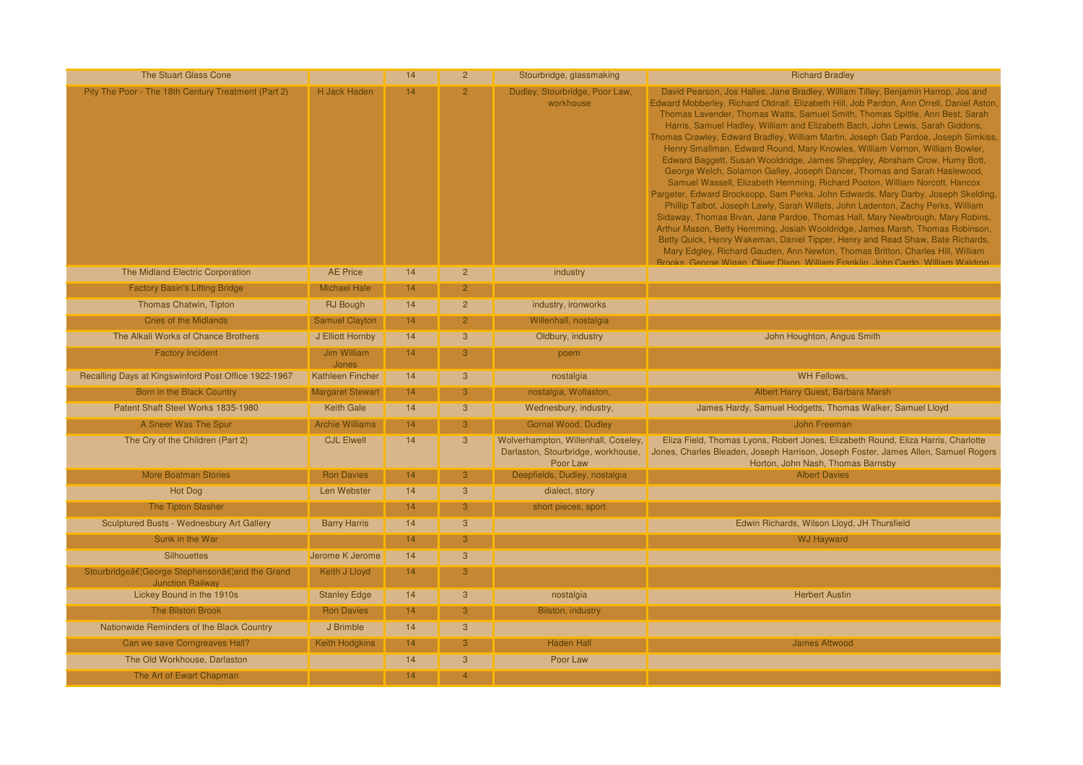| <b>The Stuart Glass Cone</b>                                           |                         | 14 | 2 <sup>2</sup> | Stourbridge, glassmaking                                                              | <b>Richard Bradley</b>                                                                                                                                                                                                                                                                                                                                                                                                                                                                                                                                                                                                                                                                                                                                                                                                                                                                                                                                                                                                                                                                                                                                                                                                                                                                                                                                          |
|------------------------------------------------------------------------|-------------------------|----|----------------|---------------------------------------------------------------------------------------|-----------------------------------------------------------------------------------------------------------------------------------------------------------------------------------------------------------------------------------------------------------------------------------------------------------------------------------------------------------------------------------------------------------------------------------------------------------------------------------------------------------------------------------------------------------------------------------------------------------------------------------------------------------------------------------------------------------------------------------------------------------------------------------------------------------------------------------------------------------------------------------------------------------------------------------------------------------------------------------------------------------------------------------------------------------------------------------------------------------------------------------------------------------------------------------------------------------------------------------------------------------------------------------------------------------------------------------------------------------------|
| Pity The Poor - The 18th Century Treatment (Part 2)                    | H Jack Haden            | 14 |                | Dudley, Stourbridge, Poor Law,<br>workhouse                                           | David Pearson, Jos Halles, Jane Bradley, William Tilley, Benjamin Harrop, Jos and<br>Edward Mobberley, Richard Oldnall, Elizabeth Hill, Job Pardon, Ann Orrell, Daniel Aston,<br>Thomas Lavender, Thomas Watts, Samuel Smith, Thomas Spittle, Ann Best, Sarah<br>Harris, Samuel Hadley, William and Elizabeth Bach, John Lewis, Sarah Giddons,<br>Thomas Crawley, Edward Bradley, William Martin, Joseph Gab Pardoe, Joseph Simkiss,<br>Henry Smallman, Edward Round, Mary Knowles, William Vernon, William Bowler,<br>Edward Baggett, Susan Wooldridge, James Sheppley, Abraham Crow, Humy Bott,<br>George Welch, Solamon Galley, Joseph Dancer, Thomas and Sarah Haslewood,<br>Samuel Wassell, Elizabeth Hemming, Richard Pooton, William Norcott, Hancox<br>Pargeter, Edward Brocksopp, Sam Perks, John Edwards, Mary Darby, Joseph Skelding,<br>Phillip Talbot, Joseph Lawly, Sarah Willets, John Ladenton, Zachy Perks, William<br>Sidaway, Thomas Bivan, Jane Pardoe, Thomas Hall, Mary Newbrough, Mary Robins,<br>Arthur Mason, Betty Hemming, Josiah Wooldridge, James Marsh, Thomas Robinson,<br>Betty Quick, Henry Wakeman, Daniel Tipper, Henry and Read Shaw, Bate Richards,<br>Mary Edgley, Richard Gauden, Ann Newton, Thomas Britton, Charles Hill, William<br>Brooks, George Wigan, Oliver Dixon, William Franklin, John Cardo, William Waldron |
| The Midland Electric Corporation                                       | <b>AE Price</b>         | 14 | $\overline{2}$ | industry                                                                              |                                                                                                                                                                                                                                                                                                                                                                                                                                                                                                                                                                                                                                                                                                                                                                                                                                                                                                                                                                                                                                                                                                                                                                                                                                                                                                                                                                 |
| <b>Factory Basin's Lifting Bridge</b>                                  | <b>Michael Hale</b>     | 14 | $\overline{2}$ |                                                                                       |                                                                                                                                                                                                                                                                                                                                                                                                                                                                                                                                                                                                                                                                                                                                                                                                                                                                                                                                                                                                                                                                                                                                                                                                                                                                                                                                                                 |
| Thomas Chatwin, Tipton                                                 | <b>RJ Bough</b>         | 14 | $\overline{2}$ | industry, ironworks                                                                   |                                                                                                                                                                                                                                                                                                                                                                                                                                                                                                                                                                                                                                                                                                                                                                                                                                                                                                                                                                                                                                                                                                                                                                                                                                                                                                                                                                 |
| <b>Cries of the Midlands</b>                                           | <b>Samuel Clayton</b>   | 14 | $\overline{2}$ | Willenhall, nostalgia                                                                 |                                                                                                                                                                                                                                                                                                                                                                                                                                                                                                                                                                                                                                                                                                                                                                                                                                                                                                                                                                                                                                                                                                                                                                                                                                                                                                                                                                 |
| The Alkali Works of Chance Brothers                                    | J Elliott Hornby        | 14 | $\mathbf{3}$   | Oldbury, industry                                                                     | John Houghton, Angus Smith                                                                                                                                                                                                                                                                                                                                                                                                                                                                                                                                                                                                                                                                                                                                                                                                                                                                                                                                                                                                                                                                                                                                                                                                                                                                                                                                      |
| <b>Factory Incident</b>                                                | Jim William<br>Jones    | 14 | 3              | poem                                                                                  |                                                                                                                                                                                                                                                                                                                                                                                                                                                                                                                                                                                                                                                                                                                                                                                                                                                                                                                                                                                                                                                                                                                                                                                                                                                                                                                                                                 |
| Recalling Days at Kingswinford Post Office 1922-1967                   | <b>Kathleen Fincher</b> | 14 | 3              | nostalgia                                                                             | <b>WH Fellows,</b>                                                                                                                                                                                                                                                                                                                                                                                                                                                                                                                                                                                                                                                                                                                                                                                                                                                                                                                                                                                                                                                                                                                                                                                                                                                                                                                                              |
| Born in the Black Country                                              | <b>Margaret Stewart</b> | 14 | 3              | nostalgia, Wollaston,                                                                 | Albert Harry Guest, Barbara Marsh                                                                                                                                                                                                                                                                                                                                                                                                                                                                                                                                                                                                                                                                                                                                                                                                                                                                                                                                                                                                                                                                                                                                                                                                                                                                                                                               |
| Patent Shaft Steel Works 1835-1980                                     | <b>Keith Gale</b>       | 14 | 3              | Wednesbury, industry,                                                                 | James Hardy, Samuel Hodgetts, Thomas Walker, Samuel Lloyd                                                                                                                                                                                                                                                                                                                                                                                                                                                                                                                                                                                                                                                                                                                                                                                                                                                                                                                                                                                                                                                                                                                                                                                                                                                                                                       |
| A Sneer Was The Spur                                                   | <b>Archie Williams</b>  | 14 | $\mathbf{3}$   | Gornal Wood, Dudley                                                                   | <b>John Freeman</b>                                                                                                                                                                                                                                                                                                                                                                                                                                                                                                                                                                                                                                                                                                                                                                                                                                                                                                                                                                                                                                                                                                                                                                                                                                                                                                                                             |
| The Cry of the Children (Part 2)                                       | <b>CJL Elwell</b>       | 14 | $\mathbf{3}$   | Wolverhampton, Willenhall, Coseley,<br>Darlaston, Stourbridge, workhouse,<br>Poor Law | Eliza Field, Thomas Lyons, Robert Jones, Elizabeth Round, Eliza Harris, Charlotte<br>Jones, Charles Bleaden, Joseph Harrison, Joseph Foster, James Allen, Samuel Rogers<br>Horton, John Nash, Thomas Barnsby                                                                                                                                                                                                                                                                                                                                                                                                                                                                                                                                                                                                                                                                                                                                                                                                                                                                                                                                                                                                                                                                                                                                                    |
| <b>More Boatman Stories</b>                                            | <b>Ron Davies</b>       | 14 | 3              | Deepfields, Dudley, nostalgia                                                         | <b>Albert Davies</b>                                                                                                                                                                                                                                                                                                                                                                                                                                                                                                                                                                                                                                                                                                                                                                                                                                                                                                                                                                                                                                                                                                                                                                                                                                                                                                                                            |
| <b>Hot Dog</b>                                                         | Len Webster             | 14 | 3              | dialect, story                                                                        |                                                                                                                                                                                                                                                                                                                                                                                                                                                                                                                                                                                                                                                                                                                                                                                                                                                                                                                                                                                                                                                                                                                                                                                                                                                                                                                                                                 |
| The Tipton Slasher                                                     |                         | 14 | 3              | short pieces, sport                                                                   |                                                                                                                                                                                                                                                                                                                                                                                                                                                                                                                                                                                                                                                                                                                                                                                                                                                                                                                                                                                                                                                                                                                                                                                                                                                                                                                                                                 |
| Sculptured Busts - Wednesbury Art Gallery                              | <b>Barry Harris</b>     | 14 | 3              |                                                                                       | Edwin Richards, Wilson Lloyd, JH Thursfield                                                                                                                                                                                                                                                                                                                                                                                                                                                                                                                                                                                                                                                                                                                                                                                                                                                                                                                                                                                                                                                                                                                                                                                                                                                                                                                     |
| Sunk in the War                                                        |                         | 14 | 3 <sup>°</sup> |                                                                                       | <b>WJ Hayward</b>                                                                                                                                                                                                                                                                                                                                                                                                                                                                                                                                                                                                                                                                                                                                                                                                                                                                                                                                                                                                                                                                                                                                                                                                                                                                                                                                               |
| <b>Silhouettes</b>                                                     | Jerome K Jerome         | 14 | 3              |                                                                                       |                                                                                                                                                                                                                                                                                                                                                                                                                                                                                                                                                                                                                                                                                                                                                                                                                                                                                                                                                                                                                                                                                                                                                                                                                                                                                                                                                                 |
| Stourbridge…George Stephenson…and the Grand<br><b>Junction Railway</b> | Keith J Lloyd           | 14 | 3              |                                                                                       |                                                                                                                                                                                                                                                                                                                                                                                                                                                                                                                                                                                                                                                                                                                                                                                                                                                                                                                                                                                                                                                                                                                                                                                                                                                                                                                                                                 |
| Lickey Bound in the 1910s                                              | <b>Stanley Edge</b>     | 14 | 3              | nostalgia                                                                             | <b>Herbert Austin</b>                                                                                                                                                                                                                                                                                                                                                                                                                                                                                                                                                                                                                                                                                                                                                                                                                                                                                                                                                                                                                                                                                                                                                                                                                                                                                                                                           |
| <b>The Bilston Brook</b>                                               | <b>Ron Davies</b>       | 14 | 3              | Bilston, industry                                                                     |                                                                                                                                                                                                                                                                                                                                                                                                                                                                                                                                                                                                                                                                                                                                                                                                                                                                                                                                                                                                                                                                                                                                                                                                                                                                                                                                                                 |
| Nationwide Reminders of the Black Country                              | J Brimble               | 14 | 3              |                                                                                       |                                                                                                                                                                                                                                                                                                                                                                                                                                                                                                                                                                                                                                                                                                                                                                                                                                                                                                                                                                                                                                                                                                                                                                                                                                                                                                                                                                 |
| Can we save Corngreaves Hall?                                          | Keith Hodgkins          | 14 | 3              | <b>Haden Hall</b>                                                                     | <b>James Attwood</b>                                                                                                                                                                                                                                                                                                                                                                                                                                                                                                                                                                                                                                                                                                                                                                                                                                                                                                                                                                                                                                                                                                                                                                                                                                                                                                                                            |
| The Old Workhouse, Darlaston                                           |                         | 14 | 3              | Poor Law                                                                              |                                                                                                                                                                                                                                                                                                                                                                                                                                                                                                                                                                                                                                                                                                                                                                                                                                                                                                                                                                                                                                                                                                                                                                                                                                                                                                                                                                 |
| The Art of Ewart Chapman                                               |                         | 14 | $\Delta$       |                                                                                       |                                                                                                                                                                                                                                                                                                                                                                                                                                                                                                                                                                                                                                                                                                                                                                                                                                                                                                                                                                                                                                                                                                                                                                                                                                                                                                                                                                 |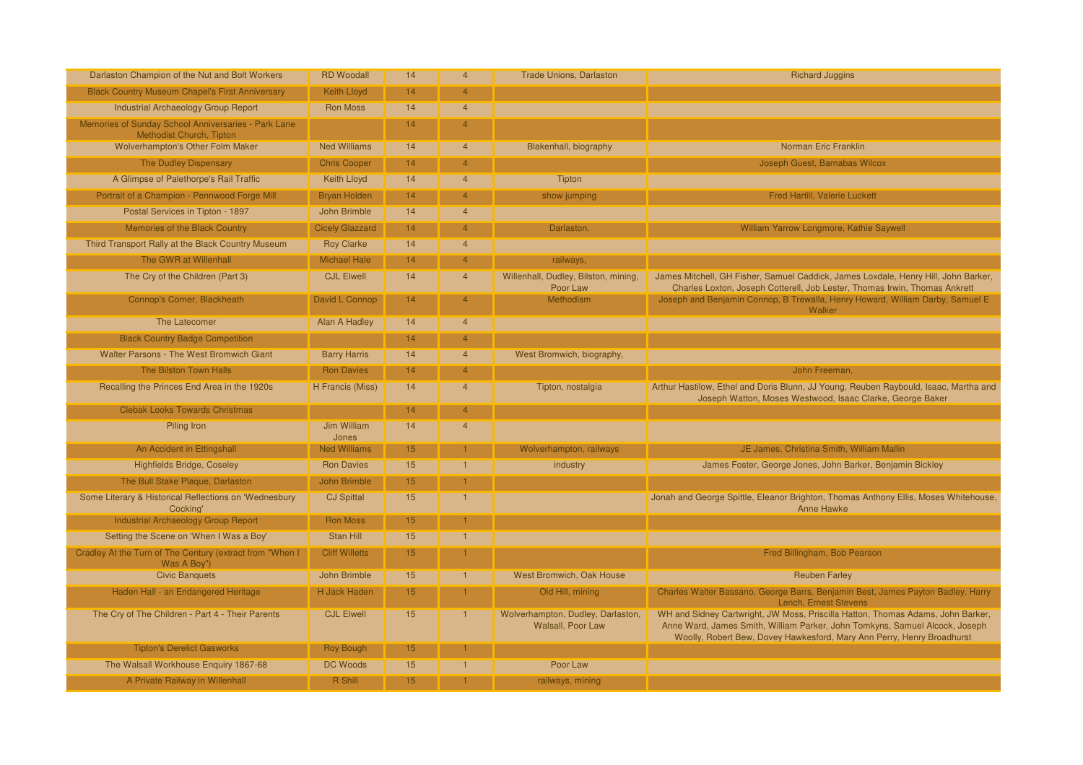| Darlaston Champion of the Nut and Bolt Workers                                  | <b>RD Woodall</b>      | 14 | $\overline{\mathbf{4}}$ | <b>Trade Unions, Darlaston</b>                                | <b>Richard Juggins</b>                                                                                                                                                                                                                   |
|---------------------------------------------------------------------------------|------------------------|----|-------------------------|---------------------------------------------------------------|------------------------------------------------------------------------------------------------------------------------------------------------------------------------------------------------------------------------------------------|
| <b>Black Country Museum Chapel's First Anniversary</b>                          | <b>Keith Lloyd</b>     | 14 |                         |                                                               |                                                                                                                                                                                                                                          |
| Industrial Archaeology Group Report                                             | <b>Ron Moss</b>        | 14 | $\overline{4}$          |                                                               |                                                                                                                                                                                                                                          |
| Memories of Sunday School Anniversaries - Park Lane<br>Methodist Church, Tipton |                        | 14 |                         |                                                               |                                                                                                                                                                                                                                          |
| <b>Wolverhampton's Other Folm Maker</b>                                         | <b>Ned Williams</b>    | 14 | $\overline{4}$          | Blakenhall, biography                                         | Norman Eric Franklin                                                                                                                                                                                                                     |
| <b>The Dudley Dispensary</b>                                                    | <b>Chris Cooper</b>    | 14 |                         |                                                               | Joseph Guest, Barnabas Wilcox                                                                                                                                                                                                            |
| A Glimpse of Palethorpe's Rail Traffic                                          | Keith Lloyd            | 14 | $\overline{4}$          | Tipton                                                        |                                                                                                                                                                                                                                          |
| Portrait of a Champion - Pennwood Forge Mill                                    | <b>Bryan Holden</b>    | 14 |                         | show jumping                                                  | <b>Fred Hartill, Valerie Luckett</b>                                                                                                                                                                                                     |
| Postal Services in Tipton - 1897                                                | John Brimble           | 14 | $\overline{4}$          |                                                               |                                                                                                                                                                                                                                          |
| Memories of the Black Country                                                   | <b>Cicely Glazzard</b> | 14 | $\overline{A}$          | Darlaston,                                                    | William Yarrow Longmore, Kathie Saywell                                                                                                                                                                                                  |
| Third Transport Rally at the Black Country Museum                               | <b>Roy Clarke</b>      | 14 | $\overline{4}$          |                                                               |                                                                                                                                                                                                                                          |
| The GWR at Willenhall                                                           | <b>Michael Hale</b>    | 14 | $\overline{4}$          | railways,                                                     |                                                                                                                                                                                                                                          |
| The Cry of the Children (Part 3)                                                | <b>CJL Elwell</b>      | 14 | $\overline{4}$          | Willenhall, Dudley, Bilston, mining,<br>Poor Law              | James Mitchell, GH Fisher, Samuel Caddick, James Loxdale, Henry Hill, John Barker,<br>Charles Loxton, Joseph Cotterell, Job Lester, Thomas Irwin, Thomas Ankrett                                                                         |
| Connop's Corner, Blackheath                                                     | David L Connop         | 14 | 4                       | Methodism                                                     | Joseph and Benjamin Connop, B Trewalla, Henry Howard, William Darby, Samuel E<br>Walker                                                                                                                                                  |
| The Latecomer                                                                   | <b>Alan A Hadley</b>   | 14 | $\overline{4}$          |                                                               |                                                                                                                                                                                                                                          |
| <b>Black Country Badge Competition</b>                                          |                        | 14 | $\overline{4}$          |                                                               |                                                                                                                                                                                                                                          |
| Walter Parsons - The West Bromwich Giant                                        | <b>Barry Harris</b>    | 14 | $\overline{4}$          | West Bromwich, biography,                                     |                                                                                                                                                                                                                                          |
| The Bilston Town Halls                                                          | <b>Ron Davies</b>      | 14 | 4                       |                                                               | John Freeman,                                                                                                                                                                                                                            |
| Recalling the Princes End Area in the 1920s                                     | H Francis (Miss)       | 14 | 4                       | Tipton, nostalgia                                             | Arthur Hastilow, Ethel and Doris Blunn, JJ Young, Reuben Raybould, Isaac, Martha and<br>Joseph Watton, Moses Westwood, Isaac Clarke, George Baker                                                                                        |
| <b>Clebak Looks Towards Christmas</b>                                           |                        | 14 |                         |                                                               |                                                                                                                                                                                                                                          |
| Piling Iron                                                                     | Jim William<br>Jones   | 14 | $\overline{4}$          |                                                               |                                                                                                                                                                                                                                          |
| An Accident in Ettingshall                                                      | <b>Ned Williams</b>    | 15 |                         | Wolverhampton, railways                                       | JE James, Christina Smith, William Mallin                                                                                                                                                                                                |
| <b>Highfields Bridge, Coseley</b>                                               | <b>Ron Davies</b>      | 15 | $\overline{1}$          | industry                                                      | James Foster, George Jones, John Barker, Benjamin Bickley                                                                                                                                                                                |
| The Bull Stake Plaque, Darlaston                                                | <b>John Brimble</b>    | 15 |                         |                                                               |                                                                                                                                                                                                                                          |
| Some Literary & Historical Reflections on 'Wednesbury<br>Cocking'               | <b>CJ Spittal</b>      | 15 |                         |                                                               | Jonah and George Spittle, Eleanor Brighton, Thomas Anthony Ellis, Moses Whitehouse,<br><b>Anne Hawke</b>                                                                                                                                 |
| Industrial Archaeology Group Report                                             | <b>Ron Moss</b>        | 15 |                         |                                                               |                                                                                                                                                                                                                                          |
| Setting the Scene on 'When I Was a Boy'                                         | Stan Hill              | 15 |                         |                                                               |                                                                                                                                                                                                                                          |
| Cradley At the Turn of The Century (extract from "When I<br>Was A Boy")         | <b>Cliff Willetts</b>  | 15 |                         |                                                               | Fred Billingham, Bob Pearson                                                                                                                                                                                                             |
| <b>Civic Banquets</b>                                                           | John Brimble           | 15 |                         | West Bromwich, Oak House                                      | <b>Reuben Farley</b>                                                                                                                                                                                                                     |
| Haden Hall - an Endangered Heritage                                             | <b>H Jack Haden</b>    | 15 |                         | Old Hill, mining                                              | Charles Walter Bassano, George Barrs, Benjamin Best, James Payton Badley, Harry<br>Lench, Ernest Stevens                                                                                                                                 |
| The Cry of The Children - Part 4 - Their Parents                                | <b>CJL Elwell</b>      | 15 | $\overline{1}$          | Wolverhampton, Dudley, Darlaston,<br><b>Walsall, Poor Law</b> | WH and Sidney Cartwright, JW Moss, Priscilla Hatton, Thomas Adams, John Barker,<br>Anne Ward, James Smith, William Parker, John Tomkyns, Samuel Alcock, Joseph<br>Woolly, Robert Bew, Dovey Hawkesford, Mary Ann Perry, Henry Broadhurst |
| <b>Tipton's Derelict Gasworks</b>                                               | <b>Roy Bough</b>       | 15 |                         |                                                               |                                                                                                                                                                                                                                          |
| The Walsall Workhouse Enquiry 1867-68                                           | <b>DC Woods</b>        | 15 |                         | Poor Law                                                      |                                                                                                                                                                                                                                          |
| A Private Railway in Willenhall                                                 | R Shill                | 15 |                         | railways, mining                                              |                                                                                                                                                                                                                                          |
|                                                                                 |                        |    |                         |                                                               |                                                                                                                                                                                                                                          |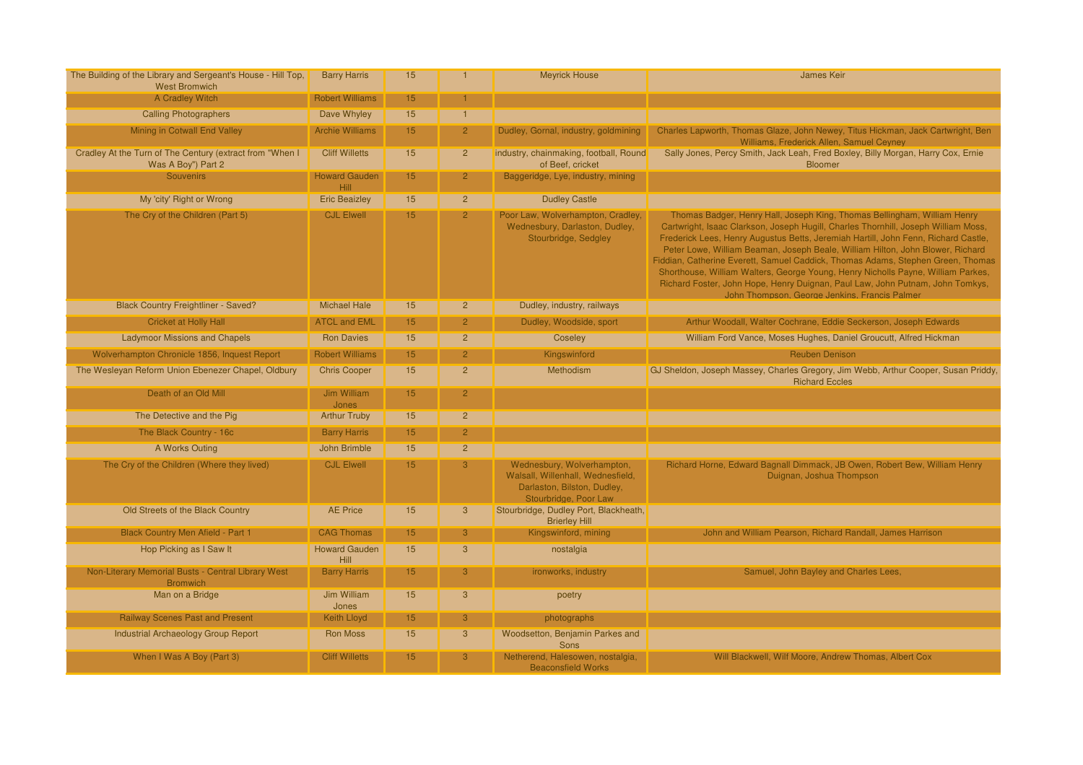| The Building of the Library and Sergeant's House - Hill Top,<br><b>West Bromwich</b> | <b>Barry Harris</b>          | 15               |                | <b>Meyrick House</b>                                                                                                    | <b>James Keir</b>                                                                                                                                                                                                                                                                                                                                                                                                                                                                                                                                                                                                                               |
|--------------------------------------------------------------------------------------|------------------------------|------------------|----------------|-------------------------------------------------------------------------------------------------------------------------|-------------------------------------------------------------------------------------------------------------------------------------------------------------------------------------------------------------------------------------------------------------------------------------------------------------------------------------------------------------------------------------------------------------------------------------------------------------------------------------------------------------------------------------------------------------------------------------------------------------------------------------------------|
| A Cradley Witch                                                                      | <b>Robert Williams</b>       | 15               |                |                                                                                                                         |                                                                                                                                                                                                                                                                                                                                                                                                                                                                                                                                                                                                                                                 |
| <b>Calling Photographers</b>                                                         | Dave Whyley                  | 15               | $\mathbf{1}$   |                                                                                                                         |                                                                                                                                                                                                                                                                                                                                                                                                                                                                                                                                                                                                                                                 |
| Mining in Cotwall End Valley                                                         | <b>Archie Williams</b>       | 15               | 2 <sup>1</sup> | Dudley, Gornal, industry, goldmining                                                                                    | Charles Lapworth, Thomas Glaze, John Newey, Titus Hickman, Jack Cartwright, Ben<br>Williams, Frederick Allen, Samuel Ceyney                                                                                                                                                                                                                                                                                                                                                                                                                                                                                                                     |
| Cradley At the Turn of The Century (extract from "When I<br>Was A Boy") Part 2       | <b>Cliff Willetts</b>        | 15               | $\overline{2}$ | industry, chainmaking, football, Round<br>of Beef, cricket                                                              | Sally Jones, Percy Smith, Jack Leah, Fred Boxley, Billy Morgan, Harry Cox, Ernie<br><b>Bloomer</b>                                                                                                                                                                                                                                                                                                                                                                                                                                                                                                                                              |
| <b>Souvenirs</b>                                                                     | <b>Howard Gauden</b><br>Hill | 15               | $\overline{2}$ | Baggeridge, Lye, industry, mining                                                                                       |                                                                                                                                                                                                                                                                                                                                                                                                                                                                                                                                                                                                                                                 |
| My 'city' Right or Wrong                                                             | <b>Eric Beaizley</b>         | 15               | $\overline{2}$ | <b>Dudley Castle</b>                                                                                                    |                                                                                                                                                                                                                                                                                                                                                                                                                                                                                                                                                                                                                                                 |
| The Cry of the Children (Part 5)                                                     | <b>CJL Elwell</b>            | 15 <sub>15</sub> | 2 <sup>1</sup> | Poor Law, Wolverhampton, Cradley,<br>Wednesbury, Darlaston, Dudley,<br>Stourbridge, Sedgley                             | Thomas Badger, Henry Hall, Joseph King, Thomas Bellingham, William Henry<br>Cartwright, Isaac Clarkson, Joseph Hugill, Charles Thornhill, Joseph William Moss,<br>Frederick Lees, Henry Augustus Betts, Jeremiah Hartill, John Fenn, Richard Castle,<br>Peter Lowe, William Beaman, Joseph Beale, William Hilton, John Blower, Richard<br>Fiddian, Catherine Everett, Samuel Caddick, Thomas Adams, Stephen Green, Thomas<br>Shorthouse, William Walters, George Young, Henry Nicholls Payne, William Parkes,<br>Richard Foster, John Hope, Henry Duignan, Paul Law, John Putnam, John Tomkys,<br>John Thompson, George Jenkins, Francis Palmer |
| <b>Black Country Freightliner - Saved?</b>                                           | <b>Michael Hale</b>          | 15               | $\overline{2}$ | Dudley, industry, railways                                                                                              |                                                                                                                                                                                                                                                                                                                                                                                                                                                                                                                                                                                                                                                 |
| <b>Cricket at Holly Hall</b>                                                         | <b>ATCL and EML</b>          | 15               | $\mathcal{P}$  | Dudley, Woodside, sport                                                                                                 | Arthur Woodall, Walter Cochrane, Eddie Seckerson, Joseph Edwards                                                                                                                                                                                                                                                                                                                                                                                                                                                                                                                                                                                |
| <b>Ladymoor Missions and Chapels</b>                                                 | <b>Ron Davies</b>            | 15               | $\overline{2}$ | Coseley                                                                                                                 | William Ford Vance, Moses Hughes, Daniel Groucutt, Alfred Hickman                                                                                                                                                                                                                                                                                                                                                                                                                                                                                                                                                                               |
| Wolverhampton Chronicle 1856, Inquest Report                                         | <b>Robert Williams</b>       | 15               | $\overline{2}$ | Kingswinford                                                                                                            | <b>Reuben Denison</b>                                                                                                                                                                                                                                                                                                                                                                                                                                                                                                                                                                                                                           |
| The Wesleyan Reform Union Ebenezer Chapel, Oldbury                                   | <b>Chris Cooper</b>          | 15               | $\overline{2}$ | Methodism                                                                                                               | GJ Sheldon, Joseph Massey, Charles Gregory, Jim Webb, Arthur Cooper, Susan Priddy,<br><b>Richard Eccles</b>                                                                                                                                                                                                                                                                                                                                                                                                                                                                                                                                     |
| Death of an Old Mill                                                                 | Jim William<br>Jones         | 15 <sub>1</sub>  | $\overline{2}$ |                                                                                                                         |                                                                                                                                                                                                                                                                                                                                                                                                                                                                                                                                                                                                                                                 |
| The Detective and the Pig                                                            | <b>Arthur Truby</b>          | 15               | $\overline{a}$ |                                                                                                                         |                                                                                                                                                                                                                                                                                                                                                                                                                                                                                                                                                                                                                                                 |
| The Black Country - 16c                                                              | <b>Barry Harris</b>          | 15               | $\overline{2}$ |                                                                                                                         |                                                                                                                                                                                                                                                                                                                                                                                                                                                                                                                                                                                                                                                 |
| A Works Outing                                                                       | John Brimble                 | 15               | $\overline{2}$ |                                                                                                                         |                                                                                                                                                                                                                                                                                                                                                                                                                                                                                                                                                                                                                                                 |
| The Cry of the Children (Where they lived)                                           | <b>CJL Elwell</b>            | 15 <sub>15</sub> | 3              | Wednesbury, Wolverhampton,<br>Walsall, Willenhall, Wednesfield,<br>Darlaston, Bilston, Dudley,<br>Stourbridge, Poor Law | Richard Horne, Edward Bagnall Dimmack, JB Owen, Robert Bew, William Henry<br>Duignan, Joshua Thompson                                                                                                                                                                                                                                                                                                                                                                                                                                                                                                                                           |
| Old Streets of the Black Country                                                     | <b>AE Price</b>              | 15               | 3              | Stourbridge, Dudley Port, Blackheath,<br><b>Brierley Hill</b>                                                           |                                                                                                                                                                                                                                                                                                                                                                                                                                                                                                                                                                                                                                                 |
| <b>Black Country Men Afield - Part 1</b>                                             | <b>CAG Thomas</b>            | 15               | 3              | Kingswinford, mining                                                                                                    | John and William Pearson, Richard Randall, James Harrison                                                                                                                                                                                                                                                                                                                                                                                                                                                                                                                                                                                       |
| Hop Picking as I Saw It                                                              | <b>Howard Gauden</b><br>Hill | 15               | $\overline{3}$ | nostalgia                                                                                                               |                                                                                                                                                                                                                                                                                                                                                                                                                                                                                                                                                                                                                                                 |
| Non-Literary Memorial Busts - Central Library West<br><b>Bromwich</b>                | <b>Barry Harris</b>          | 15 <sub>15</sub> | 3              | ironworks, industry                                                                                                     | Samuel, John Bayley and Charles Lees,                                                                                                                                                                                                                                                                                                                                                                                                                                                                                                                                                                                                           |
| Man on a Bridge                                                                      | Jim William<br>Jones         | 15               | 3              | poetry                                                                                                                  |                                                                                                                                                                                                                                                                                                                                                                                                                                                                                                                                                                                                                                                 |
| <b>Railway Scenes Past and Present</b>                                               | Keith Lloyd                  | 15               | 3              | photographs                                                                                                             |                                                                                                                                                                                                                                                                                                                                                                                                                                                                                                                                                                                                                                                 |
| Industrial Archaeology Group Report                                                  | <b>Ron Moss</b>              | 15               | 3              | Woodsetton, Benjamin Parkes and<br><b>Sons</b>                                                                          |                                                                                                                                                                                                                                                                                                                                                                                                                                                                                                                                                                                                                                                 |
| When I Was A Boy (Part 3)                                                            | <b>Cliff Willetts</b>        | 15               | 3              | Netherend, Halesowen, nostalgia,<br><b>Beaconsfield Works</b>                                                           | Will Blackwell, Wilf Moore, Andrew Thomas, Albert Cox                                                                                                                                                                                                                                                                                                                                                                                                                                                                                                                                                                                           |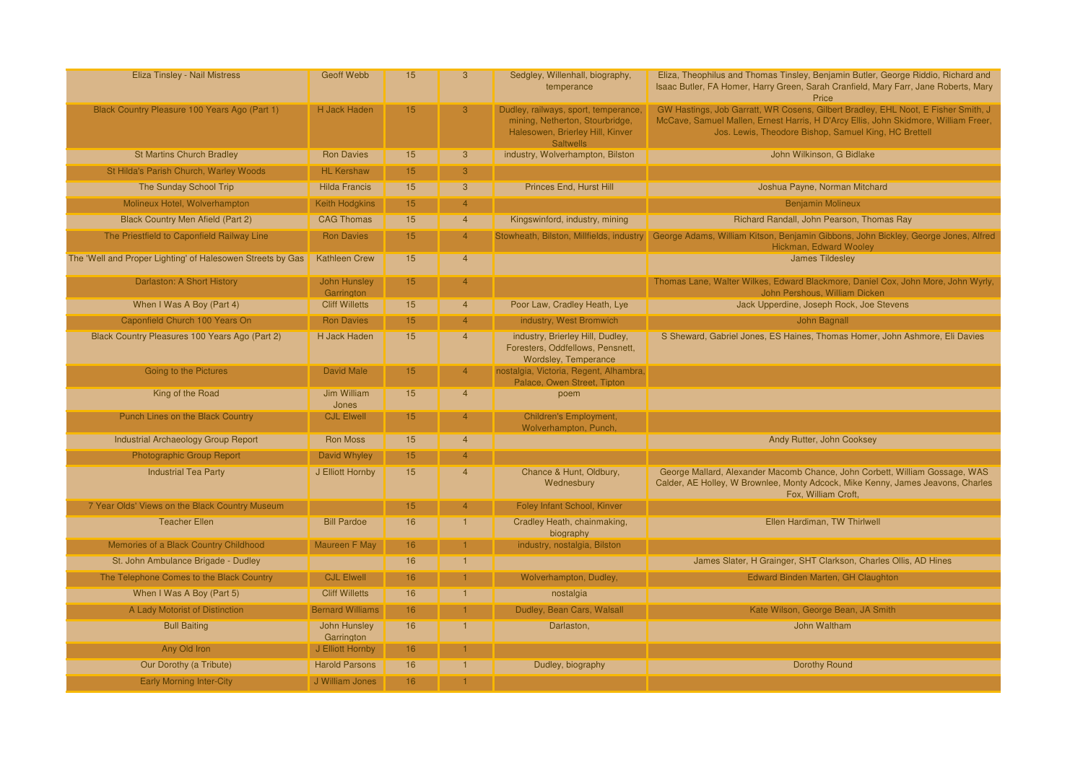| Eliza Tinsley - Nail Mistress                              | <b>Geoff Webb</b>                 | 15              | $\overline{3}$ | Sedgley, Willenhall, biography,<br>temperance                                                                                   | Eliza, Theophilus and Thomas Tinsley, Benjamin Butler, George Riddio, Richard and<br>Isaac Butler, FA Homer, Harry Green, Sarah Cranfield, Mary Farr, Jane Roberts, Mary<br>Price                                                 |
|------------------------------------------------------------|-----------------------------------|-----------------|----------------|---------------------------------------------------------------------------------------------------------------------------------|-----------------------------------------------------------------------------------------------------------------------------------------------------------------------------------------------------------------------------------|
| Black Country Pleasure 100 Years Ago (Part 1)              | H Jack Haden                      | 15 <sub>1</sub> | 3 <sup>°</sup> | Dudley, railways, sport, temperance,<br>mining, Netherton, Stourbridge,<br>Halesowen, Brierley Hill, Kinver<br><b>Saltwells</b> | GW Hastings, Job Garratt, WR Cosens, Gilbert Bradley, EHL Noot, E Fisher Smith, J<br>McCave, Samuel Mallen, Ernest Harris, H D'Arcy Ellis, John Skidmore, William Freer,<br>Jos. Lewis, Theodore Bishop, Samuel King, HC Brettell |
| <b>St Martins Church Bradley</b>                           | <b>Ron Davies</b>                 | 15              | $\mathbf{3}$   | industry, Wolverhampton, Bilston                                                                                                | John Wilkinson, G Bidlake                                                                                                                                                                                                         |
| St Hilda's Parish Church, Warley Woods                     | <b>HL Kershaw</b>                 | 15              | 3 <sup>°</sup> |                                                                                                                                 |                                                                                                                                                                                                                                   |
| The Sunday School Trip                                     | <b>Hilda Francis</b>              | 15              | 3              | Princes End, Hurst Hill                                                                                                         | Joshua Payne, Norman Mitchard                                                                                                                                                                                                     |
| Molineux Hotel, Wolverhampton                              | <b>Keith Hodgkins</b>             | 15              | $\overline{4}$ |                                                                                                                                 | <b>Benjamin Molineux</b>                                                                                                                                                                                                          |
| <b>Black Country Men Afield (Part 2)</b>                   | <b>CAG Thomas</b>                 | 15              | $\overline{4}$ | Kingswinford, industry, mining                                                                                                  | Richard Randall, John Pearson, Thomas Ray                                                                                                                                                                                         |
| The Priestfield to Caponfield Railway Line                 | <b>Ron Davies</b>                 | 15              | $\overline{4}$ |                                                                                                                                 | Stowheath, Bilston, Millfields, industry George Adams, William Kitson, Benjamin Gibbons, John Bickley, George Jones, Alfred<br>Hickman, Edward Wooley                                                                             |
| The 'Well and Proper Lighting' of Halesowen Streets by Gas | <b>Kathleen Crew</b>              | 15              | $\overline{4}$ |                                                                                                                                 | <b>James Tildesley</b>                                                                                                                                                                                                            |
| Darlaston: A Short History                                 | <b>John Hunsley</b><br>Garrington | 15              | $\overline{4}$ |                                                                                                                                 | Thomas Lane, Walter Wilkes, Edward Blackmore, Daniel Cox, John More, John Wyrly,<br>John Pershous, William Dicken                                                                                                                 |
| When I Was A Boy (Part 4)                                  | <b>Cliff Willetts</b>             | 15              | $\overline{4}$ | Poor Law, Cradley Heath, Lye                                                                                                    | Jack Upperdine, Joseph Rock, Joe Stevens                                                                                                                                                                                          |
| Caponfield Church 100 Years On                             | <b>Ron Davies</b>                 | 15              | 4 <sup>1</sup> | industry, West Bromwich                                                                                                         | John Bagnall                                                                                                                                                                                                                      |
| Black Country Pleasures 100 Years Ago (Part 2)             | <b>H Jack Haden</b>               | 15              | $\overline{4}$ | industry, Brierley Hill, Dudley,<br>Foresters, Oddfellows, Pensnett,<br>Wordsley, Temperance                                    | S Sheward, Gabriel Jones, ES Haines, Thomas Homer, John Ashmore, Eli Davies                                                                                                                                                       |
| Going to the Pictures                                      | <b>David Male</b>                 | 15              | $\overline{4}$ | nostalgia, Victoria, Regent, Alhambra,<br>Palace, Owen Street, Tipton                                                           |                                                                                                                                                                                                                                   |
| King of the Road                                           | Jim William<br>Jones              | 15              | $\overline{4}$ | poem                                                                                                                            |                                                                                                                                                                                                                                   |
| Punch Lines on the Black Country                           | <b>CJL Elwell</b>                 | 15              | $\overline{4}$ | <b>Children's Employment,</b><br>Wolverhampton, Punch,                                                                          |                                                                                                                                                                                                                                   |
| Industrial Archaeology Group Report                        | <b>Ron Moss</b>                   | 15              | $\overline{4}$ |                                                                                                                                 | Andy Rutter, John Cooksey                                                                                                                                                                                                         |
| <b>Photographic Group Report</b>                           | David Whyley                      | 15 <sub>1</sub> | 4              |                                                                                                                                 |                                                                                                                                                                                                                                   |
| <b>Industrial Tea Party</b>                                | J Elliott Hornby                  | 15              | $\overline{4}$ | Chance & Hunt, Oldbury,<br>Wednesbury                                                                                           | George Mallard, Alexander Macomb Chance, John Corbett, William Gossage, WAS<br>Calder, AE Holley, W Brownlee, Monty Adcock, Mike Kenny, James Jeavons, Charles<br>Fox. William Croft.                                             |
| 7 Year Olds' Views on the Black Country Museum             |                                   | 15              | $\overline{4}$ | Foley Infant School, Kinver                                                                                                     |                                                                                                                                                                                                                                   |
| <b>Teacher Ellen</b>                                       | <b>Bill Pardoe</b>                | 16              | $\overline{1}$ | Cradley Heath, chainmaking,<br>biography                                                                                        | Ellen Hardiman, TW Thirlwell                                                                                                                                                                                                      |
| Memories of a Black Country Childhood                      | Maureen F May                     | 16              |                | industry, nostalgia, Bilston                                                                                                    |                                                                                                                                                                                                                                   |
| St. John Ambulance Brigade - Dudley                        |                                   | 16              |                |                                                                                                                                 | James Slater, H Grainger, SHT Clarkson, Charles Ollis, AD Hines                                                                                                                                                                   |
| The Telephone Comes to the Black Country                   | <b>CJL Elwell</b>                 | 16              |                | Wolverhampton, Dudley,                                                                                                          | Edward Binden Marten, GH Claughton                                                                                                                                                                                                |
| When I Was A Boy (Part 5)                                  | <b>Cliff Willetts</b>             | 16              |                | nostalgia                                                                                                                       |                                                                                                                                                                                                                                   |
| A Lady Motorist of Distinction                             | <b>Bernard Williams</b>           | 16              | 1              | Dudley, Bean Cars, Walsall                                                                                                      | Kate Wilson, George Bean, JA Smith                                                                                                                                                                                                |
| <b>Bull Baiting</b>                                        | John Hunsley<br>Garrington        | 16              | $\mathbf{1}$   | Darlaston,                                                                                                                      | John Waltham                                                                                                                                                                                                                      |
| Any Old Iron                                               | J Elliott Hornby                  | 16              |                |                                                                                                                                 |                                                                                                                                                                                                                                   |
| Our Dorothy (a Tribute)                                    | <b>Harold Parsons</b>             | 16              |                | Dudley, biography                                                                                                               | Dorothy Round                                                                                                                                                                                                                     |
| <b>Early Morning Inter-City</b>                            | J William Jones                   | 16              |                |                                                                                                                                 |                                                                                                                                                                                                                                   |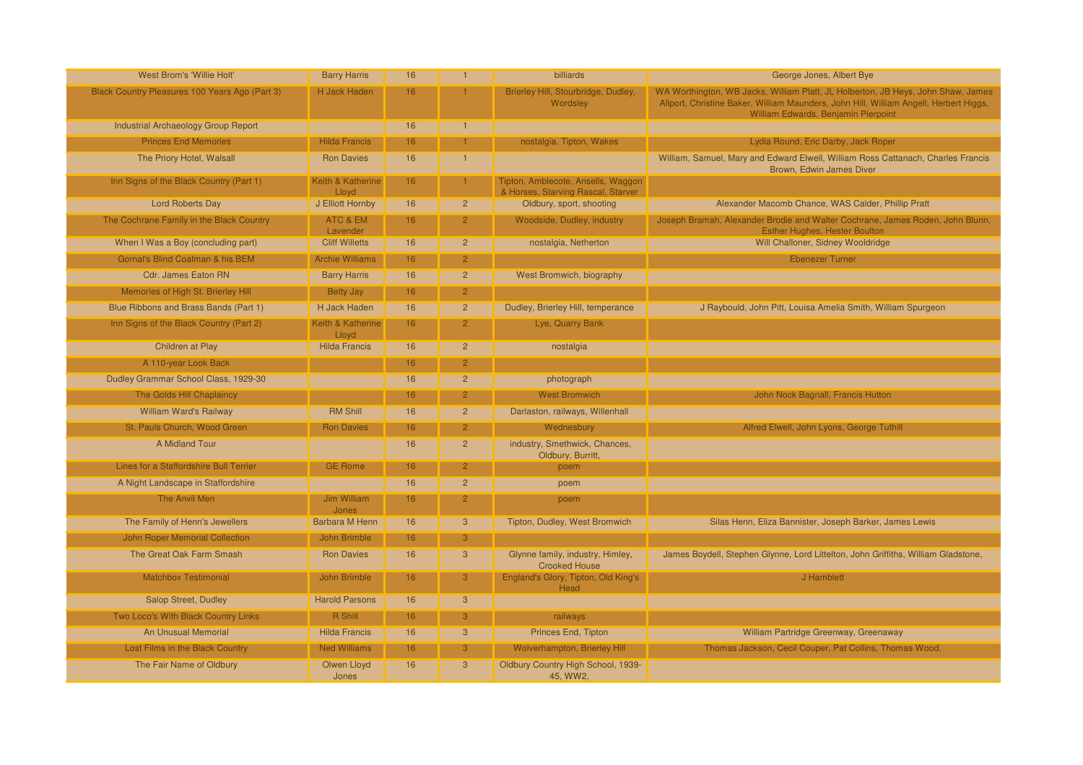| West Brom's 'Willie Holt'                      | <b>Barry Harris</b>         | 16              | $\overline{1}$ | billiards                                                                | George Jones, Albert Bye                                                                                                                                                                                         |
|------------------------------------------------|-----------------------------|-----------------|----------------|--------------------------------------------------------------------------|------------------------------------------------------------------------------------------------------------------------------------------------------------------------------------------------------------------|
| Black Country Pleasures 100 Years Ago (Part 3) | H Jack Haden                | 16              |                | Brierley Hill, Stourbridge, Dudley,<br>Wordsley                          | WA Worthington, WB Jacks, William Platt, JL Holberton, JB Heys, John Shaw, James<br>Allport, Christine Baker, William Maunders, John Hill, William Angell, Herbert Higgs,<br>William Edwards, Benjamin Pierpoint |
| Industrial Archaeology Group Report            |                             | 16              | -1             |                                                                          |                                                                                                                                                                                                                  |
| <b>Princes End Memories</b>                    | <b>Hilda Francis</b>        | 16              |                | nostalgia, Tipton, Wakes                                                 | Lydia Round, Eric Darby, Jack Roper                                                                                                                                                                              |
| The Priory Hotel, Walsall                      | <b>Ron Davies</b>           | 16              | -1             |                                                                          | William, Samuel, Mary and Edward Elwell, William Ross Cattanach, Charles Francis<br>Brown, Edwin James Diver                                                                                                     |
| Inn Signs of the Black Country (Part 1)        | Keith & Katherine<br>Lloyd  | 16              |                | Tipton, Amblecote, Ansells, Waggon<br>& Horses, Starving Rascal, Starver |                                                                                                                                                                                                                  |
| <b>Lord Roberts Day</b>                        | J Elliott Hornby            | 16              | $\overline{2}$ | Oldbury, sport, shooting                                                 | Alexander Macomb Chance, WAS Calder, Phillip Pratt                                                                                                                                                               |
| The Cochrane Family in the Black Country       | ATC & EM<br>Lavender        | 16              | $\overline{2}$ | Woodside, Dudley, industry                                               | Joseph Bramah, Alexander Brodie and Walter Cochrane, James Roden, John Blunn,<br><b>Esther Hughes, Hester Boulton</b>                                                                                            |
| When I Was a Boy (concluding part)             | <b>Cliff Willetts</b>       | 16              | $\overline{2}$ | nostalgia, Netherton                                                     | Will Challoner, Sidney Wooldridge                                                                                                                                                                                |
| Gornal's Blind Coalman & his BEM               | <b>Archie Williams</b>      | 16              | $\overline{2}$ |                                                                          | <b>Ebenezer Turner</b>                                                                                                                                                                                           |
| <b>Cdr. James Eaton RN</b>                     | <b>Barry Harris</b>         | 16              | $\overline{2}$ | West Bromwich, biography                                                 |                                                                                                                                                                                                                  |
| Memories of High St. Brierley Hill             | <b>Betty Jay</b>            | 16              | $\overline{2}$ |                                                                          |                                                                                                                                                                                                                  |
| Blue Ribbons and Brass Bands (Part 1)          | <b>H</b> Jack Haden         | 16              | $\overline{2}$ | Dudley, Brierley Hill, temperance                                        | J Raybould, John Pitt, Louisa Amelia Smith, William Spurgeon                                                                                                                                                     |
| Inn Signs of the Black Country (Part 2)        | Keith & Katherine<br>Lloyd  | 16              | $\overline{2}$ | Lye, Quarry Bank                                                         |                                                                                                                                                                                                                  |
| Children at Play                               | <b>Hilda Francis</b>        | 16              | $\overline{2}$ | nostalgia                                                                |                                                                                                                                                                                                                  |
| A 110-year Look Back                           |                             | 16              | 2 <sup>1</sup> |                                                                          |                                                                                                                                                                                                                  |
| Dudley Grammar School Class, 1929-30           |                             | 16              | $\overline{2}$ | photograph                                                               |                                                                                                                                                                                                                  |
| <b>The Golds Hill Chaplaincy</b>               |                             | 16              | 2 <sup>1</sup> | <b>West Bromwich</b>                                                     | John Nock Bagnall, Francis Hutton                                                                                                                                                                                |
| <b>William Ward's Railway</b>                  | <b>RM Shill</b>             | 16              | $\overline{2}$ | Darlaston, railways, Willenhall                                          |                                                                                                                                                                                                                  |
| St. Pauls Church, Wood Green                   | <b>Ron Davies</b>           | 16              | 2 <sup>1</sup> | Wednesbury                                                               | Alfred Elwell, John Lyons, George Tuthill                                                                                                                                                                        |
| <b>A Midland Tour</b>                          |                             | 16              | $\overline{2}$ | industry, Smethwick, Chances,<br>Oldbury, Burritt,                       |                                                                                                                                                                                                                  |
| Lines for a Staffordshire Bull Terrier         | <b>GE Rome</b>              | 16              | $\overline{2}$ | poem                                                                     |                                                                                                                                                                                                                  |
| A Night Landscape in Staffordshire             |                             | 16              | $\overline{2}$ | poem                                                                     |                                                                                                                                                                                                                  |
| The Anvil Men                                  | <b>Jim William</b><br>Jones | 16              | $\overline{2}$ | poem                                                                     |                                                                                                                                                                                                                  |
| The Family of Henn's Jewellers                 | <b>Barbara M Henn</b>       | 16              | $\mathbf{3}$   | Tipton, Dudley, West Bromwich                                            | Silas Henn, Eliza Bannister, Joseph Barker, James Lewis                                                                                                                                                          |
| <b>John Roper Memorial Collection</b>          | <b>John Brimble</b>         | 16              | 3              |                                                                          |                                                                                                                                                                                                                  |
| The Great Oak Farm Smash                       | <b>Ron Davies</b>           | 16              | $\overline{3}$ | Glynne family, industry, Himley,<br><b>Crooked House</b>                 | James Boydell, Stephen Glynne, Lord Littelton, John Griffiths, William Gladstone,                                                                                                                                |
| <b>Matchbox Testimonial</b>                    | John Brimble                | 16 <sup>1</sup> | 3 <sup>1</sup> | England's Glory, Tipton, Old King's<br>Head                              | J Hamblett                                                                                                                                                                                                       |
| <b>Salop Street, Dudley</b>                    | <b>Harold Parsons</b>       | 16              | $\mathbf{3}$   |                                                                          |                                                                                                                                                                                                                  |
| Two Loco's With Black Country Links            | R Shill                     | 16              | 3              | railways                                                                 |                                                                                                                                                                                                                  |
| An Unusual Memorial                            | <b>Hilda Francis</b>        | 16              | $\sqrt{3}$     | Princes End, Tipton                                                      | William Partridge Greenway, Greenaway                                                                                                                                                                            |
| Lost Films in the Black Country                | <b>Ned Williams</b>         | 16              | 3              | Wolverhampton, Brierley Hill                                             | Thomas Jackson, Cecil Couper, Pat Collins, Thomas Wood,                                                                                                                                                          |
| The Fair Name of Oldbury                       | Olwen Lloyd<br>Jones        | 16              | 3              | Oldbury Country High School, 1939-<br>45, WW2,                           |                                                                                                                                                                                                                  |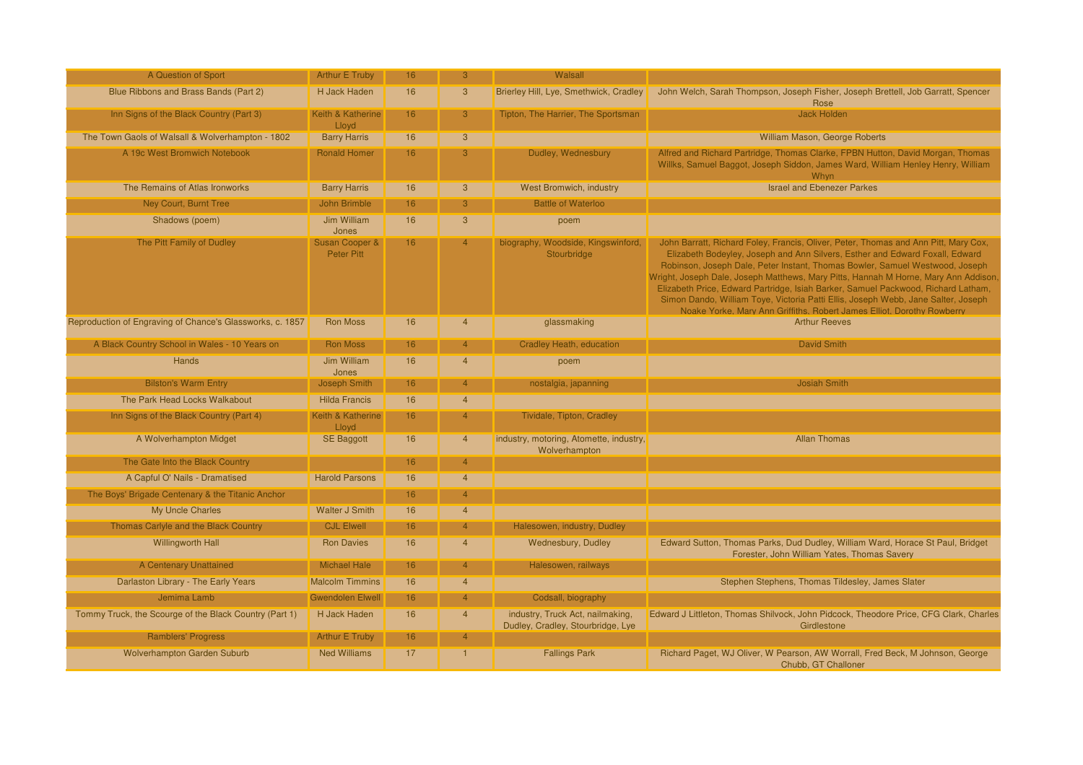| A Question of Sport                                       | Arthur E Truby                                 | 16 <sup>°</sup> | 3              | Walsall                                                               |                                                                                                                                                                                                                                                                                                                                                                                                                                                                                                                                                                                                |
|-----------------------------------------------------------|------------------------------------------------|-----------------|----------------|-----------------------------------------------------------------------|------------------------------------------------------------------------------------------------------------------------------------------------------------------------------------------------------------------------------------------------------------------------------------------------------------------------------------------------------------------------------------------------------------------------------------------------------------------------------------------------------------------------------------------------------------------------------------------------|
| Blue Ribbons and Brass Bands (Part 2)                     | H Jack Haden                                   | 16              | 3              | Brierley Hill, Lye, Smethwick, Cradley                                | John Welch, Sarah Thompson, Joseph Fisher, Joseph Brettell, Job Garratt, Spencer<br>Rose                                                                                                                                                                                                                                                                                                                                                                                                                                                                                                       |
| Inn Signs of the Black Country (Part 3)                   | Keith & Katherine<br>Llovd                     | 16              | 3              | Tipton, The Harrier, The Sportsman                                    | <b>Jack Holden</b>                                                                                                                                                                                                                                                                                                                                                                                                                                                                                                                                                                             |
| The Town Gaols of Walsall & Wolverhampton - 1802          | <b>Barry Harris</b>                            | 16              | $\overline{3}$ |                                                                       | William Mason, George Roberts                                                                                                                                                                                                                                                                                                                                                                                                                                                                                                                                                                  |
| A 19c West Bromwich Notebook                              | <b>Ronald Homer</b>                            | 16              | 3              | Dudley, Wednesbury                                                    | Alfred and Richard Partridge, Thomas Clarke, FPBN Hutton, David Morgan, Thomas<br>Willks, Samuel Baggot, Joseph Siddon, James Ward, William Henley Henry, William<br>Whyn                                                                                                                                                                                                                                                                                                                                                                                                                      |
| The Remains of Atlas Ironworks                            | <b>Barry Harris</b>                            | 16              | 3              | West Bromwich, industry                                               | <b>Israel and Ebenezer Parkes</b>                                                                                                                                                                                                                                                                                                                                                                                                                                                                                                                                                              |
| Ney Court, Burnt Tree                                     | <b>John Brimble</b>                            | 16              | 3              | <b>Battle of Waterloo</b>                                             |                                                                                                                                                                                                                                                                                                                                                                                                                                                                                                                                                                                                |
| Shadows (poem)                                            | Jim William<br>Jones                           | 16              | $\overline{3}$ | poem                                                                  |                                                                                                                                                                                                                                                                                                                                                                                                                                                                                                                                                                                                |
| The Pitt Family of Dudley                                 | <b>Susan Cooper &amp;</b><br><b>Peter Pitt</b> | 16              |                | biography, Woodside, Kingswinford,<br>Stourbridge                     | John Barratt, Richard Foley, Francis, Oliver, Peter, Thomas and Ann Pitt, Mary Cox,<br>Elizabeth Bodeyley, Joseph and Ann Silvers, Esther and Edward Foxall, Edward<br>Robinson, Joseph Dale, Peter Instant, Thomas Bowler, Samuel Westwood, Joseph<br>Wright, Joseph Dale, Joseph Matthews, Mary Pitts, Hannah M Horne, Mary Ann Addison,<br>Elizabeth Price, Edward Partridge, Isiah Barker, Samuel Packwood, Richard Latham,<br>Simon Dando, William Toye, Victoria Patti Ellis, Joseph Webb, Jane Salter, Joseph<br>Noake Yorke, Mary Ann Griffiths, Robert James Elliot, Dorothy Rowberry |
| Reproduction of Engraving of Chance's Glassworks, c. 1857 | <b>Ron Moss</b>                                | 16              | $\overline{4}$ | glassmaking                                                           | <b>Arthur Reeves</b>                                                                                                                                                                                                                                                                                                                                                                                                                                                                                                                                                                           |
| A Black Country School in Wales - 10 Years on             | <b>Ron Moss</b>                                | 16              | $\overline{4}$ | <b>Cradley Heath, education</b>                                       | <b>David Smith</b>                                                                                                                                                                                                                                                                                                                                                                                                                                                                                                                                                                             |
| Hands                                                     | Jim William<br>Jones                           | 16              | $\overline{4}$ | poem                                                                  |                                                                                                                                                                                                                                                                                                                                                                                                                                                                                                                                                                                                |
| <b>Bilston's Warm Entry</b>                               | Joseph Smith                                   | 16              |                | nostalgia, japanning                                                  | <b>Josiah Smith</b>                                                                                                                                                                                                                                                                                                                                                                                                                                                                                                                                                                            |
| The Park Head Locks Walkabout                             | <b>Hilda Francis</b>                           | 16              |                |                                                                       |                                                                                                                                                                                                                                                                                                                                                                                                                                                                                                                                                                                                |
| Inn Signs of the Black Country (Part 4)                   | Keith & Katherine<br>Lloyd                     | 16              | $\overline{4}$ | Tividale, Tipton, Cradley                                             |                                                                                                                                                                                                                                                                                                                                                                                                                                                                                                                                                                                                |
| A Wolverhampton Midget                                    | <b>SE Baggott</b>                              | 16              | $\overline{4}$ | industry, motoring, Atomette, industry,<br>Wolverhampton              | <b>Allan Thomas</b>                                                                                                                                                                                                                                                                                                                                                                                                                                                                                                                                                                            |
| The Gate Into the Black Country                           |                                                | 16              | $\overline{4}$ |                                                                       |                                                                                                                                                                                                                                                                                                                                                                                                                                                                                                                                                                                                |
| A Capful O' Nails - Dramatised                            | <b>Harold Parsons</b>                          | 16              | $\overline{4}$ |                                                                       |                                                                                                                                                                                                                                                                                                                                                                                                                                                                                                                                                                                                |
| The Boys' Brigade Centenary & the Titanic Anchor          |                                                | 16              | $\overline{4}$ |                                                                       |                                                                                                                                                                                                                                                                                                                                                                                                                                                                                                                                                                                                |
| My Uncle Charles                                          | <b>Walter J Smith</b>                          | 16              | $\overline{4}$ |                                                                       |                                                                                                                                                                                                                                                                                                                                                                                                                                                                                                                                                                                                |
| Thomas Carlyle and the Black Country                      | <b>CJL Elwell</b>                              | 16              | $\overline{4}$ | Halesowen, industry, Dudley                                           |                                                                                                                                                                                                                                                                                                                                                                                                                                                                                                                                                                                                |
| Willingworth Hall                                         | <b>Ron Davies</b>                              | 16              | $\overline{4}$ | Wednesbury, Dudley                                                    | Edward Sutton, Thomas Parks, Dud Dudley, William Ward, Horace St Paul, Bridget<br>Forester, John William Yates, Thomas Savery                                                                                                                                                                                                                                                                                                                                                                                                                                                                  |
| A Centenary Unattained                                    | <b>Michael Hale</b>                            | 16              | $\overline{4}$ | Halesowen, railways                                                   |                                                                                                                                                                                                                                                                                                                                                                                                                                                                                                                                                                                                |
| Darlaston Library - The Early Years                       | <b>Malcolm Timmins</b>                         | 16              | $\overline{4}$ |                                                                       | Stephen Stephens, Thomas Tildesley, James Slater                                                                                                                                                                                                                                                                                                                                                                                                                                                                                                                                               |
|                                                           |                                                |                 |                |                                                                       |                                                                                                                                                                                                                                                                                                                                                                                                                                                                                                                                                                                                |
| Jemima Lamb                                               | <b>Gwendolen Elwell</b>                        | 16              | $\overline{4}$ | Codsall, biography                                                    |                                                                                                                                                                                                                                                                                                                                                                                                                                                                                                                                                                                                |
| Tommy Truck, the Scourge of the Black Country (Part 1)    | H Jack Haden                                   | 16              | $\overline{4}$ | industry, Truck Act, nailmaking,<br>Dudley, Cradley, Stourbridge, Lye | Edward J Littleton, Thomas Shilvock, John Pidcock, Theodore Price, CFG Clark, Charles<br>Girdlestone                                                                                                                                                                                                                                                                                                                                                                                                                                                                                           |
| <b>Ramblers' Progress</b>                                 | Arthur E Truby                                 | 16              |                |                                                                       |                                                                                                                                                                                                                                                                                                                                                                                                                                                                                                                                                                                                |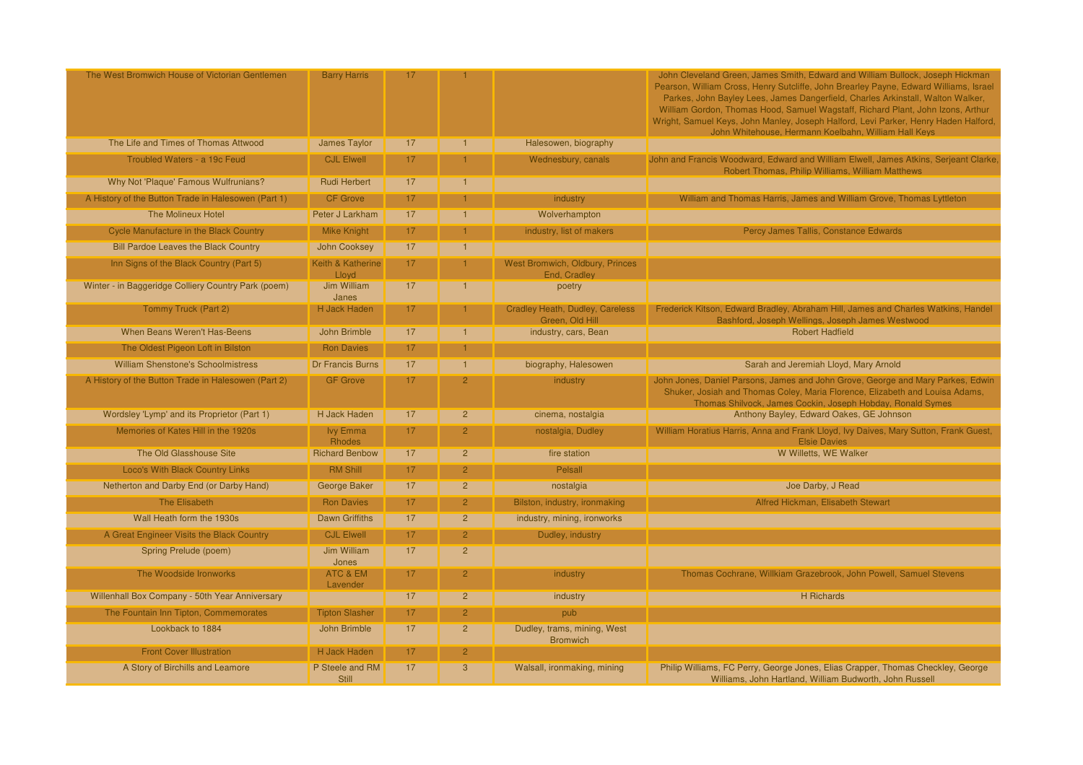| The West Bromwich House of Victorian Gentlemen      | <b>Barry Harris</b>              | 17 |                |                                                           | John Cleveland Green, James Smith, Edward and William Bullock, Joseph Hickman<br>Pearson, William Cross, Henry Sutcliffe, John Brearley Payne, Edward Williams, Israel<br>Parkes, John Bayley Lees, James Dangerfield, Charles Arkinstall, Walton Walker,<br>William Gordon, Thomas Hood, Samuel Wagstaff, Richard Plant, John Izons, Arthur<br>Wright, Samuel Keys, John Manley, Joseph Halford, Levi Parker, Henry Haden Halford,<br>John Whitehouse, Hermann Koelbahn, William Hall Keys |
|-----------------------------------------------------|----------------------------------|----|----------------|-----------------------------------------------------------|---------------------------------------------------------------------------------------------------------------------------------------------------------------------------------------------------------------------------------------------------------------------------------------------------------------------------------------------------------------------------------------------------------------------------------------------------------------------------------------------|
| The Life and Times of Thomas Attwood                | <b>James Taylor</b>              | 17 |                | Halesowen, biography                                      |                                                                                                                                                                                                                                                                                                                                                                                                                                                                                             |
| Troubled Waters - a 19c Feud                        | <b>CJL Elwell</b>                | 17 |                | Wednesbury, canals                                        | John and Francis Woodward, Edward and William Elwell, James Atkins, Serjeant Clarke,<br>Robert Thomas, Philip Williams, William Matthews                                                                                                                                                                                                                                                                                                                                                    |
| Why Not 'Plaque' Famous Wulfrunians?                | <b>Rudi Herbert</b>              | 17 |                |                                                           |                                                                                                                                                                                                                                                                                                                                                                                                                                                                                             |
| A History of the Button Trade in Halesowen (Part 1) | <b>CF Grove</b>                  | 17 |                | industry                                                  | William and Thomas Harris, James and William Grove, Thomas Lyttleton                                                                                                                                                                                                                                                                                                                                                                                                                        |
| <b>The Molineux Hotel</b>                           | Peter J Larkham                  | 17 |                | Wolverhampton                                             |                                                                                                                                                                                                                                                                                                                                                                                                                                                                                             |
| <b>Cycle Manufacture in the Black Country</b>       | <b>Mike Knight</b>               | 17 |                | industry, list of makers                                  | Percy James Tallis, Constance Edwards                                                                                                                                                                                                                                                                                                                                                                                                                                                       |
| <b>Bill Pardoe Leaves the Black Country</b>         | <b>John Cooksey</b>              | 17 |                |                                                           |                                                                                                                                                                                                                                                                                                                                                                                                                                                                                             |
| Inn Signs of the Black Country (Part 5)             | Keith & Katherine<br>Lloyd       | 17 |                | West Bromwich, Oldbury, Princes<br>End, Cradley           |                                                                                                                                                                                                                                                                                                                                                                                                                                                                                             |
| Winter - in Baggeridge Colliery Country Park (poem) | Jim William<br>Janes             | 17 |                | poetry                                                    |                                                                                                                                                                                                                                                                                                                                                                                                                                                                                             |
| Tommy Truck (Part 2)                                | H Jack Haden                     | 17 |                | <b>Cradley Heath, Dudley, Careless</b><br>Green, Old Hill | Frederick Kitson, Edward Bradley, Abraham Hill, James and Charles Watkins, Handel<br>Bashford, Joseph Wellings, Joseph James Westwood                                                                                                                                                                                                                                                                                                                                                       |
| When Beans Weren't Has-Beens                        | John Brimble                     | 17 |                | industry, cars, Bean                                      | <b>Robert Hadfield</b>                                                                                                                                                                                                                                                                                                                                                                                                                                                                      |
| The Oldest Pigeon Loft in Bilston                   | <b>Ron Davies</b>                | 17 |                |                                                           |                                                                                                                                                                                                                                                                                                                                                                                                                                                                                             |
| <b>William Shenstone's Schoolmistress</b>           | Dr Francis Burns                 | 17 |                | biography, Halesowen                                      | Sarah and Jeremiah Lloyd, Mary Arnold                                                                                                                                                                                                                                                                                                                                                                                                                                                       |
| A History of the Button Trade in Halesowen (Part 2) | <b>GF</b> Grove                  | 17 | $\overline{2}$ | industry                                                  | John Jones, Daniel Parsons, James and John Grove, George and Mary Parkes, Edwin<br>Shuker, Josiah and Thomas Coley, Maria Florence, Elizabeth and Louisa Adams,<br>Thomas Shilvock, James Cockin, Joseph Hobday, Ronald Symes                                                                                                                                                                                                                                                               |
| Wordsley 'Lymp' and its Proprietor (Part 1)         | <b>H</b> Jack Haden              | 17 | $\overline{2}$ | cinema, nostalgia                                         | Anthony Bayley, Edward Oakes, GE Johnson                                                                                                                                                                                                                                                                                                                                                                                                                                                    |
| Memories of Kates Hill in the 1920s                 | <b>Ivy Emma</b><br><b>Rhodes</b> | 17 | $\overline{2}$ | nostalgia, Dudley                                         | William Horatius Harris, Anna and Frank Lloyd, Ivy Daives, Mary Sutton, Frank Guest,<br><b>Elsie Davies</b>                                                                                                                                                                                                                                                                                                                                                                                 |
| The Old Glasshouse Site                             | <b>Richard Benbow</b>            | 17 | $\overline{2}$ | fire station                                              | W Willetts, WE Walker                                                                                                                                                                                                                                                                                                                                                                                                                                                                       |
| Loco's With Black Country Links                     | <b>RM Shill</b>                  | 17 | $\overline{2}$ | Pelsall                                                   |                                                                                                                                                                                                                                                                                                                                                                                                                                                                                             |
| Netherton and Darby End (or Darby Hand)             | George Baker                     | 17 | $\overline{2}$ | nostalgia                                                 | Joe Darby, J Read                                                                                                                                                                                                                                                                                                                                                                                                                                                                           |
| The Elisabeth                                       | <b>Ron Davies</b>                | 17 | $\overline{2}$ | Bilston, industry, ironmaking                             | Alfred Hickman, Elisabeth Stewart                                                                                                                                                                                                                                                                                                                                                                                                                                                           |
| Wall Heath form the 1930s                           | <b>Dawn Griffiths</b>            | 17 | 2 <sup>2</sup> | industry, mining, ironworks                               |                                                                                                                                                                                                                                                                                                                                                                                                                                                                                             |
| A Great Engineer Visits the Black Country           | <b>CJL Elwell</b>                | 17 | $\mathcal{P}$  | Dudley, industry                                          |                                                                                                                                                                                                                                                                                                                                                                                                                                                                                             |
| Spring Prelude (poem)                               | <b>Jim William</b><br>Jones      | 17 | $\overline{2}$ |                                                           |                                                                                                                                                                                                                                                                                                                                                                                                                                                                                             |
| The Woodside Ironworks                              | ATC & EM<br>Lavender             | 17 |                | industry                                                  | Thomas Cochrane, Willkiam Grazebrook, John Powell, Samuel Stevens                                                                                                                                                                                                                                                                                                                                                                                                                           |
| Willenhall Box Company - 50th Year Anniversary      |                                  | 17 | $\overline{2}$ | industry                                                  | <b>H</b> Richards                                                                                                                                                                                                                                                                                                                                                                                                                                                                           |
| The Fountain Inn Tipton, Commemorates               | <b>Tipton Slasher</b>            | 17 | $\overline{2}$ | pub                                                       |                                                                                                                                                                                                                                                                                                                                                                                                                                                                                             |
| Lookback to 1884                                    | John Brimble                     | 17 | 2 <sup>2</sup> | Dudley, trams, mining, West<br><b>Bromwich</b>            |                                                                                                                                                                                                                                                                                                                                                                                                                                                                                             |
| <b>Front Cover Illustration</b>                     | H Jack Haden                     | 17 |                |                                                           |                                                                                                                                                                                                                                                                                                                                                                                                                                                                                             |
| A Story of Birchills and Leamore                    | P Steele and RM<br><b>Still</b>  | 17 | $\mathbf{3}$   | Walsall, ironmaking, mining                               | Philip Williams, FC Perry, George Jones, Elias Crapper, Thomas Checkley, George<br>Williams, John Hartland, William Budworth, John Russell                                                                                                                                                                                                                                                                                                                                                  |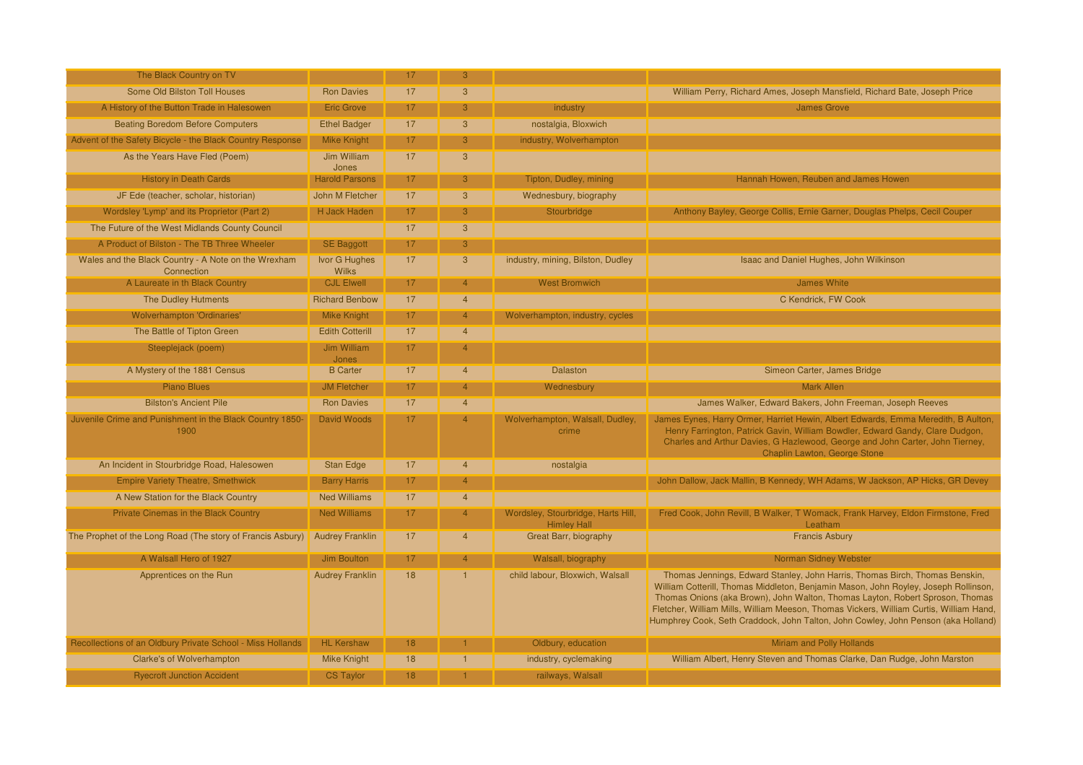| The Black Country on TV                                           |                               | 17 | $\mathbf{3}$   |                                                          |                                                                                                                                                                                                                                                                                                                                                                                                                                   |
|-------------------------------------------------------------------|-------------------------------|----|----------------|----------------------------------------------------------|-----------------------------------------------------------------------------------------------------------------------------------------------------------------------------------------------------------------------------------------------------------------------------------------------------------------------------------------------------------------------------------------------------------------------------------|
| Some Old Bilston Toll Houses                                      | <b>Ron Davies</b>             | 17 | $\mathbf{3}$   |                                                          | William Perry, Richard Ames, Joseph Mansfield, Richard Bate, Joseph Price                                                                                                                                                                                                                                                                                                                                                         |
| A History of the Button Trade in Halesowen                        | <b>Eric Grove</b>             | 17 | 3 <sup>°</sup> | industry                                                 | <b>James Grove</b>                                                                                                                                                                                                                                                                                                                                                                                                                |
| <b>Beating Boredom Before Computers</b>                           | <b>Ethel Badger</b>           | 17 | $\mathbf{3}$   | nostalgia, Bloxwich                                      |                                                                                                                                                                                                                                                                                                                                                                                                                                   |
| Advent of the Safety Bicycle - the Black Country Response         | <b>Mike Knight</b>            | 17 | 3 <sup>°</sup> | industry, Wolverhampton                                  |                                                                                                                                                                                                                                                                                                                                                                                                                                   |
| As the Years Have Fled (Poem)                                     | Jim William<br>Jones          | 17 | $\overline{3}$ |                                                          |                                                                                                                                                                                                                                                                                                                                                                                                                                   |
| <b>History in Death Cards</b>                                     | <b>Harold Parsons</b>         | 17 | 3 <sup>°</sup> | Tipton, Dudley, mining                                   | Hannah Howen, Reuben and James Howen                                                                                                                                                                                                                                                                                                                                                                                              |
| JF Ede (teacher, scholar, historian)                              | John M Fletcher               | 17 | $\overline{3}$ | Wednesbury, biography                                    |                                                                                                                                                                                                                                                                                                                                                                                                                                   |
| Wordsley 'Lymp' and its Proprietor (Part 2)                       | H Jack Haden                  | 17 | 3              | Stourbridge                                              | Anthony Bayley, George Collis, Ernie Garner, Douglas Phelps, Cecil Couper                                                                                                                                                                                                                                                                                                                                                         |
| The Future of the West Midlands County Council                    |                               | 17 | $\mathbf{3}$   |                                                          |                                                                                                                                                                                                                                                                                                                                                                                                                                   |
| A Product of Bilston - The TB Three Wheeler                       | <b>SE Baggott</b>             | 17 | 3              |                                                          |                                                                                                                                                                                                                                                                                                                                                                                                                                   |
| Wales and the Black Country - A Note on the Wrexham<br>Connection | Ivor G Hughes<br><b>Wilks</b> | 17 | $\overline{3}$ | industry, mining, Bilston, Dudley                        | Isaac and Daniel Hughes, John Wilkinson                                                                                                                                                                                                                                                                                                                                                                                           |
| A Laureate in th Black Country                                    | <b>CJL Elwell</b>             | 17 | $\overline{4}$ | <b>West Bromwich</b>                                     | <b>James White</b>                                                                                                                                                                                                                                                                                                                                                                                                                |
| <b>The Dudley Hutments</b>                                        | <b>Richard Benbow</b>         | 17 | $\overline{4}$ |                                                          | C Kendrick, FW Cook                                                                                                                                                                                                                                                                                                                                                                                                               |
| <b>Wolverhampton 'Ordinaries'</b>                                 | <b>Mike Knight</b>            | 17 | $\overline{4}$ | Wolverhampton, industry, cycles                          |                                                                                                                                                                                                                                                                                                                                                                                                                                   |
| The Battle of Tipton Green                                        | <b>Edith Cotterill</b>        | 17 | $\overline{4}$ |                                                          |                                                                                                                                                                                                                                                                                                                                                                                                                                   |
| Steeplejack (poem)                                                | Jim William<br><b>Jones</b>   | 17 | $\overline{4}$ |                                                          |                                                                                                                                                                                                                                                                                                                                                                                                                                   |
| A Mystery of the 1881 Census                                      | <b>B</b> Carter               | 17 | $\overline{4}$ | <b>Dalaston</b>                                          | Simeon Carter, James Bridge                                                                                                                                                                                                                                                                                                                                                                                                       |
| <b>Piano Blues</b>                                                | <b>JM Fletcher</b>            | 17 | $\overline{4}$ | Wednesbury                                               | Mark Allen                                                                                                                                                                                                                                                                                                                                                                                                                        |
| <b>Bilston's Ancient Pile</b>                                     | <b>Ron Davies</b>             | 17 | $\overline{4}$ |                                                          | James Walker, Edward Bakers, John Freeman, Joseph Reeves                                                                                                                                                                                                                                                                                                                                                                          |
| Juvenile Crime and Punishment in the Black Country 1850-<br>1900  | David Woods                   | 17 | $\overline{4}$ | Wolverhampton, Walsall, Dudley,<br>crime                 | James Eynes, Harry Ormer, Harriet Hewin, Albert Edwards, Emma Meredith, B Aulton,<br>Henry Farrington, Patrick Gavin, William Bowdler, Edward Gandy, Clare Dudgon,<br>Charles and Arthur Davies, G Hazlewood, George and John Carter, John Tierney,<br>Chaplin Lawton, George Stone                                                                                                                                               |
| An Incident in Stourbridge Road, Halesowen                        | Stan Edge                     | 17 | $\overline{4}$ | nostalgia                                                |                                                                                                                                                                                                                                                                                                                                                                                                                                   |
| <b>Empire Variety Theatre, Smethwick</b>                          | <b>Barry Harris</b>           | 17 | $\overline{4}$ |                                                          | John Dallow, Jack Mallin, B Kennedy, WH Adams, W Jackson, AP Hicks, GR Devey                                                                                                                                                                                                                                                                                                                                                      |
| A New Station for the Black Country                               | <b>Ned Williams</b>           | 17 | $\overline{4}$ |                                                          |                                                                                                                                                                                                                                                                                                                                                                                                                                   |
| Private Cinemas in the Black Country                              | <b>Ned Williams</b>           | 17 | 4 <sup>1</sup> | Wordsley, Stourbridge, Harts Hill,<br><b>Himley Hall</b> | Fred Cook, John Revill, B Walker, T Womack, Frank Harvey, Eldon Firmstone, Fred<br>Leatham                                                                                                                                                                                                                                                                                                                                        |
| The Prophet of the Long Road (The story of Francis Asbury)        | <b>Audrey Franklin</b>        | 17 | $\overline{4}$ | Great Barr, biography                                    | <b>Francis Asbury</b>                                                                                                                                                                                                                                                                                                                                                                                                             |
| A Walsall Hero of 1927                                            | Jim Boulton                   | 17 | $\overline{4}$ | Walsall, biography                                       | Norman Sidney Webster                                                                                                                                                                                                                                                                                                                                                                                                             |
| Apprentices on the Run                                            | <b>Audrey Franklin</b>        | 18 | $\overline{1}$ | child labour. Bloxwich, Walsall                          | Thomas Jennings, Edward Stanley, John Harris, Thomas Birch, Thomas Benskin,<br>William Cotterill, Thomas Middleton, Benjamin Mason, John Royley, Joseph Rollinson,<br>Thomas Onions (aka Brown), John Walton, Thomas Layton, Robert Sproson, Thomas<br>Fletcher, William Mills, William Meeson, Thomas Vickers, William Curtis, William Hand<br>Humphrey Cook, Seth Craddock, John Talton, John Cowley, John Penson (aka Holland) |
| Recollections of an Oldbury Private School - Miss Hollands        | <b>HL Kershaw</b>             | 18 |                | Oldbury, education                                       | Miriam and Polly Hollands                                                                                                                                                                                                                                                                                                                                                                                                         |
| <b>Clarke's of Wolverhampton</b>                                  | <b>Mike Knight</b>            | 18 |                | industry, cyclemaking                                    | William Albert, Henry Steven and Thomas Clarke, Dan Rudge, John Marston                                                                                                                                                                                                                                                                                                                                                           |
| <b>Ryecroft Junction Accident</b>                                 | <b>CS Taylor</b>              | 18 |                | railways, Walsall                                        |                                                                                                                                                                                                                                                                                                                                                                                                                                   |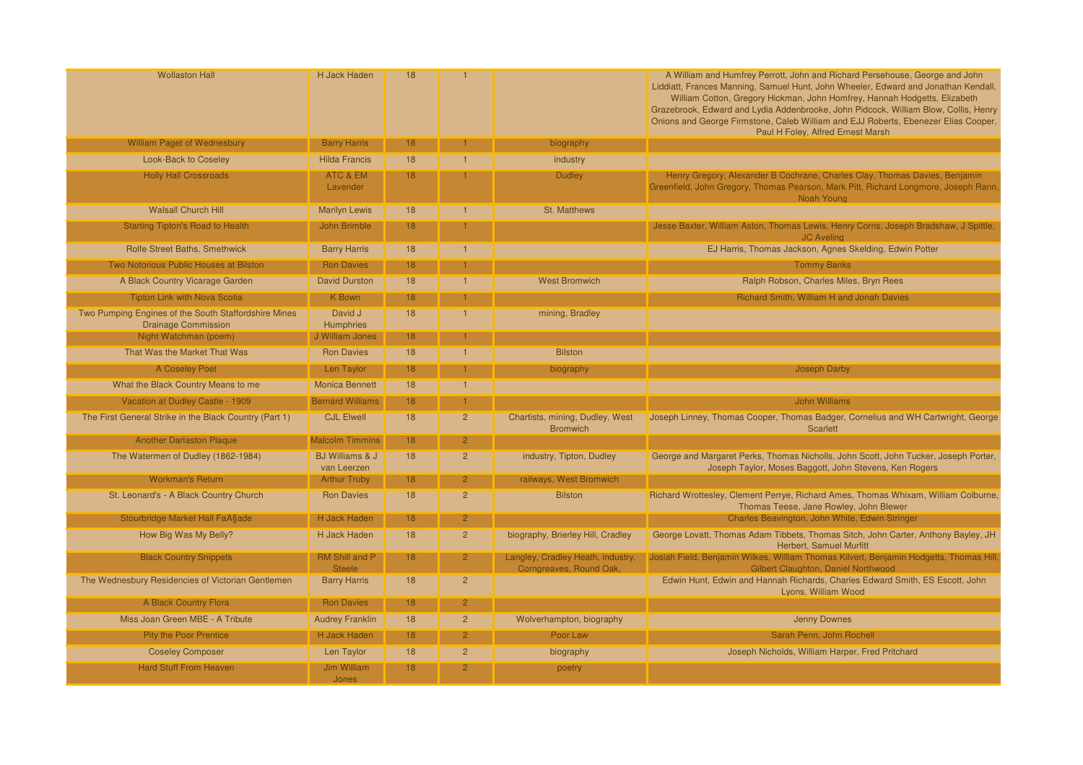| <b>Wollaston Hall</b>                                                              | <b>H</b> Jack Haden                       | 18 |                |                                                              | A William and Humfrey Perrott, John and Richard Persehouse, George and John<br>Liddiatt, Frances Manning, Samuel Hunt, John Wheeler, Edward and Jonathan Kendall,<br>William Cotton, Gregory Hickman, John Homfrey, Hannah Hodgetts, Elizabeth<br>Grazebrook, Edward and Lydia Addenbrooke, John Pidcock, William Blow, Collis, Henry<br>Onions and George Firmstone, Caleb William and EJJ Roberts, Ebenezer Elias Cooper,<br>Paul H Foley, Alfred Ernest Marsh |
|------------------------------------------------------------------------------------|-------------------------------------------|----|----------------|--------------------------------------------------------------|------------------------------------------------------------------------------------------------------------------------------------------------------------------------------------------------------------------------------------------------------------------------------------------------------------------------------------------------------------------------------------------------------------------------------------------------------------------|
| <b>William Paget of Wednesbury</b>                                                 | <b>Barry Harris</b>                       | 18 |                | biography                                                    |                                                                                                                                                                                                                                                                                                                                                                                                                                                                  |
| Look-Back to Coseley                                                               | <b>Hilda Francis</b>                      | 18 |                | industry                                                     |                                                                                                                                                                                                                                                                                                                                                                                                                                                                  |
| <b>Holly Hall Crossroads</b>                                                       | ATC & EM<br>Lavender                      | 18 |                | <b>Dudley</b>                                                | Henry Gregory, Alexander B Cochrane, Charles Clay, Thomas Davies, Benjamin<br>Greenfield, John Gregory, Thomas Pearson, Mark Pitt, Richard Longmore, Joseph Rann,<br>Noah Young                                                                                                                                                                                                                                                                                  |
| <b>Walsall Church Hill</b>                                                         | <b>Marilyn Lewis</b>                      | 18 |                | St. Matthews                                                 |                                                                                                                                                                                                                                                                                                                                                                                                                                                                  |
| <b>Starting Tipton's Road to Health</b>                                            | John Brimble                              | 18 |                |                                                              | Jesse Baxter, William Aston, Thomas Lewis, Henry Corns, Joseph Bradshaw, J Spittle,<br><b>JC Aveling</b>                                                                                                                                                                                                                                                                                                                                                         |
| Rolfe Street Baths, Smethwick                                                      | <b>Barry Harris</b>                       | 18 | $\mathbf{1}$   |                                                              | EJ Harris, Thomas Jackson, Agnes Skelding, Edwin Potter                                                                                                                                                                                                                                                                                                                                                                                                          |
| Two Notorious Public Houses at Bilston                                             | <b>Ron Davies</b>                         | 18 |                |                                                              | <b>Tommy Banks</b>                                                                                                                                                                                                                                                                                                                                                                                                                                               |
| A Black Country Vicarage Garden                                                    | <b>David Durston</b>                      | 18 |                | <b>West Bromwich</b>                                         | Ralph Robson, Charles Miles, Bryn Rees                                                                                                                                                                                                                                                                                                                                                                                                                           |
| <b>Tipton Link with Nova Scotia</b>                                                | K Bown                                    | 18 |                |                                                              | Richard Smith, William H and Jonah Davies                                                                                                                                                                                                                                                                                                                                                                                                                        |
| Two Pumping Engines of the South Staffordshire Mines<br><b>Drainage Commission</b> | David J<br><b>Humphries</b>               | 18 | $\blacksquare$ | mining, Bradley                                              |                                                                                                                                                                                                                                                                                                                                                                                                                                                                  |
| Night Watchman (poem)                                                              | J William Jones                           | 18 |                |                                                              |                                                                                                                                                                                                                                                                                                                                                                                                                                                                  |
| That Was the Market That Was                                                       | <b>Ron Davies</b>                         | 18 |                | <b>Bilston</b>                                               |                                                                                                                                                                                                                                                                                                                                                                                                                                                                  |
| A Coseley Poet                                                                     | Len Taylor                                | 18 |                | biography                                                    | <b>Joseph Darby</b>                                                                                                                                                                                                                                                                                                                                                                                                                                              |
| What the Black Country Means to me                                                 | <b>Monica Bennett</b>                     | 18 |                |                                                              |                                                                                                                                                                                                                                                                                                                                                                                                                                                                  |
| Vacation at Dudley Castle - 1909                                                   | <b>Bernard Williams</b>                   | 18 |                |                                                              | <b>John Williams</b>                                                                                                                                                                                                                                                                                                                                                                                                                                             |
| The First General Strike in the Black Country (Part 1)                             | <b>CJL Elwell</b>                         | 18 | $\overline{2}$ | Chartists, mining, Dudley, West<br><b>Bromwich</b>           | Joseph Linney, Thomas Cooper, Thomas Badger, Cornelius and WH Cartwright, George<br><b>Scarlett</b>                                                                                                                                                                                                                                                                                                                                                              |
| <b>Another Darlaston Plaque</b>                                                    | <b>Malcolm Timmins</b>                    | 18 | $\overline{2}$ |                                                              |                                                                                                                                                                                                                                                                                                                                                                                                                                                                  |
| The Watermen of Dudley (1862-1984)                                                 | <b>BJ Williams &amp; J</b><br>van Leerzen | 18 | $\overline{2}$ | industry, Tipton, Dudley                                     | George and Margaret Perks, Thomas Nicholls, John Scott, John Tucker, Joseph Porter,<br>Joseph Taylor, Moses Baggott, John Stevens, Ken Rogers                                                                                                                                                                                                                                                                                                                    |
| <b>Workman's Return</b>                                                            | <b>Arthur Truby</b>                       | 18 | 2 <sup>1</sup> | railways, West Bromwich                                      |                                                                                                                                                                                                                                                                                                                                                                                                                                                                  |
| St. Leonard's - A Black Country Church                                             | <b>Ron Davies</b>                         | 18 | $\overline{2}$ | <b>Bilston</b>                                               | Richard Wrottesley, Clement Perrye, Richard Ames, Thomas Whixam, William Colburne,<br>Thomas Teese, Jane Rowley, John Blewer                                                                                                                                                                                                                                                                                                                                     |
| Stourbridge Market Hall Fa <sub>ASade</sub>                                        | H Jack Haden                              | 18 | $\overline{2}$ |                                                              | Charles Beavington, John White, Edwin Stringer                                                                                                                                                                                                                                                                                                                                                                                                                   |
| How Big Was My Belly?                                                              | H Jack Haden                              | 18 | $2^{1}$        | biography, Brierley Hill, Cradley                            | George Lovatt, Thomas Adam Tibbets, Thomas Sitch, John Carter, Anthony Bayley, JH<br>Herbert, Samuel Murfitt                                                                                                                                                                                                                                                                                                                                                     |
| <b>Black Country Snippets</b>                                                      | RM Shill and P<br><b>Steele</b>           | 18 | $\overline{2}$ | Langley, Cradley Heath, industry,<br>Corngreaves, Round Oak, | Josiah Field, Benjamin Wilkes, William Thomas Kilvert, Benjamin Hodgetts, Thomas Hill,<br><b>Gilbert Claughton, Daniel Northwood</b>                                                                                                                                                                                                                                                                                                                             |
| The Wednesbury Residencies of Victorian Gentlemen                                  | <b>Barry Harris</b>                       | 18 | $\overline{2}$ |                                                              | Edwin Hunt, Edwin and Hannah Richards, Charles Edward Smith, ES Escott, John<br>Lyons, William Wood                                                                                                                                                                                                                                                                                                                                                              |
| A Black Country Flora                                                              | <b>Ron Davies</b>                         | 18 | $\overline{2}$ |                                                              |                                                                                                                                                                                                                                                                                                                                                                                                                                                                  |
| Miss Joan Green MBE - A Tribute                                                    | <b>Audrey Franklin</b>                    | 18 | $\overline{2}$ | Wolverhampton, biography                                     | Jenny Downes                                                                                                                                                                                                                                                                                                                                                                                                                                                     |
| <b>Pity the Poor Prentice</b>                                                      | H Jack Haden                              | 18 | $\overline{2}$ | Poor Law                                                     | Sarah Penn, John Rochell                                                                                                                                                                                                                                                                                                                                                                                                                                         |
| <b>Coseley Composer</b>                                                            | Len Taylor                                | 18 | $\overline{2}$ | biography                                                    | Joseph Nicholds, William Harper, Fred Pritchard                                                                                                                                                                                                                                                                                                                                                                                                                  |
| <b>Hard Stuff From Heaven</b>                                                      | Jim William<br>Jones                      | 18 | $\overline{2}$ | poetry                                                       |                                                                                                                                                                                                                                                                                                                                                                                                                                                                  |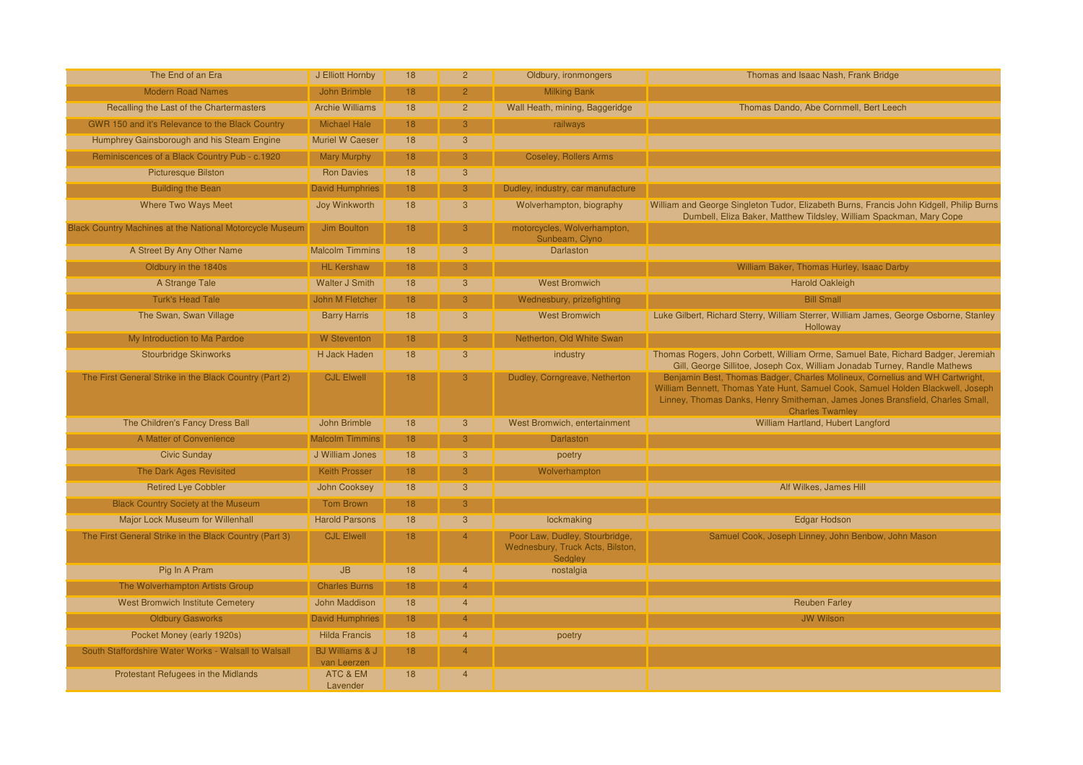| The End of an Era                                        | J Elliott Hornby                          | 18              | $\overline{2}$ | Oldbury, ironmongers                                                          | Thomas and Isaac Nash, Frank Bridge                                                                                                                                                                                                                                        |
|----------------------------------------------------------|-------------------------------------------|-----------------|----------------|-------------------------------------------------------------------------------|----------------------------------------------------------------------------------------------------------------------------------------------------------------------------------------------------------------------------------------------------------------------------|
| <b>Modern Road Names</b>                                 | John Brimble                              | 18              | 2 <sup>1</sup> | <b>Milking Bank</b>                                                           |                                                                                                                                                                                                                                                                            |
| Recalling the Last of the Chartermasters                 | <b>Archie Williams</b>                    | 18              | $\overline{2}$ | Wall Heath, mining, Baggeridge                                                | Thomas Dando, Abe Cornmell, Bert Leech                                                                                                                                                                                                                                     |
| GWR 150 and it's Relevance to the Black Country          | Michael Hale                              | 18              | 3              | railways                                                                      |                                                                                                                                                                                                                                                                            |
| Humphrey Gainsborough and his Steam Engine               | <b>Muriel W Caeser</b>                    | 18              | 3              |                                                                               |                                                                                                                                                                                                                                                                            |
| Reminiscences of a Black Country Pub - c.1920            | <b>Mary Murphy</b>                        | 18              | 3              | <b>Coseley, Rollers Arms</b>                                                  |                                                                                                                                                                                                                                                                            |
| <b>Picturesque Bilston</b>                               | <b>Ron Davies</b>                         | 18              | $\mathbf{3}$   |                                                                               |                                                                                                                                                                                                                                                                            |
| <b>Building the Bean</b>                                 | <b>David Humphries</b>                    | 18              | $\mathbf{3}$   | Dudley, industry, car manufacture                                             |                                                                                                                                                                                                                                                                            |
| <b>Where Two Ways Meet</b>                               | Joy Winkworth                             | 18              | 3              | Wolverhampton, biography                                                      | William and George Singleton Tudor, Elizabeth Burns, Francis John Kidgell, Philip Burns<br>Dumbell, Eliza Baker, Matthew Tildsley, William Spackman, Mary Cope                                                                                                             |
| Black Country Machines at the National Motorcycle Museum | Jim Boulton                               | 18 <sup>°</sup> | 3              | motorcycles, Wolverhampton,<br>Sunbeam, Clyno                                 |                                                                                                                                                                                                                                                                            |
| A Street By Any Other Name                               | <b>Malcolm Timmins</b>                    | 18              | 3              | <b>Darlaston</b>                                                              |                                                                                                                                                                                                                                                                            |
| Oldbury in the 1840s                                     | <b>HL Kershaw</b>                         | 18              | 3 <sup>1</sup> |                                                                               | William Baker, Thomas Hurley, Isaac Darby                                                                                                                                                                                                                                  |
| A Strange Tale                                           | <b>Walter J Smith</b>                     | 18              | $\mathbf{3}$   | <b>West Bromwich</b>                                                          | <b>Harold Oakleigh</b>                                                                                                                                                                                                                                                     |
| <b>Turk's Head Tale</b>                                  | John M Fletcher                           | 18              | 3              | Wednesbury, prizefighting                                                     | <b>Bill Small</b>                                                                                                                                                                                                                                                          |
| The Swan, Swan Village                                   | <b>Barry Harris</b>                       | 18              | 3              | <b>West Bromwich</b>                                                          | Luke Gilbert, Richard Sterry, William Sterrer, William James, George Osborne, Stanley<br>Holloway                                                                                                                                                                          |
| My Introduction to Ma Pardoe                             | <b>W</b> Steventon                        | 18              | 3 <sup>°</sup> | Netherton, Old White Swan                                                     |                                                                                                                                                                                                                                                                            |
| <b>Stourbridge Skinworks</b>                             | <b>H Jack Haden</b>                       | 18              | 3              | industry                                                                      | Thomas Rogers, John Corbett, William Orme, Samuel Bate, Richard Badger, Jeremiah<br>Gill, George Sillitoe, Joseph Cox, William Jonadab Turney, Randle Mathews                                                                                                              |
| The First General Strike in the Black Country (Part 2)   | <b>CJL Elwell</b>                         | 18 <sup>°</sup> | 3 <sup>°</sup> | Dudley, Corngreave, Netherton                                                 | Benjamin Best, Thomas Badger, Charles Molineux, Cornelius and WH Cartwright,<br>William Bennett, Thomas Yate Hunt, Samuel Cook, Samuel Holden Blackwell, Joseph<br>Linney, Thomas Danks, Henry Smitheman, James Jones Bransfield, Charles Small,<br><b>Charles Twamley</b> |
| The Children's Fancy Dress Ball                          | John Brimble                              | 18              | $\mathbf{3}$   | West Bromwich, entertainment                                                  | William Hartland, Hubert Langford                                                                                                                                                                                                                                          |
| A Matter of Convenience                                  | <b>Malcolm Timmins</b>                    | 18              | 3              | <b>Darlaston</b>                                                              |                                                                                                                                                                                                                                                                            |
| <b>Civic Sunday</b>                                      | J William Jones                           | 18              | 3              | poetry                                                                        |                                                                                                                                                                                                                                                                            |
| The Dark Ages Revisited                                  | <b>Keith Prosser</b>                      | 18              | 3              | Wolverhampton                                                                 |                                                                                                                                                                                                                                                                            |
| <b>Retired Lye Cobbler</b>                               | <b>John Cooksey</b>                       | 18              | $\mathbf{3}$   |                                                                               | Alf Wilkes, James Hill                                                                                                                                                                                                                                                     |
| <b>Black Country Society at the Museum</b>               | Tom Brown                                 | 18              | $\overline{3}$ |                                                                               |                                                                                                                                                                                                                                                                            |
| Major Lock Museum for Willenhall                         | <b>Harold Parsons</b>                     | 18              | 3              | lockmaking                                                                    | <b>Edgar Hodson</b>                                                                                                                                                                                                                                                        |
| The First General Strike in the Black Country (Part 3)   | <b>CJL Elwell</b>                         | 18              | $\overline{4}$ | Poor Law, Dudley, Stourbridge,<br>Wednesbury, Truck Acts, Bilston,<br>Sedgley | Samuel Cook, Joseph Linney, John Benbow, John Mason                                                                                                                                                                                                                        |
| Pig In A Pram                                            | JB                                        | 18              | $\overline{4}$ | nostalgia                                                                     |                                                                                                                                                                                                                                                                            |
| The Wolverhampton Artists Group                          | <b>Charles Burns</b>                      | 18              | $\overline{4}$ |                                                                               |                                                                                                                                                                                                                                                                            |
| <b>West Bromwich Institute Cemetery</b>                  | John Maddison                             | 18              | $\overline{4}$ |                                                                               | <b>Reuben Farley</b>                                                                                                                                                                                                                                                       |
| <b>Oldbury Gasworks</b>                                  | <b>David Humphries</b>                    | 18              | $\overline{4}$ |                                                                               | <b>JW Wilson</b>                                                                                                                                                                                                                                                           |
| Pocket Money (early 1920s)                               | <b>Hilda Francis</b>                      | 18              | $\overline{4}$ | poetry                                                                        |                                                                                                                                                                                                                                                                            |
| South Staffordshire Water Works - Walsall to Walsall     | <b>BJ Williams &amp; J</b><br>van Leerzen | 18 <sup>°</sup> | $\overline{4}$ |                                                                               |                                                                                                                                                                                                                                                                            |
| Protestant Refugees in the Midlands                      | ATC & EM<br>Lavender                      | 18              | $\overline{4}$ |                                                                               |                                                                                                                                                                                                                                                                            |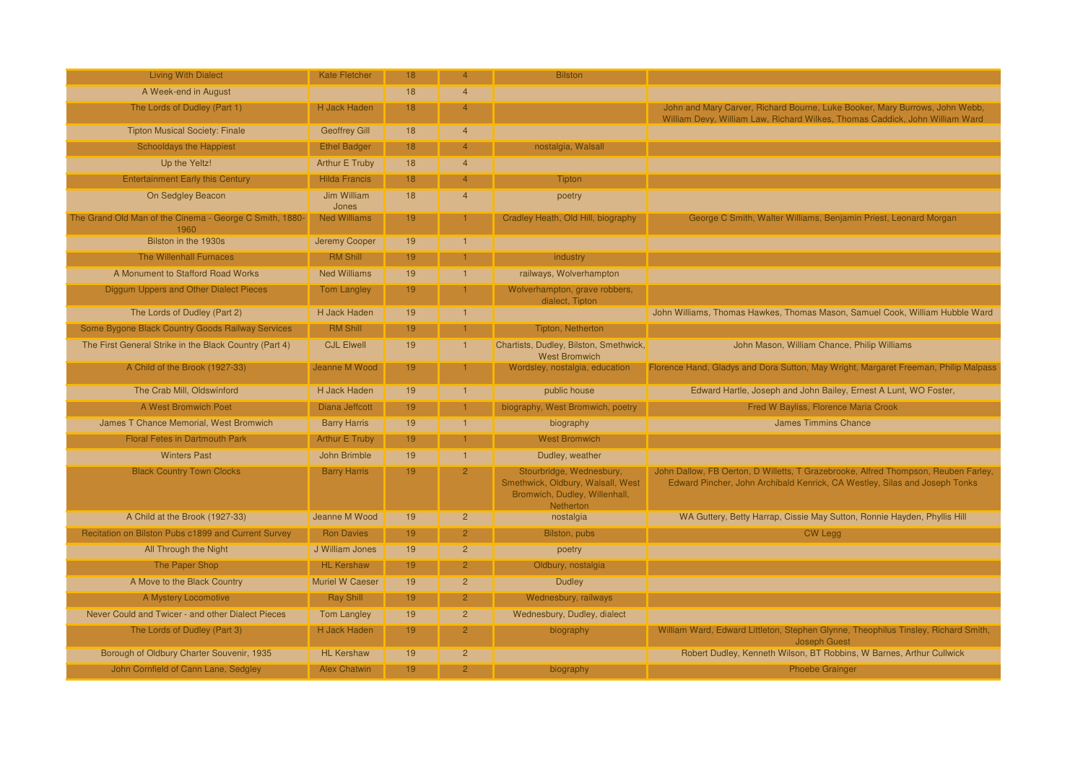| <b>Living With Dialect</b>                                      | <b>Kate Fletcher</b>   | 18 | $\overline{4}$          | <b>Bilston</b>                                                                                              |                                                                                                                                                                  |
|-----------------------------------------------------------------|------------------------|----|-------------------------|-------------------------------------------------------------------------------------------------------------|------------------------------------------------------------------------------------------------------------------------------------------------------------------|
| A Week-end in August                                            |                        | 18 | $\overline{\mathbf{4}}$ |                                                                                                             |                                                                                                                                                                  |
| The Lords of Dudley (Part 1)                                    | H Jack Haden           | 18 | $\overline{4}$          |                                                                                                             | John and Mary Carver, Richard Bourne, Luke Booker, Mary Burrows, John Webb,<br>William Devy, William Law, Richard Wilkes, Thomas Caddick, John William Ward      |
| <b>Tipton Musical Society: Finale</b>                           | <b>Geoffrey Gill</b>   | 18 | 4                       |                                                                                                             |                                                                                                                                                                  |
| <b>Schooldays the Happiest</b>                                  | <b>Ethel Badger</b>    | 18 | $\overline{4}$          | nostalgia, Walsall                                                                                          |                                                                                                                                                                  |
| Up the Yeltz!                                                   | Arthur E Truby         | 18 | $\overline{\mathbf{4}}$ |                                                                                                             |                                                                                                                                                                  |
| <b>Entertainment Early this Century</b>                         | <b>Hilda Francis</b>   | 18 | $\overline{4}$          | <b>Tipton</b>                                                                                               |                                                                                                                                                                  |
| On Sedgley Beacon                                               | Jim William<br>Jones   | 18 | $\overline{4}$          | poetry                                                                                                      |                                                                                                                                                                  |
| The Grand Old Man of the Cinema - George C Smith, 1880-<br>1960 | <b>Ned Williams</b>    | 19 |                         | Cradley Heath, Old Hill, biography                                                                          | George C Smith, Walter Williams, Benjamin Priest, Leonard Morgan                                                                                                 |
| Bilston in the 1930s                                            | Jeremy Cooper          | 19 |                         |                                                                                                             |                                                                                                                                                                  |
| <b>The Willenhall Furnaces</b>                                  | <b>RM Shill</b>        | 19 |                         | industry                                                                                                    |                                                                                                                                                                  |
| A Monument to Stafford Road Works                               | <b>Ned Williams</b>    | 19 |                         | railways, Wolverhampton                                                                                     |                                                                                                                                                                  |
| Diggum Uppers and Other Dialect Pieces                          | <b>Tom Langley</b>     | 19 |                         | Wolverhampton, grave robbers,<br>dialect, Tipton                                                            |                                                                                                                                                                  |
| The Lords of Dudley (Part 2)                                    | <b>H</b> Jack Haden    | 19 | $\overline{1}$          |                                                                                                             | John Williams, Thomas Hawkes, Thomas Mason, Samuel Cook, William Hubble Ward                                                                                     |
| Some Bygone Black Country Goods Railway Services                | <b>RM Shill</b>        | 19 |                         | Tipton, Netherton                                                                                           |                                                                                                                                                                  |
| The First General Strike in the Black Country (Part 4)          | <b>CJL Elwell</b>      | 19 | $\mathbf{1}$            | Chartists, Dudley, Bilston, Smethwick,<br><b>West Bromwich</b>                                              | John Mason, William Chance, Philip Williams                                                                                                                      |
| A Child of the Brook (1927-33)                                  | Jeanne M Wood          | 19 |                         | Wordsley, nostalgia, education                                                                              | Florence Hand, Gladys and Dora Sutton, May Wright, Margaret Freeman, Philip Malpass                                                                              |
| The Crab Mill, Oldswinford                                      | H Jack Haden           | 19 | $\mathbf{1}$            | public house                                                                                                | Edward Hartle, Joseph and John Bailey, Ernest A Lunt, WO Foster,                                                                                                 |
| A West Bromwich Poet                                            | Diana Jeffcott         | 19 |                         | biography, West Bromwich, poetry                                                                            | Fred W Bayliss, Florence Maria Crook                                                                                                                             |
| James T Chance Memorial, West Bromwich                          | <b>Barry Harris</b>    | 19 | $\mathbf{1}$            | biography                                                                                                   | <b>James Timmins Chance</b>                                                                                                                                      |
| <b>Floral Fetes in Dartmouth Park</b>                           | <b>Arthur E Truby</b>  | 19 |                         | <b>West Bromwich</b>                                                                                        |                                                                                                                                                                  |
| <b>Winters Past</b>                                             | John Brimble           | 19 | $\blacksquare$          | Dudley, weather                                                                                             |                                                                                                                                                                  |
| <b>Black Country Town Clocks</b>                                | <b>Barry Harris</b>    | 19 | $\mathcal{P}$           | Stourbridge, Wednesbury,<br>Smethwick, Oldbury, Walsall, West<br>Bromwich, Dudley, Willenhall,<br>Netherton | John Dallow, FB Oerton, D Willetts, T Grazebrooke, Alfred Thompson, Reuben Farley,<br>Edward Pincher, John Archibald Kenrick, CA Westley, Silas and Joseph Tonks |
| A Child at the Brook (1927-33)                                  | Jeanne M Wood          | 19 | $\overline{2}$          | nostalgia                                                                                                   | WA Guttery, Betty Harrap, Cissie May Sutton, Ronnie Hayden, Phyllis Hill                                                                                         |
| Recitation on Bilston Pubs c1899 and Current Survey             | <b>Ron Davies</b>      | 19 | $\overline{2}$          | Bilston, pubs                                                                                               | CW Legg                                                                                                                                                          |
| All Through the Night                                           | J William Jones        | 19 | $\overline{2}$          | poetry                                                                                                      |                                                                                                                                                                  |
| The Paper Shop                                                  | <b>HL Kershaw</b>      | 19 | $\overline{2}$          | Oldbury, nostalgia                                                                                          |                                                                                                                                                                  |
| A Move to the Black Country                                     | <b>Muriel W Caeser</b> | 19 | $\overline{2}$          | <b>Dudley</b>                                                                                               |                                                                                                                                                                  |
| A Mystery Locomotive                                            | Ray Shill              | 19 | 2 <sup>1</sup>          | Wednesbury, railways                                                                                        |                                                                                                                                                                  |
| Never Could and Twicer - and other Dialect Pieces               | <b>Tom Langley</b>     | 19 | $\overline{2}$          | Wednesbury, Dudley, dialect                                                                                 |                                                                                                                                                                  |
| The Lords of Dudley (Part 3)                                    | <b>H Jack Haden</b>    | 19 | $\overline{2}$          | biography                                                                                                   | William Ward, Edward Littleton, Stephen Glynne, Theophilus Tinsley, Richard Smith,<br><b>Joseph Guest</b>                                                        |
| Borough of Oldbury Charter Souvenir, 1935                       | <b>HL Kershaw</b>      | 19 | $\overline{2}$          |                                                                                                             | Robert Dudley, Kenneth Wilson, BT Robbins, W Barnes, Arthur Cullwick                                                                                             |
| John Cornfield of Cann Lane, Sedgley                            | <b>Alex Chatwin</b>    | 19 | $\overline{2}$          | biography                                                                                                   | <b>Phoebe Grainger</b>                                                                                                                                           |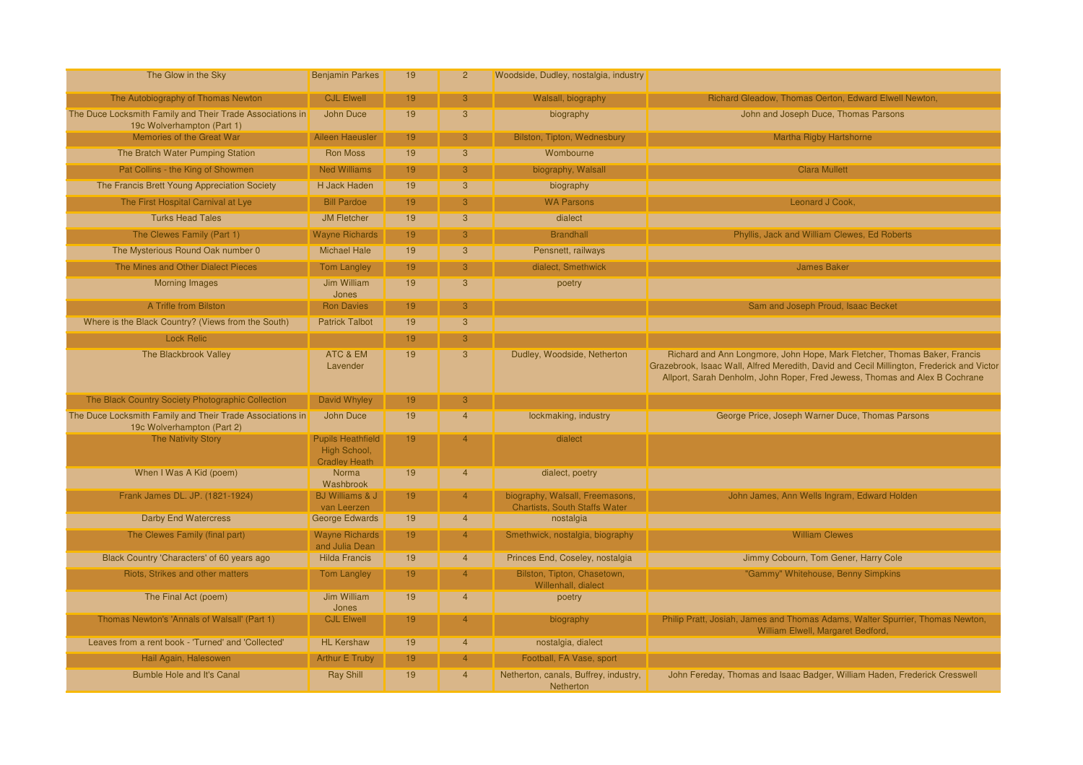| The Glow in the Sky                                                                     | <b>Benjamin Parkes</b>                                           | 19              | 2 <sup>2</sup> | Woodside, Dudley, nostalgia, industry                                   |                                                                                                                                                                                                                                                       |
|-----------------------------------------------------------------------------------------|------------------------------------------------------------------|-----------------|----------------|-------------------------------------------------------------------------|-------------------------------------------------------------------------------------------------------------------------------------------------------------------------------------------------------------------------------------------------------|
| The Autobiography of Thomas Newton                                                      | <b>CJL Elwell</b>                                                | 19              | 3              | Walsall, biography                                                      | Richard Gleadow, Thomas Oerton, Edward Elwell Newton,                                                                                                                                                                                                 |
| The Duce Locksmith Family and Their Trade Associations in<br>19c Wolverhampton (Part 1) | John Duce                                                        | 19              | 3              | biography                                                               | John and Joseph Duce, Thomas Parsons                                                                                                                                                                                                                  |
| Memories of the Great War                                                               | Aileen Haeusler                                                  | 19              | 3 <sup>°</sup> | Bilston, Tipton, Wednesbury                                             | Martha Rigby Hartshorne                                                                                                                                                                                                                               |
| The Bratch Water Pumping Station                                                        | <b>Ron Moss</b>                                                  | 19              | 3              | Wombourne                                                               |                                                                                                                                                                                                                                                       |
| Pat Collins - the King of Showmen                                                       | <b>Ned Williams</b>                                              | 19              | 3              | biography, Walsall                                                      | <b>Clara Mullett</b>                                                                                                                                                                                                                                  |
| The Francis Brett Young Appreciation Society                                            | H Jack Haden                                                     | 19              | 3              | biography                                                               |                                                                                                                                                                                                                                                       |
| The First Hospital Carnival at Lye                                                      | <b>Bill Pardoe</b>                                               | 19              | 3              | <b>WA Parsons</b>                                                       | Leonard J Cook.                                                                                                                                                                                                                                       |
| <b>Turks Head Tales</b>                                                                 | <b>JM Fletcher</b>                                               | 19              | $\mathbf{3}$   | dialect                                                                 |                                                                                                                                                                                                                                                       |
| The Clewes Family (Part 1)                                                              | <b>Wayne Richards</b>                                            | 19              | 3 <sup>°</sup> | <b>Brandhall</b>                                                        | Phyllis, Jack and William Clewes, Ed Roberts                                                                                                                                                                                                          |
| The Mysterious Round Oak number 0                                                       | <b>Michael Hale</b>                                              | 19              | 3              | Pensnett, railways                                                      |                                                                                                                                                                                                                                                       |
| The Mines and Other Dialect Pieces                                                      | <b>Tom Langley</b>                                               | 19              | 3 <sup>1</sup> | dialect, Smethwick                                                      | <b>James Baker</b>                                                                                                                                                                                                                                    |
| <b>Morning Images</b>                                                                   | <b>Jim William</b><br>Jones                                      | 19              | $\overline{3}$ | poetry                                                                  |                                                                                                                                                                                                                                                       |
| A Trifle from Bilston                                                                   | <b>Ron Davies</b>                                                | 19              | $\mathbf{3}$   |                                                                         | Sam and Joseph Proud, Isaac Becket                                                                                                                                                                                                                    |
| Where is the Black Country? (Views from the South)                                      | <b>Patrick Talbot</b>                                            | 19              | 3              |                                                                         |                                                                                                                                                                                                                                                       |
| <b>Lock Relic</b>                                                                       |                                                                  | 19              | 3              |                                                                         |                                                                                                                                                                                                                                                       |
| The Blackbrook Valley                                                                   | ATC & EM<br>Lavender                                             | 19              | $\overline{3}$ | Dudley, Woodside, Netherton                                             | Richard and Ann Longmore, John Hope, Mark Fletcher, Thomas Baker, Francis<br>Grazebrook, Isaac Wall, Alfred Meredith, David and Cecil Millington, Frederick and Victor<br>Allport, Sarah Denholm, John Roper, Fred Jewess, Thomas and Alex B Cochrane |
| The Black Country Society Photographic Collection                                       | David Whyley                                                     | 19              | 3              |                                                                         |                                                                                                                                                                                                                                                       |
| The Duce Locksmith Family and Their Trade Associations in<br>19c Wolverhampton (Part 2) | John Duce                                                        | 19              | $\overline{4}$ | lockmaking, industry                                                    | George Price, Joseph Warner Duce, Thomas Parsons                                                                                                                                                                                                      |
| <b>The Nativity Story</b>                                                               | <b>Pupils Heathfield</b><br>High School,<br><b>Cradley Heath</b> | 19              | $\Delta$       | dialect                                                                 |                                                                                                                                                                                                                                                       |
| When I Was A Kid (poem)                                                                 | Norma<br>Washbrook                                               | 19              | $\overline{4}$ | dialect, poetry                                                         |                                                                                                                                                                                                                                                       |
| Frank James DL. JP. (1821-1924)                                                         | <b>BJ Williams &amp; J</b><br>van Leerzen                        | 19 <sup>°</sup> | $\overline{4}$ | biography, Walsall, Freemasons,<br><b>Chartists, South Staffs Water</b> | John James, Ann Wells Ingram, Edward Holden                                                                                                                                                                                                           |
| <b>Darby End Watercress</b>                                                             | George Edwards                                                   | 19              | $\overline{4}$ | nostalgia                                                               |                                                                                                                                                                                                                                                       |
| The Clewes Family (final part)                                                          | <b>Wayne Richards</b><br>and Julia Dean                          | 19              | $\overline{4}$ | Smethwick, nostalgia, biography                                         | <b>William Clewes</b>                                                                                                                                                                                                                                 |
| Black Country 'Characters' of 60 years ago                                              | <b>Hilda Francis</b>                                             | 19              | $\overline{4}$ | Princes End, Coseley, nostalgia                                         | Jimmy Cobourn, Tom Gener, Harry Cole                                                                                                                                                                                                                  |
| Riots, Strikes and other matters                                                        | <b>Tom Langley</b>                                               | 19              | $\overline{4}$ | Bilston, Tipton, Chasetown,<br>Willenhall, dialect                      | "Gammy" Whitehouse, Benny Simpkins                                                                                                                                                                                                                    |
| The Final Act (poem)                                                                    | Jim William<br>Jones                                             | 19              | $\overline{4}$ | poetry                                                                  |                                                                                                                                                                                                                                                       |
| Thomas Newton's 'Annals of Walsall' (Part 1)                                            | <b>CJL Elwell</b>                                                | 19              | $\overline{4}$ | biography                                                               | Philip Pratt, Josiah, James and Thomas Adams, Walter Spurrier, Thomas Newton,<br>William Elwell, Margaret Bedford,                                                                                                                                    |
| Leaves from a rent book - 'Turned' and 'Collected'                                      | <b>HL Kershaw</b>                                                | 19              | $\overline{4}$ | nostalgia, dialect                                                      |                                                                                                                                                                                                                                                       |
| Hail Again, Halesowen                                                                   | <b>Arthur E Truby</b>                                            | 19              | 4 <sup>1</sup> | Football, FA Vase, sport                                                |                                                                                                                                                                                                                                                       |
| <b>Bumble Hole and It's Canal</b>                                                       | <b>Ray Shill</b>                                                 | 19              | $\overline{4}$ | Netherton, canals, Buffrey, industry,<br>Netherton                      | John Fereday, Thomas and Isaac Badger, William Haden, Frederick Cresswell                                                                                                                                                                             |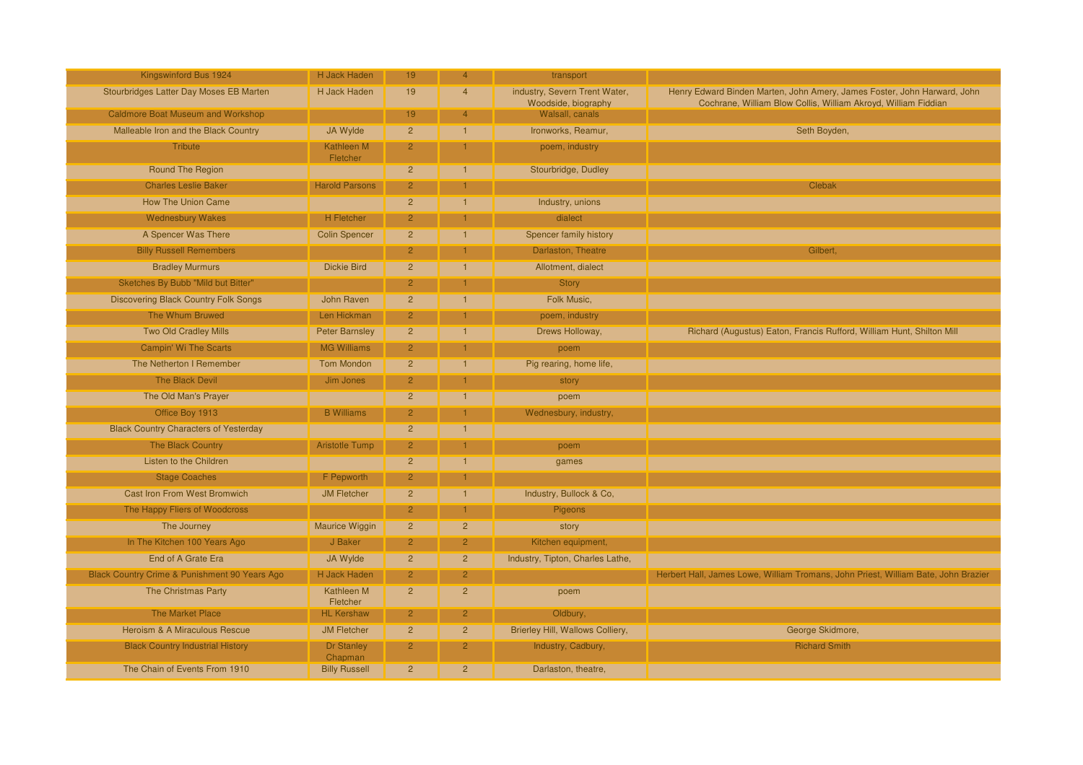| Kingswinford Bus 1924                         | H Jack Haden                 | 19             | $\overline{4}$ | transport                                            |                                                                                                                                            |
|-----------------------------------------------|------------------------------|----------------|----------------|------------------------------------------------------|--------------------------------------------------------------------------------------------------------------------------------------------|
| Stourbridges Latter Day Moses EB Marten       | <b>H Jack Haden</b>          | 19             | $\overline{4}$ | industry, Severn Trent Water,<br>Woodside, biography | Henry Edward Binden Marten, John Amery, James Foster, John Harward, John<br>Cochrane, William Blow Collis, William Akroyd, William Fiddian |
| <b>Caldmore Boat Museum and Workshop</b>      |                              | 19             | 4              | Walsall, canals                                      |                                                                                                                                            |
| Malleable Iron and the Black Country          | <b>JA Wylde</b>              | $\overline{2}$ |                | Ironworks, Reamur,                                   | Seth Boyden,                                                                                                                               |
| <b>Tribute</b>                                | Kathleen M<br>Fletcher       | $\overline{2}$ |                | poem, industry                                       |                                                                                                                                            |
| <b>Round The Region</b>                       |                              | $\overline{2}$ |                | Stourbridge, Dudley                                  |                                                                                                                                            |
| <b>Charles Leslie Baker</b>                   | <b>Harold Parsons</b>        | $\overline{2}$ |                |                                                      | <b>Clebak</b>                                                                                                                              |
| <b>How The Union Came</b>                     |                              | $\overline{2}$ |                | Industry, unions                                     |                                                                                                                                            |
| <b>Wednesbury Wakes</b>                       | <b>H</b> Fletcher            | $\overline{2}$ |                | dialect                                              |                                                                                                                                            |
| A Spencer Was There                           | <b>Colin Spencer</b>         | $\overline{2}$ |                | Spencer family history                               |                                                                                                                                            |
| <b>Billy Russell Remembers</b>                |                              | $\overline{2}$ |                | Darlaston, Theatre                                   | Gilbert.                                                                                                                                   |
| <b>Bradley Murmurs</b>                        | <b>Dickie Bird</b>           | $\overline{2}$ |                | Allotment, dialect                                   |                                                                                                                                            |
| Sketches By Bubb "Mild but Bitter"            |                              | $\overline{2}$ |                | <b>Story</b>                                         |                                                                                                                                            |
| <b>Discovering Black Country Folk Songs</b>   | John Raven                   | $\overline{2}$ |                | Folk Music,                                          |                                                                                                                                            |
| The Whum Bruwed                               | Len Hickman                  | $\overline{2}$ |                | poem, industry                                       |                                                                                                                                            |
| <b>Two Old Cradley Mills</b>                  | <b>Peter Barnsley</b>        | $\overline{2}$ |                | Drews Holloway,                                      | Richard (Augustus) Eaton, Francis Rufford, William Hunt, Shilton Mill                                                                      |
| <b>Campin' Wi The Scarts</b>                  | <b>MG Williams</b>           | $\overline{2}$ |                | poem                                                 |                                                                                                                                            |
| The Netherton I Remember                      | <b>Tom Mondon</b>            | $\overline{2}$ |                | Pig rearing, home life,                              |                                                                                                                                            |
| <b>The Black Devil</b>                        | Jim Jones                    | $\overline{2}$ |                | story                                                |                                                                                                                                            |
| The Old Man's Prayer                          |                              | $\overline{2}$ |                | poem                                                 |                                                                                                                                            |
| Office Boy 1913                               | <b>B</b> Williams            | $\overline{2}$ |                | Wednesbury, industry,                                |                                                                                                                                            |
| <b>Black Country Characters of Yesterday</b>  |                              | $\overline{2}$ |                |                                                      |                                                                                                                                            |
| <b>The Black Country</b>                      | <b>Aristotle Tump</b>        | $\overline{2}$ |                | poem                                                 |                                                                                                                                            |
| Listen to the Children                        |                              | $\overline{2}$ |                | games                                                |                                                                                                                                            |
| <b>Stage Coaches</b>                          | F Pepworth                   | $\overline{2}$ |                |                                                      |                                                                                                                                            |
| <b>Cast Iron From West Bromwich</b>           | <b>JM Fletcher</b>           | $\overline{c}$ |                | Industry, Bullock & Co,                              |                                                                                                                                            |
| The Happy Fliers of Woodcross                 |                              | $\overline{2}$ |                | Pigeons                                              |                                                                                                                                            |
| The Journey                                   | Maurice Wiggin               | $\overline{2}$ | 2 <sup>2</sup> | story                                                |                                                                                                                                            |
| In The Kitchen 100 Years Ago                  | J Baker                      | $\overline{2}$ | $\overline{2}$ | Kitchen equipment,                                   |                                                                                                                                            |
| End of A Grate Era                            | JA Wylde                     | $\overline{2}$ | 2 <sup>2</sup> | Industry, Tipton, Charles Lathe,                     |                                                                                                                                            |
| Black Country Crime & Punishment 90 Years Ago | <b>H Jack Haden</b>          | $\overline{2}$ | $\overline{2}$ |                                                      | Herbert Hall, James Lowe, William Tromans, John Priest, William Bate, John Brazier                                                         |
| The Christmas Party                           | Kathleen M<br>Fletcher       | $\overline{2}$ | 2 <sup>1</sup> | poem                                                 |                                                                                                                                            |
| <b>The Market Place</b>                       | <b>HL Kershaw</b>            | $\overline{2}$ | $\overline{2}$ | Oldbury,                                             |                                                                                                                                            |
| Heroism & A Miraculous Rescue                 | <b>JM Fletcher</b>           | $\overline{2}$ | 2 <sup>2</sup> | Brierley Hill, Wallows Colliery,                     | George Skidmore,                                                                                                                           |
| <b>Black Country Industrial History</b>       | <b>Dr Stanley</b><br>Chapman | $\overline{2}$ | $\overline{2}$ | Industry, Cadbury,                                   | <b>Richard Smith</b>                                                                                                                       |
| The Chain of Events From 1910                 | <b>Billy Russell</b>         | $\overline{2}$ | $\overline{2}$ | Darlaston, theatre,                                  |                                                                                                                                            |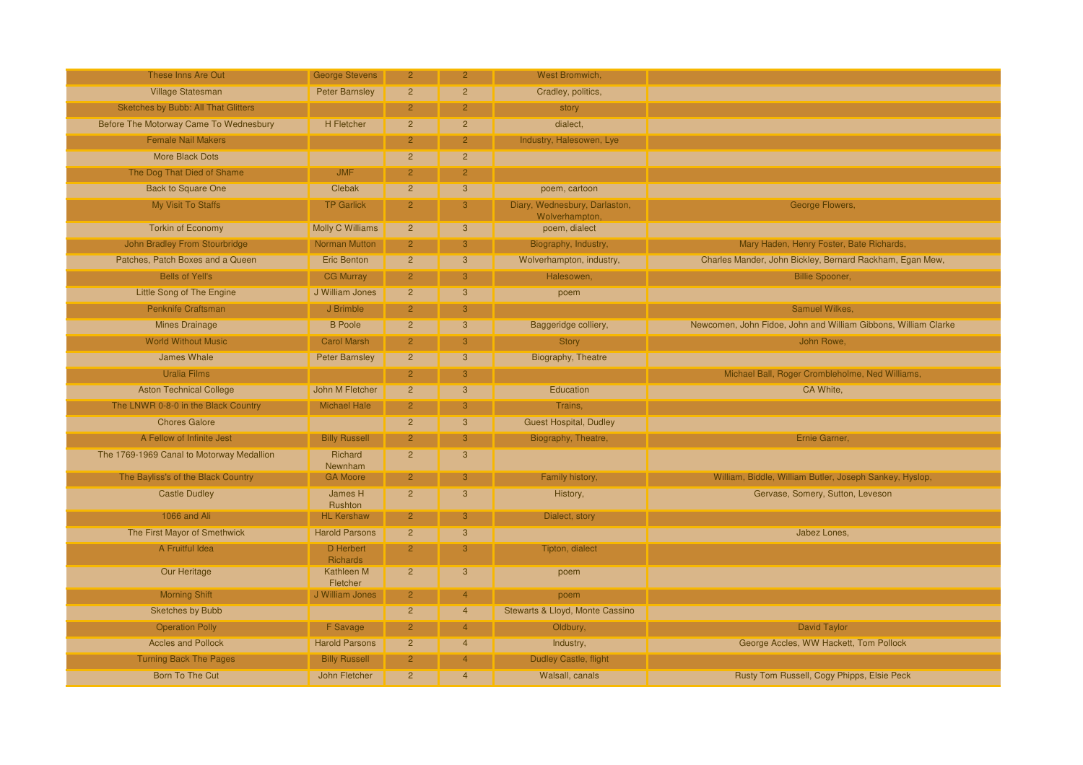| These Inns Are Out                         | <b>George Stevens</b>  | 2 <sup>1</sup> | 2 <sup>1</sup> | West Bromwich,                                  |                                                                |
|--------------------------------------------|------------------------|----------------|----------------|-------------------------------------------------|----------------------------------------------------------------|
| <b>Village Statesman</b>                   | <b>Peter Barnsley</b>  | $\overline{2}$ | $\overline{2}$ | Cradley, politics,                              |                                                                |
| <b>Sketches by Bubb: All That Glitters</b> |                        | $\overline{2}$ | 2 <sup>1</sup> | story                                           |                                                                |
| Before The Motorway Came To Wednesbury     | <b>H</b> Fletcher      | $\overline{2}$ | $\overline{2}$ | dialect.                                        |                                                                |
| <b>Female Nail Makers</b>                  |                        | $\overline{2}$ | 2 <sup>1</sup> | Industry, Halesowen, Lye                        |                                                                |
| <b>More Black Dots</b>                     |                        | $\overline{2}$ | $\overline{2}$ |                                                 |                                                                |
| The Dog That Died of Shame                 | <b>JMF</b>             | $\overline{2}$ | 2 <sup>1</sup> |                                                 |                                                                |
| Back to Square One                         | <b>Clebak</b>          | $\overline{2}$ | $\overline{3}$ | poem, cartoon                                   |                                                                |
| My Visit To Staffs                         | <b>TP Garlick</b>      | $\overline{2}$ | 3              | Diary, Wednesbury, Darlaston,<br>Wolverhampton, | George Flowers,                                                |
| <b>Torkin of Economy</b>                   | Molly C Williams       | $\overline{2}$ | $\mathbf{3}$   | poem, dialect                                   |                                                                |
| John Bradley From Stourbridge              | <b>Norman Mutton</b>   | $\overline{2}$ | 3 <sup>1</sup> | Biography, Industry,                            | Mary Haden, Henry Foster, Bate Richards,                       |
| Patches, Patch Boxes and a Queen           | <b>Eric Benton</b>     | $\overline{2}$ | $\overline{3}$ | Wolverhampton, industry,                        | Charles Mander, John Bickley, Bernard Rackham, Egan Mew,       |
| <b>Bells of Yell's</b>                     | <b>CG Murray</b>       | $\overline{2}$ | 3              | Halesowen,                                      | <b>Billie Spooner,</b>                                         |
| Little Song of The Engine                  | J William Jones        | $\overline{2}$ | $\overline{3}$ | poem                                            |                                                                |
| <b>Penknife Craftsman</b>                  | J Brimble              | $\overline{2}$ | 3              |                                                 | <b>Samuel Wilkes,</b>                                          |
| <b>Mines Drainage</b>                      | <b>B</b> Poole         | $\overline{2}$ | $\overline{3}$ | Baggeridge colliery,                            | Newcomen, John Fidoe, John and William Gibbons, William Clarke |
| <b>World Without Music</b>                 | <b>Carol Marsh</b>     | $\overline{2}$ | 3              | <b>Story</b>                                    | John Rowe,                                                     |
| <b>James Whale</b>                         | <b>Peter Barnsley</b>  | $\overline{2}$ | 3              | Biography, Theatre                              |                                                                |
| <b>Uralia Films</b>                        |                        | $\overline{2}$ | 3              |                                                 | Michael Ball, Roger Crombleholme, Ned Williams,                |
| <b>Aston Technical College</b>             | John M Fletcher        | $\overline{2}$ | 3              | Education                                       | CA White,                                                      |
| The LNWR 0-8-0 in the Black Country        | <b>Michael Hale</b>    | $\overline{2}$ | 3 <sup>1</sup> | Trains,                                         |                                                                |
| <b>Chores Galore</b>                       |                        | $\overline{2}$ | $\overline{3}$ | <b>Guest Hospital, Dudley</b>                   |                                                                |
| A Fellow of Infinite Jest                  | <b>Billy Russell</b>   | $\overline{2}$ | 3 <sup>7</sup> | Biography, Theatre,                             | Ernie Garner,                                                  |
| The 1769-1969 Canal to Motorway Medallion  | Richard<br>Newnham     | $\overline{2}$ | $\overline{3}$ |                                                 |                                                                |
| The Bayliss's of the Black Country         | <b>GA Moore</b>        | $\overline{2}$ | 3              | Family history,                                 | William, Biddle, William Butler, Joseph Sankey, Hyslop,        |
| <b>Castle Dudley</b>                       | James H<br>Rushton     | $\overline{2}$ | $\overline{3}$ | History,                                        | Gervase, Somery, Sutton, Leveson                               |
| 1066 and Ali                               | <b>HL Kershaw</b>      | $\overline{2}$ | 3              | Dialect, story                                  |                                                                |
| The First Mayor of Smethwick               | <b>Harold Parsons</b>  | $\overline{2}$ | $\overline{3}$ |                                                 | Jabez Lones,                                                   |
| A Fruitful Idea                            | D Herbert<br>Richards  | $\overline{2}$ | 3              | Tipton, dialect                                 |                                                                |
| Our Heritage                               | Kathleen M<br>Fletcher | $\overline{2}$ | 3              | poem                                            |                                                                |
| <b>Morning Shift</b>                       | J William Jones        | $\overline{2}$ | $\overline{4}$ | poem                                            |                                                                |
| <b>Sketches by Bubb</b>                    |                        | $\overline{2}$ | $\overline{4}$ | Stewarts & Lloyd, Monte Cassino                 |                                                                |
| <b>Operation Polly</b>                     | F Savage               | $\overline{2}$ | $\overline{4}$ | Oldbury,                                        | <b>David Taylor</b>                                            |
| <b>Accles and Pollock</b>                  | <b>Harold Parsons</b>  | $\overline{2}$ | $\overline{4}$ | Industry,                                       | George Accles, WW Hackett, Tom Pollock                         |
| <b>Turning Back The Pages</b>              | <b>Billy Russell</b>   | $\overline{2}$ | $\overline{4}$ | Dudley Castle, flight                           |                                                                |
| <b>Born To The Cut</b>                     | <b>John Fletcher</b>   | $\overline{2}$ | $\overline{4}$ | Walsall, canals                                 | Rusty Tom Russell, Cogy Phipps, Elsie Peck                     |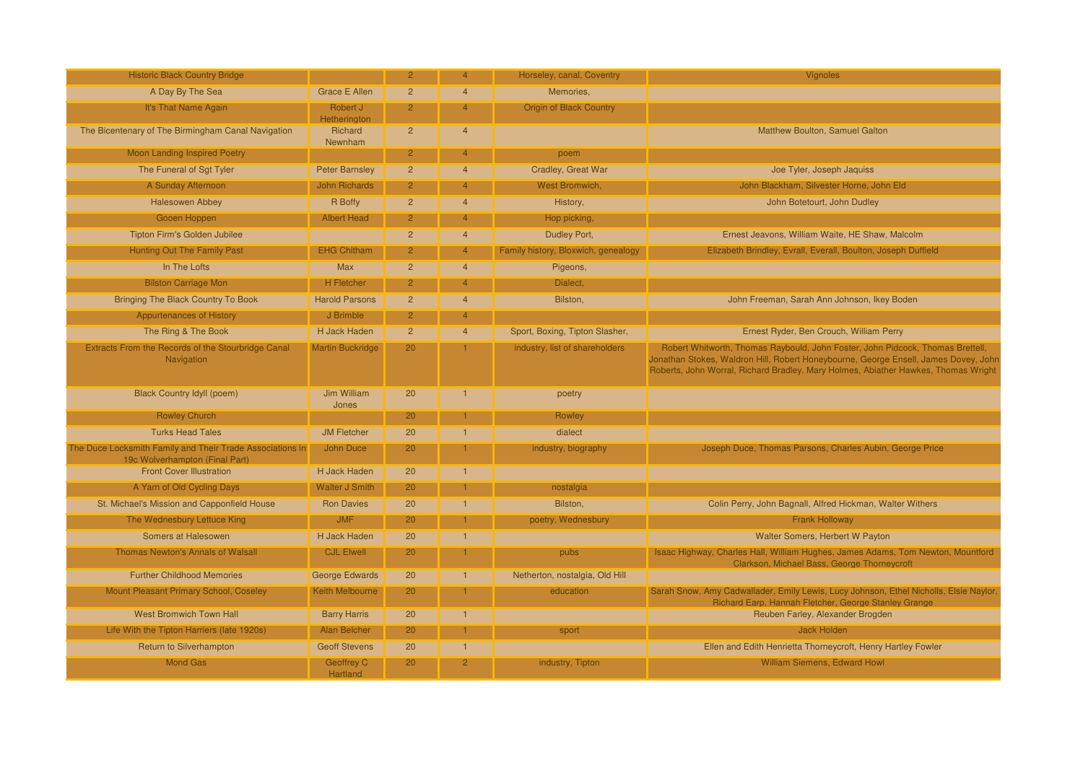| <b>Historic Black Country Bridge</b>                                                        |                                      | $\overline{2}$ |                | Horseley, canal, Coventry           | <b>Vignoles</b>                                                                                                                                                                                                                                             |
|---------------------------------------------------------------------------------------------|--------------------------------------|----------------|----------------|-------------------------------------|-------------------------------------------------------------------------------------------------------------------------------------------------------------------------------------------------------------------------------------------------------------|
| A Day By The Sea                                                                            | <b>Grace E Allen</b>                 | $\overline{2}$ | $\overline{4}$ | Memories,                           |                                                                                                                                                                                                                                                             |
| It's That Name Again                                                                        | Robert J<br>Hetherington             | $\overline{2}$ | $\overline{4}$ | <b>Origin of Black Country</b>      |                                                                                                                                                                                                                                                             |
| The Bicentenary of The Birmingham Canal Navigation                                          | Richard<br>Newnham                   | $\overline{2}$ | $\overline{4}$ |                                     | Matthew Boulton, Samuel Galton                                                                                                                                                                                                                              |
| <b>Moon Landing Inspired Poetry</b>                                                         |                                      | $\overline{2}$ | $\overline{4}$ | poem                                |                                                                                                                                                                                                                                                             |
| The Funeral of Sgt Tyler                                                                    | <b>Peter Barnsley</b>                | $\overline{2}$ | $\overline{4}$ | Cradley, Great War                  | Joe Tyler, Joseph Jaquiss                                                                                                                                                                                                                                   |
| A Sunday Afternoon                                                                          | <b>John Richards</b>                 | $\overline{2}$ | $\overline{4}$ | West Bromwich,                      | John Blackham, Silvester Horne, John Eld                                                                                                                                                                                                                    |
| <b>Halesowen Abbey</b>                                                                      | R Boffy                              | $\overline{2}$ | $\overline{4}$ | History,                            | John Botetourt, John Dudley                                                                                                                                                                                                                                 |
| Gooen Hoppen                                                                                | <b>Albert Head</b>                   | $\overline{2}$ | $\mathbf{A}$   | Hop picking,                        |                                                                                                                                                                                                                                                             |
| <b>Tipton Firm's Golden Jubilee</b>                                                         |                                      | $\overline{2}$ | $\overline{4}$ | Dudley Port,                        | Ernest Jeavons, William Waite, HE Shaw, Malcolm                                                                                                                                                                                                             |
| <b>Hunting Out The Family Past</b>                                                          | <b>EHG Chitham</b>                   | $\overline{2}$ | $\overline{4}$ | Family history, Bloxwich, genealogy | Elizabeth Brindley, Evrall, Everall, Boulton, Joseph Duffield                                                                                                                                                                                               |
| In The Lofts                                                                                | Max                                  | $\overline{2}$ | $\overline{4}$ | Pigeons,                            |                                                                                                                                                                                                                                                             |
| <b>Bilston Carriage Mon</b>                                                                 | <b>H</b> Fletcher                    | $\overline{2}$ | $\overline{4}$ | Dialect,                            |                                                                                                                                                                                                                                                             |
| Bringing The Black Country To Book                                                          | <b>Harold Parsons</b>                | $\overline{2}$ | $\overline{A}$ | Bilston,                            | John Freeman, Sarah Ann Johnson, Ikey Boden                                                                                                                                                                                                                 |
| <b>Appurtenances of History</b>                                                             | J Brimble                            | $\overline{2}$ | $\overline{4}$ |                                     |                                                                                                                                                                                                                                                             |
| The Ring & The Book                                                                         | H Jack Haden                         | $\overline{2}$ | $\overline{4}$ | Sport, Boxing, Tipton Slasher,      | Ernest Ryder, Ben Crouch, William Perry                                                                                                                                                                                                                     |
| Extracts From the Records of the Stourbridge Canal<br>Navigation                            | <b>Martin Buckridge</b>              | 20             |                | industry, list of shareholders      | Robert Whitworth, Thomas Raybould, John Foster, John Pidcock, Thomas Brettell,<br>Jonathan Stokes, Waldron Hill, Robert Honeybourne, George Ensell, James Dovey, Johr<br>Roberts, John Worral, Richard Bradley, Mary Holmes, Abiather Hawkes, Thomas Wright |
| <b>Black Country Idyll (poem)</b>                                                           | <b>Jim William</b><br>Jones          | 20             |                | poetry                              |                                                                                                                                                                                                                                                             |
| <b>Rowley Church</b>                                                                        |                                      | 20             |                | Rowley                              |                                                                                                                                                                                                                                                             |
| <b>Turks Head Tales</b>                                                                     | <b>JM Fletcher</b>                   | 20             |                | dialect                             |                                                                                                                                                                                                                                                             |
| The Duce Locksmith Family and Their Trade Associations in<br>19c Wolverhampton (Final Part) | John Duce                            | 20             |                | industry, biography                 | Joseph Duce, Thomas Parsons, Charles Aubin, George Price                                                                                                                                                                                                    |
| <b>Front Cover Illustration</b>                                                             | <b>H</b> Jack Haden                  | 20             | $\mathbf{1}$   |                                     |                                                                                                                                                                                                                                                             |
| A Yarn of Old Cycling Days                                                                  | <b>Walter J Smith</b>                | 20             |                | nostalgia                           |                                                                                                                                                                                                                                                             |
| St. Michael's Mission and Capponfield House                                                 | <b>Ron Davies</b>                    | 20             | $\overline{1}$ | Bilston,                            | Colin Perry, John Bagnall, Alfred Hickman, Walter Withers                                                                                                                                                                                                   |
| The Wednesbury Lettuce King                                                                 | <b>JMF</b>                           | 20             |                | poetry, Wednesbury                  | <b>Frank Holloway</b>                                                                                                                                                                                                                                       |
| Somers at Halesowen                                                                         | H Jack Haden                         | 20             | $\blacksquare$ |                                     | Walter Somers, Herbert W Payton                                                                                                                                                                                                                             |
| <b>Thomas Newton's Annals of Walsall</b>                                                    | <b>CJL Elwell</b>                    | 20             |                | pubs                                | Isaac Highway, Charles Hall, William Hughes, James Adams, Tom Newton, Mountford<br>Clarkson, Michael Bass, George Thorneycroft                                                                                                                              |
| <b>Further Childhood Memories</b>                                                           | <b>George Edwards</b>                | 20             |                | Netherton, nostalgia, Old Hill      |                                                                                                                                                                                                                                                             |
| Mount Pleasant Primary School, Coseley                                                      | Keith Melbourne                      | 20             |                | education                           | Sarah Snow, Amy Cadwallader, Emily Lewis, Lucy Johnson, Ethel Nicholls, Elsie Naylor.<br>Richard Earp, Hannah Fletcher, George Stanley Grange                                                                                                               |
| <b>West Bromwich Town Hall</b>                                                              | <b>Barry Harris</b>                  | 20             | 1              |                                     | Reuben Farley, Alexander Brogden                                                                                                                                                                                                                            |
| Life With the Tipton Harriers (late 1920s)                                                  | Alan Belcher                         | 20             |                | sport                               | <b>Jack Holden</b>                                                                                                                                                                                                                                          |
| Return to Silverhampton                                                                     | <b>Geoff Stevens</b>                 | 20             |                |                                     | Ellen and Edith Henrietta Thorneycroft, Henry Hartley Fowler                                                                                                                                                                                                |
| <b>Mond Gas</b>                                                                             | <b>Geoffrey C</b><br><b>Hartland</b> | 20             | $\overline{2}$ | industry, Tipton                    | <b>William Siemens, Edward Howl</b>                                                                                                                                                                                                                         |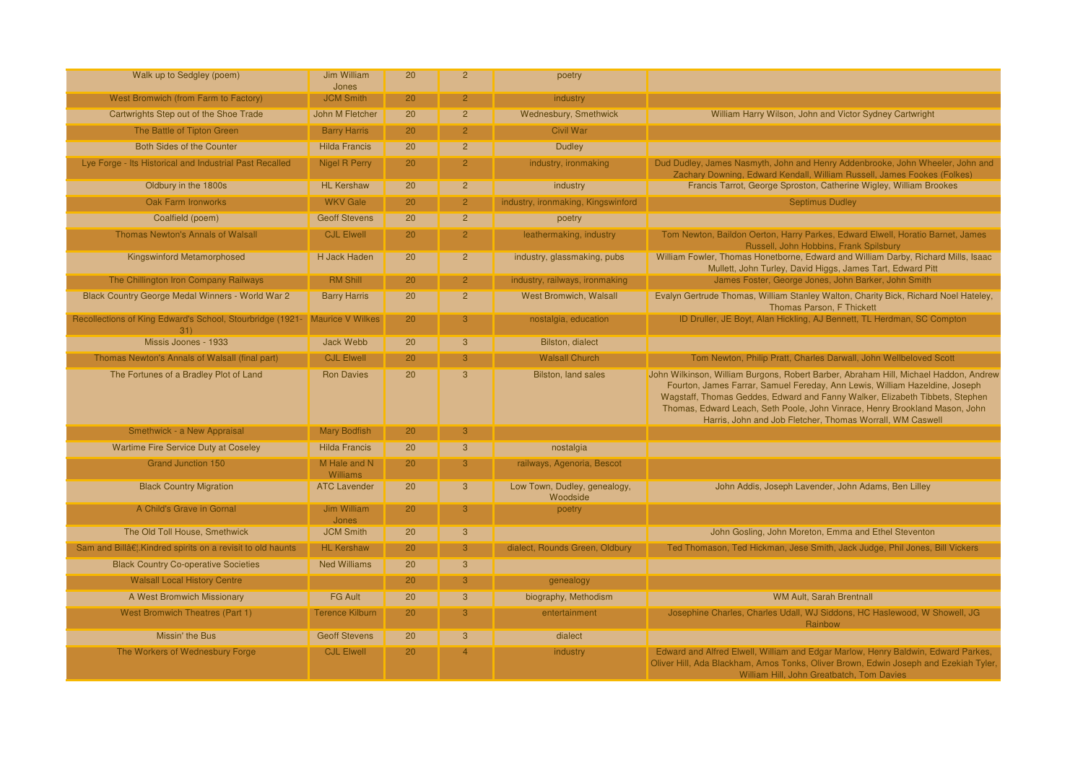| Walk up to Sedgley (poem)                                        | <b>Jim William</b><br>Jones     | 20              | $\overline{2}$ | poetry                                   |                                                                                                                                                                                                                                                                                                                                                                                                 |
|------------------------------------------------------------------|---------------------------------|-----------------|----------------|------------------------------------------|-------------------------------------------------------------------------------------------------------------------------------------------------------------------------------------------------------------------------------------------------------------------------------------------------------------------------------------------------------------------------------------------------|
| West Bromwich (from Farm to Factory)                             | <b>JCM Smith</b>                | 20              | $\mathcal{P}$  | industry                                 |                                                                                                                                                                                                                                                                                                                                                                                                 |
| Cartwrights Step out of the Shoe Trade                           | John M Fletcher                 | 20              | $\overline{2}$ | Wednesbury, Smethwick                    | William Harry Wilson, John and Victor Sydney Cartwright                                                                                                                                                                                                                                                                                                                                         |
| The Battle of Tipton Green                                       | <b>Barry Harris</b>             | 20              | $\overline{2}$ | <b>Civil War</b>                         |                                                                                                                                                                                                                                                                                                                                                                                                 |
| <b>Both Sides of the Counter</b>                                 | <b>Hilda Francis</b>            | 20              | $\overline{2}$ | <b>Dudley</b>                            |                                                                                                                                                                                                                                                                                                                                                                                                 |
| Lye Forge - Its Historical and Industrial Past Recalled          | <b>Nigel R Perry</b>            | 20              | $\overline{2}$ | industry, ironmaking                     | Dud Dudley, James Nasmyth, John and Henry Addenbrooke, John Wheeler, John and<br>Zachary Downing, Edward Kendall, William Russell, James Fookes (Folkes)                                                                                                                                                                                                                                        |
| Oldbury in the 1800s                                             | <b>HL Kershaw</b>               | 20              | $\overline{2}$ | industry                                 | Francis Tarrot, George Sproston, Catherine Wigley, William Brookes                                                                                                                                                                                                                                                                                                                              |
| Oak Farm Ironworks                                               | <b>WKV Gale</b>                 | 20              | $\overline{2}$ | industry, ironmaking, Kingswinford       | <b>Septimus Dudley</b>                                                                                                                                                                                                                                                                                                                                                                          |
| Coalfield (poem)                                                 | <b>Geoff Stevens</b>            | 20              | $\overline{2}$ | poetry                                   |                                                                                                                                                                                                                                                                                                                                                                                                 |
| <b>Thomas Newton's Annals of Walsall</b>                         | <b>CJL Elwell</b>               | 20              | $\mathcal{P}$  | leathermaking, industry                  | Tom Newton, Baildon Oerton, Harry Parkes, Edward Elwell, Horatio Barnet, James<br>Russell, John Hobbins, Frank Spilsbury                                                                                                                                                                                                                                                                        |
| Kingswinford Metamorphosed                                       | H Jack Haden                    | 20              | $\overline{2}$ | industry, glassmaking, pubs              | William Fowler, Thomas Honetborne, Edward and William Darby, Richard Mills, Isaac<br>Mullett, John Turley, David Higgs, James Tart, Edward Pitt                                                                                                                                                                                                                                                 |
| The Chillington Iron Company Railways                            | <b>RM Shill</b>                 | 20              | $\overline{2}$ | industry, railways, ironmaking           | James Foster, George Jones, John Barker, John Smith                                                                                                                                                                                                                                                                                                                                             |
| Black Country George Medal Winners - World War 2                 | <b>Barry Harris</b>             | 20              | $\overline{2}$ | West Bromwich, Walsall                   | Evalyn Gertrude Thomas, William Stanley Walton, Charity Bick, Richard Noel Hateley,<br>Thomas Parson, F Thickett                                                                                                                                                                                                                                                                                |
| Recollections of King Edward's School, Stourbridge (1921-<br>31) | <b>Maurice V Wilkes</b>         | 20              | 3              | nostalgia, education                     | ID Druller, JE Boyt, Alan Hickling, AJ Bennett, TL Herdman, SC Compton                                                                                                                                                                                                                                                                                                                          |
| Missis Joones - 1933                                             | <b>Jack Webb</b>                | 20              | 3              | <b>Bilston, dialect</b>                  |                                                                                                                                                                                                                                                                                                                                                                                                 |
| Thomas Newton's Annals of Walsall (final part)                   | <b>CJL Elwell</b>               | 20              | 3              | <b>Walsall Church</b>                    | Tom Newton, Philip Pratt, Charles Darwall, John Wellbeloved Scott                                                                                                                                                                                                                                                                                                                               |
| The Fortunes of a Bradley Plot of Land                           | <b>Ron Davies</b>               | 20              | 3              | <b>Bilston, land sales</b>               | John Wilkinson, William Burgons, Robert Barber, Abraham Hill, Michael Haddon, Andrew<br>Fourton, James Farrar, Samuel Fereday, Ann Lewis, William Hazeldine, Joseph<br>Wagstaff, Thomas Geddes, Edward and Fanny Walker, Elizabeth Tibbets, Stephen<br>Thomas, Edward Leach, Seth Poole, John Vinrace, Henry Brookland Mason, John<br>Harris, John and Job Fletcher, Thomas Worrall, WM Caswell |
| Smethwick - a New Appraisal                                      | <b>Mary Bodfish</b>             | 20              |                |                                          |                                                                                                                                                                                                                                                                                                                                                                                                 |
| <b>Wartime Fire Service Duty at Coseley</b>                      | <b>Hilda Francis</b>            | 20              | 3              | nostalgia                                |                                                                                                                                                                                                                                                                                                                                                                                                 |
| <b>Grand Junction 150</b>                                        | M Hale and N<br><b>Williams</b> | 20              | 3              | railways, Agenoria, Bescot               |                                                                                                                                                                                                                                                                                                                                                                                                 |
| <b>Black Country Migration</b>                                   | <b>ATC Lavender</b>             | 20              | 3              | Low Town, Dudley, genealogy,<br>Woodside | John Addis, Joseph Lavender, John Adams, Ben Lilley                                                                                                                                                                                                                                                                                                                                             |
| A Child's Grave in Gornal                                        | Jim William<br>Jones            | 20              | 3              | poetry                                   |                                                                                                                                                                                                                                                                                                                                                                                                 |
| The Old Toll House, Smethwick                                    | <b>JCM Smith</b>                | 20              | $\overline{3}$ |                                          | John Gosling, John Moreton, Emma and Ethel Steventon                                                                                                                                                                                                                                                                                                                                            |
| Sam and Bill…. Kindred spirits on a revisit to old haunts        | <b>HL Kershaw</b>               | 20              | 3              | dialect, Rounds Green, Oldbury           | Ted Thomason, Ted Hickman, Jese Smith, Jack Judge, Phil Jones, Bill Vickers                                                                                                                                                                                                                                                                                                                     |
| <b>Black Country Co-operative Societies</b>                      | <b>Ned Williams</b>             | 20              | 3              |                                          |                                                                                                                                                                                                                                                                                                                                                                                                 |
| <b>Walsall Local History Centre</b>                              |                                 | 20              | 3              | genealogy                                |                                                                                                                                                                                                                                                                                                                                                                                                 |
| A West Bromwich Missionary                                       | <b>FG Ault</b>                  | 20              | 3              | biography, Methodism                     | <b>WM Ault, Sarah Brentnall</b>                                                                                                                                                                                                                                                                                                                                                                 |
| <b>West Bromwich Theatres (Part 1)</b>                           | <b>Terence Kilburn</b>          | 20              | $\mathcal{R}$  | entertainment                            | Josephine Charles, Charles Udall, WJ Siddons, HC Haslewood, W Showell, JG<br>Rainbow                                                                                                                                                                                                                                                                                                            |
| Missin' the Bus                                                  | <b>Geoff Stevens</b>            | 20              | 3              | dialect                                  |                                                                                                                                                                                                                                                                                                                                                                                                 |
| The Workers of Wednesbury Forge                                  | <b>CJL Elwell</b>               | 20 <sup>°</sup> | $\Delta$       | industry                                 | Edward and Alfred Elwell, William and Edgar Marlow, Henry Baldwin, Edward Parkes,<br>Oliver Hill, Ada Blackham, Amos Tonks, Oliver Brown, Edwin Joseph and Ezekiah Tyler<br>William Hill, John Greatbatch, Tom Davies                                                                                                                                                                           |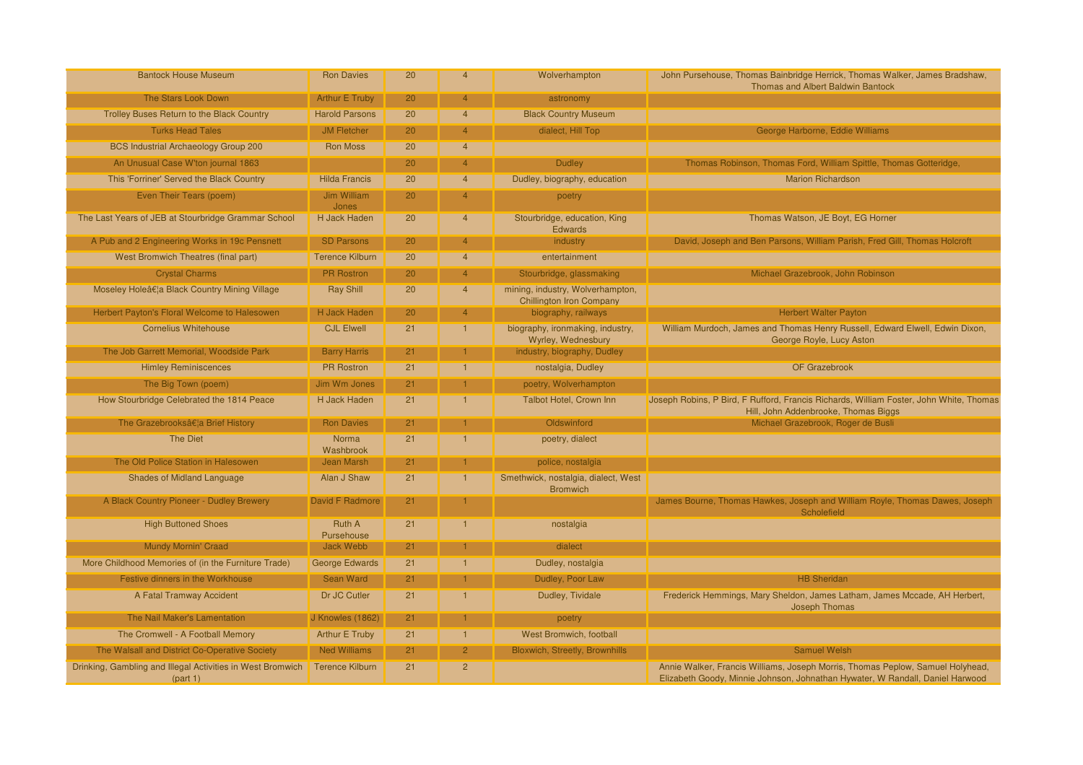| <b>Bantock House Museum</b>                                            | <b>Ron Davies</b>      | 20 | $\overline{4}$          | Wolverhampton                                                       | John Pursehouse, Thomas Bainbridge Herrick, Thomas Walker, James Bradshaw,<br><b>Thomas and Albert Baldwin Bantock</b>                                          |
|------------------------------------------------------------------------|------------------------|----|-------------------------|---------------------------------------------------------------------|-----------------------------------------------------------------------------------------------------------------------------------------------------------------|
| The Stars Look Down                                                    | <b>Arthur E Truby</b>  | 20 |                         | astronomy                                                           |                                                                                                                                                                 |
| Trolley Buses Return to the Black Country                              | <b>Harold Parsons</b>  | 20 | $\overline{4}$          | <b>Black Country Museum</b>                                         |                                                                                                                                                                 |
| <b>Turks Head Tales</b>                                                | <b>JM Fletcher</b>     | 20 | 4                       | dialect, Hill Top                                                   | George Harborne, Eddie Williams                                                                                                                                 |
| <b>BCS Industrial Archaeology Group 200</b>                            | <b>Ron Moss</b>        | 20 | $\overline{4}$          |                                                                     |                                                                                                                                                                 |
| An Unusual Case W'ton journal 1863                                     |                        | 20 | 4                       | <b>Dudley</b>                                                       | Thomas Robinson, Thomas Ford, William Spittle, Thomas Gotteridge,                                                                                               |
| This 'Forriner' Served the Black Country                               | <b>Hilda Francis</b>   | 20 | $\overline{4}$          | Dudley, biography, education                                        | <b>Marion Richardson</b>                                                                                                                                        |
| Even Their Tears (poem)                                                | Jim William<br>Jones   | 20 | 4                       | poetry                                                              |                                                                                                                                                                 |
| The Last Years of JEB at Stourbridge Grammar School                    | H Jack Haden           | 20 | $\overline{4}$          | Stourbridge, education, King<br>Edwards                             | Thomas Watson, JE Boyt, EG Horner                                                                                                                               |
| A Pub and 2 Engineering Works in 19c Pensnett                          | <b>SD Parsons</b>      | 20 | 4                       | industry                                                            | David, Joseph and Ben Parsons, William Parish, Fred Gill, Thomas Holcroft                                                                                       |
| West Bromwich Theatres (final part)                                    | <b>Terence Kilburn</b> | 20 | $\overline{4}$          | entertainment                                                       |                                                                                                                                                                 |
| <b>Crystal Charms</b>                                                  | <b>PR Rostron</b>      | 20 | 4                       | Stourbridge, glassmaking                                            | Michael Grazebrook, John Robinson                                                                                                                               |
| Moseley Hole…a Black Country Mining Village                            | <b>Ray Shill</b>       | 20 | $\overline{4}$          | mining, industry, Wolverhampton,<br><b>Chillington Iron Company</b> |                                                                                                                                                                 |
| Herbert Payton's Floral Welcome to Halesowen                           | <b>H Jack Haden</b>    | 20 |                         | biography, railways                                                 | <b>Herbert Walter Payton</b>                                                                                                                                    |
| <b>Cornelius Whitehouse</b>                                            | <b>CJL Elwell</b>      | 21 | $\overline{\mathbf{1}}$ | biography, ironmaking, industry,<br>Wyrley, Wednesbury              | William Murdoch, James and Thomas Henry Russell, Edward Elwell, Edwin Dixon,<br>George Royle, Lucy Aston                                                        |
| The Job Garrett Memorial, Woodside Park                                | <b>Barry Harris</b>    | 21 |                         | industry, biography, Dudley                                         |                                                                                                                                                                 |
| <b>Himley Reminiscences</b>                                            | <b>PR</b> Rostron      | 21 | $\blacksquare$          | nostalgia, Dudley                                                   | OF Grazebrook                                                                                                                                                   |
| The Big Town (poem)                                                    | <b>Jim Wm Jones</b>    | 21 |                         | poetry, Wolverhampton                                               |                                                                                                                                                                 |
| How Stourbridge Celebrated the 1814 Peace                              | H Jack Haden           | 21 |                         | Talbot Hotel, Crown Inn                                             | Joseph Robins, P Bird, F Rufford, Francis Richards, William Foster, John White, Thomas<br>Hill, John Addenbrooke, Thomas Biggs                                  |
| The Grazebrooks…a Brief History                                        | <b>Ron Davies</b>      | 21 |                         | Oldswinford                                                         | Michael Grazebrook, Roger de Busli                                                                                                                              |
| <b>The Diet</b>                                                        | Norma<br>Washbrook     | 21 |                         | poetry, dialect                                                     |                                                                                                                                                                 |
| The Old Police Station in Halesowen                                    | <b>Jean Marsh</b>      | 21 |                         | police, nostalgia                                                   |                                                                                                                                                                 |
| <b>Shades of Midland Language</b>                                      | Alan J Shaw            | 21 | 1                       | Smethwick, nostalgia, dialect, West<br><b>Bromwich</b>              |                                                                                                                                                                 |
| A Black Country Pioneer - Dudley Brewery                               | <b>David F Radmore</b> | 21 |                         |                                                                     | James Bourne, Thomas Hawkes, Joseph and William Royle, Thomas Dawes, Joseph<br><b>Scholefield</b>                                                               |
| <b>High Buttoned Shoes</b>                                             | Ruth A<br>Pursehouse   | 21 |                         | nostalgia                                                           |                                                                                                                                                                 |
| <b>Mundy Mornin' Craad</b>                                             | <b>Jack Webb</b>       | 21 |                         | dialect                                                             |                                                                                                                                                                 |
| More Childhood Memories of (in the Furniture Trade)                    | <b>George Edwards</b>  | 21 |                         | Dudley, nostalgia                                                   |                                                                                                                                                                 |
| Festive dinners in the Workhouse                                       | Sean Ward              | 21 |                         | Dudley, Poor Law                                                    | <b>HB Sheridan</b>                                                                                                                                              |
| A Fatal Tramway Accident                                               | Dr JC Cutler           | 21 |                         | Dudley, Tividale                                                    | Frederick Hemmings, Mary Sheldon, James Latham, James Mccade, AH Herbert,<br><b>Joseph Thomas</b>                                                               |
| <b>The Nail Maker's Lamentation</b>                                    | J Knowles (1862)       | 21 |                         | poetry                                                              |                                                                                                                                                                 |
| The Cromwell - A Football Memory                                       | Arthur E Truby         | 21 | $\blacksquare$          | West Bromwich, football                                             |                                                                                                                                                                 |
| The Walsall and District Co-Operative Society                          | <b>Ned Williams</b>    | 21 | $\overline{2}$          | <b>Bloxwich, Streetly, Brownhills</b>                               | <b>Samuel Welsh</b>                                                                                                                                             |
| Drinking, Gambling and Illegal Activities in West Bromwich<br>(part 1) | Terence Kilburn        | 21 | $\overline{2}$          |                                                                     | Annie Walker, Francis Williams, Joseph Morris, Thomas Peplow, Samuel Holyhead,<br>Elizabeth Goody, Minnie Johnson, Johnathan Hywater, W Randall, Daniel Harwood |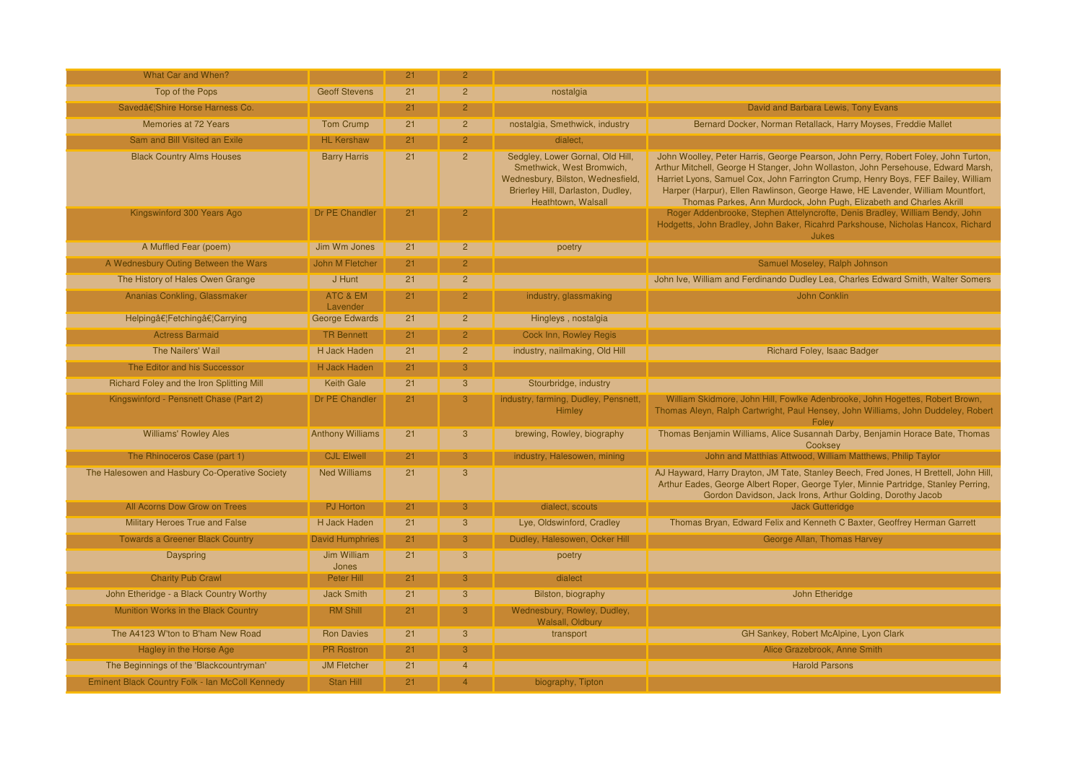| <b>What Car and When?</b>                       |                         | 21 | $\overline{2}$ |                                                                                                                                                               |                                                                                                                                                                                                                                                                                                                                                                                                                       |
|-------------------------------------------------|-------------------------|----|----------------|---------------------------------------------------------------------------------------------------------------------------------------------------------------|-----------------------------------------------------------------------------------------------------------------------------------------------------------------------------------------------------------------------------------------------------------------------------------------------------------------------------------------------------------------------------------------------------------------------|
| Top of the Pops                                 | <b>Geoff Stevens</b>    | 21 | $\overline{2}$ | nostalgia                                                                                                                                                     |                                                                                                                                                                                                                                                                                                                                                                                                                       |
| Saved…Shire Horse Harness Co.                   |                         | 21 | $\overline{2}$ |                                                                                                                                                               | David and Barbara Lewis, Tony Evans                                                                                                                                                                                                                                                                                                                                                                                   |
| Memories at 72 Years                            | <b>Tom Crump</b>        | 21 | $2^{\circ}$    | nostalgia, Smethwick, industry                                                                                                                                | Bernard Docker, Norman Retallack, Harry Moyses, Freddie Mallet                                                                                                                                                                                                                                                                                                                                                        |
| Sam and Bill Visited an Exile                   | <b>HL Kershaw</b>       | 21 | 2 <sup>1</sup> | dialect.                                                                                                                                                      |                                                                                                                                                                                                                                                                                                                                                                                                                       |
| <b>Black Country Alms Houses</b>                | <b>Barry Harris</b>     | 21 | $\overline{2}$ | Sedgley, Lower Gornal, Old Hill,<br>Smethwick, West Bromwich,<br>Wednesbury, Bilston, Wednesfield,<br>Brierley Hill, Darlaston, Dudley,<br>Heathtown, Walsall | John Woolley, Peter Harris, George Pearson, John Perry, Robert Foley, John Turton,<br>Arthur Mitchell, George H Stanger, John Wollaston, John Persehouse, Edward Marsh,<br>Harriet Lyons, Samuel Cox, John Farrington Crump, Henry Boys, FEF Bailey, William<br>Harper (Harpur), Ellen Rawlinson, George Hawe, HE Lavender, William Mountfort,<br>Thomas Parkes, Ann Murdock, John Pugh, Elizabeth and Charles Akrill |
| Kingswinford 300 Years Ago                      | Dr PE Chandler          | 21 | $\overline{2}$ |                                                                                                                                                               | Roger Addenbrooke, Stephen Attelyncrofte, Denis Bradley, William Bendy, John<br>Hodgetts, John Bradley, John Baker, Ricahrd Parkshouse, Nicholas Hancox, Richard<br><b>Jukes</b>                                                                                                                                                                                                                                      |
| A Muffled Fear (poem)                           | Jim Wm Jones            | 21 | $\overline{2}$ | poetry                                                                                                                                                        |                                                                                                                                                                                                                                                                                                                                                                                                                       |
| A Wednesbury Outing Between the Wars            | John M Fletcher         | 21 | $\overline{2}$ |                                                                                                                                                               | Samuel Moseley, Ralph Johnson                                                                                                                                                                                                                                                                                                                                                                                         |
| The History of Hales Owen Grange                | J Hunt                  | 21 | $\overline{2}$ |                                                                                                                                                               | John Ive, William and Ferdinando Dudley Lea, Charles Edward Smith, Walter Somers                                                                                                                                                                                                                                                                                                                                      |
| Ananias Conkling, Glassmaker                    | ATC & EM<br>Lavender    | 21 | $\overline{2}$ | industry, glassmaking                                                                                                                                         | <b>John Conklin</b>                                                                                                                                                                                                                                                                                                                                                                                                   |
| Helping…Fetching…Carrying                       | George Edwards          | 21 | $\overline{2}$ | Hingleys, nostalgia                                                                                                                                           |                                                                                                                                                                                                                                                                                                                                                                                                                       |
| <b>Actress Barmaid</b>                          | <b>TR Bennett</b>       | 21 | 2 <sup>7</sup> | Cock Inn, Rowley Regis                                                                                                                                        |                                                                                                                                                                                                                                                                                                                                                                                                                       |
| The Nailers' Wail                               | H Jack Haden            | 21 | $\overline{2}$ | industry, nailmaking, Old Hill                                                                                                                                | Richard Foley, Isaac Badger                                                                                                                                                                                                                                                                                                                                                                                           |
| The Editor and his Successor                    | H Jack Haden            | 21 | 3 <sup>°</sup> |                                                                                                                                                               |                                                                                                                                                                                                                                                                                                                                                                                                                       |
| Richard Foley and the Iron Splitting Mill       | <b>Keith Gale</b>       | 21 | $\mathbf{3}$   | Stourbridge, industry                                                                                                                                         |                                                                                                                                                                                                                                                                                                                                                                                                                       |
| Kingswinford - Pensnett Chase (Part 2)          | <b>Dr PE Chandler</b>   | 21 | 3              | industry, farming, Dudley, Pensnett,<br>Himley                                                                                                                | William Skidmore, John Hill, Fowlke Adenbrooke, John Hogettes, Robert Brown,<br>Thomas Aleyn, Ralph Cartwright, Paul Hensey, John Williams, John Duddeley, Robert<br>Folev                                                                                                                                                                                                                                            |
| <b>Williams' Rowley Ales</b>                    | <b>Anthony Williams</b> | 21 | 3 <sup>5</sup> | brewing, Rowley, biography                                                                                                                                    | Thomas Benjamin Williams, Alice Susannah Darby, Benjamin Horace Bate, Thomas<br>Cooksey                                                                                                                                                                                                                                                                                                                               |
| The Rhinoceros Case (part 1)                    | <b>CJL Elwell</b>       | 21 | 3 <sup>°</sup> | industry, Halesowen, mining                                                                                                                                   | John and Matthias Attwood, William Matthews, Philip Taylor                                                                                                                                                                                                                                                                                                                                                            |
| The Halesowen and Hasbury Co-Operative Society  | <b>Ned Williams</b>     | 21 | $\overline{3}$ |                                                                                                                                                               | AJ Hayward, Harry Drayton, JM Tate, Stanley Beech, Fred Jones, H Brettell, John Hill,<br>Arthur Eades, George Albert Roper, George Tyler, Minnie Partridge, Stanley Perring,<br>Gordon Davidson, Jack Irons, Arthur Golding, Dorothy Jacob                                                                                                                                                                            |
| All Acorns Dow Grow on Trees                    | PJ Horton               | 21 | 3              | dialect, scouts                                                                                                                                               | <b>Jack Gutteridge</b>                                                                                                                                                                                                                                                                                                                                                                                                |
| Military Heroes True and False                  | H Jack Haden            | 21 | $\overline{3}$ | Lye, Oldswinford, Cradley                                                                                                                                     | Thomas Bryan, Edward Felix and Kenneth C Baxter, Geoffrey Herman Garrett                                                                                                                                                                                                                                                                                                                                              |
| <b>Towards a Greener Black Country</b>          | <b>David Humphries</b>  | 21 | 3 <sup>°</sup> | Dudley, Halesowen, Ocker Hill                                                                                                                                 | George Allan, Thomas Harvey                                                                                                                                                                                                                                                                                                                                                                                           |
| Dayspring                                       | Jim William<br>Jones    | 21 | $\mathbf{3}$   | poetry                                                                                                                                                        |                                                                                                                                                                                                                                                                                                                                                                                                                       |
| <b>Charity Pub Crawl</b>                        | Peter Hill              | 21 | 3              | dialect                                                                                                                                                       |                                                                                                                                                                                                                                                                                                                                                                                                                       |
| John Etheridge - a Black Country Worthy         | <b>Jack Smith</b>       | 21 | $\mathbf{3}$   | Bilston, biography                                                                                                                                            | John Etheridge                                                                                                                                                                                                                                                                                                                                                                                                        |
| Munition Works in the Black Country             | <b>RM Shill</b>         | 21 | 3 <sup>°</sup> | Wednesbury, Rowley, Dudley,<br><b>Walsall, Oldbury</b>                                                                                                        |                                                                                                                                                                                                                                                                                                                                                                                                                       |
| The A4123 W'ton to B'ham New Road               | <b>Ron Davies</b>       | 21 | $\mathbf{3}$   | transport                                                                                                                                                     | GH Sankey, Robert McAlpine, Lyon Clark                                                                                                                                                                                                                                                                                                                                                                                |
| Hagley in the Horse Age                         | <b>PR Rostron</b>       | 21 | 3 <sup>7</sup> |                                                                                                                                                               | Alice Grazebrook, Anne Smith                                                                                                                                                                                                                                                                                                                                                                                          |
| The Beginnings of the 'Blackcountryman'         | <b>JM Fletcher</b>      | 21 | $\overline{4}$ |                                                                                                                                                               | <b>Harold Parsons</b>                                                                                                                                                                                                                                                                                                                                                                                                 |
| Eminent Black Country Folk - Ian McColl Kennedy | Stan Hill               | 21 | $\overline{4}$ | biography, Tipton                                                                                                                                             |                                                                                                                                                                                                                                                                                                                                                                                                                       |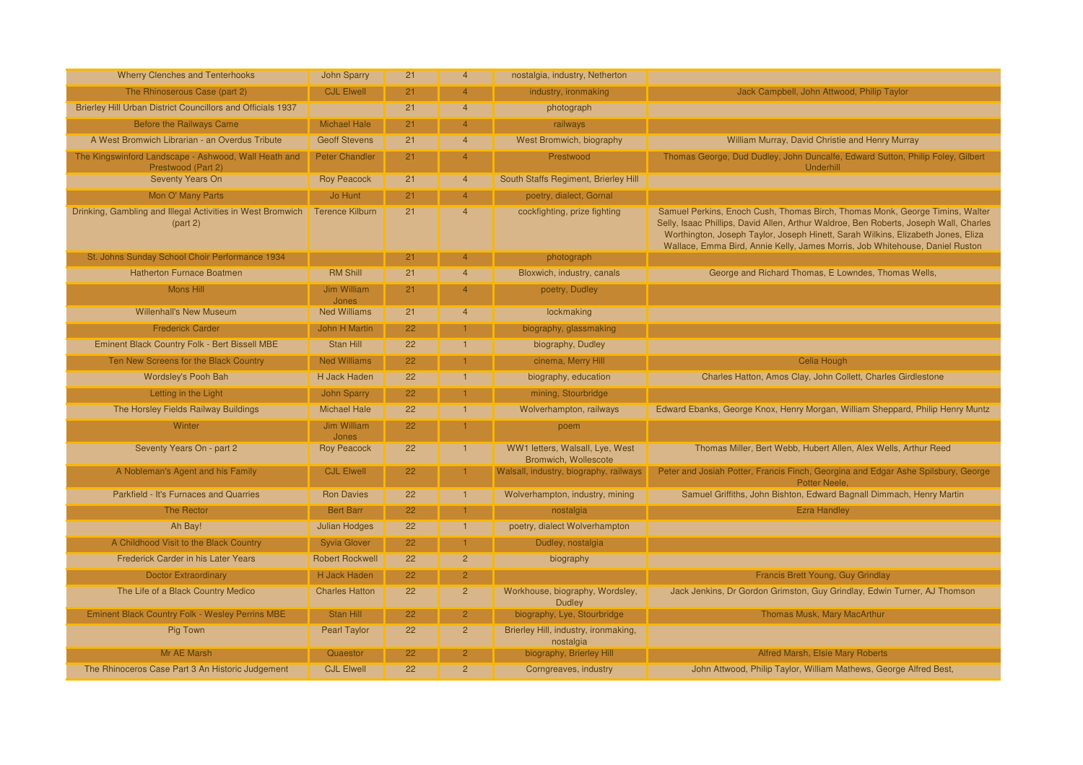| <b>Wherry Clenches and Tenterhooks</b>                                     | <b>John Sparry</b>     | 21 | $\overline{4}$ | nostalgia, industry, Netherton                          |                                                                                                                                                                                                                                                                                                                                           |
|----------------------------------------------------------------------------|------------------------|----|----------------|---------------------------------------------------------|-------------------------------------------------------------------------------------------------------------------------------------------------------------------------------------------------------------------------------------------------------------------------------------------------------------------------------------------|
| The Rhinoserous Case (part 2)                                              | <b>CJL Elwell</b>      | 21 |                | industry, ironmaking                                    | Jack Campbell, John Attwood, Philip Taylor                                                                                                                                                                                                                                                                                                |
| Brierley Hill Urban District Councillors and Officials 1937                |                        | 21 | $\overline{4}$ | photograph                                              |                                                                                                                                                                                                                                                                                                                                           |
| <b>Before the Railways Came</b>                                            | <b>Michael Hale</b>    | 21 | $\overline{4}$ | railways                                                |                                                                                                                                                                                                                                                                                                                                           |
| A West Bromwich Librarian - an Overdus Tribute                             | <b>Geoff Stevens</b>   | 21 | $\overline{4}$ | West Bromwich, biography                                | William Murray, David Christie and Henry Murray                                                                                                                                                                                                                                                                                           |
| The Kingswinford Landscape - Ashwood, Wall Heath and<br>Prestwood (Part 2) | <b>Peter Chandler</b>  | 21 | 4              | Prestwood                                               | Thomas George, Dud Dudley, John Duncalfe, Edward Sutton, Philip Foley, Gilbert<br>Underhill                                                                                                                                                                                                                                               |
| Seventy Years On                                                           | <b>Roy Peacock</b>     | 21 | $\overline{4}$ | South Staffs Regiment, Brierley Hill                    |                                                                                                                                                                                                                                                                                                                                           |
| Mon O' Many Parts                                                          | Jo Hunt                | 21 | $\overline{4}$ | poetry, dialect, Gornal                                 |                                                                                                                                                                                                                                                                                                                                           |
| Drinking, Gambling and Illegal Activities in West Bromwich<br>(part 2)     | <b>Terence Kilburn</b> | 21 | $\overline{4}$ | cockfighting, prize fighting                            | Samuel Perkins, Enoch Cush, Thomas Birch, Thomas Monk, George Timins, Walter<br>Selly, Isaac Phillips, David Allen, Arthur Waldroe, Ben Roberts, Joseph Wall, Charles<br>Worthington, Joseph Taylor, Joseph Hinett, Sarah Wilkins, Elizabeth Jones, Eliza<br>Wallace, Emma Bird, Annie Kelly, James Morris, Job Whitehouse, Daniel Ruston |
| St. Johns Sunday School Choir Performance 1934                             |                        | 21 | $\overline{4}$ | photograph                                              |                                                                                                                                                                                                                                                                                                                                           |
| Hatherton Furnace Boatmen                                                  | <b>RM Shill</b>        | 21 | $\overline{4}$ | Bloxwich, industry, canals                              | George and Richard Thomas, E Lowndes, Thomas Wells,                                                                                                                                                                                                                                                                                       |
| <b>Mons Hill</b>                                                           | Jim William<br>Jones   | 21 | $\Delta$       | poetry, Dudley                                          |                                                                                                                                                                                                                                                                                                                                           |
| <b>Willenhall's New Museum</b>                                             | <b>Ned Williams</b>    | 21 | $\overline{4}$ | lockmaking                                              |                                                                                                                                                                                                                                                                                                                                           |
| <b>Frederick Carder</b>                                                    | <b>John H Martin</b>   | 22 |                | biography, glassmaking                                  |                                                                                                                                                                                                                                                                                                                                           |
| <b>Eminent Black Country Folk - Bert Bissell MBE</b>                       | Stan Hill              | 22 |                | biography, Dudley                                       |                                                                                                                                                                                                                                                                                                                                           |
| Ten New Screens for the Black Country                                      | <b>Ned Williams</b>    | 22 |                | cinema, Merry Hill                                      | Celia Hough                                                                                                                                                                                                                                                                                                                               |
| <b>Wordsley's Pooh Bah</b>                                                 | H Jack Haden           | 22 |                | biography, education                                    | Charles Hatton, Amos Clay, John Collett, Charles Girdlestone                                                                                                                                                                                                                                                                              |
| Letting in the Light                                                       | <b>John Sparry</b>     | 22 |                | mining, Stourbridge                                     |                                                                                                                                                                                                                                                                                                                                           |
| The Horsley Fields Railway Buildings                                       | <b>Michael Hale</b>    | 22 |                | Wolverhampton, railways                                 | Edward Ebanks, George Knox, Henry Morgan, William Sheppard, Philip Henry Muntz                                                                                                                                                                                                                                                            |
| Winter                                                                     | Jim William<br>Jones   | 22 |                | poem                                                    |                                                                                                                                                                                                                                                                                                                                           |
| Seventy Years On - part 2                                                  | <b>Roy Peacock</b>     | 22 | $\blacksquare$ | WW1 letters, Walsall, Lye, West<br>Bromwich, Wollescote | Thomas Miller, Bert Webb, Hubert Allen, Alex Wells, Arthur Reed                                                                                                                                                                                                                                                                           |
| A Nobleman's Agent and his Family                                          | <b>CJL Elwell</b>      | 22 |                | Walsall, industry, biography, railways                  | Peter and Josiah Potter, Francis Finch, Georgina and Edgar Ashe Spilsbury, George<br>Potter Neele,                                                                                                                                                                                                                                        |
| Parkfield - It's Furnaces and Quarries                                     | <b>Ron Davies</b>      | 22 |                | Wolverhampton, industry, mining                         | Samuel Griffiths, John Bishton, Edward Bagnall Dimmach, Henry Martin                                                                                                                                                                                                                                                                      |
| <b>The Rector</b>                                                          | <b>Bert Barr</b>       | 22 |                | nostalgia                                               | <b>Ezra Handley</b>                                                                                                                                                                                                                                                                                                                       |
| Ah Bay!                                                                    | <b>Julian Hodges</b>   | 22 |                | poetry, dialect Wolverhampton                           |                                                                                                                                                                                                                                                                                                                                           |
| A Childhood Visit to the Black Country                                     | <b>Syvia Glover</b>    | 22 |                | Dudley, nostalgia                                       |                                                                                                                                                                                                                                                                                                                                           |
| Frederick Carder in his Later Years                                        | <b>Robert Rockwell</b> | 22 | $\overline{2}$ | biography                                               |                                                                                                                                                                                                                                                                                                                                           |
| <b>Doctor Extraordinary</b>                                                | H Jack Haden           | 22 | $\overline{2}$ |                                                         | Francis Brett Young, Guy Grindlay                                                                                                                                                                                                                                                                                                         |
| The Life of a Black Country Medico                                         | <b>Charles Hatton</b>  | 22 | $\overline{2}$ | Workhouse, biography, Wordsley,<br><b>Dudley</b>        | Jack Jenkins, Dr Gordon Grimston, Guy Grindlay, Edwin Turner, AJ Thomson                                                                                                                                                                                                                                                                  |
| <b>Eminent Black Country Folk - Wesley Perrins MBE</b>                     | Stan Hill              | 22 | $\overline{2}$ | biography, Lye, Stourbridge                             | Thomas Musk, Mary MacArthur                                                                                                                                                                                                                                                                                                               |
| Pig Town                                                                   | <b>Pearl Taylor</b>    | 22 | $\overline{2}$ | Brierley Hill, industry, ironmaking,<br>nostalgia       |                                                                                                                                                                                                                                                                                                                                           |
| Mr AE Marsh                                                                | Quaestor               | 22 | $\overline{2}$ | biography, Brierley Hill                                | Alfred Marsh, Elsie Mary Roberts                                                                                                                                                                                                                                                                                                          |
| The Rhinoceros Case Part 3 An Historic Judgement                           | <b>CJL Elwell</b>      | 22 | $\overline{2}$ | Corngreaves, industry                                   | John Attwood, Philip Taylor, William Mathews, George Alfred Best,                                                                                                                                                                                                                                                                         |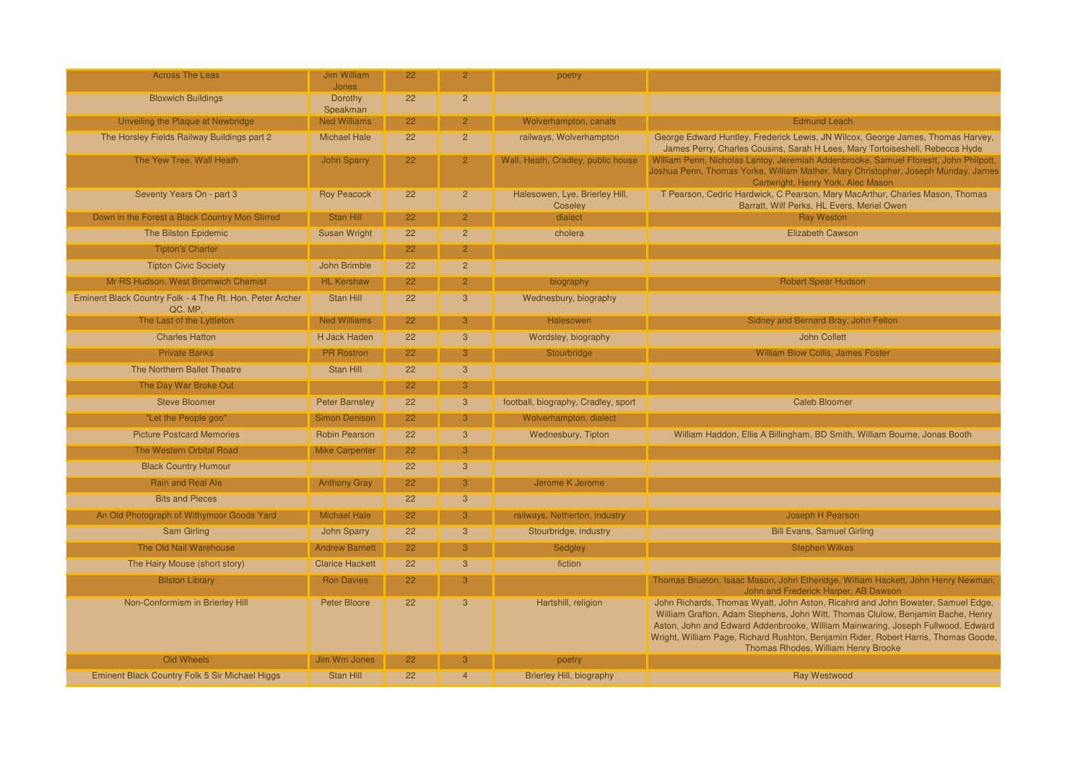| <b>Across The Leas</b>                                              | Jim William            | 22 | $\mathcal{P}$           | poetry                                    |                                                                                                                                                                                                                                                                                                                                                                                     |
|---------------------------------------------------------------------|------------------------|----|-------------------------|-------------------------------------------|-------------------------------------------------------------------------------------------------------------------------------------------------------------------------------------------------------------------------------------------------------------------------------------------------------------------------------------------------------------------------------------|
| <b>Bloxwich Buildings</b>                                           | Jones<br>Dorothy       | 22 | $\overline{2}$          |                                           |                                                                                                                                                                                                                                                                                                                                                                                     |
|                                                                     | Speakman               |    |                         |                                           |                                                                                                                                                                                                                                                                                                                                                                                     |
| Unveiling the Plaque at Newbridge                                   | <b>Ned Williams</b>    | 22 | $\overline{2}$          | Wolverhampton, canals                     | <b>Edmund Leach</b>                                                                                                                                                                                                                                                                                                                                                                 |
| The Horsley Fields Railway Buildings part 2                         | <b>Michael Hale</b>    | 22 | 2 <sup>1</sup>          | railways, Wolverhampton                   | George Edward Huntley, Frederick Lewis, JN Wilcox, George James, Thomas Harvey,<br>James Perry, Charles Cousins, Sarah H Lees, Mary Tortoiseshell, Rebecca Hyde                                                                                                                                                                                                                     |
| The Yew Tree, Wall Heath                                            | <b>John Sparry</b>     | 22 | $\mathcal{P}$           | Wall, Heath, Cradley, public house        | William Penn, Nicholas Lantoy, Jeremiah Addenbrooke, Samuel Fforestt, John Philpott,<br>Joshua Penn, Thomas Yorke, William Mather, Mary Christopher, Joseph Munday, James<br>Cartwright, Henry York, Alec Mason                                                                                                                                                                     |
| Seventy Years On - part 3                                           | <b>Roy Peacock</b>     | 22 | $\overline{2}$          | Halesowen, Lye, Brierley Hill,<br>Coseley | T Pearson, Cedric Hardwick, C Pearson, Mary MacArthur, Charles Mason, Thomas<br>Barratt, Wilf Perks, HL Evers, Meriel Owen                                                                                                                                                                                                                                                          |
| Down in the Forest a Black Country Mon Stirred                      | Stan Hill              | 22 | $\mathcal{P}$           | dialect                                   | <b>Ray Weston</b>                                                                                                                                                                                                                                                                                                                                                                   |
| The Bilston Epidemic                                                | <b>Susan Wright</b>    | 22 | 2 <sup>1</sup>          | cholera                                   | <b>Elizabeth Cawson</b>                                                                                                                                                                                                                                                                                                                                                             |
| <b>Tipton's Charter</b>                                             |                        | 22 | $\overline{2}$          |                                           |                                                                                                                                                                                                                                                                                                                                                                                     |
| <b>Tipton Civic Society</b>                                         | <b>John Brimble</b>    | 22 | 2 <sup>1</sup>          |                                           |                                                                                                                                                                                                                                                                                                                                                                                     |
| Mr RS Hudson, West Bromwich Chemist                                 | <b>HL Kershaw</b>      | 22 | $\overline{2}$          | biography                                 | <b>Robert Spear Hudson</b>                                                                                                                                                                                                                                                                                                                                                          |
| Eminent Black Country Folk - 4 The Rt. Hon. Peter Archer<br>QC. MP. | Stan Hill              | 22 | 3                       | Wednesbury, biography                     |                                                                                                                                                                                                                                                                                                                                                                                     |
| The Last of the Lyttleton                                           | <b>Ned Williams</b>    | 22 | 3                       | Halesowen                                 | Sidney and Bernard Bray, John Felton                                                                                                                                                                                                                                                                                                                                                |
| <b>Charles Hatton</b>                                               | H Jack Haden           | 22 | 3                       | Wordsley, biography                       | <b>John Collett</b>                                                                                                                                                                                                                                                                                                                                                                 |
| <b>Private Banks</b>                                                | <b>PR</b> Rostron      | 22 | 3                       | Stourbridge                               | <b>William Blow Collis, James Foster</b>                                                                                                                                                                                                                                                                                                                                            |
| The Northern Ballet Theatre                                         | Stan Hill              | 22 | 3                       |                                           |                                                                                                                                                                                                                                                                                                                                                                                     |
| The Day War Broke Out                                               |                        | 22 | 3                       |                                           |                                                                                                                                                                                                                                                                                                                                                                                     |
| <b>Steve Bloomer</b>                                                | <b>Peter Barnsley</b>  | 22 | $\mathbf{3}$            | football, biography, Cradley, sport       | <b>Caleb Bloomer</b>                                                                                                                                                                                                                                                                                                                                                                |
| "Let the People goo"                                                | <b>Simon Denison</b>   | 22 | 3                       | Wolverhampton, dialect                    |                                                                                                                                                                                                                                                                                                                                                                                     |
| <b>Picture Postcard Memories</b>                                    | <b>Robin Pearson</b>   | 22 | 3                       | Wednesbury, Tipton                        | William Haddon, Ellis A Billingham, BD Smith, William Bourne, Jonas Booth                                                                                                                                                                                                                                                                                                           |
| <b>The Western Orbital Road</b>                                     | <b>Mike Carpenter</b>  | 22 | 3                       |                                           |                                                                                                                                                                                                                                                                                                                                                                                     |
| <b>Black Country Humour</b>                                         |                        | 22 | $\overline{3}$          |                                           |                                                                                                                                                                                                                                                                                                                                                                                     |
| Rain and Real Ale                                                   | <b>Anthony Gray</b>    | 22 | 3                       | Jerome K Jerome                           |                                                                                                                                                                                                                                                                                                                                                                                     |
| <b>Bits and Pieces</b>                                              |                        | 22 | 3                       |                                           |                                                                                                                                                                                                                                                                                                                                                                                     |
| An Old Photograph of Withymoor Goods Yard                           | <b>Michael Hale</b>    | 22 | 3                       | railways, Netherton, industry             | <b>Joseph H Pearson</b>                                                                                                                                                                                                                                                                                                                                                             |
| <b>Sam Girling</b>                                                  | <b>John Sparry</b>     | 22 | 3                       | Stourbridge, industry                     | <b>Bill Evans, Samuel Girling</b>                                                                                                                                                                                                                                                                                                                                                   |
| The Old Nail Warehouse                                              | <b>Andrew Barnett</b>  | 22 | $\overline{\mathbf{3}}$ | Sedgley                                   | <b>Stephen Wilkes</b>                                                                                                                                                                                                                                                                                                                                                               |
| The Hairy Mouse (short story)                                       | <b>Clarice Hackett</b> | 22 | 3                       | fiction                                   |                                                                                                                                                                                                                                                                                                                                                                                     |
| <b>Bilston Library</b>                                              | <b>Ron Davies</b>      | 22 | 3                       |                                           | Thomas Brueton, Isaac Mason, John Etheridge, William Hackett, John Henry Newman,<br>John and Frederick Harper, AB Dawson                                                                                                                                                                                                                                                            |
| Non-Conformism in Brierley Hill                                     | Peter Bloore           | 22 | 3                       | Hartshill, religion                       | John Richards, Thomas Wyatt, John Aston, Ricahrd and John Bowater, Samuel Edge,<br>William Grafton, Adam Stephens, John Witt, Thomas Clulow, Benjamin Bache, Henry<br>Aston, John and Edward Addenbrooke, William Mainwaring, Joseph Fullwood, Edward<br>Wright, William Page, Richard Rushton, Benjamin Rider, Robert Harris, Thomas Goode.<br>Thomas Rhodes, William Henry Brooke |
| Old Wheels                                                          | Jim Wm Jones           | 22 |                         | poetry                                    |                                                                                                                                                                                                                                                                                                                                                                                     |
| Eminent Black Country Folk 5 Sir Michael Higgs                      | Stan Hill              | 22 | $\overline{4}$          | <b>Brierley Hill, biography</b>           | <b>Ray Westwood</b>                                                                                                                                                                                                                                                                                                                                                                 |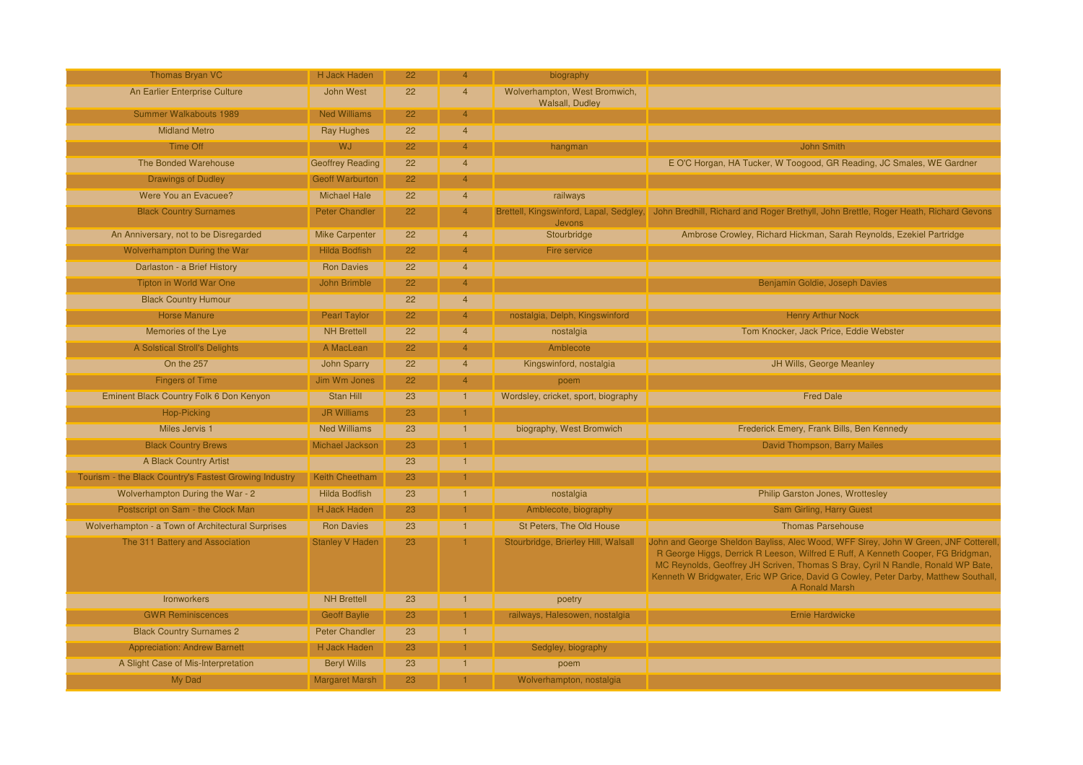| Thomas Bryan VC                                        | H Jack Haden            | 22 | 4              | biography                                               |                                                                                                                                                                                                                                                                                                                                                                     |
|--------------------------------------------------------|-------------------------|----|----------------|---------------------------------------------------------|---------------------------------------------------------------------------------------------------------------------------------------------------------------------------------------------------------------------------------------------------------------------------------------------------------------------------------------------------------------------|
| An Earlier Enterprise Culture                          | John West               | 22 | $\overline{4}$ | Wolverhampton, West Bromwich,<br><b>Walsall, Dudley</b> |                                                                                                                                                                                                                                                                                                                                                                     |
| Summer Walkabouts 1989                                 | <b>Ned Williams</b>     | 22 | 4              |                                                         |                                                                                                                                                                                                                                                                                                                                                                     |
| <b>Midland Metro</b>                                   | <b>Ray Hughes</b>       | 22 | $\overline{4}$ |                                                         |                                                                                                                                                                                                                                                                                                                                                                     |
| <b>Time Off</b>                                        | <b>WJ</b>               | 22 | $\overline{4}$ | hangman                                                 | <b>John Smith</b>                                                                                                                                                                                                                                                                                                                                                   |
| <b>The Bonded Warehouse</b>                            | <b>Geoffrey Reading</b> | 22 | $\overline{4}$ |                                                         | E O'C Horgan, HA Tucker, W Toogood, GR Reading, JC Smales, WE Gardner                                                                                                                                                                                                                                                                                               |
| <b>Drawings of Dudley</b>                              | <b>Geoff Warburton</b>  | 22 | $\overline{4}$ |                                                         |                                                                                                                                                                                                                                                                                                                                                                     |
| Were You an Evacuee?                                   | <b>Michael Hale</b>     | 22 | $\overline{4}$ | railways                                                |                                                                                                                                                                                                                                                                                                                                                                     |
| <b>Black Country Surnames</b>                          | <b>Peter Chandler</b>   | 22 | $\overline{4}$ | Jevons                                                  | Brettell, Kingswinford, Lapal, Sedgley, John Bredhill, Richard and Roger Brethyll, John Brettle, Roger Heath, Richard Gevons                                                                                                                                                                                                                                        |
| An Anniversary, not to be Disregarded                  | <b>Mike Carpenter</b>   | 22 | $\overline{4}$ | Stourbridge                                             | Ambrose Crowley, Richard Hickman, Sarah Reynolds, Ezekiel Partridge                                                                                                                                                                                                                                                                                                 |
| <b>Wolverhampton During the War</b>                    | <b>Hilda Bodfish</b>    | 22 | $\overline{4}$ | Fire service                                            |                                                                                                                                                                                                                                                                                                                                                                     |
| Darlaston - a Brief History                            | <b>Ron Davies</b>       | 22 | $\overline{4}$ |                                                         |                                                                                                                                                                                                                                                                                                                                                                     |
| <b>Tipton in World War One</b>                         | John Brimble            | 22 | $\overline{4}$ |                                                         | Benjamin Goldie, Joseph Davies                                                                                                                                                                                                                                                                                                                                      |
| <b>Black Country Humour</b>                            |                         | 22 | $\overline{4}$ |                                                         |                                                                                                                                                                                                                                                                                                                                                                     |
| <b>Horse Manure</b>                                    | <b>Pearl Taylor</b>     | 22 | $\overline{4}$ | nostalgia, Delph, Kingswinford                          | <b>Henry Arthur Nock</b>                                                                                                                                                                                                                                                                                                                                            |
| Memories of the Lye                                    | <b>NH Brettell</b>      | 22 | $\overline{4}$ | nostalgia                                               | Tom Knocker, Jack Price, Eddie Webster                                                                                                                                                                                                                                                                                                                              |
| <b>A Solstical Stroll's Delights</b>                   | A MacLean               | 22 | $\overline{4}$ | Amblecote                                               |                                                                                                                                                                                                                                                                                                                                                                     |
| On the 257                                             | <b>John Sparry</b>      | 22 | $\overline{4}$ | Kingswinford, nostalgia                                 | JH Wills, George Meanley                                                                                                                                                                                                                                                                                                                                            |
| <b>Fingers of Time</b>                                 | <b>Jim Wm Jones</b>     | 22 | $\overline{4}$ | poem                                                    |                                                                                                                                                                                                                                                                                                                                                                     |
| Eminent Black Country Folk 6 Don Kenyon                | Stan Hill               | 23 | 1              | Wordsley, cricket, sport, biography                     | <b>Fred Dale</b>                                                                                                                                                                                                                                                                                                                                                    |
| Hop-Picking                                            | <b>JR Williams</b>      | 23 |                |                                                         |                                                                                                                                                                                                                                                                                                                                                                     |
| Miles Jervis 1                                         | <b>Ned Williams</b>     | 23 | $\mathbf{1}$   | biography, West Bromwich                                | Frederick Emery, Frank Bills, Ben Kennedy                                                                                                                                                                                                                                                                                                                           |
| <b>Black Country Brews</b>                             | Michael Jackson         | 23 |                |                                                         | David Thompson, Barry Mailes                                                                                                                                                                                                                                                                                                                                        |
| A Black Country Artist                                 |                         | 23 | $\blacksquare$ |                                                         |                                                                                                                                                                                                                                                                                                                                                                     |
| Tourism - the Black Country's Fastest Growing Industry | Keith Cheetham          | 23 |                |                                                         |                                                                                                                                                                                                                                                                                                                                                                     |
| Wolverhampton During the War - 2                       | <b>Hilda Bodfish</b>    | 23 |                | nostalgia                                               | Philip Garston Jones, Wrottesley                                                                                                                                                                                                                                                                                                                                    |
| Postscript on Sam - the Clock Man                      | H Jack Haden            | 23 |                | Amblecote, biography                                    | Sam Girling, Harry Guest                                                                                                                                                                                                                                                                                                                                            |
| Wolverhampton - a Town of Architectural Surprises      | <b>Ron Davies</b>       | 23 |                | St Peters, The Old House                                | <b>Thomas Parsehouse</b>                                                                                                                                                                                                                                                                                                                                            |
| The 311 Battery and Association                        | <b>Stanley V Haden</b>  | 23 |                | Stourbridge, Brierley Hill, Walsall                     | John and George Sheldon Bayliss, Alec Wood, WFF Sirey, John W Green, JNF Cotterell<br>R George Higgs, Derrick R Leeson, Wilfred E Ruff, A Kenneth Cooper, FG Bridgman,<br>MC Reynolds, Geoffrey JH Scriven, Thomas S Bray, Cyril N Randle, Ronald WP Bate,<br>Kenneth W Bridgwater, Eric WP Grice, David G Cowley, Peter Darby, Matthew Southall,<br>A Ronald Marsh |
| Ironworkers                                            | <b>NH Brettell</b>      | 23 | $\mathbf{1}$   | poetry                                                  |                                                                                                                                                                                                                                                                                                                                                                     |
| <b>GWR Reminiscences</b>                               | <b>Geoff Baylie</b>     | 23 | 1              | railways, Halesowen, nostalgia                          | <b>Ernie Hardwicke</b>                                                                                                                                                                                                                                                                                                                                              |
| <b>Black Country Surnames 2</b>                        | <b>Peter Chandler</b>   | 23 |                |                                                         |                                                                                                                                                                                                                                                                                                                                                                     |
| <b>Appreciation: Andrew Barnett</b>                    | H Jack Haden            | 23 |                | Sedgley, biography                                      |                                                                                                                                                                                                                                                                                                                                                                     |
| A Slight Case of Mis-Interpretation                    | <b>Beryl Wills</b>      | 23 |                | poem                                                    |                                                                                                                                                                                                                                                                                                                                                                     |
| My Dad                                                 | <b>Margaret Marsh</b>   | 23 |                | Wolverhampton, nostalgia                                |                                                                                                                                                                                                                                                                                                                                                                     |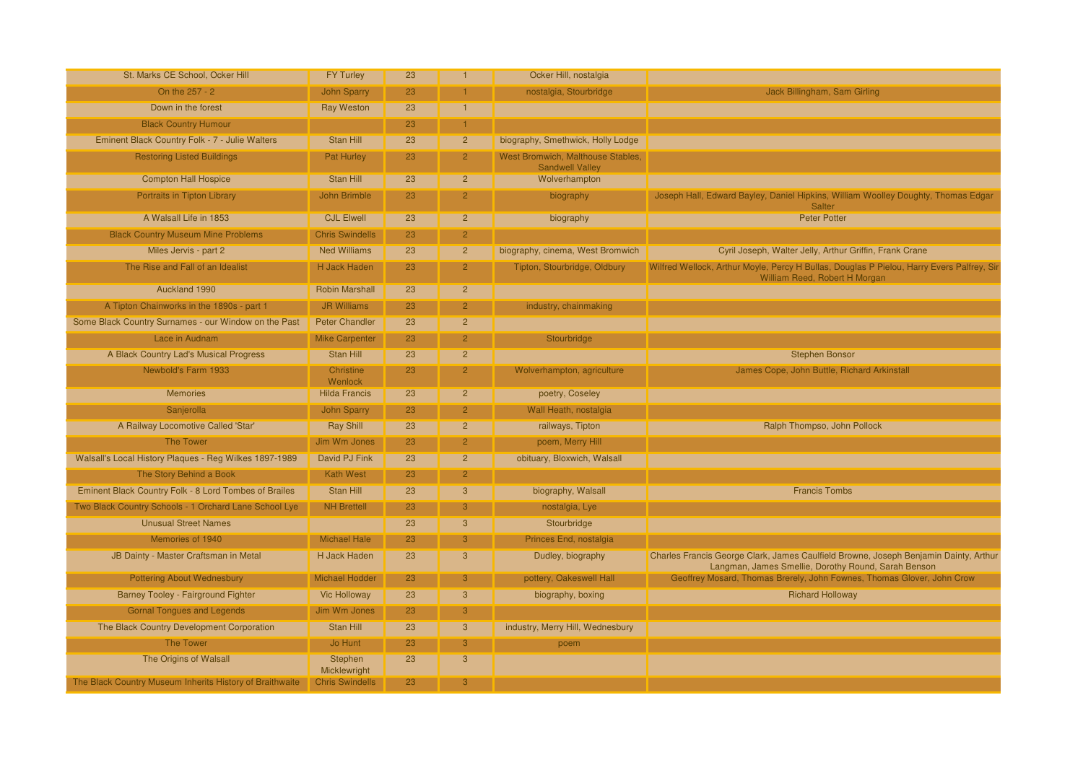| St. Marks CE School, Ocker Hill                          | <b>FY Turley</b>        | 23 |                | Ocker Hill, nostalgia                                       |                                                                                                                                             |
|----------------------------------------------------------|-------------------------|----|----------------|-------------------------------------------------------------|---------------------------------------------------------------------------------------------------------------------------------------------|
| On the 257 - 2                                           | <b>John Sparry</b>      | 23 |                | nostalgia, Stourbridge                                      | Jack Billingham, Sam Girling                                                                                                                |
| Down in the forest                                       | Ray Weston              | 23 | $\overline{1}$ |                                                             |                                                                                                                                             |
| <b>Black Country Humour</b>                              |                         | 23 |                |                                                             |                                                                                                                                             |
| Eminent Black Country Folk - 7 - Julie Walters           | Stan Hill               | 23 | $\overline{2}$ | biography, Smethwick, Holly Lodge                           |                                                                                                                                             |
| <b>Restoring Listed Buildings</b>                        | Pat Hurley              | 23 | $\overline{2}$ | West Bromwich, Malthouse Stables,<br><b>Sandwell Valley</b> |                                                                                                                                             |
| <b>Compton Hall Hospice</b>                              | Stan Hill               | 23 | $\overline{2}$ | Wolverhampton                                               |                                                                                                                                             |
| Portraits in Tipton Library                              | <b>John Brimble</b>     | 23 |                | biography                                                   | Joseph Hall, Edward Bayley, Daniel Hipkins, William Woolley Doughty, Thomas Edgar<br><b>Salter</b>                                          |
| A Walsall Life in 1853                                   | <b>CJL Elwell</b>       | 23 | $\overline{2}$ | biography                                                   | <b>Peter Potter</b>                                                                                                                         |
| <b>Black Country Museum Mine Problems</b>                | <b>Chris Swindells</b>  | 23 | $\overline{2}$ |                                                             |                                                                                                                                             |
| Miles Jervis - part 2                                    | <b>Ned Williams</b>     | 23 | $\overline{2}$ | biography, cinema, West Bromwich                            | Cyril Joseph, Walter Jelly, Arthur Griffin, Frank Crane                                                                                     |
| The Rise and Fall of an Idealist                         | H Jack Haden            | 23 | $\overline{2}$ | Tipton, Stourbridge, Oldbury                                | Wilfred Wellock, Arthur Moyle, Percy H Bullas, Douglas P Pielou, Harry Evers Palfrey, Sir<br>William Reed, Robert H Morgan                  |
| Auckland 1990                                            | <b>Robin Marshall</b>   | 23 | $\overline{2}$ |                                                             |                                                                                                                                             |
| A Tipton Chainworks in the 1890s - part 1                | <b>JR Williams</b>      | 23 | $\overline{2}$ | industry, chainmaking                                       |                                                                                                                                             |
| Some Black Country Surnames - our Window on the Past     | <b>Peter Chandler</b>   | 23 | 2 <sup>1</sup> |                                                             |                                                                                                                                             |
| Lace in Audnam                                           | <b>Mike Carpenter</b>   | 23 | $\overline{2}$ | Stourbridge                                                 |                                                                                                                                             |
| A Black Country Lad's Musical Progress                   | Stan Hill               | 23 | $\overline{2}$ |                                                             | <b>Stephen Bonsor</b>                                                                                                                       |
| Newbold's Farm 1933                                      | Christine<br>Wenlock    | 23 | $\mathcal{P}$  | Wolverhampton, agriculture                                  | James Cope, John Buttle, Richard Arkinstall                                                                                                 |
| <b>Memories</b>                                          | <b>Hilda Francis</b>    | 23 | $\overline{2}$ | poetry, Coseley                                             |                                                                                                                                             |
| Sanjerolla                                               | <b>John Sparry</b>      | 23 | $\overline{2}$ | Wall Heath, nostalgia                                       |                                                                                                                                             |
| A Railway Locomotive Called 'Star'                       | <b>Ray Shill</b>        | 23 | $\overline{2}$ | railways, Tipton                                            | Ralph Thompso, John Pollock                                                                                                                 |
| <b>The Tower</b>                                         | <b>Jim Wm Jones</b>     | 23 | $\overline{2}$ | poem, Merry Hill                                            |                                                                                                                                             |
| Walsall's Local History Plaques - Reg Wilkes 1897-1989   | David PJ Fink           | 23 | $\overline{2}$ | obituary, Bloxwich, Walsall                                 |                                                                                                                                             |
| The Story Behind a Book                                  | Kath West               | 23 | $\overline{2}$ |                                                             |                                                                                                                                             |
| Eminent Black Country Folk - 8 Lord Tombes of Brailes    | Stan Hill               | 23 | 3              | biography, Walsall                                          | <b>Francis Tombs</b>                                                                                                                        |
| Two Black Country Schools - 1 Orchard Lane School Lye    | <b>NH Brettell</b>      | 23 | 3              | nostalgia, Lye                                              |                                                                                                                                             |
| <b>Unusual Street Names</b>                              |                         | 23 | 3              | Stourbridge                                                 |                                                                                                                                             |
| Memories of 1940                                         | <b>Michael Hale</b>     | 23 | 3              | Princes End, nostalgia                                      |                                                                                                                                             |
| JB Dainty - Master Craftsman in Metal                    | H Jack Haden            | 23 | 3              | Dudley, biography                                           | Charles Francis George Clark, James Caulfield Browne, Joseph Benjamin Dainty, Arthur<br>Langman, James Smellie, Dorothy Round, Sarah Benson |
| <b>Pottering About Wednesbury</b>                        | <b>Michael Hodder</b>   | 23 | 3              | pottery, Oakeswell Hall                                     | Geoffrey Mosard, Thomas Brerely, John Fownes, Thomas Glover, John Crow                                                                      |
| Barney Tooley - Fairground Fighter                       | <b>Vic Holloway</b>     | 23 | 3              | biography, boxing                                           | <b>Richard Holloway</b>                                                                                                                     |
| <b>Gornal Tongues and Legends</b>                        | Jim Wm Jones            | 23 | 3              |                                                             |                                                                                                                                             |
| The Black Country Development Corporation                | Stan Hill               | 23 | 3              | industry, Merry Hill, Wednesbury                            |                                                                                                                                             |
| The Tower                                                | Jo Hunt                 | 23 | 3              | poem                                                        |                                                                                                                                             |
| The Origins of Walsall                                   | Stephen<br>Micklewright | 23 | 3              |                                                             |                                                                                                                                             |
| The Black Country Museum Inherits History of Braithwaite | <b>Chris Swindells</b>  | 23 | 3              |                                                             |                                                                                                                                             |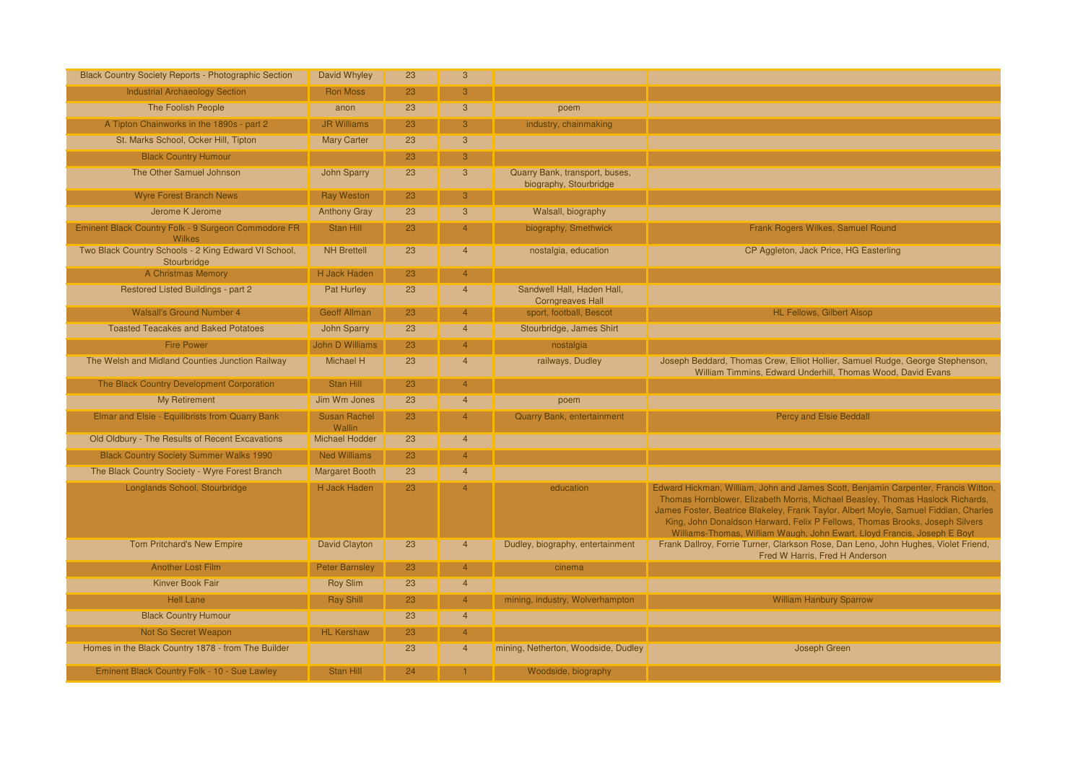| <b>Black Country Society Reports - Photographic Section</b>          | David Whyley                  | 23 | 3                       |                                                          |                                                                                                                                                                                                                                                                                                                                                                                                                          |
|----------------------------------------------------------------------|-------------------------------|----|-------------------------|----------------------------------------------------------|--------------------------------------------------------------------------------------------------------------------------------------------------------------------------------------------------------------------------------------------------------------------------------------------------------------------------------------------------------------------------------------------------------------------------|
| <b>Industrial Archaeology Section</b>                                | <b>Ron Moss</b>               | 23 | 3                       |                                                          |                                                                                                                                                                                                                                                                                                                                                                                                                          |
| The Foolish People                                                   | anon                          | 23 | 3                       | poem                                                     |                                                                                                                                                                                                                                                                                                                                                                                                                          |
| A Tipton Chainworks in the 1890s - part 2                            | <b>JR Williams</b>            | 23 | 3                       | industry, chainmaking                                    |                                                                                                                                                                                                                                                                                                                                                                                                                          |
| St. Marks School, Ocker Hill, Tipton                                 | <b>Mary Carter</b>            | 23 | 3                       |                                                          |                                                                                                                                                                                                                                                                                                                                                                                                                          |
| <b>Black Country Humour</b>                                          |                               | 23 | 3                       |                                                          |                                                                                                                                                                                                                                                                                                                                                                                                                          |
| The Other Samuel Johnson                                             | <b>John Sparry</b>            | 23 | 3                       | Quarry Bank, transport, buses,<br>biography, Stourbridge |                                                                                                                                                                                                                                                                                                                                                                                                                          |
| <b>Wyre Forest Branch News</b>                                       | <b>Ray Weston</b>             | 23 | 3                       |                                                          |                                                                                                                                                                                                                                                                                                                                                                                                                          |
| Jerome K Jerome                                                      | <b>Anthony Gray</b>           | 23 | $\overline{3}$          | Walsall, biography                                       |                                                                                                                                                                                                                                                                                                                                                                                                                          |
| Eminent Black Country Folk - 9 Surgeon Commodore FR<br><b>Wilkes</b> | Stan Hill                     | 23 | $\overline{4}$          | biography, Smethwick                                     | Frank Rogers Wilkes, Samuel Round                                                                                                                                                                                                                                                                                                                                                                                        |
| Two Black Country Schools - 2 King Edward VI School,<br>Stourbridge  | <b>NH Brettell</b>            | 23 | $\overline{4}$          | nostalgia, education                                     | CP Aggleton, Jack Price, HG Easterling                                                                                                                                                                                                                                                                                                                                                                                   |
| A Christmas Memory                                                   | <b>H Jack Haden</b>           | 23 |                         |                                                          |                                                                                                                                                                                                                                                                                                                                                                                                                          |
| Restored Listed Buildings - part 2                                   | Pat Hurley                    | 23 | 4                       | Sandwell Hall, Haden Hall,<br><b>Corngreaves Hall</b>    |                                                                                                                                                                                                                                                                                                                                                                                                                          |
| <b>Walsall's Ground Number 4</b>                                     | <b>Geoff Allman</b>           | 23 | 4                       | sport, football, Bescot                                  | <b>HL Fellows, Gilbert Alsop</b>                                                                                                                                                                                                                                                                                                                                                                                         |
| <b>Toasted Teacakes and Baked Potatoes</b>                           | <b>John Sparry</b>            | 23 | $\overline{\mathbf{4}}$ | Stourbridge, James Shirt                                 |                                                                                                                                                                                                                                                                                                                                                                                                                          |
| <b>Fire Power</b>                                                    | John D Williams               | 23 | $\overline{4}$          | nostalgia                                                |                                                                                                                                                                                                                                                                                                                                                                                                                          |
| The Welsh and Midland Counties Junction Railway                      | <b>Michael H</b>              | 23 | $\overline{\mathbf{4}}$ | railways, Dudley                                         | Joseph Beddard, Thomas Crew, Elliot Hollier, Samuel Rudge, George Stephenson,<br>William Timmins, Edward Underhill, Thomas Wood, David Evans                                                                                                                                                                                                                                                                             |
| The Black Country Development Corporation                            | Stan Hill                     | 23 | $\overline{4}$          |                                                          |                                                                                                                                                                                                                                                                                                                                                                                                                          |
| My Retirement                                                        | Jim Wm Jones                  | 23 | $\overline{\mathbf{4}}$ | poem                                                     |                                                                                                                                                                                                                                                                                                                                                                                                                          |
| Elmar and Elsie - Equilibrists from Quarry Bank                      | <b>Susan Rachel</b><br>Wallin | 23 | 4                       | Quarry Bank, entertainment                               | Percy and Elsie Beddall                                                                                                                                                                                                                                                                                                                                                                                                  |
| Old Oldbury - The Results of Recent Excavations                      | <b>Michael Hodder</b>         | 23 | $\overline{4}$          |                                                          |                                                                                                                                                                                                                                                                                                                                                                                                                          |
| <b>Black Country Society Summer Walks 1990</b>                       | <b>Ned Williams</b>           | 23 | $\overline{4}$          |                                                          |                                                                                                                                                                                                                                                                                                                                                                                                                          |
| The Black Country Society - Wyre Forest Branch                       | <b>Margaret Booth</b>         | 23 | $\overline{\mathbf{4}}$ |                                                          |                                                                                                                                                                                                                                                                                                                                                                                                                          |
| Longlands School, Stourbridge                                        | H Jack Haden                  | 23 |                         | education                                                | Edward Hickman, William, John and James Scott, Benjamin Carpenter, Francis Witton,<br>Thomas Hornblower, Elizabeth Morris, Michael Beasley, Thomas Haslock Richards,<br>James Foster, Beatrice Blakeley, Frank Taylor, Albert Moyle, Samuel Fiddian, Charles<br>King, John Donaldson Harward, Felix P Fellows, Thomas Brooks, Joseph Silvers<br>Williams-Thomas, William Waugh, John Ewart, Lloyd Francis, Joseph E Boyt |
| Tom Pritchard's New Empire                                           | David Clayton                 | 23 | $\overline{4}$          | Dudley, biography, entertainment                         | Frank Dallroy, Forrie Turner, Clarkson Rose, Dan Leno, John Hughes, Violet Friend,<br>Fred W Harris, Fred H Anderson                                                                                                                                                                                                                                                                                                     |
| <b>Another Lost Film</b>                                             | <b>Peter Barnsley</b>         | 23 | $\overline{4}$          | cinema                                                   |                                                                                                                                                                                                                                                                                                                                                                                                                          |
| Kinver Book Fair                                                     | <b>Roy Slim</b>               | 23 | $\overline{4}$          |                                                          |                                                                                                                                                                                                                                                                                                                                                                                                                          |
| <b>Hell Lane</b>                                                     | <b>Ray Shill</b>              | 23 | $\overline{4}$          | mining, industry, Wolverhampton                          | <b>William Hanbury Sparrow</b>                                                                                                                                                                                                                                                                                                                                                                                           |
| <b>Black Country Humour</b>                                          |                               | 23 | $\overline{4}$          |                                                          |                                                                                                                                                                                                                                                                                                                                                                                                                          |
| Not So Secret Weapon                                                 | <b>HL Kershaw</b>             | 23 | $\overline{4}$          |                                                          |                                                                                                                                                                                                                                                                                                                                                                                                                          |
| Homes in the Black Country 1878 - from The Builder                   |                               | 23 | $\overline{4}$          | mining, Netherton, Woodside, Dudley                      | Joseph Green                                                                                                                                                                                                                                                                                                                                                                                                             |
| Eminent Black Country Folk - 10 - Sue Lawley                         | Stan Hill                     | 24 |                         | Woodside, biography                                      |                                                                                                                                                                                                                                                                                                                                                                                                                          |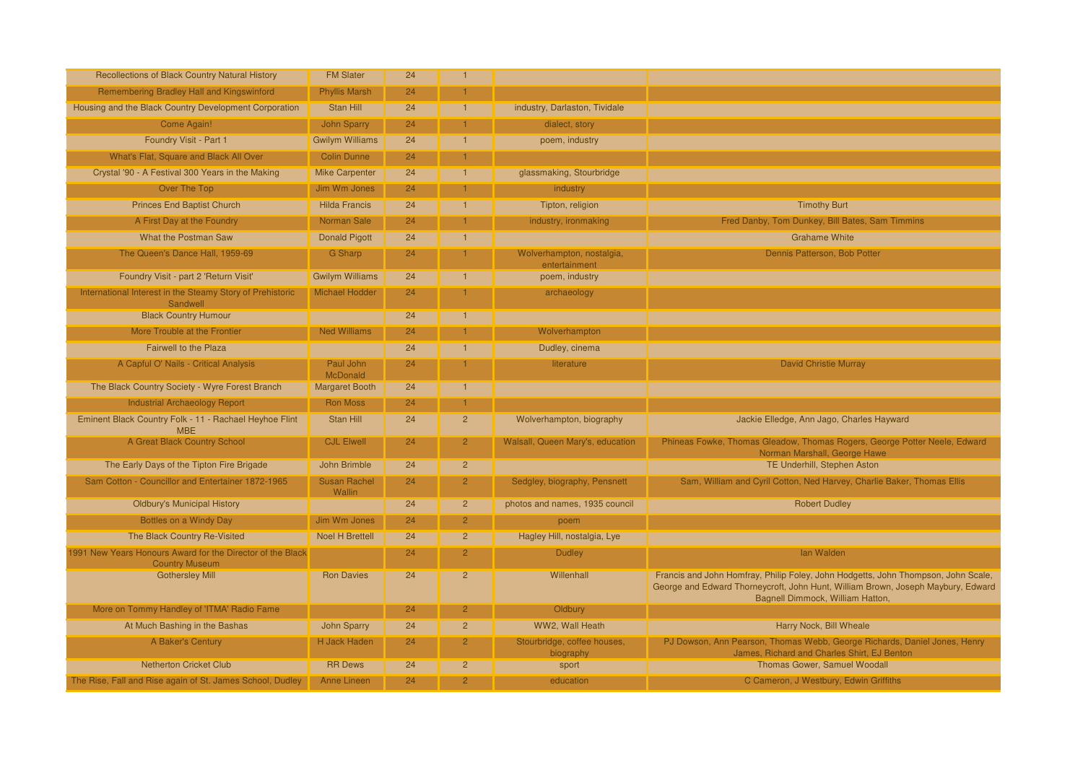| Recollections of Black Country Natural History                                      | <b>FM Slater</b>              | 24 |                |                                            |                                                                                                                                                                                                           |
|-------------------------------------------------------------------------------------|-------------------------------|----|----------------|--------------------------------------------|-----------------------------------------------------------------------------------------------------------------------------------------------------------------------------------------------------------|
| Remembering Bradley Hall and Kingswinford                                           | <b>Phyllis Marsh</b>          | 24 |                |                                            |                                                                                                                                                                                                           |
| Housing and the Black Country Development Corporation                               | Stan Hill                     | 24 | $\mathbf{1}$   | industry, Darlaston, Tividale              |                                                                                                                                                                                                           |
| Come Again!                                                                         | <b>John Sparry</b>            | 24 |                | dialect, story                             |                                                                                                                                                                                                           |
| Foundry Visit - Part 1                                                              | <b>Gwilym Williams</b>        | 24 |                | poem, industry                             |                                                                                                                                                                                                           |
| What's Flat, Square and Black All Over                                              | <b>Colin Dunne</b>            | 24 |                |                                            |                                                                                                                                                                                                           |
| Crystal '90 - A Festival 300 Years in the Making                                    | <b>Mike Carpenter</b>         | 24 |                | glassmaking, Stourbridge                   |                                                                                                                                                                                                           |
| Over The Top                                                                        | Jim Wm Jones                  | 24 |                | industry                                   |                                                                                                                                                                                                           |
| <b>Princes End Baptist Church</b>                                                   | <b>Hilda Francis</b>          | 24 |                | Tipton, religion                           | <b>Timothy Burt</b>                                                                                                                                                                                       |
| A First Day at the Foundry                                                          | Norman Sale                   | 24 |                | industry, ironmaking                       | Fred Danby, Tom Dunkey, Bill Bates, Sam Timmins                                                                                                                                                           |
| What the Postman Saw                                                                | <b>Donald Pigott</b>          | 24 | $\blacksquare$ |                                            | <b>Grahame White</b>                                                                                                                                                                                      |
| The Queen's Dance Hall, 1959-69                                                     | <b>G</b> Sharp                | 24 |                | Wolverhampton, nostalgia,<br>entertainment | Dennis Patterson, Bob Potter                                                                                                                                                                              |
| Foundry Visit - part 2 'Return Visit'                                               | <b>Gwilym Williams</b>        | 24 |                | poem, industry                             |                                                                                                                                                                                                           |
| International Interest in the Steamy Story of Prehistoric<br>Sandwell               | <b>Michael Hodder</b>         | 24 |                | archaeology                                |                                                                                                                                                                                                           |
| <b>Black Country Humour</b>                                                         |                               | 24 |                |                                            |                                                                                                                                                                                                           |
| More Trouble at the Frontier                                                        | <b>Ned Williams</b>           | 24 |                | Wolverhampton                              |                                                                                                                                                                                                           |
| Fairwell to the Plaza                                                               |                               | 24 |                | Dudley, cinema                             |                                                                                                                                                                                                           |
| A Capful O' Nails - Critical Analysis                                               | Paul John<br><b>McDonald</b>  | 24 |                | literature                                 | <b>David Christie Murray</b>                                                                                                                                                                              |
| The Black Country Society - Wyre Forest Branch                                      | <b>Margaret Booth</b>         | 24 | $\mathbf{1}$   |                                            |                                                                                                                                                                                                           |
| <b>Industrial Archaeology Report</b>                                                | <b>Ron Moss</b>               | 24 |                |                                            |                                                                                                                                                                                                           |
| Eminent Black Country Folk - 11 - Rachael Heyhoe Flint<br><b>MBE</b>                | <b>Stan Hill</b>              | 24 | $\overline{a}$ | Wolverhampton, biography                   | Jackie Elledge, Ann Jago, Charles Hayward                                                                                                                                                                 |
| A Great Black Country School                                                        | <b>CJL Elwell</b>             | 24 | $\overline{2}$ | Walsall, Queen Mary's, education           | Phineas Fowke, Thomas Gleadow, Thomas Rogers, George Potter Neele, Edward<br>Norman Marshall, George Hawe                                                                                                 |
| The Early Days of the Tipton Fire Brigade                                           | John Brimble                  | 24 | $\overline{2}$ |                                            | TE Underhill, Stephen Aston                                                                                                                                                                               |
| Sam Cotton - Councillor and Entertainer 1872-1965                                   | <b>Susan Rachel</b><br>Wallin | 24 | 2 <sup>1</sup> | Sedgley, biography, Pensnett               | Sam, William and Cyril Cotton, Ned Harvey, Charlie Baker, Thomas Ellis                                                                                                                                    |
| <b>Oldbury's Municipal History</b>                                                  |                               | 24 | $\overline{2}$ | photos and names, 1935 council             | <b>Robert Dudley</b>                                                                                                                                                                                      |
| Bottles on a Windy Day                                                              | Jim Wm Jones                  | 24 | $\overline{2}$ | poem                                       |                                                                                                                                                                                                           |
| The Black Country Re-Visited                                                        | <b>Noel H Brettell</b>        | 24 | $\overline{2}$ | Hagley Hill, nostalgia, Lye                |                                                                                                                                                                                                           |
| 1991 New Years Honours Award for the Director of the Black<br><b>Country Museum</b> |                               | 24 | $\overline{2}$ | <b>Dudley</b>                              | lan Walden                                                                                                                                                                                                |
| <b>Gothersley Mill</b>                                                              | <b>Ron Davies</b>             | 24 | $\overline{2}$ | Willenhall                                 | Francis and John Homfray, Philip Foley, John Hodgetts, John Thompson, John Scale,<br>George and Edward Thorneycroft, John Hunt, William Brown, Joseph Maybury, Edward<br>Bagnell Dimmock, William Hatton, |
| More on Tommy Handley of 'ITMA' Radio Fame                                          |                               | 24 | $\overline{2}$ | Oldbury                                    |                                                                                                                                                                                                           |
| At Much Bashing in the Bashas                                                       | <b>John Sparry</b>            | 24 | $\overline{2}$ | WW2, Wall Heath                            | Harry Nock, Bill Wheale                                                                                                                                                                                   |
| A Baker's Century                                                                   | H Jack Haden                  | 24 | $\overline{2}$ | Stourbridge, coffee houses,<br>biography   | PJ Dowson, Ann Pearson, Thomas Webb, George Richards, Daniel Jones, Henry<br>James, Richard and Charles Shirt, EJ Benton                                                                                  |
| <b>Netherton Cricket Club</b>                                                       | <b>RR Dews</b>                | 24 | $\overline{2}$ | sport                                      | Thomas Gower, Samuel Woodall                                                                                                                                                                              |
| The Rise, Fall and Rise again of St. James School, Dudley                           | Anne Lineen                   | 24 | $\overline{2}$ | education                                  | C Cameron, J Westbury, Edwin Griffiths                                                                                                                                                                    |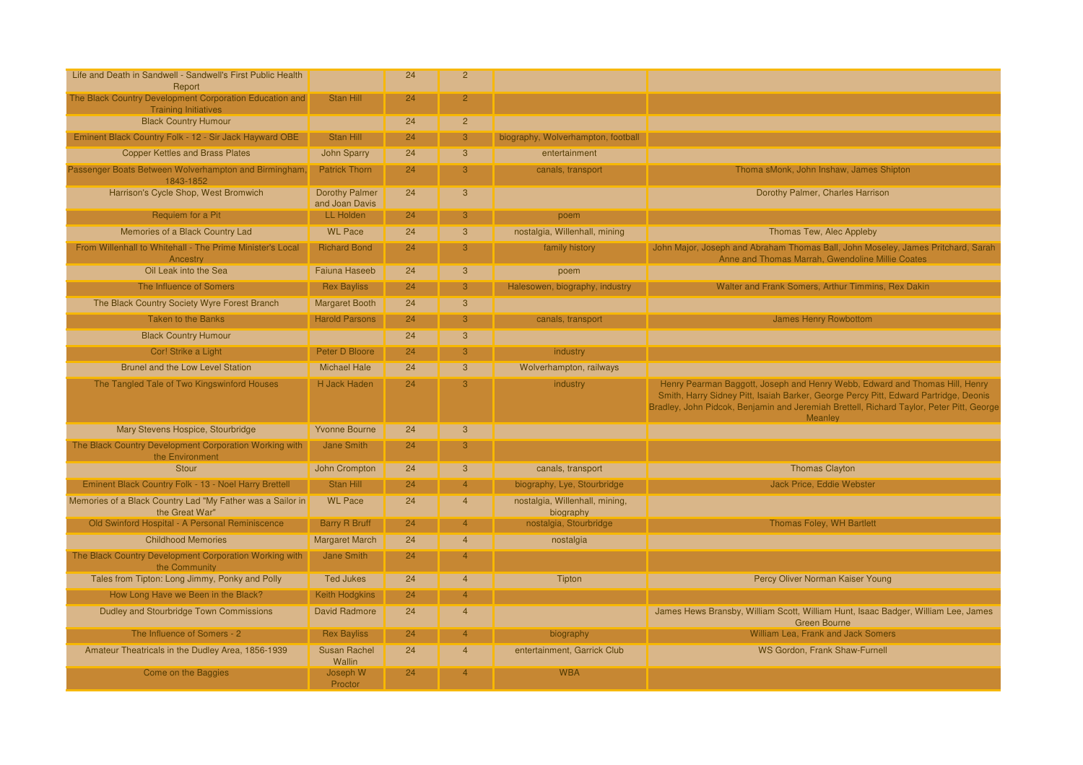| Life and Death in Sandwell - Sandwell's First Public Health<br>Report        |                                         | 24 | $\overline{2}$ |                                             |                                                                                                                                                                                             |
|------------------------------------------------------------------------------|-----------------------------------------|----|----------------|---------------------------------------------|---------------------------------------------------------------------------------------------------------------------------------------------------------------------------------------------|
| The Black Country Development Corporation Education and                      | Stan Hill                               | 24 | $\overline{2}$ |                                             |                                                                                                                                                                                             |
| <b>Training Initiatives</b><br><b>Black Country Humour</b>                   |                                         | 24 | $\overline{2}$ |                                             |                                                                                                                                                                                             |
| Eminent Black Country Folk - 12 - Sir Jack Hayward OBE                       | Stan Hill                               | 24 | 3              | biography, Wolverhampton, football          |                                                                                                                                                                                             |
| <b>Copper Kettles and Brass Plates</b>                                       | <b>John Sparry</b>                      | 24 | $\overline{3}$ | entertainment                               |                                                                                                                                                                                             |
| Passenger Boats Between Wolverhampton and Birmingham,<br>1843-1852           | <b>Patrick Thorn</b>                    | 24 | $\mathcal{R}$  | canals, transport                           | Thoma sMonk, John Inshaw, James Shipton                                                                                                                                                     |
| Harrison's Cycle Shop, West Bromwich                                         | <b>Dorothy Palmer</b><br>and Joan Davis | 24 | 3              |                                             | Dorothy Palmer, Charles Harrison                                                                                                                                                            |
| Requiem for a Pit                                                            | LL Holden                               | 24 | 3              | poem                                        |                                                                                                                                                                                             |
| Memories of a Black Country Lad                                              | <b>WL Pace</b>                          | 24 | 3              | nostalgia, Willenhall, mining               | Thomas Tew, Alec Appleby                                                                                                                                                                    |
| From Willenhall to Whitehall - The Prime Minister's Local<br>Ancestry        | <b>Richard Bond</b>                     | 24 | 3              | family history                              | John Major, Joseph and Abraham Thomas Ball, John Moseley, James Pritchard, Sarah<br>Anne and Thomas Marrah, Gwendoline Millie Coates                                                        |
| Oil Leak into the Sea                                                        | <b>Faiuna Haseeb</b>                    | 24 | 3              | poem                                        |                                                                                                                                                                                             |
| The Influence of Somers                                                      | <b>Rex Bayliss</b>                      | 24 | 3              | Halesowen, biography, industry              | Walter and Frank Somers, Arthur Timmins, Rex Dakin                                                                                                                                          |
| The Black Country Society Wyre Forest Branch                                 | Margaret Booth                          | 24 | $\mathbf{3}$   |                                             |                                                                                                                                                                                             |
| <b>Taken to the Banks</b>                                                    | <b>Harold Parsons</b>                   | 24 | $\mathcal{R}$  | canals, transport                           | <b>James Henry Rowbottom</b>                                                                                                                                                                |
| <b>Black Country Humour</b>                                                  |                                         | 24 | 3              |                                             |                                                                                                                                                                                             |
| Cor! Strike a Light                                                          | Peter D Bloore                          | 24 | 3              | industry                                    |                                                                                                                                                                                             |
| <b>Brunel and the Low Level Station</b>                                      | <b>Michael Hale</b>                     | 24 | $\mathbf{3}$   | Wolverhampton, railways                     |                                                                                                                                                                                             |
| The Tangled Tale of Two Kingswinford Houses                                  | H Jack Haden                            | 24 | 3              | industry                                    | Henry Pearman Baggott, Joseph and Henry Webb, Edward and Thomas Hill, Henry                                                                                                                 |
|                                                                              |                                         |    |                |                                             | Smith, Harry Sidney Pitt, Isaiah Barker, George Percy Pitt, Edward Partridge, Deonis<br>Bradley, John Pidcok, Benjamin and Jeremiah Brettell, Richard Taylor, Peter Pitt, George<br>Meanley |
| Mary Stevens Hospice, Stourbridge                                            | <b>Yvonne Bourne</b>                    | 24 | 3              |                                             |                                                                                                                                                                                             |
| The Black Country Development Corporation Working with<br>the Environment    | Jane Smith                              | 24 | $\mathcal{R}$  |                                             |                                                                                                                                                                                             |
| Stour                                                                        | John Crompton                           | 24 | 3              | canals, transport                           | <b>Thomas Clayton</b>                                                                                                                                                                       |
| Eminent Black Country Folk - 13 - Noel Harry Brettell                        | Stan Hill                               | 24 | $\overline{4}$ | biography, Lye, Stourbridge                 | Jack Price, Eddie Webster                                                                                                                                                                   |
| Memories of a Black Country Lad "My Father was a Sailor in<br>the Great War" | <b>WL Pace</b>                          | 24 | $\overline{4}$ | nostalgia, Willenhall, mining,<br>biography |                                                                                                                                                                                             |
| Old Swinford Hospital - A Personal Reminiscence                              | <b>Barry R Bruff</b>                    | 24 | $\overline{4}$ | nostalgia, Stourbridge                      | Thomas Foley, WH Bartlett                                                                                                                                                                   |
| <b>Childhood Memories</b>                                                    | <b>Margaret March</b>                   | 24 | $\overline{4}$ | nostalgia                                   |                                                                                                                                                                                             |
| The Black Country Development Corporation Working with<br>the Community      | <b>Jane Smith</b>                       | 24 | $\overline{4}$ |                                             |                                                                                                                                                                                             |
| Tales from Tipton: Long Jimmy, Ponky and Polly                               | <b>Ted Jukes</b>                        | 24 | $\overline{4}$ | Tipton                                      | Percy Oliver Norman Kaiser Young                                                                                                                                                            |
| How Long Have we Been in the Black?                                          | <b>Keith Hodgkins</b>                   | 24 | $\overline{4}$ |                                             |                                                                                                                                                                                             |
| Dudley and Stourbridge Town Commissions                                      | <b>David Radmore</b>                    | 24 | $\overline{4}$ |                                             | James Hews Bransby, William Scott, William Hunt, Isaac Badger, William Lee, James<br><b>Green Bourne</b>                                                                                    |
| The Influence of Somers - 2                                                  | <b>Rex Bayliss</b>                      | 24 | 4              | biography                                   | <b>William Lea, Frank and Jack Somers</b>                                                                                                                                                   |
| Amateur Theatricals in the Dudley Area, 1856-1939                            | <b>Susan Rachel</b><br>Wallin           | 24 | $\overline{4}$ | entertainment, Garrick Club<br><b>WBA</b>   | <b>WS Gordon, Frank Shaw-Furnell</b>                                                                                                                                                        |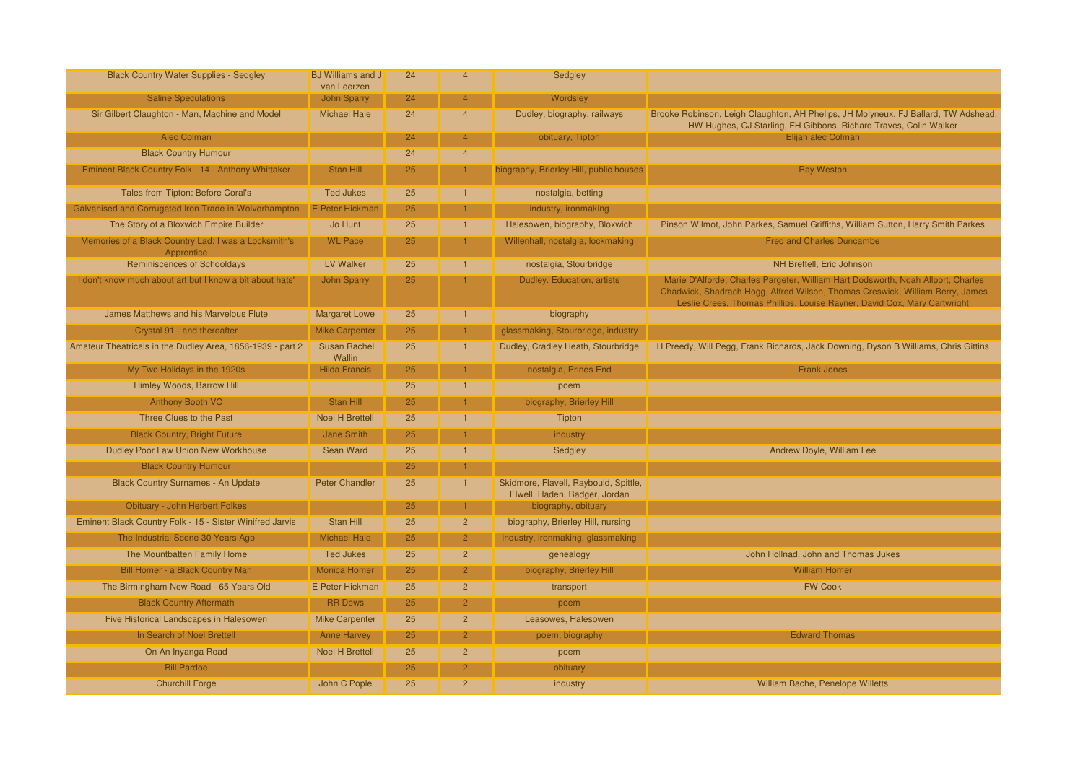| <b>Black Country Water Supplies - Sedgley</b>                      | <b>BJ Williams and J</b><br>van Leerzen | 24 | $\overline{4}$ | Sedgley                                                                |                                                                                                                                                                                                                                               |
|--------------------------------------------------------------------|-----------------------------------------|----|----------------|------------------------------------------------------------------------|-----------------------------------------------------------------------------------------------------------------------------------------------------------------------------------------------------------------------------------------------|
| <b>Saline Speculations</b>                                         | <b>John Sparry</b>                      | 24 | $\Delta$       | Wordsley                                                               |                                                                                                                                                                                                                                               |
| Sir Gilbert Claughton - Man, Machine and Model                     | <b>Michael Hale</b>                     | 24 | $\overline{4}$ | Dudley, biography, railways                                            | Brooke Robinson, Leigh Claughton, AH Phelips, JH Molyneux, FJ Ballard, TW Adshead,<br>HW Hughes, CJ Starling, FH Gibbons, Richard Traves, Colin Walker                                                                                        |
| <b>Alec Colman</b>                                                 |                                         | 24 | $\Delta$       | obituary, Tipton                                                       | Elijah alec Colman                                                                                                                                                                                                                            |
| <b>Black Country Humour</b>                                        |                                         | 24 | $\overline{4}$ |                                                                        |                                                                                                                                                                                                                                               |
| Eminent Black Country Folk - 14 - Anthony Whittaker                | Stan Hill                               | 25 |                | biography, Brierley Hill, public houses                                | <b>Ray Weston</b>                                                                                                                                                                                                                             |
| <b>Tales from Tipton: Before Coral's</b>                           | <b>Ted Jukes</b>                        | 25 | 1              | nostalgia, betting                                                     |                                                                                                                                                                                                                                               |
| Galvanised and Corrugated Iron Trade in Wolverhampton              | <b>E</b> Peter Hickman                  | 25 |                | industry, ironmaking                                                   |                                                                                                                                                                                                                                               |
| The Story of a Bloxwich Empire Builder                             | Jo Hunt                                 | 25 | $\overline{1}$ | Halesowen, biography, Bloxwich                                         | Pinson Wilmot, John Parkes, Samuel Griffiths, William Sutton, Harry Smith Parkes                                                                                                                                                              |
| Memories of a Black Country Lad: I was a Locksmith's<br>Apprentice | <b>WL Pace</b>                          | 25 |                | Willenhall, nostalgia, lockmaking                                      | <b>Fred and Charles Duncambe</b>                                                                                                                                                                                                              |
| Reminiscences of Schooldays                                        | <b>LV Walker</b>                        | 25 | $\mathbf{1}$   | nostalgia, Stourbridge                                                 | NH Brettell, Eric Johnson                                                                                                                                                                                                                     |
| I don't know much about art but I know a bit about hats'           | <b>John Sparry</b>                      | 25 |                | Dudley. Education, artists                                             | Marie D'Alforde, Charles Pargeter, William Hart Dodsworth, Noah Allport, Charles<br>Chadwick, Shadrach Hogg, Alfred Wilson, Thomas Creswick, William Berry, James<br>Leslie Crees, Thomas Phillips, Louise Rayner, David Cox, Mary Cartwright |
| James Matthews and his Marvelous Flute                             | <b>Margaret Lowe</b>                    | 25 | $\mathbf{1}$   | biography                                                              |                                                                                                                                                                                                                                               |
| Crystal 91 - and thereafter                                        | <b>Mike Carpenter</b>                   | 25 |                | glassmaking, Stourbridge, industry                                     |                                                                                                                                                                                                                                               |
| Amateur Theatricals in the Dudley Area, 1856-1939 - part 2         | <b>Susan Rachel</b><br>Wallin           | 25 | $\mathbf{1}$   | Dudley, Cradley Heath, Stourbridge                                     | H Preedy, Will Pegg, Frank Richards, Jack Downing, Dyson B Williams, Chris Gittins                                                                                                                                                            |
| My Two Holidays in the 1920s                                       | <b>Hilda Francis</b>                    | 25 |                | nostalgia, Prines End                                                  | <b>Frank Jones</b>                                                                                                                                                                                                                            |
| Himley Woods, Barrow Hill                                          |                                         | 25 |                | poem                                                                   |                                                                                                                                                                                                                                               |
| <b>Anthony Booth VC</b>                                            | Stan Hill                               | 25 |                | biography, Brierley Hill                                               |                                                                                                                                                                                                                                               |
| Three Clues to the Past                                            | <b>Noel H Brettell</b>                  | 25 | $\overline{1}$ | Tipton                                                                 |                                                                                                                                                                                                                                               |
| <b>Black Country, Bright Future</b>                                | Jane Smith                              | 25 | 1.             | industry                                                               |                                                                                                                                                                                                                                               |
| Dudley Poor Law Union New Workhouse                                | Sean Ward                               | 25 |                | Sedgley                                                                | Andrew Doyle, William Lee                                                                                                                                                                                                                     |
| <b>Black Country Humour</b>                                        |                                         | 25 |                |                                                                        |                                                                                                                                                                                                                                               |
| <b>Black Country Surnames - An Update</b>                          | <b>Peter Chandler</b>                   | 25 | $\overline{1}$ | Skidmore, Flavell, Raybould, Spittle,<br>Elwell, Haden, Badger, Jordan |                                                                                                                                                                                                                                               |
| <b>Obituary - John Herbert Folkes</b>                              |                                         | 25 |                | biography, obituary                                                    |                                                                                                                                                                                                                                               |
| Eminent Black Country Folk - 15 - Sister Winifred Jarvis           | Stan Hill                               | 25 | $\overline{2}$ | biography, Brierley Hill, nursing                                      |                                                                                                                                                                                                                                               |
| The Industrial Scene 30 Years Ago                                  | <b>Michael Hale</b>                     | 25 | $\overline{2}$ | industry, ironmaking, glassmaking                                      |                                                                                                                                                                                                                                               |
| The Mountbatten Family Home                                        | <b>Ted Jukes</b>                        | 25 | $\overline{2}$ | genealogy                                                              | John Hollnad, John and Thomas Jukes                                                                                                                                                                                                           |
| Bill Homer - a Black Country Man                                   | <b>Monica Homer</b>                     | 25 | $\overline{2}$ | biography, Brierley Hill                                               | <b>William Homer</b>                                                                                                                                                                                                                          |
| The Birmingham New Road - 65 Years Old                             | E Peter Hickman                         | 25 | $\overline{2}$ | transport                                                              | <b>FW Cook</b>                                                                                                                                                                                                                                |
| <b>Black Country Aftermath</b>                                     | <b>RR Dews</b>                          | 25 | $\overline{2}$ | poem                                                                   |                                                                                                                                                                                                                                               |
| Five Historical Landscapes in Halesowen                            | <b>Mike Carpenter</b>                   | 25 | $\overline{2}$ | Leasowes, Halesowen                                                    |                                                                                                                                                                                                                                               |
| In Search of Noel Brettell                                         | <b>Anne Harvey</b>                      | 25 | 2 <sup>1</sup> | poem, biography                                                        | <b>Edward Thomas</b>                                                                                                                                                                                                                          |
| On An Inyanga Road                                                 | <b>Noel H Brettell</b>                  | 25 | $\overline{2}$ | poem                                                                   |                                                                                                                                                                                                                                               |
| <b>Bill Pardoe</b>                                                 |                                         | 25 | $\overline{2}$ | obituary                                                               |                                                                                                                                                                                                                                               |
| <b>Churchill Forge</b>                                             | John C Pople                            | 25 | $\overline{2}$ | industry                                                               | William Bache, Penelope Willetts                                                                                                                                                                                                              |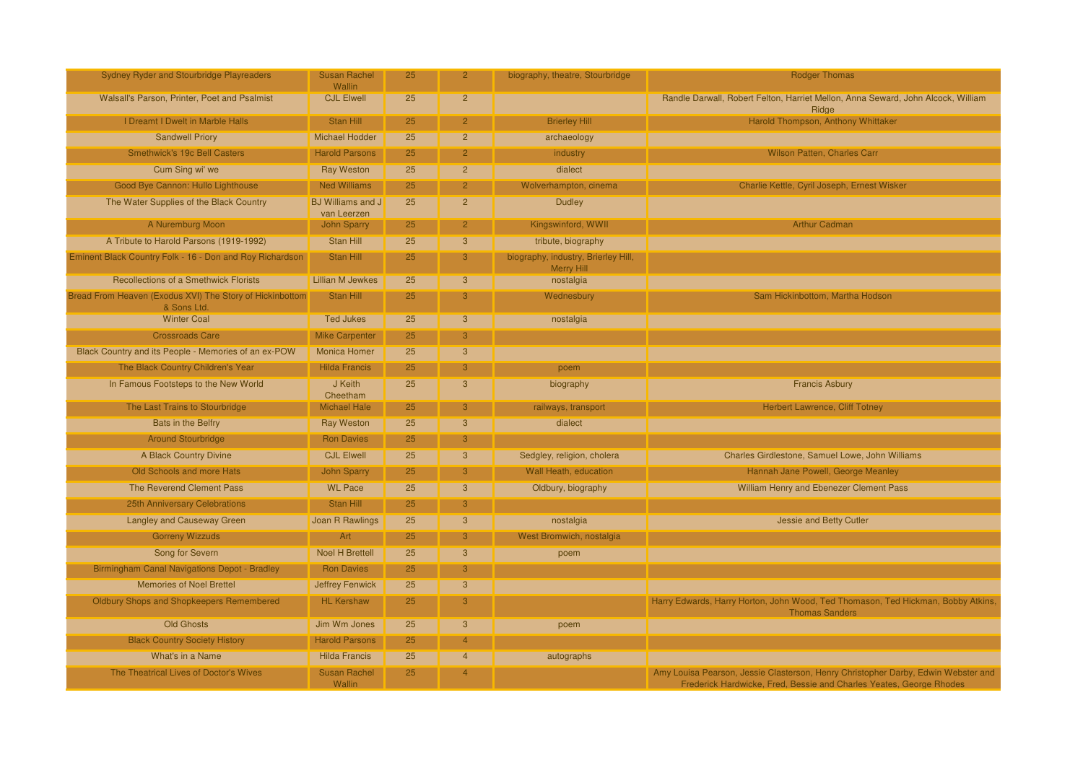| <b>Sydney Ryder and Stourbridge Playreaders</b>                         | <b>Susan Rachel</b>                     | 25 | 2 <sup>1</sup> | biography, theatre, Stourbridge                          | <b>Rodger Thomas</b>                                                                                                                                     |
|-------------------------------------------------------------------------|-----------------------------------------|----|----------------|----------------------------------------------------------|----------------------------------------------------------------------------------------------------------------------------------------------------------|
| Walsall's Parson, Printer, Poet and Psalmist                            | Wallin<br><b>CJL Elwell</b>             | 25 | $\overline{2}$ |                                                          | Randle Darwall, Robert Felton, Harriet Mellon, Anna Seward, John Alcock, William                                                                         |
|                                                                         |                                         |    |                |                                                          | Ridge                                                                                                                                                    |
| I Dreamt I Dwelt in Marble Halls                                        | Stan Hill                               | 25 | $\overline{2}$ | <b>Brierley Hill</b>                                     | Harold Thompson, Anthony Whittaker                                                                                                                       |
| <b>Sandwell Priory</b>                                                  | <b>Michael Hodder</b>                   | 25 | $\overline{2}$ | archaeology                                              |                                                                                                                                                          |
| <b>Smethwick's 19c Bell Casters</b>                                     | <b>Harold Parsons</b>                   | 25 | $\mathcal{P}$  | industry                                                 | Wilson Patten, Charles Carr                                                                                                                              |
| Cum Sing wi' we                                                         | <b>Ray Weston</b>                       | 25 | $\overline{2}$ | dialect                                                  |                                                                                                                                                          |
| Good Bye Cannon: Hullo Lighthouse                                       | <b>Ned Williams</b>                     | 25 | $\overline{2}$ | Wolverhampton, cinema                                    | Charlie Kettle, Cyril Joseph, Ernest Wisker                                                                                                              |
| The Water Supplies of the Black Country                                 | <b>BJ Williams and J</b><br>van Leerzen | 25 | $\overline{2}$ | <b>Dudley</b>                                            |                                                                                                                                                          |
| A Nuremburg Moon                                                        | <b>John Sparry</b>                      | 25 | 2.             | Kingswinford, WWII                                       | <b>Arthur Cadman</b>                                                                                                                                     |
| A Tribute to Harold Parsons (1919-1992)                                 | Stan Hill                               | 25 | 3              | tribute, biography                                       |                                                                                                                                                          |
| Eminent Black Country Folk - 16 - Don and Roy Richardson                | Stan Hill                               | 25 | 3              | biography, industry, Brierley Hill,<br><b>Merry Hill</b> |                                                                                                                                                          |
| <b>Recollections of a Smethwick Florists</b>                            | <b>Lillian M Jewkes</b>                 | 25 | $\overline{3}$ | nostalgia                                                |                                                                                                                                                          |
| Bread From Heaven (Exodus XVI) The Story of Hickinbottom<br>& Sons Ltd. | Stan Hill                               | 25 | 3              | Wednesbury                                               | Sam Hickinbottom, Martha Hodson                                                                                                                          |
| <b>Winter Coal</b>                                                      | <b>Ted Jukes</b>                        | 25 | $\overline{3}$ | nostalgia                                                |                                                                                                                                                          |
| <b>Crossroads Care</b>                                                  | <b>Mike Carpenter</b>                   | 25 | 3              |                                                          |                                                                                                                                                          |
| Black Country and its People - Memories of an ex-POW                    | <b>Monica Homer</b>                     | 25 | 3              |                                                          |                                                                                                                                                          |
| The Black Country Children's Year                                       | <b>Hilda Francis</b>                    | 25 | 3              | poem                                                     |                                                                                                                                                          |
| In Famous Footsteps to the New World                                    | J Keith<br>Cheetham                     | 25 | $\mathbf{3}$   | biography                                                | <b>Francis Asbury</b>                                                                                                                                    |
| The Last Trains to Stourbridge                                          | <b>Michael Hale</b>                     | 25 | 3              | railways, transport                                      | <b>Herbert Lawrence, Cliff Totney</b>                                                                                                                    |
| <b>Bats in the Belfry</b>                                               | <b>Ray Weston</b>                       | 25 | 3              | dialect                                                  |                                                                                                                                                          |
| <b>Around Stourbridge</b>                                               | <b>Ron Davies</b>                       | 25 | 3              |                                                          |                                                                                                                                                          |
| A Black Country Divine                                                  | <b>CJL Elwell</b>                       | 25 | 3              | Sedgley, religion, cholera                               | Charles Girdlestone, Samuel Lowe, John Williams                                                                                                          |
| Old Schools and more Hats                                               | <b>John Sparry</b>                      | 25 | 3              | Wall Heath, education                                    | Hannah Jane Powell, George Meanley                                                                                                                       |
| The Reverend Clement Pass                                               | <b>WL Pace</b>                          | 25 | $\overline{3}$ | Oldbury, biography                                       | William Henry and Ebenezer Clement Pass                                                                                                                  |
| 25th Anniversary Celebrations                                           | Stan Hill                               | 25 | 3              |                                                          |                                                                                                                                                          |
| Langley and Causeway Green                                              | Joan R Rawlings                         | 25 | $\mathbf{3}$   | nostalgia                                                | Jessie and Betty Cutler                                                                                                                                  |
| <b>Gorreny Wizzuds</b>                                                  | Art                                     | 25 | 3              | West Bromwich, nostalgia                                 |                                                                                                                                                          |
| Song for Severn                                                         | <b>Noel H Brettell</b>                  | 25 | 3              | poem                                                     |                                                                                                                                                          |
| Birmingham Canal Navigations Depot - Bradley                            | <b>Ron Davies</b>                       | 25 | 3              |                                                          |                                                                                                                                                          |
| <b>Memories of Noel Brettel</b>                                         | <b>Jeffrey Fenwick</b>                  | 25 | $\overline{3}$ |                                                          |                                                                                                                                                          |
| <b>Oldbury Shops and Shopkeepers Remembered</b>                         | <b>HL Kershaw</b>                       | 25 | 3              |                                                          | Harry Edwards, Harry Horton, John Wood, Ted Thomason, Ted Hickman, Bobby Atkins,<br><b>Thomas Sanders</b>                                                |
| <b>Old Ghosts</b>                                                       | Jim Wm Jones                            | 25 | $\mathbf{3}$   | poem                                                     |                                                                                                                                                          |
| <b>Black Country Society History</b>                                    | <b>Harold Parsons</b>                   | 25 | $\overline{4}$ |                                                          |                                                                                                                                                          |
| What's in a Name                                                        | <b>Hilda Francis</b>                    | 25 | $\overline{4}$ | autographs                                               |                                                                                                                                                          |
| The Theatrical Lives of Doctor's Wives                                  | <b>Susan Rachel</b><br>Wallin           | 25 |                |                                                          | Amy Louisa Pearson, Jessie Clasterson, Henry Christopher Darby, Edwin Webster and<br>Frederick Hardwicke, Fred, Bessie and Charles Yeates, George Rhodes |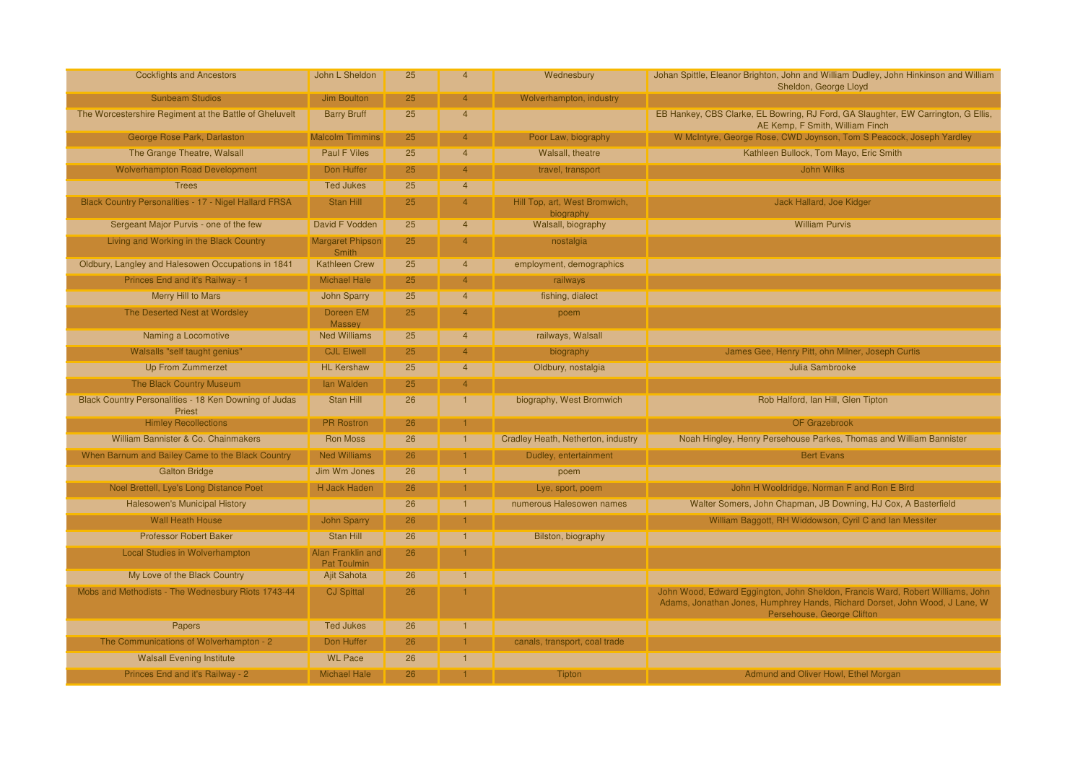| <b>Cockfights and Ancestors</b>                                 | John L Sheldon                   | 25 | $\overline{4}$ | Wednesbury                                 | Johan Spittle, Eleanor Brighton, John and William Dudley, John Hinkinson and William<br>Sheldon, George Lloyd                                                                               |
|-----------------------------------------------------------------|----------------------------------|----|----------------|--------------------------------------------|---------------------------------------------------------------------------------------------------------------------------------------------------------------------------------------------|
| <b>Sunbeam Studios</b>                                          | <b>Jim Boulton</b>               | 25 | $\overline{4}$ | Wolverhampton, industry                    |                                                                                                                                                                                             |
| The Worcestershire Regiment at the Battle of Gheluvelt          | <b>Barry Bruff</b>               | 25 | $\overline{4}$ |                                            | EB Hankey, CBS Clarke, EL Bowring, RJ Ford, GA Slaughter, EW Carrington, G Ellis,<br>AE Kemp, F Smith, William Finch                                                                        |
| George Rose Park, Darlaston                                     | <b>Malcolm Timmins</b>           | 25 | $\overline{4}$ | Poor Law, biography                        | W McIntyre, George Rose, CWD Joynson, Tom S Peacock, Joseph Yardley                                                                                                                         |
| The Grange Theatre, Walsall                                     | <b>Paul F Viles</b>              | 25 | $\overline{4}$ | <b>Walsall</b> , theatre                   | Kathleen Bullock, Tom Mayo, Eric Smith                                                                                                                                                      |
| <b>Wolverhampton Road Development</b>                           | Don Huffer                       | 25 | $\overline{4}$ | travel, transport                          | <b>John Wilks</b>                                                                                                                                                                           |
| <b>Trees</b>                                                    | <b>Ted Jukes</b>                 | 25 | $\overline{4}$ |                                            |                                                                                                                                                                                             |
| Black Country Personalities - 17 - Nigel Hallard FRSA           | Stan Hill                        | 25 | $\overline{4}$ | Hill Top, art, West Bromwich,<br>biography | Jack Hallard, Joe Kidger                                                                                                                                                                    |
| Sergeant Major Purvis - one of the few                          | David F Vodden                   | 25 | $\overline{4}$ | Walsall, biography                         | <b>William Purvis</b>                                                                                                                                                                       |
| Living and Working in the Black Country                         | <b>Margaret Phipson</b><br>Smith | 25 | $\overline{4}$ | nostalgia                                  |                                                                                                                                                                                             |
| Oldbury, Langley and Halesowen Occupations in 1841              | <b>Kathleen Crew</b>             | 25 | $\overline{4}$ | employment, demographics                   |                                                                                                                                                                                             |
| Princes End and it's Railway - 1                                | <b>Michael Hale</b>              | 25 | $\overline{4}$ | railways                                   |                                                                                                                                                                                             |
| Merry Hill to Mars                                              | John Sparry                      | 25 | $\overline{4}$ | fishing, dialect                           |                                                                                                                                                                                             |
| The Deserted Nest at Wordsley                                   | Doreen EM<br>Massey              | 25 | $\overline{4}$ | poem                                       |                                                                                                                                                                                             |
| Naming a Locomotive                                             | <b>Ned Williams</b>              | 25 | $\overline{4}$ | railways, Walsall                          |                                                                                                                                                                                             |
| Walsalls "self taught genius"                                   | <b>CJL Elwell</b>                | 25 | $\overline{4}$ | biography                                  | James Gee, Henry Pitt, ohn Milner, Joseph Curtis                                                                                                                                            |
| Up From Zummerzet                                               | <b>HL Kershaw</b>                | 25 | $\overline{4}$ | Oldbury, nostalgia                         | Julia Sambrooke                                                                                                                                                                             |
| <b>The Black Country Museum</b>                                 | lan Walden                       | 25 | $\overline{4}$ |                                            |                                                                                                                                                                                             |
| Black Country Personalities - 18 Ken Downing of Judas<br>Priest | <b>Stan Hill</b>                 | 26 | $\mathbf{1}$   | biography, West Bromwich                   | Rob Halford, Ian Hill, Glen Tipton                                                                                                                                                          |
| <b>Himley Recollections</b>                                     | <b>PR</b> Rostron                | 26 |                |                                            | OF Grazebrook                                                                                                                                                                               |
| William Bannister & Co. Chainmakers                             | <b>Ron Moss</b>                  | 26 | $\overline{1}$ | Cradley Heath, Netherton, industry         | Noah Hingley, Henry Persehouse Parkes, Thomas and William Bannister                                                                                                                         |
| When Barnum and Bailey Came to the Black Country                | <b>Ned Williams</b>              | 26 |                | Dudley, entertainment                      | <b>Bert Evans</b>                                                                                                                                                                           |
| <b>Galton Bridge</b>                                            | Jim Wm Jones                     | 26 | $\mathbf{1}$   | poem                                       |                                                                                                                                                                                             |
| Noel Brettell, Lye's Long Distance Poet                         | H Jack Haden                     | 26 | 1.             | Lye, sport, poem                           | John H Wooldridge, Norman F and Ron E Bird                                                                                                                                                  |
| Halesowen's Municipal History                                   |                                  | 26 | $\mathbf{1}$   | numerous Halesowen names                   | Walter Somers, John Chapman, JB Downing, HJ Cox, A Basterfield                                                                                                                              |
| <b>Wall Heath House</b>                                         | <b>John Sparry</b>               | 26 | 1              |                                            | William Baggott, RH Widdowson, Cyril C and Ian Messiter                                                                                                                                     |
| <b>Professor Robert Baker</b>                                   | Stan Hill                        | 26 | $\mathbf{1}$   | Bilston, biography                         |                                                                                                                                                                                             |
| Local Studies in Wolverhampton                                  | Alan Franklin and<br>Pat Toulmin | 26 | $\mathbf{1}$   |                                            |                                                                                                                                                                                             |
| My Love of the Black Country                                    | Ajit Sahota                      | 26 | $\overline{1}$ |                                            |                                                                                                                                                                                             |
| Mobs and Methodists - The Wednesbury Riots 1743-44              | <b>CJ Spittal</b>                | 26 |                |                                            | John Wood, Edward Eggington, John Sheldon, Francis Ward, Robert Williams, John<br>Adams, Jonathan Jones, Humphrey Hands, Richard Dorset, John Wood, J Lane, W<br>Persehouse, George Clifton |
| Papers                                                          | <b>Ted Jukes</b>                 | 26 | $\overline{1}$ |                                            |                                                                                                                                                                                             |
| The Communications of Wolverhampton - 2                         | Don Huffer                       | 26 | $\mathbf{1}$   | canals, transport, coal trade              |                                                                                                                                                                                             |
| <b>Walsall Evening Institute</b>                                | <b>WL Pace</b>                   | 26 | $\overline{1}$ |                                            |                                                                                                                                                                                             |
| Princes End and it's Railway - 2                                | <b>Michael Hale</b>              | 26 |                | <b>Tipton</b>                              | Admund and Oliver Howl, Ethel Morgan                                                                                                                                                        |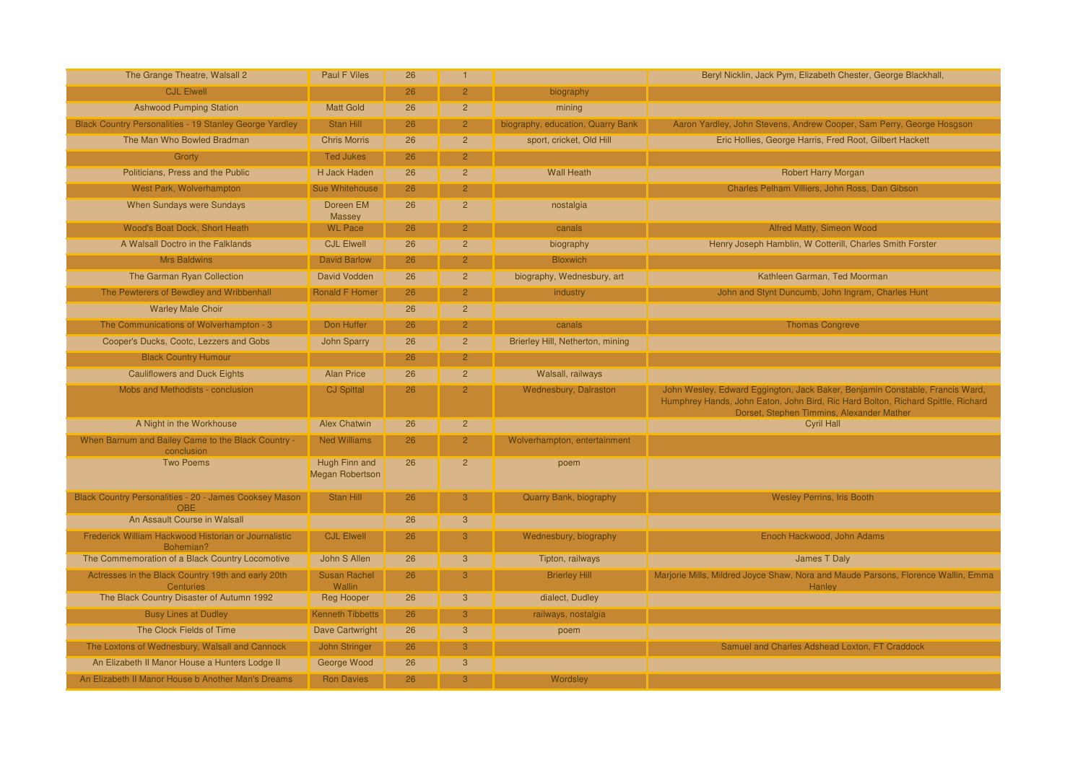| The Grange Theatre, Walsall 2                                          | <b>Paul F Viles</b>                     | 26 | $\mathbf{1}$   |                                   | Beryl Nicklin, Jack Pym, Elizabeth Chester, George Blackhall,                                                                                                                                                 |
|------------------------------------------------------------------------|-----------------------------------------|----|----------------|-----------------------------------|---------------------------------------------------------------------------------------------------------------------------------------------------------------------------------------------------------------|
| <b>CJL Elwell</b>                                                      |                                         | 26 | $\overline{2}$ | biography                         |                                                                                                                                                                                                               |
| <b>Ashwood Pumping Station</b>                                         | <b>Matt Gold</b>                        | 26 | $\overline{2}$ | mining                            |                                                                                                                                                                                                               |
| <b>Black Country Personalities - 19 Stanley George Yardley</b>         | Stan Hill                               | 26 | $\overline{2}$ | biography, education, Quarry Bank | Aaron Yardley, John Stevens, Andrew Cooper, Sam Perry, George Hosgson                                                                                                                                         |
| The Man Who Bowled Bradman                                             | <b>Chris Morris</b>                     | 26 | $\overline{2}$ | sport, cricket, Old Hill          | Eric Hollies, George Harris, Fred Root, Gilbert Hackett                                                                                                                                                       |
| Grorty                                                                 | <b>Ted Jukes</b>                        | 26 | $\overline{2}$ |                                   |                                                                                                                                                                                                               |
| Politicians, Press and the Public                                      | H Jack Haden                            | 26 | $\overline{2}$ | <b>Wall Heath</b>                 | <b>Robert Harry Morgan</b>                                                                                                                                                                                    |
| West Park, Wolverhampton                                               | Sue Whitehouse                          | 26 | $\overline{2}$ |                                   | Charles Pelham Villiers, John Ross, Dan Gibson                                                                                                                                                                |
| When Sundays were Sundays                                              | <b>Doreen EM</b><br>Massey              | 26 | $\overline{2}$ | nostalgia                         |                                                                                                                                                                                                               |
| <b>Wood's Boat Dock, Short Heath</b>                                   | <b>WL Pace</b>                          | 26 | $\overline{2}$ | canals                            | Alfred Matty, Simeon Wood                                                                                                                                                                                     |
| A Walsall Doctro in the Falklands                                      | <b>CJL Elwell</b>                       | 26 | $\overline{2}$ | biography                         | Henry Joseph Hamblin, W Cotterill, Charles Smith Forster                                                                                                                                                      |
| <b>Mrs Baldwins</b>                                                    | <b>David Barlow</b>                     | 26 | $\overline{2}$ | <b>Bloxwich</b>                   |                                                                                                                                                                                                               |
| The Garman Ryan Collection                                             | David Vodden                            | 26 | $\overline{2}$ | biography, Wednesbury, art        | Kathleen Garman, Ted Moorman                                                                                                                                                                                  |
| The Pewterers of Bewdley and Wribbenhall                               | <b>Ronald F Homer</b>                   | 26 | $\overline{2}$ | industry                          | John and Stynt Duncumb, John Ingram, Charles Hunt                                                                                                                                                             |
| <b>Warley Male Choir</b>                                               |                                         | 26 | $\overline{2}$ |                                   |                                                                                                                                                                                                               |
| The Communications of Wolverhampton - 3                                | Don Huffer                              | 26 | 2 <sup>1</sup> | canals                            | <b>Thomas Congreve</b>                                                                                                                                                                                        |
| Cooper's Ducks, Cootc, Lezzers and Gobs                                | <b>John Sparry</b>                      | 26 | 2 <sup>1</sup> | Brierley Hill, Netherton, mining  |                                                                                                                                                                                                               |
| <b>Black Country Humour</b>                                            |                                         | 26 | $\overline{2}$ |                                   |                                                                                                                                                                                                               |
| <b>Cauliflowers and Duck Eights</b>                                    | <b>Alan Price</b>                       | 26 | $\overline{2}$ | Walsall, railways                 |                                                                                                                                                                                                               |
| Mobs and Methodists - conclusion                                       | <b>CJ Spittal</b>                       | 26 | $\overline{2}$ | <b>Wednesbury, Dalraston</b>      | John Wesley, Edward Eggington, Jack Baker, Benjamin Constable, Francis Ward,<br>Humphrey Hands, John Eaton, John Bird, Ric Hard Bolton, Richard Spittle, Richard<br>Dorset, Stephen Timmins, Alexander Mather |
| A Night in the Workhouse                                               | <b>Alex Chatwin</b>                     | 26 | $\overline{2}$ |                                   | <b>Cyril Hall</b>                                                                                                                                                                                             |
| When Barnum and Bailey Came to the Black Country -<br>conclusion       | <b>Ned Williams</b>                     | 26 | 2 <sup>1</sup> | Wolverhampton, entertainment      |                                                                                                                                                                                                               |
| <b>Two Poems</b>                                                       | Hugh Finn and<br><b>Megan Robertson</b> | 26 | $\overline{2}$ | poem                              |                                                                                                                                                                                                               |
| Black Country Personalities - 20 - James Cooksey Mason<br><b>OBE</b>   | Stan Hill                               | 26 | 3              | Quarry Bank, biography            | <b>Wesley Perrins, Iris Booth</b>                                                                                                                                                                             |
| An Assault Course in Walsall                                           |                                         | 26 | $\overline{3}$ |                                   |                                                                                                                                                                                                               |
| Frederick William Hackwood Historian or Journalistic<br>Bohemian?      | <b>CJL Elwell</b>                       | 26 | 3              | Wednesbury, biography             | Enoch Hackwood, John Adams                                                                                                                                                                                    |
| The Commemoration of a Black Country Locomotive                        | John S Allen                            | 26 | 3              | Tipton, railways                  | James T Daly                                                                                                                                                                                                  |
| Actresses in the Black Country 19th and early 20th<br><b>Centuries</b> | <b>Susan Rachel</b><br>Wallin           | 26 | 3              | <b>Brierley Hill</b>              | Marjorie Mills, Mildred Joyce Shaw, Nora and Maude Parsons, Florence Wallin, Emma<br>Hanley                                                                                                                   |
| The Black Country Disaster of Autumn 1992                              | <b>Reg Hooper</b>                       | 26 | 3              | dialect, Dudley                   |                                                                                                                                                                                                               |
| <b>Busy Lines at Dudley</b>                                            | <b>Kenneth Tibbetts</b>                 | 26 | 3              | railways, nostalgia               |                                                                                                                                                                                                               |
| The Clock Fields of Time                                               | Dave Cartwright                         | 26 | $\overline{3}$ | poem                              |                                                                                                                                                                                                               |
| The Loxtons of Wednesbury, Walsall and Cannock                         | <b>John Stringer</b>                    | 26 | 3              |                                   | Samuel and Charles Adshead Loxton, FT Craddock                                                                                                                                                                |
| An Elizabeth II Manor House a Hunters Lodge II                         | George Wood                             | 26 | 3              |                                   |                                                                                                                                                                                                               |
| An Elizabeth II Manor House b Another Man's Dreams                     | <b>Ron Davies</b>                       | 26 | 3              | Wordsley                          |                                                                                                                                                                                                               |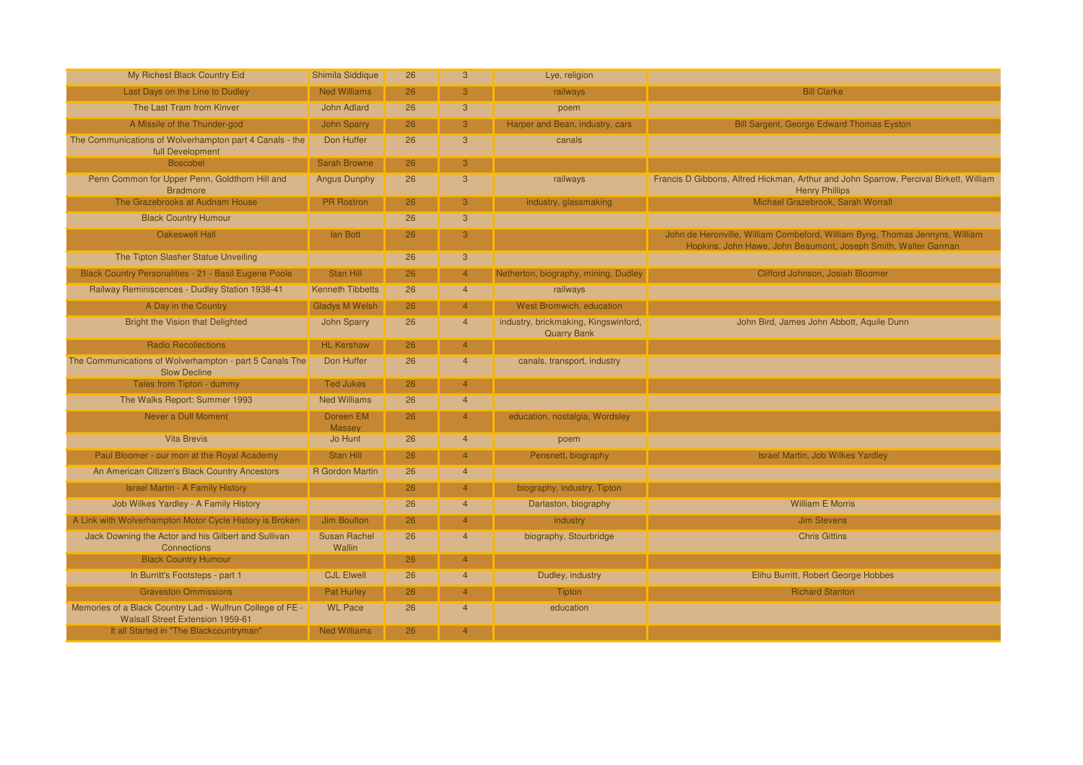| My Richest Black Country Eid                                                                  | Shimila Siddique              | 26 | 3              | Lye, religion                                              |                                                                                                                                                |
|-----------------------------------------------------------------------------------------------|-------------------------------|----|----------------|------------------------------------------------------------|------------------------------------------------------------------------------------------------------------------------------------------------|
| Last Days on the Line to Dudley                                                               | <b>Ned Williams</b>           | 26 | 3              | railways                                                   | <b>Bill Clarke</b>                                                                                                                             |
| The Last Tram from Kinver                                                                     | John Adlard                   | 26 | 3              | poem                                                       |                                                                                                                                                |
| A Missile of the Thunder-god                                                                  | <b>John Sparry</b>            | 26 | 3              | Harper and Bean, industry, cars                            | <b>Bill Sargent, George Edward Thomas Eyston</b>                                                                                               |
| The Communications of Wolverhampton part 4 Canals - the<br>full Development                   | Don Huffer                    | 26 | $\overline{3}$ | canals                                                     |                                                                                                                                                |
| <b>Boscobel</b>                                                                               | <b>Sarah Browne</b>           | 26 | 3              |                                                            |                                                                                                                                                |
| Penn Common for Upper Penn, Goldthorn Hill and<br><b>Bradmore</b>                             | <b>Angus Dunphy</b>           | 26 | 3              | railways                                                   | Francis D Gibbons, Alfred Hickman, Arthur and John Sparrow, Percival Birkett, William<br><b>Henry Phillips</b>                                 |
| The Grazebrooks at Audnam House                                                               | <b>PR</b> Rostron             | 26 | 3              | industry, glassmaking                                      | Michael Grazebrook, Sarah Worrall                                                                                                              |
| <b>Black Country Humour</b>                                                                   |                               | 26 | $\overline{3}$ |                                                            |                                                                                                                                                |
| <b>Oakeswell Hall</b>                                                                         | lan Bott                      | 26 | 3              |                                                            | John de Heronville, William Combeford, William Byng, Thomas Jennyns, William<br>Hopkins, John Hawe, John Beaumont, Joseph Smith, Walter Garman |
| The Tipton Slasher Statue Unveiling                                                           |                               | 26 | 3              |                                                            |                                                                                                                                                |
| <b>Black Country Personalities - 21 - Basil Eugene Poole</b>                                  | Stan Hill                     | 26 | $\overline{4}$ | Netherton, biography, mining, Dudley                       | Clifford Johnson, Josiah Bloomer                                                                                                               |
| Railway Reminiscences - Dudley Station 1938-41                                                | <b>Kenneth Tibbetts</b>       | 26 | $\overline{4}$ | railways                                                   |                                                                                                                                                |
| A Day in the Country                                                                          | <b>Gladys M Welsh</b>         | 26 | $\overline{4}$ | West Bromwich, education                                   |                                                                                                                                                |
| <b>Bright the Vision that Delighted</b>                                                       | <b>John Sparry</b>            | 26 | $\overline{4}$ | industry, brickmaking, Kingswinford,<br><b>Quarry Bank</b> | John Bird, James John Abbott, Aquile Dunn                                                                                                      |
| <b>Radio Recollections</b>                                                                    | <b>HL Kershaw</b>             | 26 | $\overline{4}$ |                                                            |                                                                                                                                                |
| The Communications of Wolverhampton - part 5 Canals The<br><b>Slow Decline</b>                | Don Huffer                    | 26 | $\overline{4}$ | canals, transport, industry                                |                                                                                                                                                |
| Tales from Tipton - dummy                                                                     | <b>Ted Jukes</b>              | 26 | $\overline{4}$ |                                                            |                                                                                                                                                |
| The Walks Report: Summer 1993                                                                 | <b>Ned Williams</b>           | 26 | $\overline{4}$ |                                                            |                                                                                                                                                |
| Never a Dull Moment                                                                           | <b>Doreen EM</b><br>Massey    | 26 | $\overline{4}$ | education, nostalgia, Wordsley                             |                                                                                                                                                |
| <b>Vita Brevis</b>                                                                            | Jo Hunt                       | 26 | $\overline{4}$ | poem                                                       |                                                                                                                                                |
| Paul Bloomer - our mon at the Royal Academy                                                   | Stan Hill                     | 26 | $\overline{4}$ | Pensnett, biography                                        | Israel Martin, Job Wilkes Yardley                                                                                                              |
| An American Citizen's Black Country Ancestors                                                 | <b>R</b> Gordon Martin        | 26 | $\overline{4}$ |                                                            |                                                                                                                                                |
| <b>Israel Martin - A Family History</b>                                                       |                               | 26 | $\overline{4}$ | biography, industry, Tipton                                |                                                                                                                                                |
| Job Wilkes Yardley - A Family History                                                         |                               | 26 | $\overline{4}$ | Darlaston, biography                                       | <b>William E Morris</b>                                                                                                                        |
| A Link with Wolverhampton Motor Cycle History is Broken                                       | Jim Boulton                   | 26 | $\Delta$       | industry                                                   | <b>Jim Stevens</b>                                                                                                                             |
| Jack Downing the Actor and his Gilbert and Sullivan<br>Connections                            | <b>Susan Rachel</b><br>Wallin | 26 | $\overline{4}$ | biography, Stourbridge                                     | <b>Chris Gittins</b>                                                                                                                           |
| <b>Black Country Humour</b>                                                                   |                               | 26 | $\overline{4}$ |                                                            |                                                                                                                                                |
| In Burritt's Footsteps - part 1                                                               | <b>CJL Elwell</b>             | 26 | $\overline{4}$ | Dudley, industry                                           | Elihu Burritt, Robert George Hobbes                                                                                                            |
| <b>Graveston Ommissions</b>                                                                   | <b>Pat Hurley</b>             | 26 | $\overline{4}$ | <b>Tipton</b>                                              | <b>Richard Stanton</b>                                                                                                                         |
| Memories of a Black Country Lad - Wulfrun College of FE -<br>Walsall Street Extension 1959-61 | <b>WL Pace</b>                | 26 | $\overline{4}$ | education                                                  |                                                                                                                                                |
| It all Started in "The Blackcountryman"                                                       | <b>Ned Williams</b>           | 26 | $\overline{4}$ |                                                            |                                                                                                                                                |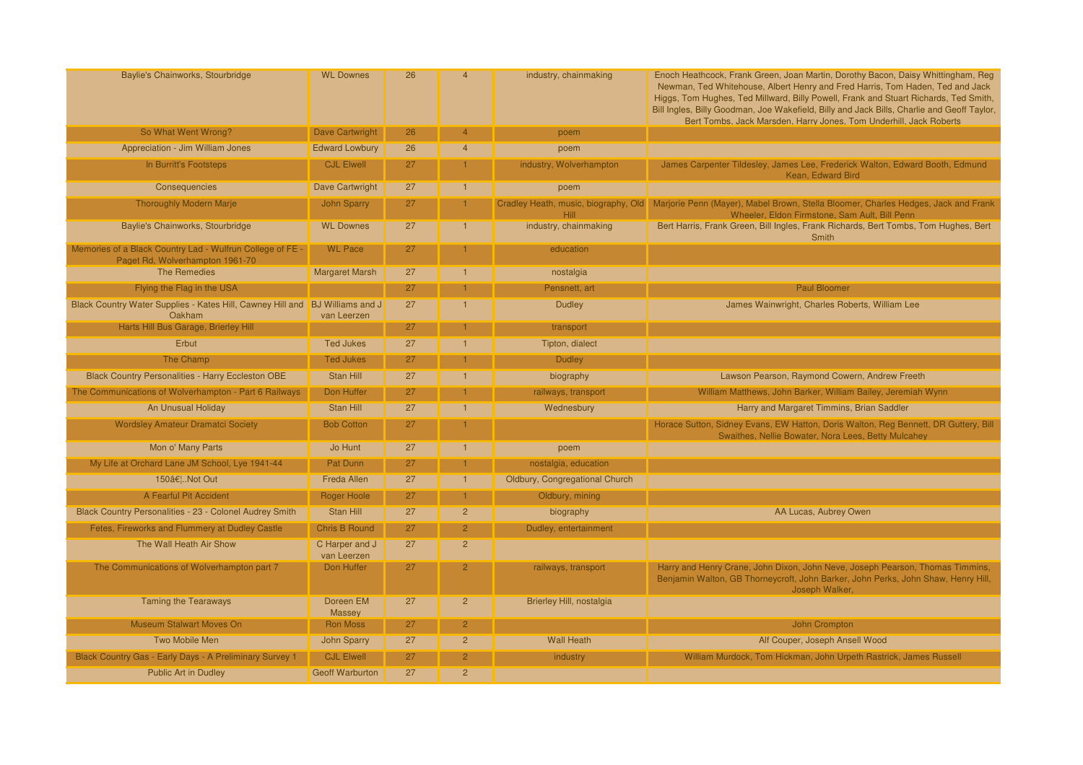| Baylie's Chainworks, Stourbridge                                                             | <b>WL Downes</b>              | 26 | $\overline{A}$ | industry, chainmaking                        | Enoch Heathcock, Frank Green, Joan Martin, Dorothy Bacon, Daisy Whittingham, Reg<br>Newman, Ted Whitehouse, Albert Henry and Fred Harris, Tom Haden, Ted and Jack                                                                                        |
|----------------------------------------------------------------------------------------------|-------------------------------|----|----------------|----------------------------------------------|----------------------------------------------------------------------------------------------------------------------------------------------------------------------------------------------------------------------------------------------------------|
|                                                                                              |                               |    |                |                                              | Higgs, Tom Hughes, Ted Millward, Billy Powell, Frank and Stuart Richards, Ted Smith,<br>Bill Ingles, Billy Goodman, Joe Wakefield, Billy and Jack Bills, Charlie and Geoff Taylor,<br>Bert Tombs, Jack Marsden, Harry Jones, Tom Underhill, Jack Roberts |
| So What Went Wrong?                                                                          | Dave Cartwright               | 26 |                | poem                                         |                                                                                                                                                                                                                                                          |
| Appreciation - Jim William Jones                                                             | <b>Edward Lowbury</b>         | 26 | $\overline{4}$ | poem                                         |                                                                                                                                                                                                                                                          |
| In Burritt's Footsteps                                                                       | <b>CJL Elwell</b>             | 27 |                | industry, Wolverhampton                      | James Carpenter Tildesley, James Lee, Frederick Walton, Edward Booth, Edmund<br>Kean, Edward Bird                                                                                                                                                        |
| Consequencies                                                                                | Dave Cartwright               | 27 | $\mathbf{1}$   | poem                                         |                                                                                                                                                                                                                                                          |
| <b>Thoroughly Modern Marje</b>                                                               | <b>John Sparry</b>            | 27 |                | Cradley Heath, music, biography, Old<br>Hill | Marjorie Penn (Mayer), Mabel Brown, Stella Bloomer, Charles Hedges, Jack and Frank<br>Wheeler, Eldon Firmstone, Sam Ault, Bill Penn                                                                                                                      |
| Baylie's Chainworks, Stourbridge                                                             | <b>WL Downes</b>              | 27 |                | industry, chainmaking                        | Bert Harris, Frank Green, Bill Ingles, Frank Richards, Bert Tombs, Tom Hughes, Bert<br><b>Smith</b>                                                                                                                                                      |
| Memories of a Black Country Lad - Wulfrun College of FE -<br>Paget Rd, Wolverhampton 1961-70 | <b>WL Pace</b>                | 27 |                | education                                    |                                                                                                                                                                                                                                                          |
| <b>The Remedies</b>                                                                          | <b>Margaret Marsh</b>         | 27 |                | nostalgia                                    |                                                                                                                                                                                                                                                          |
| Flying the Flag in the USA                                                                   |                               | 27 |                | Pensnett, art                                | <b>Paul Bloomer</b>                                                                                                                                                                                                                                      |
| Black Country Water Supplies - Kates Hill, Cawney Hill and BJ Williams and J<br>Oakham       | van Leerzen                   | 27 |                | <b>Dudley</b>                                | James Wainwright, Charles Roberts, William Lee                                                                                                                                                                                                           |
| Harts Hill Bus Garage, Brierley Hill                                                         |                               | 27 |                | transport                                    |                                                                                                                                                                                                                                                          |
| Erbut                                                                                        | <b>Ted Jukes</b>              | 27 |                | Tipton, dialect                              |                                                                                                                                                                                                                                                          |
| The Champ                                                                                    | <b>Ted Jukes</b>              | 27 |                | <b>Dudley</b>                                |                                                                                                                                                                                                                                                          |
| <b>Black Country Personalities - Harry Eccleston OBE</b>                                     | <b>Stan Hill</b>              | 27 | $\mathbf{1}$   | biography                                    | Lawson Pearson, Raymond Cowern, Andrew Freeth                                                                                                                                                                                                            |
| The Communications of Wolverhampton - Part 6 Railways                                        | Don Huffer                    | 27 |                | railways, transport                          | William Matthews, John Barker, William Bailey, Jeremiah Wynn                                                                                                                                                                                             |
| An Unusual Holiday                                                                           | Stan Hill                     | 27 | $\blacksquare$ | Wednesbury                                   | Harry and Margaret Timmins, Brian Saddler                                                                                                                                                                                                                |
| <b>Wordsley Amateur Dramatci Society</b>                                                     | <b>Bob Cotton</b>             | 27 |                |                                              | Horace Sutton, Sidney Evans, EW Hatton, Doris Walton, Reg Bennett, DR Guttery, Bill<br>Swaithes, Nellie Bowater, Nora Lees, Betty Mulcahev                                                                                                               |
| Mon o' Many Parts                                                                            | Jo Hunt                       | 27 |                | poem                                         |                                                                                                                                                                                                                                                          |
| My Life at Orchard Lane JM School, Lye 1941-44                                               | Pat Dunn                      | 27 |                | nostalgia, education                         |                                                                                                                                                                                                                                                          |
| 150…Not Out                                                                                  | <b>Freda Allen</b>            | 27 |                | Oldbury, Congregational Church               |                                                                                                                                                                                                                                                          |
| A Fearful Pit Accident                                                                       | Roger Hoole                   | 27 |                | Oldbury, mining                              |                                                                                                                                                                                                                                                          |
| Black Country Personalities - 23 - Colonel Audrey Smith                                      | Stan Hill                     | 27 | $\overline{2}$ | biography                                    | AA Lucas, Aubrey Owen                                                                                                                                                                                                                                    |
| Fetes, Fireworks and Flummery at Dudley Castle                                               | <b>Chris B Round</b>          | 27 | $\overline{2}$ | Dudley, entertainment                        |                                                                                                                                                                                                                                                          |
| The Wall Heath Air Show                                                                      | C Harper and J<br>van Leerzen | 27 | $\overline{2}$ |                                              |                                                                                                                                                                                                                                                          |
| The Communications of Wolverhampton part 7                                                   | Don Huffer                    | 27 |                | railways, transport                          | Harry and Henry Crane, John Dixon, John Neve, Joseph Pearson, Thomas Timmins,<br>Benjamin Walton, GB Thorneycroft, John Barker, John Perks, John Shaw, Henry Hill,<br>Joseph Walker.                                                                     |
| <b>Taming the Tearaways</b>                                                                  | Doreen EM<br>Massey           | 27 | $\overline{2}$ | Brierley Hill, nostalgia                     |                                                                                                                                                                                                                                                          |
| <b>Museum Stalwart Moves On</b>                                                              | <b>Ron Moss</b>               | 27 | $\overline{2}$ |                                              | John Crompton                                                                                                                                                                                                                                            |
| <b>Two Mobile Men</b>                                                                        | <b>John Sparry</b>            | 27 | $\overline{2}$ | <b>Wall Heath</b>                            | Alf Couper, Joseph Ansell Wood                                                                                                                                                                                                                           |
| Black Country Gas - Early Days - A Preliminary Survey 1                                      | <b>CJL Elwell</b>             | 27 | $\overline{2}$ | industry                                     | William Murdock, Tom Hickman, John Urpeth Rastrick, James Russell                                                                                                                                                                                        |
| <b>Public Art in Dudley</b>                                                                  | <b>Geoff Warburton</b>        | 27 | $\overline{2}$ |                                              |                                                                                                                                                                                                                                                          |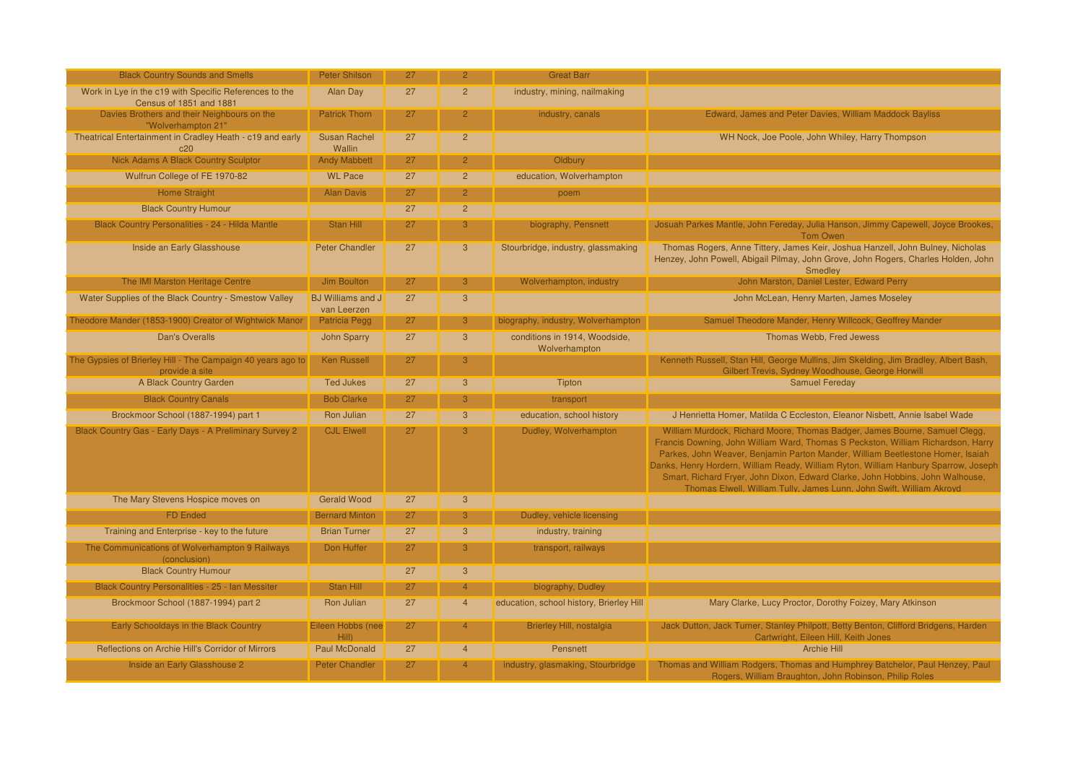| <b>Black Country Sounds and Smells</b>                                            | <b>Peter Shilson</b>                    | 27 | $\mathcal{P}$  | <b>Great Barr</b>                              |                                                                                                                                                                                                                                                                                                                                                                                                                                                                                                  |
|-----------------------------------------------------------------------------------|-----------------------------------------|----|----------------|------------------------------------------------|--------------------------------------------------------------------------------------------------------------------------------------------------------------------------------------------------------------------------------------------------------------------------------------------------------------------------------------------------------------------------------------------------------------------------------------------------------------------------------------------------|
| Work in Lye in the c19 with Specific References to the<br>Census of 1851 and 1881 | Alan Day                                | 27 | $\overline{2}$ | industry, mining, nailmaking                   |                                                                                                                                                                                                                                                                                                                                                                                                                                                                                                  |
| Davies Brothers and their Neighbours on the<br>"Wolverhampton 21"                 | <b>Patrick Thorn</b>                    | 27 | $\overline{2}$ | industry, canals                               | Edward, James and Peter Davies, William Maddock Bayliss                                                                                                                                                                                                                                                                                                                                                                                                                                          |
| Theatrical Entertainment in Cradley Heath - c19 and early<br>c20                  | <b>Susan Rachel</b><br>Wallin           | 27 | $\overline{2}$ |                                                | WH Nock, Joe Poole, John Whiley, Harry Thompson                                                                                                                                                                                                                                                                                                                                                                                                                                                  |
| <b>Nick Adams A Black Country Sculptor</b>                                        | <b>Andy Mabbett</b>                     | 27 | $\overline{2}$ | Oldbury                                        |                                                                                                                                                                                                                                                                                                                                                                                                                                                                                                  |
| Wulfrun College of FE 1970-82                                                     | <b>WL Pace</b>                          | 27 | $\overline{2}$ | education, Wolverhampton                       |                                                                                                                                                                                                                                                                                                                                                                                                                                                                                                  |
| <b>Home Straight</b>                                                              | <b>Alan Davis</b>                       | 27 | $\mathcal{P}$  | poem                                           |                                                                                                                                                                                                                                                                                                                                                                                                                                                                                                  |
| <b>Black Country Humour</b>                                                       |                                         | 27 | $\overline{2}$ |                                                |                                                                                                                                                                                                                                                                                                                                                                                                                                                                                                  |
| <b>Black Country Personalities - 24 - Hilda Mantle</b>                            | Stan Hill                               | 27 | 3              | biography, Pensnett                            | Josuah Parkes Mantle, John Fereday, Julia Hanson, Jimmy Capewell, Joyce Brookes,<br><b>Tom Owen</b>                                                                                                                                                                                                                                                                                                                                                                                              |
| Inside an Early Glasshouse                                                        | <b>Peter Chandler</b>                   | 27 | $\mathbf{3}$   | Stourbridge, industry, glassmaking             | Thomas Rogers, Anne Tittery, James Keir, Joshua Hanzell, John Bulney, Nicholas<br>Henzey, John Powell, Abigail Pilmay, John Grove, John Rogers, Charles Holden, John<br>Smedley                                                                                                                                                                                                                                                                                                                  |
| The IMI Marston Heritage Centre                                                   | Jim Boulton                             | 27 | 3              | Wolverhampton, industry                        | John Marston, Daniel Lester, Edward Perry                                                                                                                                                                                                                                                                                                                                                                                                                                                        |
| Water Supplies of the Black Country - Smestow Valley                              | <b>BJ Williams and J</b><br>van Leerzen | 27 | $\overline{3}$ |                                                | John McLean, Henry Marten, James Moseley                                                                                                                                                                                                                                                                                                                                                                                                                                                         |
| Theodore Mander (1853-1900) Creator of Wightwick Manor                            | Patricia Pegg                           | 27 | 3              | biography, industry, Wolverhampton             | Samuel Theodore Mander, Henry Willcock, Geoffrey Mander                                                                                                                                                                                                                                                                                                                                                                                                                                          |
| <b>Dan's Overalls</b>                                                             | John Sparry                             | 27 | $\overline{3}$ | conditions in 1914, Woodside,<br>Wolverhampton | Thomas Webb, Fred Jewess                                                                                                                                                                                                                                                                                                                                                                                                                                                                         |
| The Gypsies of Brierley Hill - The Campaign 40 years ago to<br>provide a site     | <b>Ken Russell</b>                      | 27 | 3              |                                                | Kenneth Russell, Stan Hill, George Mullins, Jim Skelding, Jim Bradley, Albert Bash,<br>Gilbert Trevis, Sydney Woodhouse, George Horwill                                                                                                                                                                                                                                                                                                                                                          |
| A Black Country Garden                                                            | <b>Ted Jukes</b>                        | 27 | $\mathbf{3}$   | Tipton                                         | <b>Samuel Fereday</b>                                                                                                                                                                                                                                                                                                                                                                                                                                                                            |
| <b>Black Country Canals</b>                                                       | <b>Bob Clarke</b>                       | 27 | 3              | transport                                      |                                                                                                                                                                                                                                                                                                                                                                                                                                                                                                  |
| Brockmoor School (1887-1994) part 1                                               | Ron Julian                              | 27 | 3              | education, school history                      | J Henrietta Homer, Matilda C Eccleston, Eleanor Nisbett, Annie Isabel Wade                                                                                                                                                                                                                                                                                                                                                                                                                       |
| Black Country Gas - Early Days - A Preliminary Survey 2                           | <b>CJL Elwell</b>                       | 27 | $\overline{R}$ | Dudley, Wolverhampton                          | William Murdock, Richard Moore, Thomas Badger, James Bourne, Samuel Clegg,<br>Francis Downing, John William Ward, Thomas S Peckston, William Richardson, Harry<br>Parkes, John Weaver, Benjamin Parton Mander, William Beetlestone Homer, Isaiah<br>Danks, Henry Hordern, William Ready, William Ryton, William Hanbury Sparrow, Joseph<br>Smart, Richard Fryer, John Dixon, Edward Clarke, John Hobbins, John Walhouse,<br>Thomas Elwell, William Tully, James Lunn, John Swift, William Akroyd |
| The Mary Stevens Hospice moves on                                                 | <b>Gerald Wood</b>                      | 27 | 3              |                                                |                                                                                                                                                                                                                                                                                                                                                                                                                                                                                                  |
| <b>FD Ended</b>                                                                   | <b>Bernard Minton</b>                   | 27 | 3              | Dudley, vehicle licensing                      |                                                                                                                                                                                                                                                                                                                                                                                                                                                                                                  |
| Training and Enterprise - key to the future                                       | <b>Brian Turner</b>                     | 27 | $\overline{3}$ | industry, training                             |                                                                                                                                                                                                                                                                                                                                                                                                                                                                                                  |
| The Communications of Wolverhampton 9 Railways<br>(conclusion)                    | Don Huffer                              | 27 | 3              | transport, railways                            |                                                                                                                                                                                                                                                                                                                                                                                                                                                                                                  |
| <b>Black Country Humour</b>                                                       |                                         | 27 | $\mathbf{3}$   |                                                |                                                                                                                                                                                                                                                                                                                                                                                                                                                                                                  |
| Black Country Personalities - 25 - Ian Messiter                                   | Stan Hill                               | 27 | $\Delta$       | biography, Dudley                              |                                                                                                                                                                                                                                                                                                                                                                                                                                                                                                  |
| Brockmoor School (1887-1994) part 2                                               | Ron Julian                              | 27 | $\overline{4}$ | education, school history, Brierley Hill       | Mary Clarke, Lucy Proctor, Dorothy Foizey, Mary Atkinson                                                                                                                                                                                                                                                                                                                                                                                                                                         |
| Early Schooldays in the Black Country                                             | Eileen Hobbs (nee<br>Hill)              | 27 | $\overline{4}$ | Brierley Hill, nostalgia                       | Jack Dutton, Jack Turner, Stanley Philpott, Betty Benton, Clifford Bridgens, Harden<br>Cartwright, Eileen Hill, Keith Jones                                                                                                                                                                                                                                                                                                                                                                      |
| Reflections on Archie Hill's Corridor of Mirrors                                  | Paul McDonald                           | 27 | $\overline{4}$ | Pensnett                                       | <b>Archie Hill</b>                                                                                                                                                                                                                                                                                                                                                                                                                                                                               |
| Inside an Early Glasshouse 2                                                      | <b>Peter Chandler</b>                   | 27 | $\overline{4}$ | industry, glasmaking, Stourbridge              | Thomas and William Rodgers, Thomas and Humphrey Batchelor, Paul Henzey, Paul<br>Rogers, William Braughton, John Robinson, Philip Roles                                                                                                                                                                                                                                                                                                                                                           |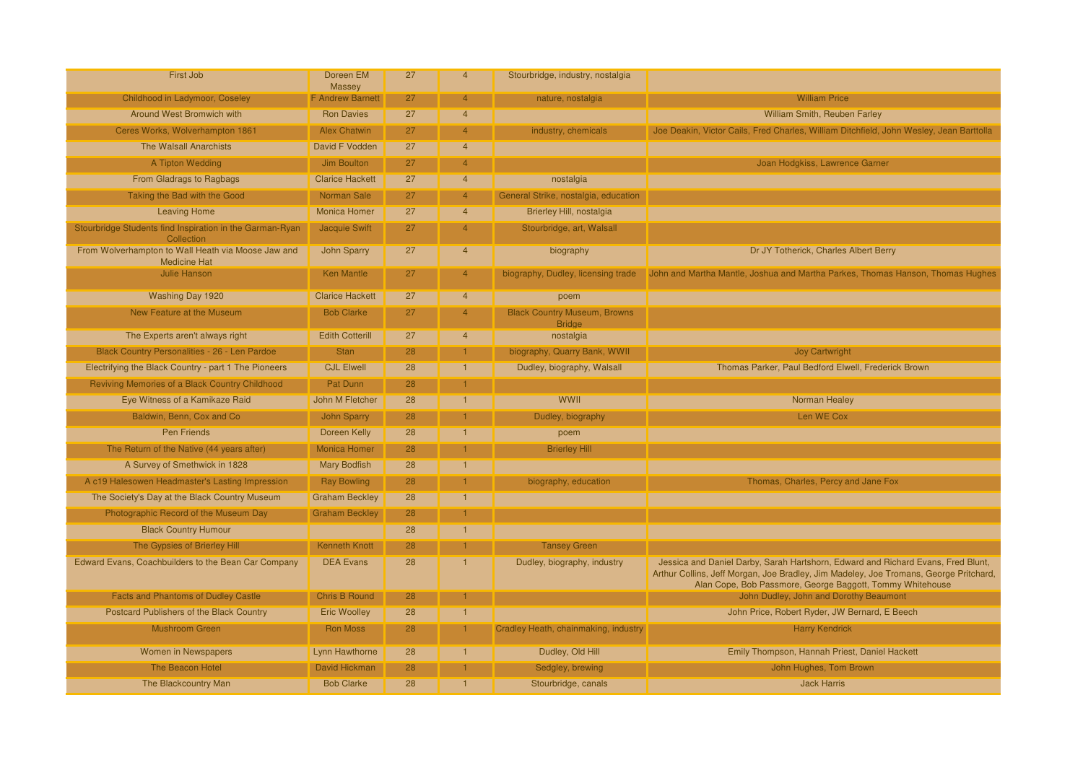| First Job                                                                 | Doreen EM<br>Massey     | 27 | $\overline{4}$ | Stourbridge, industry, nostalgia                     |                                                                                                                                                                                                                                       |
|---------------------------------------------------------------------------|-------------------------|----|----------------|------------------------------------------------------|---------------------------------------------------------------------------------------------------------------------------------------------------------------------------------------------------------------------------------------|
| Childhood in Ladymoor, Coseley                                            | <b>F Andrew Barnett</b> | 27 | $\overline{4}$ | nature, nostalgia                                    | <b>William Price</b>                                                                                                                                                                                                                  |
| Around West Bromwich with                                                 | <b>Ron Davies</b>       | 27 | $\overline{4}$ |                                                      | William Smith, Reuben Farley                                                                                                                                                                                                          |
| Ceres Works, Wolverhampton 1861                                           | <b>Alex Chatwin</b>     | 27 | $\overline{4}$ | industry, chemicals                                  | Joe Deakin, Victor Cails, Fred Charles, William Ditchfield, John Wesley, Jean Barttolla                                                                                                                                               |
| The Walsall Anarchists                                                    | David F Vodden          | 27 | $\overline{4}$ |                                                      |                                                                                                                                                                                                                                       |
| A Tipton Wedding                                                          | Jim Boulton             | 27 | $\overline{4}$ |                                                      | Joan Hodgkiss, Lawrence Garner                                                                                                                                                                                                        |
| From Gladrags to Ragbags                                                  | <b>Clarice Hackett</b>  | 27 | $\overline{4}$ | nostalgia                                            |                                                                                                                                                                                                                                       |
| Taking the Bad with the Good                                              | Norman Sale             | 27 | $\overline{4}$ | General Strike, nostalgia, education                 |                                                                                                                                                                                                                                       |
| <b>Leaving Home</b>                                                       | <b>Monica Homer</b>     | 27 | $\overline{4}$ | Brierley Hill, nostalgia                             |                                                                                                                                                                                                                                       |
| Stourbridge Students find Inspiration in the Garman-Ryan<br>Collection    | Jacquie Swift           | 27 | $\overline{4}$ | Stourbridge, art, Walsall                            |                                                                                                                                                                                                                                       |
| From Wolverhampton to Wall Heath via Moose Jaw and<br><b>Medicine Hat</b> | <b>John Sparry</b>      | 27 | $\overline{4}$ | biography                                            | Dr JY Totherick, Charles Albert Berry                                                                                                                                                                                                 |
| Julie Hanson                                                              | <b>Ken Mantle</b>       | 27 | $\overline{4}$ |                                                      | biography, Dudley, licensing trade John and Martha Mantle, Joshua and Martha Parkes, Thomas Hanson, Thomas Hughes                                                                                                                     |
| Washing Day 1920                                                          | <b>Clarice Hackett</b>  | 27 | $\overline{4}$ | poem                                                 |                                                                                                                                                                                                                                       |
| New Feature at the Museum                                                 | <b>Bob Clarke</b>       | 27 | $\overline{4}$ | <b>Black Country Museum, Browns</b><br><b>Bridge</b> |                                                                                                                                                                                                                                       |
| The Experts aren't always right                                           | <b>Edith Cotterill</b>  | 27 | $\overline{4}$ | nostalgia                                            |                                                                                                                                                                                                                                       |
| <b>Black Country Personalities - 26 - Len Pardoe</b>                      | <b>Stan</b>             | 28 | $\mathbf{1}$   | biography, Quarry Bank, WWII                         | <b>Joy Cartwright</b>                                                                                                                                                                                                                 |
| Electrifying the Black Country - part 1 The Pioneers                      | <b>CJL Elwell</b>       | 28 | -1             | Dudley, biography, Walsall                           | Thomas Parker, Paul Bedford Elwell, Frederick Brown                                                                                                                                                                                   |
| Reviving Memories of a Black Country Childhood                            | Pat Dunn                | 28 | $\overline{1}$ |                                                      |                                                                                                                                                                                                                                       |
| Eye Witness of a Kamikaze Raid                                            | John M Fletcher         | 28 |                | WWII                                                 | <b>Norman Healey</b>                                                                                                                                                                                                                  |
| Baldwin, Benn, Cox and Co.                                                | <b>John Sparry</b>      | 28 |                | Dudley, biography                                    | Len WE Cox                                                                                                                                                                                                                            |
| <b>Pen Friends</b>                                                        | Doreen Kelly            | 28 |                | poem                                                 |                                                                                                                                                                                                                                       |
| The Return of the Native (44 years after)                                 | <b>Monica Homer</b>     | 28 |                | <b>Brierley Hill</b>                                 |                                                                                                                                                                                                                                       |
| A Survey of Smethwick in 1828                                             | <b>Mary Bodfish</b>     | 28 | $\overline{1}$ |                                                      |                                                                                                                                                                                                                                       |
| A c19 Halesowen Headmaster's Lasting Impression                           | <b>Ray Bowling</b>      | 28 | 1.             | biography, education                                 | Thomas, Charles, Percy and Jane Fox                                                                                                                                                                                                   |
| The Society's Day at the Black Country Museum                             | <b>Graham Beckley</b>   | 28 | $\overline{1}$ |                                                      |                                                                                                                                                                                                                                       |
| Photographic Record of the Museum Day                                     | <b>Graham Beckley</b>   | 28 |                |                                                      |                                                                                                                                                                                                                                       |
| <b>Black Country Humour</b>                                               |                         | 28 |                |                                                      |                                                                                                                                                                                                                                       |
| The Gypsies of Brierley Hill                                              | <b>Kenneth Knott</b>    | 28 |                | <b>Tansey Green</b>                                  |                                                                                                                                                                                                                                       |
| Edward Evans, Coachbuilders to the Bean Car Company                       | <b>DEA Evans</b>        | 28 |                | Dudley, biography, industry                          | Jessica and Daniel Darby, Sarah Hartshorn, Edward and Richard Evans, Fred Blunt,<br>Arthur Collins, Jeff Morgan, Joe Bradley, Jim Madeley, Joe Tromans, George Pritchard<br>Alan Cope, Bob Passmore, George Baggott, Tommy Whitehouse |
| <b>Facts and Phantoms of Dudley Castle</b>                                | <b>Chris B Round</b>    | 28 |                |                                                      | John Dudley, John and Dorothy Beaumont                                                                                                                                                                                                |
| Postcard Publishers of the Black Country                                  | <b>Eric Woolley</b>     | 28 |                |                                                      | John Price, Robert Ryder, JW Bernard, E Beech                                                                                                                                                                                         |
| Mushroom Green                                                            | <b>Ron Moss</b>         | 28 |                | Cradley Heath, chainmaking, industry                 | <b>Harry Kendrick</b>                                                                                                                                                                                                                 |
| Women in Newspapers                                                       | Lynn Hawthorne          | 28 |                | Dudley, Old Hill                                     | Emily Thompson, Hannah Priest, Daniel Hackett                                                                                                                                                                                         |
| <b>The Beacon Hotel</b>                                                   | David Hickman           | 28 |                | Sedgley, brewing                                     | John Hughes, Tom Brown                                                                                                                                                                                                                |
| The Blackcountry Man                                                      | <b>Bob Clarke</b>       | 28 |                | Stourbridge, canals                                  | <b>Jack Harris</b>                                                                                                                                                                                                                    |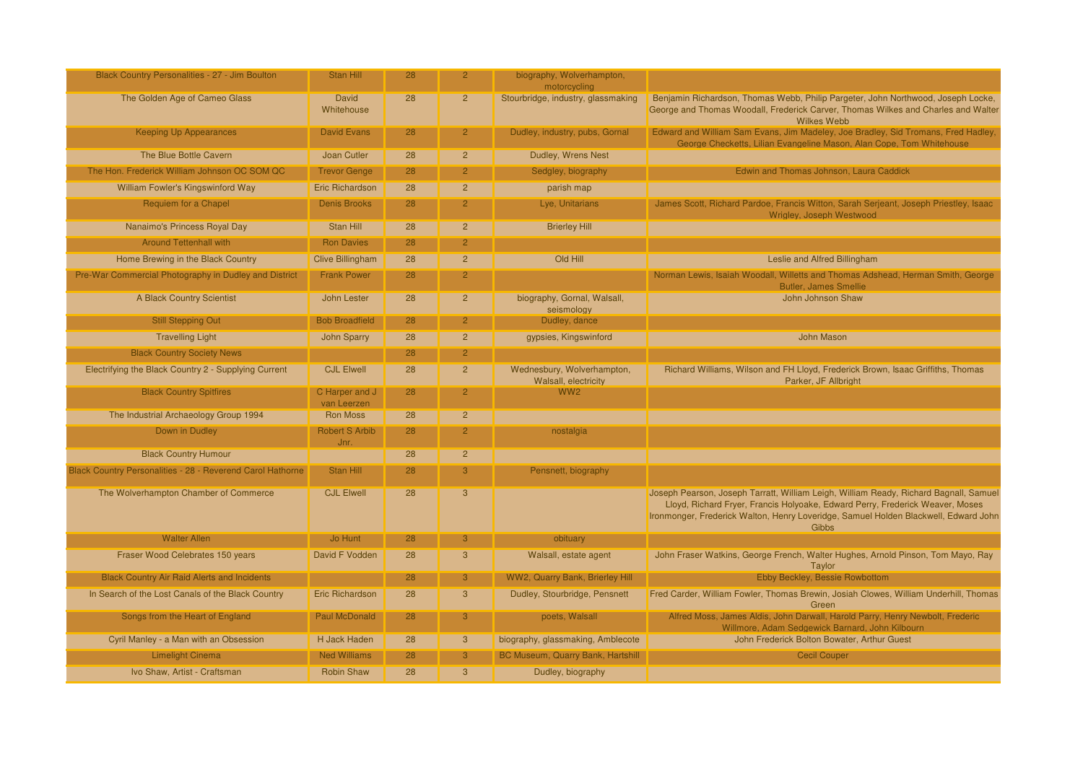| <b>Black Country Personalities - 27 - Jim Boulton</b>      | Stan Hill                     | 28 | $\overline{2}$ | biography, Wolverhampton,<br>motorcycling          |                                                                                                                                                                                                                                                                               |
|------------------------------------------------------------|-------------------------------|----|----------------|----------------------------------------------------|-------------------------------------------------------------------------------------------------------------------------------------------------------------------------------------------------------------------------------------------------------------------------------|
| The Golden Age of Cameo Glass                              | David<br>Whitehouse           | 28 | $\overline{2}$ | Stourbridge, industry, glassmaking                 | Benjamin Richardson, Thomas Webb, Philip Pargeter, John Northwood, Joseph Locke,<br>George and Thomas Woodall, Frederick Carver, Thomas Wilkes and Charles and Walter<br>Wilkes Webb                                                                                          |
| <b>Keeping Up Appearances</b>                              | David Evans                   | 28 | $\overline{2}$ | Dudley, industry, pubs, Gornal                     | Edward and William Sam Evans, Jim Madeley, Joe Bradley, Sid Tromans, Fred Hadley,<br>George Checketts, Lilian Evangeline Mason, Alan Cope, Tom Whitehouse                                                                                                                     |
| The Blue Bottle Cavern                                     | Joan Cutler                   | 28 | 2 <sup>1</sup> | Dudley, Wrens Nest                                 |                                                                                                                                                                                                                                                                               |
| The Hon. Frederick William Johnson OC SOM QC               | <b>Trevor Genge</b>           | 28 | $\overline{2}$ | Sedgley, biography                                 | Edwin and Thomas Johnson, Laura Caddick                                                                                                                                                                                                                                       |
| William Fowler's Kingswinford Way                          | <b>Eric Richardson</b>        | 28 | $\overline{2}$ | parish map                                         |                                                                                                                                                                                                                                                                               |
| Requiem for a Chapel                                       | Denis Brooks                  | 28 | $\mathcal{P}$  | Lye, Unitarians                                    | James Scott, Richard Pardoe, Francis Witton, Sarah Serjeant, Joseph Priestley, Isaac<br>Wrigley, Joseph Westwood                                                                                                                                                              |
| Nanaimo's Princess Royal Day                               | Stan Hill                     | 28 | $\overline{2}$ | <b>Brierley Hill</b>                               |                                                                                                                                                                                                                                                                               |
| <b>Around Tettenhall with</b>                              | <b>Ron Davies</b>             | 28 | $\mathcal{P}$  |                                                    |                                                                                                                                                                                                                                                                               |
| Home Brewing in the Black Country                          | <b>Clive Billingham</b>       | 28 | $\overline{2}$ | Old Hill                                           | Leslie and Alfred Billingham                                                                                                                                                                                                                                                  |
| Pre-War Commercial Photography in Dudley and District      | <b>Frank Power</b>            | 28 | $\mathcal{P}$  |                                                    | Norman Lewis, Isaiah Woodall, Willetts and Thomas Adshead, Herman Smith, George<br><b>Butler, James Smellie</b>                                                                                                                                                               |
| A Black Country Scientist                                  | John Lester                   | 28 | 2 <sup>1</sup> | biography, Gornal, Walsall,<br>seismology          | John Johnson Shaw                                                                                                                                                                                                                                                             |
| <b>Still Stepping Out</b>                                  | <b>Bob Broadfield</b>         | 28 | $\mathcal{P}$  | Dudley, dance                                      |                                                                                                                                                                                                                                                                               |
| <b>Travelling Light</b>                                    | <b>John Sparry</b>            | 28 | $\overline{2}$ | gypsies, Kingswinford                              | John Mason                                                                                                                                                                                                                                                                    |
| <b>Black Country Society News</b>                          |                               | 28 | $\overline{2}$ |                                                    |                                                                                                                                                                                                                                                                               |
| Electrifying the Black Country 2 - Supplying Current       | <b>CJL Elwell</b>             | 28 | 2 <sup>1</sup> | Wednesbury, Wolverhampton,<br>Walsall, electricity | Richard Williams, Wilson and FH Lloyd, Frederick Brown, Isaac Griffiths, Thomas<br>Parker, JF Allbright                                                                                                                                                                       |
| <b>Black Country Spitfires</b>                             | C Harper and J<br>van Leerzen | 28 | $\overline{2}$ | WW <sub>2</sub>                                    |                                                                                                                                                                                                                                                                               |
| The Industrial Archaeology Group 1994                      | <b>Ron Moss</b>               | 28 | $\overline{2}$ |                                                    |                                                                                                                                                                                                                                                                               |
| Down in Dudley                                             | Robert S Arbib<br>Jnr.        | 28 | $\mathcal{P}$  | nostalgia                                          |                                                                                                                                                                                                                                                                               |
| <b>Black Country Humour</b>                                |                               | 28 | $\overline{2}$ |                                                    |                                                                                                                                                                                                                                                                               |
| Black Country Personalities - 28 - Reverend Carol Hathorne | <b>Stan Hill</b>              | 28 | 3 <sup>°</sup> | Pensnett, biography                                |                                                                                                                                                                                                                                                                               |
| The Wolverhampton Chamber of Commerce                      | <b>CJL Elwell</b>             | 28 | 3              |                                                    | Joseph Pearson, Joseph Tarratt, William Leigh, William Ready, Richard Bagnall, Samuel<br>Lloyd, Richard Fryer, Francis Holyoake, Edward Perry, Frederick Weaver, Moses<br>Ironmonger, Frederick Walton, Henry Loveridge, Samuel Holden Blackwell, Edward John<br><b>Gibbs</b> |
| <b>Walter Allen</b>                                        | Jo Hunt                       | 28 |                | obituary                                           |                                                                                                                                                                                                                                                                               |
| Fraser Wood Celebrates 150 years                           | David F Vodden                | 28 | 3              | Walsall, estate agent                              | John Fraser Watkins, George French, Walter Hughes, Arnold Pinson, Tom Mayo, Ray<br>Taylor                                                                                                                                                                                     |
| <b>Black Country Air Raid Alerts and Incidents</b>         |                               | 28 | 3              | WW2, Quarry Bank, Brierley Hill                    | Ebby Beckley, Bessie Rowbottom                                                                                                                                                                                                                                                |
| In Search of the Lost Canals of the Black Country          | Eric Richardson               | 28 | $\overline{3}$ | Dudley, Stourbridge, Pensnett                      | Fred Carder, William Fowler, Thomas Brewin, Josiah Clowes, William Underhill, Thomas<br>Green                                                                                                                                                                                 |
| Songs from the Heart of England                            | Paul McDonald                 | 28 | 3              | poets, Walsall                                     | Alfred Moss, James Aldis, John Darwall, Harold Parry, Henry Newbolt, Frederic<br>Willmore, Adam Sedgewick Barnard, John Kilbourn                                                                                                                                              |
| Cyril Manley - a Man with an Obsession                     | H Jack Haden                  | 28 | $\mathbf{3}$   | biography, glassmaking, Amblecote                  | John Frederick Bolton Bowater, Arthur Guest                                                                                                                                                                                                                                   |
| Limelight Cinema                                           | <b>Ned Williams</b>           | 28 | 3              | BC Museum, Quarry Bank, Hartshill                  | <b>Cecil Couper</b>                                                                                                                                                                                                                                                           |
| Ivo Shaw. Artist - Craftsman                               | <b>Robin Shaw</b>             | 28 | 3              | Dudley, biography                                  |                                                                                                                                                                                                                                                                               |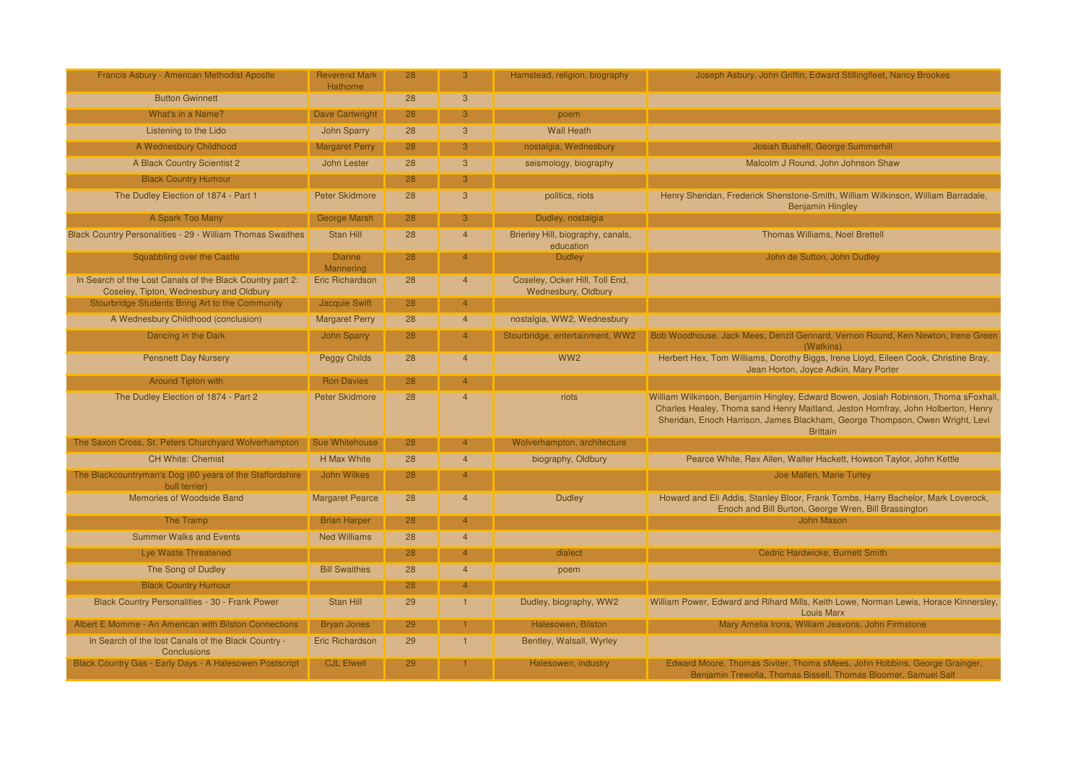| Francis Asbury - American Methodist Apostle                                                          | <b>Reverend Mark</b><br>Hathorne | 28 | 3              | Hamstead, religion, biography                         | Joseph Asbury, John Griffin, Edward Stillingfleet, Nancy Brookes                                                                                                                                                                                                           |
|------------------------------------------------------------------------------------------------------|----------------------------------|----|----------------|-------------------------------------------------------|----------------------------------------------------------------------------------------------------------------------------------------------------------------------------------------------------------------------------------------------------------------------------|
| <b>Button Gwinnett</b>                                                                               |                                  | 28 | 3              |                                                       |                                                                                                                                                                                                                                                                            |
| What's in a Name?                                                                                    | Dave Cartwright                  | 28 | 3              | poem                                                  |                                                                                                                                                                                                                                                                            |
| Listening to the Lido                                                                                | John Sparry                      | 28 | 3              | <b>Wall Heath</b>                                     |                                                                                                                                                                                                                                                                            |
| A Wednesbury Childhood                                                                               | <b>Margaret Perry</b>            | 28 | 3              | nostalgia, Wednesbury                                 | Josiah Bushell, George Summerhill                                                                                                                                                                                                                                          |
| A Black Country Scientist 2                                                                          | John Lester                      | 28 | 3              | seismology, biography                                 | Malcolm J Round, John Johnson Shaw                                                                                                                                                                                                                                         |
| <b>Black Country Humour</b>                                                                          |                                  | 28 | 3              |                                                       |                                                                                                                                                                                                                                                                            |
| The Dudley Election of 1874 - Part 1                                                                 | <b>Peter Skidmore</b>            | 28 | 3              | politics, riots                                       | Henry Sheridan, Frederick Shenstone-Smith, William Wilkinson, William Barradale,<br><b>Benjamin Hingley</b>                                                                                                                                                                |
| A Spark Too Many                                                                                     | <b>George Marsh</b>              | 28 | 3              | Dudley, nostalgia                                     |                                                                                                                                                                                                                                                                            |
| Black Country Personalities - 29 - William Thomas Swaithes                                           | Stan Hill                        | 28 | $\overline{A}$ | Brierley Hill, biography, canals,<br>education        | Thomas Williams, Noel Brettell                                                                                                                                                                                                                                             |
| Squabbling over the Castle                                                                           | <b>Dianne</b><br>Mannering       | 28 |                | <b>Dudley</b>                                         | John de Sutton, John Dudley                                                                                                                                                                                                                                                |
| In Search of the Lost Canals of the Black Country part 2:<br>Coseley, Tipton, Wednesbury and Oldbury | <b>Eric Richardson</b>           | 28 | $\overline{4}$ | Coseley, Ocker Hill, Toll End,<br>Wednesbury, Oldbury |                                                                                                                                                                                                                                                                            |
| Stourbridge Students Bring Art to the Community                                                      | Jacquie Swift                    | 28 |                |                                                       |                                                                                                                                                                                                                                                                            |
| A Wednesbury Childhood (conclusion)                                                                  | <b>Margaret Perry</b>            | 28 | $\overline{4}$ | nostalgia, WW2, Wednesbury                            |                                                                                                                                                                                                                                                                            |
| Dancing in the Dark                                                                                  | <b>John Sparry</b>               | 28 | 4              | Stourbridge, entertainment, WW2                       | Bob Woodhouse, Jack Mees, Denzil Gennard, Vernon Round, Ken Newton, Irene Green<br>(Watkins)                                                                                                                                                                               |
| <b>Pensnett Day Nursery</b>                                                                          | Peggy Childs                     | 28 | $\overline{4}$ | WW <sub>2</sub>                                       | Herbert Hex, Tom Williams, Dorothy Biggs, Irene Lloyd, Eileen Cook, Christine Bray,<br>Jean Horton, Joyce Adkin, Mary Porter                                                                                                                                               |
| Around Tipton with                                                                                   | <b>Ron Davies</b>                | 28 |                |                                                       |                                                                                                                                                                                                                                                                            |
| The Dudley Election of 1874 - Part 2                                                                 | <b>Peter Skidmore</b>            | 28 |                | riots                                                 | William Wilkinson, Benjamin Hingley, Edward Bowen, Josiah Robinson, Thoma sFoxhall,<br>Charles Healey, Thoma sand Henry Maitland, Jeston Homfray, John Holberton, Henry<br>Sheridan, Enoch Harrison, James Blackham, George Thompson, Owen Wright, Levi<br><b>Brittain</b> |
| The Saxon Cross, St. Peters Churchyard Wolverhampton                                                 | Sue Whitehouse                   | 28 |                | Wolverhampton, architecture                           |                                                                                                                                                                                                                                                                            |
| <b>CH White: Chemist</b>                                                                             | H Max White                      | 28 | $\overline{4}$ | biography, Oldbury                                    | Pearce White, Rex Allen, Walter Hackett, Howson Taylor, John Kettle                                                                                                                                                                                                        |
| The Blackcountryman's Dog (60 years of the Staffordshire<br>bull terrier)                            | John Wilkes                      | 28 | 4              |                                                       | Joe Mallen, Marie Turley                                                                                                                                                                                                                                                   |
| Memories of Woodside Band                                                                            | <b>Margaret Pearce</b>           | 28 | $\overline{4}$ | <b>Dudley</b>                                         | Howard and Eli Addis, Stanley Bloor, Frank Tombs, Harry Bachelor, Mark Loverock,<br>Enoch and Bill Burton, George Wren, Bill Brassington                                                                                                                                   |
| The Tramp                                                                                            | <b>Brian Harper</b>              | 28 |                |                                                       | John Mason                                                                                                                                                                                                                                                                 |
| <b>Summer Walks and Events</b>                                                                       | <b>Ned Williams</b>              | 28 | 4              |                                                       |                                                                                                                                                                                                                                                                            |
| Lye Waste Threatened                                                                                 |                                  | 28 |                | dialect                                               | Cedric Hardwicke, Burnett Smith                                                                                                                                                                                                                                            |
| The Song of Dudley                                                                                   | <b>Bill Swaithes</b>             | 28 | 4              | poem                                                  |                                                                                                                                                                                                                                                                            |
| <b>Black Country Humour</b>                                                                          |                                  | 28 |                |                                                       |                                                                                                                                                                                                                                                                            |
| Black Country Personalities - 30 - Frank Power                                                       | <b>Stan Hill</b>                 | 29 |                | Dudley, biography, WW2                                | William Power, Edward and Rihard Mills, Keith Lowe, Norman Lewis, Horace Kinnersley.<br>Louis Marx                                                                                                                                                                         |
| Albert E Momme - An American with Bilston Connections                                                | <b>Bryan Jones</b>               | 29 |                | Halesowen, Bilston                                    | Mary Amelia Irons, William Jeavons, John Firmstone                                                                                                                                                                                                                         |
| In Search of the lost Canals of the Black Country -<br>Conclusions                                   | Eric Richardson                  | 29 | $\blacksquare$ | Bentley, Walsall, Wyrley                              |                                                                                                                                                                                                                                                                            |
| Black Country Gas - Early Days - A Halesowen Postscript                                              | <b>CJL Elwell</b>                | 29 |                | Halesowen, industry                                   | Edward Moore, Thomas Siviter, Thoma sMees, John Hobbins, George Grainger,<br>Benjamin Trewolla, Thomas Bissell, Thomas Bloomer, Samuel Salt                                                                                                                                |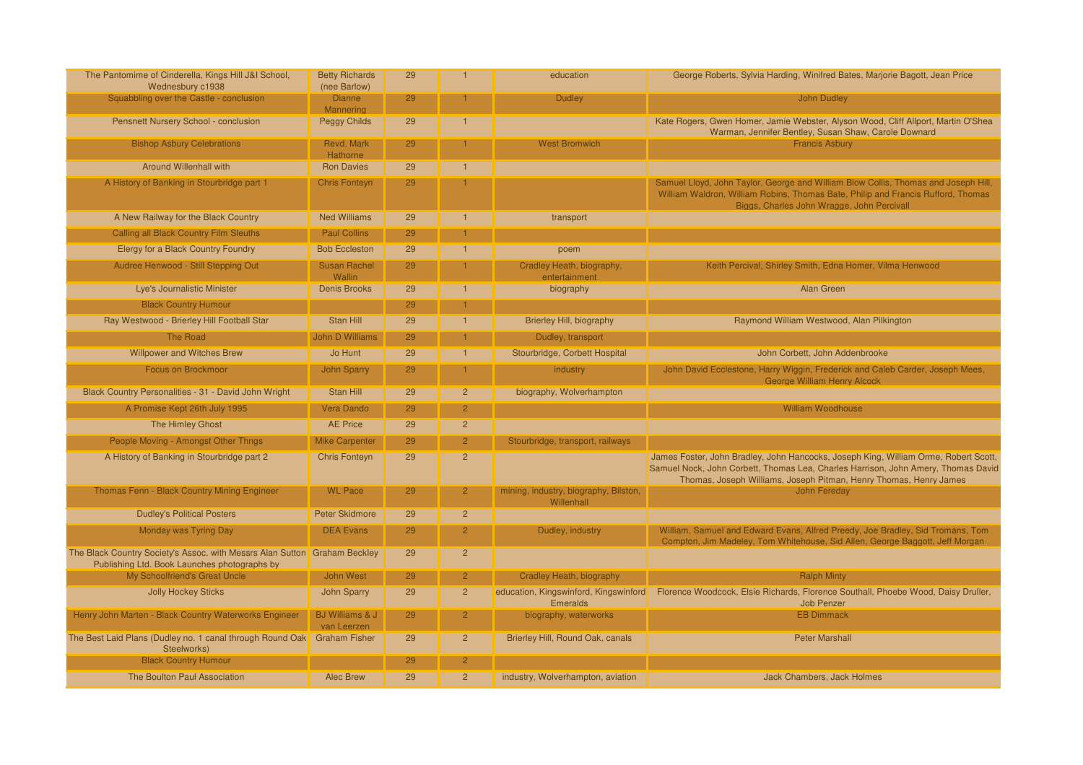| The Pantomime of Cinderella, Kings Hill J&I School,<br>Wednesbury c1938                                                   | <b>Betty Richards</b><br>(nee Barlow)     | 29 |                | education                                                | George Roberts, Sylvia Harding, Winifred Bates, Marjorie Bagott, Jean Price                                                                                                                                                                  |
|---------------------------------------------------------------------------------------------------------------------------|-------------------------------------------|----|----------------|----------------------------------------------------------|----------------------------------------------------------------------------------------------------------------------------------------------------------------------------------------------------------------------------------------------|
| Squabbling over the Castle - conclusion                                                                                   | <b>Dianne</b><br>Mannering                | 29 |                | <b>Dudley</b>                                            | <b>John Dudley</b>                                                                                                                                                                                                                           |
| Pensnett Nursery School - conclusion                                                                                      | <b>Peggy Childs</b>                       | 29 |                |                                                          | Kate Rogers, Gwen Homer, Jamie Webster, Alyson Wood, Cliff Allport, Martin O'Shea<br>Warman, Jennifer Bentley, Susan Shaw, Carole Downard                                                                                                    |
| <b>Bishop Asbury Celebrations</b>                                                                                         | Revd. Mark<br>Hathorne                    | 29 |                | <b>West Bromwich</b>                                     | <b>Francis Asbury</b>                                                                                                                                                                                                                        |
| <b>Around Willenhall with</b>                                                                                             | <b>Ron Davies</b>                         | 29 |                |                                                          |                                                                                                                                                                                                                                              |
| A History of Banking in Stourbridge part 1                                                                                | <b>Chris Fonteyn</b>                      | 29 |                |                                                          | Samuel Lloyd, John Taylor, George and William Blow Collis, Thomas and Joseph Hill,<br>William Waldron, William Robins, Thomas Bate, Philip and Francis Rufford, Thomas<br>Biggs, Charles John Wragge, John Percivall                         |
| A New Railway for the Black Country                                                                                       | <b>Ned Williams</b>                       | 29 |                | transport                                                |                                                                                                                                                                                                                                              |
| Calling all Black Country Film Sleuths                                                                                    | <b>Paul Collins</b>                       | 29 |                |                                                          |                                                                                                                                                                                                                                              |
| Elergy for a Black Country Foundry                                                                                        | <b>Bob Eccleston</b>                      | 29 |                | poem                                                     |                                                                                                                                                                                                                                              |
| Audree Henwood - Still Stepping Out                                                                                       | Susan Rachel<br>Wallin                    | 29 | 1.             | Cradley Heath, biography,<br>entertainment               | Keith Percival, Shirley Smith, Edna Homer, Vilma Henwood                                                                                                                                                                                     |
| Lye's Journalistic Minister                                                                                               | <b>Denis Brooks</b>                       | 29 |                | biography                                                | Alan Green                                                                                                                                                                                                                                   |
| <b>Black Country Humour</b>                                                                                               |                                           | 29 |                |                                                          |                                                                                                                                                                                                                                              |
| Ray Westwood - Brierley Hill Football Star                                                                                | Stan Hill                                 | 29 |                | <b>Brierley Hill, biography</b>                          | Raymond William Westwood, Alan Pilkington                                                                                                                                                                                                    |
| <b>The Road</b>                                                                                                           | <b>John D Williams</b>                    | 29 |                | Dudley, transport                                        |                                                                                                                                                                                                                                              |
| <b>Willpower and Witches Brew</b>                                                                                         | Jo Hunt                                   | 29 | $\blacksquare$ | Stourbridge, Corbett Hospital                            | John Corbett. John Addenbrooke                                                                                                                                                                                                               |
| <b>Focus on Brockmoor</b>                                                                                                 | <b>John Sparry</b>                        | 29 |                | industry                                                 | John David Ecclestone, Harry Wiggin, Frederick and Caleb Carder, Joseph Mees,<br><b>George William Henry Alcock</b>                                                                                                                          |
| Black Country Personalities - 31 - David John Wright                                                                      | <b>Stan Hill</b>                          | 29 | $\overline{2}$ | biography, Wolverhampton                                 |                                                                                                                                                                                                                                              |
| A Promise Kept 26th July 1995                                                                                             | <b>Vera Dando</b>                         | 29 |                |                                                          | <b>William Woodhouse</b>                                                                                                                                                                                                                     |
| The Himley Ghost                                                                                                          | <b>AE Price</b>                           | 29 | $\overline{2}$ |                                                          |                                                                                                                                                                                                                                              |
| People Moving - Amongst Other Thngs                                                                                       | <b>Mike Carpenter</b>                     | 29 | $\overline{2}$ | Stourbridge, transport, railways                         |                                                                                                                                                                                                                                              |
| A History of Banking in Stourbridge part 2                                                                                | <b>Chris Fonteyn</b>                      | 29 | 2 <sup>1</sup> |                                                          | James Foster, John Bradley, John Hancocks, Joseph King, William Orme, Robert Scott<br>Samuel Nock, John Corbett, Thomas Lea, Charles Harrison, John Amery, Thomas David<br>Thomas, Joseph Williams, Joseph Pitman, Henry Thomas, Henry James |
| Thomas Fenn - Black Country Mining Engineer                                                                               | <b>WL Pace</b>                            | 29 |                | mining, industry, biography, Bilston,<br>Willenhall      | <b>John Fereday</b>                                                                                                                                                                                                                          |
| <b>Dudley's Political Posters</b>                                                                                         | <b>Peter Skidmore</b>                     | 29 | $\overline{2}$ |                                                          |                                                                                                                                                                                                                                              |
| Monday was Tyring Day                                                                                                     | <b>DEA Evans</b>                          | 29 | $\overline{2}$ | Dudley, industry                                         | William, Samuel and Edward Evans, Alfred Preedy, Joe Bradley, Sid Tromans, Tom<br>Compton, Jim Madeley, Tom Whitehouse, Sid Allen, George Baggott, Jeff Morgan                                                                               |
| The Black Country Society's Assoc. with Messrs Alan Sutton Graham Beckley<br>Publishing Ltd. Book Launches photographs by |                                           | 29 | $\overline{2}$ |                                                          |                                                                                                                                                                                                                                              |
| My Schoolfriend's Great Uncle                                                                                             | <b>John West</b>                          | 29 | $\overline{2}$ | Cradley Heath, biography                                 | <b>Ralph Minty</b>                                                                                                                                                                                                                           |
| <b>Jolly Hockey Sticks</b>                                                                                                | <b>John Sparry</b>                        | 29 | $\overline{2}$ | education, Kingswinford, Kingswinford<br><b>Emeralds</b> | Florence Woodcock, Elsie Richards, Florence Southall, Phoebe Wood, Daisy Druller,<br>Job Penzer                                                                                                                                              |
| Henry John Marten - Black Country Waterworks Engineer                                                                     | <b>BJ Williams &amp; J</b><br>van Leerzen | 29 |                | biography, waterworks                                    | <b>EB Dimmack</b>                                                                                                                                                                                                                            |
| The Best Laid Plans (Dudley no. 1 canal through Round Oak Graham Fisher<br>Steelworks)                                    |                                           | 29 | 2 <sup>2</sup> | Brierley Hill, Round Oak, canals                         | <b>Peter Marshall</b>                                                                                                                                                                                                                        |
| <b>Black Country Humour</b>                                                                                               |                                           | 29 |                |                                                          |                                                                                                                                                                                                                                              |
| The Boulton Paul Association                                                                                              | <b>Alec Brew</b>                          | 29 | $\overline{2}$ | industry, Wolverhampton, aviation                        | <b>Jack Chambers, Jack Holmes</b>                                                                                                                                                                                                            |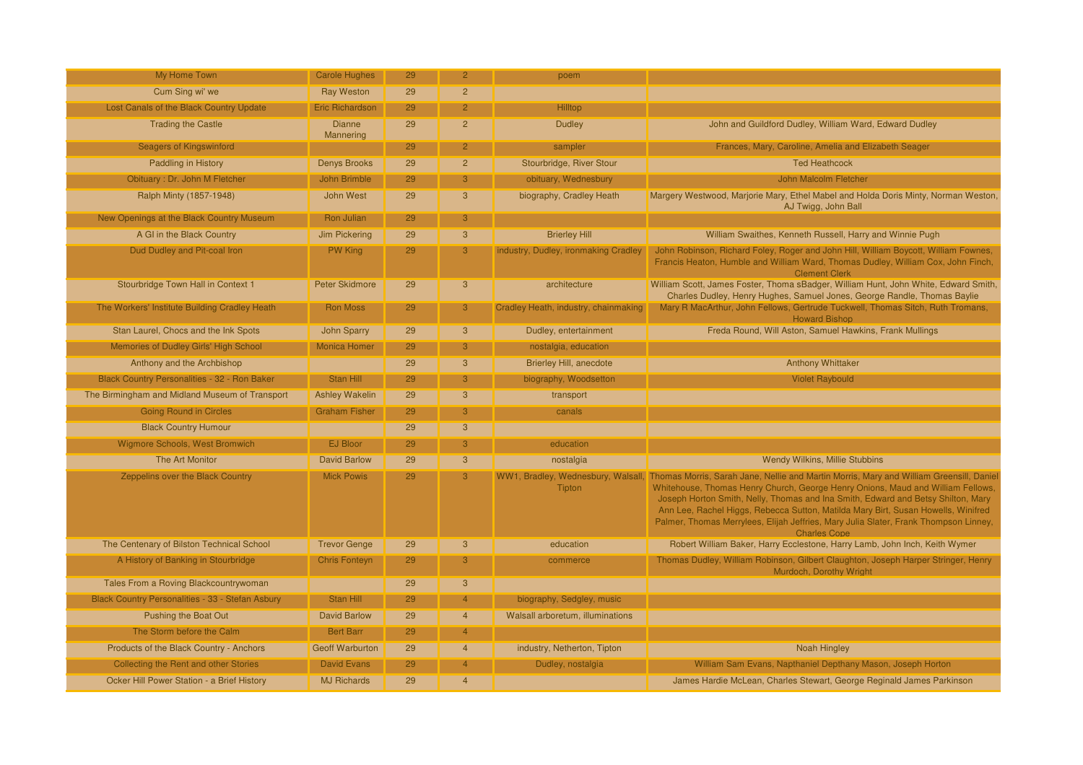| My Home Town                                     | <b>Carole Hughes</b>       | 29 | $\overline{2}$ | poem                                 |                                                                                                                                                                                                                                                                                                                                                                                                                                                                                                       |
|--------------------------------------------------|----------------------------|----|----------------|--------------------------------------|-------------------------------------------------------------------------------------------------------------------------------------------------------------------------------------------------------------------------------------------------------------------------------------------------------------------------------------------------------------------------------------------------------------------------------------------------------------------------------------------------------|
| Cum Sing wi' we                                  | <b>Ray Weston</b>          | 29 | $\overline{2}$ |                                      |                                                                                                                                                                                                                                                                                                                                                                                                                                                                                                       |
| Lost Canals of the Black Country Update          | <b>Eric Richardson</b>     | 29 | $\overline{2}$ | Hilltop                              |                                                                                                                                                                                                                                                                                                                                                                                                                                                                                                       |
| <b>Trading the Castle</b>                        | <b>Dianne</b><br>Mannering | 29 | $\overline{2}$ | <b>Dudley</b>                        | John and Guildford Dudley, William Ward, Edward Dudley                                                                                                                                                                                                                                                                                                                                                                                                                                                |
| <b>Seagers of Kingswinford</b>                   |                            | 29 | $\overline{2}$ | sampler                              | Frances, Mary, Caroline, Amelia and Elizabeth Seager                                                                                                                                                                                                                                                                                                                                                                                                                                                  |
| Paddling in History                              | <b>Denys Brooks</b>        | 29 | $\overline{2}$ | Stourbridge, River Stour             | <b>Ted Heathcock</b>                                                                                                                                                                                                                                                                                                                                                                                                                                                                                  |
| Obituary: Dr. John M Fletcher                    | John Brimble               | 29 | 3 <sup>°</sup> | obituary, Wednesbury                 | John Malcolm Fletcher                                                                                                                                                                                                                                                                                                                                                                                                                                                                                 |
| Ralph Minty (1857-1948)                          | <b>John West</b>           | 29 | $\overline{3}$ | biography, Cradley Heath             | Margery Westwood, Marjorie Mary, Ethel Mabel and Holda Doris Minty, Norman Weston,<br>AJ Twigg, John Ball                                                                                                                                                                                                                                                                                                                                                                                             |
| New Openings at the Black Country Museum         | Ron Julian                 | 29 | 3              |                                      |                                                                                                                                                                                                                                                                                                                                                                                                                                                                                                       |
| A GI in the Black Country                        | <b>Jim Pickering</b>       | 29 | $\overline{3}$ | <b>Brierley Hill</b>                 | William Swaithes, Kenneth Russell, Harry and Winnie Pugh                                                                                                                                                                                                                                                                                                                                                                                                                                              |
| Dud Dudley and Pit-coal Iron                     | PW King                    | 29 | 3 <sup>1</sup> | industry, Dudley, ironmaking Cradley | John Robinson, Richard Foley, Roger and John Hill, William Boycott, William Fownes,<br>Francis Heaton, Humble and William Ward, Thomas Dudley, William Cox, John Finch,<br><b>Clement Clerk</b>                                                                                                                                                                                                                                                                                                       |
| Stourbridge Town Hall in Context 1               | Peter Skidmore             | 29 | 3              | architecture                         | William Scott, James Foster, Thoma sBadger, William Hunt, John White, Edward Smith,<br>Charles Dudley, Henry Hughes, Samuel Jones, George Randle, Thomas Baylie                                                                                                                                                                                                                                                                                                                                       |
| The Workers' Institute Building Cradley Heath    | Ron Moss                   | 29 | 3              | Cradley Heath, industry, chainmaking | Mary R MacArthur, John Fellows, Gertrude Tuckwell, Thomas Sitch, Ruth Tromans,<br><b>Howard Bishop</b>                                                                                                                                                                                                                                                                                                                                                                                                |
| Stan Laurel, Chocs and the Ink Spots             | <b>John Sparry</b>         | 29 | 3              | Dudley, entertainment                | Freda Round, Will Aston, Samuel Hawkins, Frank Mullings                                                                                                                                                                                                                                                                                                                                                                                                                                               |
| Memories of Dudley Girls' High School            | <b>Monica Homer</b>        | 29 | 3              | nostalgia, education                 |                                                                                                                                                                                                                                                                                                                                                                                                                                                                                                       |
| Anthony and the Archbishop                       |                            | 29 | $\mathbf{3}$   | <b>Brierley Hill, anecdote</b>       | <b>Anthony Whittaker</b>                                                                                                                                                                                                                                                                                                                                                                                                                                                                              |
| Black Country Personalities - 32 - Ron Baker     | Stan Hill                  | 29 | 3              | biography, Woodsetton                | <b>Violet Raybould</b>                                                                                                                                                                                                                                                                                                                                                                                                                                                                                |
| The Birmingham and Midland Museum of Transport   | <b>Ashley Wakelin</b>      | 29 | $\overline{3}$ | transport                            |                                                                                                                                                                                                                                                                                                                                                                                                                                                                                                       |
| <b>Going Round in Circles</b>                    | <b>Graham Fisher</b>       | 29 | 3              | canals                               |                                                                                                                                                                                                                                                                                                                                                                                                                                                                                                       |
| <b>Black Country Humour</b>                      |                            | 29 | 3              |                                      |                                                                                                                                                                                                                                                                                                                                                                                                                                                                                                       |
| Wigmore Schools, West Bromwich                   | EJ Bloor                   | 29 | 3              | education                            |                                                                                                                                                                                                                                                                                                                                                                                                                                                                                                       |
| The Art Monitor                                  | <b>David Barlow</b>        | 29 | 3              | nostalgia                            | Wendy Wilkins, Millie Stubbins                                                                                                                                                                                                                                                                                                                                                                                                                                                                        |
| Zeppelins over the Black Country                 | <b>Mick Powis</b>          | 29 | 3              | Tipton                               | WW1, Bradley, Wednesbury, Walsall, Thomas Morris, Sarah Jane, Nellie and Martin Morris, Mary and William Greensill, Daniel<br>Whitehouse, Thomas Henry Church, George Henry Onions, Maud and William Fellows,<br>Joseph Horton Smith, Nelly, Thomas and Ina Smith, Edward and Betsy Shilton, Mary<br>Ann Lee, Rachel Higgs, Rebecca Sutton, Matilda Mary Birt, Susan Howells, Winifred<br>Palmer, Thomas Merrylees, Elijah Jeffries, Mary Julia Slater, Frank Thompson Linney,<br><b>Charles Cope</b> |
| The Centenary of Bilston Technical School        | <b>Trevor Genge</b>        | 29 | 3              | education                            | Robert William Baker, Harry Ecclestone, Harry Lamb, John Inch, Keith Wymer                                                                                                                                                                                                                                                                                                                                                                                                                            |
| A History of Banking in Stourbridge              | <b>Chris Fonteyn</b>       | 29 | 3              | commerce                             | Thomas Dudley, William Robinson, Gilbert Claughton, Joseph Harper Stringer, Henry<br>Murdoch, Dorothy Wright                                                                                                                                                                                                                                                                                                                                                                                          |
| Tales From a Roving Blackcountrywoman            |                            | 29 | 3              |                                      |                                                                                                                                                                                                                                                                                                                                                                                                                                                                                                       |
| Black Country Personalities - 33 - Stefan Asbury | <b>Stan Hill</b>           | 29 | 4 <sup>1</sup> | biography, Sedgley, music            |                                                                                                                                                                                                                                                                                                                                                                                                                                                                                                       |
| Pushing the Boat Out                             | <b>David Barlow</b>        | 29 | $\overline{4}$ | Walsall arboretum, illuminations     |                                                                                                                                                                                                                                                                                                                                                                                                                                                                                                       |
| The Storm before the Calm                        | <b>Bert Barr</b>           | 29 | $\overline{4}$ |                                      |                                                                                                                                                                                                                                                                                                                                                                                                                                                                                                       |
| Products of the Black Country - Anchors          | <b>Geoff Warburton</b>     | 29 | $\overline{4}$ | industry, Netherton, Tipton          | <b>Noah Hingley</b>                                                                                                                                                                                                                                                                                                                                                                                                                                                                                   |
| Collecting the Rent and other Stories            | <b>David Evans</b>         | 29 | $\Delta$       | Dudley, nostalgia                    | William Sam Evans, Napthaniel Depthany Mason, Joseph Horton                                                                                                                                                                                                                                                                                                                                                                                                                                           |
| Ocker Hill Power Station - a Brief History       | <b>MJ Richards</b>         | 29 | $\overline{4}$ |                                      | James Hardie McLean, Charles Stewart, George Reginald James Parkinson                                                                                                                                                                                                                                                                                                                                                                                                                                 |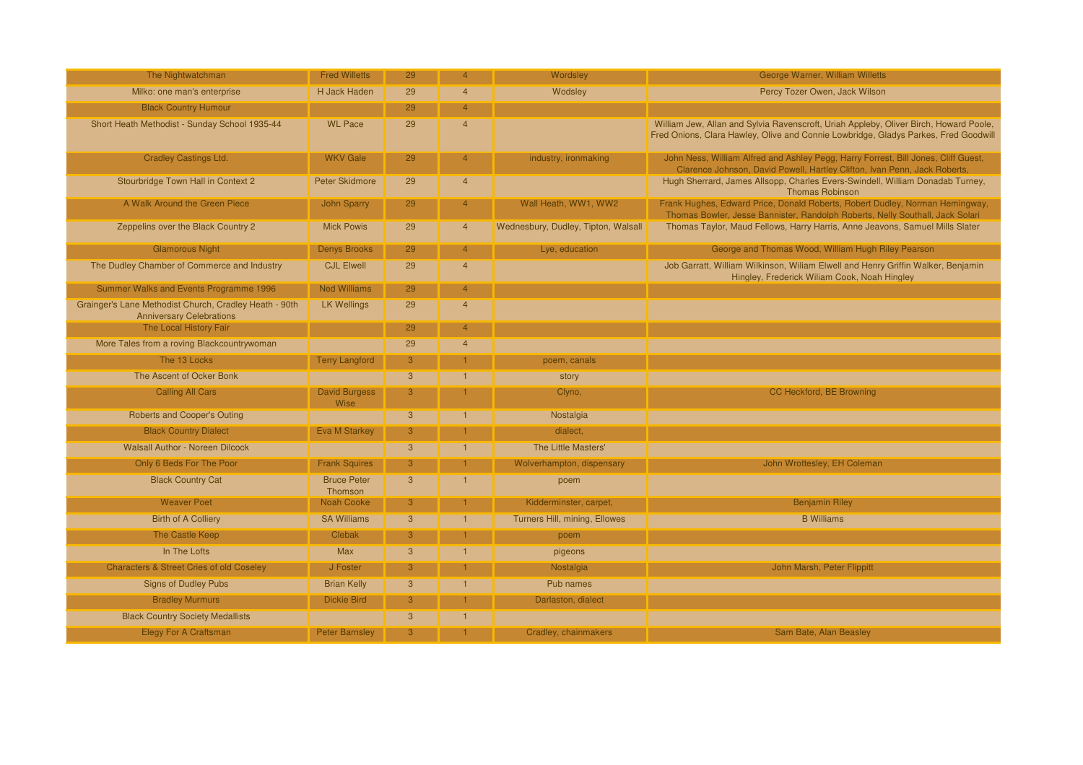| The Nightwatchman                                                                         | <b>Fred Willetts</b>          | 29             | $\overline{4}$ | Wordsley                            | George Warner, William Willetts                                                                                                                                              |
|-------------------------------------------------------------------------------------------|-------------------------------|----------------|----------------|-------------------------------------|------------------------------------------------------------------------------------------------------------------------------------------------------------------------------|
| Milko: one man's enterprise                                                               | H Jack Haden                  | 29             | $\overline{4}$ | Wodsley                             | Percy Tozer Owen, Jack Wilson                                                                                                                                                |
| <b>Black Country Humour</b>                                                               |                               | 29             | $\overline{4}$ |                                     |                                                                                                                                                                              |
| Short Heath Methodist - Sunday School 1935-44                                             | <b>WL Pace</b>                | 29             | $\overline{4}$ |                                     | William Jew, Allan and Sylvia Ravenscroft, Uriah Appleby, Oliver Birch, Howard Poole,<br>Fred Onions, Clara Hawley, Olive and Connie Lowbridge, Gladys Parkes, Fred Goodwill |
| <b>Cradley Castings Ltd.</b>                                                              | <b>WKV Gale</b>               | 29             | $\overline{4}$ | industry, ironmaking                | John Ness, William Alfred and Ashley Pegg, Harry Forrest, Bill Jones, Cliff Guest,<br>Clarence Johnson, David Powell, Hartley Clifton, Ivan Penn, Jack Roberts,              |
| Stourbridge Town Hall in Context 2                                                        | <b>Peter Skidmore</b>         | 29             | $\overline{4}$ |                                     | Hugh Sherrard, James Allsopp, Charles Evers-Swindell, William Donadab Turney,<br><b>Thomas Robinson</b>                                                                      |
| A Walk Around the Green Piece                                                             | <b>John Sparry</b>            | 29             | $\overline{4}$ | Wall Heath, WW1, WW2                | Frank Hughes, Edward Price, Donald Roberts, Robert Dudley, Norman Hemingway,<br>Thomas Bowler, Jesse Bannister, Randolph Roberts, Nelly Southall, Jack Solari                |
| Zeppelins over the Black Country 2                                                        | <b>Mick Powis</b>             | 29             | $\overline{4}$ | Wednesbury, Dudley, Tipton, Walsall | Thomas Taylor, Maud Fellows, Harry Harris, Anne Jeavons, Samuel Mills Slater                                                                                                 |
| <b>Glamorous Night</b>                                                                    | <b>Denys Brooks</b>           | 29             | $\overline{4}$ | Lye, education                      | George and Thomas Wood, William Hugh Riley Pearson                                                                                                                           |
| The Dudley Chamber of Commerce and Industry                                               | <b>CJL Elwell</b>             | 29             | $\overline{4}$ |                                     | Job Garratt, William Wilkinson, Wiliam Elwell and Henry Griffin Walker, Benjamin<br>Hingley, Frederick Wiliam Cook, Noah Hingley                                             |
| Summer Walks and Events Programme 1996                                                    | <b>Ned Williams</b>           | 29             | $\overline{4}$ |                                     |                                                                                                                                                                              |
| Grainger's Lane Methodist Church, Cradley Heath - 90th<br><b>Anniversary Celebrations</b> | <b>LK Wellings</b>            | 29             | $\overline{4}$ |                                     |                                                                                                                                                                              |
| The Local History Fair                                                                    |                               | 29             |                |                                     |                                                                                                                                                                              |
| More Tales from a roving Blackcountrywoman                                                |                               | 29             | $\overline{4}$ |                                     |                                                                                                                                                                              |
| The 13 Locks                                                                              | <b>Terry Langford</b>         | 3              |                | poem, canals                        |                                                                                                                                                                              |
| The Ascent of Ocker Bonk                                                                  |                               | $\overline{3}$ |                | story                               |                                                                                                                                                                              |
| <b>Calling All Cars</b>                                                                   | <b>David Burgess</b><br>Wise  | 3              |                | Clyno,                              | CC Heckford, BE Browning                                                                                                                                                     |
| <b>Roberts and Cooper's Outing</b>                                                        |                               | $\mathbf{3}$   |                | Nostalgia                           |                                                                                                                                                                              |
| <b>Black Country Dialect</b>                                                              | <b>Eva M Starkey</b>          | 3              |                | dialect.                            |                                                                                                                                                                              |
| <b>Walsall Author - Noreen Dilcock</b>                                                    |                               | $\overline{3}$ |                | The Little Masters'                 |                                                                                                                                                                              |
| Only 6 Beds For The Poor                                                                  | <b>Frank Squires</b>          | 3              |                | Wolverhampton, dispensary           | John Wrottesley, EH Coleman                                                                                                                                                  |
| <b>Black Country Cat</b>                                                                  | <b>Bruce Peter</b><br>Thomson | $\overline{3}$ |                | poem                                |                                                                                                                                                                              |
| <b>Weaver Poet</b>                                                                        | <b>Noah Cooke</b>             | 3              |                | Kidderminster, carpet,              | <b>Benjamin Riley</b>                                                                                                                                                        |
| <b>Birth of A Colliery</b>                                                                | <b>SA Williams</b>            | 3              |                | Turners Hill, mining, Ellowes       | <b>B</b> Williams                                                                                                                                                            |
| The Castle Keep                                                                           | Clebak                        | 3              |                | poem                                |                                                                                                                                                                              |
| In The Lofts                                                                              | Max                           | $\mathbf{3}$   |                | pigeons                             |                                                                                                                                                                              |
| <b>Characters &amp; Street Cries of old Coseley</b>                                       | J Foster                      | 3              |                | Nostalgia                           | John Marsh, Peter Flippitt                                                                                                                                                   |
| <b>Signs of Dudley Pubs</b>                                                               | <b>Brian Kelly</b>            | $\mathbf{3}$   |                | Pub names                           |                                                                                                                                                                              |
| <b>Bradley Murmurs</b>                                                                    | <b>Dickie Bird</b>            | 3              |                | Darlaston, dialect                  |                                                                                                                                                                              |
| <b>Black Country Society Medallists</b>                                                   |                               | $\overline{3}$ |                |                                     |                                                                                                                                                                              |
| Elegy For A Craftsman                                                                     | <b>Peter Barnsley</b>         | 3              |                | Cradley, chainmakers                | Sam Bate, Alan Beasley                                                                                                                                                       |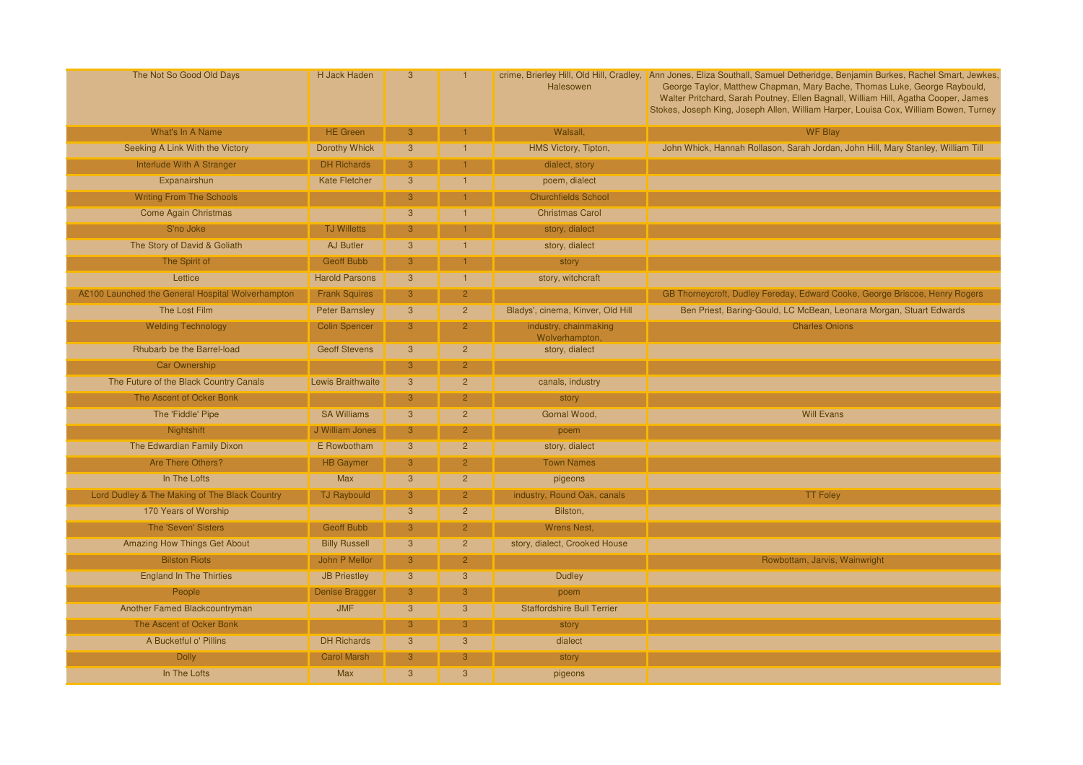| The Not So Good Old Days                          | <b>H</b> Jack Haden      | 3              |                | Halesowen                               | crime, Brierley Hill, Old Hill, Cradley, Ann Jones, Eliza Southall, Samuel Detheridge, Benjamin Burkes, Rachel Smart, Jewkes,<br>George Taylor, Matthew Chapman, Mary Bache, Thomas Luke, George Raybould,<br>Walter Pritchard, Sarah Poutney, Ellen Bagnall, William Hill, Agatha Cooper, James<br>Stokes, Joseph King, Joseph Allen, William Harper, Louisa Cox, William Bowen, Turney |
|---------------------------------------------------|--------------------------|----------------|----------------|-----------------------------------------|------------------------------------------------------------------------------------------------------------------------------------------------------------------------------------------------------------------------------------------------------------------------------------------------------------------------------------------------------------------------------------------|
| What's In A Name                                  | <b>HE</b> Green          | 3              |                | Walsall,                                | <b>WF Blay</b>                                                                                                                                                                                                                                                                                                                                                                           |
| Seeking A Link With the Victory                   | Dorothy Whick            | 3              |                | HMS Victory, Tipton,                    | John Whick, Hannah Rollason, Sarah Jordan, John Hill, Mary Stanley, William Till                                                                                                                                                                                                                                                                                                         |
| Interlude With A Stranger                         | <b>DH Richards</b>       | 3              |                | dialect, story                          |                                                                                                                                                                                                                                                                                                                                                                                          |
| Expanairshun                                      | <b>Kate Fletcher</b>     | $\mathbf{3}$   |                | poem, dialect                           |                                                                                                                                                                                                                                                                                                                                                                                          |
| <b>Writing From The Schools</b>                   |                          | 3              |                | <b>Churchfields School</b>              |                                                                                                                                                                                                                                                                                                                                                                                          |
| Come Again Christmas                              |                          | $\mathbf{3}$   |                | <b>Christmas Carol</b>                  |                                                                                                                                                                                                                                                                                                                                                                                          |
| S'no Joke                                         | <b>TJ Willetts</b>       | 3              |                | story, dialect                          |                                                                                                                                                                                                                                                                                                                                                                                          |
| The Story of David & Goliath                      | <b>AJ Butler</b>         | $\mathbf{3}$   |                | story, dialect                          |                                                                                                                                                                                                                                                                                                                                                                                          |
| The Spirit of                                     | <b>Geoff Bubb</b>        | 3              |                | story                                   |                                                                                                                                                                                                                                                                                                                                                                                          |
| Lettice                                           | <b>Harold Parsons</b>    | $\mathbf{3}$   |                | story, witchcraft                       |                                                                                                                                                                                                                                                                                                                                                                                          |
| A£100 Launched the General Hospital Wolverhampton | <b>Frank Squires</b>     | 3              | $\mathcal{P}$  |                                         | GB Thorneycroft, Dudley Fereday, Edward Cooke, George Briscoe, Henry Rogers                                                                                                                                                                                                                                                                                                              |
| The Lost Film                                     | <b>Peter Barnsley</b>    | $\mathbf{3}$   | $\overline{2}$ | Bladys', cinema, Kinver, Old Hill       | Ben Priest, Baring-Gould, LC McBean, Leonara Morgan, Stuart Edwards                                                                                                                                                                                                                                                                                                                      |
| <b>Welding Technology</b>                         | <b>Colin Spencer</b>     | 3              | $\mathcal{P}$  | industry, chainmaking<br>Wolverhampton, | <b>Charles Onions</b>                                                                                                                                                                                                                                                                                                                                                                    |
| Rhubarb be the Barrel-load                        | <b>Geoff Stevens</b>     | $\mathbf{3}$   | $\overline{2}$ | story, dialect                          |                                                                                                                                                                                                                                                                                                                                                                                          |
| <b>Car Ownership</b>                              |                          | 3              | $\mathcal{P}$  |                                         |                                                                                                                                                                                                                                                                                                                                                                                          |
| The Future of the Black Country Canals            | <b>Lewis Braithwaite</b> | $\overline{3}$ | $\overline{2}$ | canals, industry                        |                                                                                                                                                                                                                                                                                                                                                                                          |
| The Ascent of Ocker Bonk                          |                          | 3              | o.             | story                                   |                                                                                                                                                                                                                                                                                                                                                                                          |
| The 'Fiddle' Pipe                                 | <b>SA Williams</b>       | $\mathbf{3}$   | $\overline{2}$ | Gornal Wood,                            | <b>Will Evans</b>                                                                                                                                                                                                                                                                                                                                                                        |
| Nightshift                                        | J William Jones          | 3              | 2 <sup>1</sup> | poem                                    |                                                                                                                                                                                                                                                                                                                                                                                          |
| The Edwardian Family Dixon                        | E Rowbotham              | $\mathbf{3}$   | $\overline{2}$ | story, dialect                          |                                                                                                                                                                                                                                                                                                                                                                                          |
| Are There Others?                                 | <b>HB Gaymer</b>         | 3              | 2 <sup>1</sup> | <b>Town Names</b>                       |                                                                                                                                                                                                                                                                                                                                                                                          |
| In The Lofts                                      | Max                      | $\mathbf{3}$   | $\overline{2}$ | pigeons                                 |                                                                                                                                                                                                                                                                                                                                                                                          |
| Lord Dudley & The Making of The Black Country     | <b>TJ Raybould</b>       | 3              | 2 <sup>1</sup> | industry, Round Oak, canals             | <b>TT Foley</b>                                                                                                                                                                                                                                                                                                                                                                          |
| 170 Years of Worship                              |                          | $\overline{3}$ | $\overline{2}$ | Bilston,                                |                                                                                                                                                                                                                                                                                                                                                                                          |
| The 'Seven' Sisters                               | <b>Geoff Bubb</b>        | 3              | $\overline{2}$ | <b>Wrens Nest,</b>                      |                                                                                                                                                                                                                                                                                                                                                                                          |
| Amazing How Things Get About                      | <b>Billy Russell</b>     | $\mathbf{3}$   | $2^{\circ}$    | story, dialect, Crooked House           |                                                                                                                                                                                                                                                                                                                                                                                          |
| <b>Bilston Riots</b>                              | John P Mellor            | 3              | $\overline{2}$ |                                         | Rowbottam, Jarvis, Wainwright                                                                                                                                                                                                                                                                                                                                                            |
| <b>England In The Thirties</b>                    | <b>JB Priestley</b>      | $\mathbf{3}$   | $\mathbf{3}$   | <b>Dudley</b>                           |                                                                                                                                                                                                                                                                                                                                                                                          |
| People                                            | Denise Bragger           | 3              | 3              | poem                                    |                                                                                                                                                                                                                                                                                                                                                                                          |
| Another Famed Blackcountryman                     | <b>JMF</b>               | $\mathbf{3}$   | $\mathbf{3}$   | <b>Staffordshire Bull Terrier</b>       |                                                                                                                                                                                                                                                                                                                                                                                          |
| The Ascent of Ocker Bonk                          |                          | 3              | 3              | story                                   |                                                                                                                                                                                                                                                                                                                                                                                          |
| A Bucketful o' Pillins                            | <b>DH Richards</b>       | $\mathbf{3}$   | $\mathbf{3}$   | dialect                                 |                                                                                                                                                                                                                                                                                                                                                                                          |
| <b>Dolly</b>                                      | <b>Carol Marsh</b>       | 3              | 3              | story                                   |                                                                                                                                                                                                                                                                                                                                                                                          |
| In The Lofts                                      | Max                      | $\mathbf{3}$   | 3              | pigeons                                 |                                                                                                                                                                                                                                                                                                                                                                                          |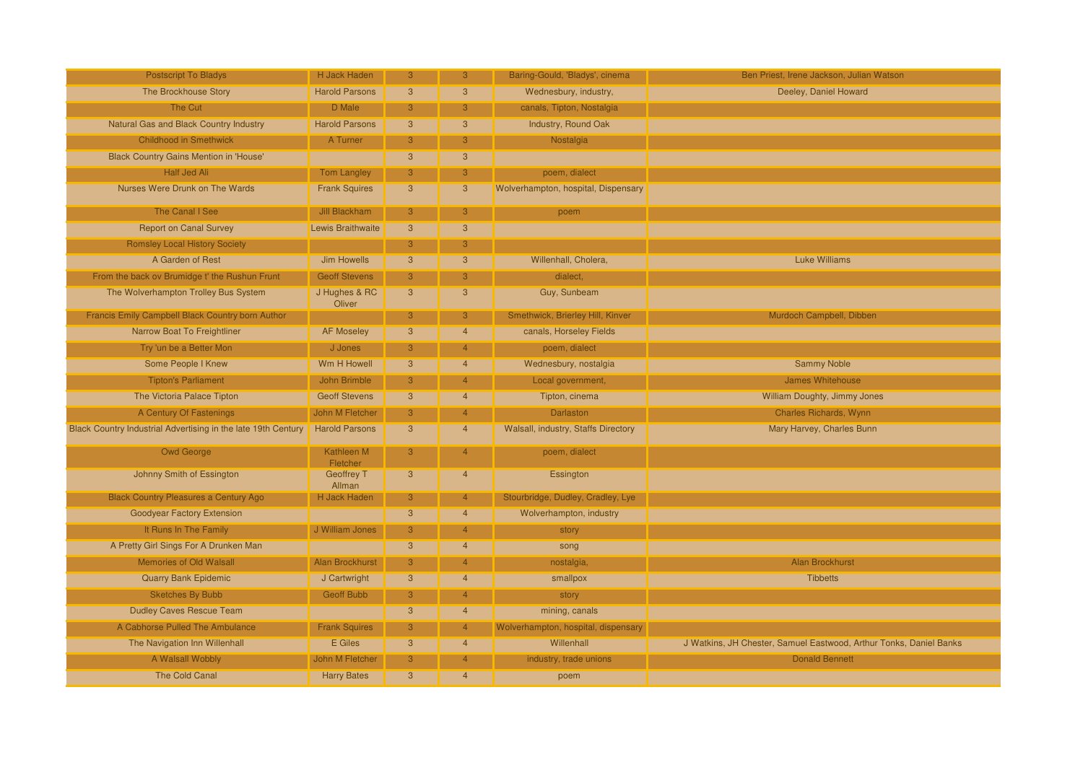| <b>Postscript To Bladys</b>                                   | H Jack Haden                | 3              | $\mathbf{3}$   | Baring-Gould, 'Bladys', cinema      | Ben Priest, Irene Jackson, Julian Watson                           |
|---------------------------------------------------------------|-----------------------------|----------------|----------------|-------------------------------------|--------------------------------------------------------------------|
| The Brockhouse Story                                          | <b>Harold Parsons</b>       | 3              | $\overline{3}$ | Wednesbury, industry,               | Deeley, Daniel Howard                                              |
| The Cut                                                       | D Male                      | 3              | $\mathbf{3}$   | canals, Tipton, Nostalgia           |                                                                    |
| Natural Gas and Black Country Industry                        | <b>Harold Parsons</b>       | $\mathbf{3}$   | $\overline{3}$ | Industry, Round Oak                 |                                                                    |
| <b>Childhood in Smethwick</b>                                 | A Turner                    | 3              | 3              | Nostalgia                           |                                                                    |
| <b>Black Country Gains Mention in 'House'</b>                 |                             | 3              | $\mathbf{3}$   |                                     |                                                                    |
| Half Jed Ali                                                  | <b>Tom Langley</b>          | 3              | $\mathbf{3}$   | poem, dialect                       |                                                                    |
| Nurses Were Drunk on The Wards                                | <b>Frank Squires</b>        | 3              | $\mathbf{3}$   | Wolverhampton, hospital, Dispensary |                                                                    |
| The Canal I See                                               | Jill Blackham               | 3              | 3              | poem                                |                                                                    |
| <b>Report on Canal Survey</b>                                 | <b>Lewis Braithwaite</b>    | $\overline{3}$ | 3              |                                     |                                                                    |
| <b>Romsley Local History Society</b>                          |                             | 3              | 3              |                                     |                                                                    |
| A Garden of Rest                                              | <b>Jim Howells</b>          | 3              | $\mathbf{3}$   | Willenhall, Cholera,                | <b>Luke Williams</b>                                               |
| From the back ov Brumidge t' the Rushun Frunt                 | <b>Geoff Stevens</b>        | 3              | 3              | dialect,                            |                                                                    |
| The Wolverhampton Trolley Bus System                          | J Hughes & RC<br>Oliver     | $\overline{3}$ | $\overline{3}$ | Guy, Sunbeam                        |                                                                    |
| Francis Emily Campbell Black Country born Author              |                             | 3              | 3 <sup>°</sup> | Smethwick, Brierley Hill, Kinver    | Murdoch Campbell, Dibben                                           |
| Narrow Boat To Freightliner                                   | <b>AF Moseley</b>           | $\mathbf{3}$   | $\overline{4}$ | canals, Horseley Fields             |                                                                    |
| Try 'un be a Better Mon                                       | J Jones                     | 3              | $\overline{4}$ | poem, dialect                       |                                                                    |
| Some People I Knew                                            | <b>Wm H Howell</b>          | $\overline{3}$ | $\overline{4}$ | Wednesbury, nostalgia               | <b>Sammy Noble</b>                                                 |
| <b>Tipton's Parliament</b>                                    | John Brimble                | 3              | $\overline{4}$ | Local government,                   | <b>James Whitehouse</b>                                            |
| The Victoria Palace Tipton                                    | <b>Geoff Stevens</b>        | $\mathbf{3}$   | $\overline{4}$ | Tipton, cinema                      | William Doughty, Jimmy Jones                                       |
| A Century Of Fastenings                                       | John M Fletcher             | 3              | $\overline{4}$ | Darlaston                           | Charles Richards, Wynn                                             |
| Black Country Industrial Advertising in the late 19th Century | <b>Harold Parsons</b>       | $\mathbf{3}$   | $\overline{4}$ | Walsall, industry, Staffs Directory | Mary Harvey, Charles Bunn                                          |
| <b>Owd George</b>                                             | Kathleen M<br>Fletcher      | 3              | $\overline{4}$ | poem, dialect                       |                                                                    |
| Johnny Smith of Essington                                     | <b>Geoffrey T</b><br>Allman | $\mathbf{3}$   | $\overline{4}$ | Essington                           |                                                                    |
| <b>Black Country Pleasures a Century Ago</b>                  | H Jack Haden                | 3              | 4 <sup>1</sup> | Stourbridge, Dudley, Cradley, Lye   |                                                                    |
| <b>Goodyear Factory Extension</b>                             |                             | $\overline{3}$ | $\overline{4}$ | Wolverhampton, industry             |                                                                    |
| It Runs In The Family                                         | J William Jones             | $\mathbf{3}$   | $\overline{4}$ | story                               |                                                                    |
| A Pretty Girl Sings For A Drunken Man                         |                             | 3              | $\overline{4}$ | song                                |                                                                    |
| <b>Memories of Old Walsall</b>                                | <b>Alan Brockhurst</b>      | 3              | 4 <sup>1</sup> | nostalgia,                          | Alan Brockhurst                                                    |
| <b>Quarry Bank Epidemic</b>                                   | J Cartwright                | 3              | $\overline{4}$ | smallpox                            | <b>Tibbetts</b>                                                    |
| <b>Sketches By Bubb</b>                                       | <b>Geoff Bubb</b>           | 3              | $\overline{4}$ | story                               |                                                                    |
| <b>Dudley Caves Rescue Team</b>                               |                             | $\overline{3}$ | $\overline{4}$ | mining, canals                      |                                                                    |
| A Cabhorse Pulled The Ambulance                               | <b>Frank Squires</b>        | 3              | $\overline{4}$ | Wolverhampton, hospital, dispensary |                                                                    |
| The Navigation Inn Willenhall                                 | E Giles                     | $\overline{3}$ | $\overline{4}$ | Willenhall                          | J Watkins, JH Chester, Samuel Eastwood, Arthur Tonks, Daniel Banks |
| A Walsall Wobbly                                              | John M Fletcher             | 3              | $\overline{4}$ | industry, trade unions              | <b>Donald Bennett</b>                                              |
| <b>The Cold Canal</b>                                         | <b>Harry Bates</b>          | 3              | $\overline{4}$ | poem                                |                                                                    |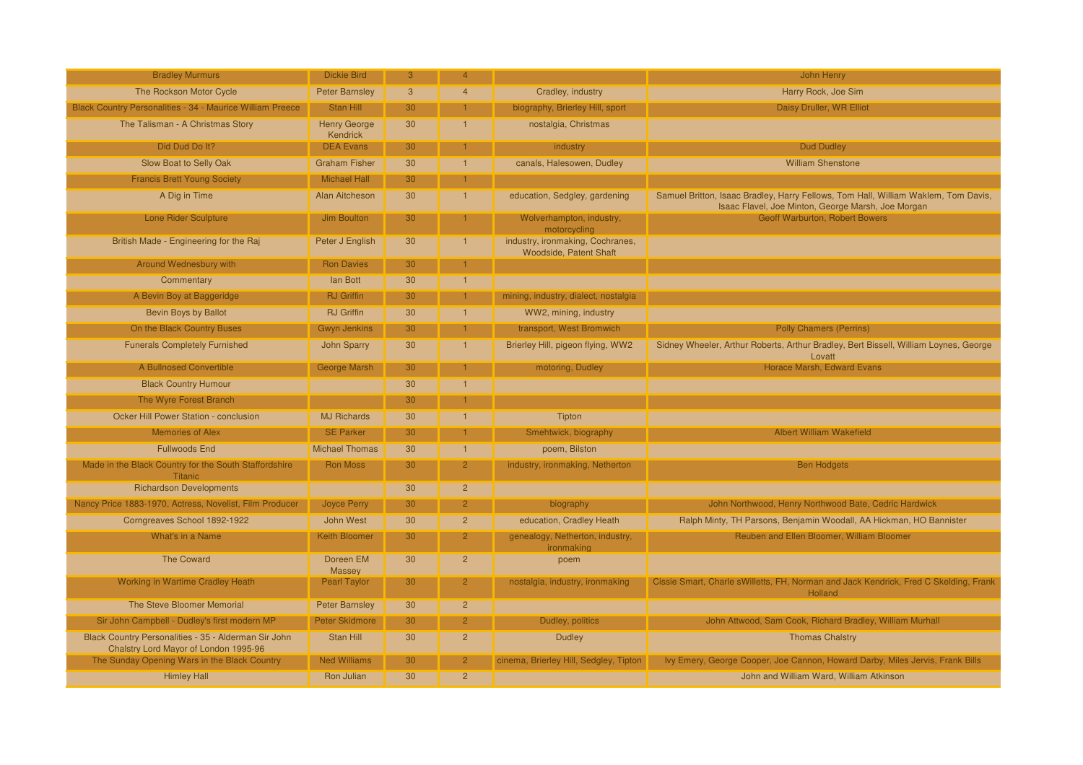| <b>Bradley Murmurs</b>                                                                        | <b>Dickie Bird</b>              | 3               | 4                    |                                                                   | John Henry                                                                                                                               |
|-----------------------------------------------------------------------------------------------|---------------------------------|-----------------|----------------------|-------------------------------------------------------------------|------------------------------------------------------------------------------------------------------------------------------------------|
| The Rockson Motor Cycle                                                                       | <b>Peter Barnsley</b>           | $\overline{3}$  | $\overline{4}$       | Cradley, industry                                                 | Harry Rock, Joe Sim                                                                                                                      |
| <b>Black Country Personalities - 34 - Maurice William Preece</b>                              | Stan Hill                       | 30              |                      | biography, Brierley Hill, sport                                   | Daisy Druller, WR Elliot                                                                                                                 |
| The Talisman - A Christmas Story                                                              | <b>Henry George</b><br>Kendrick | 30              |                      | nostalgia, Christmas                                              |                                                                                                                                          |
| Did Dud Do It?                                                                                | <b>DEA Evans</b>                | 30              |                      | industry                                                          | <b>Dud Dudley</b>                                                                                                                        |
| Slow Boat to Selly Oak                                                                        | <b>Graham Fisher</b>            | 30              | $\blacktriangleleft$ | canals, Halesowen, Dudley                                         | <b>William Shenstone</b>                                                                                                                 |
| <b>Francis Brett Young Society</b>                                                            | <b>Michael Hall</b>             | 30              |                      |                                                                   |                                                                                                                                          |
| A Dig in Time                                                                                 | <b>Alan Aitcheson</b>           | 30              | $\mathbf{1}$         | education, Sedgley, gardening                                     | Samuel Britton, Isaac Bradley, Harry Fellows, Tom Hall, William Waklem, Tom Davis,<br>Isaac Flavel, Joe Minton, George Marsh, Joe Morgan |
| <b>Lone Rider Sculpture</b>                                                                   | Jim Boulton                     | 30              |                      | Wolverhampton, industry,<br>motorcycling                          | <b>Geoff Warburton, Robert Bowers</b>                                                                                                    |
| British Made - Engineering for the Raj                                                        | Peter J English                 | 30              |                      | industry, ironmaking, Cochranes,<br><b>Woodside, Patent Shaft</b> |                                                                                                                                          |
| Around Wednesbury with                                                                        | <b>Ron Davies</b>               | 30              |                      |                                                                   |                                                                                                                                          |
| Commentary                                                                                    | lan Bott                        | 30              |                      |                                                                   |                                                                                                                                          |
| A Bevin Boy at Baggeridge                                                                     | <b>RJ</b> Griffin               | 30              |                      | mining, industry, dialect, nostalgia                              |                                                                                                                                          |
| Bevin Boys by Ballot                                                                          | <b>RJ</b> Griffin               | 30              |                      | WW2, mining, industry                                             |                                                                                                                                          |
| On the Black Country Buses                                                                    | <b>Gwyn Jenkins</b>             | 30              |                      | transport, West Bromwich                                          | <b>Polly Chamers (Perrins)</b>                                                                                                           |
| <b>Funerals Completely Furnished</b>                                                          | <b>John Sparry</b>              | 30              | $\mathbf{1}$         | Brierley Hill, pigeon flying, WW2                                 | Sidney Wheeler, Arthur Roberts, Arthur Bradley, Bert Bissell, William Loynes, George<br>Lovatt                                           |
| A Bullnosed Convertible                                                                       | <b>George Marsh</b>             | 30              |                      | motoring, Dudley                                                  | Horace Marsh, Edward Evans                                                                                                               |
| <b>Black Country Humour</b>                                                                   |                                 | 30              |                      |                                                                   |                                                                                                                                          |
| The Wyre Forest Branch                                                                        |                                 | 30              |                      |                                                                   |                                                                                                                                          |
| Ocker Hill Power Station - conclusion                                                         | <b>MJ Richards</b>              | 30              |                      | Tipton                                                            |                                                                                                                                          |
| <b>Memories of Alex</b>                                                                       | <b>SE Parker</b>                | 30              |                      | Smehtwick, biography                                              | <b>Albert William Wakefield</b>                                                                                                          |
| <b>Fullwoods End</b>                                                                          | <b>Michael Thomas</b>           | 30              |                      | poem, Bilston                                                     |                                                                                                                                          |
| Made in the Black Country for the South Staffordshire<br>Titanic                              | <b>Ron Moss</b>                 | 30 <sup>°</sup> | $\overline{2}$       | industry, ironmaking, Netherton                                   | <b>Ben Hodgets</b>                                                                                                                       |
| <b>Richardson Developments</b>                                                                |                                 | 30              | $\overline{2}$       |                                                                   |                                                                                                                                          |
| Nancy Price 1883-1970, Actress, Novelist, Film Producer                                       | <b>Joyce Perry</b>              | 30              | $\overline{2}$       | biography                                                         | John Northwood, Henry Northwood Bate, Cedric Hardwick                                                                                    |
| Corngreaves School 1892-1922                                                                  | <b>John West</b>                | 30              | $\overline{2}$       | education, Cradley Heath                                          | Ralph Minty, TH Parsons, Benjamin Woodall, AA Hickman, HO Bannister                                                                      |
| What's in a Name                                                                              | <b>Keith Bloomer</b>            | 30              | $\overline{2}$       | genealogy, Netherton, industry,<br>ironmaking                     | Reuben and Ellen Bloomer, William Bloomer                                                                                                |
| <b>The Coward</b>                                                                             | Doreen EM<br>Massey             | 30              | $\overline{2}$       | poem                                                              |                                                                                                                                          |
| <b>Working in Wartime Cradley Heath</b>                                                       | <b>Pearl Taylor</b>             | 30              | $\overline{2}$       | nostalgia, industry, ironmaking                                   | Cissie Smart, Charle sWilletts, FH, Norman and Jack Kendrick, Fred C Skelding, Frank<br>Holland                                          |
| The Steve Bloomer Memorial                                                                    | <b>Peter Barnsley</b>           | 30              | $\overline{2}$       |                                                                   |                                                                                                                                          |
| Sir John Campbell - Dudley's first modern MP                                                  | Peter Skidmore                  | 30              | 2 <sup>1</sup>       | Dudley, politics                                                  | John Attwood, Sam Cook, Richard Bradley, William Murhall                                                                                 |
| Black Country Personalities - 35 - Alderman Sir John<br>Chalstry Lord Mayor of London 1995-96 | <b>Stan Hill</b>                | 30              | $\overline{2}$       | <b>Dudley</b>                                                     | <b>Thomas Chalstry</b>                                                                                                                   |
| The Sunday Opening Wars in the Black Country                                                  | <b>Ned Williams</b>             | 30              | $\overline{2}$       | cinema, Brierley Hill, Sedgley, Tipton                            | Ivy Emery, George Cooper, Joe Cannon, Howard Darby, Miles Jervis, Frank Bills                                                            |
| <b>Himley Hall</b>                                                                            | Ron Julian                      | 30              | $\overline{2}$       |                                                                   | John and William Ward, William Atkinson                                                                                                  |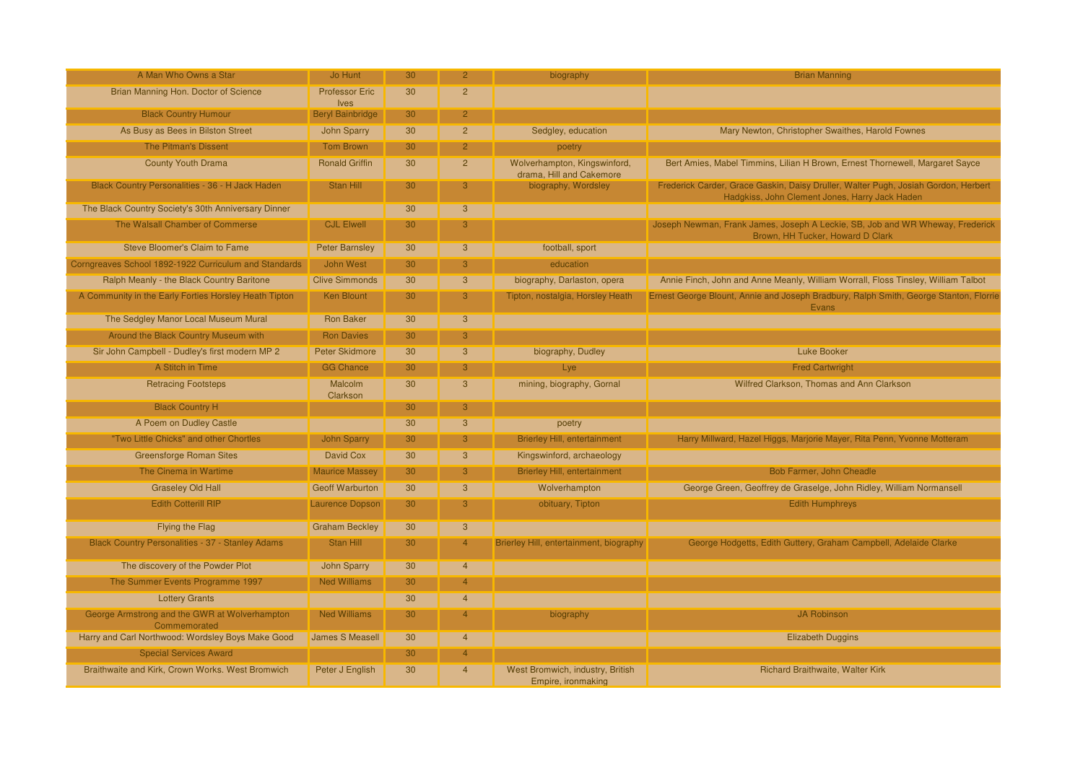| A Man Who Owns a Star                                         | Jo Hunt                              | 30 | $\overline{2}$          | biography                                                | <b>Brian Manning</b>                                                                                                                 |
|---------------------------------------------------------------|--------------------------------------|----|-------------------------|----------------------------------------------------------|--------------------------------------------------------------------------------------------------------------------------------------|
| Brian Manning Hon. Doctor of Science                          | <b>Professor Eric</b><br><b>Ives</b> | 30 | $\overline{2}$          |                                                          |                                                                                                                                      |
| <b>Black Country Humour</b>                                   | <b>Beryl Bainbridge</b>              | 30 | $\mathcal{P}$           |                                                          |                                                                                                                                      |
| As Busy as Bees in Bilston Street                             | <b>John Sparry</b>                   | 30 | $\overline{2}$          | Sedgley, education                                       | Mary Newton, Christopher Swaithes, Harold Fownes                                                                                     |
| <b>The Pitman's Dissent</b>                                   | <b>Tom Brown</b>                     | 30 | $\overline{2}$          | poetry                                                   |                                                                                                                                      |
| <b>County Youth Drama</b>                                     | <b>Ronald Griffin</b>                | 30 | $\overline{2}$          | Wolverhampton, Kingswinford,<br>drama, Hill and Cakemore | Bert Amies, Mabel Timmins, Lilian H Brown, Ernest Thornewell, Margaret Sayce                                                         |
| Black Country Personalities - 36 - H Jack Haden               | Stan Hill                            | 30 | $\mathcal{R}$           | biography, Wordsley                                      | Frederick Carder, Grace Gaskin, Daisy Druller, Walter Pugh, Josiah Gordon, Herbert<br>Hadgkiss, John Clement Jones, Harry Jack Haden |
| The Black Country Society's 30th Anniversary Dinner           |                                      | 30 | $\mathbf{3}$            |                                                          |                                                                                                                                      |
| The Walsall Chamber of Commerse                               | <b>CJL Elwell</b>                    | 30 | 3                       |                                                          | Joseph Newman, Frank James, Joseph A Leckie, SB, Job and WR Wheway, Frederick<br>Brown, HH Tucker, Howard D Clark                    |
| Steve Bloomer's Claim to Fame                                 | <b>Peter Barnsley</b>                | 30 | 3                       | football, sport                                          |                                                                                                                                      |
| Corngreaves School 1892-1922 Curriculum and Standards         | John West                            | 30 | 3                       | education                                                |                                                                                                                                      |
| Ralph Meanly - the Black Country Baritone                     | <b>Clive Simmonds</b>                | 30 | $\mathbf{3}$            | biography, Darlaston, opera                              | Annie Finch, John and Anne Meanly, William Worrall, Floss Tinsley, William Talbot                                                    |
| A Community in the Early Forties Horsley Heath Tipton         | Ken Blount                           | 30 | 3                       | Tipton, nostalgia, Horsley Heath                         | Ernest George Blount, Annie and Joseph Bradbury, Ralph Smith, George Stanton, Florrie<br><b>Evans</b>                                |
| The Sedgley Manor Local Museum Mural                          | <b>Ron Baker</b>                     | 30 | $\mathbf{3}$            |                                                          |                                                                                                                                      |
| Around the Black Country Museum with                          | <b>Ron Davies</b>                    | 30 | 3                       |                                                          |                                                                                                                                      |
| Sir John Campbell - Dudley's first modern MP 2                | <b>Peter Skidmore</b>                | 30 | 3                       | biography, Dudley                                        | <b>Luke Booker</b>                                                                                                                   |
| A Stitch in Time                                              | <b>GG Chance</b>                     | 30 | $\overline{\mathbf{3}}$ | Lye                                                      | <b>Fred Cartwright</b>                                                                                                               |
| <b>Retracing Footsteps</b>                                    | Malcolm<br>Clarkson                  | 30 | $\overline{3}$          | mining, biography, Gornal                                | Wilfred Clarkson, Thomas and Ann Clarkson                                                                                            |
| <b>Black Country H</b>                                        |                                      | 30 | 3                       |                                                          |                                                                                                                                      |
| A Poem on Dudley Castle                                       |                                      | 30 | 3                       | poetry                                                   |                                                                                                                                      |
| "Two Little Chicks" and other Chortles                        | <b>John Sparry</b>                   | 30 | 3                       | <b>Brierley Hill, entertainment</b>                      | Harry Millward, Hazel Higgs, Marjorie Mayer, Rita Penn, Yvonne Motteram                                                              |
| <b>Greensforge Roman Sites</b>                                | David Cox                            | 30 | 3                       | Kingswinford, archaeology                                |                                                                                                                                      |
| The Cinema in Wartime                                         | <b>Maurice Massey</b>                | 30 | 3                       | <b>Brierley Hill, entertainment</b>                      | Bob Farmer, John Cheadle                                                                                                             |
| <b>Graseley Old Hall</b>                                      | <b>Geoff Warburton</b>               | 30 | 3                       | Wolverhampton                                            | George Green, Geoffrey de Graselge, John Ridley, William Normansell                                                                  |
| <b>Edith Cotterill RIP</b>                                    | <b>Laurence Dopson</b>               | 30 | 3                       | obituary, Tipton                                         | <b>Edith Humphreys</b>                                                                                                               |
| Flying the Flag                                               | <b>Graham Beckley</b>                | 30 | $\overline{3}$          |                                                          |                                                                                                                                      |
| <b>Black Country Personalities - 37 - Stanley Adams</b>       | Stan Hill                            | 30 | $\overline{4}$          | Brierley Hill, entertainment, biography                  | George Hodgetts, Edith Guttery, Graham Campbell, Adelaide Clarke                                                                     |
| The discovery of the Powder Plot                              | <b>John Sparry</b>                   | 30 | $\overline{4}$          |                                                          |                                                                                                                                      |
| The Summer Events Programme 1997                              | <b>Ned Williams</b>                  | 30 | 4                       |                                                          |                                                                                                                                      |
| <b>Lottery Grants</b>                                         |                                      | 30 | $\overline{4}$          |                                                          |                                                                                                                                      |
| George Armstrong and the GWR at Wolverhampton<br>Commemorated | <b>Ned Williams</b>                  | 30 |                         | biography                                                | <b>JA Robinson</b>                                                                                                                   |
| Harry and Carl Northwood: Wordsley Boys Make Good             | <b>James S Measell</b>               | 30 | $\overline{4}$          |                                                          | <b>Elizabeth Duggins</b>                                                                                                             |
| <b>Special Services Award</b>                                 |                                      | 30 | $\Delta$                |                                                          |                                                                                                                                      |
| Braithwaite and Kirk, Crown Works. West Bromwich              | Peter J English                      | 30 | $\overline{4}$          | West Bromwich, industry, British<br>Empire, ironmaking   | <b>Richard Braithwaite, Walter Kirk</b>                                                                                              |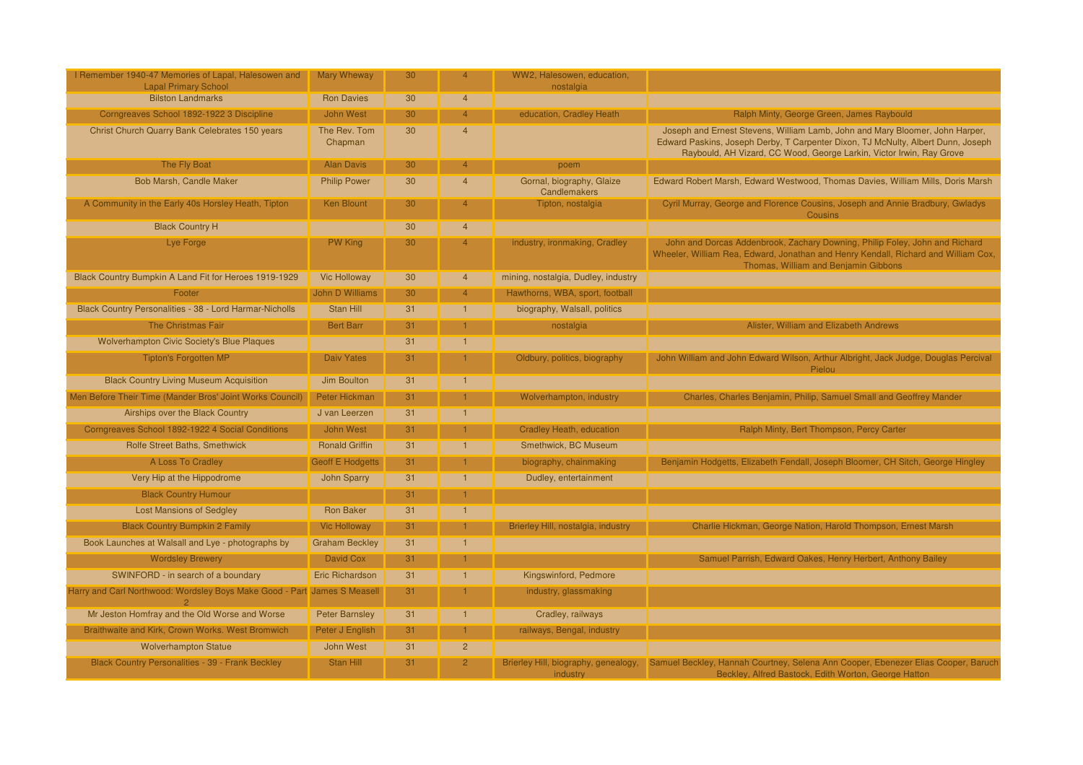| I Remember 1940-47 Memories of Lapal, Halesowen and<br><b>Lapal Primary School</b> | <b>Mary Wheway</b>      | 30 | $\overline{4}$          | WW2, Halesowen, education,<br>nostalgia   |                                                                                                                                                                                                                                          |
|------------------------------------------------------------------------------------|-------------------------|----|-------------------------|-------------------------------------------|------------------------------------------------------------------------------------------------------------------------------------------------------------------------------------------------------------------------------------------|
| <b>Bilston Landmarks</b>                                                           | <b>Ron Davies</b>       | 30 | 4                       |                                           |                                                                                                                                                                                                                                          |
| Corngreaves School 1892-1922 3 Discipline                                          | John West               | 30 | 4                       | education, Cradley Heath                  | Ralph Minty, George Green, James Raybould                                                                                                                                                                                                |
| Christ Church Quarry Bank Celebrates 150 years                                     | The Rev. Tom<br>Chapman | 30 | $\overline{4}$          |                                           | Joseph and Ernest Stevens, William Lamb, John and Mary Bloomer, John Harper,<br>Edward Paskins, Joseph Derby, T Carpenter Dixon, TJ McNulty, Albert Dunn, Joseph<br>Raybould, AH Vizard, CC Wood, George Larkin, Victor Irwin, Ray Grove |
| The Fly Boat                                                                       | <b>Alan Davis</b>       | 30 |                         | poem                                      |                                                                                                                                                                                                                                          |
| <b>Bob Marsh, Candle Maker</b>                                                     | <b>Philip Power</b>     | 30 | $\overline{4}$          | Gornal, biography, Glaize<br>Candlemakers | Edward Robert Marsh, Edward Westwood, Thomas Davies, William Mills, Doris Marsh                                                                                                                                                          |
| A Community in the Early 40s Horsley Heath, Tipton                                 | <b>Ken Blount</b>       | 30 | $\overline{4}$          | Tipton, nostalgia                         | Cyril Murray, George and Florence Cousins, Joseph and Annie Bradbury, Gwladys<br><b>Cousins</b>                                                                                                                                          |
| <b>Black Country H</b>                                                             |                         | 30 | $\overline{\mathbf{4}}$ |                                           |                                                                                                                                                                                                                                          |
| Lye Forge                                                                          | PW King                 | 30 | $\overline{4}$          | industry, ironmaking, Cradley             | John and Dorcas Addenbrook, Zachary Downing, Philip Foley, John and Richard<br>Wheeler, William Rea, Edward, Jonathan and Henry Kendall, Richard and William Cox,<br>Thomas, William and Benjamin Gibbons                                |
| Black Country Bumpkin A Land Fit for Heroes 1919-1929                              | <b>Vic Holloway</b>     | 30 | $\overline{4}$          | mining, nostalgia, Dudley, industry       |                                                                                                                                                                                                                                          |
| Footer                                                                             | <b>John D Williams</b>  | 30 | $\overline{4}$          | Hawthorns, WBA, sport, football           |                                                                                                                                                                                                                                          |
| Black Country Personalities - 38 - Lord Harmar-Nicholls                            | <b>Stan Hill</b>        | 31 | $\blacksquare$          | biography, Walsall, politics              |                                                                                                                                                                                                                                          |
| <b>The Christmas Fair</b>                                                          | <b>Bert Barr</b>        | 31 |                         | nostalgia                                 | Alister, William and Elizabeth Andrews                                                                                                                                                                                                   |
| <b>Wolverhampton Civic Society's Blue Plaques</b>                                  |                         | 31 | $\overline{1}$          |                                           |                                                                                                                                                                                                                                          |
| <b>Tipton's Forgotten MP</b>                                                       | <b>Daiv Yates</b>       | 31 |                         | Oldbury, politics, biography              | John William and John Edward Wilson, Arthur Albright, Jack Judge, Douglas Percival<br>Pielou                                                                                                                                             |
| <b>Black Country Living Museum Acquisition</b>                                     | Jim Boulton             | 31 | $\overline{1}$          |                                           |                                                                                                                                                                                                                                          |
| Men Before Their Time (Mander Bros' Joint Works Council)                           | Peter Hickman           | 31 |                         | Wolverhampton, industry                   | Charles, Charles Benjamin, Philip, Samuel Small and Geoffrey Mander                                                                                                                                                                      |
| Airships over the Black Country                                                    | J van Leerzen           | 31 |                         |                                           |                                                                                                                                                                                                                                          |
| Corngreaves School 1892-1922 4 Social Conditions                                   | John West               | 31 |                         | Cradley Heath, education                  | Ralph Minty, Bert Thompson, Percy Carter                                                                                                                                                                                                 |
| Rolfe Street Baths, Smethwick                                                      | <b>Ronald Griffin</b>   | 31 |                         | Smethwick, BC Museum                      |                                                                                                                                                                                                                                          |
| A Loss To Cradley                                                                  | <b>Geoff E Hodgetts</b> | 31 |                         | biography, chainmaking                    | Benjamin Hodgetts, Elizabeth Fendall, Joseph Bloomer, CH Sitch, George Hingley                                                                                                                                                           |
| Very Hip at the Hippodrome                                                         | <b>John Sparry</b>      | 31 |                         | Dudley, entertainment                     |                                                                                                                                                                                                                                          |
| <b>Black Country Humour</b>                                                        |                         | 31 |                         |                                           |                                                                                                                                                                                                                                          |
| <b>Lost Mansions of Sedgley</b>                                                    | <b>Ron Baker</b>        | 31 | $\mathbf{1}$            |                                           |                                                                                                                                                                                                                                          |
| <b>Black Country Bumpkin 2 Family</b>                                              | <b>Vic Holloway</b>     | 31 | 1.                      | Brierley Hill, nostalgia, industry        | Charlie Hickman, George Nation, Harold Thompson, Ernest Marsh                                                                                                                                                                            |
| Book Launches at Walsall and Lye - photographs by                                  | <b>Graham Beckley</b>   | 31 | 1                       |                                           |                                                                                                                                                                                                                                          |
| <b>Wordsley Brewery</b>                                                            | David Cox               | 31 |                         |                                           | Samuel Parrish, Edward Oakes, Henry Herbert, Anthony Bailey                                                                                                                                                                              |
| SWINFORD - in search of a boundary                                                 | Eric Richardson         | 31 | 1                       | Kingswinford, Pedmore                     |                                                                                                                                                                                                                                          |
| Harry and Carl Northwood: Wordsley Boys Make Good - Part James S Measell           |                         | 31 |                         | industry, glassmaking                     |                                                                                                                                                                                                                                          |
| Mr Jeston Homfray and the Old Worse and Worse                                      | <b>Peter Barnsley</b>   | 31 |                         | Cradley, railways                         |                                                                                                                                                                                                                                          |
| Braithwaite and Kirk, Crown Works. West Bromwich                                   | Peter J English         | 31 | 1.                      | railways, Bengal, industry                |                                                                                                                                                                                                                                          |
| <b>Wolverhampton Statue</b>                                                        | <b>John West</b>        | 31 | $\overline{2}$          |                                           |                                                                                                                                                                                                                                          |
| <b>Black Country Personalities - 39 - Frank Beckley</b>                            | Stan Hill               | 31 | $\overline{2}$          | industry                                  | Brierley Hill, biography, genealogy, Samuel Beckley, Hannah Courtney, Selena Ann Cooper, Ebenezer Elias Cooper, Baruch<br>Beckley, Alfred Bastock, Edith Worton, George Hatton                                                           |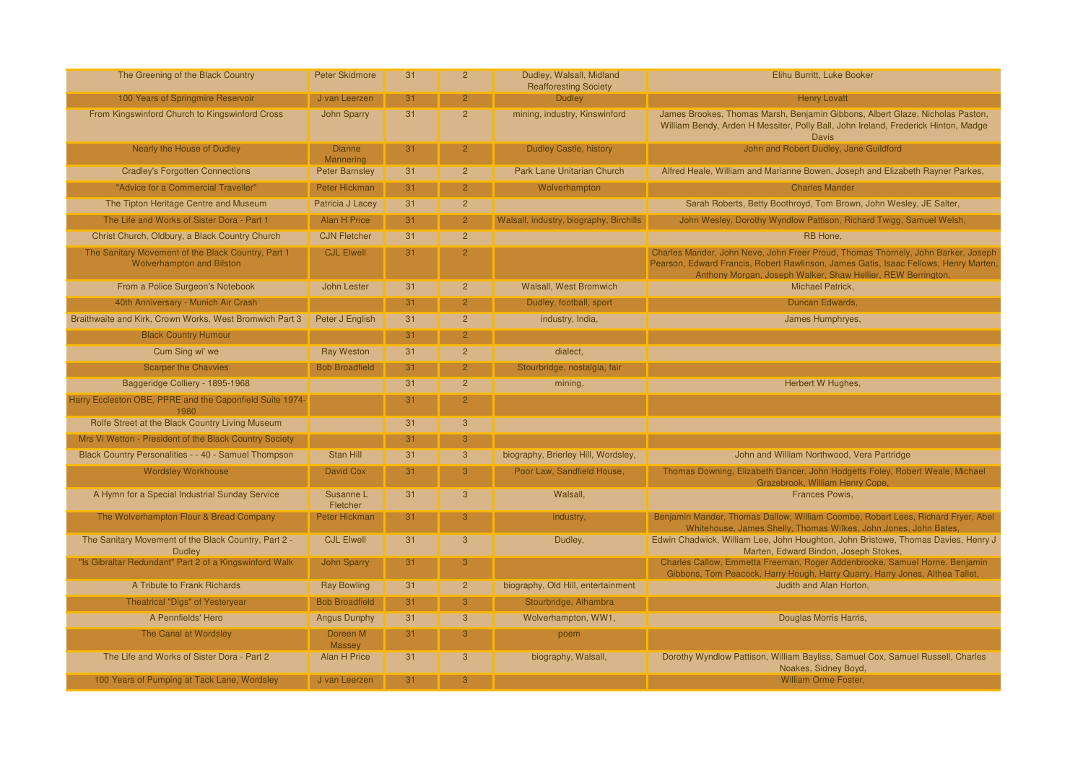| The Greening of the Black Country                                                      | Peter Skidmore                    | 31 | $\overline{2}$          | Dudley, Walsall, Midland<br><b>Reafforesting Society</b> | Elihu Burritt, Luke Booker                                                                                                                                                                                                                |
|----------------------------------------------------------------------------------------|-----------------------------------|----|-------------------------|----------------------------------------------------------|-------------------------------------------------------------------------------------------------------------------------------------------------------------------------------------------------------------------------------------------|
| 100 Years of Springmire Reservoir                                                      | J van Leerzen                     | 31 | $\overline{2}$          | <b>Dudley</b>                                            | <b>Henry Lovatt</b>                                                                                                                                                                                                                       |
| From Kingswinford Church to Kingswinford Cross                                         | <b>John Sparry</b>                | 31 | 2 <sup>1</sup>          | mining, industry, Kinswinford                            | James Brookes, Thomas Marsh, Benjamin Gibbons, Albert Glaze, Nicholas Paston,<br>William Bendy, Arden H Messiter, Polly Ball, John Ireland, Frederick Hinton, Madge<br><b>Davis</b>                                                       |
| Nearly the House of Dudley                                                             | <b>Dianne</b><br><b>Mannering</b> | 31 | $\overline{2}$          | <b>Dudley Castle, history</b>                            | John and Robert Dudley, Jane Guildford                                                                                                                                                                                                    |
| <b>Cradley's Forgotten Connections</b>                                                 | <b>Peter Barnsley</b>             | 31 | 2 <sup>1</sup>          | Park Lane Unitarian Church                               | Alfred Heale, William and Marianne Bowen, Joseph and Elizabeth Rayner Parkes,                                                                                                                                                             |
| "Advice for a Commercial Traveller"                                                    | Peter Hickman                     | 31 | $\overline{2}$          | Wolverhampton                                            | <b>Charles Mander</b>                                                                                                                                                                                                                     |
| The Tipton Heritage Centre and Museum                                                  | Patricia J Lacey                  | 31 | $\overline{2}$          |                                                          | Sarah Roberts, Betty Boothroyd, Tom Brown, John Wesley, JE Salter,                                                                                                                                                                        |
| The Life and Works of Sister Dora - Part 1                                             | <b>Alan H Price</b>               | 31 | $\overline{2}$          | Walsall, industry, biography, Birchills                  | John Wesley, Dorothy Wyndlow Pattison, Richard Twigg, Samuel Welsh,                                                                                                                                                                       |
| Christ Church, Oldbury, a Black Country Church                                         | <b>CJN Fletcher</b>               | 31 | $\overline{2}$          |                                                          | RB Hone,                                                                                                                                                                                                                                  |
| The Sanitary Movement of the Black Country, Part 1<br><b>Wolverhampton and Bilston</b> | <b>CJL Elwell</b>                 | 31 | $\mathcal{P}$           |                                                          | Charles Mander, John Neve, John Freer Proud, Thomas Thornely, John Barker, Joseph<br>Pearson, Edward Francis, Robert Rawlinson, James Gatis, Isaac Fellows, Henry Marten,<br>Anthony Morgan, Joseph Walker, Shaw Hellier, REW Berrington, |
| From a Police Surgeon's Notebook                                                       | John Lester                       | 31 | $\overline{2}$          | <b>Walsall, West Bromwich</b>                            | Michael Patrick.                                                                                                                                                                                                                          |
| 40th Anniversary - Munich Air Crash                                                    |                                   | 31 | $\mathcal{P}$           | Dudley, football, sport                                  | Duncan Edwards,                                                                                                                                                                                                                           |
| Braithwaite and Kirk, Crown Works, West Bromwich Part 3                                | Peter J English                   | 31 | $\overline{2}$          | industry, India,                                         | James Humphryes,                                                                                                                                                                                                                          |
| <b>Black Country Humour</b>                                                            |                                   | 31 | $\overline{2}$          |                                                          |                                                                                                                                                                                                                                           |
| Cum Sing wi' we                                                                        | <b>Ray Weston</b>                 | 31 | $\overline{2}$          | dialect.                                                 |                                                                                                                                                                                                                                           |
| <b>Scarper the Chavvies</b>                                                            | <b>Bob Broadfield</b>             | 31 | $\overline{2}$          | Stourbridge, nostalgia, fair                             |                                                                                                                                                                                                                                           |
| Baggeridge Colliery - 1895-1968                                                        |                                   | 31 | 2 <sup>1</sup>          | mining,                                                  | Herbert W Hughes,                                                                                                                                                                                                                         |
| Harry Eccleston OBE, PPRE and the Caponfield Suite 1974-<br>1980                       |                                   | 31 | $\overline{2}$          |                                                          |                                                                                                                                                                                                                                           |
| Rolfe Street at the Black Country Living Museum                                        |                                   | 31 | $\overline{3}$          |                                                          |                                                                                                                                                                                                                                           |
| Mrs Vi Wetton - President of the Black Country Society                                 |                                   | 31 | 3                       |                                                          |                                                                                                                                                                                                                                           |
| Black Country Personalities - - 40 - Samuel Thompson                                   | <b>Stan Hill</b>                  | 31 | $\mathbf{3}$            | biography, Brierley Hill, Wordsley,                      | John and William Northwood, Vera Partridge                                                                                                                                                                                                |
| <b>Wordsley Workhouse</b>                                                              | <b>David Cox</b>                  | 31 | 3                       | Poor Law, Sandfield House,                               | Thomas Downing, Elizabeth Dancer, John Hodgetts Foley, Robert Weale, Michael<br>Grazebrook, William Henry Cope,                                                                                                                           |
| A Hymn for a Special Industrial Sunday Service                                         | Susanne L<br>Fletcher             | 31 | $\overline{3}$          | Walsall,                                                 | Frances Powis,                                                                                                                                                                                                                            |
| The Wolverhampton Flour & Bread Company                                                | Peter Hickman                     | 31 | 3                       | industry,                                                | Benjamin Mander, Thomas Dallow, William Coombe, Robert Lees, Richard Fryer, Abel<br>Whitehouse, James Shelly, Thomas Wilkes, John Jones, John Bates,                                                                                      |
| The Sanitary Movement of the Black Country, Part 2 -<br><b>Dudley</b>                  | <b>CJL Elwell</b>                 | 31 | $\mathbf{3}$            | Dudley,                                                  | Edwin Chadwick, William Lee, John Houghton, John Bristowe, Thomas Davies, Henry J<br>Marten, Edward Bindon, Joseph Stokes,                                                                                                                |
| "Is Gibraltar Redundant" Part 2 of a Kingswinford Walk                                 | <b>John Sparry</b>                | 31 | 3                       |                                                          | Charles Callow, Emmetta Freeman, Roger Addenbrooke, Samuel Horne, Benjamin<br>Gibbons, Tom Peacock, Harry Hough, Harry Quarry, Harry Jones, Althea Tallet,                                                                                |
| A Tribute to Frank Richards                                                            | <b>Ray Bowling</b>                | 31 | $\overline{2}$          | biography, Old Hill, entertainment                       | Judith and Alan Horton,                                                                                                                                                                                                                   |
| <b>Theatrical "Digs" of Yesteryear</b>                                                 | <b>Bob Broadfield</b>             | 31 | $\overline{\mathbf{3}}$ | Stourbridge, Alhambra                                    |                                                                                                                                                                                                                                           |
| A Pennfields' Hero                                                                     | <b>Angus Dunphy</b>               | 31 | 3                       | Wolverhampton, WW1,                                      | Douglas Morris Harris,                                                                                                                                                                                                                    |
| The Canal at Wordsley                                                                  | Doreen M<br>Massey                | 31 | 3                       | poem                                                     |                                                                                                                                                                                                                                           |
| The Life and Works of Sister Dora - Part 2                                             | <b>Alan H Price</b>               | 31 | 3                       | biography, Walsall,                                      | Dorothy Wyndlow Pattison, William Bayliss, Samuel Cox, Samuel Russell, Charles<br>Noakes, Sidney Boyd,                                                                                                                                    |
| 100 Years of Pumping at Tack Lane, Wordsley                                            | J van Leerzen                     | 31 | 3                       |                                                          | William Orme Foster,                                                                                                                                                                                                                      |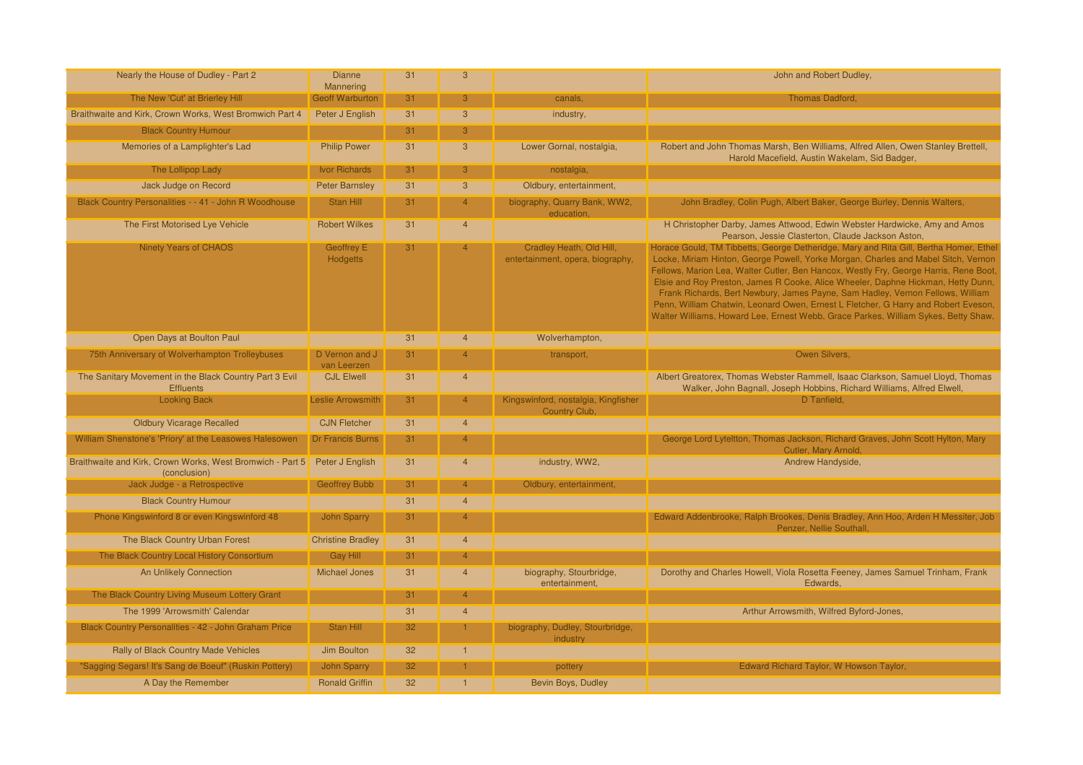| Nearly the House of Dudley - Part 2                                                       | <b>Dianne</b><br>Mannering    | 31 | 3              |                                                              | John and Robert Dudley,                                                                                                                                                                                                                                                                                                                                                                                                                                                                                                                                                                                               |
|-------------------------------------------------------------------------------------------|-------------------------------|----|----------------|--------------------------------------------------------------|-----------------------------------------------------------------------------------------------------------------------------------------------------------------------------------------------------------------------------------------------------------------------------------------------------------------------------------------------------------------------------------------------------------------------------------------------------------------------------------------------------------------------------------------------------------------------------------------------------------------------|
| The New 'Cut' at Brierley Hill                                                            | <b>Geoff Warburton</b>        | 31 | 3              | canals.                                                      | Thomas Dadford,                                                                                                                                                                                                                                                                                                                                                                                                                                                                                                                                                                                                       |
| Braithwaite and Kirk, Crown Works, West Bromwich Part 4                                   | Peter J English               | 31 | 3              | industry,                                                    |                                                                                                                                                                                                                                                                                                                                                                                                                                                                                                                                                                                                                       |
| <b>Black Country Humour</b>                                                               |                               | 31 | 3              |                                                              |                                                                                                                                                                                                                                                                                                                                                                                                                                                                                                                                                                                                                       |
| Memories of a Lamplighter's Lad                                                           | <b>Philip Power</b>           | 31 | 3              | Lower Gornal, nostalgia,                                     | Robert and John Thomas Marsh, Ben Williams, Alfred Allen, Owen Stanley Brettell,<br>Harold Macefield, Austin Wakelam, Sid Badger,                                                                                                                                                                                                                                                                                                                                                                                                                                                                                     |
| The Lollipop Lady                                                                         | <b>Ivor Richards</b>          | 31 | 3              | nostalgia,                                                   |                                                                                                                                                                                                                                                                                                                                                                                                                                                                                                                                                                                                                       |
| Jack Judge on Record                                                                      | <b>Peter Barnsley</b>         | 31 | 3              | Oldbury, entertainment,                                      |                                                                                                                                                                                                                                                                                                                                                                                                                                                                                                                                                                                                                       |
| Black Country Personalities - - 41 - John R Woodhouse                                     | Stan Hill                     | 31 | $\overline{4}$ | biography, Quarry Bank, WW2,<br>education,                   | John Bradley, Colin Pugh, Albert Baker, George Burley, Dennis Walters,                                                                                                                                                                                                                                                                                                                                                                                                                                                                                                                                                |
| The First Motorised Lye Vehicle                                                           | <b>Robert Wilkes</b>          | 31 | $\overline{4}$ |                                                              | H Christopher Darby, James Attwood, Edwin Webster Hardwicke, Amy and Amos<br>Pearson, Jessie Clasterton, Claude Jackson Aston,                                                                                                                                                                                                                                                                                                                                                                                                                                                                                        |
| <b>Ninety Years of CHAOS</b>                                                              | Geoffrey E<br>Hodgetts        | 31 | $\mathbf{A}$   | Cradley Heath, Old Hill,<br>entertainment, opera, biography, | Horace Gould, TM Tibbetts, George Detheridge, Mary and Rita Gill, Bertha Homer, Ethel<br>Locke, Miriam Hinton, George Powell, Yorke Morgan, Charles and Mabel Sitch, Vernon<br>Fellows, Marion Lea, Walter Cutler, Ben Hancox, Westly Fry, George Harris, Rene Boot<br>Elsie and Roy Preston, James R Cooke, Alice Wheeler, Daphne Hickman, Hetty Dunn,<br>Frank Richards, Bert Newbury, James Payne, Sam Hadley, Vernon Fellows, William<br>Penn, William Chatwin, Leonard Owen, Ernest L Fletcher, G Harry and Robert Eveson,<br>Walter Williams, Howard Lee, Ernest Webb, Grace Parkes, William Sykes, Betty Shaw, |
| Open Days at Boulton Paul                                                                 |                               | 31 |                | Wolverhampton,                                               |                                                                                                                                                                                                                                                                                                                                                                                                                                                                                                                                                                                                                       |
| 75th Anniversary of Wolverhampton Trolleybuses                                            | D Vernon and J<br>van Leerzen | 31 |                | transport,                                                   | Owen Silvers,                                                                                                                                                                                                                                                                                                                                                                                                                                                                                                                                                                                                         |
| The Sanitary Movement in the Black Country Part 3 Evil<br><b>Effluents</b>                | <b>CJL Elwell</b>             | 31 | $\overline{4}$ |                                                              | Albert Greatorex, Thomas Webster Rammell, Isaac Clarkson, Samuel Lloyd, Thomas<br>Walker, John Bagnall, Joseph Hobbins, Richard Williams, Alfred Elwell,                                                                                                                                                                                                                                                                                                                                                                                                                                                              |
| <b>Looking Back</b>                                                                       | <b>Leslie Arrowsmith</b>      | 31 | $\overline{4}$ | Kingswinford, nostalgia, Kingfisher<br>Country Club,         | D Tanfield.                                                                                                                                                                                                                                                                                                                                                                                                                                                                                                                                                                                                           |
| <b>Oldbury Vicarage Recalled</b>                                                          | <b>CJN Fletcher</b>           | 31 | $\overline{4}$ |                                                              |                                                                                                                                                                                                                                                                                                                                                                                                                                                                                                                                                                                                                       |
| William Shenstone's 'Priory' at the Leasowes Halesowen                                    | <b>Dr Francis Burns</b>       | 31 | $\overline{4}$ |                                                              | George Lord Lyteltton, Thomas Jackson, Richard Graves, John Scott Hylton, Mary<br>Cutler, Mary Arnold,                                                                                                                                                                                                                                                                                                                                                                                                                                                                                                                |
| Braithwaite and Kirk, Crown Works, West Bromwich - Part 5 Peter J English<br>(conclusion) |                               | 31 | $\overline{4}$ | industry, WW2,                                               | Andrew Handyside,                                                                                                                                                                                                                                                                                                                                                                                                                                                                                                                                                                                                     |
| Jack Judge - a Retrospective                                                              | <b>Geoffrey Bubb</b>          | 31 | $\overline{4}$ | Oldbury, entertainment,                                      |                                                                                                                                                                                                                                                                                                                                                                                                                                                                                                                                                                                                                       |
| <b>Black Country Humour</b>                                                               |                               | 31 | $\overline{4}$ |                                                              |                                                                                                                                                                                                                                                                                                                                                                                                                                                                                                                                                                                                                       |
| Phone Kingswinford 8 or even Kingswinford 48                                              | John Sparry                   | 31 | $\overline{4}$ |                                                              | Edward Addenbrooke, Ralph Brookes, Denis Bradley, Ann Hoo, Arden H Messiter, Job<br>Penzer, Nellie Southall                                                                                                                                                                                                                                                                                                                                                                                                                                                                                                           |
| The Black Country Urban Forest                                                            | <b>Christine Bradley</b>      | 31 | $\overline{4}$ |                                                              |                                                                                                                                                                                                                                                                                                                                                                                                                                                                                                                                                                                                                       |
| The Black Country Local History Consortium                                                | Gay Hill                      | 31 | $\overline{4}$ |                                                              |                                                                                                                                                                                                                                                                                                                                                                                                                                                                                                                                                                                                                       |
| An Unlikely Connection                                                                    | Michael Jones                 | 31 | $\overline{4}$ | biography, Stourbridge,<br>entertainment.                    | Dorothy and Charles Howell, Viola Rosetta Feeney, James Samuel Trinham, Frank<br>Edwards.                                                                                                                                                                                                                                                                                                                                                                                                                                                                                                                             |
| The Black Country Living Museum Lottery Grant                                             |                               | 31 | $\overline{4}$ |                                                              |                                                                                                                                                                                                                                                                                                                                                                                                                                                                                                                                                                                                                       |
| The 1999 'Arrowsmith' Calendar                                                            |                               | 31 | $\overline{4}$ |                                                              | Arthur Arrowsmith, Wilfred Byford-Jones,                                                                                                                                                                                                                                                                                                                                                                                                                                                                                                                                                                              |
| <b>Black Country Personalities - 42 - John Graham Price</b>                               | Stan Hill                     | 32 | 1.             | biography, Dudley, Stourbridge,<br>industry                  |                                                                                                                                                                                                                                                                                                                                                                                                                                                                                                                                                                                                                       |
| Rally of Black Country Made Vehicles                                                      | Jim Boulton                   | 32 | $\mathbf{1}$   |                                                              |                                                                                                                                                                                                                                                                                                                                                                                                                                                                                                                                                                                                                       |
| 'Sagging Segars! It's Sang de Boeuf" (Ruskin Pottery)                                     | <b>John Sparry</b>            | 32 |                | pottery                                                      | Edward Richard Taylor, W Howson Taylor,                                                                                                                                                                                                                                                                                                                                                                                                                                                                                                                                                                               |
| A Day the Remember                                                                        | <b>Ronald Griffin</b>         | 32 | $\mathbf{1}$   | Bevin Boys, Dudley                                           |                                                                                                                                                                                                                                                                                                                                                                                                                                                                                                                                                                                                                       |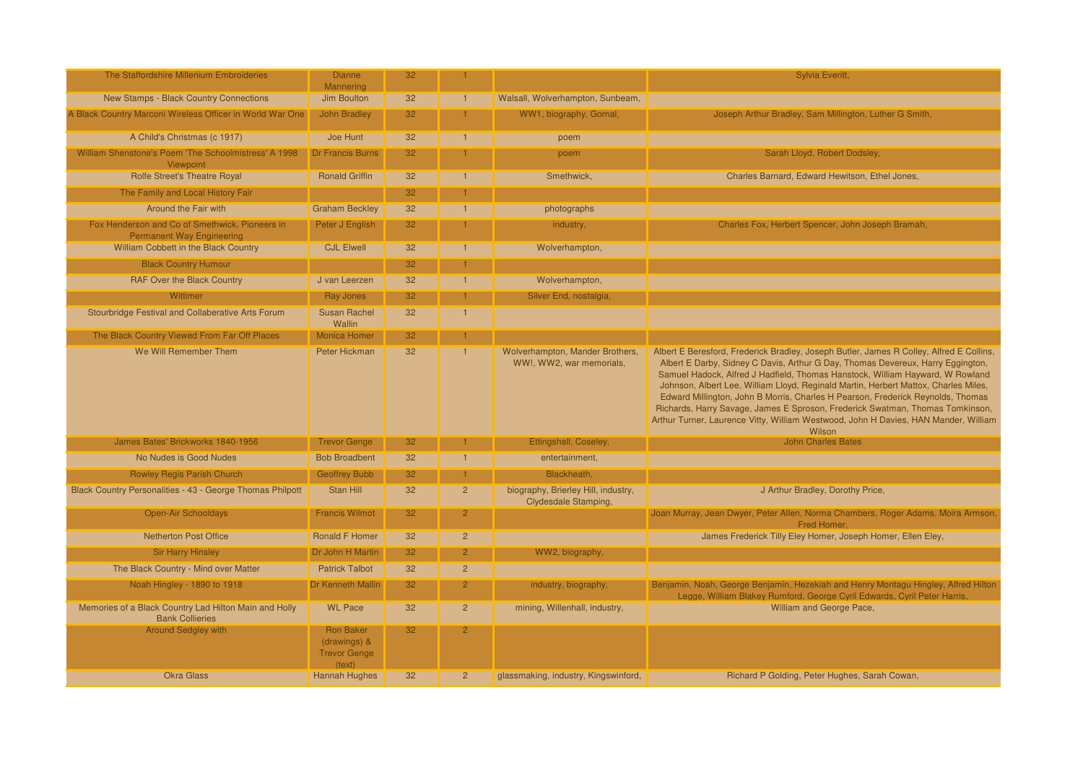| The Staffordshire Millenium Embroideries                                           | <b>Dianne</b><br><b>Mannering</b>                                 | 32              |                      |                                                             | Sylvia Everitt,                                                                                                                                                                                                                                                                                                                                                                                                                                                                                                                                                                                                         |
|------------------------------------------------------------------------------------|-------------------------------------------------------------------|-----------------|----------------------|-------------------------------------------------------------|-------------------------------------------------------------------------------------------------------------------------------------------------------------------------------------------------------------------------------------------------------------------------------------------------------------------------------------------------------------------------------------------------------------------------------------------------------------------------------------------------------------------------------------------------------------------------------------------------------------------------|
| <b>New Stamps - Black Country Connections</b>                                      | Jim Boulton                                                       | 32              |                      | Walsall, Wolverhampton, Sunbeam,                            |                                                                                                                                                                                                                                                                                                                                                                                                                                                                                                                                                                                                                         |
| A Black Country Marconi Wireless Officer in World War One                          | <b>John Bradley</b>                                               | 32              | $\mathbf{1}$         | WW1, biography, Gornal,                                     | Joseph Arthur Bradley, Sam Millington, Luther G Smith,                                                                                                                                                                                                                                                                                                                                                                                                                                                                                                                                                                  |
| A Child's Christmas (c 1917)                                                       | <b>Joe Hunt</b>                                                   | 32              | $\blacktriangleleft$ | poem                                                        |                                                                                                                                                                                                                                                                                                                                                                                                                                                                                                                                                                                                                         |
| William Shenstone's Poem 'The Schoolmistress' A 1998<br>Viewpoint                  | <b>Dr Francis Burns</b>                                           | 32              |                      | poem                                                        | Sarah Lloyd, Robert Dodsley,                                                                                                                                                                                                                                                                                                                                                                                                                                                                                                                                                                                            |
| <b>Rolfe Street's Theatre Royal</b>                                                | <b>Ronald Griffin</b>                                             | 32              |                      | Smethwick,                                                  | Charles Barnard, Edward Hewitson, Ethel Jones,                                                                                                                                                                                                                                                                                                                                                                                                                                                                                                                                                                          |
| The Family and Local History Fair                                                  |                                                                   | 32              |                      |                                                             |                                                                                                                                                                                                                                                                                                                                                                                                                                                                                                                                                                                                                         |
| Around the Fair with                                                               | <b>Graham Beckley</b>                                             | 32              |                      | photographs                                                 |                                                                                                                                                                                                                                                                                                                                                                                                                                                                                                                                                                                                                         |
| Fox Henderson and Co of Smethwick, Pioneers in<br><b>Permanent Way Engineering</b> | Peter J English                                                   | 32              |                      | industry,                                                   | Charles Fox, Herbert Spencer, John Joseph Bramah,                                                                                                                                                                                                                                                                                                                                                                                                                                                                                                                                                                       |
| William Cobbett in the Black Country                                               | <b>CJL Elwell</b>                                                 | 32              |                      | Wolverhampton,                                              |                                                                                                                                                                                                                                                                                                                                                                                                                                                                                                                                                                                                                         |
| <b>Black Country Humour</b>                                                        |                                                                   | 32              | 1.                   |                                                             |                                                                                                                                                                                                                                                                                                                                                                                                                                                                                                                                                                                                                         |
| <b>RAF Over the Black Country</b>                                                  | J van Leerzen                                                     | 32              | $\overline{1}$       | Wolverhampton,                                              |                                                                                                                                                                                                                                                                                                                                                                                                                                                                                                                                                                                                                         |
| Wittimer                                                                           | Ray Jones                                                         | 32              |                      | Silver End, nostalgia,                                      |                                                                                                                                                                                                                                                                                                                                                                                                                                                                                                                                                                                                                         |
| Stourbridge Festival and Collaberative Arts Forum                                  | <b>Susan Rachel</b><br>Wallin                                     | 32              | $\mathbf{1}$         |                                                             |                                                                                                                                                                                                                                                                                                                                                                                                                                                                                                                                                                                                                         |
| The Black Country Viewed From Far Off Places                                       | <b>Monica Homer</b>                                               | 32              | 1.                   |                                                             |                                                                                                                                                                                                                                                                                                                                                                                                                                                                                                                                                                                                                         |
| We Will Remember Them                                                              | Peter Hickman                                                     | 32              | $\mathbf{1}$         | Wolverhampton, Mander Brothers.<br>WW!, WW2, war memorials, | Albert E Beresford, Frederick Bradley, Joseph Butler, James R Colley, Alfred E Collins,<br>Albert E Darby, Sidney C Davis, Arthur G Day, Thomas Devereux, Harry Eggington,<br>Samuel Hadock, Alfred J Hadfield, Thomas Hanstock, William Hayward, W Rowland<br>Johnson, Albert Lee, William Lloyd, Reginald Martin, Herbert Mattox, Charles Miles,<br>Edward Millington, John B Morris, Charles H Pearson, Frederick Reynolds, Thomas<br>Richards, Harry Savage, James E Sproson, Frederick Swatman, Thomas Tomkinson,<br>Arthur Turner, Laurence Vitty, William Westwood, John H Davies, HAN Mander, William<br>Wilson |
| James Bates' Brickworks 1840-1956                                                  | <b>Trevor Genge</b>                                               | 32              |                      | Ettingshall, Coseley,                                       | <b>John Charles Bates</b>                                                                                                                                                                                                                                                                                                                                                                                                                                                                                                                                                                                               |
| No Nudes is Good Nudes                                                             | <b>Bob Broadbent</b>                                              | 32              |                      | entertainment,                                              |                                                                                                                                                                                                                                                                                                                                                                                                                                                                                                                                                                                                                         |
| Rowley Regis Parish Church                                                         | <b>Geoffrey Bubb</b>                                              | 32 <sup>2</sup> |                      | Blackheath,                                                 |                                                                                                                                                                                                                                                                                                                                                                                                                                                                                                                                                                                                                         |
| Black Country Personalities - 43 - George Thomas Philpott                          | Stan Hill                                                         | 32              | $\overline{2}$       | biography, Brierley Hill, industry,<br>Clydesdale Stamping, | J Arthur Bradley, Dorothy Price,                                                                                                                                                                                                                                                                                                                                                                                                                                                                                                                                                                                        |
| <b>Open-Air Schooldays</b>                                                         | <b>Francis Wilmot</b>                                             | 32              | 2 <sup>1</sup>       |                                                             | Joan Murray, Jean Dwyer, Peter Allen, Norma Chambers, Roger Adams, Moira Armson,<br>Fred Homer,                                                                                                                                                                                                                                                                                                                                                                                                                                                                                                                         |
| <b>Netherton Post Office</b>                                                       | <b>Ronald F Homer</b>                                             | 32              | $\overline{2}$       |                                                             | James Frederick Tilly Eley Homer, Joseph Homer, Ellen Eley,                                                                                                                                                                                                                                                                                                                                                                                                                                                                                                                                                             |
| <b>Sir Harry Hinsley</b>                                                           | Dr John H Martin                                                  | 32              | $\overline{2}$       | WW2, biography,                                             |                                                                                                                                                                                                                                                                                                                                                                                                                                                                                                                                                                                                                         |
| The Black Country - Mind over Matter                                               | <b>Patrick Talbot</b>                                             | 32              | $\overline{2}$       |                                                             |                                                                                                                                                                                                                                                                                                                                                                                                                                                                                                                                                                                                                         |
| Noah Hingley - 1890 to 1918                                                        | <b>Dr Kenneth Mallin</b>                                          | 32              | $\overline{2}$       | industry, biography,                                        | Benjamin, Noah, George Benjamin, Hezekiah and Henry Montagu Hingley, Alfred Hilton<br>Legge, William Blakey Rumford, George Cyril Edwards, Cyril Peter Harris,                                                                                                                                                                                                                                                                                                                                                                                                                                                          |
| Memories of a Black Country Lad Hilton Main and Holly<br><b>Bank Collieries</b>    | <b>WL Pace</b>                                                    | 32              | 2 <sup>2</sup>       | mining, Willenhall, industry,                               | William and George Pace,                                                                                                                                                                                                                                                                                                                                                                                                                                                                                                                                                                                                |
| <b>Around Sedgley with</b>                                                         | <b>Ron Baker</b><br>(drawings) &<br><b>Trevor Genge</b><br>(text) | 32 <sub>2</sub> | $\overline{2}$       |                                                             |                                                                                                                                                                                                                                                                                                                                                                                                                                                                                                                                                                                                                         |
| <b>Okra Glass</b>                                                                  | <b>Hannah Hughes</b>                                              | 32              | $\overline{2}$       | glassmaking, industry, Kingswinford,                        | Richard P Golding, Peter Hughes, Sarah Cowan,                                                                                                                                                                                                                                                                                                                                                                                                                                                                                                                                                                           |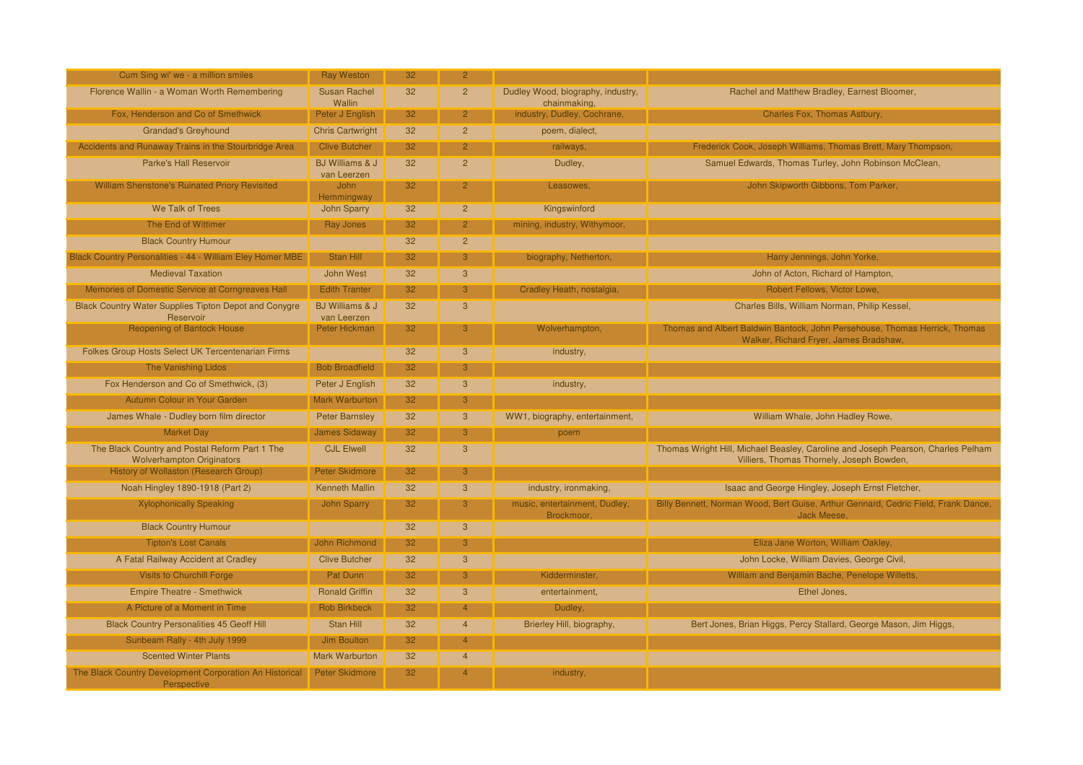| Cum Sing wi' we - a million smiles                                                 | Ray Weston                                | 32 | $\overline{2}$ |                                                   |                                                                                                                               |
|------------------------------------------------------------------------------------|-------------------------------------------|----|----------------|---------------------------------------------------|-------------------------------------------------------------------------------------------------------------------------------|
| Florence Wallin - a Woman Worth Remembering                                        | <b>Susan Rachel</b><br>Wallin             | 32 | $\overline{2}$ | Dudley Wood, biography, industry,<br>chainmaking, | Rachel and Matthew Bradley, Earnest Bloomer,                                                                                  |
| Fox, Henderson and Co of Smethwick                                                 | Peter J English                           | 32 | $\overline{2}$ | industry, Dudley, Cochrane,                       | Charles Fox, Thomas Astbury,                                                                                                  |
| <b>Grandad's Greyhound</b>                                                         | <b>Chris Cartwright</b>                   | 32 | $\overline{2}$ | poem, dialect,                                    |                                                                                                                               |
| Accidents and Runaway Trains in the Stourbridge Area                               | <b>Clive Butcher</b>                      | 32 | $\overline{2}$ | railways,                                         | Frederick Cook, Joseph Williams, Thomas Brett, Mary Thompson,                                                                 |
| <b>Parke's Hall Reservoir</b>                                                      | <b>BJ Williams &amp; J</b><br>van Leerzen | 32 | $\overline{2}$ | Dudley,                                           | Samuel Edwards, Thomas Turley, John Robinson McClean,                                                                         |
| William Shenstone's Ruinated Priory Revisited                                      | John<br>Hemmingway                        | 32 | $\overline{2}$ | Leasowes,                                         | John Skipworth Gibbons, Tom Parker,                                                                                           |
| We Talk of Trees                                                                   | <b>John Sparry</b>                        | 32 | $\overline{2}$ | Kingswinford                                      |                                                                                                                               |
| The End of Wittimer                                                                | Ray Jones                                 | 32 | $\overline{2}$ | mining, industry, Withymoor,                      |                                                                                                                               |
| <b>Black Country Humour</b>                                                        |                                           | 32 | $\overline{2}$ |                                                   |                                                                                                                               |
| Black Country Personalities - 44 - William Eley Homer MBE                          | Stan Hill                                 | 32 | 3              | biography, Netherton,                             | Harry Jennings, John Yorke,                                                                                                   |
| <b>Medieval Taxation</b>                                                           | <b>John West</b>                          | 32 | $\overline{3}$ |                                                   | John of Acton, Richard of Hampton,                                                                                            |
| Memories of Domestic Service at Corngreaves Hall                                   | <b>Edith Tranter</b>                      | 32 | 3              | Cradley Heath, nostalgia,                         | Robert Fellows, Victor Lowe,                                                                                                  |
| Black Country Water Supplies Tipton Depot and Conygre<br>Reservoir                 | <b>BJ Williams &amp; J</b><br>van Leerzen | 32 | 3              |                                                   | Charles Bills, William Norman, Philip Kessel,                                                                                 |
| <b>Reopening of Bantock House</b>                                                  | Peter Hickman                             | 32 | 3              | Wolverhampton,                                    | Thomas and Albert Baldwin Bantock, John Persehouse, Thomas Herrick, Thomas<br>Walker, Richard Fryer, James Bradshaw,          |
| Folkes Group Hosts Select UK Tercentenarian Firms                                  |                                           | 32 | 3              | industry,                                         |                                                                                                                               |
| The Vanishing Lidos                                                                | <b>Bob Broadfield</b>                     | 32 | 3 <sup>1</sup> |                                                   |                                                                                                                               |
| Fox Henderson and Co of Smethwick, (3)                                             | Peter J English                           | 32 | 3              | industry,                                         |                                                                                                                               |
| Autumn Colour in Your Garden                                                       | <b>Mark Warburton</b>                     | 32 | 3              |                                                   |                                                                                                                               |
| James Whale - Dudley born film director                                            | <b>Peter Barnsley</b>                     | 32 | 3              | WW1, biography, entertainment,                    | William Whale, John Hadley Rowe,                                                                                              |
| <b>Market Day</b>                                                                  | <b>James Sidaway</b>                      | 32 | 3              | poem                                              |                                                                                                                               |
| The Black Country and Postal Reform Part 1 The<br><b>Wolverhampton Originators</b> | <b>CJL Elwell</b>                         | 32 | $\overline{3}$ |                                                   | Thomas Wright Hill, Michael Beasley, Caroline and Joseph Pearson, Charles Pelham<br>Villiers, Thomas Thornely, Joseph Bowden, |
| History of Wollaston (Research Group)                                              | Peter Skidmore                            | 32 | 3              |                                                   |                                                                                                                               |
| Noah Hingley 1890-1918 (Part 2)                                                    | <b>Kenneth Mallin</b>                     | 32 | $\overline{3}$ | industry, ironmaking,                             | Isaac and George Hingley, Joseph Ernst Fletcher,                                                                              |
| <b>Xylophonically Speaking</b>                                                     | <b>John Sparry</b>                        | 32 | 3              | music, entertainment, Dudley,<br>Brockmoor,       | Billy Bennett, Norman Wood, Bert Guise, Arthur Gennard, Cedric Field, Frank Dance,<br>Jack Meese.                             |
| <b>Black Country Humour</b>                                                        |                                           | 32 | 3              |                                                   |                                                                                                                               |
| <b>Tipton's Lost Canals</b>                                                        | John Richmond                             | 32 | 3              |                                                   | Eliza Jane Worton, William Oakley,                                                                                            |
| A Fatal Railway Accident at Cradley                                                | <b>Clive Butcher</b>                      | 32 | 3              |                                                   | John Locke, William Davies, George Civil,                                                                                     |
| <b>Visits to Churchill Forge</b>                                                   | Pat Dunn                                  | 32 | 3              | Kidderminster,                                    | William and Benjamin Bache, Penelope Willetts,                                                                                |
| <b>Empire Theatre - Smethwick</b>                                                  | <b>Ronald Griffin</b>                     | 32 | $\overline{3}$ | entertainment,                                    | Ethel Jones,                                                                                                                  |
| A Picture of a Moment in Time                                                      | <b>Rob Birkbeck</b>                       | 32 | $\overline{4}$ | Dudley,                                           |                                                                                                                               |
| <b>Black Country Personalities 45 Geoff Hill</b>                                   | Stan Hill                                 | 32 | $\overline{4}$ | Brierley Hill, biography,                         | Bert Jones, Brian Higgs, Percy Stallard, George Mason, Jim Higgs,                                                             |
| Sunbeam Rally - 4th July 1999                                                      | <b>Jim Boulton</b>                        | 32 | $\overline{4}$ |                                                   |                                                                                                                               |
| <b>Scented Winter Plants</b>                                                       | <b>Mark Warburton</b>                     | 32 | $\overline{4}$ |                                                   |                                                                                                                               |
| The Black Country Development Corporation An Historical<br>Perspective             | <b>Peter Skidmore</b>                     | 32 |                | industry,                                         |                                                                                                                               |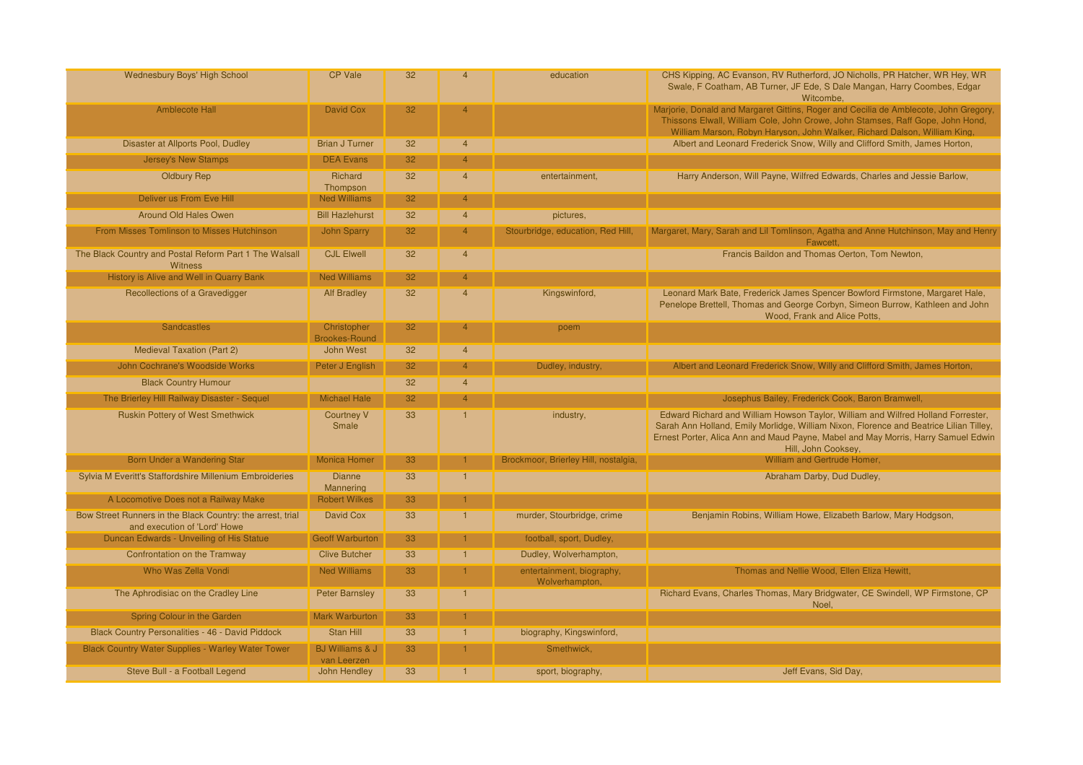| <b>Wednesbury Boys' High School</b>                                                        | <b>CP Vale</b>                            | 32 | $\overline{\mathbf{4}}$ | education                                   | CHS Kipping, AC Evanson, RV Rutherford, JO Nicholls, PR Hatcher, WR Hey, WR<br>Swale, F Coatham, AB Turner, JF Ede, S Dale Mangan, Harry Coombes, Edgar<br>Witcombe.                                                                                                                   |
|--------------------------------------------------------------------------------------------|-------------------------------------------|----|-------------------------|---------------------------------------------|----------------------------------------------------------------------------------------------------------------------------------------------------------------------------------------------------------------------------------------------------------------------------------------|
| Amblecote Hall                                                                             | David Cox                                 | 32 | 4                       |                                             | Marjorie, Donald and Margaret Gittins, Roger and Cecilia de Amblecote, John Gregory,<br>Thissons Elwall, William Cole, John Crowe, John Stamses, Raff Gope, John Hond,<br>William Marson, Robyn Haryson, John Walker, Richard Dalson, William King,                                    |
| Disaster at Allports Pool, Dudley                                                          | <b>Brian J Turner</b>                     | 32 | $\overline{4}$          |                                             | Albert and Leonard Frederick Snow, Willy and Clifford Smith, James Horton,                                                                                                                                                                                                             |
| <b>Jersey's New Stamps</b>                                                                 | <b>DEA Evans</b>                          | 32 |                         |                                             |                                                                                                                                                                                                                                                                                        |
| <b>Oldbury Rep</b>                                                                         | Richard<br>Thompson                       | 32 | $\overline{\mathbf{A}}$ | entertainment,                              | Harry Anderson, Will Payne, Wilfred Edwards, Charles and Jessie Barlow,                                                                                                                                                                                                                |
| Deliver us From Eve Hill                                                                   | <b>Ned Williams</b>                       | 32 | $\overline{4}$          |                                             |                                                                                                                                                                                                                                                                                        |
| <b>Around Old Hales Owen</b>                                                               | <b>Bill Hazlehurst</b>                    | 32 | $\overline{4}$          | pictures,                                   |                                                                                                                                                                                                                                                                                        |
| From Misses Tomlinson to Misses Hutchinson                                                 | <b>John Sparry</b>                        | 32 | 4 <sup>1</sup>          | Stourbridge, education, Red Hill,           | Margaret, Mary, Sarah and Lil Tomlinson, Agatha and Anne Hutchinson, May and Henry<br>Fawcett.                                                                                                                                                                                         |
| The Black Country and Postal Reform Part 1 The Walsall<br><b>Witness</b>                   | <b>CJL Elwell</b>                         | 32 | $\overline{4}$          |                                             | Francis Baildon and Thomas Oerton, Tom Newton,                                                                                                                                                                                                                                         |
| History is Alive and Well in Quarry Bank                                                   | <b>Ned Williams</b>                       | 32 | $\overline{4}$          |                                             |                                                                                                                                                                                                                                                                                        |
| Recollections of a Gravedigger                                                             | <b>Alf Bradley</b>                        | 32 | $\overline{\mathbf{4}}$ | Kingswinford,                               | Leonard Mark Bate, Frederick James Spencer Bowford Firmstone, Margaret Hale,<br>Penelope Brettell, Thomas and George Corbyn, Simeon Burrow, Kathleen and John<br>Wood, Frank and Alice Potts,                                                                                          |
| <b>Sandcastles</b>                                                                         | Christopher<br><b>Brookes-Round</b>       | 32 | $\overline{4}$          | poem                                        |                                                                                                                                                                                                                                                                                        |
| <b>Medieval Taxation (Part 2)</b>                                                          | John West                                 | 32 | $\overline{4}$          |                                             |                                                                                                                                                                                                                                                                                        |
| John Cochrane's Woodside Works                                                             | Peter J English                           | 32 | $\overline{4}$          | Dudley, industry,                           | Albert and Leonard Frederick Snow, Willy and Clifford Smith, James Horton,                                                                                                                                                                                                             |
| <b>Black Country Humour</b>                                                                |                                           | 32 | $\overline{4}$          |                                             |                                                                                                                                                                                                                                                                                        |
| The Brierley Hill Railway Disaster - Sequel                                                | <b>Michael Hale</b>                       | 32 | $\overline{4}$          |                                             | Josephus Bailey, Frederick Cook, Baron Bramwell.                                                                                                                                                                                                                                       |
| <b>Ruskin Pottery of West Smethwick</b>                                                    | <b>Courtney V</b><br>Smale                | 33 |                         | industry,                                   | Edward Richard and William Howson Taylor, William and Wilfred Holland Forrester,<br>Sarah Ann Holland, Emily Morlidge, William Nixon, Florence and Beatrice Lilian Tilley,<br>Ernest Porter, Alica Ann and Maud Payne, Mabel and May Morris, Harry Samuel Edwin<br>Hill, John Cooksey, |
| Born Under a Wandering Star                                                                | Monica Homer                              | 33 |                         | Brockmoor, Brierley Hill, nostalgia,        | William and Gertrude Homer,                                                                                                                                                                                                                                                            |
| Sylvia M Everitt's Staffordshire Millenium Embroideries                                    | <b>Dianne</b><br>Mannering                | 33 | $\overline{1}$          |                                             | Abraham Darby, Dud Dudley,                                                                                                                                                                                                                                                             |
| A Locomotive Does not a Railway Make                                                       | <b>Robert Wilkes</b>                      | 33 |                         |                                             |                                                                                                                                                                                                                                                                                        |
| Bow Street Runners in the Black Country: the arrest, trial<br>and execution of 'Lord' Howe | David Cox                                 | 33 | $\mathbf{1}$            | murder, Stourbridge, crime                  | Benjamin Robins, William Howe, Elizabeth Barlow, Mary Hodgson,                                                                                                                                                                                                                         |
| Duncan Edwards - Unveiling of His Statue                                                   | <b>Geoff Warburton</b>                    | 33 |                         | football, sport, Dudley,                    |                                                                                                                                                                                                                                                                                        |
| Confrontation on the Tramway                                                               | <b>Clive Butcher</b>                      | 33 |                         | Dudley, Wolverhampton,                      |                                                                                                                                                                                                                                                                                        |
| Who Was Zella Vondi                                                                        | <b>Ned Williams</b>                       | 33 |                         | entertainment, biography,<br>Wolverhampton, | Thomas and Nellie Wood, Ellen Eliza Hewitt,                                                                                                                                                                                                                                            |
| The Aphrodisiac on the Cradley Line                                                        | <b>Peter Barnsley</b>                     | 33 | $\overline{\mathbf{1}}$ |                                             | Richard Evans, Charles Thomas, Mary Bridgwater, CE Swindell, WP Firmstone, CP<br>Noel.                                                                                                                                                                                                 |
| Spring Colour in the Garden                                                                | <b>Mark Warburton</b>                     | 33 |                         |                                             |                                                                                                                                                                                                                                                                                        |
| Black Country Personalities - 46 - David Piddock                                           | Stan Hill                                 | 33 |                         | biography, Kingswinford,                    |                                                                                                                                                                                                                                                                                        |
| <b>Black Country Water Supplies - Warley Water Tower</b>                                   | <b>BJ Williams &amp; J</b><br>van Leerzen | 33 |                         | Smethwick,                                  |                                                                                                                                                                                                                                                                                        |
| Steve Bull - a Football Legend                                                             | John Hendley                              | 33 |                         | sport, biography,                           | Jeff Evans, Sid Day,                                                                                                                                                                                                                                                                   |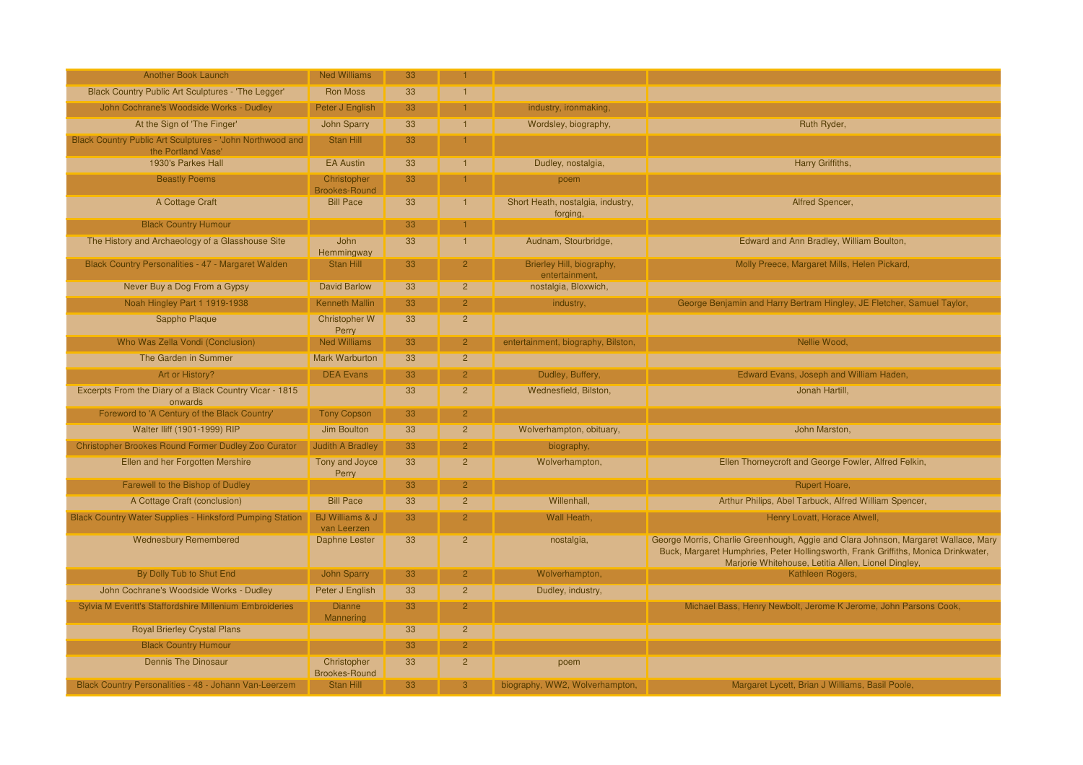| <b>Another Book Launch</b>                                                      | <b>Ned Williams</b>                       | 33 |                |                                               |                                                                                                                                                                                                                                 |
|---------------------------------------------------------------------------------|-------------------------------------------|----|----------------|-----------------------------------------------|---------------------------------------------------------------------------------------------------------------------------------------------------------------------------------------------------------------------------------|
| Black Country Public Art Sculptures - 'The Legger'                              | <b>Ron Moss</b>                           | 33 |                |                                               |                                                                                                                                                                                                                                 |
| John Cochrane's Woodside Works - Dudley                                         | Peter J English                           | 33 |                | industry, ironmaking,                         |                                                                                                                                                                                                                                 |
| At the Sign of 'The Finger'                                                     | <b>John Sparry</b>                        | 33 |                | Wordsley, biography,                          | Ruth Ryder,                                                                                                                                                                                                                     |
| Black Country Public Art Sculptures - 'John Northwood and<br>the Portland Vase' | Stan Hill                                 | 33 |                |                                               |                                                                                                                                                                                                                                 |
| 1930's Parkes Hall                                                              | <b>EA Austin</b>                          | 33 | $\blacksquare$ | Dudley, nostalgia,                            | Harry Griffiths,                                                                                                                                                                                                                |
| <b>Beastly Poems</b>                                                            | Christopher<br><b>Brookes-Round</b>       | 33 |                | poem                                          |                                                                                                                                                                                                                                 |
| A Cottage Craft                                                                 | <b>Bill Pace</b>                          | 33 | $\blacksquare$ | Short Heath, nostalgia, industry,<br>forging, | Alfred Spencer,                                                                                                                                                                                                                 |
| <b>Black Country Humour</b>                                                     |                                           | 33 |                |                                               |                                                                                                                                                                                                                                 |
| The History and Archaeology of a Glasshouse Site                                | <b>John</b><br>Hemmingway                 | 33 | $\mathbf{1}$   | Audnam, Stourbridge,                          | Edward and Ann Bradley, William Boulton,                                                                                                                                                                                        |
| Black Country Personalities - 47 - Margaret Walden                              | Stan Hill                                 | 33 | $\overline{2}$ | Brierley Hill, biography,<br>entertainment.   | Molly Preece, Margaret Mills, Helen Pickard,                                                                                                                                                                                    |
| Never Buy a Dog From a Gypsy                                                    | <b>David Barlow</b>                       | 33 | $\overline{2}$ | nostalgia, Bloxwich,                          |                                                                                                                                                                                                                                 |
| Noah Hingley Part 1 1919-1938                                                   | Kenneth Mallin                            | 33 | $\overline{2}$ | industry,                                     | George Benjamin and Harry Bertram Hingley, JE Fletcher, Samuel Taylor,                                                                                                                                                          |
| Sappho Plaque                                                                   | <b>Christopher W</b><br>Perry             | 33 | $\overline{2}$ |                                               |                                                                                                                                                                                                                                 |
| Who Was Zella Vondi (Conclusion)                                                | <b>Ned Williams</b>                       | 33 | $\overline{2}$ | entertainment, biography, Bilston,            | Nellie Wood.                                                                                                                                                                                                                    |
| The Garden in Summer                                                            | <b>Mark Warburton</b>                     | 33 | $\overline{2}$ |                                               |                                                                                                                                                                                                                                 |
| Art or History?                                                                 | <b>DEA Evans</b>                          | 33 | $\overline{2}$ | Dudley, Buffery,                              | Edward Evans, Joseph and William Haden,                                                                                                                                                                                         |
| Excerpts From the Diary of a Black Country Vicar - 1815<br>onwards              |                                           | 33 | $\overline{2}$ | Wednesfield, Bilston,                         | Jonah Hartill.                                                                                                                                                                                                                  |
| Foreword to 'A Century of the Black Country'                                    | <b>Tony Copson</b>                        | 33 | $\overline{2}$ |                                               |                                                                                                                                                                                                                                 |
| Walter Iliff (1901-1999) RIP                                                    | Jim Boulton                               | 33 | $\overline{2}$ | Wolverhampton, obituary,                      | John Marston,                                                                                                                                                                                                                   |
| Christopher Brookes Round Former Dudley Zoo Curator                             | <b>Judith A Bradley</b>                   | 33 | $\overline{2}$ | biography,                                    |                                                                                                                                                                                                                                 |
| Ellen and her Forgotten Mershire                                                | Tony and Joyce<br>Perry                   | 33 | $\overline{2}$ | Wolverhampton,                                | Ellen Thorneycroft and George Fowler, Alfred Felkin,                                                                                                                                                                            |
| Farewell to the Bishop of Dudley                                                |                                           | 33 | $\overline{2}$ |                                               | Rupert Hoare,                                                                                                                                                                                                                   |
| A Cottage Craft (conclusion)                                                    | <b>Bill Pace</b>                          | 33 | $\overline{2}$ | Willenhall,                                   | Arthur Philips, Abel Tarbuck, Alfred William Spencer,                                                                                                                                                                           |
| <b>Black Country Water Supplies - Hinksford Pumping Station</b>                 | <b>BJ Williams &amp; J</b><br>van Leerzen | 33 | $\overline{2}$ | Wall Heath,                                   | Henry Lovatt, Horace Atwell,                                                                                                                                                                                                    |
| <b>Wednesbury Remembered</b>                                                    | <b>Daphne Lester</b>                      | 33 | $\overline{2}$ | nostalgia,                                    | George Morris, Charlie Greenhough, Aggie and Clara Johnson, Margaret Wallace, Mary<br>Buck, Margaret Humphries, Peter Hollingsworth, Frank Griffiths, Monica Drinkwater,<br>Marjorie Whitehouse, Letitia Allen, Lionel Dingley, |
| By Dolly Tub to Shut End                                                        | <b>John Sparry</b>                        | 33 | $\overline{2}$ | Wolverhampton,                                | Kathleen Rogers,                                                                                                                                                                                                                |
| John Cochrane's Woodside Works - Dudley                                         | Peter J English                           | 33 | $\overline{2}$ | Dudley, industry,                             |                                                                                                                                                                                                                                 |
| Sylvia M Everitt's Staffordshire Millenium Embroideries                         | <b>Dianne</b><br>Mannering                | 33 | $\mathcal{P}$  |                                               | Michael Bass, Henry Newbolt, Jerome K Jerome, John Parsons Cook,                                                                                                                                                                |
| <b>Royal Brierley Crystal Plans</b>                                             |                                           | 33 | $\overline{2}$ |                                               |                                                                                                                                                                                                                                 |
| <b>Black Country Humour</b>                                                     |                                           | 33 | $\overline{2}$ |                                               |                                                                                                                                                                                                                                 |
| <b>Dennis The Dinosaur</b>                                                      | Christopher<br><b>Brookes-Round</b>       | 33 | $\overline{2}$ | poem                                          |                                                                                                                                                                                                                                 |
| Black Country Personalities - 48 - Johann Van-Leerzem                           | Stan Hill                                 | 33 | 3              | biography, WW2, Wolverhampton,                | Margaret Lycett, Brian J Williams, Basil Poole,                                                                                                                                                                                 |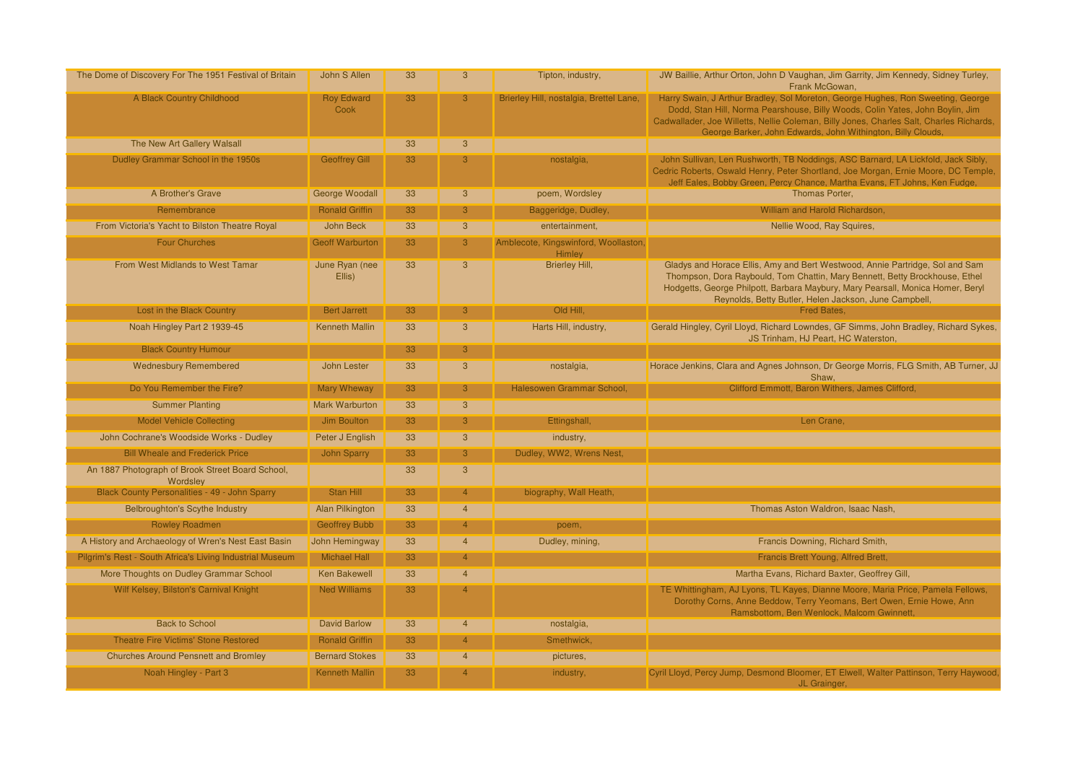| The Dome of Discovery For The 1951 Festival of Britain       | John S Allen              | 33 | $\overline{3}$ | Tipton, industry,                              | JW Baillie, Arthur Orton, John D Vaughan, Jim Garrity, Jim Kennedy, Sidney Turley,<br>Frank McGowan.                                                                                                                                                                                                                       |
|--------------------------------------------------------------|---------------------------|----|----------------|------------------------------------------------|----------------------------------------------------------------------------------------------------------------------------------------------------------------------------------------------------------------------------------------------------------------------------------------------------------------------------|
| A Black Country Childhood                                    | <b>Roy Edward</b><br>Cook | 33 | 3              | Brierley Hill, nostalgia, Brettel Lane,        | Harry Swain, J Arthur Bradley, Sol Moreton, George Hughes, Ron Sweeting, George<br>Dodd, Stan Hill, Norma Pearshouse, Billy Woods, Colin Yates, John Boylin, Jim<br>Cadwallader, Joe Willetts, Nellie Coleman, Billy Jones, Charles Salt, Charles Richards,<br>George Barker, John Edwards, John Withington, Billy Clouds, |
| The New Art Gallery Walsall                                  |                           | 33 | $\mathbf{3}$   |                                                |                                                                                                                                                                                                                                                                                                                            |
| Dudley Grammar School in the 1950s                           | <b>Geoffrey Gill</b>      | 33 | 3              | nostalgia,                                     | John Sullivan, Len Rushworth, TB Noddings, ASC Barnard, LA Lickfold, Jack Sibly,<br>Cedric Roberts, Oswald Henry, Peter Shortland, Joe Morgan, Ernie Moore, DC Temple,<br>Jeff Eales, Bobby Green, Percy Chance, Martha Evans, FT Johns, Ken Fudge,                                                                        |
| A Brother's Grave                                            | <b>George Woodall</b>     | 33 | $\mathbf{3}$   | poem, Wordsley                                 | Thomas Porter,                                                                                                                                                                                                                                                                                                             |
| Remembrance                                                  | <b>Ronald Griffin</b>     | 33 | 3              | Baggeridge, Dudley,                            | William and Harold Richardson,                                                                                                                                                                                                                                                                                             |
| From Victoria's Yacht to Bilston Theatre Royal               | John Beck                 | 33 | 3              | entertainment,                                 | Nellie Wood, Ray Squires,                                                                                                                                                                                                                                                                                                  |
| <b>Four Churches</b>                                         | <b>Geoff Warburton</b>    | 33 | 3              | Amblecote, Kingswinford, Woollaston,<br>Himley |                                                                                                                                                                                                                                                                                                                            |
| From West Midlands to West Tamar                             | June Ryan (nee<br>Ellis)  | 33 | $\overline{3}$ | <b>Brierley Hill,</b>                          | Gladys and Horace Ellis, Amy and Bert Westwood, Annie Partridge, Sol and Sam<br>Thompson, Dora Raybould, Tom Chattin, Mary Bennett, Betty Brockhouse, Ethel<br>Hodgetts, George Philpott, Barbara Maybury, Mary Pearsall, Monica Homer, Beryl<br>Reynolds, Betty Butler, Helen Jackson, June Campbell,                     |
| Lost in the Black Country                                    | <b>Bert Jarrett</b>       | 33 | 3              | Old Hill,                                      | Fred Bates,                                                                                                                                                                                                                                                                                                                |
| Noah Hingley Part 2 1939-45                                  | <b>Kenneth Mallin</b>     | 33 | 3              | Harts Hill, industry,                          | Gerald Hingley, Cyril Lloyd, Richard Lowndes, GF Simms, John Bradley, Richard Sykes,<br>JS Trinham, HJ Peart, HC Waterston,                                                                                                                                                                                                |
| <b>Black Country Humour</b>                                  |                           | 33 | 3              |                                                |                                                                                                                                                                                                                                                                                                                            |
| <b>Wednesbury Remembered</b>                                 | <b>John Lester</b>        | 33 | $\overline{3}$ | nostalgia,                                     | Horace Jenkins, Clara and Agnes Johnson, Dr George Morris, FLG Smith, AB Turner, JJ<br>Shaw,                                                                                                                                                                                                                               |
| Do You Remember the Fire?                                    | <b>Mary Wheway</b>        | 33 | 3              | Halesowen Grammar School,                      | Clifford Emmott, Baron Withers, James Clifford,                                                                                                                                                                                                                                                                            |
| <b>Summer Planting</b>                                       | <b>Mark Warburton</b>     | 33 | $\overline{3}$ |                                                |                                                                                                                                                                                                                                                                                                                            |
| <b>Model Vehicle Collecting</b>                              | Jim Boulton               | 33 | 3              | Ettingshall,                                   | Len Crane.                                                                                                                                                                                                                                                                                                                 |
| John Cochrane's Woodside Works - Dudley                      | Peter J English           | 33 | $\mathbf{3}$   | industry,                                      |                                                                                                                                                                                                                                                                                                                            |
| <b>Bill Wheale and Frederick Price</b>                       | <b>John Sparry</b>        | 33 | 3              | Dudley, WW2, Wrens Nest,                       |                                                                                                                                                                                                                                                                                                                            |
| An 1887 Photograph of Brook Street Board School,<br>Wordslev |                           | 33 | 3              |                                                |                                                                                                                                                                                                                                                                                                                            |
| <b>Black County Personalities - 49 - John Sparry</b>         | Stan Hill                 | 33 | $\overline{4}$ | biography, Wall Heath,                         |                                                                                                                                                                                                                                                                                                                            |
| <b>Belbroughton's Scythe Industry</b>                        | <b>Alan Pilkington</b>    | 33 | $\overline{4}$ |                                                | Thomas Aston Waldron, Isaac Nash,                                                                                                                                                                                                                                                                                          |
| <b>Rowley Roadmen</b>                                        | <b>Geoffrey Bubb</b>      | 33 | $\overline{4}$ | poem,                                          |                                                                                                                                                                                                                                                                                                                            |
| A History and Archaeology of Wren's Nest East Basin          | John Hemingway            | 33 | $\overline{4}$ | Dudley, mining,                                | Francis Downing, Richard Smith,                                                                                                                                                                                                                                                                                            |
| Pilgrim's Rest - South Africa's Living Industrial Museum     | <b>Michael Hall</b>       | 33 | $\overline{4}$ |                                                | Francis Brett Young, Alfred Brett,                                                                                                                                                                                                                                                                                         |
| More Thoughts on Dudley Grammar School                       | <b>Ken Bakewell</b>       | 33 | $\overline{4}$ |                                                | Martha Evans, Richard Baxter, Geoffrey Gill,                                                                                                                                                                                                                                                                               |
| Wilf Kelsey, Bilston's Carnival Knight                       | <b>Ned Williams</b>       | 33 |                |                                                | TE Whittingham, AJ Lyons, TL Kayes, Dianne Moore, Maria Price, Pamela Fellows,<br>Dorothy Corns, Anne Beddow, Terry Yeomans, Bert Owen, Ernie Howe, Ann<br>Ramsbottom, Ben Wenlock, Malcom Gwinnett,                                                                                                                       |
| <b>Back to School</b>                                        | <b>David Barlow</b>       | 33 | $\overline{4}$ | nostalgia,                                     |                                                                                                                                                                                                                                                                                                                            |
| <b>Theatre Fire Victims' Stone Restored</b>                  | <b>Ronald Griffin</b>     | 33 | $\overline{4}$ | Smethwick,                                     |                                                                                                                                                                                                                                                                                                                            |
| <b>Churches Around Pensnett and Bromley</b>                  | <b>Bernard Stokes</b>     | 33 |                | pictures,                                      |                                                                                                                                                                                                                                                                                                                            |
| Noah Hingley - Part 3                                        | <b>Kenneth Mallin</b>     | 33 |                | industry,                                      | Cyril Lloyd, Percy Jump, Desmond Bloomer, ET Elwell, Walter Pattinson, Terry Haywood,<br>JL Grainger,                                                                                                                                                                                                                      |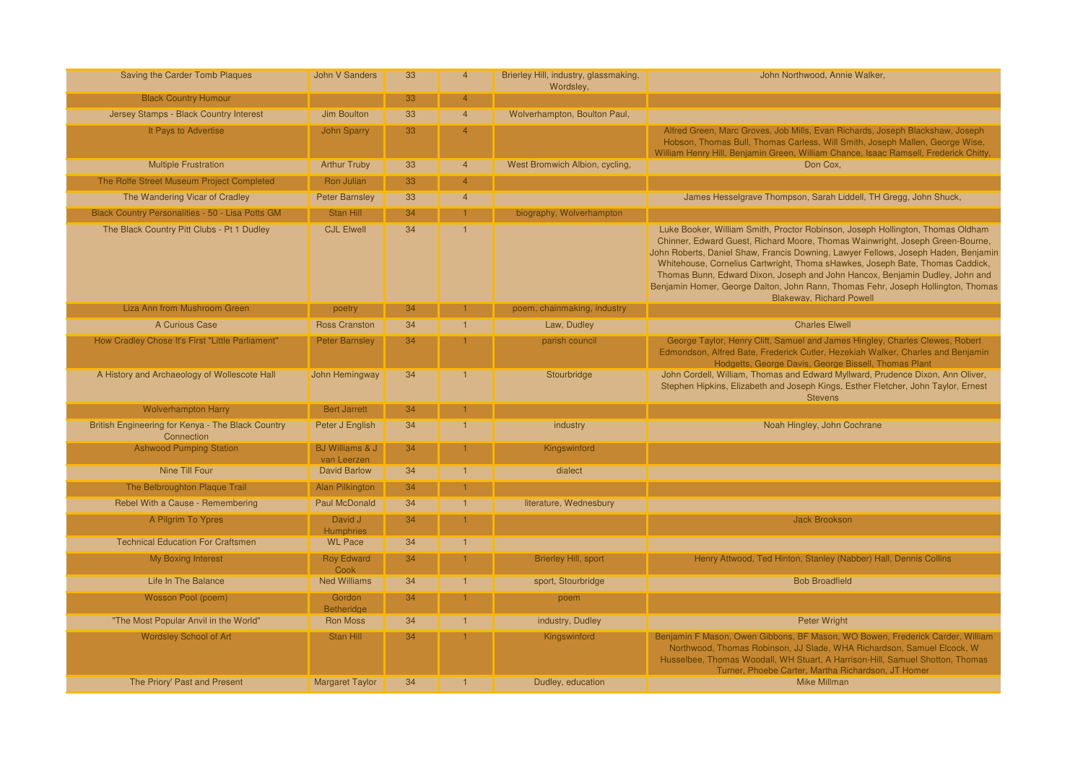| Saving the Carder Tomb Plaques                                  | John V Sanders                            | 33 | $\overline{4}$ | Brierley Hill, industry, glassmaking,<br>Wordslev. | John Northwood, Annie Walker,                                                                                                                                                                                                                                                                                                                                                                                                                                                                                                                 |
|-----------------------------------------------------------------|-------------------------------------------|----|----------------|----------------------------------------------------|-----------------------------------------------------------------------------------------------------------------------------------------------------------------------------------------------------------------------------------------------------------------------------------------------------------------------------------------------------------------------------------------------------------------------------------------------------------------------------------------------------------------------------------------------|
| <b>Black Country Humour</b>                                     |                                           | 33 | $\overline{A}$ |                                                    |                                                                                                                                                                                                                                                                                                                                                                                                                                                                                                                                               |
| Jersey Stamps - Black Country Interest                          | <b>Jim Boulton</b>                        | 33 | $\overline{4}$ | Wolverhampton, Boulton Paul,                       |                                                                                                                                                                                                                                                                                                                                                                                                                                                                                                                                               |
| It Pays to Advertise                                            | <b>John Sparry</b>                        | 33 | $\overline{4}$ |                                                    | Alfred Green, Marc Groves, Job Mills, Evan Richards, Joseph Blackshaw, Joseph<br>Hobson, Thomas Bull, Thomas Carless, Will Smith, Joseph Mallen, George Wise,<br>William Henry Hill, Benjamin Green, William Chance, Isaac Ramsell, Frederick Chitty,                                                                                                                                                                                                                                                                                         |
| <b>Multiple Frustration</b>                                     | <b>Arthur Truby</b>                       | 33 | $\overline{4}$ | West Bromwich Albion, cycling,                     | Don Cox,                                                                                                                                                                                                                                                                                                                                                                                                                                                                                                                                      |
| The Rolfe Street Museum Project Completed                       | Ron Julian                                | 33 | $\overline{4}$ |                                                    |                                                                                                                                                                                                                                                                                                                                                                                                                                                                                                                                               |
| The Wandering Vicar of Cradley                                  | <b>Peter Barnsley</b>                     | 33 | $\overline{4}$ |                                                    | James Hesselgrave Thompson, Sarah Liddell, TH Gregg, John Shuck,                                                                                                                                                                                                                                                                                                                                                                                                                                                                              |
| Black Country Personalities - 50 - Lisa Potts GM                | Stan Hill                                 | 34 |                | biography, Wolverhampton                           |                                                                                                                                                                                                                                                                                                                                                                                                                                                                                                                                               |
| The Black Country Pitt Clubs - Pt 1 Dudley                      | <b>CJL Elwell</b>                         | 34 |                |                                                    | Luke Booker, William Smith, Proctor Robinson, Joseph Hollington, Thomas Oldham<br>Chinner, Edward Guest, Richard Moore, Thomas Wainwright, Joseph Green-Bourne,<br>John Roberts, Daniel Shaw, Francis Downing, Lawyer Fellows, Joseph Haden, Benjamin<br>Whitehouse, Cornelius Cartwright, Thoma sHawkes, Joseph Bate, Thomas Caddick,<br>Thomas Bunn, Edward Dixon, Joseph and John Hancox, Benjamin Dudley, John and<br>Benjamin Homer, George Dalton, John Rann, Thomas Fehr, Joseph Hollington, Thomas<br><b>Blakeway, Richard Powell</b> |
| Liza Ann from Mushroom Green                                    | poetry                                    | 34 |                | poem, chainmaking, industry                        |                                                                                                                                                                                                                                                                                                                                                                                                                                                                                                                                               |
| A Curious Case                                                  | <b>Ross Cranston</b>                      | 34 |                | Law, Dudley                                        | <b>Charles Elwell</b>                                                                                                                                                                                                                                                                                                                                                                                                                                                                                                                         |
| How Cradley Chose It's First "Little Parliament"                | <b>Peter Barnsley</b>                     | 34 |                | parish council                                     | George Taylor, Henry Clift, Samuel and James Hingley, Charles Clewes, Robert<br>Edmondson, Alfred Bate, Frederick Cutler, Hezekiah Walker, Charles and Benjamin<br>Hodgetts, George Davis, George Bissell, Thomas Plant                                                                                                                                                                                                                                                                                                                       |
| A History and Archaeology of Wollescote Hall                    | John Hemingway                            | 34 |                | Stourbridge                                        | John Cordell, William, Thomas and Edward Myllward, Prudence Dixon, Ann Oliver,<br>Stephen Hipkins, Elizabeth and Joseph Kings, Esther Fletcher, John Taylor, Ernest<br><b>Stevens</b>                                                                                                                                                                                                                                                                                                                                                         |
| <b>Wolverhampton Harry</b>                                      | <b>Bert Jarrett</b>                       | 34 |                |                                                    |                                                                                                                                                                                                                                                                                                                                                                                                                                                                                                                                               |
| British Engineering for Kenya - The Black Country<br>Connection | Peter J English                           | 34 |                | industry                                           | Noah Hingley, John Cochrane                                                                                                                                                                                                                                                                                                                                                                                                                                                                                                                   |
| <b>Ashwood Pumping Station</b>                                  | <b>BJ Williams &amp; J</b><br>van Leerzen | 34 |                | Kingswinford                                       |                                                                                                                                                                                                                                                                                                                                                                                                                                                                                                                                               |
| Nine Till Four                                                  | <b>David Barlow</b>                       | 34 |                | dialect                                            |                                                                                                                                                                                                                                                                                                                                                                                                                                                                                                                                               |
| The Belbroughton Plaque Trail                                   | Alan Pilkington                           | 34 |                |                                                    |                                                                                                                                                                                                                                                                                                                                                                                                                                                                                                                                               |
| Rebel With a Cause - Remembering                                | Paul McDonald                             | 34 |                | literature, Wednesbury                             |                                                                                                                                                                                                                                                                                                                                                                                                                                                                                                                                               |
| A Pilgrim To Ypres                                              | David J<br><b>Humphries</b>               | 34 |                |                                                    | <b>Jack Brookson</b>                                                                                                                                                                                                                                                                                                                                                                                                                                                                                                                          |
| <b>Technical Education For Craftsmen</b>                        | <b>WL Pace</b>                            | 34 |                |                                                    |                                                                                                                                                                                                                                                                                                                                                                                                                                                                                                                                               |
| <b>My Boxing Interest</b>                                       | <b>Roy Edward</b><br>Cook                 | 34 |                | <b>Brierley Hill, sport</b>                        | Henry Attwood, Ted Hinton, Stanley (Nabber) Hall, Dennis Collins                                                                                                                                                                                                                                                                                                                                                                                                                                                                              |
| <b>Life In The Balance</b>                                      | <b>Ned Williams</b>                       | 34 |                | sport, Stourbridge                                 | <b>Bob Broadfield</b>                                                                                                                                                                                                                                                                                                                                                                                                                                                                                                                         |
| <b>Wosson Pool (poem)</b>                                       | Gordon<br><b>Betheridge</b>               | 34 |                | poem                                               |                                                                                                                                                                                                                                                                                                                                                                                                                                                                                                                                               |
| "The Most Popular Anvil in the World"                           | <b>Ron Moss</b>                           | 34 |                | industry, Dudley                                   | <b>Peter Wright</b>                                                                                                                                                                                                                                                                                                                                                                                                                                                                                                                           |
| <b>Wordsley School of Art</b>                                   | Stan Hill                                 | 34 |                | Kingswinford                                       | Benjamin F Mason, Owen Gibbons, BF Mason, WO Bowen, Frederick Carder, William<br>Northwood, Thomas Robinson, JJ Slade, WHA Richardson, Samuel Elcock, W<br>Husselbee, Thomas Woodall, WH Stuart, A Harrison-Hill, Samuel Shotton, Thomas<br>Turner, Phoebe Carter, Martha Richardson, JT Homer                                                                                                                                                                                                                                                |
| The Priory' Past and Present                                    | <b>Margaret Taylor</b>                    | 34 |                | Dudley, education                                  | <b>Mike Millman</b>                                                                                                                                                                                                                                                                                                                                                                                                                                                                                                                           |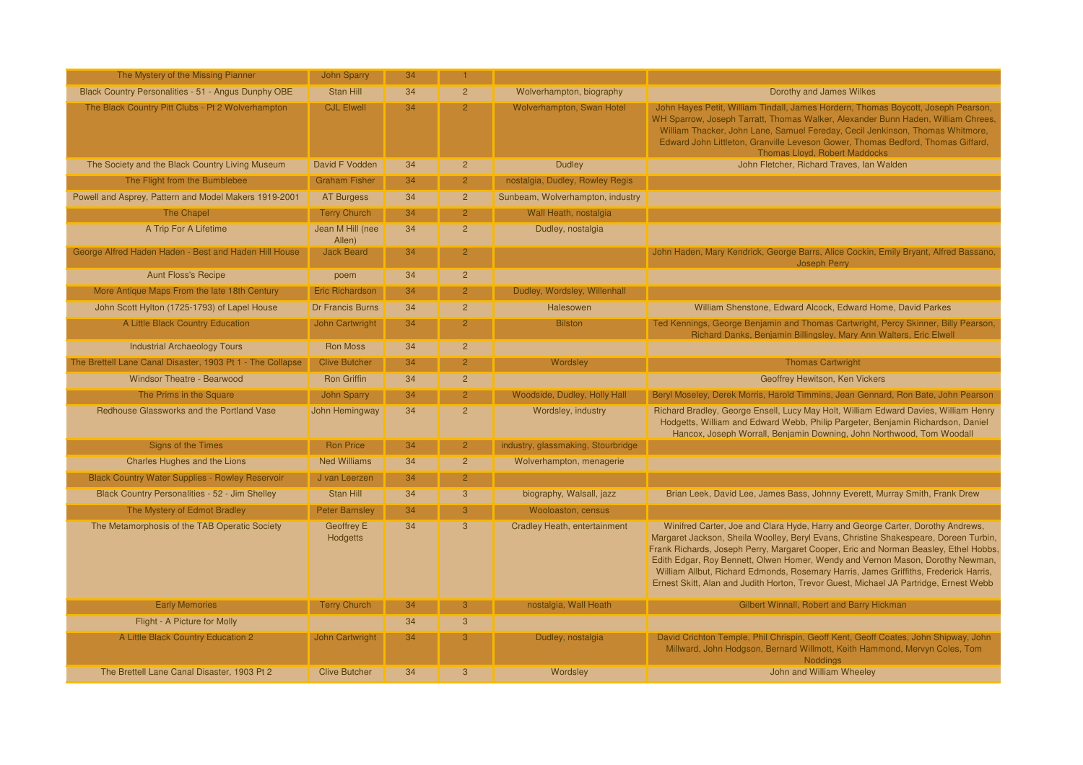| The Mystery of the Missing Pianner                         | <b>John Sparry</b>                   | 34 |                |                                    |                                                                                                                                                                                                                                                                                                                                                                                                                                                                                                                                   |
|------------------------------------------------------------|--------------------------------------|----|----------------|------------------------------------|-----------------------------------------------------------------------------------------------------------------------------------------------------------------------------------------------------------------------------------------------------------------------------------------------------------------------------------------------------------------------------------------------------------------------------------------------------------------------------------------------------------------------------------|
| Black Country Personalities - 51 - Angus Dunphy OBE        | Stan Hill                            | 34 | $\overline{2}$ | Wolverhampton, biography           | Dorothy and James Wilkes                                                                                                                                                                                                                                                                                                                                                                                                                                                                                                          |
| The Black Country Pitt Clubs - Pt 2 Wolverhampton          | <b>CJL Elwell</b>                    | 34 | $\mathcal{P}$  | Wolverhampton, Swan Hotel          | John Hayes Petit, William Tindall, James Hordern, Thomas Boycott, Joseph Pearson,<br>WH Sparrow, Joseph Tarratt, Thomas Walker, Alexander Bunn Haden, William Chrees,<br>William Thacker, John Lane, Samuel Fereday, Cecil Jenkinson, Thomas Whitmore,<br>Edward John Littleton, Granville Leveson Gower, Thomas Bedford, Thomas Giffard,<br><b>Thomas Lloyd, Robert Maddocks</b>                                                                                                                                                 |
| The Society and the Black Country Living Museum            | David F Vodden                       | 34 | $\overline{2}$ | <b>Dudley</b>                      | John Fletcher, Richard Traves, Ian Walden                                                                                                                                                                                                                                                                                                                                                                                                                                                                                         |
| The Flight from the Bumblebee                              | <b>Graham Fisher</b>                 | 34 | $\overline{2}$ | nostalgia, Dudley, Rowley Regis    |                                                                                                                                                                                                                                                                                                                                                                                                                                                                                                                                   |
| Powell and Asprey, Pattern and Model Makers 1919-2001      | <b>AT Burgess</b>                    | 34 | $\overline{2}$ | Sunbeam, Wolverhampton, industry   |                                                                                                                                                                                                                                                                                                                                                                                                                                                                                                                                   |
| The Chapel                                                 | <b>Terry Church</b>                  | 34 | $\overline{2}$ | Wall Heath, nostalgia              |                                                                                                                                                                                                                                                                                                                                                                                                                                                                                                                                   |
| A Trip For A Lifetime                                      | Jean M Hill (nee<br>Allen)           | 34 | $\overline{2}$ | Dudley, nostalgia                  |                                                                                                                                                                                                                                                                                                                                                                                                                                                                                                                                   |
| George Alfred Haden Haden - Best and Haden Hill House      | <b>Jack Beard</b>                    | 34 |                |                                    | John Haden, Mary Kendrick, George Barrs, Alice Cockin, Emily Bryant, Alfred Bassano,<br><b>Joseph Perry</b>                                                                                                                                                                                                                                                                                                                                                                                                                       |
| <b>Aunt Floss's Recipe</b>                                 | poem                                 | 34 | $\overline{2}$ |                                    |                                                                                                                                                                                                                                                                                                                                                                                                                                                                                                                                   |
| More Antique Maps From the late 18th Century               | <b>Eric Richardson</b>               | 34 |                | Dudley, Wordsley, Willenhall       |                                                                                                                                                                                                                                                                                                                                                                                                                                                                                                                                   |
| John Scott Hylton (1725-1793) of Lapel House               | <b>Dr Francis Burns</b>              | 34 | $\overline{P}$ | Halesowen                          | William Shenstone, Edward Alcock, Edward Home, David Parkes                                                                                                                                                                                                                                                                                                                                                                                                                                                                       |
| A Little Black Country Education                           | John Cartwright                      | 34 |                | <b>Bilston</b>                     | Ted Kennings, George Benjamin and Thomas Cartwright, Percy Skinner, Billy Pearson,<br>Richard Danks, Benjamin Billingsley, Mary Ann Walters, Eric Elwell                                                                                                                                                                                                                                                                                                                                                                          |
| <b>Industrial Archaeology Tours</b>                        | <b>Ron Moss</b>                      | 34 | $\overline{2}$ |                                    |                                                                                                                                                                                                                                                                                                                                                                                                                                                                                                                                   |
| The Brettell Lane Canal Disaster, 1903 Pt 1 - The Collapse | <b>Clive Butcher</b>                 | 34 | 2 <sup>1</sup> | Wordsley                           | <b>Thomas Cartwright</b>                                                                                                                                                                                                                                                                                                                                                                                                                                                                                                          |
| <b>Windsor Theatre - Bearwood</b>                          | <b>Ron Griffin</b>                   | 34 | $\overline{2}$ |                                    | Geoffrey Hewitson, Ken Vickers                                                                                                                                                                                                                                                                                                                                                                                                                                                                                                    |
| The Prims in the Square                                    | <b>John Sparry</b>                   | 34 | 2 <sup>1</sup> | Woodside, Dudley, Holly Hall       | Beryl Moseley, Derek Morris, Harold Timmins, Jean Gennard, Ron Bate, John Pearson                                                                                                                                                                                                                                                                                                                                                                                                                                                 |
| Redhouse Glassworks and the Portland Vase                  | <b>John Hemingway</b>                | 34 | $\overline{a}$ | Wordsley, industry                 | Richard Bradley, George Ensell, Lucy May Holt, William Edward Davies, William Henry<br>Hodgetts, William and Edward Webb, Philip Pargeter, Benjamin Richardson, Daniel<br>Hancox, Joseph Worrall, Benjamin Downing, John Northwood, Tom Woodall                                                                                                                                                                                                                                                                                   |
| Signs of the Times                                         | <b>Ron Price</b>                     | 34 | $\overline{2}$ | industry, glassmaking, Stourbridge |                                                                                                                                                                                                                                                                                                                                                                                                                                                                                                                                   |
| <b>Charles Hughes and the Lions</b>                        | <b>Ned Williams</b>                  | 34 | $\overline{2}$ | Wolverhampton, menagerie           |                                                                                                                                                                                                                                                                                                                                                                                                                                                                                                                                   |
| <b>Black Country Water Supplies - Rowley Reservoir</b>     | J van Leerzen                        | 34 | 2 <sup>1</sup> |                                    |                                                                                                                                                                                                                                                                                                                                                                                                                                                                                                                                   |
| Black Country Personalities - 52 - Jim Shelley             | <b>Stan Hill</b>                     | 34 | $\mathbf{3}$   | biography, Walsall, jazz           | Brian Leek, David Lee, James Bass, Johnny Everett, Murray Smith, Frank Drew                                                                                                                                                                                                                                                                                                                                                                                                                                                       |
| The Mystery of Edmot Bradley                               | <b>Peter Barnsley</b>                | 34 | 3              | Wooloaston, census                 |                                                                                                                                                                                                                                                                                                                                                                                                                                                                                                                                   |
| The Metamorphosis of the TAB Operatic Society              | <b>Geoffrey E</b><br><b>Hodgetts</b> | 34 | $\mathbf{3}$   | Cradley Heath, entertainment       | Winifred Carter, Joe and Clara Hyde, Harry and George Carter, Dorothy Andrews,<br>Margaret Jackson, Sheila Woolley, Beryl Evans, Christine Shakespeare, Doreen Turbin,<br>Frank Richards, Joseph Perry, Margaret Cooper, Eric and Norman Beasley, Ethel Hobbs,<br>Edith Edgar, Roy Bennett, Olwen Homer, Wendy and Vernon Mason, Dorothy Newman,<br>William Allbut, Richard Edmonds, Rosemary Harris, James Griffiths, Frederick Harris,<br>Ernest Skitt, Alan and Judith Horton, Trevor Guest, Michael JA Partridge, Ernest Webb |
| <b>Early Memories</b>                                      | <b>Terry Church</b>                  | 34 | 3.             | nostalgia, Wall Heath              | Gilbert Winnall, Robert and Barry Hickman                                                                                                                                                                                                                                                                                                                                                                                                                                                                                         |
| Flight - A Picture for Molly                               |                                      | 34 | $\overline{3}$ |                                    |                                                                                                                                                                                                                                                                                                                                                                                                                                                                                                                                   |
| A Little Black Country Education 2                         | <b>John Cartwright</b>               | 34 | 3              | Dudley, nostalgia                  | David Crichton Temple, Phil Chrispin, Geoff Kent, Geoff Coates, John Shipway, John<br>Millward, John Hodgson, Bernard Willmott, Keith Hammond, Mervyn Coles, Tom<br><b>Noddings</b>                                                                                                                                                                                                                                                                                                                                               |
| The Brettell Lane Canal Disaster, 1903 Pt 2                | <b>Clive Butcher</b>                 | 34 | 3              | Wordsley                           | John and William Wheeley                                                                                                                                                                                                                                                                                                                                                                                                                                                                                                          |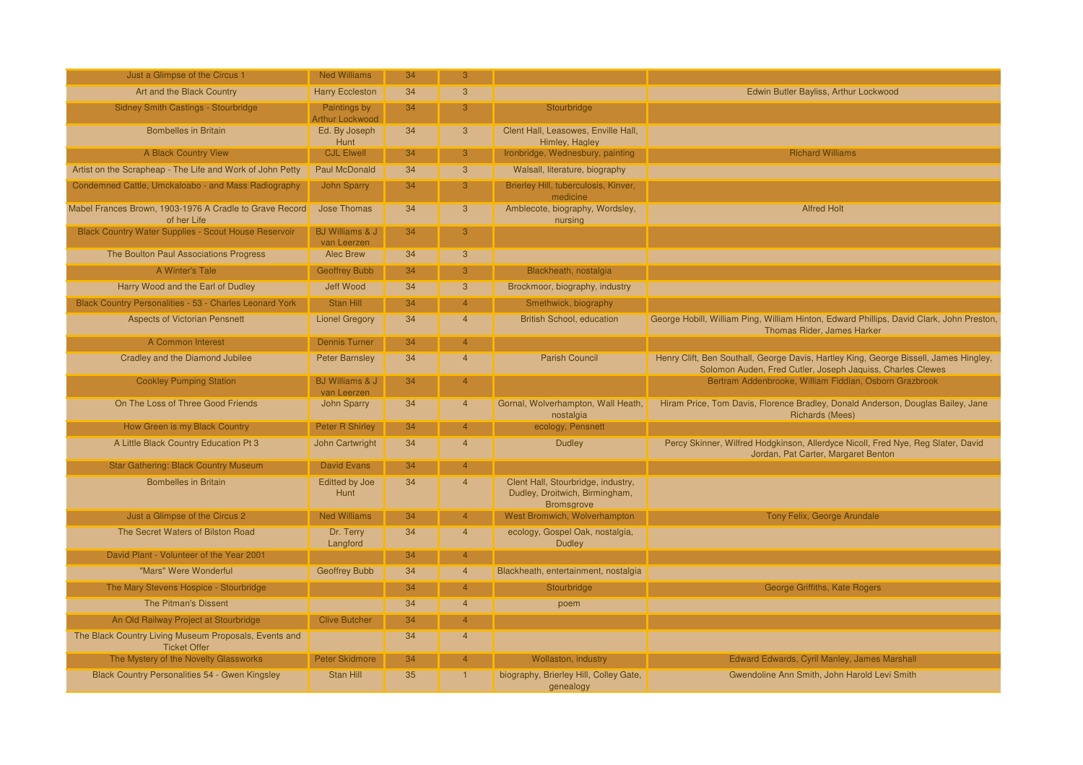| Just a Glimpse of the Circus 1                                               | <b>Ned Williams</b>                       | 34 | 3              |                                                                                           |                                                                                                                                                     |
|------------------------------------------------------------------------------|-------------------------------------------|----|----------------|-------------------------------------------------------------------------------------------|-----------------------------------------------------------------------------------------------------------------------------------------------------|
| Art and the Black Country                                                    | <b>Harry Eccleston</b>                    | 34 | 3              |                                                                                           | Edwin Butler Bayliss, Arthur Lockwood                                                                                                               |
| Sidney Smith Castings - Stourbridge                                          | Paintings by<br><b>Arthur Lockwood</b>    | 34 | 3              | Stourbridge                                                                               |                                                                                                                                                     |
| <b>Bombelles in Britain</b>                                                  | Ed. By Joseph<br>Hunt                     | 34 | 3              | Clent Hall, Leasowes, Enville Hall,<br>Himley, Hagley                                     |                                                                                                                                                     |
| A Black Country View                                                         | <b>CJL Elwell</b>                         | 34 | 3 <sup>1</sup> | Ironbridge, Wednesbury, painting                                                          | <b>Richard Williams</b>                                                                                                                             |
| Artist on the Scrapheap - The Life and Work of John Petty                    | <b>Paul McDonald</b>                      | 34 | 3              | Walsall, literature, biography                                                            |                                                                                                                                                     |
| Condemned Cattle, Umckaloabo - and Mass Radiography                          | <b>John Sparry</b>                        | 34 | 3 <sup>7</sup> | Brierley Hill, tuberculosis, Kinver,<br>medicine                                          |                                                                                                                                                     |
| Mabel Frances Brown, 1903-1976 A Cradle to Grave Record<br>of her Life       | <b>Jose Thomas</b>                        | 34 | 3              | Amblecote, biography, Wordsley,<br>nursing                                                | <b>Alfred Holt</b>                                                                                                                                  |
| <b>Black Country Water Supplies - Scout House Reservoir</b>                  | <b>BJ Williams &amp; J</b><br>van Leerzen | 34 | 3              |                                                                                           |                                                                                                                                                     |
| The Boulton Paul Associations Progress                                       | <b>Alec Brew</b>                          | 34 | 3              |                                                                                           |                                                                                                                                                     |
| A Winter's Tale                                                              | <b>Geoffrey Bubb</b>                      | 34 | 3 <sup>1</sup> | Blackheath, nostalgia                                                                     |                                                                                                                                                     |
| Harry Wood and the Earl of Dudley                                            | Jeff Wood                                 | 34 | 3 <sup>5</sup> | Brockmoor, biography, industry                                                            |                                                                                                                                                     |
| Black Country Personalities - 53 - Charles Leonard York                      | Stan Hill                                 | 34 | $\overline{4}$ | Smethwick, biography                                                                      |                                                                                                                                                     |
| <b>Aspects of Victorian Pensnett</b>                                         | <b>Lionel Gregory</b>                     | 34 | $\overline{4}$ | <b>British School, education</b>                                                          | George Hobill, William Ping, William Hinton, Edward Phillips, David Clark, John Preston,<br>Thomas Rider, James Harker                              |
| A Common Interest                                                            | <b>Dennis Turner</b>                      | 34 | $\overline{4}$ |                                                                                           |                                                                                                                                                     |
| <b>Cradley and the Diamond Jubilee</b>                                       | <b>Peter Barnsley</b>                     | 34 | $\overline{4}$ | <b>Parish Council</b>                                                                     | Henry Clift, Ben Southall, George Davis, Hartley King, George Bissell, James Hingley,<br>Solomon Auden, Fred Cutler, Joseph Jaquiss, Charles Clewes |
| <b>Cookley Pumping Station</b>                                               | <b>BJ Williams &amp; J</b><br>van Leerzen | 34 |                |                                                                                           | Bertram Addenbrooke, William Fiddian, Osborn Grazbrook                                                                                              |
| On The Loss of Three Good Friends                                            | <b>John Sparry</b>                        | 34 | $\overline{4}$ | Gornal, Wolverhampton, Wall Heath,<br>nostalgia                                           | Hiram Price, Tom Davis, Florence Bradley, Donald Anderson, Douglas Bailey, Jane<br>Richards (Mees)                                                  |
| How Green is my Black Country                                                | <b>Peter R Shirley</b>                    | 34 | $\overline{4}$ | ecology, Pensnett                                                                         |                                                                                                                                                     |
| A Little Black Country Education Pt 3                                        | <b>John Cartwright</b>                    | 34 | $\overline{4}$ | <b>Dudley</b>                                                                             | Percy Skinner, Wilfred Hodgkinson, Allerdyce Nicoll, Fred Nye, Reg Slater, David<br>Jordan, Pat Carter, Margaret Benton                             |
| <b>Star Gathering: Black Country Museum</b>                                  | <b>David Evans</b>                        | 34 | $\overline{4}$ |                                                                                           |                                                                                                                                                     |
| <b>Bombelles in Britain</b>                                                  | <b>Editted by Joe</b><br>Hunt             | 34 | $\overline{4}$ | Clent Hall, Stourbridge, industry,<br>Dudley, Droitwich, Birmingham,<br><b>Bromsgrove</b> |                                                                                                                                                     |
| Just a Glimpse of the Circus 2                                               | <b>Ned Williams</b>                       | 34 | $\overline{4}$ | West Bromwich, Wolverhampton                                                              | Tony Felix, George Arundale                                                                                                                         |
| The Secret Waters of Bilston Road                                            | Dr. Terry<br>Langford                     | 34 | $\overline{4}$ | ecology, Gospel Oak, nostalgia,<br><b>Dudley</b>                                          |                                                                                                                                                     |
| David Plant - Volunteer of the Year 2001                                     |                                           | 34 | $\overline{4}$ |                                                                                           |                                                                                                                                                     |
| "Mars" Were Wonderful                                                        | <b>Geoffrey Bubb</b>                      | 34 | $\overline{4}$ | Blackheath, entertainment, nostalgia                                                      |                                                                                                                                                     |
| The Mary Stevens Hospice - Stourbridge                                       |                                           | 34 | $\overline{4}$ | Stourbridge                                                                               | George Griffiths, Kate Rogers                                                                                                                       |
| The Pitman's Dissent                                                         |                                           | 34 | $\overline{4}$ | poem                                                                                      |                                                                                                                                                     |
| An Old Railway Project at Stourbridge                                        | <b>Clive Butcher</b>                      | 34 | $\overline{4}$ |                                                                                           |                                                                                                                                                     |
| The Black Country Living Museum Proposals, Events and<br><b>Ticket Offer</b> |                                           | 34 | $\overline{4}$ |                                                                                           |                                                                                                                                                     |
| The Mystery of the Novelty Glassworks                                        | <b>Peter Skidmore</b>                     | 34 | $\overline{4}$ | Wollaston, industry                                                                       | Edward Edwards, Cyril Manley, James Marshall                                                                                                        |
| <b>Black Country Personalities 54 - Gwen Kingsley</b>                        | Stan Hill                                 | 35 |                | biography, Brierley Hill, Colley Gate,<br>genealogy                                       | Gwendoline Ann Smith, John Harold Levi Smith                                                                                                        |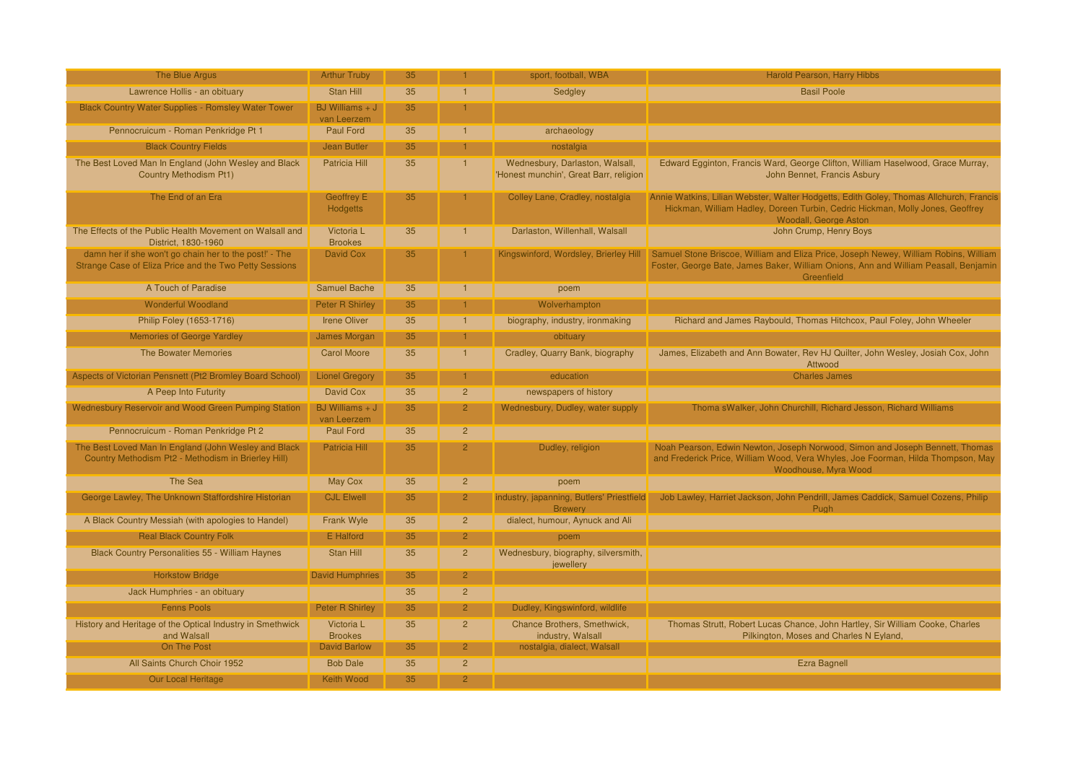| The Blue Argus                                                                                                   | <b>Arthur Truby</b>              | 35 |                | sport, football, WBA                                                      | Harold Pearson, Harry Hibbs                                                                                                                                                                      |
|------------------------------------------------------------------------------------------------------------------|----------------------------------|----|----------------|---------------------------------------------------------------------------|--------------------------------------------------------------------------------------------------------------------------------------------------------------------------------------------------|
| Lawrence Hollis - an obituary                                                                                    | Stan Hill                        | 35 |                | Sedgley                                                                   | <b>Basil Poole</b>                                                                                                                                                                               |
| <b>Black Country Water Supplies - Romsley Water Tower</b>                                                        | BJ Williams $+$ J<br>van Leerzem | 35 |                |                                                                           |                                                                                                                                                                                                  |
| Pennocruicum - Roman Penkridge Pt 1                                                                              | <b>Paul Ford</b>                 | 35 | $\overline{1}$ | archaeology                                                               |                                                                                                                                                                                                  |
| <b>Black Country Fields</b>                                                                                      | <b>Jean Butler</b>               | 35 |                | nostalgia                                                                 |                                                                                                                                                                                                  |
| The Best Loved Man In England (John Wesley and Black<br>Country Methodism Pt1)                                   | Patricia Hill                    | 35 | $\overline{1}$ | Wednesbury, Darlaston, Walsall,<br>'Honest munchin', Great Barr, religion | Edward Egginton, Francis Ward, George Clifton, William Haselwood, Grace Murray,<br>John Bennet, Francis Asbury                                                                                   |
| The End of an Era                                                                                                | Geoffrey E<br><b>Hodgetts</b>    | 35 |                | Colley Lane, Cradley, nostalgia                                           | Annie Watkins, Lilian Webster, Walter Hodgetts, Edith Goley, Thomas Allchurch, Francis<br>Hickman, William Hadley, Doreen Turbin, Cedric Hickman, Molly Jones, Geoffrey<br>Woodall, George Aston |
| The Effects of the Public Health Movement on Walsall and<br>District. 1830-1960                                  | Victoria L<br><b>Brookes</b>     | 35 |                | Darlaston, Willenhall, Walsall                                            | John Crump, Henry Boys                                                                                                                                                                           |
| damn her if she won't go chain her to the post!' - The<br>Strange Case of Eliza Price and the Two Petty Sessions | <b>David Cox</b>                 | 35 |                | Kingswinford, Wordsley, Brierley Hill                                     | Samuel Stone Briscoe, William and Eliza Price, Joseph Newey, William Robins, William<br>Foster, George Bate, James Baker, William Onions, Ann and William Peasall, Benjamin<br>Greenfield        |
| A Touch of Paradise                                                                                              | <b>Samuel Bache</b>              | 35 | $\mathbf{1}$   | poem                                                                      |                                                                                                                                                                                                  |
| <b>Wonderful Woodland</b>                                                                                        | <b>Peter R Shirley</b>           | 35 |                | Wolverhampton                                                             |                                                                                                                                                                                                  |
| Philip Foley (1653-1716)                                                                                         | <b>Irene Oliver</b>              | 35 |                | biography, industry, ironmaking                                           | Richard and James Raybould, Thomas Hitchcox, Paul Foley, John Wheeler                                                                                                                            |
| <b>Memories of George Yardley</b>                                                                                | <b>James Morgan</b>              | 35 |                | obituary                                                                  |                                                                                                                                                                                                  |
| The Bowater Memories                                                                                             | <b>Carol Moore</b>               | 35 |                | Cradley, Quarry Bank, biography                                           | James, Elizabeth and Ann Bowater, Rev HJ Quilter, John Wesley, Josiah Cox, John<br>Attwood                                                                                                       |
| Aspects of Victorian Pensnett (Pt2 Bromley Board School)                                                         | <b>Lionel Gregory</b>            | 35 |                | education                                                                 | <b>Charles James</b>                                                                                                                                                                             |
| A Peep Into Futurity                                                                                             | <b>David Cox</b>                 | 35 | $\overline{2}$ | newspapers of history                                                     |                                                                                                                                                                                                  |
| Wednesbury Reservoir and Wood Green Pumping Station                                                              | BJ Williams $+$ J<br>van Leerzem | 35 | 2 <sup>1</sup> | Wednesbury, Dudley, water supply                                          | Thoma sWalker, John Churchill, Richard Jesson, Richard Williams                                                                                                                                  |
| Pennocruicum - Roman Penkridge Pt 2                                                                              | <b>Paul Ford</b>                 | 35 | $\overline{2}$ |                                                                           |                                                                                                                                                                                                  |
| The Best Loved Man In England (John Wesley and Black<br>Country Methodism Pt2 - Methodism in Brierley Hill)      | Patricia Hill                    | 35 | $\overline{2}$ | Dudley, religion                                                          | Noah Pearson, Edwin Newton, Joseph Norwood, Simon and Joseph Bennett, Thomas<br>and Frederick Price, William Wood, Vera Whyles, Joe Foorman, Hilda Thompson, May<br>Woodhouse, Myra Wood         |
| The Sea                                                                                                          | <b>May Cox</b>                   | 35 | $\overline{c}$ | poem                                                                      |                                                                                                                                                                                                  |
| George Lawley, The Unknown Staffordshire Historian                                                               | <b>CJL Elwell</b>                | 35 | 2 <sup>1</sup> | industry, japanning, Butlers' Priestfield<br><b>Brewery</b>               | Job Lawley, Harriet Jackson, John Pendrill, James Caddick, Samuel Cozens, Philip<br>Pugh                                                                                                         |
| A Black Country Messiah (with apologies to Handel)                                                               | Frank Wyle                       | 35 | 2 <sup>2</sup> | dialect, humour, Aynuck and Ali                                           |                                                                                                                                                                                                  |
| <b>Real Black Country Folk</b>                                                                                   | E Halford                        | 35 | $\overline{2}$ | poem                                                                      |                                                                                                                                                                                                  |
| <b>Black Country Personalities 55 - William Haynes</b>                                                           | <b>Stan Hill</b>                 | 35 | $\overline{2}$ | Wednesbury, biography, silversmith,<br>jewellery                          |                                                                                                                                                                                                  |
| <b>Horkstow Bridge</b>                                                                                           | <b>David Humphries</b>           | 35 | $\overline{2}$ |                                                                           |                                                                                                                                                                                                  |
| Jack Humphries - an obituary                                                                                     |                                  | 35 | $\overline{2}$ |                                                                           |                                                                                                                                                                                                  |
| <b>Fenns Pools</b>                                                                                               | <b>Peter R Shirley</b>           | 35 | 2 <sup>1</sup> | Dudley, Kingswinford, wildlife                                            |                                                                                                                                                                                                  |
| History and Heritage of the Optical Industry in Smethwick<br>and Walsall                                         | Victoria L<br><b>Brookes</b>     | 35 | 2 <sup>2</sup> | Chance Brothers, Smethwick,<br>industry, Walsall                          | Thomas Strutt, Robert Lucas Chance, John Hartley, Sir William Cooke, Charles<br>Pilkington, Moses and Charles N Eyland,                                                                          |
| On The Post                                                                                                      | <b>David Barlow</b>              | 35 | 2 <sup>1</sup> | nostalgia, dialect, Walsall                                               |                                                                                                                                                                                                  |
| All Saints Church Choir 1952                                                                                     | <b>Bob Dale</b>                  | 35 | $\overline{2}$ |                                                                           | <b>Ezra Bagnell</b>                                                                                                                                                                              |
| <b>Our Local Heritage</b>                                                                                        | <b>Keith Wood</b>                | 35 | $\overline{2}$ |                                                                           |                                                                                                                                                                                                  |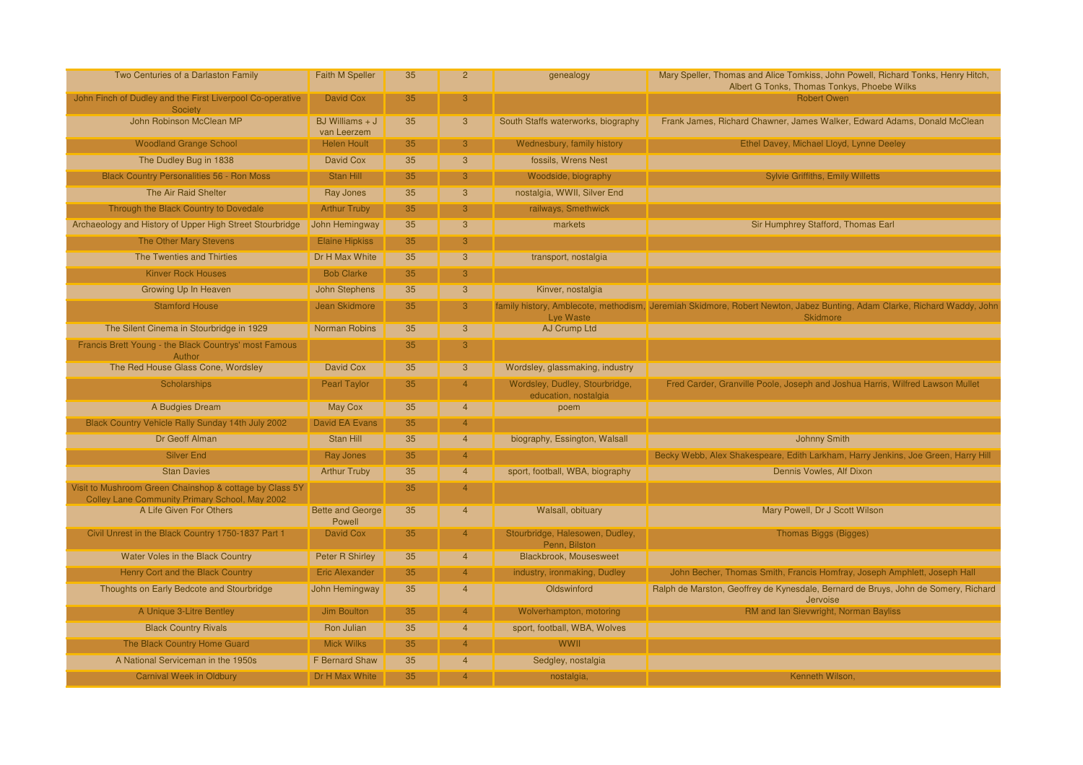| Two Centuries of a Darlaston Family                                                                       | <b>Faith M Speller</b>            | 35 | $\overline{2}$          | genealogy                                              | Mary Speller, Thomas and Alice Tomkiss, John Powell, Richard Tonks, Henry Hitch,<br>Albert G Tonks, Thomas Tonkys, Phoebe Wilks            |
|-----------------------------------------------------------------------------------------------------------|-----------------------------------|----|-------------------------|--------------------------------------------------------|--------------------------------------------------------------------------------------------------------------------------------------------|
| John Finch of Dudley and the First Liverpool Co-operative<br>Society                                      | David Cox                         | 35 | 3                       |                                                        | <b>Robert Owen</b>                                                                                                                         |
| John Robinson McClean MP                                                                                  | BJ Williams $+$ J<br>van Leerzem  | 35 | $\mathbf{3}$            | South Staffs waterworks, biography                     | Frank James, Richard Chawner, James Walker, Edward Adams, Donald McClean                                                                   |
| <b>Woodland Grange School</b>                                                                             | <b>Helen Hoult</b>                | 35 | 3                       | Wednesbury, family history                             | Ethel Davey, Michael Lloyd, Lynne Deeley                                                                                                   |
| The Dudley Bug in 1838                                                                                    | <b>David Cox</b>                  | 35 | 3                       | fossils, Wrens Nest                                    |                                                                                                                                            |
| <b>Black Country Personalities 56 - Ron Moss</b>                                                          | Stan Hill                         | 35 | 3                       | Woodside, biography                                    | <b>Sylvie Griffiths, Emily Willetts</b>                                                                                                    |
| The Air Raid Shelter                                                                                      | <b>Ray Jones</b>                  | 35 | 3                       | nostalgia, WWII, Silver End                            |                                                                                                                                            |
| Through the Black Country to Dovedale                                                                     | <b>Arthur Truby</b>               | 35 | 3                       | railways, Smethwick                                    |                                                                                                                                            |
| Archaeology and History of Upper High Street Stourbridge                                                  | John Hemingway                    | 35 | 3                       | markets                                                | Sir Humphrey Stafford, Thomas Earl                                                                                                         |
| The Other Mary Stevens                                                                                    | <b>Elaine Hipkiss</b>             | 35 | 3                       |                                                        |                                                                                                                                            |
| The Twenties and Thirties                                                                                 | Dr H Max White                    | 35 | 3                       | transport, nostalgia                                   |                                                                                                                                            |
| <b>Kinver Rock Houses</b>                                                                                 | <b>Bob Clarke</b>                 | 35 | 3                       |                                                        |                                                                                                                                            |
| Growing Up In Heaven                                                                                      | John Stephens                     | 35 | $\mathbf{3}$            | Kinver, nostalgia                                      |                                                                                                                                            |
| <b>Stamford House</b>                                                                                     | <b>Jean Skidmore</b>              | 35 | 3                       | Lye Waste                                              | family history, Amblecote, methodism, Jeremiah Skidmore, Robert Newton, Jabez Bunting, Adam Clarke, Richard Waddy, John<br><b>Skidmore</b> |
| The Silent Cinema in Stourbridge in 1929                                                                  | <b>Norman Robins</b>              | 35 | $\mathbf{3}$            | AJ Crump Ltd                                           |                                                                                                                                            |
| Francis Brett Young - the Black Countrys' most Famous<br>Author                                           |                                   | 35 | 3                       |                                                        |                                                                                                                                            |
| The Red House Glass Cone, Wordsley                                                                        | David Cox                         | 35 | $\mathbf{3}$            | Wordsley, glassmaking, industry                        |                                                                                                                                            |
| <b>Scholarships</b>                                                                                       | <b>Pearl Taylor</b>               | 35 |                         | Wordsley, Dudley, Stourbridge,<br>education, nostalgia | Fred Carder, Granville Poole, Joseph and Joshua Harris, Wilfred Lawson Mullet                                                              |
| A Budgies Dream                                                                                           | <b>May Cox</b>                    | 35 | $\overline{4}$          | poem                                                   |                                                                                                                                            |
| Black Country Vehicle Rally Sunday 14th July 2002                                                         | David EA Evans                    | 35 | $\overline{4}$          |                                                        |                                                                                                                                            |
| Dr Geoff Alman                                                                                            | Stan Hill                         | 35 | $\overline{4}$          | biography, Essington, Walsall                          | <b>Johnny Smith</b>                                                                                                                        |
| <b>Silver End</b>                                                                                         | <b>Ray Jones</b>                  | 35 | $\overline{4}$          |                                                        | Becky Webb, Alex Shakespeare, Edith Larkham, Harry Jenkins, Joe Green, Harry Hill                                                          |
| <b>Stan Davies</b>                                                                                        | <b>Arthur Truby</b>               | 35 | $\overline{4}$          | sport, football, WBA, biography                        | Dennis Vowles, Alf Dixon                                                                                                                   |
| Visit to Mushroom Green Chainshop & cottage by Class 5Y<br>Colley Lane Community Primary School, May 2002 |                                   | 35 | 4                       |                                                        |                                                                                                                                            |
| A Life Given For Others                                                                                   | <b>Bette and George</b><br>Powell | 35 | $\overline{4}$          | Walsall, obituary                                      | Mary Powell, Dr J Scott Wilson                                                                                                             |
| Civil Unrest in the Black Country 1750-1837 Part 1                                                        | David Cox                         | 35 |                         | Stourbridge, Halesowen, Dudley,<br>Penn, Bilston       | Thomas Biggs (Bigges)                                                                                                                      |
| Water Voles in the Black Country                                                                          | <b>Peter R Shirley</b>            | 35 | $\overline{4}$          | Blackbrook, Mousesweet                                 |                                                                                                                                            |
| Henry Cort and the Black Country                                                                          | <b>Eric Alexander</b>             | 35 | $\overline{4}$          | industry, ironmaking, Dudley                           | John Becher, Thomas Smith, Francis Homfray, Joseph Amphlett, Joseph Hall                                                                   |
| Thoughts on Early Bedcote and Stourbridge                                                                 | John Hemingway                    | 35 | $\overline{4}$          | Oldswinford                                            | Ralph de Marston, Geoffrey de Kynesdale, Bernard de Bruys, John de Somery, Richard<br>Jervoise                                             |
| A Unique 3-Litre Bentley                                                                                  | Jim Boulton                       | 35 | 4                       | Wolverhampton, motoring                                | RM and Ian Sievwright, Norman Bayliss                                                                                                      |
| <b>Black Country Rivals</b>                                                                               | Ron Julian                        | 35 | $\overline{4}$          | sport, football, WBA, Wolves                           |                                                                                                                                            |
| The Black Country Home Guard                                                                              | <b>Mick Wilks</b>                 | 35 | $\overline{4}$          | <b>WWII</b>                                            |                                                                                                                                            |
| A National Serviceman in the 1950s                                                                        | F Bernard Shaw                    | 35 | $\overline{\mathbf{4}}$ | Sedgley, nostalgia                                     |                                                                                                                                            |
| <b>Carnival Week in Oldbury</b>                                                                           | Dr H Max White                    | 35 | $\overline{4}$          | nostalgia,                                             | Kenneth Wilson,                                                                                                                            |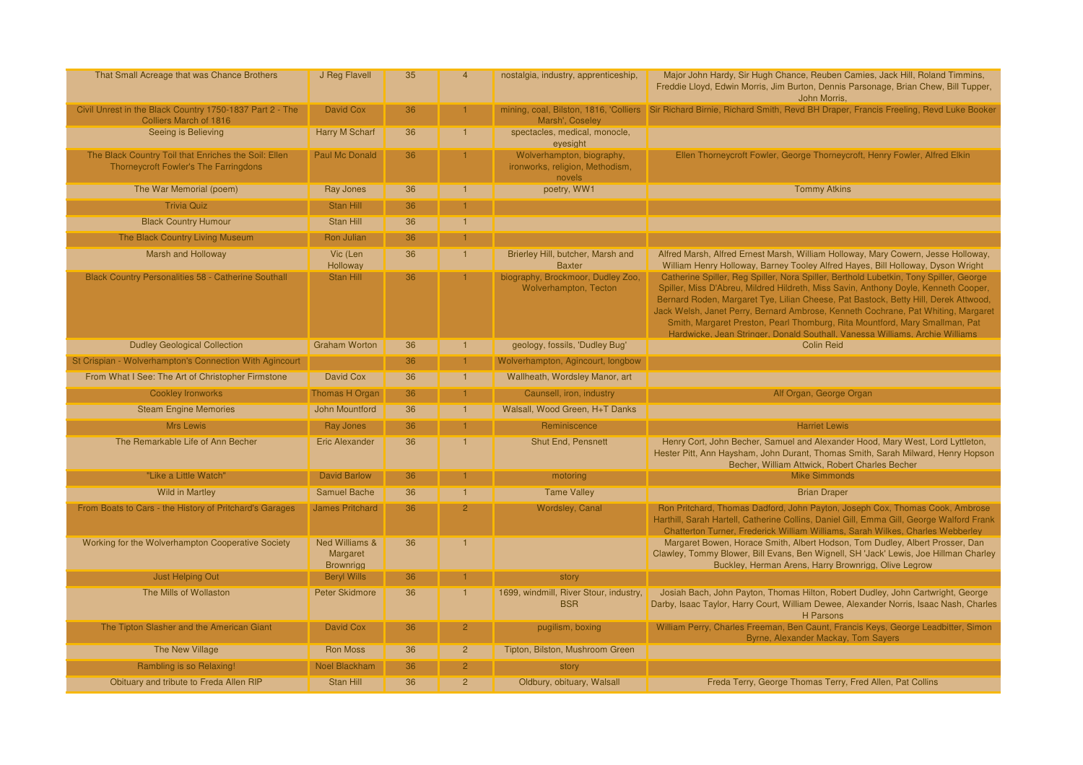| That Small Acreage that was Chance Brothers                                                          | J Reg Flavell                                             | 35 | $\overline{4}$ | nostalgia, industry, apprenticeship,                                   | Major John Hardy, Sir Hugh Chance, Reuben Camies, Jack Hill, Roland Timmins,<br>Freddie Lloyd, Edwin Morris, Jim Burton, Dennis Parsonage, Brian Chew, Bill Tupper,<br>John Morris,                                                                                                                                                                                                                                                                                                                                     |
|------------------------------------------------------------------------------------------------------|-----------------------------------------------------------|----|----------------|------------------------------------------------------------------------|-------------------------------------------------------------------------------------------------------------------------------------------------------------------------------------------------------------------------------------------------------------------------------------------------------------------------------------------------------------------------------------------------------------------------------------------------------------------------------------------------------------------------|
| Civil Unrest in the Black Country 1750-1837 Part 2 - The<br>Colliers March of 1816                   | David Cox                                                 | 36 |                | Marsh', Coseley                                                        | mining, coal, Bilston, 1816, 'Colliers Sir Richard Birnie, Richard Smith, Revd BH Draper, Francis Freeling, Revd Luke Booker                                                                                                                                                                                                                                                                                                                                                                                            |
| Seeing is Believing                                                                                  | Harry M Scharf                                            | 36 | $\mathbf{1}$   | spectacles, medical, monocle,<br>eyesight                              |                                                                                                                                                                                                                                                                                                                                                                                                                                                                                                                         |
| The Black Country Toil that Enriches the Soil: Ellen<br><b>Thorneycroft Fowler's The Farringdons</b> | Paul Mc Donald                                            | 36 |                | Wolverhampton, biography,<br>ironworks, religion, Methodism,<br>novels | Ellen Thorneycroft Fowler, George Thorneycroft, Henry Fowler, Alfred Elkin                                                                                                                                                                                                                                                                                                                                                                                                                                              |
| The War Memorial (poem)                                                                              | Ray Jones                                                 | 36 | $\mathbf{1}$   | poetry, WW1                                                            | <b>Tommy Atkins</b>                                                                                                                                                                                                                                                                                                                                                                                                                                                                                                     |
| <b>Trivia Quiz</b>                                                                                   | Stan Hill                                                 | 36 | $\mathbf{1}$   |                                                                        |                                                                                                                                                                                                                                                                                                                                                                                                                                                                                                                         |
| <b>Black Country Humour</b>                                                                          | Stan Hill                                                 | 36 | $\overline{1}$ |                                                                        |                                                                                                                                                                                                                                                                                                                                                                                                                                                                                                                         |
| The Black Country Living Museum                                                                      | Ron Julian                                                | 36 |                |                                                                        |                                                                                                                                                                                                                                                                                                                                                                                                                                                                                                                         |
| <b>Marsh and Holloway</b>                                                                            | Vic (Len<br>Holloway                                      | 36 |                | Brierley Hill, butcher, Marsh and<br><b>Baxter</b>                     | Alfred Marsh, Alfred Ernest Marsh, William Holloway, Mary Cowern, Jesse Holloway,<br>William Henry Holloway, Barney Tooley Alfred Hayes, Bill Holloway, Dyson Wright                                                                                                                                                                                                                                                                                                                                                    |
| <b>Black Country Personalities 58 - Catherine Southall</b>                                           | Stan Hill                                                 | 36 |                | biography, Brockmoor, Dudley Zoo,<br><b>Wolverhampton, Tecton</b>      | Catherine Spiller, Reg Spiller, Nora Spiller, Berthold Lubetkin, Tony Spiller, George<br>Spiller, Miss D'Abreu, Mildred Hildreth, Miss Savin, Anthony Doyle, Kenneth Cooper,<br>Bernard Roden, Margaret Tye, Lilian Cheese, Pat Bastock, Betty Hill, Derek Attwood,<br>Jack Welsh, Janet Perry, Bernard Ambrose, Kenneth Cochrane, Pat Whiting, Margaret<br>Smith, Margaret Preston, Pearl Thomburg, Rita Mountford, Mary Smallman, Pat<br>Hardwicke, Jean Stringer, Donald Southall, Vanessa Williams, Archie Williams |
| <b>Dudley Geological Collection</b>                                                                  | <b>Graham Worton</b>                                      | 36 |                | geology, fossils, 'Dudley Bug'                                         | <b>Colin Reid</b>                                                                                                                                                                                                                                                                                                                                                                                                                                                                                                       |
| St Crispian - Wolverhampton's Connection With Agincourt                                              |                                                           | 36 |                | Wolverhampton, Agincourt, longbow                                      |                                                                                                                                                                                                                                                                                                                                                                                                                                                                                                                         |
| From What I See: The Art of Christopher Firmstone                                                    | <b>David Cox</b>                                          | 36 |                | Wallheath, Wordsley Manor, art                                         |                                                                                                                                                                                                                                                                                                                                                                                                                                                                                                                         |
| Cookley Ironworks                                                                                    | Thomas H Organ                                            | 36 |                | Caunsell, iron, industry                                               | Alf Organ, George Organ                                                                                                                                                                                                                                                                                                                                                                                                                                                                                                 |
| <b>Steam Engine Memories</b>                                                                         | John Mountford                                            | 36 | $\mathbf{1}$   | Walsall, Wood Green, H+T Danks                                         |                                                                                                                                                                                                                                                                                                                                                                                                                                                                                                                         |
| Mrs Lewis                                                                                            | Ray Jones                                                 | 36 |                | Reminiscence                                                           | <b>Harriet Lewis</b>                                                                                                                                                                                                                                                                                                                                                                                                                                                                                                    |
| The Remarkable Life of Ann Becher                                                                    | <b>Eric Alexander</b>                                     | 36 | $\overline{1}$ | <b>Shut End, Pensnett</b>                                              | Henry Cort, John Becher, Samuel and Alexander Hood, Mary West, Lord Lyttleton,<br>Hester Pitt, Ann Haysham, John Durant, Thomas Smith, Sarah Milward, Henry Hopson<br>Becher, William Attwick, Robert Charles Becher                                                                                                                                                                                                                                                                                                    |
| "Like a Little Watch"                                                                                | <b>David Barlow</b>                                       | 36 |                | motoring                                                               | <b>Mike Simmonds</b>                                                                                                                                                                                                                                                                                                                                                                                                                                                                                                    |
| <b>Wild in Martley</b>                                                                               | <b>Samuel Bache</b>                                       | 36 |                | <b>Tame Valley</b>                                                     | <b>Brian Draper</b>                                                                                                                                                                                                                                                                                                                                                                                                                                                                                                     |
| From Boats to Cars - the History of Pritchard's Garages                                              | <b>James Pritchard</b>                                    | 36 | $\overline{2}$ | <b>Wordsley, Canal</b>                                                 | Ron Pritchard, Thomas Dadford, John Payton, Joseph Cox, Thomas Cook, Ambrose<br>Harthill, Sarah Hartell, Catherine Collins, Daniel Gill, Emma Gill, George Walford Frank<br>Chatterton Turner, Frederick William Williams, Sarah Wilkes, Charles Webberley                                                                                                                                                                                                                                                              |
| Working for the Wolverhampton Cooperative Society                                                    | <b>Ned Williams &amp;</b><br>Margaret<br><b>Brownrigg</b> | 36 | $\blacksquare$ |                                                                        | Margaret Bowen, Horace Smith, Albert Hodson, Tom Dudley, Albert Prosser, Dan<br>Clawley, Tommy Blower, Bill Evans, Ben Wignell, SH 'Jack' Lewis, Joe Hillman Charley<br>Buckley, Herman Arens, Harry Brownrigg, Olive Legrow                                                                                                                                                                                                                                                                                            |
| Just Helping Out                                                                                     | <b>Beryl Wills</b>                                        | 36 |                | story                                                                  |                                                                                                                                                                                                                                                                                                                                                                                                                                                                                                                         |
| The Mills of Wollaston                                                                               | <b>Peter Skidmore</b>                                     | 36 | $\overline{1}$ | 1699, windmill, River Stour, industry,<br><b>BSR</b>                   | Josiah Bach, John Payton, Thomas Hilton, Robert Dudley, John Cartwright, George<br>Darby, Isaac Taylor, Harry Court, William Dewee, Alexander Norris, Isaac Nash, Charles<br>H Parsons                                                                                                                                                                                                                                                                                                                                  |
| The Tipton Slasher and the American Giant                                                            | <b>David Cox</b>                                          | 36 | $\mathcal{P}$  | pugilism, boxing                                                       | William Perry, Charles Freeman, Ben Caunt, Francis Keys, George Leadbitter, Simon<br>Byrne, Alexander Mackay, Tom Savers                                                                                                                                                                                                                                                                                                                                                                                                |
| The New Village                                                                                      | <b>Ron Moss</b>                                           | 36 | $\overline{2}$ | Tipton, Bilston, Mushroom Green                                        |                                                                                                                                                                                                                                                                                                                                                                                                                                                                                                                         |
| Rambling is so Relaxing!                                                                             | Noel Blackham                                             | 36 | $\overline{2}$ | story                                                                  |                                                                                                                                                                                                                                                                                                                                                                                                                                                                                                                         |
| Obituary and tribute to Freda Allen RIP                                                              | Stan Hill                                                 | 36 | $\overline{2}$ | Oldbury, obituary, Walsall                                             | Freda Terry, George Thomas Terry, Fred Allen, Pat Collins                                                                                                                                                                                                                                                                                                                                                                                                                                                               |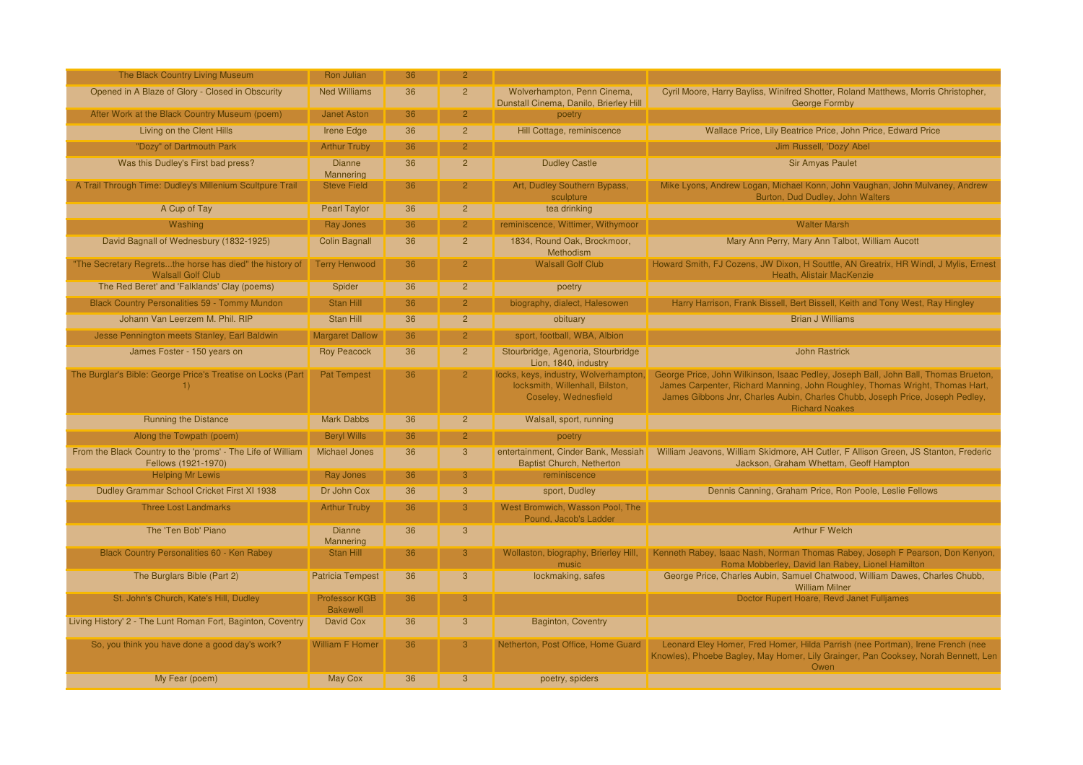| The Black Country Living Museum                                                      | Ron Julian                       | 36 | 2 <sup>1</sup> |                                                                                                  |                                                                                                                                                                                                                                                                               |
|--------------------------------------------------------------------------------------|----------------------------------|----|----------------|--------------------------------------------------------------------------------------------------|-------------------------------------------------------------------------------------------------------------------------------------------------------------------------------------------------------------------------------------------------------------------------------|
| Opened in A Blaze of Glory - Closed in Obscurity                                     | <b>Ned Williams</b>              | 36 | $\overline{2}$ | Wolverhampton, Penn Cinema,<br>Dunstall Cinema, Danilo, Brierley Hill                            | Cyril Moore, Harry Bayliss, Winifred Shotter, Roland Matthews, Morris Christopher,<br><b>George Formby</b>                                                                                                                                                                    |
| After Work at the Black Country Museum (poem)                                        | <b>Janet Aston</b>               | 36 | $\overline{2}$ | poetry                                                                                           |                                                                                                                                                                                                                                                                               |
| Living on the Clent Hills                                                            | <b>Irene Edge</b>                | 36 | $\overline{2}$ | Hill Cottage, reminiscence                                                                       | Wallace Price, Lily Beatrice Price, John Price, Edward Price                                                                                                                                                                                                                  |
| "Dozy" of Dartmouth Park                                                             | <b>Arthur Truby</b>              | 36 | $\overline{2}$ |                                                                                                  | Jim Russell, 'Dozy' Abel                                                                                                                                                                                                                                                      |
| Was this Dudley's First bad press?                                                   | <b>Dianne</b><br>Mannering       | 36 | $\overline{2}$ | <b>Dudley Castle</b>                                                                             | <b>Sir Amyas Paulet</b>                                                                                                                                                                                                                                                       |
| A Trail Through Time: Dudley's Millenium Scultpure Trail                             | <b>Steve Field</b>               | 36 | $\overline{2}$ | Art, Dudley Southern Bypass,<br>sculpture                                                        | Mike Lyons, Andrew Logan, Michael Konn, John Vaughan, John Mulvaney, Andrew<br>Burton, Dud Dudley, John Walters                                                                                                                                                               |
| A Cup of Tay                                                                         | <b>Pearl Taylor</b>              | 36 | $\overline{2}$ | tea drinking                                                                                     |                                                                                                                                                                                                                                                                               |
| Washing                                                                              | Ray Jones                        | 36 | 2 <sup>1</sup> | reminiscence, Wittimer, Withymoor                                                                | <b>Walter Marsh</b>                                                                                                                                                                                                                                                           |
| David Bagnall of Wednesbury (1832-1925)                                              | <b>Colin Bagnall</b>             | 36 | $2^{\circ}$    | 1834, Round Oak, Brockmoor,<br>Methodism                                                         | Mary Ann Perry, Mary Ann Talbot, William Aucott                                                                                                                                                                                                                               |
| "The Secretary Regretsthe horse has died" the history of<br><b>Walsall Golf Club</b> | <b>Terry Henwood</b>             | 36 | $\overline{2}$ | <b>Walsall Golf Club</b>                                                                         | Howard Smith, FJ Cozens, JW Dixon, H Souttle, AN Greatrix, HR Windl, J Mylis, Ernest<br>Heath, Alistair MacKenzie                                                                                                                                                             |
| The Red Beret' and 'Falklands' Clay (poems)                                          | Spider                           | 36 | $\overline{2}$ | poetry                                                                                           |                                                                                                                                                                                                                                                                               |
| <b>Black Country Personalities 59 - Tommy Mundon</b>                                 | <b>Stan Hill</b>                 | 36 | $\overline{2}$ | biography, dialect, Halesowen                                                                    | Harry Harrison, Frank Bissell, Bert Bissell, Keith and Tony West, Ray Hingley                                                                                                                                                                                                 |
| Johann Van Leerzem M. Phil. RIP                                                      | <b>Stan Hill</b>                 | 36 | $\overline{2}$ | obituary                                                                                         | <b>Brian J Williams</b>                                                                                                                                                                                                                                                       |
| Jesse Pennington meets Stanley, Earl Baldwin                                         | <b>Margaret Dallow</b>           | 36 | $\overline{2}$ | sport, football, WBA, Albion                                                                     |                                                                                                                                                                                                                                                                               |
| James Foster - 150 years on                                                          | <b>Roy Peacock</b>               | 36 | $\overline{2}$ | Stourbridge, Agenoria, Stourbridge<br>Lion, 1840, industry                                       | <b>John Rastrick</b>                                                                                                                                                                                                                                                          |
| The Burglar's Bible: George Price's Treatise on Locks (Part                          | <b>Pat Tempest</b>               | 36 | $\overline{2}$ | locks, keys, industry, Wolverhampton,<br>locksmith, Willenhall, Bilston,<br>Coseley, Wednesfield | George Price, John Wilkinson, Isaac Pedley, Joseph Ball, John Ball, Thomas Brueton,<br>James Carpenter, Richard Manning, John Roughley, Thomas Wright, Thomas Hart,<br>James Gibbons Jnr, Charles Aubin, Charles Chubb, Joseph Price, Joseph Pedley,<br><b>Richard Noakes</b> |
| <b>Running the Distance</b>                                                          | <b>Mark Dabbs</b>                | 36 | $\overline{2}$ | Walsall, sport, running                                                                          |                                                                                                                                                                                                                                                                               |
| Along the Towpath (poem)                                                             | <b>Beryl Wills</b>               | 36 | $\overline{2}$ | poetry                                                                                           |                                                                                                                                                                                                                                                                               |
| From the Black Country to the 'proms' - The Life of William<br>Fellows (1921-1970)   | <b>Michael Jones</b>             | 36 | 3              | entertainment, Cinder Bank, Messiah<br><b>Baptist Church, Netherton</b>                          | William Jeavons, William Skidmore, AH Cutler, F Allison Green, JS Stanton, Frederic<br>Jackson, Graham Whettam, Geoff Hampton                                                                                                                                                 |
| <b>Helping Mr Lewis</b>                                                              | Ray Jones                        | 36 | 3              | reminiscence                                                                                     |                                                                                                                                                                                                                                                                               |
| Dudley Grammar School Cricket First XI 1938                                          | Dr John Cox                      | 36 | 3              | sport, Dudley                                                                                    | Dennis Canning, Graham Price, Ron Poole, Leslie Fellows                                                                                                                                                                                                                       |
| <b>Three Lost Landmarks</b>                                                          | <b>Arthur Truby</b>              | 36 | 3 <sup>°</sup> | West Bromwich, Wasson Pool, The<br>Pound, Jacob's Ladder                                         |                                                                                                                                                                                                                                                                               |
| The 'Ten Bob' Piano                                                                  | <b>Dianne</b><br>Mannering       | 36 | 3              |                                                                                                  | <b>Arthur F Welch</b>                                                                                                                                                                                                                                                         |
| <b>Black Country Personalities 60 - Ken Rabey</b>                                    | <b>Stan Hill</b>                 | 36 | 3              | Wollaston, biography, Brierley Hill,<br>music                                                    | Kenneth Rabey, Isaac Nash, Norman Thomas Rabey, Joseph F Pearson, Don Kenyon,<br>Roma Mobberley, David Ian Rabey, Lionel Hamilton                                                                                                                                             |
| The Burglars Bible (Part 2)                                                          | <b>Patricia Tempest</b>          | 36 | 3              | lockmaking, safes                                                                                | George Price, Charles Aubin, Samuel Chatwood, William Dawes, Charles Chubb,<br><b>William Milner</b>                                                                                                                                                                          |
| St. John's Church, Kate's Hill, Dudley                                               | Professor KGB<br><b>Bakewell</b> | 36 | 3              |                                                                                                  | Doctor Rupert Hoare, Revd Janet Fulljames                                                                                                                                                                                                                                     |
| Living History' 2 - The Lunt Roman Fort, Baginton, Coventry                          | David Cox                        | 36 | 3              | Baginton, Coventry                                                                               |                                                                                                                                                                                                                                                                               |
| So, you think you have done a good day's work?                                       | <b>William F Homer</b>           | 36 | 3              | Netherton, Post Office, Home Guard                                                               | Leonard Eley Homer, Fred Homer, Hilda Parrish (nee Portman), Irene French (nee<br>Knowles), Phoebe Bagley, May Homer, Lily Grainger, Pan Cooksey, Norah Bennett, Len<br>Owen                                                                                                  |
| My Fear (poem)                                                                       | <b>May Cox</b>                   | 36 | $\overline{3}$ | poetry, spiders                                                                                  |                                                                                                                                                                                                                                                                               |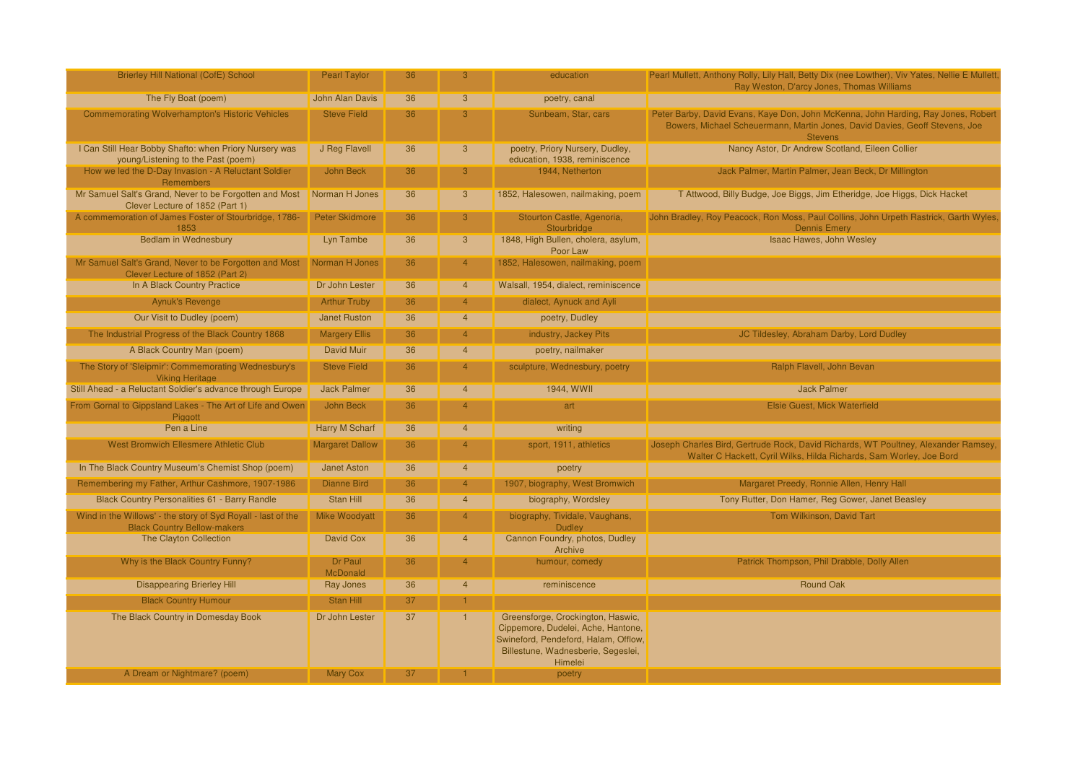| <b>Brierley Hill National (CofE) School</b>                                                              | <b>Pearl Taylor</b>        | 36 | 3                       | education                                                                                                                                                        | Pearl Mullett, Anthony Rolly, Lily Hall, Betty Dix (nee Lowther), Viv Yates, Nellie E Mullett,<br>Ray Weston, D'arcy Jones, Thomas Williams                                        |
|----------------------------------------------------------------------------------------------------------|----------------------------|----|-------------------------|------------------------------------------------------------------------------------------------------------------------------------------------------------------|------------------------------------------------------------------------------------------------------------------------------------------------------------------------------------|
| The Fly Boat (poem)                                                                                      | John Alan Davis            | 36 | 3                       | poetry, canal                                                                                                                                                    |                                                                                                                                                                                    |
| <b>Commemorating Wolverhampton's Historic Vehicles</b>                                                   | <b>Steve Field</b>         | 36 | 3                       | Sunbeam, Star, cars                                                                                                                                              | Peter Barby, David Evans, Kaye Don, John McKenna, John Harding, Ray Jones, Robert<br>Bowers, Michael Scheuermann, Martin Jones, David Davies, Geoff Stevens, Joe<br><b>Stevens</b> |
| I Can Still Hear Bobby Shafto: when Priory Nursery was<br>young/Listening to the Past (poem)             | J Reg Flavell              | 36 | 3 <sup>5</sup>          | poetry, Priory Nursery, Dudley,<br>education, 1938, reminiscence                                                                                                 | Nancy Astor, Dr Andrew Scotland, Eileen Collier                                                                                                                                    |
| How we led the D-Day Invasion - A Reluctant Soldier<br><b>Remembers</b>                                  | John Beck                  | 36 | 3                       | 1944, Netherton                                                                                                                                                  | Jack Palmer, Martin Palmer, Jean Beck, Dr Millington                                                                                                                               |
| Mr Samuel Salt's Grand, Never to be Forgotten and Most Norman H Jones<br>Clever Lecture of 1852 (Part 1) |                            | 36 | 3                       | 1852, Halesowen, nailmaking, poem                                                                                                                                | T Attwood, Billy Budge, Joe Biggs, Jim Etheridge, Joe Higgs, Dick Hacket                                                                                                           |
| A commemoration of James Foster of Stourbridge, 1786-<br>1853                                            | <b>Peter Skidmore</b>      | 36 | 3                       | Stourton Castle, Agenoria,<br>Stourbridge                                                                                                                        | John Bradley, Roy Peacock, Ron Moss, Paul Collins, John Urpeth Rastrick, Garth Wyles,<br><b>Dennis Emery</b>                                                                       |
| <b>Bedlam in Wednesbury</b>                                                                              | Lyn Tambe                  | 36 | 3                       | 1848, High Bullen, cholera, asylum,<br>Poor Law                                                                                                                  | Isaac Hawes, John Wesley                                                                                                                                                           |
| Mr Samuel Salt's Grand, Never to be Forgotten and Most<br>Clever Lecture of 1852 (Part 2)                | Norman H Jones             | 36 | $\overline{4}$          | 1852, Halesowen, nailmaking, poem                                                                                                                                |                                                                                                                                                                                    |
| In A Black Country Practice                                                                              | Dr John Lester             | 36 | $\overline{4}$          | Walsall, 1954, dialect, reminiscence                                                                                                                             |                                                                                                                                                                                    |
| <b>Aynuk's Revenge</b>                                                                                   | <b>Arthur Truby</b>        | 36 | $\overline{4}$          | dialect, Aynuck and Ayli                                                                                                                                         |                                                                                                                                                                                    |
| Our Visit to Dudley (poem)                                                                               | <b>Janet Ruston</b>        | 36 | $\overline{4}$          | poetry, Dudley                                                                                                                                                   |                                                                                                                                                                                    |
| The Industrial Progress of the Black Country 1868                                                        | <b>Margery Ellis</b>       | 36 | $\overline{4}$          | industry, Jackey Pits                                                                                                                                            | JC Tildesley, Abraham Darby, Lord Dudley                                                                                                                                           |
| A Black Country Man (poem)                                                                               | David Muir                 | 36 | $\overline{4}$          | poetry, nailmaker                                                                                                                                                |                                                                                                                                                                                    |
| The Story of 'Sleipmir': Commemorating Wednesbury's<br><b>Viking Heritage</b>                            | <b>Steve Field</b>         | 36 | $\overline{4}$          | sculpture, Wednesbury, poetry                                                                                                                                    | Ralph Flavell, John Bevan                                                                                                                                                          |
| Still Ahead - a Reluctant Soldier's advance through Europe                                               | <b>Jack Palmer</b>         | 36 | $\overline{\mathbf{4}}$ | 1944, WWII                                                                                                                                                       | <b>Jack Palmer</b>                                                                                                                                                                 |
| From Gornal to Gippsland Lakes - The Art of Life and Owen<br>Piggott                                     | John Beck                  | 36 |                         | art                                                                                                                                                              | Elsie Guest, Mick Waterfield                                                                                                                                                       |
| Pen a Line                                                                                               | Harry M Scharf             | 36 | $\overline{4}$          | writing                                                                                                                                                          |                                                                                                                                                                                    |
| West Bromwich Ellesmere Athletic Club                                                                    | <b>Margaret Dallow</b>     | 36 | $\overline{4}$          | sport, 1911, athletics                                                                                                                                           | Joseph Charles Bird, Gertrude Rock, David Richards, WT Poultney, Alexander Ramsey,<br>Walter C Hackett, Cyril Wilks, Hilda Richards, Sam Worley, Joe Bord                          |
| In The Black Country Museum's Chemist Shop (poem)                                                        | <b>Janet Aston</b>         | 36 | 4                       | poetry                                                                                                                                                           |                                                                                                                                                                                    |
| Remembering my Father, Arthur Cashmore, 1907-1986                                                        | <b>Dianne Bird</b>         | 36 | $\overline{4}$          | 1907, biography, West Bromwich                                                                                                                                   | Margaret Preedy, Ronnie Allen, Henry Hall                                                                                                                                          |
| <b>Black Country Personalities 61 - Barry Randle</b>                                                     | <b>Stan Hill</b>           | 36 | $\overline{4}$          | biography, Wordsley                                                                                                                                              | Tony Rutter, Don Hamer, Reg Gower, Janet Beasley                                                                                                                                   |
| Wind in the Willows' - the story of Syd Royall - last of the<br><b>Black Country Bellow-makers</b>       | <b>Mike Woodyatt</b>       | 36 | $\overline{4}$          | biography, Tividale, Vaughans,<br><b>Dudley</b>                                                                                                                  | Tom Wilkinson, David Tart                                                                                                                                                          |
| The Clayton Collection                                                                                   | David Cox                  | 36 | $\overline{4}$          | Cannon Foundry, photos, Dudley<br>Archive                                                                                                                        |                                                                                                                                                                                    |
| Why is the Black Country Funny?                                                                          | Dr Paul<br><b>McDonald</b> | 36 |                         | humour, comedy                                                                                                                                                   | Patrick Thompson, Phil Drabble, Dolly Allen                                                                                                                                        |
| <b>Disappearing Brierley Hill</b>                                                                        | Ray Jones                  | 36 | $\overline{4}$          | reminiscence                                                                                                                                                     | <b>Round Oak</b>                                                                                                                                                                   |
| <b>Black Country Humour</b>                                                                              | Stan Hill                  | 37 |                         |                                                                                                                                                                  |                                                                                                                                                                                    |
| The Black Country in Domesday Book                                                                       | Dr John Lester             | 37 | $\mathbf{1}$            | Greensforge, Crockington, Haswic,<br>Cippemore, Dudelei, Ache, Hantone,<br>Swineford, Pendeford, Halam, Offlow,<br>Billestune, Wadnesberie, Segeslei,<br>Himelei |                                                                                                                                                                                    |
| A Dream or Nightmare? (poem)                                                                             | <b>Mary Cox</b>            | 37 |                         | poetry                                                                                                                                                           |                                                                                                                                                                                    |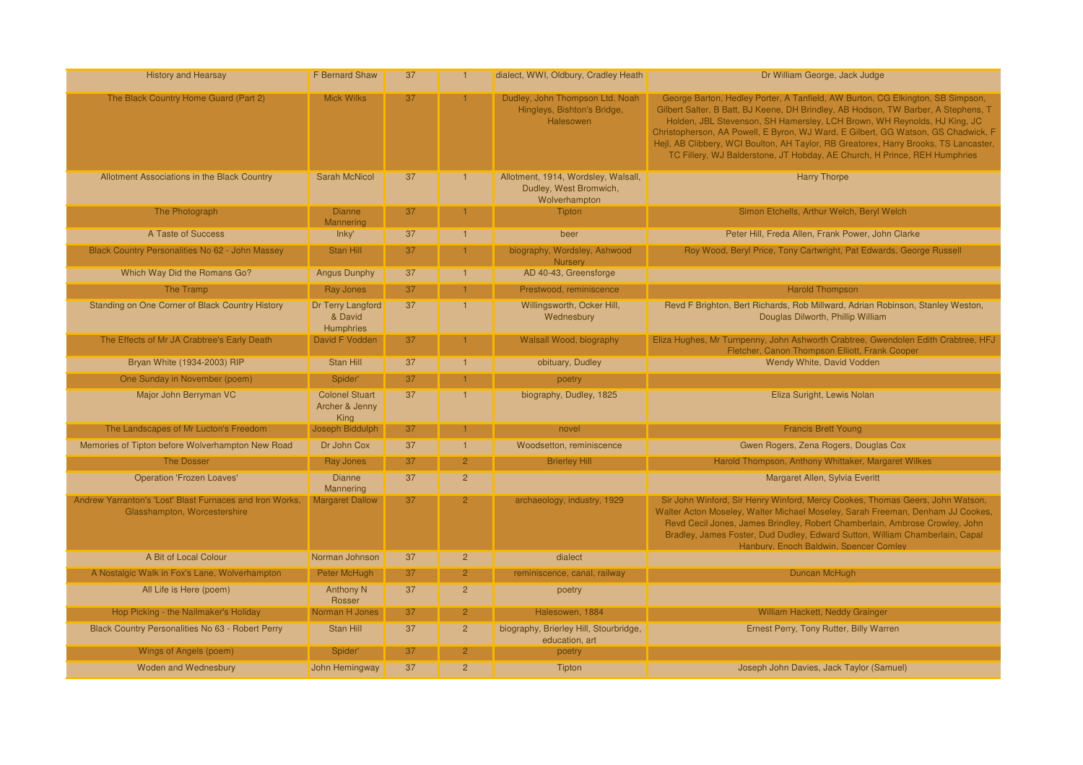| <b>History and Hearsay</b>                                                               | <b>F</b> Bernard Shaw                            | 37 |                | dialect, WWI, Oldbury, Cradley Heath                                           | Dr William George, Jack Judge                                                                                                                                                                                                                                                                                                                                                                                                                                                                              |
|------------------------------------------------------------------------------------------|--------------------------------------------------|----|----------------|--------------------------------------------------------------------------------|------------------------------------------------------------------------------------------------------------------------------------------------------------------------------------------------------------------------------------------------------------------------------------------------------------------------------------------------------------------------------------------------------------------------------------------------------------------------------------------------------------|
| The Black Country Home Guard (Part 2)                                                    | <b>Mick Wilks</b>                                | 37 |                | Dudley, John Thompson Ltd, Noah<br>Hingleys, Bishton's Bridge,<br>Halesowen    | George Barton, Hedley Porter, A Tanfield, AW Burton, CG Elkington, SB Simpson,<br>Gilbert Salter, B Batt, BJ Keene, DH Brindley, AB Hodson, TW Barber, A Stephens, T<br>Holden, JBL Stevenson, SH Hamersley, LCH Brown, WH Reynolds, HJ King, JC<br>Christopherson, AA Powell, E Byron, WJ Ward, E Gilbert, GG Watson, GS Chadwick, F<br>Hejl, AB Clibbery, WCI Boulton, AH Taylor, RB Greatorex, Harry Brooks, TS Lancaster,<br>TC Fillery, WJ Balderstone, JT Hobday, AE Church, H Prince, REH Humphries |
| Allotment Associations in the Black Country                                              | <b>Sarah McNicol</b>                             | 37 |                | Allotment, 1914, Wordsley, Walsall,<br>Dudley, West Bromwich,<br>Wolverhampton | <b>Harry Thorpe</b>                                                                                                                                                                                                                                                                                                                                                                                                                                                                                        |
| The Photograph                                                                           | <b>Dianne</b><br><b>Mannering</b>                | 37 |                | <b>Tipton</b>                                                                  | Simon Etchells, Arthur Welch, Beryl Welch                                                                                                                                                                                                                                                                                                                                                                                                                                                                  |
| A Taste of Success                                                                       | Inky'                                            | 37 |                | beer                                                                           | Peter Hill, Freda Allen, Frank Power, John Clarke                                                                                                                                                                                                                                                                                                                                                                                                                                                          |
| <b>Black Country Personalities No 62 - John Massey</b>                                   | Stan Hill                                        | 37 |                | biography, Wordsley, Ashwood<br><b>Nursery</b>                                 | Roy Wood, Beryl Price, Tony Cartwright, Pat Edwards, George Russell                                                                                                                                                                                                                                                                                                                                                                                                                                        |
| Which Way Did the Romans Go?                                                             | <b>Angus Dunphy</b>                              | 37 | $\blacksquare$ | AD 40-43, Greensforge                                                          |                                                                                                                                                                                                                                                                                                                                                                                                                                                                                                            |
| The Tramp                                                                                | Ray Jones                                        | 37 |                | Prestwood, reminiscence                                                        | <b>Harold Thompson</b>                                                                                                                                                                                                                                                                                                                                                                                                                                                                                     |
| Standing on One Corner of Black Country History                                          | Dr Terry Langford<br>& David<br><b>Humphries</b> | 37 |                | Willingsworth, Ocker Hill,<br>Wednesbury                                       | Revd F Brighton, Bert Richards, Rob Millward, Adrian Robinson, Stanley Weston,<br>Douglas Dilworth, Phillip William                                                                                                                                                                                                                                                                                                                                                                                        |
| The Effects of Mr JA Crabtree's Early Death                                              | David F Vodden                                   | 37 |                | Walsall Wood, biography                                                        | Eliza Hughes, Mr Turnpenny, John Ashworth Crabtree, Gwendolen Edith Crabtree, HFJ<br>Fletcher, Canon Thompson Elliott, Frank Cooper                                                                                                                                                                                                                                                                                                                                                                        |
| Bryan White (1934-2003) RIP                                                              | <b>Stan Hill</b>                                 | 37 |                | obituary, Dudley                                                               | Wendy White, David Vodden                                                                                                                                                                                                                                                                                                                                                                                                                                                                                  |
| One Sunday in November (poem)                                                            | Spider'                                          | 37 |                | poetry                                                                         |                                                                                                                                                                                                                                                                                                                                                                                                                                                                                                            |
| Major John Berryman VC                                                                   | <b>Colonel Stuart</b><br>Archer & Jenny<br>King  | 37 |                | biography, Dudley, 1825                                                        | Eliza Suright, Lewis Nolan                                                                                                                                                                                                                                                                                                                                                                                                                                                                                 |
| The Landscapes of Mr Lucton's Freedom                                                    | <b>Joseph Biddulph</b>                           | 37 |                | novel                                                                          | <b>Francis Brett Young</b>                                                                                                                                                                                                                                                                                                                                                                                                                                                                                 |
| Memories of Tipton before Wolverhampton New Road                                         | Dr John Cox                                      | 37 | $\mathbf{1}$   | Woodsetton, reminiscence                                                       | Gwen Rogers, Zena Rogers, Douglas Cox                                                                                                                                                                                                                                                                                                                                                                                                                                                                      |
| <b>The Dosser</b>                                                                        | Ray Jones                                        | 37 | $\overline{2}$ | <b>Brierley Hill</b>                                                           | Harold Thompson, Anthony Whittaker, Margaret Wilkes                                                                                                                                                                                                                                                                                                                                                                                                                                                        |
| <b>Operation 'Frozen Loaves'</b>                                                         | <b>Dianne</b><br>Mannering                       | 37 | $\overline{2}$ |                                                                                | Margaret Allen, Sylvia Everitt                                                                                                                                                                                                                                                                                                                                                                                                                                                                             |
| Andrew Yarranton's 'Lost' Blast Furnaces and Iron Works,<br>Glasshampton, Worcestershire | <b>Margaret Dallow</b>                           | 37 | $\overline{2}$ | archaeology, industry, 1929                                                    | Sir John Winford, Sir Henry Winford, Mercy Cookes, Thomas Geers, John Watson,<br>Walter Acton Moseley, Walter Michael Moseley, Sarah Freeman, Denham JJ Cookes,<br>Revd Cecil Jones, James Brindley, Robert Chamberlain, Ambrose Crowley, John<br>Bradley, James Foster, Dud Dudley, Edward Sutton, William Chamberlain, Capal<br>Hanbury, Enoch Baldwin, Spencer Comley                                                                                                                                   |
| A Bit of Local Colour                                                                    | Norman Johnson                                   | 37 | $\overline{2}$ | dialect                                                                        |                                                                                                                                                                                                                                                                                                                                                                                                                                                                                                            |
| A Nostalgic Walk in Fox's Lane, Wolverhampton                                            | <b>Peter McHugh</b>                              | 37 | $\overline{2}$ | reminiscence, canal, railway                                                   | Duncan McHugh                                                                                                                                                                                                                                                                                                                                                                                                                                                                                              |
| All Life is Here (poem)                                                                  | <b>Anthony N</b><br>Rosser                       | 37 | $\overline{2}$ | poetry                                                                         |                                                                                                                                                                                                                                                                                                                                                                                                                                                                                                            |
| Hop Picking - the Nailmaker's Holiday                                                    | Norman H Jones                                   | 37 | $\overline{2}$ | Halesowen, 1884                                                                | William Hackett, Neddy Grainger                                                                                                                                                                                                                                                                                                                                                                                                                                                                            |
| Black Country Personalities No 63 - Robert Perry                                         | Stan Hill                                        | 37 | $\overline{2}$ | biography, Brierley Hill, Stourbridge,<br>education, art                       | Ernest Perry, Tony Rutter, Billy Warren                                                                                                                                                                                                                                                                                                                                                                                                                                                                    |
| Wings of Angels (poem)                                                                   | Spider'                                          | 37 | $\overline{2}$ | poetry                                                                         |                                                                                                                                                                                                                                                                                                                                                                                                                                                                                                            |
| Woden and Wednesbury                                                                     | John Hemingway                                   | 37 | $\overline{2}$ | <b>Tipton</b>                                                                  | Joseph John Davies, Jack Taylor (Samuel)                                                                                                                                                                                                                                                                                                                                                                                                                                                                   |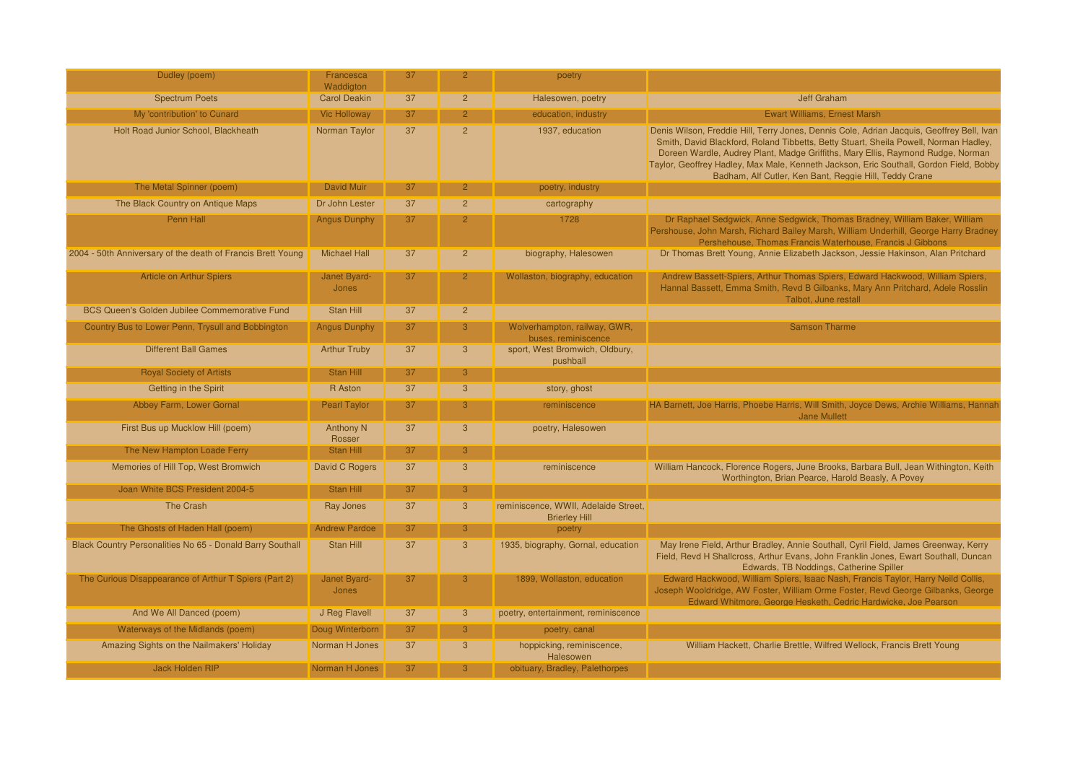| Dudley (poem)                                               | Francesca<br>Waddigton | 37 | $\overline{2}$ | poetry                                                       |                                                                                                                                                                                                                                                                                                                                                                                                                          |
|-------------------------------------------------------------|------------------------|----|----------------|--------------------------------------------------------------|--------------------------------------------------------------------------------------------------------------------------------------------------------------------------------------------------------------------------------------------------------------------------------------------------------------------------------------------------------------------------------------------------------------------------|
| <b>Spectrum Poets</b>                                       | <b>Carol Deakin</b>    | 37 | $\overline{2}$ | Halesowen, poetry                                            | <b>Jeff Graham</b>                                                                                                                                                                                                                                                                                                                                                                                                       |
| My 'contribution' to Cunard                                 | <b>Vic Holloway</b>    | 37 | $\overline{2}$ | education, industry                                          | <b>Ewart Williams, Ernest Marsh</b>                                                                                                                                                                                                                                                                                                                                                                                      |
| Holt Road Junior School, Blackheath                         | Norman Taylor          | 37 | $\overline{2}$ | 1937, education                                              | Denis Wilson, Freddie Hill, Terry Jones, Dennis Cole, Adrian Jacquis, Geoffrey Bell, Ivan<br>Smith, David Blackford, Roland Tibbetts, Betty Stuart, Sheila Powell, Norman Hadley,<br>Doreen Wardle, Audrey Plant, Madge Griffiths, Mary Ellis, Raymond Rudge, Norman<br>Taylor, Geoffrey Hadley, Max Male, Kenneth Jackson, Eric Southall, Gordon Field, Bobby<br>Badham, Alf Cutler, Ken Bant, Reggie Hill, Teddy Crane |
| The Metal Spinner (poem)                                    | David Muir             | 37 | $\overline{2}$ | poetry, industry                                             |                                                                                                                                                                                                                                                                                                                                                                                                                          |
| The Black Country on Antique Maps                           | Dr John Lester         | 37 | $\overline{2}$ | cartography                                                  |                                                                                                                                                                                                                                                                                                                                                                                                                          |
| Penn Hall                                                   | <b>Angus Dunphy</b>    | 37 | $\mathcal{P}$  | 1728                                                         | Dr Raphael Sedgwick, Anne Sedgwick, Thomas Bradney, William Baker, William<br>Pershouse, John Marsh, Richard Bailey Marsh, William Underhill, George Harry Bradney<br>Pershehouse, Thomas Francis Waterhouse, Francis J Gibbons                                                                                                                                                                                          |
| 2004 - 50th Anniversary of the death of Francis Brett Young | <b>Michael Hall</b>    | 37 | $\overline{2}$ | biography, Halesowen                                         | Dr Thomas Brett Young, Annie Elizabeth Jackson, Jessie Hakinson, Alan Pritchard                                                                                                                                                                                                                                                                                                                                          |
| <b>Article on Arthur Spiers</b>                             | Janet Byard-<br>Jones  | 37 | $\overline{2}$ | Wollaston, biography, education                              | Andrew Bassett-Spiers, Arthur Thomas Spiers, Edward Hackwood, William Spiers,<br>Hannal Bassett, Emma Smith, Revd B Gilbanks, Mary Ann Pritchard, Adele Rosslin<br>Talbot. June restall                                                                                                                                                                                                                                  |
| <b>BCS Queen's Golden Jubilee Commemorative Fund</b>        | Stan Hill              | 37 | $\overline{c}$ |                                                              |                                                                                                                                                                                                                                                                                                                                                                                                                          |
| Country Bus to Lower Penn, Trysull and Bobbington           | <b>Angus Dunphy</b>    | 37 | 3              | Wolverhampton, railway, GWR,<br>buses, reminiscence          | <b>Samson Tharme</b>                                                                                                                                                                                                                                                                                                                                                                                                     |
| <b>Different Ball Games</b>                                 | <b>Arthur Truby</b>    | 37 | 3              | sport, West Bromwich, Oldbury,<br>pushball                   |                                                                                                                                                                                                                                                                                                                                                                                                                          |
| <b>Royal Society of Artists</b>                             | Stan Hill              | 37 | 3              |                                                              |                                                                                                                                                                                                                                                                                                                                                                                                                          |
| Getting in the Spirit                                       | R Aston                | 37 | 3              | story, ghost                                                 |                                                                                                                                                                                                                                                                                                                                                                                                                          |
| <b>Abbey Farm, Lower Gornal</b>                             | <b>Pearl Taylor</b>    | 37 | 3              | reminiscence                                                 | HA Barnett, Joe Harris, Phoebe Harris, Will Smith, Joyce Dews, Archie Williams, Hannah<br><b>Jane Mullett</b>                                                                                                                                                                                                                                                                                                            |
| First Bus up Mucklow Hill (poem)                            | Anthony N<br>Rosser    | 37 | 3              | poetry, Halesowen                                            |                                                                                                                                                                                                                                                                                                                                                                                                                          |
| The New Hampton Loade Ferry                                 | Stan Hill              | 37 | 3.             |                                                              |                                                                                                                                                                                                                                                                                                                                                                                                                          |
| Memories of Hill Top, West Bromwich                         | <b>David C Rogers</b>  | 37 | 3              | reminiscence                                                 | William Hancock, Florence Rogers, June Brooks, Barbara Bull, Jean Withington, Keith<br>Worthington, Brian Pearce, Harold Beasly, A Povey                                                                                                                                                                                                                                                                                 |
| Joan White BCS President 2004-5                             | Stan Hill              | 37 | 3              |                                                              |                                                                                                                                                                                                                                                                                                                                                                                                                          |
| <b>The Crash</b>                                            | Ray Jones              | 37 | 3              | reminiscence, WWII, Adelaide Street,<br><b>Brierley Hill</b> |                                                                                                                                                                                                                                                                                                                                                                                                                          |
| The Ghosts of Haden Hall (poem)                             | <b>Andrew Pardoe</b>   | 37 | 3              | poetry                                                       |                                                                                                                                                                                                                                                                                                                                                                                                                          |
| Black Country Personalities No 65 - Donald Barry Southall   | Stan Hill              | 37 | $\overline{3}$ | 1935, biography, Gornal, education                           | May Irene Field, Arthur Bradley, Annie Southall, Cyril Field, James Greenway, Kerry<br>Field, Revd H Shallcross, Arthur Evans, John Franklin Jones, Ewart Southall, Duncan<br>Edwards, TB Noddings, Catherine Spiller                                                                                                                                                                                                    |
| The Curious Disappearance of Arthur T Spiers (Part 2)       | Janet Byard-<br>Jones  | 37 | 3              | 1899, Wollaston, education                                   | Edward Hackwood, William Spiers, Isaac Nash, Francis Taylor, Harry Neild Collis,<br>Joseph Wooldridge, AW Foster, William Orme Foster, Revd George Gilbanks, George<br>Edward Whitmore, George Hesketh, Cedric Hardwicke, Joe Pearson                                                                                                                                                                                    |
| And We All Danced (poem)                                    | J Reg Flavell          | 37 | 3              | poetry, entertainment, reminiscence                          |                                                                                                                                                                                                                                                                                                                                                                                                                          |
| Waterways of the Midlands (poem)                            | Doug Winterborn        | 37 | 3              | poetry, canal                                                |                                                                                                                                                                                                                                                                                                                                                                                                                          |
| Amazing Sights on the Nailmakers' Holiday                   | Norman H Jones         | 37 | $\overline{3}$ | hoppicking, reminiscence,<br>Halesowen                       | William Hackett, Charlie Brettle, Wilfred Wellock, Francis Brett Young                                                                                                                                                                                                                                                                                                                                                   |
| <b>Jack Holden RIP</b>                                      | Norman H Jones         | 37 | 3              | obituary, Bradley, Palethorpes                               |                                                                                                                                                                                                                                                                                                                                                                                                                          |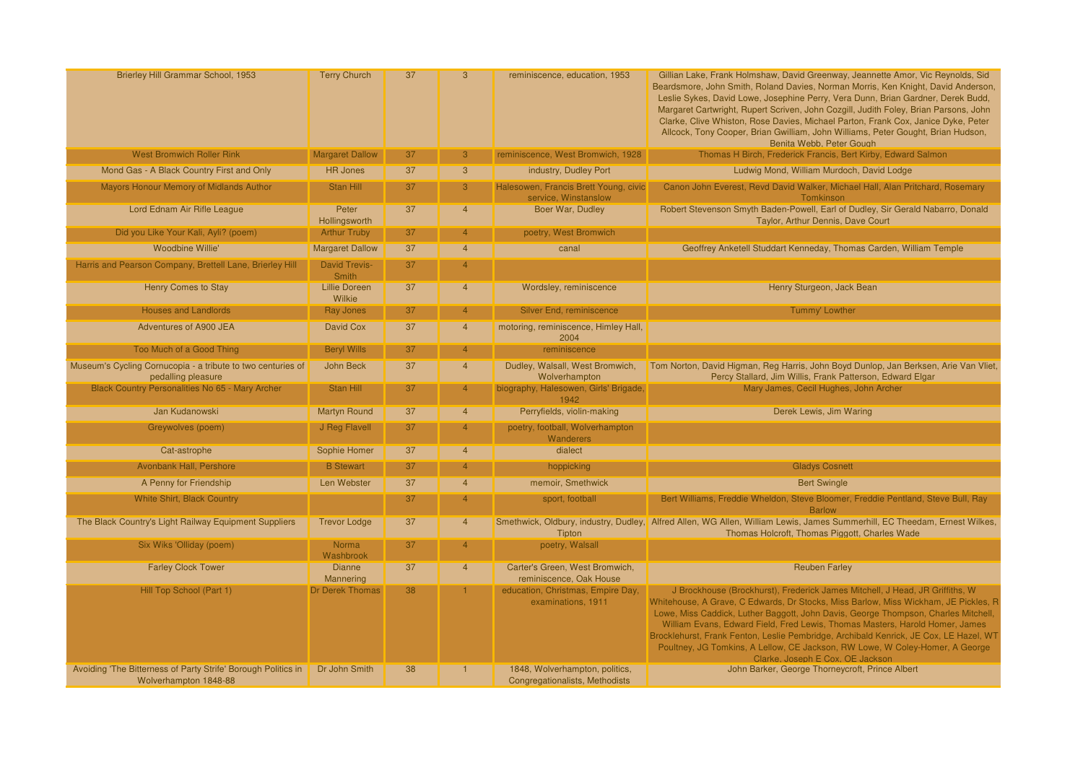| Brierley Hill Grammar School, 1953                                                     | <b>Terry Church</b>                  | 37 | $\overline{3}$          | reminiscence, education, 1953                                    | Gillian Lake, Frank Holmshaw, David Greenway, Jeannette Amor, Vic Reynolds, Sid<br>Beardsmore, John Smith, Roland Davies, Norman Morris, Ken Knight, David Anderson,<br>Leslie Sykes, David Lowe, Josephine Perry, Vera Dunn, Brian Gardner, Derek Budd,<br>Margaret Cartwright, Rupert Scriven, John Cozgill, Judith Foley, Brian Parsons, John<br>Clarke, Clive Whiston, Rose Davies, Michael Parton, Frank Cox, Janice Dyke, Peter<br>Allcock, Tony Cooper, Brian Gwilliam, John Williams, Peter Gought, Brian Hudson,<br>Benita Webb, Peter Gough  |
|----------------------------------------------------------------------------------------|--------------------------------------|----|-------------------------|------------------------------------------------------------------|--------------------------------------------------------------------------------------------------------------------------------------------------------------------------------------------------------------------------------------------------------------------------------------------------------------------------------------------------------------------------------------------------------------------------------------------------------------------------------------------------------------------------------------------------------|
| <b>West Bromwich Roller Rink</b>                                                       | <b>Margaret Dallow</b>               | 37 | 3                       | reminiscence. West Bromwich, 1928                                | Thomas H Birch, Frederick Francis, Bert Kirby, Edward Salmon                                                                                                                                                                                                                                                                                                                                                                                                                                                                                           |
| Mond Gas - A Black Country First and Only                                              | <b>HR Jones</b>                      | 37 | $\overline{3}$          | industry, Dudley Port                                            | Ludwig Mond, William Murdoch, David Lodge                                                                                                                                                                                                                                                                                                                                                                                                                                                                                                              |
| Mayors Honour Memory of Midlands Author                                                | Stan Hill                            | 37 | 3                       | Halesowen, Francis Brett Young, civic<br>service, Winstanslow    | Canon John Everest, Revd David Walker, Michael Hall, Alan Pritchard, Rosemary<br>Tomkinson                                                                                                                                                                                                                                                                                                                                                                                                                                                             |
| Lord Ednam Air Rifle League                                                            | Peter<br>Hollingsworth               | 37 | $\overline{4}$          | Boer War, Dudley                                                 | Robert Stevenson Smyth Baden-Powell, Earl of Dudley, Sir Gerald Nabarro, Donald<br>Taylor, Arthur Dennis, Dave Court                                                                                                                                                                                                                                                                                                                                                                                                                                   |
| Did you Like Your Kali, Ayli? (poem)                                                   | <b>Arthur Truby</b>                  | 37 | $\overline{4}$          | poetry, West Bromwich                                            |                                                                                                                                                                                                                                                                                                                                                                                                                                                                                                                                                        |
| Woodbine Willie'                                                                       | <b>Margaret Dallow</b>               | 37 | $\overline{4}$          | canal                                                            | Geoffrey Anketell Studdart Kenneday, Thomas Carden, William Temple                                                                                                                                                                                                                                                                                                                                                                                                                                                                                     |
| Harris and Pearson Company, Brettell Lane, Brierley Hill                               | <b>David Trevis-</b><br><b>Smith</b> | 37 | $\overline{4}$          |                                                                  |                                                                                                                                                                                                                                                                                                                                                                                                                                                                                                                                                        |
| <b>Henry Comes to Stay</b>                                                             | <b>Lillie Doreen</b><br>Wilkie       | 37 | $\overline{4}$          | Wordsley, reminiscence                                           | Henry Sturgeon, Jack Bean                                                                                                                                                                                                                                                                                                                                                                                                                                                                                                                              |
| <b>Houses and Landlords</b>                                                            | Ray Jones                            | 37 |                         | Silver End, reminiscence                                         | Tummy' Lowther                                                                                                                                                                                                                                                                                                                                                                                                                                                                                                                                         |
| Adventures of A900 JEA                                                                 | <b>David Cox</b>                     | 37 | $\overline{4}$          | motoring, reminiscence, Himley Hall,<br>2004                     |                                                                                                                                                                                                                                                                                                                                                                                                                                                                                                                                                        |
| Too Much of a Good Thing                                                               | <b>Beryl Wills</b>                   | 37 | $\overline{4}$          | reminiscence                                                     |                                                                                                                                                                                                                                                                                                                                                                                                                                                                                                                                                        |
| Museum's Cycling Cornucopia - a tribute to two centuries of<br>pedalling pleasure      | <b>John Beck</b>                     | 37 | $\overline{4}$          | Dudley, Walsall, West Bromwich,<br>Wolverhampton                 | Tom Norton, David Higman, Reg Harris, John Boyd Dunlop, Jan Berksen, Arie Van Vliet,<br>Percy Stallard, Jim Willis, Frank Patterson, Edward Elgar                                                                                                                                                                                                                                                                                                                                                                                                      |
| Black Country Personalities No 65 - Mary Archer                                        | Stan Hill                            | 37 |                         | biography, Halesowen, Girls' Brigade,<br>1942                    | Mary James, Cecil Hughes, John Archer                                                                                                                                                                                                                                                                                                                                                                                                                                                                                                                  |
| Jan Kudanowski                                                                         | <b>Martyn Round</b>                  | 37 | $\overline{4}$          | Perryfields, violin-making                                       | Derek Lewis, Jim Waring                                                                                                                                                                                                                                                                                                                                                                                                                                                                                                                                |
| Greywolves (poem)                                                                      | J Reg Flavell                        | 37 | $\overline{4}$          | poetry, football, Wolverhampton<br>Wanderers                     |                                                                                                                                                                                                                                                                                                                                                                                                                                                                                                                                                        |
| Cat-astrophe                                                                           | Sophie Homer                         | 37 | $\overline{4}$          | dialect                                                          |                                                                                                                                                                                                                                                                                                                                                                                                                                                                                                                                                        |
| <b>Avonbank Hall, Pershore</b>                                                         | <b>B</b> Stewart                     | 37 |                         | hoppicking                                                       | <b>Gladys Cosnett</b>                                                                                                                                                                                                                                                                                                                                                                                                                                                                                                                                  |
| A Penny for Friendship                                                                 | Len Webster                          | 37 | $\overline{\mathbf{4}}$ | memoir, Smethwick                                                | <b>Bert Swingle</b>                                                                                                                                                                                                                                                                                                                                                                                                                                                                                                                                    |
| <b>White Shirt, Black Country</b>                                                      |                                      | 37 |                         | sport, football                                                  | Bert Williams, Freddie Wheldon, Steve Bloomer, Freddie Pentland, Steve Bull, Ray<br><b>Barlow</b>                                                                                                                                                                                                                                                                                                                                                                                                                                                      |
| The Black Country's Light Railway Equipment Suppliers                                  | <b>Trevor Lodge</b>                  | 37 | $\overline{4}$          | Tipton                                                           | Smethwick, Oldbury, industry, Dudley, Alfred Allen, WG Allen, William Lewis, James Summerhill, EC Theedam, Ernest Wilkes,<br>Thomas Holcroft, Thomas Piggott, Charles Wade                                                                                                                                                                                                                                                                                                                                                                             |
| Six Wiks 'Olliday (poem)                                                               | Norma<br>Washbrook                   | 37 | $\overline{4}$          | poetry, Walsall                                                  |                                                                                                                                                                                                                                                                                                                                                                                                                                                                                                                                                        |
| <b>Farley Clock Tower</b>                                                              | <b>Dianne</b><br>Mannering           | 37 | $\overline{4}$          | Carter's Green, West Bromwich,<br>reminiscence, Oak House        | <b>Reuben Farley</b>                                                                                                                                                                                                                                                                                                                                                                                                                                                                                                                                   |
| Hill Top School (Part 1)                                                               | Dr Derek Thomas                      | 38 |                         | education, Christmas, Empire Day,<br>examinations, 1911          | J Brockhouse (Brockhurst), Frederick James Mitchell, J Head, JR Griffiths, W<br>Whitehouse, A Grave, C Edwards, Dr Stocks, Miss Barlow, Miss Wickham, JE Pickles, R<br>Lowe, Miss Caddick, Luther Baggott, John Davis, George Thompson, Charles Mitchell,<br>William Evans, Edward Field, Fred Lewis, Thomas Masters, Harold Homer, James<br>Brocklehurst, Frank Fenton, Leslie Pembridge, Archibald Kenrick, JE Cox, LE Hazel, WT<br>Poultney, JG Tomkins, A Lellow, CE Jackson, RW Lowe, W Coley-Homer, A George<br>Clarke, Joseph E Cox, OE Jackson |
| Avoiding 'The Bitterness of Party Strife' Borough Politics in<br>Wolverhampton 1848-88 | Dr John Smith                        | 38 |                         | 1848, Wolverhampton, politics,<br>Congregationalists, Methodists | John Barker, George Thorneycroft, Prince Albert                                                                                                                                                                                                                                                                                                                                                                                                                                                                                                        |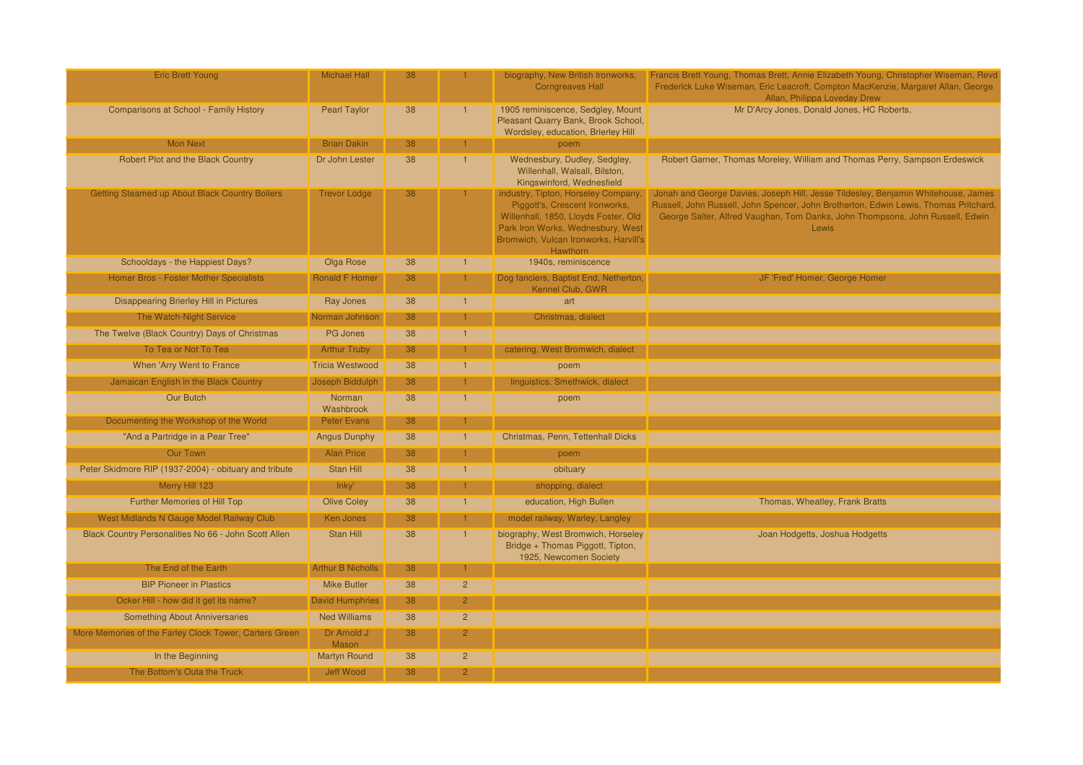| <b>Eric Brett Young</b>                                | <b>Michael Hall</b>      | 38 |                | biography, New British Ironworks,<br><b>Corngreaves Hall</b>                                                                                                                                            | Francis Brett Young, Thomas Brett, Annie Elizabeth Young, Christopher Wiseman, Revd<br>Frederick Luke Wiseman, Eric Leacroft, Compton MacKenzie, Margaret Allan, George<br>Allan, Philippa Loveday Drew                                                             |
|--------------------------------------------------------|--------------------------|----|----------------|---------------------------------------------------------------------------------------------------------------------------------------------------------------------------------------------------------|---------------------------------------------------------------------------------------------------------------------------------------------------------------------------------------------------------------------------------------------------------------------|
| Comparisons at School - Family History                 | <b>Pearl Taylor</b>      | 38 |                | 1905 reminiscence, Sedgley, Mount<br>Pleasant Quarry Bank, Brook School,<br>Wordsley, education, Brierley Hill                                                                                          | Mr D'Arcy Jones, Donald Jones, HC Roberts,                                                                                                                                                                                                                          |
| <b>Mon Next</b>                                        | <b>Brian Dakin</b>       | 38 |                | poem                                                                                                                                                                                                    |                                                                                                                                                                                                                                                                     |
| Robert Plot and the Black Country                      | Dr John Lester           | 38 |                | Wednesbury, Dudley, Sedgley,<br>Willenhall, Walsall, Bilston,<br>Kingswinford, Wednesfield                                                                                                              | Robert Garner, Thomas Moreley, William and Thomas Perry, Sampson Erdeswick                                                                                                                                                                                          |
| Getting Steamed up About Black Country Boilers         | <b>Trevor Lodge</b>      | 38 |                | industry, Tipton, Horseley Company,<br>Piggott's, Crescent Ironworks,<br>Willenhall, 1850, Lloyds Foster, Old<br>Park Iron Works, Wednesbury, West<br>Bromwich, Vulcan Ironworks, Harvill's<br>Hawthorn | Jonah and George Davies, Joseph Hill, Jesse Tildesley, Benjamin Whitehouse, James<br>Russell, John Russell, John Spencer, John Brotherton, Edwin Lewis, Thomas Pritchard,<br>George Salter, Alfred Vaughan, Tom Danks, John Thompsons, John Russell, Edwin<br>Lewis |
| Schooldays - the Happiest Days?                        | Olga Rose                | 38 |                | 1940s, reminiscence                                                                                                                                                                                     |                                                                                                                                                                                                                                                                     |
| Homer Bros - Foster Mother Specialists                 | <b>Ronald F Homer</b>    | 38 |                | Dog fanciers, Baptist End, Netherton,<br>Kennel Club, GWR                                                                                                                                               | JF 'Fred' Homer, George Homer                                                                                                                                                                                                                                       |
| Disappearing Brierley Hill in Pictures                 | <b>Ray Jones</b>         | 38 | $\overline{1}$ | art                                                                                                                                                                                                     |                                                                                                                                                                                                                                                                     |
| The Watch-Night Service                                | Norman Johnson           | 38 |                | Christmas, dialect                                                                                                                                                                                      |                                                                                                                                                                                                                                                                     |
| The Twelve (Black Country) Days of Christmas           | <b>PG Jones</b>          | 38 | $\overline{1}$ |                                                                                                                                                                                                         |                                                                                                                                                                                                                                                                     |
| To Tea or Not To Tea                                   | <b>Arthur Truby</b>      | 38 |                | catering, West Bromwich, dialect                                                                                                                                                                        |                                                                                                                                                                                                                                                                     |
| When 'Arry Went to France                              | <b>Tricia Westwood</b>   | 38 |                | poem                                                                                                                                                                                                    |                                                                                                                                                                                                                                                                     |
| Jamaican English in the Black Country                  | Joseph Biddulph          | 38 | 1.             | linguistics, Smethwick, dialect                                                                                                                                                                         |                                                                                                                                                                                                                                                                     |
| Our Butch                                              | Norman<br>Washbrook      | 38 |                | poem                                                                                                                                                                                                    |                                                                                                                                                                                                                                                                     |
| Documenting the Workshop of the World                  | Peter Evans              | 38 |                |                                                                                                                                                                                                         |                                                                                                                                                                                                                                                                     |
| "And a Partridge in a Pear Tree"                       | <b>Angus Dunphy</b>      | 38 | $\mathbf{1}$   | Christmas, Penn, Tettenhall Dicks                                                                                                                                                                       |                                                                                                                                                                                                                                                                     |
| Our Town                                               | <b>Alan Price</b>        | 38 |                | poem                                                                                                                                                                                                    |                                                                                                                                                                                                                                                                     |
| Peter Skidmore RIP (1937-2004) - obituary and tribute  | Stan Hill                | 38 | -1             | obituary                                                                                                                                                                                                |                                                                                                                                                                                                                                                                     |
| Merry Hill 123                                         | Inky'                    | 38 |                | shopping, dialect                                                                                                                                                                                       |                                                                                                                                                                                                                                                                     |
| <b>Further Memories of Hill Top</b>                    | <b>Olive Coley</b>       | 38 |                | education, High Bullen                                                                                                                                                                                  | Thomas, Wheatley, Frank Bratts                                                                                                                                                                                                                                      |
| West Midlands N Gauge Model Railway Club               | Ken Jones                | 38 |                | model railway, Warley, Langley                                                                                                                                                                          |                                                                                                                                                                                                                                                                     |
| Black Country Personalities No 66 - John Scott Allen   | Stan Hill                | 38 |                | biography, West Bromwich, Horseley<br>Bridge + Thomas Piggott, Tipton,<br>1925, Newcomen Society                                                                                                        | Joan Hodgetts, Joshua Hodgetts                                                                                                                                                                                                                                      |
| The End of the Earth                                   | <b>Arthur B Nicholls</b> | 38 |                |                                                                                                                                                                                                         |                                                                                                                                                                                                                                                                     |
| <b>BIP Pioneer in Plastics</b>                         | <b>Mike Butler</b>       | 38 | $\overline{2}$ |                                                                                                                                                                                                         |                                                                                                                                                                                                                                                                     |
| Ocker Hill - how did it get its name?                  | <b>David Humphries</b>   | 38 | 2 <sup>1</sup> |                                                                                                                                                                                                         |                                                                                                                                                                                                                                                                     |
| <b>Something About Anniversaries</b>                   | <b>Ned Williams</b>      | 38 | $\overline{2}$ |                                                                                                                                                                                                         |                                                                                                                                                                                                                                                                     |
| More Memories of the Farley Clock Tower, Carters Green | Dr Arnold J<br>Mason     | 38 | $2 -$          |                                                                                                                                                                                                         |                                                                                                                                                                                                                                                                     |
| In the Beginning                                       | <b>Martyn Round</b>      | 38 | $\overline{c}$ |                                                                                                                                                                                                         |                                                                                                                                                                                                                                                                     |
| The Bottom's Outa the Truck                            | Jeff Wood                | 38 | $\overline{2}$ |                                                                                                                                                                                                         |                                                                                                                                                                                                                                                                     |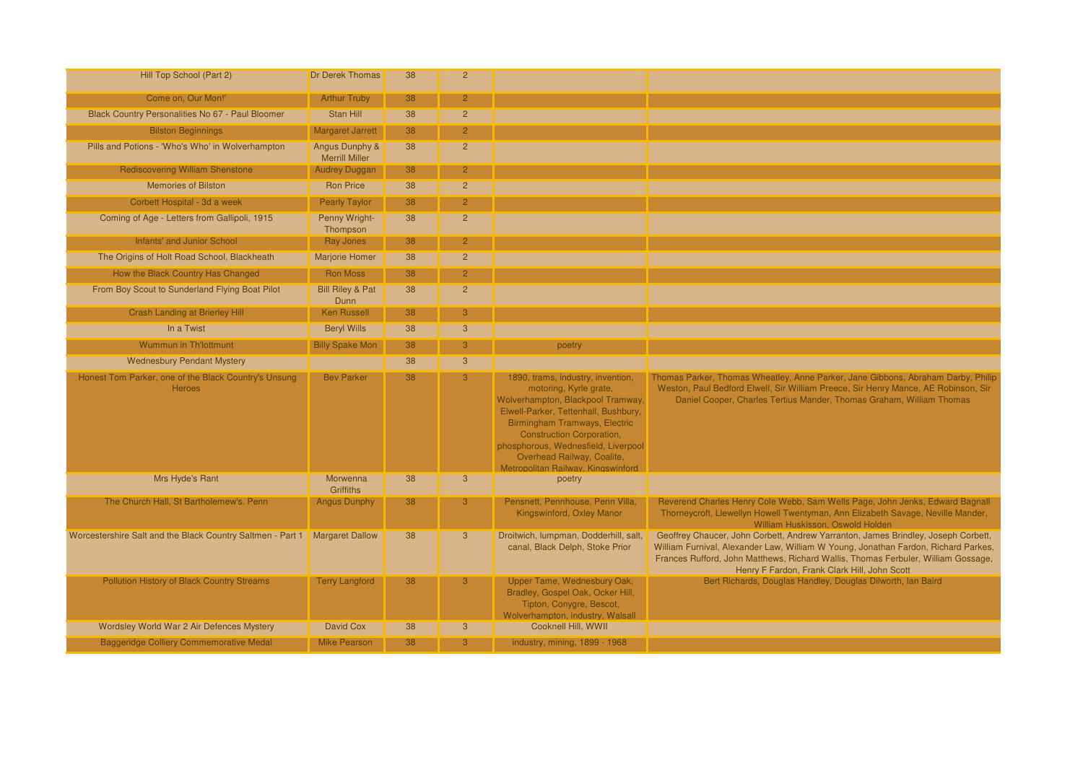| Hill Top School (Part 2)                                                     | <b>Dr Derek Thomas</b>                  | 38 | $\overline{2}$ |                                                                                                                                                                                                                                                                                                                          |                                                                                                                                                                                                                                                                                                              |
|------------------------------------------------------------------------------|-----------------------------------------|----|----------------|--------------------------------------------------------------------------------------------------------------------------------------------------------------------------------------------------------------------------------------------------------------------------------------------------------------------------|--------------------------------------------------------------------------------------------------------------------------------------------------------------------------------------------------------------------------------------------------------------------------------------------------------------|
| Come on, Our Mon!'                                                           | <b>Arthur Truby</b>                     | 38 | $\overline{2}$ |                                                                                                                                                                                                                                                                                                                          |                                                                                                                                                                                                                                                                                                              |
| Black Country Personalities No 67 - Paul Bloomer                             | <b>Stan Hill</b>                        | 38 | $\overline{2}$ |                                                                                                                                                                                                                                                                                                                          |                                                                                                                                                                                                                                                                                                              |
| <b>Bilston Beginnings</b>                                                    | <b>Margaret Jarrett</b>                 | 38 | $\overline{2}$ |                                                                                                                                                                                                                                                                                                                          |                                                                                                                                                                                                                                                                                                              |
| Pills and Potions - 'Who's Who' in Wolverhampton                             | Angus Dunphy &<br><b>Merrill Miller</b> | 38 | $\overline{2}$ |                                                                                                                                                                                                                                                                                                                          |                                                                                                                                                                                                                                                                                                              |
| <b>Rediscovering William Shenstone</b>                                       | <b>Audrey Duggan</b>                    | 38 | $\overline{2}$ |                                                                                                                                                                                                                                                                                                                          |                                                                                                                                                                                                                                                                                                              |
| <b>Memories of Bilston</b>                                                   | <b>Ron Price</b>                        | 38 | $\overline{2}$ |                                                                                                                                                                                                                                                                                                                          |                                                                                                                                                                                                                                                                                                              |
| Corbett Hospital - 3d a week                                                 | <b>Pearly Taylor</b>                    | 38 | $\overline{2}$ |                                                                                                                                                                                                                                                                                                                          |                                                                                                                                                                                                                                                                                                              |
| Coming of Age - Letters from Gallipoli, 1915                                 | <b>Penny Wright-</b><br>Thompson        | 38 | $\overline{2}$ |                                                                                                                                                                                                                                                                                                                          |                                                                                                                                                                                                                                                                                                              |
| Infants' and Junior School                                                   | Ray Jones                               | 38 | $\overline{2}$ |                                                                                                                                                                                                                                                                                                                          |                                                                                                                                                                                                                                                                                                              |
| The Origins of Holt Road School, Blackheath                                  | <b>Marjorie Homer</b>                   | 38 | $\overline{2}$ |                                                                                                                                                                                                                                                                                                                          |                                                                                                                                                                                                                                                                                                              |
| How the Black Country Has Changed                                            | <b>Ron Moss</b>                         | 38 | $\overline{2}$ |                                                                                                                                                                                                                                                                                                                          |                                                                                                                                                                                                                                                                                                              |
| From Boy Scout to Sunderland Flying Boat Pilot                               | <b>Bill Riley &amp; Pat</b><br>Dunn     | 38 | $\overline{2}$ |                                                                                                                                                                                                                                                                                                                          |                                                                                                                                                                                                                                                                                                              |
| <b>Crash Landing at Brierley Hill</b>                                        | <b>Ken Russell</b>                      | 38 | 3              |                                                                                                                                                                                                                                                                                                                          |                                                                                                                                                                                                                                                                                                              |
| In a Twist                                                                   | <b>Beryl Wills</b>                      | 38 | $\overline{3}$ |                                                                                                                                                                                                                                                                                                                          |                                                                                                                                                                                                                                                                                                              |
| <b>Wummun in Th'lottmunt</b>                                                 | <b>Billy Spake Mon</b>                  | 38 | 3              | poetry                                                                                                                                                                                                                                                                                                                   |                                                                                                                                                                                                                                                                                                              |
| <b>Wednesbury Pendant Mystery</b>                                            |                                         | 38 | $\overline{3}$ |                                                                                                                                                                                                                                                                                                                          |                                                                                                                                                                                                                                                                                                              |
| Honest Tom Parker, one of the Black Country's Unsung<br><b>Heroes</b>        | <b>Bev Parker</b>                       | 38 | 3              | 1890, trams, industry, invention,<br>motoring, Kyrle grate,<br>Wolverhampton, Blackpool Tramway,<br>Elwell-Parker, Tettenhall, Bushbury,<br>Birmingham Tramways, Electric<br><b>Construction Corporation,</b><br>phosphorous, Wednesfield, Liverpool<br>Overhead Railway, Coalite,<br>Metropolitan Railway, Kingswinford | Thomas Parker, Thomas Wheatley, Anne Parker, Jane Gibbons, Abraham Darby, Philip<br>Weston, Paul Bedford Elwell, Sir William Preece, Sir Henry Mance, AE Robinson, Sir<br>Daniel Cooper, Charles Tertius Mander, Thomas Graham, William Thomas                                                               |
| Mrs Hyde's Rant                                                              | Morwenna<br><b>Griffiths</b>            | 38 | $\overline{3}$ | poetry                                                                                                                                                                                                                                                                                                                   |                                                                                                                                                                                                                                                                                                              |
| The Church Hall, St Bartholemew's. Penn                                      | <b>Angus Dunphy</b>                     | 38 | 3              | Pensnett, Pennhouse, Penn Villa,<br>Kingswinford, Oxley Manor                                                                                                                                                                                                                                                            | Reverend Charles Henry Cole Webb, Sam Wells Page, John Jenks, Edward Bagnall<br>Thorneycroft, Llewellyn Howell Twentyman, Ann Elizabeth Savage, Neville Mander,<br>William Huskisson, Oswold Holden                                                                                                          |
| Worcestershire Salt and the Black Country Saltmen - Part 1   Margaret Dallow |                                         | 38 | 3 <sup>5</sup> | Droitwich, lumpman, Dodderhill, salt,<br>canal, Black Delph, Stoke Prior                                                                                                                                                                                                                                                 | Geoffrey Chaucer, John Corbett, Andrew Yarranton, James Brindley, Joseph Corbett,<br>William Furnival, Alexander Law, William W Young, Jonathan Fardon, Richard Parkes,<br>Frances Rufford, John Matthews, Richard Wallis, Thomas Ferbuler, William Gossage,<br>Henry F Fardon, Frank Clark Hill, John Scott |
| <b>Pollution History of Black Country Streams</b>                            | <b>Terry Langford</b>                   | 38 |                | Upper Tame, Wednesbury Oak,<br>Bradley, Gospel Oak, Ocker Hill,<br>Tipton, Conygre, Bescot,<br>Wolverhampton, industry, Walsall                                                                                                                                                                                          | Bert Richards, Douglas Handley, Douglas Dilworth, Ian Baird                                                                                                                                                                                                                                                  |
| Wordsley World War 2 Air Defences Mystery                                    | <b>David Cox</b>                        | 38 | 3              | Cooknell Hill, WWII                                                                                                                                                                                                                                                                                                      |                                                                                                                                                                                                                                                                                                              |
| <b>Baggeridge Colliery Commemorative Medal</b>                               | <b>Mike Pearson</b>                     | 38 | 3              | industry, mining, 1899 - 1968                                                                                                                                                                                                                                                                                            |                                                                                                                                                                                                                                                                                                              |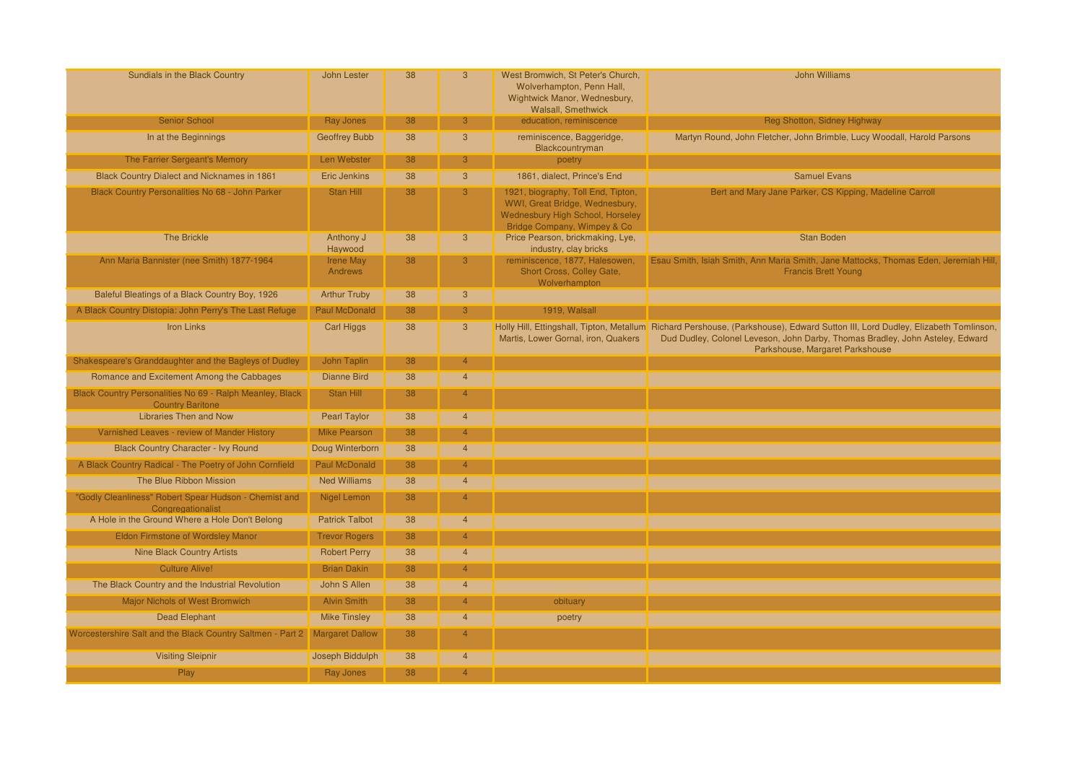| Sundials in the Black Country                                                       | John Lester                 | 38 | $\overline{3}$ | West Bromwich, St Peter's Church,<br>Wolverhampton, Penn Hall,<br>Wightwick Manor, Wednesbury,<br><b>Walsall, Smethwick</b>                    | John Williams                                                                                                                                                                                                                                       |
|-------------------------------------------------------------------------------------|-----------------------------|----|----------------|------------------------------------------------------------------------------------------------------------------------------------------------|-----------------------------------------------------------------------------------------------------------------------------------------------------------------------------------------------------------------------------------------------------|
| <b>Senior School</b>                                                                | Ray Jones                   | 38 | 3              | education, reminiscence                                                                                                                        | Reg Shotton, Sidney Highway                                                                                                                                                                                                                         |
| In at the Beginnings                                                                | <b>Geoffrey Bubb</b>        | 38 | 3              | reminiscence, Baggeridge,<br>Blackcountryman                                                                                                   | Martyn Round, John Fletcher, John Brimble, Lucy Woodall, Harold Parsons                                                                                                                                                                             |
| The Farrier Sergeant's Memory                                                       | Len Webster                 | 38 | 3              | poetry                                                                                                                                         |                                                                                                                                                                                                                                                     |
| <b>Black Country Dialect and Nicknames in 1861</b>                                  | <b>Eric Jenkins</b>         | 38 | 3              | 1861, dialect, Prince's End                                                                                                                    | <b>Samuel Evans</b>                                                                                                                                                                                                                                 |
| Black Country Personalities No 68 - John Parker                                     | Stan Hill                   | 38 | 3 <sup>°</sup> | 1921, biography, Toll End, Tipton,<br>WWI, Great Bridge, Wednesbury,<br><b>Wednesbury High School, Horseley</b><br>Bridge Company, Wimpey & Co | Bert and Mary Jane Parker, CS Kipping, Madeline Carroll                                                                                                                                                                                             |
| <b>The Brickle</b>                                                                  | Anthony J<br>Haywood        | 38 | $\mathbf{3}$   | Price Pearson, brickmaking, Lye,<br>industry, clay bricks                                                                                      | <b>Stan Boden</b>                                                                                                                                                                                                                                   |
| Ann Maria Bannister (nee Smith) 1877-1964                                           | <b>Irene May</b><br>Andrews | 38 | 3              | reminiscence, 1877, Halesowen,<br>Short Cross, Colley Gate,<br>Wolverhampton                                                                   | Esau Smith, Isiah Smith, Ann Maria Smith, Jane Mattocks, Thomas Eden, Jeremiah Hill,<br><b>Francis Brett Young</b>                                                                                                                                  |
| Baleful Bleatings of a Black Country Boy, 1926                                      | <b>Arthur Truby</b>         | 38 | $\mathbf{3}$   |                                                                                                                                                |                                                                                                                                                                                                                                                     |
| A Black Country Distopia: John Perry's The Last Refuge                              | <b>Paul McDonald</b>        | 38 | 3              | 1919, Walsall                                                                                                                                  |                                                                                                                                                                                                                                                     |
| <b>Iron Links</b>                                                                   | Carl Higgs                  | 38 | 3              | Martis, Lower Gornal, iron, Quakers                                                                                                            | Holly Hill, Ettingshall, Tipton, Metallum Richard Pershouse, (Parkshouse), Edward Sutton III, Lord Dudley, Elizabeth Tomlinson,<br>Dud Dudley, Colonel Leveson, John Darby, Thomas Bradley, John Asteley, Edward<br>Parkshouse, Margaret Parkshouse |
| Shakespeare's Granddaughter and the Bagleys of Dudley                               | John Taplin                 | 38 | $\overline{4}$ |                                                                                                                                                |                                                                                                                                                                                                                                                     |
| Romance and Excitement Among the Cabbages                                           | <b>Dianne Bird</b>          | 38 | $\overline{4}$ |                                                                                                                                                |                                                                                                                                                                                                                                                     |
| Black Country Personalities No 69 - Ralph Meanley, Black<br><b>Country Baritone</b> | Stan Hill                   | 38 | $\overline{4}$ |                                                                                                                                                |                                                                                                                                                                                                                                                     |
| <b>Libraries Then and Now</b>                                                       | <b>Pearl Taylor</b>         | 38 | $\overline{4}$ |                                                                                                                                                |                                                                                                                                                                                                                                                     |
| Varnished Leaves - review of Mander History                                         | <b>Mike Pearson</b>         | 38 | $\overline{4}$ |                                                                                                                                                |                                                                                                                                                                                                                                                     |
| <b>Black Country Character - Ivy Round</b>                                          | Doug Winterborn             | 38 | $\overline{4}$ |                                                                                                                                                |                                                                                                                                                                                                                                                     |
| A Black Country Radical - The Poetry of John Cornfield                              | Paul McDonald               | 38 | $\overline{4}$ |                                                                                                                                                |                                                                                                                                                                                                                                                     |
| The Blue Ribbon Mission                                                             | <b>Ned Williams</b>         | 38 | $\overline{4}$ |                                                                                                                                                |                                                                                                                                                                                                                                                     |
| "Godly Cleanliness" Robert Spear Hudson - Chemist and<br>Congregationalist          | Nigel Lemon                 | 38 | 4              |                                                                                                                                                |                                                                                                                                                                                                                                                     |
| A Hole in the Ground Where a Hole Don't Belong                                      | <b>Patrick Talbot</b>       | 38 | $\overline{4}$ |                                                                                                                                                |                                                                                                                                                                                                                                                     |
| Eldon Firmstone of Wordsley Manor                                                   | <b>Trevor Rogers</b>        | 38 | $\overline{4}$ |                                                                                                                                                |                                                                                                                                                                                                                                                     |
| <b>Nine Black Country Artists</b>                                                   | <b>Robert Perry</b>         | 38 | $\overline{4}$ |                                                                                                                                                |                                                                                                                                                                                                                                                     |
| <b>Culture Alive!</b>                                                               | <b>Brian Dakin</b>          | 38 | $\overline{4}$ |                                                                                                                                                |                                                                                                                                                                                                                                                     |
| The Black Country and the Industrial Revolution                                     | John S Allen                | 38 | $\overline{4}$ |                                                                                                                                                |                                                                                                                                                                                                                                                     |
| Major Nichols of West Bromwich                                                      | <b>Alvin Smith</b>          | 38 | $\overline{4}$ | obituary                                                                                                                                       |                                                                                                                                                                                                                                                     |
| <b>Dead Elephant</b>                                                                | <b>Mike Tinsley</b>         | 38 | $\overline{4}$ | poetry                                                                                                                                         |                                                                                                                                                                                                                                                     |
| Worcestershire Salt and the Black Country Saltmen - Part 2 Margaret Dallow          |                             | 38 | $\overline{4}$ |                                                                                                                                                |                                                                                                                                                                                                                                                     |
| <b>Visiting Sleipnir</b>                                                            | Joseph Biddulph             | 38 | $\overline{4}$ |                                                                                                                                                |                                                                                                                                                                                                                                                     |
| Play                                                                                | Ray Jones                   | 38 | $\overline{4}$ |                                                                                                                                                |                                                                                                                                                                                                                                                     |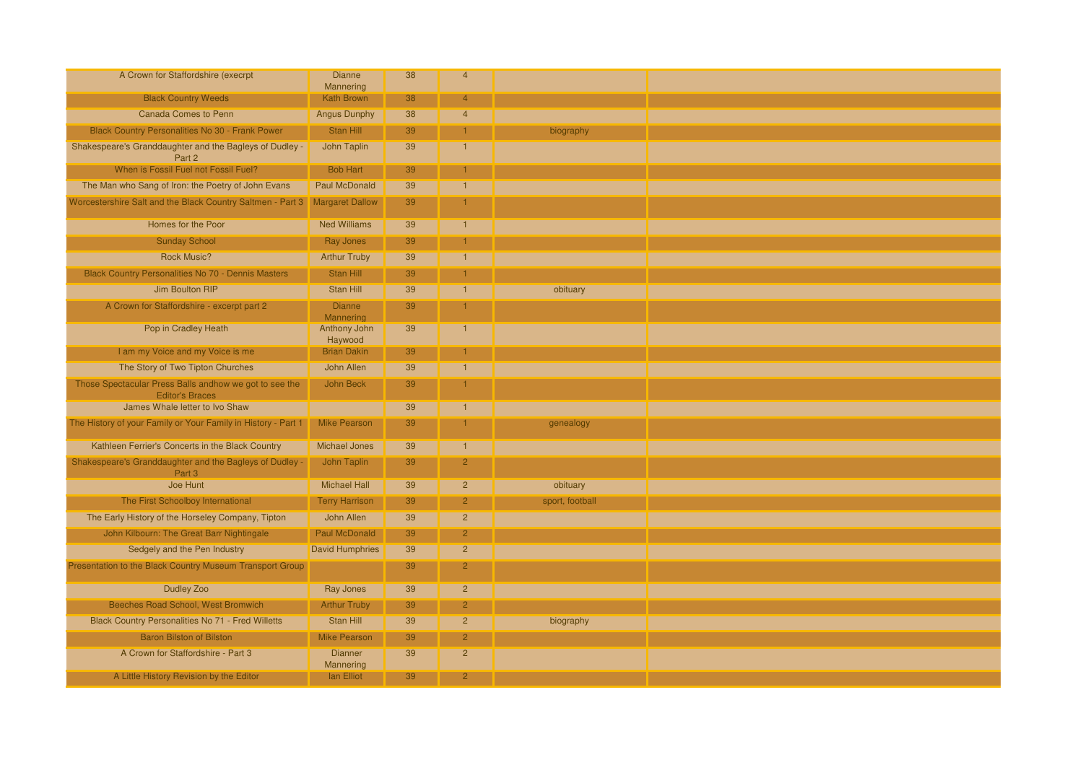| A Crown for Staffordshire (execrpt                                               | <b>Dianne</b><br>Mannering        | 38 | $\overline{4}$ |                 |  |
|----------------------------------------------------------------------------------|-----------------------------------|----|----------------|-----------------|--|
| <b>Black Country Weeds</b>                                                       | <b>Kath Brown</b>                 | 38 | $\overline{4}$ |                 |  |
| <b>Canada Comes to Penn</b>                                                      | <b>Angus Dunphy</b>               | 38 | $\overline{4}$ |                 |  |
| Black Country Personalities No 30 - Frank Power                                  | Stan Hill                         | 39 |                | biography       |  |
| Shakespeare's Granddaughter and the Bagleys of Dudley -<br>Part 2                | <b>John Taplin</b>                | 39 | $\overline{1}$ |                 |  |
| When is Fossil Fuel not Fossil Fuel?                                             | <b>Bob Hart</b>                   | 39 | 1              |                 |  |
| The Man who Sang of Iron: the Poetry of John Evans                               | <b>Paul McDonald</b>              | 39 | $\overline{1}$ |                 |  |
| Worcestershire Salt and the Black Country Saltmen - Part 3                       | <b>Margaret Dallow</b>            | 39 |                |                 |  |
| Homes for the Poor                                                               | <b>Ned Williams</b>               | 39 | $\mathbf{1}$   |                 |  |
| <b>Sunday School</b>                                                             | Ray Jones                         | 39 |                |                 |  |
| <b>Rock Music?</b>                                                               | <b>Arthur Truby</b>               | 39 | $\mathbf{1}$   |                 |  |
| <b>Black Country Personalities No 70 - Dennis Masters</b>                        | Stan Hill                         | 39 |                |                 |  |
| Jim Boulton RIP                                                                  | Stan Hill                         | 39 | $\overline{1}$ | obituary        |  |
| A Crown for Staffordshire - excerpt part 2                                       | <b>Dianne</b><br><b>Mannering</b> | 39 |                |                 |  |
| Pop in Cradley Heath                                                             | Anthony John<br>Haywood           | 39 | $\overline{1}$ |                 |  |
| I am my Voice and my Voice is me                                                 | <b>Brian Dakin</b>                | 39 |                |                 |  |
| The Story of Two Tipton Churches                                                 | John Allen                        | 39 | $\overline{1}$ |                 |  |
| Those Spectacular Press Balls andhow we got to see the<br><b>Editor's Braces</b> | <b>John Beck</b>                  | 39 |                |                 |  |
| James Whale letter to Ivo Shaw                                                   |                                   | 39 | $\overline{1}$ |                 |  |
| The History of your Family or Your Family in History - Part 1 Mike Pearson       |                                   | 39 |                | genealogy       |  |
| Kathleen Ferrier's Concerts in the Black Country                                 | Michael Jones                     | 39 | 1              |                 |  |
| Shakespeare's Granddaughter and the Bagleys of Dudley -<br>Part 3                | John Taplin                       | 39 | $\overline{2}$ |                 |  |
| Joe Hunt                                                                         | <b>Michael Hall</b>               | 39 | $\overline{2}$ | obituary        |  |
| The First Schoolboy International                                                | <b>Terry Harrison</b>             | 39 | $\overline{2}$ | sport, football |  |
| The Early History of the Horseley Company, Tipton                                | John Allen                        | 39 | $\overline{2}$ |                 |  |
| John Kilbourn: The Great Barr Nightingale                                        | <b>Paul McDonald</b>              | 39 | $\overline{2}$ |                 |  |
| Sedgely and the Pen Industry                                                     | <b>David Humphries</b>            | 39 | $\overline{2}$ |                 |  |
| Presentation to the Black Country Museum Transport Group                         |                                   | 39 | $\overline{2}$ |                 |  |
| Dudley Zoo                                                                       | Ray Jones                         | 39 | $\overline{2}$ |                 |  |
| Beeches Road School, West Bromwich                                               | <b>Arthur Truby</b>               | 39 | $\overline{2}$ |                 |  |
| <b>Black Country Personalities No 71 - Fred Willetts</b>                         | <b>Stan Hill</b>                  | 39 | $\overline{2}$ | biography       |  |
| <b>Baron Bilston of Bilston</b>                                                  | <b>Mike Pearson</b>               | 39 | $\overline{2}$ |                 |  |
| A Crown for Staffordshire - Part 3                                               | <b>Dianner</b><br>Mannering       | 39 | $\overline{2}$ |                 |  |
| A Little History Revision by the Editor                                          | lan Elliot                        | 39 | $\overline{2}$ |                 |  |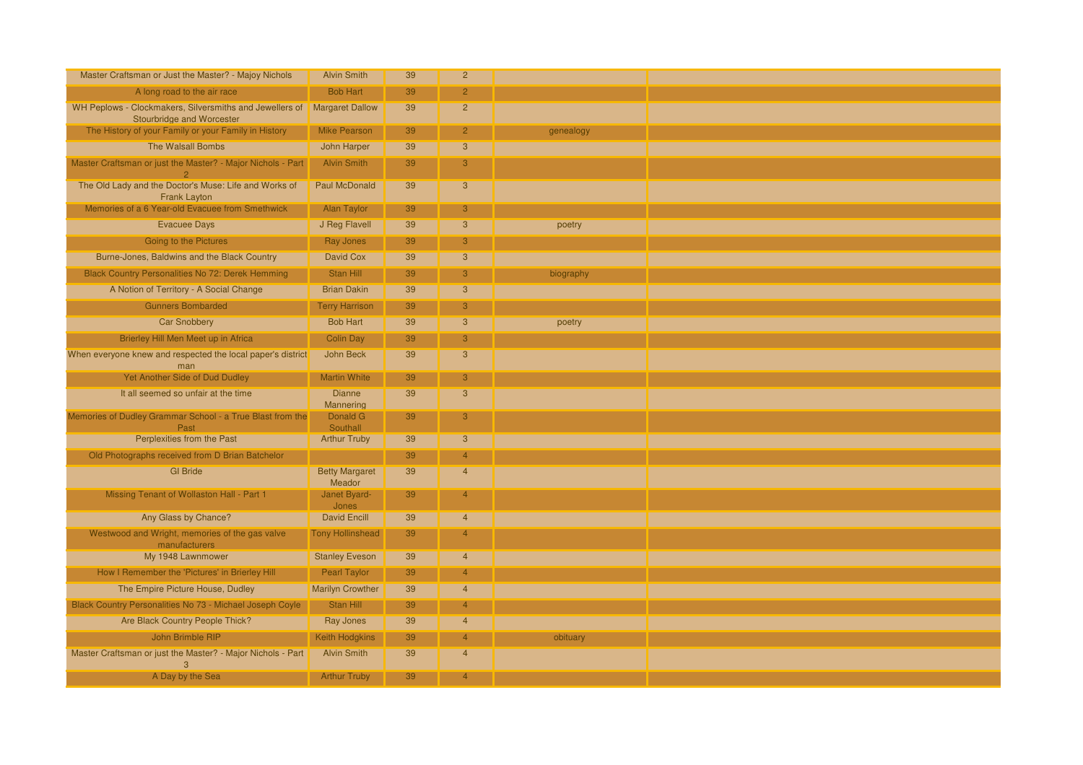| Master Craftsman or Just the Master? - Majoy Nichols                          | <b>Alvin Smith</b>              | 39 | $\overline{2}$ |           |  |
|-------------------------------------------------------------------------------|---------------------------------|----|----------------|-----------|--|
| A long road to the air race                                                   | <b>Bob Hart</b>                 | 39 | $\overline{2}$ |           |  |
| WH Peplows - Clockmakers, Silversmiths and Jewellers of   Margaret Dallow     |                                 | 39 | $\overline{2}$ |           |  |
| Stourbridge and Worcester                                                     |                                 |    |                |           |  |
| The History of your Family or your Family in History                          | <b>Mike Pearson</b>             | 39 | $\overline{2}$ | genealogy |  |
| The Walsall Bombs                                                             | John Harper                     | 39 | $\overline{3}$ |           |  |
| Master Craftsman or just the Master? - Major Nichols - Part<br>$\mathcal{P}$  | <b>Alvin Smith</b>              | 39 | 3              |           |  |
| The Old Lady and the Doctor's Muse: Life and Works of<br><b>Frank Layton</b>  | Paul McDonald                   | 39 | $\overline{3}$ |           |  |
| Memories of a 6 Year-old Evacuee from Smethwick                               | Alan Taylor                     | 39 | 3              |           |  |
| <b>Evacuee Days</b>                                                           | J Reg Flavell                   | 39 | $\mathbf{3}$   | poetry    |  |
| Going to the Pictures                                                         | Ray Jones                       | 39 | 3 <sup>7</sup> |           |  |
| Burne-Jones, Baldwins and the Black Country                                   | <b>David Cox</b>                | 39 | $\overline{3}$ |           |  |
| Black Country Personalities No 72: Derek Hemming                              | Stan Hill                       | 39 | 3              | biography |  |
| A Notion of Territory - A Social Change                                       | <b>Brian Dakin</b>              | 39 | $\overline{3}$ |           |  |
| <b>Gunners Bombarded</b>                                                      | <b>Terry Harrison</b>           | 39 | 3              |           |  |
| <b>Car Snobbery</b>                                                           | <b>Bob Hart</b>                 | 39 | $\overline{3}$ | poetry    |  |
| Brierley Hill Men Meet up in Africa                                           | <b>Colin Day</b>                | 39 | 3              |           |  |
| When everyone knew and respected the local paper's district<br>man            | John Beck                       | 39 | 3              |           |  |
| Yet Another Side of Dud Dudley                                                | <b>Martin White</b>             | 39 | 3              |           |  |
| It all seemed so unfair at the time                                           | <b>Dianne</b><br>Mannering      | 39 | $\overline{3}$ |           |  |
| Memories of Dudley Grammar School - a True Blast from the<br>Past             | Donald G<br>Southall            | 39 | 3              |           |  |
| Perplexities from the Past                                                    | <b>Arthur Truby</b>             | 39 | 3              |           |  |
| Old Photographs received from D Brian Batchelor                               |                                 | 39 | $\overline{4}$ |           |  |
| <b>GI Bride</b>                                                               | <b>Betty Margaret</b><br>Meador | 39 | $\overline{4}$ |           |  |
| Missing Tenant of Wollaston Hall - Part 1                                     | Janet Byard-<br>Jones           | 39 | $\overline{4}$ |           |  |
| Any Glass by Chance?                                                          | <b>David Encill</b>             | 39 | $\overline{4}$ |           |  |
| Westwood and Wright, memories of the gas valve<br>manufacturers               | <b>Tony Hollinshead</b>         | 39 | $\overline{4}$ |           |  |
| My 1948 Lawnmower                                                             | <b>Stanley Eveson</b>           | 39 | $\overline{4}$ |           |  |
| How I Remember the 'Pictures' in Brierley Hill                                | Pearl Taylor                    | 39 | $\overline{4}$ |           |  |
| The Empire Picture House, Dudley                                              | <b>Marilyn Crowther</b>         | 39 | $\overline{4}$ |           |  |
| Black Country Personalities No 73 - Michael Joseph Coyle                      | Stan Hill                       | 39 | $\overline{4}$ |           |  |
| Are Black Country People Thick?                                               | Ray Jones                       | 39 | $\overline{4}$ |           |  |
| John Brimble RIP                                                              | Keith Hodgkins                  | 39 | $\overline{4}$ | obituary  |  |
| Master Craftsman or just the Master? - Major Nichols - Part<br>$\overline{3}$ | <b>Alvin Smith</b>              | 39 | $\overline{4}$ |           |  |
| A Day by the Sea                                                              | <b>Arthur Truby</b>             | 39 | $\overline{4}$ |           |  |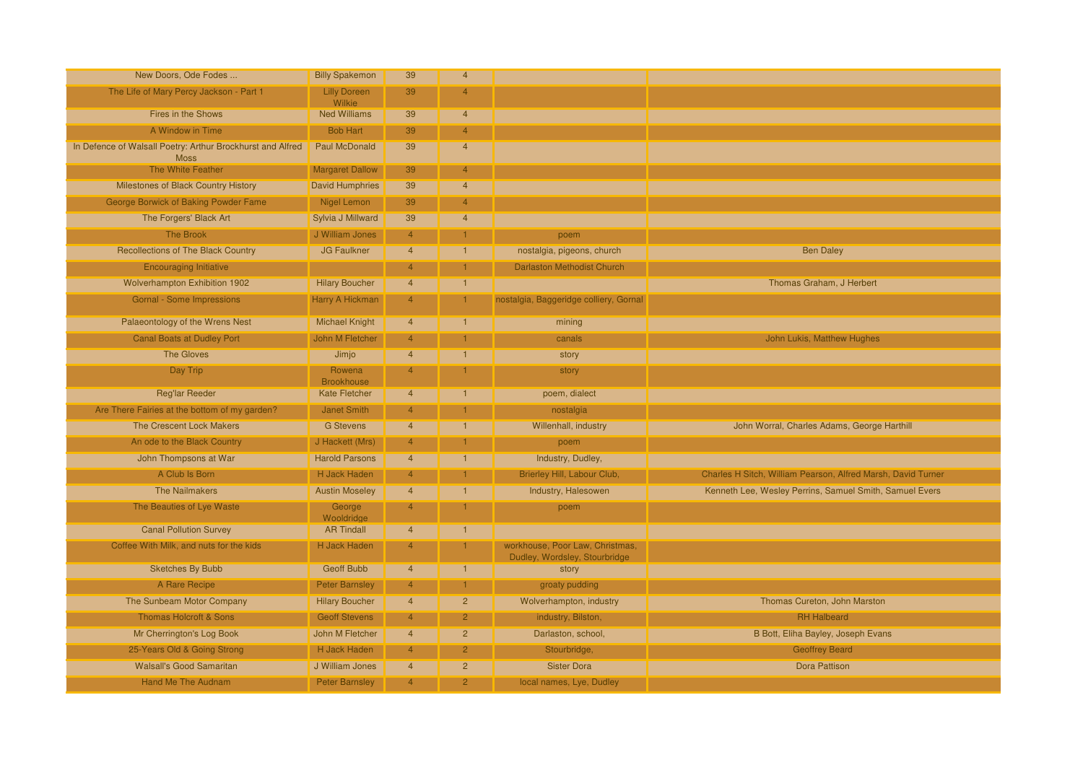| New Doors, Ode Fodes                                                      | <b>Billy Spakemon</b>                | 39             | $\overline{4}$ |                                                                  |                                                              |
|---------------------------------------------------------------------------|--------------------------------------|----------------|----------------|------------------------------------------------------------------|--------------------------------------------------------------|
| The Life of Mary Percy Jackson - Part 1                                   | <b>Lilly Doreen</b><br><b>Wilkie</b> | 39             | $\overline{4}$ |                                                                  |                                                              |
| Fires in the Shows                                                        | <b>Ned Williams</b>                  | 39             | $\overline{4}$ |                                                                  |                                                              |
| A Window in Time                                                          | <b>Bob Hart</b>                      | 39             | $\overline{4}$ |                                                                  |                                                              |
| In Defence of Walsall Poetry: Arthur Brockhurst and Alfred<br><b>Moss</b> | Paul McDonald                        | 39             | $\overline{4}$ |                                                                  |                                                              |
| The White Feather                                                         | <b>Margaret Dallow</b>               | 39             | $\overline{4}$ |                                                                  |                                                              |
| <b>Milestones of Black Country History</b>                                | <b>David Humphries</b>               | 39             | $\overline{4}$ |                                                                  |                                                              |
| George Borwick of Baking Powder Fame                                      | Nigel Lemon                          | 39             | $\overline{4}$ |                                                                  |                                                              |
| The Forgers' Black Art                                                    | Sylvia J Millward                    | 39             | $\overline{4}$ |                                                                  |                                                              |
| <b>The Brook</b>                                                          | J William Jones                      | $\overline{4}$ |                | poem                                                             |                                                              |
| <b>Recollections of The Black Country</b>                                 | <b>JG Faulkner</b>                   | $\overline{4}$ | $\blacksquare$ | nostalgia, pigeons, church                                       | <b>Ben Daley</b>                                             |
| <b>Encouraging Initiative</b>                                             |                                      | $\overline{4}$ |                | <b>Darlaston Methodist Church</b>                                |                                                              |
| Wolverhampton Exhibition 1902                                             | <b>Hilary Boucher</b>                | $\overline{4}$ | $\mathbf{1}$   |                                                                  | Thomas Graham, J Herbert                                     |
| Gornal - Some Impressions                                                 | Harry A Hickman                      | $\overline{4}$ |                | nostalgia, Baggeridge colliery, Gornal                           |                                                              |
| Palaeontology of the Wrens Nest                                           | <b>Michael Knight</b>                | $\overline{4}$ | $\mathbf{1}$   | mining                                                           |                                                              |
| <b>Canal Boats at Dudley Port</b>                                         | John M Fletcher                      | $\overline{4}$ |                | canals                                                           | John Lukis, Matthew Hughes                                   |
| <b>The Gloves</b>                                                         | Jimjo                                | $\overline{4}$ | $\mathbf{1}$   | story                                                            |                                                              |
| Day Trip                                                                  | Rowena<br><b>Brookhouse</b>          | $\overline{4}$ |                | story                                                            |                                                              |
| <b>Reg'lar Reeder</b>                                                     | <b>Kate Fletcher</b>                 | $\overline{4}$ |                | poem, dialect                                                    |                                                              |
| Are There Fairies at the bottom of my garden?                             | <b>Janet Smith</b>                   | $\overline{4}$ |                | nostalgia                                                        |                                                              |
| The Crescent Lock Makers                                                  | <b>G</b> Stevens                     | $\overline{4}$ | $\blacksquare$ | Willenhall, industry                                             | John Worral, Charles Adams, George Harthill                  |
| An ode to the Black Country                                               | J Hackett (Mrs)                      | $\overline{4}$ |                | poem                                                             |                                                              |
| John Thompsons at War                                                     | <b>Harold Parsons</b>                | $\overline{4}$ |                | Industry, Dudley,                                                |                                                              |
| A Club Is Born                                                            | H Jack Haden                         | $\overline{4}$ |                | Brierley Hill, Labour Club,                                      | Charles H Sitch, William Pearson, Alfred Marsh, David Turner |
| <b>The Nailmakers</b>                                                     | <b>Austin Moseley</b>                | $\overline{4}$ |                | Industry, Halesowen                                              | Kenneth Lee, Wesley Perrins, Samuel Smith, Samuel Evers      |
| The Beauties of Lye Waste                                                 | George<br>Wooldridge                 | $\overline{4}$ |                | poem                                                             |                                                              |
| <b>Canal Pollution Survey</b>                                             | <b>AR Tindall</b>                    | $\overline{4}$ | $\mathbf{1}$   |                                                                  |                                                              |
| Coffee With Milk, and nuts for the kids                                   | H Jack Haden                         | $\overline{4}$ |                | workhouse, Poor Law, Christmas,<br>Dudley, Wordsley, Stourbridge |                                                              |
| <b>Sketches By Bubb</b>                                                   | Geoff Bubb                           | $\overline{4}$ | 1              | story                                                            |                                                              |
| A Rare Recipe                                                             | <b>Peter Barnsley</b>                | $\overline{4}$ |                | groaty pudding                                                   |                                                              |
| The Sunbeam Motor Company                                                 | <b>Hilary Boucher</b>                | $\overline{4}$ | $\overline{2}$ | Wolverhampton, industry                                          | Thomas Cureton, John Marston                                 |
| <b>Thomas Holcroft &amp; Sons</b>                                         | <b>Geoff Stevens</b>                 | $\overline{4}$ | $\overline{2}$ | industry, Bilston,                                               | <b>RH Halbeard</b>                                           |
| Mr Cherrington's Log Book                                                 | John M Fletcher                      | $\overline{4}$ | $\overline{2}$ | Darlaston, school,                                               | B Bott, Eliha Bayley, Joseph Evans                           |
| 25-Years Old & Going Strong                                               | H Jack Haden                         | $\overline{4}$ | $\overline{2}$ | Stourbridge,                                                     | <b>Geoffrey Beard</b>                                        |
| <b>Walsall's Good Samaritan</b>                                           | J William Jones                      | $\overline{4}$ | $\overline{2}$ | <b>Sister Dora</b>                                               | Dora Pattison                                                |
| <b>Hand Me The Audnam</b>                                                 | <b>Peter Barnsley</b>                | $\overline{4}$ | $\overline{2}$ | local names, Lye, Dudley                                         |                                                              |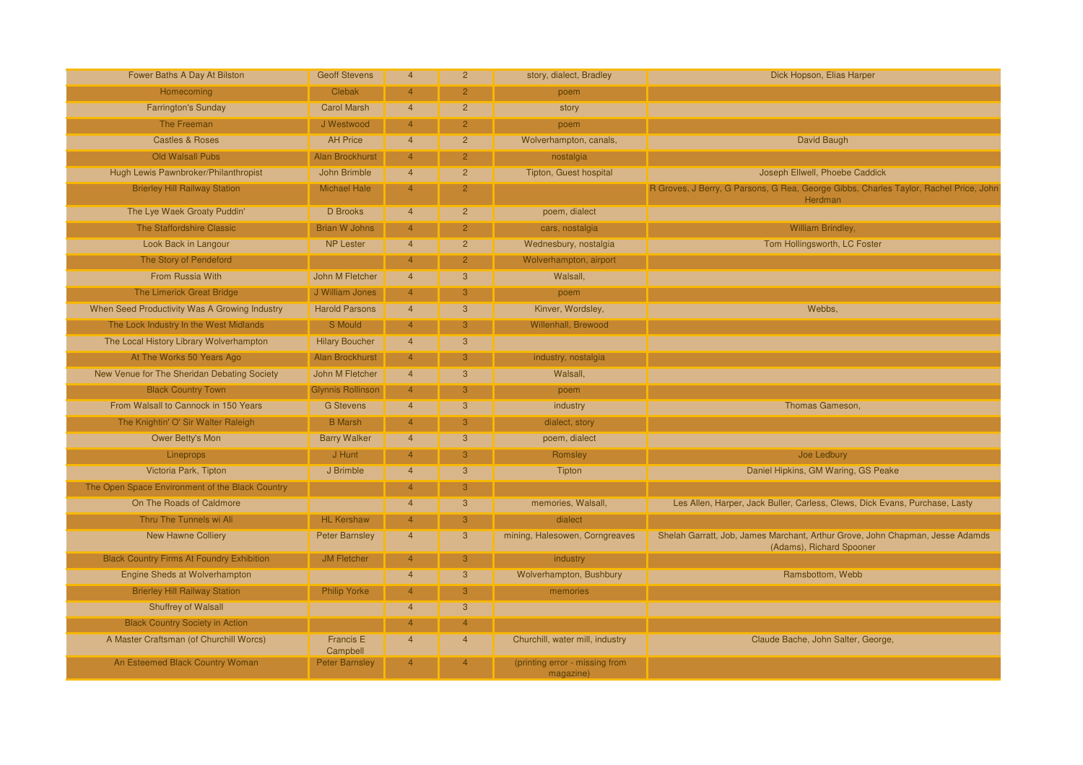| Fower Baths A Day At Bilston                     | <b>Geoff Stevens</b>     | $\overline{4}$ | $\overline{2}$ | story, dialect, Bradley                     | Dick Hopson, Elias Harper                                                                                 |
|--------------------------------------------------|--------------------------|----------------|----------------|---------------------------------------------|-----------------------------------------------------------------------------------------------------------|
| Homecoming                                       | <b>Clebak</b>            |                | $\mathcal{P}$  | poem                                        |                                                                                                           |
| <b>Farrington's Sunday</b>                       | <b>Carol Marsh</b>       | $\overline{4}$ | $\overline{2}$ | story                                       |                                                                                                           |
| The Freeman                                      | J Westwood               | $\overline{4}$ | $\overline{2}$ | poem                                        |                                                                                                           |
| <b>Castles &amp; Roses</b>                       | <b>AH Price</b>          | $\overline{4}$ | 2 <sup>2</sup> | Wolverhampton, canals,                      | David Baugh                                                                                               |
| Old Walsall Pubs                                 | <b>Alan Brockhurst</b>   | $\overline{4}$ | $\overline{2}$ | nostalgia                                   |                                                                                                           |
| Hugh Lewis Pawnbroker/Philanthropist             | John Brimble             | $\overline{4}$ | 2 <sup>1</sup> | Tipton, Guest hospital                      | Joseph Ellwell, Phoebe Caddick                                                                            |
| <b>Brierley Hill Railway Station</b>             | <b>Michael Hale</b>      |                | $\mathcal{P}$  |                                             | R Groves, J Berry, G Parsons, G Rea, George Gibbs, Charles Taylor, Rachel Price, John<br>Herdman          |
| The Lye Waek Groaty Puddin'                      | D Brooks                 | $\overline{4}$ | 2 <sup>2</sup> | poem, dialect                               |                                                                                                           |
| The Staffordshire Classic                        | <b>Brian W Johns</b>     | $\overline{4}$ | $\overline{2}$ | cars, nostalgia                             | <b>William Brindley,</b>                                                                                  |
| Look Back in Langour                             | <b>NP Lester</b>         | $\overline{4}$ | $\overline{2}$ | Wednesbury, nostalgia                       | Tom Hollingsworth, LC Foster                                                                              |
| The Story of Pendeford                           |                          | $\Delta$       | $\overline{2}$ | Wolverhampton, airport                      |                                                                                                           |
| <b>From Russia With</b>                          | John M Fletcher          | $\overline{4}$ | $\overline{3}$ | Walsall,                                    |                                                                                                           |
| The Limerick Great Bridge                        | J William Jones          | $\overline{4}$ | 3              | poem                                        |                                                                                                           |
| When Seed Productivity Was A Growing Industry    | <b>Harold Parsons</b>    | $\overline{4}$ | $\overline{3}$ | Kinver, Wordsley,                           | Webbs,                                                                                                    |
| The Lock Industry In the West Midlands           | S Mould                  | $\overline{4}$ | 3              | <b>Willenhall, Brewood</b>                  |                                                                                                           |
| The Local History Library Wolverhampton          | <b>Hilary Boucher</b>    | $\overline{4}$ | $\overline{3}$ |                                             |                                                                                                           |
| At The Works 50 Years Ago                        | Alan Brockhurst          | $\overline{4}$ | 3              | industry, nostalgia                         |                                                                                                           |
| New Venue for The Sheridan Debating Society      | John M Fletcher          | $\overline{4}$ | $\mathbf{3}$   | Walsall,                                    |                                                                                                           |
| <b>Black Country Town</b>                        | <b>Glynnis Rollinson</b> | $\overline{4}$ | 3              | poem                                        |                                                                                                           |
| From Walsall to Cannock in 150 Years             | <b>G</b> Stevens         | $\overline{4}$ | $\mathbf{3}$   | industry                                    | Thomas Gameson,                                                                                           |
| The Knightin' O' Sir Walter Raleigh              | <b>B</b> Marsh           |                | 3              | dialect, story                              |                                                                                                           |
| Ower Betty's Mon                                 | <b>Barry Walker</b>      |                | $\overline{3}$ | poem, dialect                               |                                                                                                           |
| Lineprops                                        | J Hunt                   |                |                | Romsley                                     | Joe Ledbury                                                                                               |
| Victoria Park, Tipton                            | J Brimble                |                | $\overline{3}$ | Tipton                                      | Daniel Hipkins, GM Waring, GS Peake                                                                       |
| The Open Space Environment of the Black Country  |                          |                |                |                                             |                                                                                                           |
| On The Roads of Caldmore                         |                          | $\overline{4}$ | 3              | memories, Walsall,                          | Les Allen, Harper, Jack Buller, Carless, Clews, Dick Evans, Purchase, Lasty                               |
| Thru The Tunnels wi Ali                          | <b>HL Kershaw</b>        |                | 3              | dialect                                     |                                                                                                           |
| <b>New Hawne Colliery</b>                        | <b>Peter Barnsley</b>    | $\overline{4}$ | 3              | mining, Halesowen, Corngreaves              | Shelah Garratt, Job, James Marchant, Arthur Grove, John Chapman, Jesse Adamds<br>(Adams), Richard Spooner |
| <b>Black Country Firms At Foundry Exhibition</b> | <b>JM Fletcher</b>       | $\overline{4}$ | 3.             | industry                                    |                                                                                                           |
| Engine Sheds at Wolverhampton                    |                          | $\overline{4}$ | $\overline{3}$ | Wolverhampton, Bushbury                     | Ramsbottom, Webb                                                                                          |
| <b>Brierley Hill Railway Station</b>             | <b>Philip Yorke</b>      | $\overline{4}$ | 3              | memories                                    |                                                                                                           |
| <b>Shuffrey of Walsall</b>                       |                          | $\overline{4}$ | $\overline{3}$ |                                             |                                                                                                           |
| <b>Black Country Society in Action</b>           |                          | $\overline{4}$ | 4              |                                             |                                                                                                           |
| A Master Craftsman (of Churchill Worcs)          | Francis E<br>Campbell    | $\overline{4}$ | $\overline{4}$ | Churchill, water mill, industry             | Claude Bache, John Salter, George,                                                                        |
| An Esteemed Black Country Woman                  | <b>Peter Barnsley</b>    |                |                | (printing error - missing from<br>magazine) |                                                                                                           |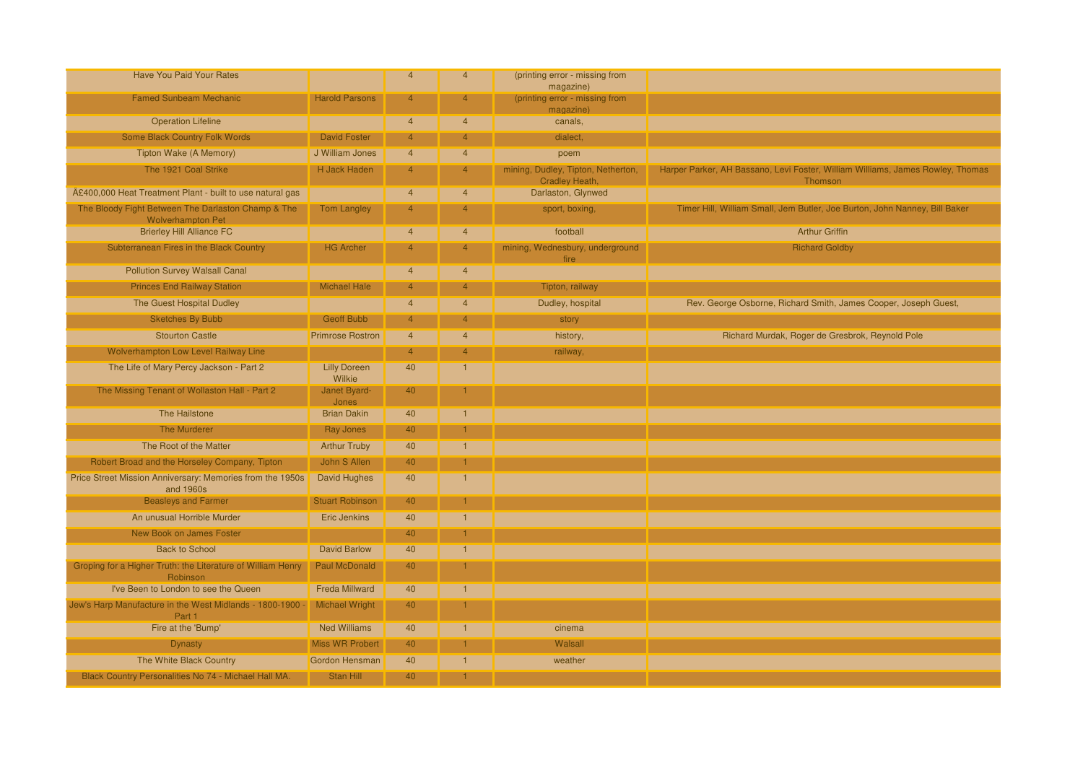| <b>Have You Paid Your Rates</b>                                                |                               | $\overline{4}$         | $\overline{4}$ | (printing error - missing from<br>magazine)          |                                                                                                  |
|--------------------------------------------------------------------------------|-------------------------------|------------------------|----------------|------------------------------------------------------|--------------------------------------------------------------------------------------------------|
| <b>Famed Sunbeam Mechanic</b>                                                  | <b>Harold Parsons</b>         | $\boldsymbol{\Lambda}$ | $\Delta$       | (printing error - missing from<br>magazine)          |                                                                                                  |
| <b>Operation Lifeline</b>                                                      |                               | $\overline{4}$         | $\overline{4}$ | canals,                                              |                                                                                                  |
| <b>Some Black Country Folk Words</b>                                           | <b>David Foster</b>           | $\overline{4}$         | $\overline{4}$ | dialect.                                             |                                                                                                  |
| Tipton Wake (A Memory)                                                         | J William Jones               | $\overline{4}$         | $\overline{4}$ | poem                                                 |                                                                                                  |
| The 1921 Coal Strike                                                           | H Jack Haden                  | $\overline{4}$         | $\overline{4}$ | mining, Dudley, Tipton, Netherton,<br>Cradley Heath, | Harper Parker, AH Bassano, Levi Foster, William Williams, James Rowley, Thomas<br><b>Thomson</b> |
| A£400,000 Heat Treatment Plant - built to use natural gas                      |                               | $\overline{4}$         | $\overline{4}$ | Darlaston, Glynwed                                   |                                                                                                  |
| The Bloody Fight Between The Darlaston Champ & The<br><b>Wolverhampton Pet</b> | <b>Tom Langley</b>            | $\overline{4}$         | $\overline{4}$ | sport, boxing,                                       | Timer Hill, William Small, Jem Butler, Joe Burton, John Nanney, Bill Baker                       |
| <b>Brierley Hill Alliance FC</b>                                               |                               | $\overline{4}$         | $\overline{4}$ | football                                             | <b>Arthur Griffin</b>                                                                            |
| Subterranean Fires in the Black Country                                        | <b>HG Archer</b>              | $\overline{4}$         | $\overline{4}$ | mining, Wednesbury, underground<br>fire              | <b>Richard Goldby</b>                                                                            |
| <b>Pollution Survey Walsall Canal</b>                                          |                               | $\overline{4}$         | $\overline{4}$ |                                                      |                                                                                                  |
| <b>Princes End Railway Station</b>                                             | <b>Michael Hale</b>           | $\overline{4}$         | $\overline{4}$ | Tipton, railway                                      |                                                                                                  |
| The Guest Hospital Dudley                                                      |                               | $\overline{4}$         | $\overline{4}$ | Dudley, hospital                                     | Rev. George Osborne, Richard Smith, James Cooper, Joseph Guest,                                  |
| <b>Sketches By Bubb</b>                                                        | <b>Geoff Bubb</b>             | $\overline{4}$         | $\overline{4}$ | story                                                |                                                                                                  |
| <b>Stourton Castle</b>                                                         | <b>Primrose Rostron</b>       | $\overline{4}$         | $\overline{4}$ | history,                                             | Richard Murdak, Roger de Gresbrok, Reynold Pole                                                  |
| Wolverhampton Low Level Railway Line                                           |                               | $\overline{4}$         | $\overline{4}$ | railway,                                             |                                                                                                  |
| The Life of Mary Percy Jackson - Part 2                                        | <b>Lilly Doreen</b><br>Wilkie | 40                     |                |                                                      |                                                                                                  |
| The Missing Tenant of Wollaston Hall - Part 2                                  | Janet Byard-<br>Jones         | 40                     | 1.             |                                                      |                                                                                                  |
| The Hailstone                                                                  | <b>Brian Dakin</b>            | 40                     |                |                                                      |                                                                                                  |
| <b>The Murderer</b>                                                            | Ray Jones                     | 40                     |                |                                                      |                                                                                                  |
| The Root of the Matter                                                         | <b>Arthur Truby</b>           | 40                     |                |                                                      |                                                                                                  |
| Robert Broad and the Horseley Company, Tipton                                  | John S Allen                  | 40                     |                |                                                      |                                                                                                  |
| Price Street Mission Anniversary: Memories from the 1950s<br>and 1960s         | David Hughes                  | 40                     | $\mathbf{1}$   |                                                      |                                                                                                  |
| <b>Beasleys and Farmer</b>                                                     | <b>Stuart Robinson</b>        | 40                     | -1             |                                                      |                                                                                                  |
| An unusual Horrible Murder                                                     | Eric Jenkins                  | 40                     | $\overline{1}$ |                                                      |                                                                                                  |
| New Book on James Foster                                                       |                               | 40                     |                |                                                      |                                                                                                  |
| <b>Back to School</b>                                                          | <b>David Barlow</b>           | 40                     |                |                                                      |                                                                                                  |
| Groping for a Higher Truth: the Literature of William Henry<br>Robinson        | <b>Paul McDonald</b>          | 40                     |                |                                                      |                                                                                                  |
| I've Been to London to see the Queen                                           | <b>Freda Millward</b>         | 40                     | 1              |                                                      |                                                                                                  |
| Jew's Harp Manufacture in the West Midlands - 1800-1900 -<br>Part 1            | <b>Michael Wright</b>         | 40                     | -1.            |                                                      |                                                                                                  |
| Fire at the 'Bump'                                                             | <b>Ned Williams</b>           | 40                     | -1             | cinema                                               |                                                                                                  |
| <b>Dynasty</b>                                                                 | <b>Miss WR Probert</b>        | 40                     | 1              | Walsall                                              |                                                                                                  |
| The White Black Country                                                        | <b>Gordon Hensman</b>         | 40                     | $\overline{1}$ | weather                                              |                                                                                                  |
| Black Country Personalities No 74 - Michael Hall MA.                           | Stan Hill                     | 40                     |                |                                                      |                                                                                                  |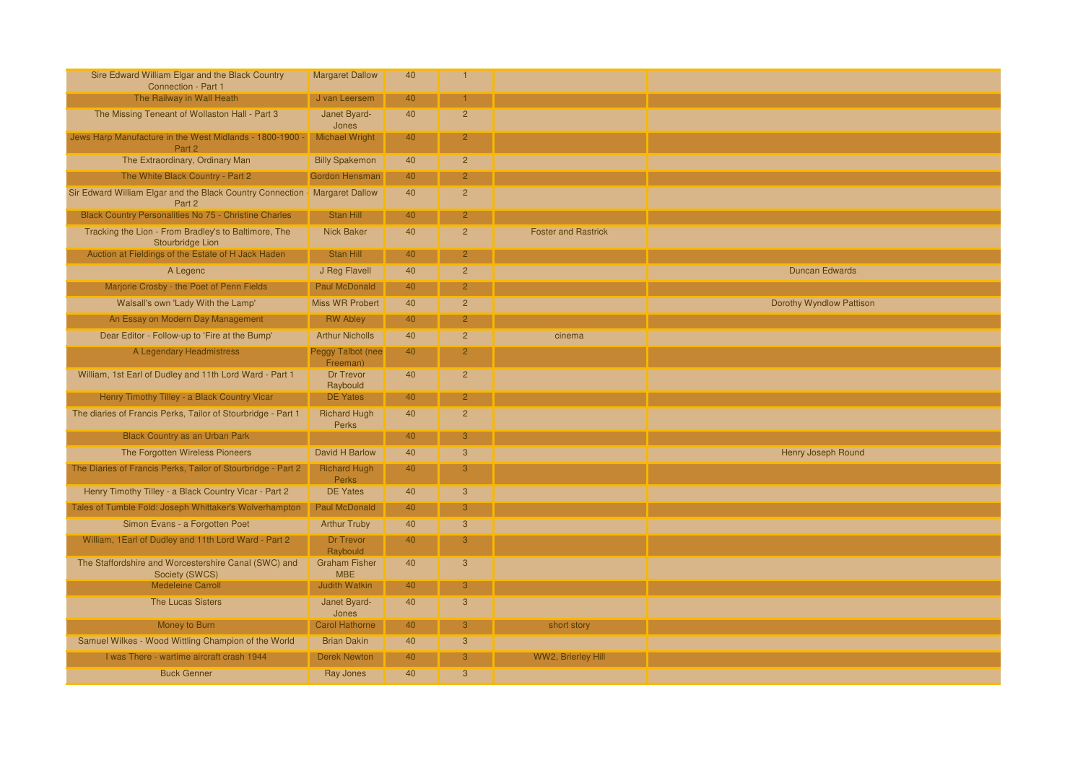| Sire Edward William Elgar and the Black Country<br>Connection - Part 1              | <b>Margaret Dallow</b>               | 40 | $\mathbf{1}$   |                            |                          |
|-------------------------------------------------------------------------------------|--------------------------------------|----|----------------|----------------------------|--------------------------|
| The Railway in Wall Heath                                                           | J van Leersem                        | 40 |                |                            |                          |
| The Missing Teneant of Wollaston Hall - Part 3                                      | Janet Byard-<br>Jones                | 40 | $\overline{2}$ |                            |                          |
| Jews Harp Manufacture in the West Midlands - 1800-1900<br>Part 2                    | <b>Michael Wright</b>                | 40 | $\overline{2}$ |                            |                          |
| The Extraordinary, Ordinary Man                                                     | <b>Billy Spakemon</b>                | 40 | $\overline{2}$ |                            |                          |
| The White Black Country - Part 2                                                    | <b>Gordon Hensman</b>                | 40 | $\overline{2}$ |                            |                          |
| Sir Edward William Elgar and the Black Country Connection Margaret Dallow<br>Part 2 |                                      | 40 | $\overline{2}$ |                            |                          |
| <b>Black Country Personalities No 75 - Christine Charles</b>                        | <b>Stan Hill</b>                     | 40 | $2^{\circ}$    |                            |                          |
| Tracking the Lion - From Bradley's to Baltimore, The<br>Stourbridge Lion            | <b>Nick Baker</b>                    | 40 | 2 <sup>2</sup> | <b>Foster and Rastrick</b> |                          |
| Auction at Fieldings of the Estate of H Jack Haden                                  | <b>Stan Hill</b>                     | 40 | 2 <sup>1</sup> |                            |                          |
| A Legenc                                                                            | J Reg Flavell                        | 40 | $\overline{2}$ |                            | <b>Duncan Edwards</b>    |
| Marjorie Crosby - the Poet of Penn Fields                                           | Paul McDonald                        | 40 | 2 <sup>1</sup> |                            |                          |
| Walsall's own 'Lady With the Lamp'                                                  | <b>Miss WR Probert</b>               | 40 | $\overline{2}$ |                            | Dorothy Wyndlow Pattison |
| An Essay on Modern Day Management                                                   | <b>RW Abley</b>                      | 40 | 2 <sup>1</sup> |                            |                          |
| Dear Editor - Follow-up to 'Fire at the Bump'                                       | <b>Arthur Nicholls</b>               | 40 | $2^{1}$        | cinema                     |                          |
| A Legendary Headmistress                                                            | <b>Peggy Talbot (nee</b><br>Freeman) | 40 | $\overline{2}$ |                            |                          |
| William, 1st Earl of Dudley and 11th Lord Ward - Part 1                             | <b>Dr Trevor</b><br>Raybould         | 40 | $\overline{2}$ |                            |                          |
| Henry Timothy Tilley - a Black Country Vicar                                        | <b>DE Yates</b>                      | 40 | $\overline{2}$ |                            |                          |
| The diaries of Francis Perks, Tailor of Stourbridge - Part 1                        | <b>Richard Hugh</b><br>Perks         | 40 | $\overline{2}$ |                            |                          |
| <b>Black Country as an Urban Park</b>                                               |                                      | 40 | 3 <sup>1</sup> |                            |                          |
| The Forgotten Wireless Pioneers                                                     | David H Barlow                       | 40 | $\mathbf{3}$   |                            | Henry Joseph Round       |
| The Diaries of Francis Perks, Tailor of Stourbridge - Part 2                        | <b>Richard Hugh</b><br><b>Perks</b>  | 40 | 3 <sup>1</sup> |                            |                          |
| Henry Timothy Tilley - a Black Country Vicar - Part 2                               | <b>DE Yates</b>                      | 40 | $\mathbf{3}$   |                            |                          |
| Tales of Tumble Fold: Joseph Whittaker's Wolverhampton                              | <b>Paul McDonald</b>                 | 40 | 3 <sup>°</sup> |                            |                          |
| Simon Evans - a Forgotten Poet                                                      | <b>Arthur Truby</b>                  | 40 | $\overline{3}$ |                            |                          |
| William, 1 Earl of Dudley and 11th Lord Ward - Part 2                               | Dr Trevor<br>Raybould                | 40 | 3 <sup>1</sup> |                            |                          |
| The Staffordshire and Worcestershire Canal (SWC) and<br>Society (SWCS)              | <b>Graham Fisher</b><br><b>MBE</b>   | 40 | $\overline{3}$ |                            |                          |
| <b>Medeleine Carroll</b>                                                            | <b>Judith Watkin</b>                 | 40 | 3 <sup>°</sup> |                            |                          |
| <b>The Lucas Sisters</b>                                                            | Janet Byard-<br>Jones                | 40 | $\overline{3}$ |                            |                          |
| Money to Burn                                                                       | <b>Carol Hathorne</b>                | 40 | 3              | short story                |                          |
| Samuel Wilkes - Wood Wittling Champion of the World                                 | <b>Brian Dakin</b>                   | 40 | $\mathbf{3}$   |                            |                          |
| I was There - wartime aircraft crash 1944                                           | <b>Derek Newton</b>                  | 40 | 3              | WW2, Brierley Hill         |                          |
| <b>Buck Genner</b>                                                                  | Ray Jones                            | 40 | $\mathbf{3}$   |                            |                          |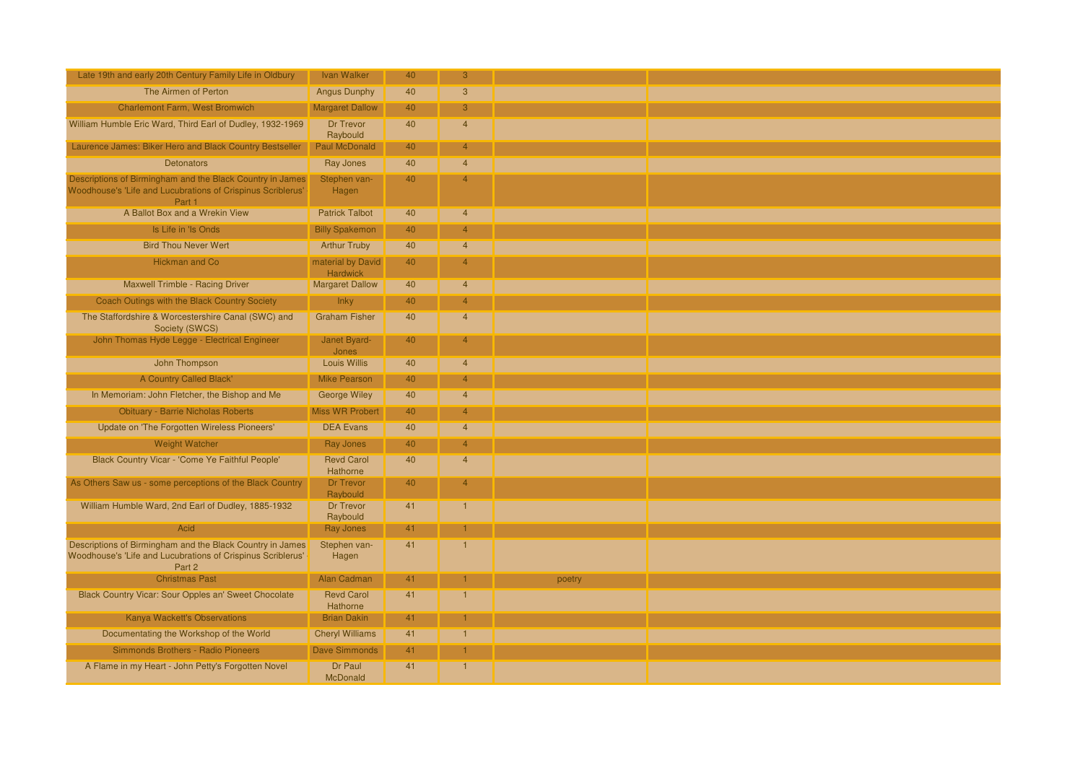| Late 19th and early 20th Century Family Life in Oldbury                                                                            | Ivan Walker                          | 40 | 3              |        |  |
|------------------------------------------------------------------------------------------------------------------------------------|--------------------------------------|----|----------------|--------|--|
| The Airmen of Perton                                                                                                               | <b>Angus Dunphy</b>                  | 40 | $\mathbf{3}$   |        |  |
| <b>Charlemont Farm, West Bromwich</b>                                                                                              | <b>Margaret Dallow</b>               | 40 | 3              |        |  |
| William Humble Eric Ward, Third Earl of Dudley, 1932-1969                                                                          | Dr Trevor<br>Raybould                | 40 | $\overline{4}$ |        |  |
| Laurence James: Biker Hero and Black Country Bestseller                                                                            | <b>Paul McDonald</b>                 | 40 | $\overline{4}$ |        |  |
| <b>Detonators</b>                                                                                                                  | Ray Jones                            | 40 | $\overline{4}$ |        |  |
| Descriptions of Birmingham and the Black Country in James<br>Woodhouse's 'Life and Lucubrations of Crispinus Scriblerus'<br>Part 1 | Stephen van-<br>Hagen                | 40 | $\overline{4}$ |        |  |
| A Ballot Box and a Wrekin View                                                                                                     | <b>Patrick Talbot</b>                | 40 | $\overline{4}$ |        |  |
| Is Life in 'Is Onds                                                                                                                | <b>Billy Spakemon</b>                | 40 | $\overline{4}$ |        |  |
| <b>Bird Thou Never Wert</b>                                                                                                        | <b>Arthur Truby</b>                  | 40 | $\overline{4}$ |        |  |
| <b>Hickman and Co</b>                                                                                                              | material by David<br><b>Hardwick</b> | 40 | $\overline{4}$ |        |  |
| Maxwell Trimble - Racing Driver                                                                                                    | <b>Margaret Dallow</b>               | 40 | $\overline{4}$ |        |  |
| Coach Outings with the Black Country Society                                                                                       | <b>Inky</b>                          | 40 | $\overline{4}$ |        |  |
| The Staffordshire & Worcestershire Canal (SWC) and<br>Society (SWCS)                                                               | <b>Graham Fisher</b>                 | 40 | $\overline{4}$ |        |  |
| John Thomas Hyde Legge - Electrical Engineer                                                                                       | Janet Byard-<br>Jones                | 40 | $\overline{4}$ |        |  |
| John Thompson                                                                                                                      | <b>Louis Willis</b>                  | 40 | $\overline{4}$ |        |  |
| A Country Called Black'                                                                                                            | <b>Mike Pearson</b>                  | 40 | $\overline{4}$ |        |  |
| In Memoriam: John Fletcher, the Bishop and Me                                                                                      | <b>George Wiley</b>                  | 40 | $\overline{4}$ |        |  |
| <b>Obituary - Barrie Nicholas Roberts</b>                                                                                          | <b>Miss WR Probert</b>               | 40 | $\overline{4}$ |        |  |
| Update on 'The Forgotten Wireless Pioneers'                                                                                        | <b>DEA Evans</b>                     | 40 | $\overline{4}$ |        |  |
| <b>Weight Watcher</b>                                                                                                              | Ray Jones                            | 40 | $\overline{4}$ |        |  |
| Black Country Vicar - 'Come Ye Faithful People'                                                                                    | <b>Revd Carol</b><br>Hathorne        | 40 | $\overline{4}$ |        |  |
| As Others Saw us - some perceptions of the Black Country                                                                           | <b>Dr Trevor</b><br>Raybould         | 40 | $\overline{4}$ |        |  |
| William Humble Ward, 2nd Earl of Dudley, 1885-1932                                                                                 | <b>Dr Trevor</b><br>Raybould         | 41 | $\overline{1}$ |        |  |
| Acid                                                                                                                               | Ray Jones                            | 41 |                |        |  |
| Descriptions of Birmingham and the Black Country in James<br>Woodhouse's 'Life and Lucubrations of Crispinus Scriblerus'<br>Part 2 | Stephen van-<br>Hagen                | 41 | $\overline{1}$ |        |  |
| <b>Christmas Past</b>                                                                                                              | Alan Cadman                          | 41 |                | poetry |  |
| Black Country Vicar: Sour Opples an' Sweet Chocolate                                                                               | <b>Revd Carol</b><br>Hathorne        | 41 |                |        |  |
| Kanya Wackett's Observations                                                                                                       | <b>Brian Dakin</b>                   | 41 |                |        |  |
| Documentating the Workshop of the World                                                                                            | <b>Cheryl Williams</b>               | 41 |                |        |  |
| Simmonds Brothers - Radio Pioneers                                                                                                 | <b>Dave Simmonds</b>                 | 41 |                |        |  |
| A Flame in my Heart - John Petty's Forgotten Novel                                                                                 | Dr Paul<br><b>McDonald</b>           | 41 | $\overline{1}$ |        |  |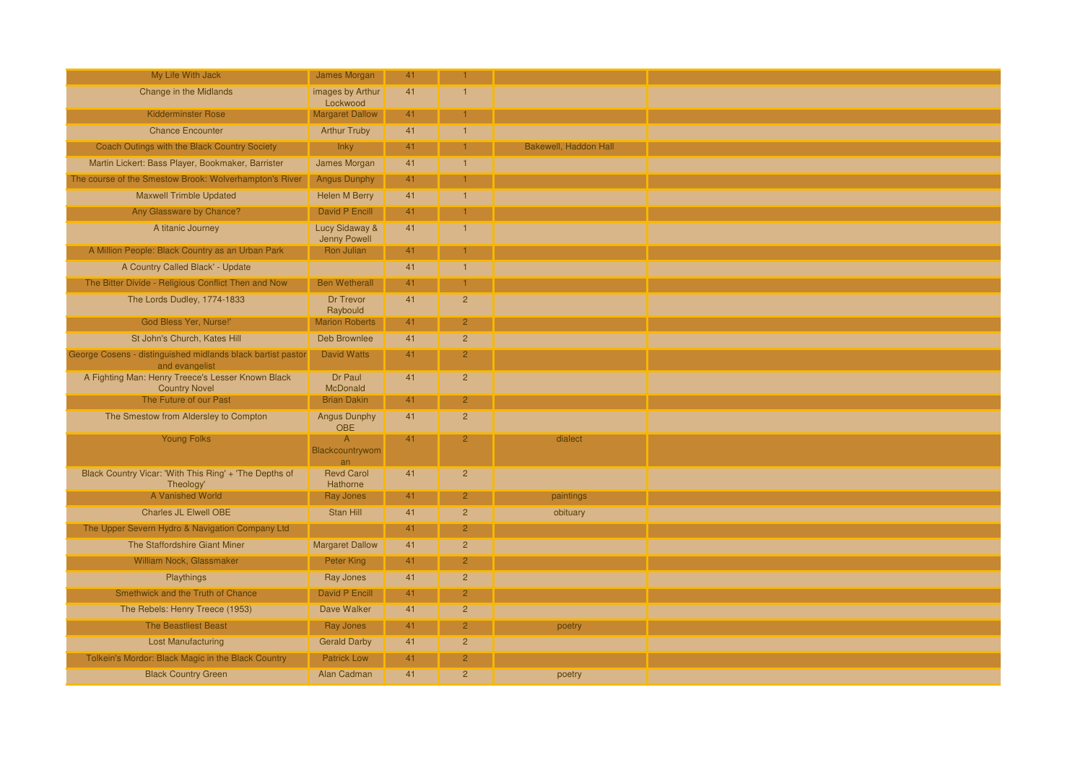| My Life With Jack                                                             | James Morgan                          | 41 | 1              |                       |
|-------------------------------------------------------------------------------|---------------------------------------|----|----------------|-----------------------|
| <b>Change in the Midlands</b>                                                 | images by Arthur                      | 41 | $\overline{1}$ |                       |
| <b>Kidderminster Rose</b>                                                     | Lockwood<br><b>Margaret Dallow</b>    | 41 |                |                       |
| <b>Chance Encounter</b>                                                       | <b>Arthur Truby</b>                   | 41 | $\mathbf{1}$   |                       |
| Coach Outings with the Black Country Society                                  | <b>Inky</b>                           | 41 |                | Bakewell, Haddon Hall |
| Martin Lickert: Bass Player, Bookmaker, Barrister                             | James Morgan                          | 41 | $\mathbf{1}$   |                       |
| The course of the Smestow Brook: Wolverhampton's River                        | <b>Angus Dunphy</b>                   | 41 | 1              |                       |
| <b>Maxwell Trimble Updated</b>                                                | <b>Helen M Berry</b>                  | 41 | $\overline{1}$ |                       |
| Any Glassware by Chance?                                                      | David P Encill                        | 41 | 1              |                       |
| A titanic Journey                                                             | Lucy Sidaway &<br>Jenny Powell        | 41 | $\overline{1}$ |                       |
| A Million People: Black Country as an Urban Park                              | Ron Julian                            | 41 |                |                       |
| A Country Called Black' - Update                                              |                                       | 41 | $\overline{1}$ |                       |
| The Bitter Divide - Religious Conflict Then and Now                           | <b>Ben Wetherall</b>                  | 41 |                |                       |
| The Lords Dudley, 1774-1833                                                   | Dr Trevor<br>Raybould                 | 41 | $\overline{2}$ |                       |
| God Bless Yer, Nurse!'                                                        | <b>Marion Roberts</b>                 | 41 | 2 <sup>1</sup> |                       |
| St John's Church, Kates Hill                                                  | <b>Deb Brownlee</b>                   | 41 | $\overline{2}$ |                       |
| George Cosens - distinguished midlands black bartist pastor<br>and evangelist | <b>David Watts</b>                    | 41 | $2^{\circ}$    |                       |
| A Fighting Man: Henry Treece's Lesser Known Black<br><b>Country Novel</b>     | Dr Paul<br>McDonald                   | 41 | $\overline{2}$ |                       |
| The Future of our Past                                                        | <b>Brian Dakin</b>                    | 41 | $\overline{2}$ |                       |
| The Smestow from Aldersley to Compton                                         | <b>Angus Dunphy</b><br><b>OBE</b>     | 41 | $\overline{2}$ |                       |
| <b>Young Folks</b>                                                            | $\mathsf{A}$<br>Blackcountrywom<br>an | 41 | $2^{\circ}$    | dialect               |
| Black Country Vicar: 'With This Ring' + 'The Depths of                        | <b>Revd Carol</b>                     | 41 | $\overline{2}$ |                       |
| Theology'<br>A Vanished World                                                 | Hathorne<br>Ray Jones                 | 41 | $2^{\circ}$    | paintings             |
| <b>Charles JL Elwell OBE</b>                                                  | <b>Stan Hill</b>                      | 41 | $\overline{2}$ | obituary              |
| The Upper Severn Hydro & Navigation Company Ltd                               |                                       | 41 | 2 <sup>1</sup> |                       |
| The Staffordshire Giant Miner                                                 | <b>Margaret Dallow</b>                | 41 | $\overline{2}$ |                       |
| William Nock, Glassmaker                                                      | Peter King                            | 41 | $\overline{2}$ |                       |
| Playthings                                                                    | Ray Jones                             | 41 | $\overline{2}$ |                       |
| Smethwick and the Truth of Chance                                             | <b>David P Encill</b>                 | 41 | $\overline{2}$ |                       |
| The Rebels: Henry Treece (1953)                                               | Dave Walker                           | 41 | $\overline{2}$ |                       |
| <b>The Beastliest Beast</b>                                                   | Ray Jones                             | 41 | $\overline{2}$ | poetry                |
| <b>Lost Manufacturing</b>                                                     | <b>Gerald Darby</b>                   | 41 | $\overline{2}$ |                       |
| Tolkein's Mordor: Black Magic in the Black Country                            | <b>Patrick Low</b>                    | 41 | $2^{\circ}$    |                       |
| <b>Black Country Green</b>                                                    | Alan Cadman                           | 41 | $\overline{2}$ | poetry                |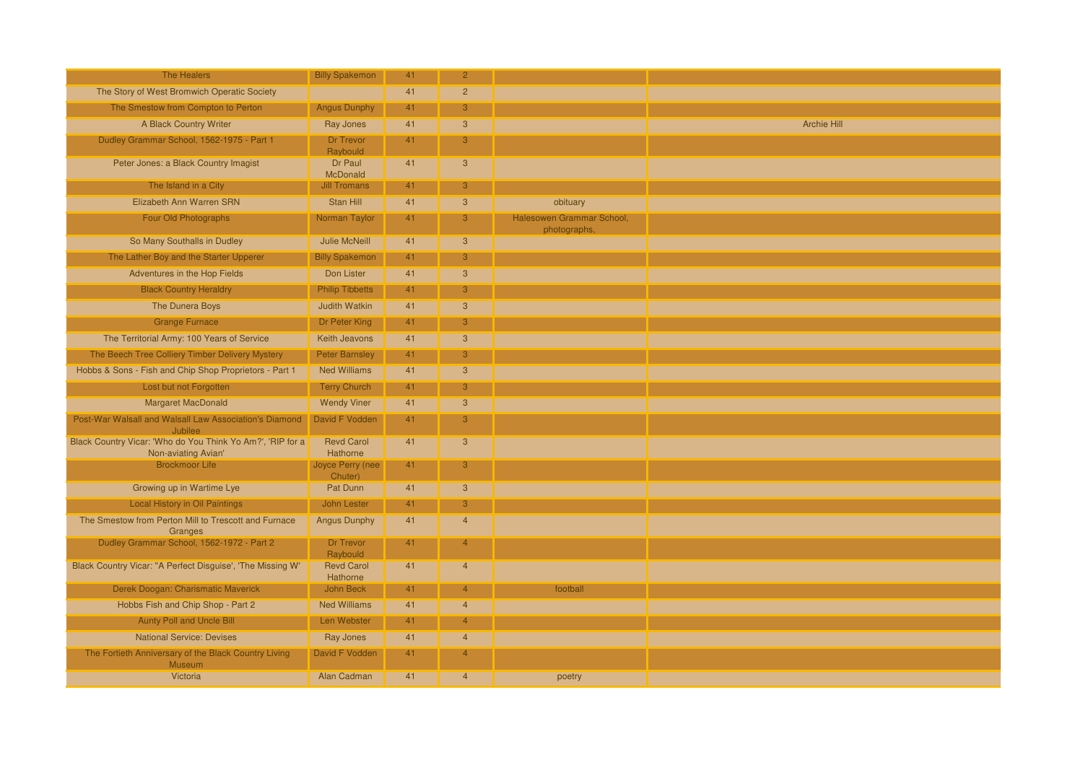| The Healers                                                                       | <b>Billy Spakemon</b>         | 41 | $\mathbf{2}$   |                                           |                    |
|-----------------------------------------------------------------------------------|-------------------------------|----|----------------|-------------------------------------------|--------------------|
| The Story of West Bromwich Operatic Society                                       |                               | 41 | $\overline{2}$ |                                           |                    |
| The Smestow from Compton to Perton                                                | <b>Angus Dunphy</b>           | 41 | 3              |                                           |                    |
| A Black Country Writer                                                            | Ray Jones                     | 41 | 3              |                                           | <b>Archie Hill</b> |
| Dudley Grammar School, 1562-1975 - Part 1                                         | Dr Trevor<br>Raybould         | 41 | 3              |                                           |                    |
| Peter Jones: a Black Country Imagist                                              | Dr Paul<br>McDonald           | 41 | $\overline{3}$ |                                           |                    |
| The Island in a City                                                              | <b>Jill Tromans</b>           | 41 | 3              |                                           |                    |
| Elizabeth Ann Warren SRN                                                          | Stan Hill                     | 41 | $\mathbf{3}$   | obituary                                  |                    |
| Four Old Photographs                                                              | Norman Taylor                 | 41 | 3              | Halesowen Grammar School,<br>photographs, |                    |
| So Many Southalls in Dudley                                                       | <b>Julie McNeill</b>          | 41 | $\mathbf{3}$   |                                           |                    |
| The Lather Boy and the Starter Upperer                                            | <b>Billy Spakemon</b>         | 41 | 3              |                                           |                    |
| Adventures in the Hop Fields                                                      | Don Lister                    | 41 | 3 <sup>5</sup> |                                           |                    |
| <b>Black Country Heraldry</b>                                                     | <b>Philip Tibbetts</b>        | 41 | 3              |                                           |                    |
| The Dunera Boys                                                                   | Judith Watkin                 | 41 | $\overline{3}$ |                                           |                    |
| <b>Grange Furnace</b>                                                             | Dr Peter King                 | 41 | 3              |                                           |                    |
| The Territorial Army: 100 Years of Service                                        | Keith Jeavons                 | 41 | 3              |                                           |                    |
| The Beech Tree Colliery Timber Delivery Mystery                                   | <b>Peter Barnsley</b>         | 41 | 3              |                                           |                    |
| Hobbs & Sons - Fish and Chip Shop Proprietors - Part 1                            | <b>Ned Williams</b>           | 41 | $\mathbf{3}$   |                                           |                    |
| Lost but not Forgotten                                                            | <b>Terry Church</b>           | 41 | 3              |                                           |                    |
| <b>Margaret MacDonald</b>                                                         | <b>Wendy Viner</b>            | 41 | $\overline{3}$ |                                           |                    |
| Post-War Walsall and Walsall Law Association's Diamond<br>Jubilee                 | David F Vodden                | 41 | 3              |                                           |                    |
| Black Country Vicar: 'Who do You Think Yo Am?', 'RIP for a<br>Non-aviating Avian' | <b>Revd Carol</b><br>Hathorne | 41 | $\overline{3}$ |                                           |                    |
| <b>Brockmoor Life</b>                                                             | Joyce Perry (nee<br>Chuter)   | 41 | 3              |                                           |                    |
| Growing up in Wartime Lye                                                         | Pat Dunn                      | 41 | $\overline{3}$ |                                           |                    |
| <b>Local History in Oil Paintings</b>                                             | John Lester                   | 41 | 3              |                                           |                    |
| The Smestow from Perton Mill to Trescott and Furnace<br>Granges                   | <b>Angus Dunphy</b>           | 41 | $\overline{4}$ |                                           |                    |
| Dudley Grammar School, 1562-1972 - Part 2                                         | Dr Trevor<br>Raybould         | 41 | $\overline{4}$ |                                           |                    |
| Black Country Vicar: "A Perfect Disguise', 'The Missing W'                        | <b>Revd Carol</b><br>Hathorne | 41 | $\overline{4}$ |                                           |                    |
| Derek Doogan: Charismatic Maverick                                                | <b>John Beck</b>              | 41 | $\overline{4}$ | football                                  |                    |
| Hobbs Fish and Chip Shop - Part 2                                                 | <b>Ned Williams</b>           | 41 | $\overline{4}$ |                                           |                    |
| <b>Aunty Poll and Uncle Bill</b>                                                  | Len Webster                   | 41 | $\overline{4}$ |                                           |                    |
| <b>National Service: Devises</b>                                                  | Ray Jones                     | 41 | $\overline{4}$ |                                           |                    |
| The Fortieth Anniversary of the Black Country Living<br><b>Museum</b>             | David F Vodden                | 41 | $\overline{4}$ |                                           |                    |
| Victoria                                                                          | Alan Cadman                   | 41 | $\overline{4}$ | poetry                                    |                    |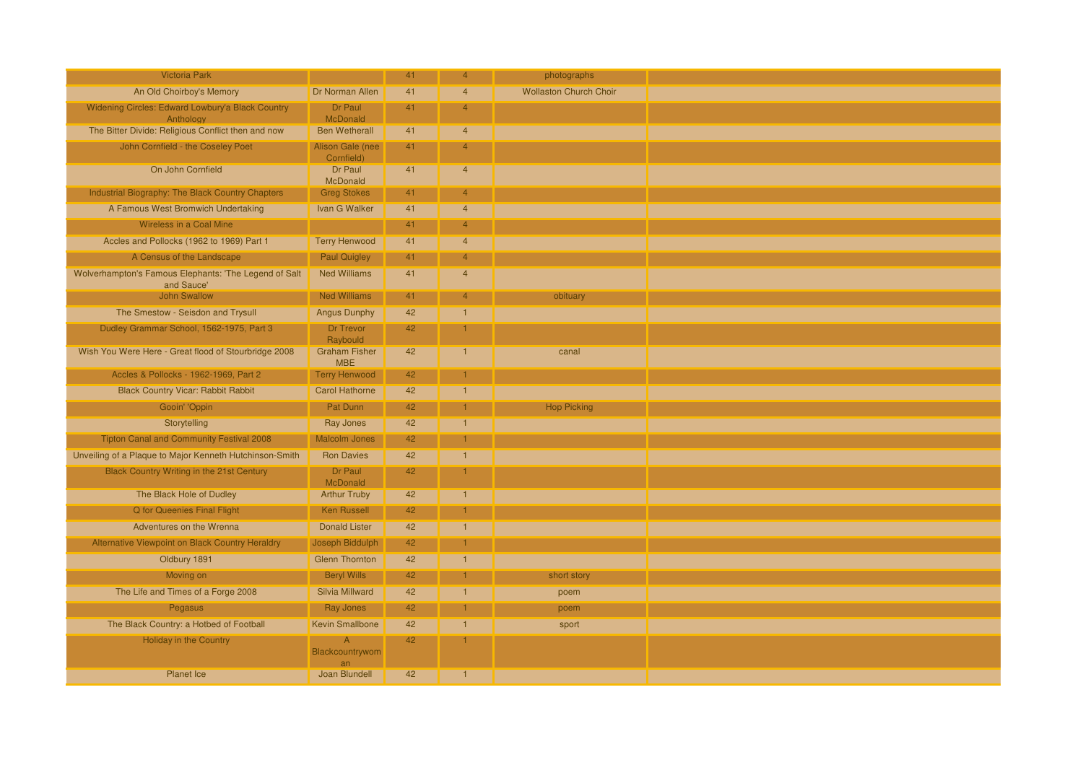| <b>Victoria Park</b>                                                |                                         | 41 | $\overline{4}$ | photographs                   |
|---------------------------------------------------------------------|-----------------------------------------|----|----------------|-------------------------------|
| An Old Choirboy's Memory                                            | Dr Norman Allen                         | 41 | $\overline{4}$ | <b>Wollaston Church Choir</b> |
| Widening Circles: Edward Lowbury'a Black Country<br>Anthology       | Dr Paul<br>McDonald                     | 41 | $\overline{4}$ |                               |
| The Bitter Divide: Religious Conflict then and now                  | <b>Ben Wetherall</b>                    | 41 | $\overline{4}$ |                               |
| John Cornfield - the Coseley Poet                                   | Alison Gale (nee<br>Cornfield)          | 41 | $\overline{4}$ |                               |
| On John Cornfield                                                   | Dr Paul<br>McDonald                     | 41 | $\overline{4}$ |                               |
| Industrial Biography: The Black Country Chapters                    | <b>Greg Stokes</b>                      | 41 | $\overline{4}$ |                               |
| A Famous West Bromwich Undertaking                                  | Ivan G Walker                           | 41 | $\overline{4}$ |                               |
| Wireless in a Coal Mine                                             |                                         | 41 | $\overline{4}$ |                               |
| Accles and Pollocks (1962 to 1969) Part 1                           | <b>Terry Henwood</b>                    | 41 | $\overline{4}$ |                               |
| A Census of the Landscape                                           | <b>Paul Quigley</b>                     | 41 | $\overline{4}$ |                               |
| Wolverhampton's Famous Elephants: 'The Legend of Salt<br>and Sauce' | <b>Ned Williams</b>                     | 41 | $\overline{4}$ |                               |
| <b>John Swallow</b>                                                 | <b>Ned Williams</b>                     | 41 | $\overline{4}$ | obituary                      |
| The Smestow - Seisdon and Trysull                                   | <b>Angus Dunphy</b>                     | 42 |                |                               |
| Dudley Grammar School, 1562-1975, Part 3                            | Dr Trevor<br>Raybould                   | 42 |                |                               |
| Wish You Were Here - Great flood of Stourbridge 2008                | <b>Graham Fisher</b><br><b>MBE</b>      | 42 | $\mathbf{1}$   | canal                         |
| Accles & Pollocks - 1962-1969, Part 2                               | <b>Terry Henwood</b>                    | 42 |                |                               |
| <b>Black Country Vicar: Rabbit Rabbit</b>                           | <b>Carol Hathorne</b>                   | 42 | -1             |                               |
| Gooin' 'Oppin                                                       | Pat Dunn                                | 42 | $\mathbf{1}$   | <b>Hop Picking</b>            |
| Storytelling                                                        | <b>Ray Jones</b>                        | 42 | $\mathbf{1}$   |                               |
| <b>Tipton Canal and Community Festival 2008</b>                     | <b>Malcolm Jones</b>                    | 42 | $\mathbf{1}$   |                               |
| Unveiling of a Plaque to Major Kenneth Hutchinson-Smith             | <b>Ron Davies</b>                       | 42 | $\mathbf{1}$   |                               |
| Black Country Writing in the 21st Century                           | Dr Paul<br>McDonald                     | 42 | $\mathbf{1}$   |                               |
| The Black Hole of Dudley                                            | <b>Arthur Truby</b>                     | 42 |                |                               |
| Q for Queenies Final Flight                                         | <b>Ken Russell</b>                      | 42 | $\mathbf{1}$   |                               |
| Adventures on the Wrenna                                            | <b>Donald Lister</b>                    | 42 |                |                               |
| Alternative Viewpoint on Black Country Heraldry                     | Joseph Biddulph                         | 42 | 1              |                               |
| Oldbury 1891                                                        | <b>Glenn Thornton</b>                   | 42 | $\overline{1}$ |                               |
| Moving on                                                           | <b>Beryl Wills</b>                      | 42 | $\mathbf{1}$   | short story                   |
| The Life and Times of a Forge 2008                                  | <b>Silvia Millward</b>                  | 42 | $\mathbf{1}$   | poem                          |
| Pegasus                                                             | Ray Jones                               | 42 | $\mathbf{1}$   | poem                          |
| The Black Country: a Hotbed of Football                             | <b>Kevin Smallbone</b>                  | 42 | $\mathbf{1}$   | sport                         |
| <b>Holiday in the Country</b>                                       | $\overline{A}$<br>Blackcountrywom<br>an | 42 | $\mathbf{1}$   |                               |
| <b>Planet Ice</b>                                                   | Joan Blundell                           | 42 | $\mathbf{1}$   |                               |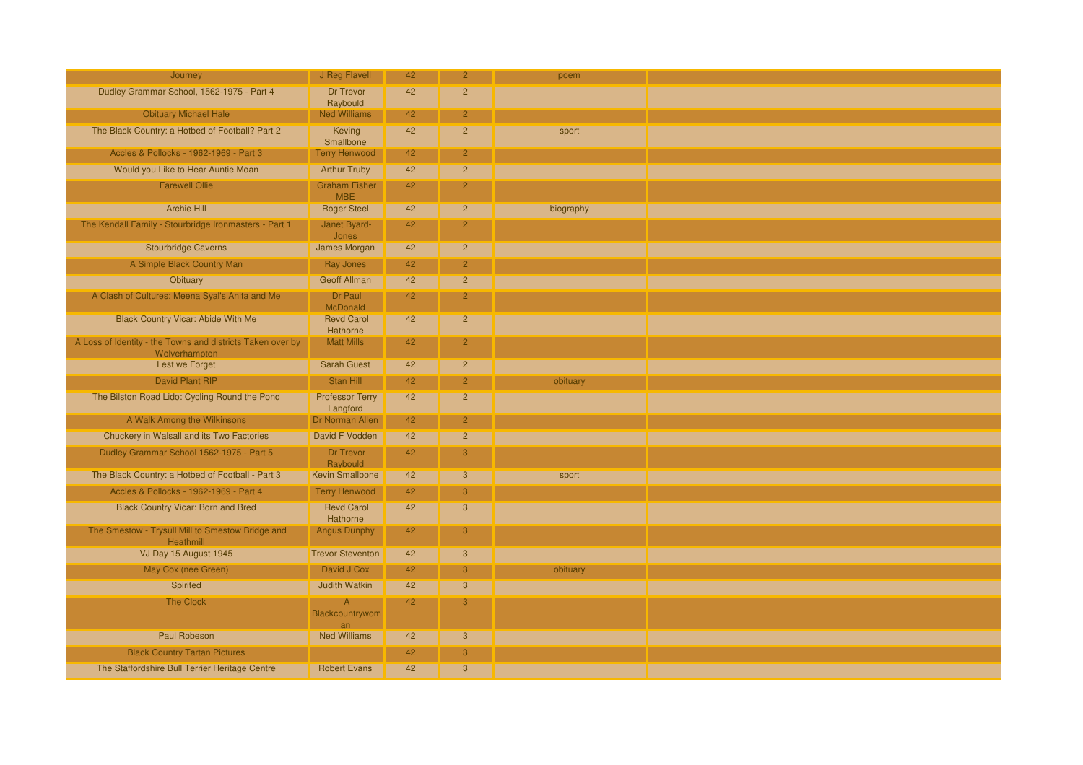| Journey                                                                     | J Reg Flavell                         | 42 | 2 <sup>1</sup> | poem      |  |
|-----------------------------------------------------------------------------|---------------------------------------|----|----------------|-----------|--|
| Dudley Grammar School, 1562-1975 - Part 4                                   | Dr Trevor                             | 42 | $\overline{2}$ |           |  |
| <b>Obituary Michael Hale</b>                                                | Raybould<br><b>Ned Williams</b>       | 42 | $\overline{2}$ |           |  |
| The Black Country: a Hotbed of Football? Part 2                             | Keving                                | 42 | $\overline{2}$ | sport     |  |
| Accles & Pollocks - 1962-1969 - Part 3                                      | Smallbone<br><b>Terry Henwood</b>     | 42 | 2 <sup>1</sup> |           |  |
| Would you Like to Hear Auntie Moan                                          | <b>Arthur Truby</b>                   | 42 | $\overline{2}$ |           |  |
| <b>Farewell Ollie</b>                                                       | <b>Graham Fisher</b>                  | 42 | $\overline{2}$ |           |  |
|                                                                             | <b>MBE</b>                            |    |                |           |  |
| <b>Archie Hill</b>                                                          | <b>Roger Steel</b>                    | 42 | $\overline{2}$ | biography |  |
| The Kendall Family - Stourbridge Ironmasters - Part 1                       | Janet Byard-<br>Jones                 | 42 | $\overline{2}$ |           |  |
| <b>Stourbridge Caverns</b>                                                  | James Morgan                          | 42 | $\overline{2}$ |           |  |
| A Simple Black Country Man                                                  | Ray Jones                             | 42 | $2^{\circ}$    |           |  |
| Obituary                                                                    | <b>Geoff Allman</b>                   | 42 | $\overline{2}$ |           |  |
| A Clash of Cultures: Meena Syal's Anita and Me                              | Dr Paul<br>McDonald                   | 42 | 2 <sup>2</sup> |           |  |
| <b>Black Country Vicar: Abide With Me</b>                                   | <b>Revd Carol</b><br>Hathorne         | 42 | $\overline{2}$ |           |  |
| A Loss of Identity - the Towns and districts Taken over by<br>Wolverhampton | <b>Matt Mills</b>                     | 42 | $\overline{2}$ |           |  |
| Lest we Forget                                                              | <b>Sarah Guest</b>                    | 42 | $\overline{2}$ |           |  |
| <b>David Plant RIP</b>                                                      | Stan Hill                             | 42 | 2 <sup>1</sup> | obituary  |  |
| The Bilston Road Lido: Cycling Round the Pond                               | <b>Professor Terry</b><br>Langford    | 42 | $\overline{2}$ |           |  |
| A Walk Among the Wilkinsons                                                 | Dr Norman Allen                       | 42 | $\overline{2}$ |           |  |
| Chuckery in Walsall and its Two Factories                                   | David F Vodden                        | 42 | $\overline{2}$ |           |  |
| Dudley Grammar School 1562-1975 - Part 5                                    | Dr Trevor<br>Raybould                 | 42 | $\overline{3}$ |           |  |
| The Black Country: a Hotbed of Football - Part 3                            | <b>Kevin Smallbone</b>                | 42 | $\mathbf{3}$   | sport     |  |
| Accles & Pollocks - 1962-1969 - Part 4                                      | <b>Terry Henwood</b>                  | 42 | 3 <sup>7</sup> |           |  |
| <b>Black Country Vicar: Born and Bred</b>                                   | <b>Revd Carol</b><br>Hathorne         | 42 | $\overline{3}$ |           |  |
| The Smestow - Trysull Mill to Smestow Bridge and<br>Heathmill               | <b>Angus Dunphy</b>                   | 42 | 3              |           |  |
| VJ Day 15 August 1945                                                       | <b>Trevor Steventon</b>               | 42 | $\mathbf{3}$   |           |  |
| May Cox (nee Green)                                                         | David J Cox                           | 42 | 3 <sup>1</sup> | obituary  |  |
| Spirited                                                                    | <b>Judith Watkin</b>                  | 42 | $\mathbf{3}$   |           |  |
| The Clock                                                                   | $\mathsf{A}$<br>Blackcountrywom<br>an | 42 | 3              |           |  |
| Paul Robeson                                                                | <b>Ned Williams</b>                   | 42 | $\mathbf{3}$   |           |  |
| <b>Black Country Tartan Pictures</b>                                        |                                       | 42 | 3              |           |  |
| The Staffordshire Bull Terrier Heritage Centre                              | <b>Robert Evans</b>                   | 42 | $\overline{3}$ |           |  |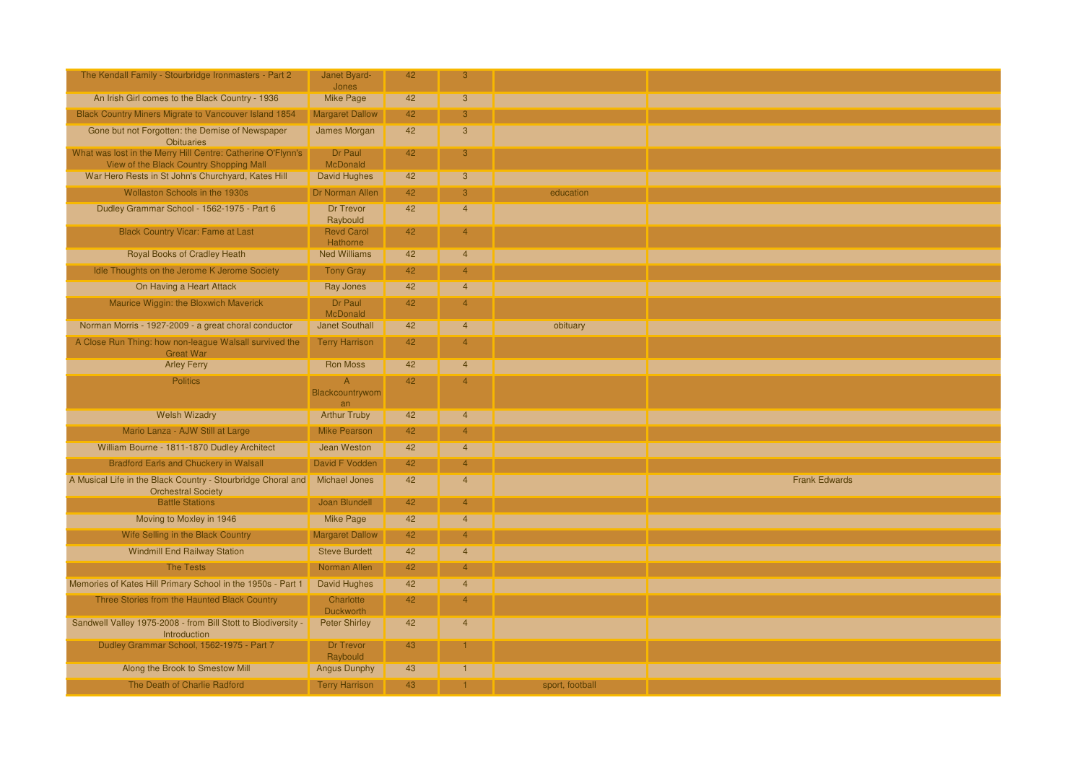| The Kendall Family - Stourbridge Ironmasters - Part 2                                                  | Janet Byard-                          | 42 | 3 <sup>°</sup> |                 |                      |
|--------------------------------------------------------------------------------------------------------|---------------------------------------|----|----------------|-----------------|----------------------|
|                                                                                                        | Jones                                 |    |                |                 |                      |
| An Irish Girl comes to the Black Country - 1936                                                        | Mike Page                             | 42 | $\overline{3}$ |                 |                      |
| Black Country Miners Migrate to Vancouver Island 1854                                                  | <b>Margaret Dallow</b>                | 42 | 3 <sup>1</sup> |                 |                      |
| Gone but not Forgotten: the Demise of Newspaper<br><b>Obituaries</b>                                   | James Morgan                          | 42 | $\mathbf{3}$   |                 |                      |
| What was lost in the Merry Hill Centre: Catherine O'Flynn's<br>View of the Black Country Shopping Mall | Dr Paul<br>McDonald                   | 42 | $\overline{3}$ |                 |                      |
| War Hero Rests in St John's Churchyard, Kates Hill                                                     | <b>David Hughes</b>                   | 42 | $\mathbf{3}$   |                 |                      |
| Wollaston Schools in the 1930s                                                                         | Dr Norman Allen                       | 42 | 3              | education       |                      |
| Dudley Grammar School - 1562-1975 - Part 6                                                             | Dr Trevor<br>Raybould                 | 42 | $\overline{4}$ |                 |                      |
| <b>Black Country Vicar: Fame at Last</b>                                                               | <b>Revd Carol</b><br>Hathorne         | 42 | $\overline{4}$ |                 |                      |
| Royal Books of Cradley Heath                                                                           | <b>Ned Williams</b>                   | 42 | $\overline{4}$ |                 |                      |
| Idle Thoughts on the Jerome K Jerome Society                                                           | <b>Tony Gray</b>                      | 42 | $\overline{4}$ |                 |                      |
| On Having a Heart Attack                                                                               | Ray Jones                             | 42 | $\overline{4}$ |                 |                      |
| Maurice Wiggin: the Bloxwich Maverick                                                                  | Dr Paul<br><b>McDonald</b>            | 42 | $\overline{4}$ |                 |                      |
| Norman Morris - 1927-2009 - a great choral conductor                                                   | <b>Janet Southall</b>                 | 42 | $\overline{4}$ | obituary        |                      |
| A Close Run Thing: how non-league Walsall survived the<br><b>Great War</b>                             | <b>Terry Harrison</b>                 | 42 | $\overline{4}$ |                 |                      |
| <b>Arley Ferry</b>                                                                                     | <b>Ron Moss</b>                       | 42 | $\overline{4}$ |                 |                      |
| <b>Politics</b>                                                                                        | $\mathsf{A}$<br>Blackcountrywom<br>an | 42 | $\overline{4}$ |                 |                      |
| <b>Welsh Wizadry</b>                                                                                   | <b>Arthur Truby</b>                   | 42 | $\overline{4}$ |                 |                      |
| Mario Lanza - AJW Still at Large                                                                       | <b>Mike Pearson</b>                   | 42 | $\overline{4}$ |                 |                      |
| William Bourne - 1811-1870 Dudley Architect                                                            | <b>Jean Weston</b>                    | 42 | $\overline{4}$ |                 |                      |
| <b>Bradford Earls and Chuckery in Walsall</b>                                                          | David F Vodden                        | 42 | $\overline{4}$ |                 |                      |
| A Musical Life in the Black Country - Stourbridge Choral and<br><b>Orchestral Society</b>              | <b>Michael Jones</b>                  | 42 | $\overline{4}$ |                 | <b>Frank Edwards</b> |
| <b>Battle Stations</b>                                                                                 | <b>Joan Blundell</b>                  | 42 | $\overline{4}$ |                 |                      |
| Moving to Moxley in 1946                                                                               | Mike Page                             | 42 | $\overline{4}$ |                 |                      |
| Wife Selling in the Black Country                                                                      | <b>Margaret Dallow</b>                | 42 | $\overline{4}$ |                 |                      |
| <b>Windmill End Railway Station</b>                                                                    | <b>Steve Burdett</b>                  | 42 | $\overline{4}$ |                 |                      |
| The Tests                                                                                              | Norman Allen                          | 42 | $\overline{4}$ |                 |                      |
| Memories of Kates Hill Primary School in the 1950s - Part 1                                            | <b>David Hughes</b>                   | 42 | $\overline{4}$ |                 |                      |
| Three Stories from the Haunted Black Country                                                           | Charlotte<br><b>Duckworth</b>         | 42 | $\overline{4}$ |                 |                      |
| Sandwell Valley 1975-2008 - from Bill Stott to Biodiversity -<br>Introduction                          | <b>Peter Shirley</b>                  | 42 | $\overline{4}$ |                 |                      |
| Dudley Grammar School, 1562-1975 - Part 7                                                              | Dr Trevor<br>Raybould                 | 43 | 1.             |                 |                      |
| Along the Brook to Smestow Mill                                                                        | <b>Angus Dunphy</b>                   | 43 |                |                 |                      |
| The Death of Charlie Radford                                                                           | <b>Terry Harrison</b>                 | 43 | $\mathbf{1}$   | sport, football |                      |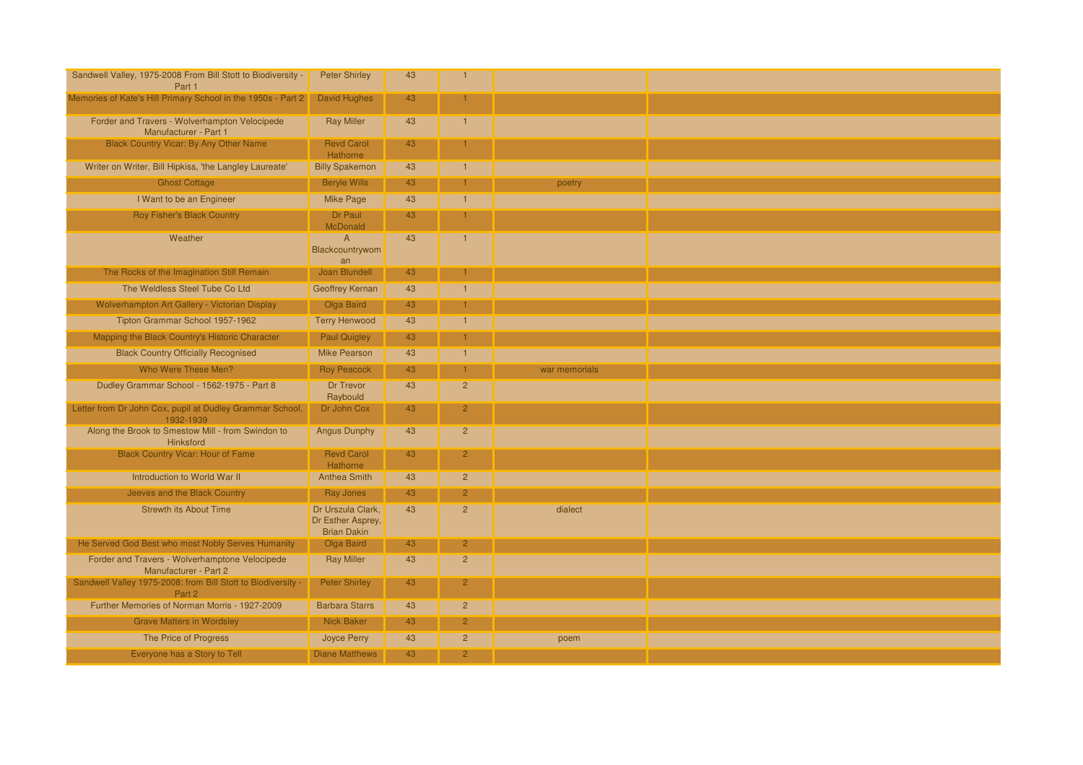| Sandwell Valley, 1975-2008 From Bill Stott to Biodiversity -<br>Part 1  | <b>Peter Shirley</b>                                         | 43 | $\overline{1}$ |               |  |
|-------------------------------------------------------------------------|--------------------------------------------------------------|----|----------------|---------------|--|
| Memories of Kate's Hill Primary School in the 1950s - Part 2            | <b>David Hughes</b>                                          | 43 |                |               |  |
| Forder and Travers - Wolverhampton Velocipede<br>Manufacturer - Part 1  | <b>Ray Miller</b>                                            | 43 | $\overline{1}$ |               |  |
| <b>Black Country Vicar: By Any Other Name</b>                           | <b>Revd Carol</b><br>Hathorne                                | 43 |                |               |  |
| Writer on Writer, Bill Hipkiss, 'the Langley Laureate'                  | <b>Billy Spakemon</b>                                        | 43 | $\mathbf{1}$   |               |  |
| <b>Ghost Cottage</b>                                                    | <b>Beryle Wills</b>                                          | 43 | 1.             | poetry        |  |
| I Want to be an Engineer                                                | Mike Page                                                    | 43 | $\blacksquare$ |               |  |
| <b>Roy Fisher's Black Country</b>                                       | Dr Paul<br>McDonald                                          | 43 |                |               |  |
| Weather                                                                 | $\mathsf{A}$<br>Blackcountrywom<br>an                        | 43 | $\overline{1}$ |               |  |
| The Rocks of the Imagination Still Remain                               | <b>Joan Blundell</b>                                         | 43 |                |               |  |
| The Weldless Steel Tube Co Ltd                                          | <b>Geoffrey Kernan</b>                                       | 43 |                |               |  |
| Wolverhampton Art Gallery - Victorian Display                           | Olga Baird                                                   | 43 | 1              |               |  |
| Tipton Grammar School 1957-1962                                         | <b>Terry Henwood</b>                                         | 43 |                |               |  |
| Mapping the Black Country's Historic Character                          | <b>Paul Quigley</b>                                          | 43 | 1              |               |  |
| <b>Black Country Officially Recognised</b>                              | <b>Mike Pearson</b>                                          | 43 |                |               |  |
| Who Were These Men?                                                     | <b>Roy Peacock</b>                                           | 43 |                | war memorials |  |
| Dudley Grammar School - 1562-1975 - Part 8                              | Dr Trevor<br>Raybould                                        | 43 | $\overline{2}$ |               |  |
| Letter from Dr John Cox, pupil at Dudley Grammar School,<br>1932-1939   | Dr John Cox                                                  | 43 | $\overline{2}$ |               |  |
| Along the Brook to Smestow Mill - from Swindon to<br>Hinksford          | <b>Angus Dunphy</b>                                          | 43 | $\overline{2}$ |               |  |
| <b>Black Country Vicar: Hour of Fame</b>                                | <b>Revd Carol</b><br>Hathorne                                | 43 | $\overline{2}$ |               |  |
| Introduction to World War II                                            | <b>Anthea Smith</b>                                          | 43 | $\overline{2}$ |               |  |
| Jeeves and the Black Country                                            | Ray Jones                                                    | 43 | 2 <sup>1</sup> |               |  |
| <b>Strewth its About Time</b>                                           | Dr Urszula Clark,<br>Dr Esther Asprey,<br><b>Brian Dakin</b> | 43 | $\overline{2}$ | dialect       |  |
| He Served God Best who most Nobly Serves Humanity                       | Olga Baird                                                   | 43 | $\overline{2}$ |               |  |
| Forder and Travers - Wolverhamptone Velocipede<br>Manufacturer - Part 2 | <b>Ray Miller</b>                                            | 43 | $\overline{2}$ |               |  |
| Sandwell Valley 1975-2008: from Bill Stott to Biodiversity<br>Part 2    | <b>Peter Shirley</b>                                         | 43 | $\overline{2}$ |               |  |
| Further Memories of Norman Morris - 1927-2009                           | <b>Barbara Starrs</b>                                        | 43 | $\overline{2}$ |               |  |
| <b>Grave Matters in Wordsley</b>                                        | <b>Nick Baker</b>                                            | 43 | 2 <sup>1</sup> |               |  |
| The Price of Progress                                                   | Joyce Perry                                                  | 43 | $\overline{2}$ | poem          |  |
| Everyone has a Story to Tell                                            | <b>Diane Matthews</b>                                        | 43 | $\overline{2}$ |               |  |
|                                                                         |                                                              |    |                |               |  |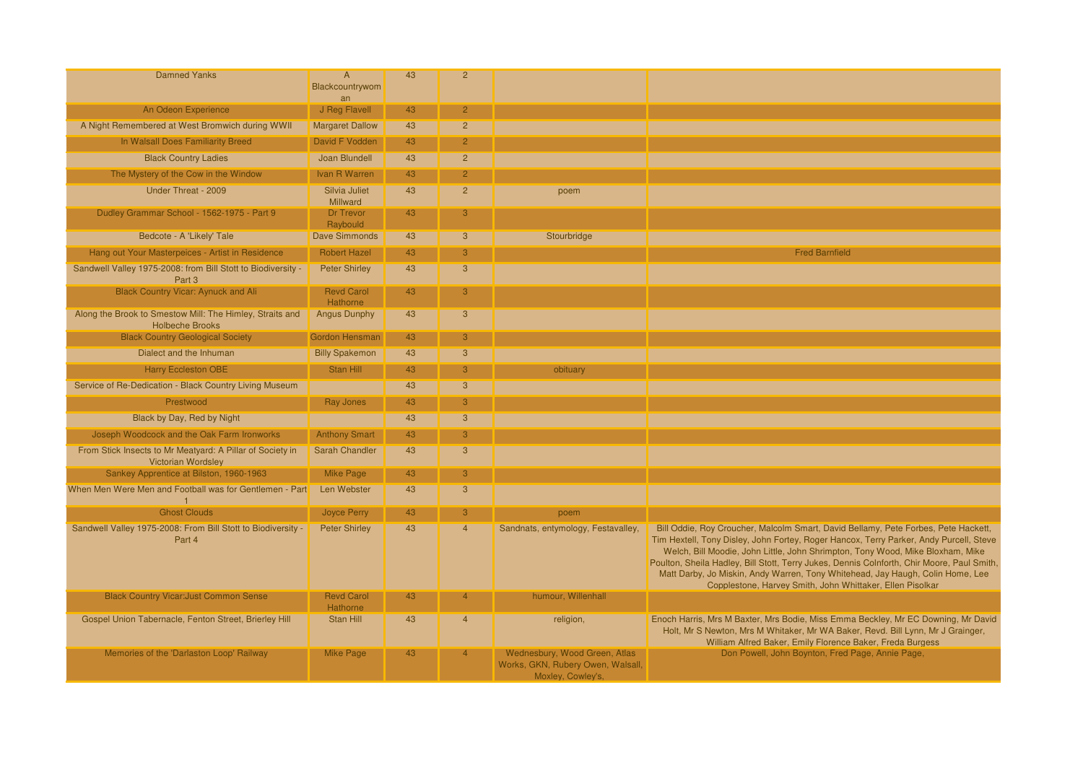| <b>Damned Yanks</b>                                                                | $\overline{A}$<br>Blackcountrywom<br>an | 43 | $\overline{2}$ |                                                                                         |                                                                                                                                                                                                                                                                                                                                                                                                                                                                                                             |
|------------------------------------------------------------------------------------|-----------------------------------------|----|----------------|-----------------------------------------------------------------------------------------|-------------------------------------------------------------------------------------------------------------------------------------------------------------------------------------------------------------------------------------------------------------------------------------------------------------------------------------------------------------------------------------------------------------------------------------------------------------------------------------------------------------|
| An Odeon Experience                                                                | J Reg Flavell                           | 43 | $\overline{2}$ |                                                                                         |                                                                                                                                                                                                                                                                                                                                                                                                                                                                                                             |
| A Night Remembered at West Bromwich during WWII                                    | <b>Margaret Dallow</b>                  | 43 | $\overline{2}$ |                                                                                         |                                                                                                                                                                                                                                                                                                                                                                                                                                                                                                             |
| In Walsall Does Familiarity Breed                                                  | David F Vodden                          | 43 | $\overline{2}$ |                                                                                         |                                                                                                                                                                                                                                                                                                                                                                                                                                                                                                             |
| <b>Black Country Ladies</b>                                                        | Joan Blundell                           | 43 | $\overline{2}$ |                                                                                         |                                                                                                                                                                                                                                                                                                                                                                                                                                                                                                             |
| The Mystery of the Cow in the Window                                               | <b>Ivan R Warren</b>                    | 43 | $\overline{2}$ |                                                                                         |                                                                                                                                                                                                                                                                                                                                                                                                                                                                                                             |
| Under Threat - 2009                                                                | Silvia Juliet<br>Millward               | 43 | $\overline{2}$ | poem                                                                                    |                                                                                                                                                                                                                                                                                                                                                                                                                                                                                                             |
| Dudley Grammar School - 1562-1975 - Part 9                                         | Dr Trevor<br>Raybould                   | 43 | 3 <sup>1</sup> |                                                                                         |                                                                                                                                                                                                                                                                                                                                                                                                                                                                                                             |
| Bedcote - A 'Likely' Tale                                                          | Dave Simmonds                           | 43 | 3              | Stourbridge                                                                             |                                                                                                                                                                                                                                                                                                                                                                                                                                                                                                             |
| Hang out Your Masterpeices - Artist in Residence                                   | <b>Robert Hazel</b>                     | 43 | 3              |                                                                                         | <b>Fred Barnfield</b>                                                                                                                                                                                                                                                                                                                                                                                                                                                                                       |
| Sandwell Valley 1975-2008: from Bill Stott to Biodiversity -<br>Part 3             | <b>Peter Shirley</b>                    | 43 | 3              |                                                                                         |                                                                                                                                                                                                                                                                                                                                                                                                                                                                                                             |
| <b>Black Country Vicar: Aynuck and Ali</b>                                         | <b>Revd Carol</b><br>Hathorne           | 43 | 3              |                                                                                         |                                                                                                                                                                                                                                                                                                                                                                                                                                                                                                             |
| Along the Brook to Smestow Mill: The Himley, Straits and<br><b>Holbeche Brooks</b> | <b>Angus Dunphy</b>                     | 43 | $\mathbf{3}$   |                                                                                         |                                                                                                                                                                                                                                                                                                                                                                                                                                                                                                             |
| <b>Black Country Geological Society</b>                                            | Gordon Hensman                          | 43 | 3 <sup>°</sup> |                                                                                         |                                                                                                                                                                                                                                                                                                                                                                                                                                                                                                             |
| Dialect and the Inhuman                                                            | <b>Billy Spakemon</b>                   | 43 | $\mathbf{3}$   |                                                                                         |                                                                                                                                                                                                                                                                                                                                                                                                                                                                                                             |
| <b>Harry Eccleston OBE</b>                                                         | Stan Hill                               | 43 | 3 <sup>°</sup> | obituary                                                                                |                                                                                                                                                                                                                                                                                                                                                                                                                                                                                                             |
| Service of Re-Dedication - Black Country Living Museum                             |                                         | 43 | $\overline{3}$ |                                                                                         |                                                                                                                                                                                                                                                                                                                                                                                                                                                                                                             |
| Prestwood                                                                          | Ray Jones                               | 43 | 3              |                                                                                         |                                                                                                                                                                                                                                                                                                                                                                                                                                                                                                             |
| Black by Day, Red by Night                                                         |                                         | 43 | $\overline{3}$ |                                                                                         |                                                                                                                                                                                                                                                                                                                                                                                                                                                                                                             |
| Joseph Woodcock and the Oak Farm Ironworks                                         | <b>Anthony Smart</b>                    | 43 | $\overline{3}$ |                                                                                         |                                                                                                                                                                                                                                                                                                                                                                                                                                                                                                             |
| From Stick Insects to Mr Meatyard: A Pillar of Society in<br>Victorian Wordsley    | <b>Sarah Chandler</b>                   | 43 | 3              |                                                                                         |                                                                                                                                                                                                                                                                                                                                                                                                                                                                                                             |
| Sankey Apprentice at Bilston, 1960-1963                                            | Mike Page                               | 43 | 3 <sup>1</sup> |                                                                                         |                                                                                                                                                                                                                                                                                                                                                                                                                                                                                                             |
| When Men Were Men and Football was for Gentlemen - Part<br>$\overline{1}$          | Len Webster                             | 43 | 3              |                                                                                         |                                                                                                                                                                                                                                                                                                                                                                                                                                                                                                             |
| <b>Ghost Clouds</b>                                                                | Joyce Perry                             | 43 | 3              | poem                                                                                    |                                                                                                                                                                                                                                                                                                                                                                                                                                                                                                             |
| Sandwell Valley 1975-2008: From Bill Stott to Biodiversity -<br>Part 4             | <b>Peter Shirley</b>                    | 43 | $\overline{4}$ | Sandnats, entymology, Festavalley,                                                      | Bill Oddie, Roy Croucher, Malcolm Smart, David Bellamy, Pete Forbes, Pete Hackett,<br>Tim Hextell, Tony Disley, John Fortey, Roger Hancox, Terry Parker, Andy Purcell, Steve<br>Welch, Bill Moodie, John Little, John Shrimpton, Tony Wood, Mike Bloxham, Mike<br>Poulton, Sheila Hadley, Bill Stott, Terry Jukes, Dennis Colnforth, Chir Moore, Paul Smith,<br>Matt Darby, Jo Miskin, Andy Warren, Tony Whitehead, Jay Haugh, Colin Home, Lee<br>Copplestone, Harvey Smith, John Whittaker, Ellen Pisolkar |
| <b>Black Country Vicar: Just Common Sense</b>                                      | <b>Revd Carol</b><br>Hathorne           | 43 | 4              | humour, Willenhall                                                                      |                                                                                                                                                                                                                                                                                                                                                                                                                                                                                                             |
| Gospel Union Tabernacle, Fenton Street, Brierley Hill                              | <b>Stan Hill</b>                        | 43 | $\overline{4}$ | religion,                                                                               | Enoch Harris, Mrs M Baxter, Mrs Bodie, Miss Emma Beckley, Mr EC Downing, Mr David<br>Holt, Mr S Newton, Mrs M Whitaker, Mr WA Baker, Revd. Bill Lynn, Mr J Grainger,<br>William Alfred Baker, Emily Florence Baker, Freda Burgess                                                                                                                                                                                                                                                                           |
| Memories of the 'Darlaston Loop' Railway                                           | <b>Mike Page</b>                        | 43 |                | Wednesbury, Wood Green, Atlas<br>Works, GKN, Rubery Owen, Walsall,<br>Moxley, Cowley's, | Don Powell, John Boynton, Fred Page, Annie Page,                                                                                                                                                                                                                                                                                                                                                                                                                                                            |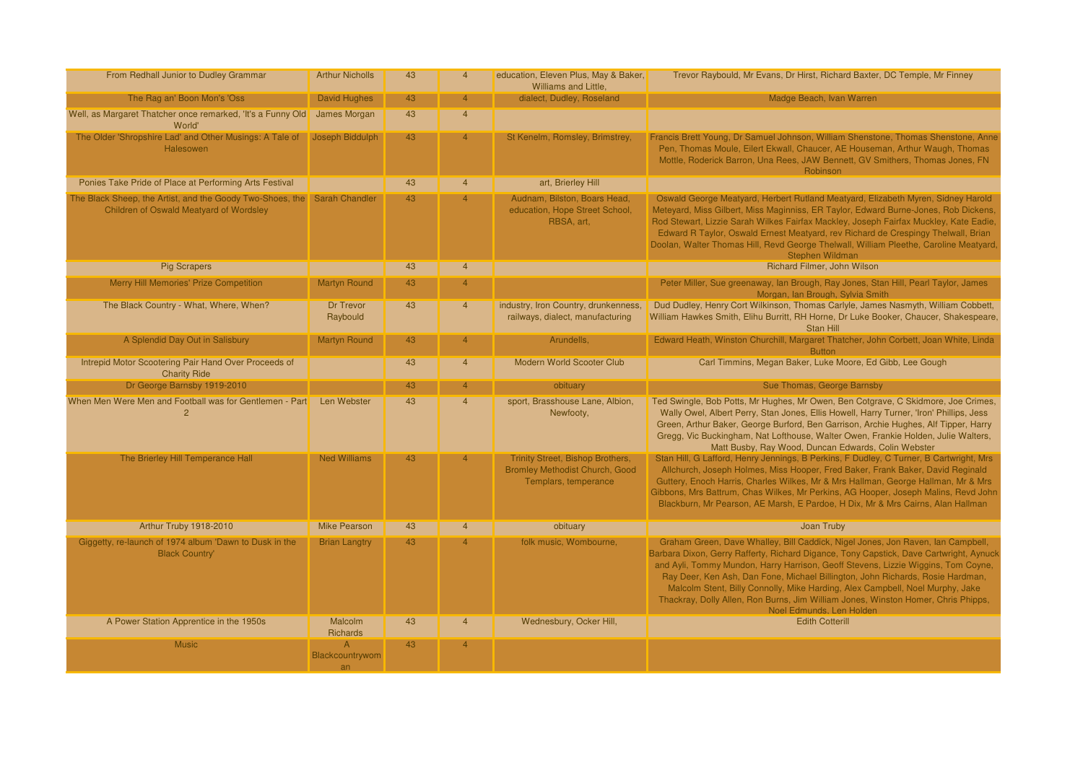| From Redhall Junior to Dudley Grammar                                                                               | <b>Arthur Nicholls</b>                | 43 | $\overline{4}$          | education, Eleven Plus, May & Baker,<br>Williams and Little,                                      | Trevor Raybould, Mr Evans, Dr Hirst, Richard Baxter, DC Temple, Mr Finney                                                                                                                                                                                                                                                                                                                                                                                                                                                                          |
|---------------------------------------------------------------------------------------------------------------------|---------------------------------------|----|-------------------------|---------------------------------------------------------------------------------------------------|----------------------------------------------------------------------------------------------------------------------------------------------------------------------------------------------------------------------------------------------------------------------------------------------------------------------------------------------------------------------------------------------------------------------------------------------------------------------------------------------------------------------------------------------------|
| The Rag an' Boon Mon's 'Oss                                                                                         | David Hughes                          | 43 | $\overline{4}$          | dialect, Dudley, Roseland                                                                         | Madge Beach, Ivan Warren                                                                                                                                                                                                                                                                                                                                                                                                                                                                                                                           |
| Well, as Margaret Thatcher once remarked, 'It's a Funny Old James Morgan<br>World'                                  |                                       | 43 | $\overline{4}$          |                                                                                                   |                                                                                                                                                                                                                                                                                                                                                                                                                                                                                                                                                    |
| The Older 'Shropshire Lad' and Other Musings: A Tale of Joseph Biddulph<br>Halesowen                                |                                       | 43 | $\mathbf{A}$            | St Kenelm, Romsley, Brimstrey,                                                                    | Francis Brett Young, Dr Samuel Johnson, William Shenstone, Thomas Shenstone, Anne<br>Pen, Thomas Moule, Eilert Ekwall, Chaucer, AE Houseman, Arthur Waugh, Thomas<br>Mottle, Roderick Barron, Una Rees, JAW Bennett, GV Smithers, Thomas Jones, FN<br>Robinson                                                                                                                                                                                                                                                                                     |
| Ponies Take Pride of Place at Performing Arts Festival                                                              |                                       | 43 | $\overline{4}$          | art, Brierley Hill                                                                                |                                                                                                                                                                                                                                                                                                                                                                                                                                                                                                                                                    |
| The Black Sheep, the Artist, and the Goody Two-Shoes, the Sarah Chandler<br>Children of Oswald Meatyard of Wordsley |                                       | 43 | $\overline{4}$          | Audnam, Bilston, Boars Head,<br>education, Hope Street School,<br>RBSA, art.                      | Oswald George Meatyard, Herbert Rutland Meatyard, Elizabeth Myren, Sidney Harold<br>Meteyard, Miss Gilbert, Miss Maginniss, ER Taylor, Edward Burne-Jones, Rob Dickens,<br>Rod Stewart, Lizzie Sarah Wilkes Fairfax Mackley, Joseph Fairfax Muckley, Kate Eadie,<br>Edward R Taylor, Oswald Ernest Meatyard, rev Richard de Crespingy Thelwall, Brian<br>Doolan, Walter Thomas Hill, Revd George Thelwall, William Pleethe, Caroline Meatyard.<br>Stephen Wildman                                                                                  |
| <b>Pig Scrapers</b>                                                                                                 |                                       | 43 | $\overline{4}$          |                                                                                                   | Richard Filmer, John Wilson                                                                                                                                                                                                                                                                                                                                                                                                                                                                                                                        |
| Merry Hill Memories' Prize Competition                                                                              | <b>Martyn Round</b>                   | 43 | $\overline{\mathbf{4}}$ |                                                                                                   | Peter Miller, Sue greenaway, Ian Brough, Ray Jones, Stan Hill, Pearl Taylor, James<br>Morgan, Ian Brough, Sylvia Smith                                                                                                                                                                                                                                                                                                                                                                                                                             |
| The Black Country - What, Where, When?                                                                              | Dr Trevor<br>Raybould                 | 43 | $\overline{4}$          | industry, Iron Country, drunkenness,<br>railways, dialect, manufacturing                          | Dud Dudley, Henry Cort Wilkinson, Thomas Carlyle, James Nasmyth, William Cobbett,<br>William Hawkes Smith, Elihu Burritt, RH Horne, Dr Luke Booker, Chaucer, Shakespeare,<br>Stan Hill                                                                                                                                                                                                                                                                                                                                                             |
| A Splendid Day Out in Salisbury                                                                                     | <b>Martyn Round</b>                   | 43 |                         | Arundells,                                                                                        | Edward Heath, Winston Churchill, Margaret Thatcher, John Corbett, Joan White, Linda<br><b>Button</b>                                                                                                                                                                                                                                                                                                                                                                                                                                               |
| Intrepid Motor Scootering Pair Hand Over Proceeds of<br><b>Charity Ride</b>                                         |                                       | 43 |                         | Modern World Scooter Club                                                                         | Carl Timmins, Megan Baker, Luke Moore, Ed Gibb, Lee Gough                                                                                                                                                                                                                                                                                                                                                                                                                                                                                          |
| Dr George Barnsby 1919-2010                                                                                         |                                       | 43 | $\overline{4}$          | obituary                                                                                          | Sue Thomas, George Barnsby                                                                                                                                                                                                                                                                                                                                                                                                                                                                                                                         |
| When Men Were Men and Football was for Gentlemen - Part                                                             | Len Webster                           | 43 | $\overline{4}$          | sport, Brasshouse Lane, Albion,<br>Newfooty,                                                      | Ted Swingle, Bob Potts, Mr Hughes, Mr Owen, Ben Cotgrave, C Skidmore, Joe Crimes,<br>Wally Owel, Albert Perry, Stan Jones, Ellis Howell, Harry Turner, 'Iron' Phillips, Jess<br>Green, Arthur Baker, George Burford, Ben Garrison, Archie Hughes, Alf Tipper, Harry<br>Gregg, Vic Buckingham, Nat Lofthouse, Walter Owen, Frankie Holden, Julie Walters,<br>Matt Busby, Ray Wood, Duncan Edwards, Colin Webster                                                                                                                                    |
| The Brierley Hill Temperance Hall                                                                                   | <b>Ned Williams</b>                   | 43 |                         | Trinity Street, Bishop Brothers,<br><b>Bromley Methodist Church, Good</b><br>Templars, temperance | Stan Hill, G Lafford, Henry Jennings, B Perkins, F Dudley, C Turner, B Cartwright, Mrs<br>Allchurch, Joseph Holmes, Miss Hooper, Fred Baker, Frank Baker, David Reginald<br>Guttery, Enoch Harris, Charles Wilkes, Mr & Mrs Hallman, George Hallman, Mr & Mrs<br>Gibbons, Mrs Battrum, Chas Wilkes, Mr Perkins, AG Hooper, Joseph Malins, Revd John<br>Blackburn, Mr Pearson, AE Marsh, E Pardoe, H Dix, Mr & Mrs Cairns, Alan Hallman                                                                                                             |
| Arthur Truby 1918-2010                                                                                              | <b>Mike Pearson</b>                   | 43 | $\overline{4}$          | obituary                                                                                          | Joan Truby                                                                                                                                                                                                                                                                                                                                                                                                                                                                                                                                         |
| Giggetty, re-launch of 1974 album 'Dawn to Dusk in the<br><b>Black Country'</b>                                     | <b>Brian Langtry</b>                  | 43 | $\overline{4}$          | folk music, Wombourne,                                                                            | Graham Green, Dave Whalley, Bill Caddick, Nigel Jones, Jon Raven, Ian Campbell,<br>Barbara Dixon, Gerry Rafferty, Richard Digance, Tony Capstick, Dave Cartwright, Aynuck<br>and Ayli, Tommy Mundon, Harry Harrison, Geoff Stevens, Lizzie Wiggins, Tom Coyne,<br>Ray Deer, Ken Ash, Dan Fone, Michael Billington, John Richards, Rosie Hardman,<br>Malcolm Stent, Billy Connolly, Mike Harding, Alex Campbell, Noel Murphy, Jake<br>Thackray, Dolly Allen, Ron Burns, Jim William Jones, Winston Homer, Chris Phipps,<br>Noel Edmunds, Len Holden |
| A Power Station Apprentice in the 1950s                                                                             | Malcolm<br><b>Richards</b>            | 43 |                         | Wednesbury, Ocker Hill,                                                                           | <b>Edith Cotterill</b>                                                                                                                                                                                                                                                                                                                                                                                                                                                                                                                             |
| <b>Music</b>                                                                                                        | $\mathsf{A}$<br>Blackcountrywom<br>an | 43 | $\overline{4}$          |                                                                                                   |                                                                                                                                                                                                                                                                                                                                                                                                                                                                                                                                                    |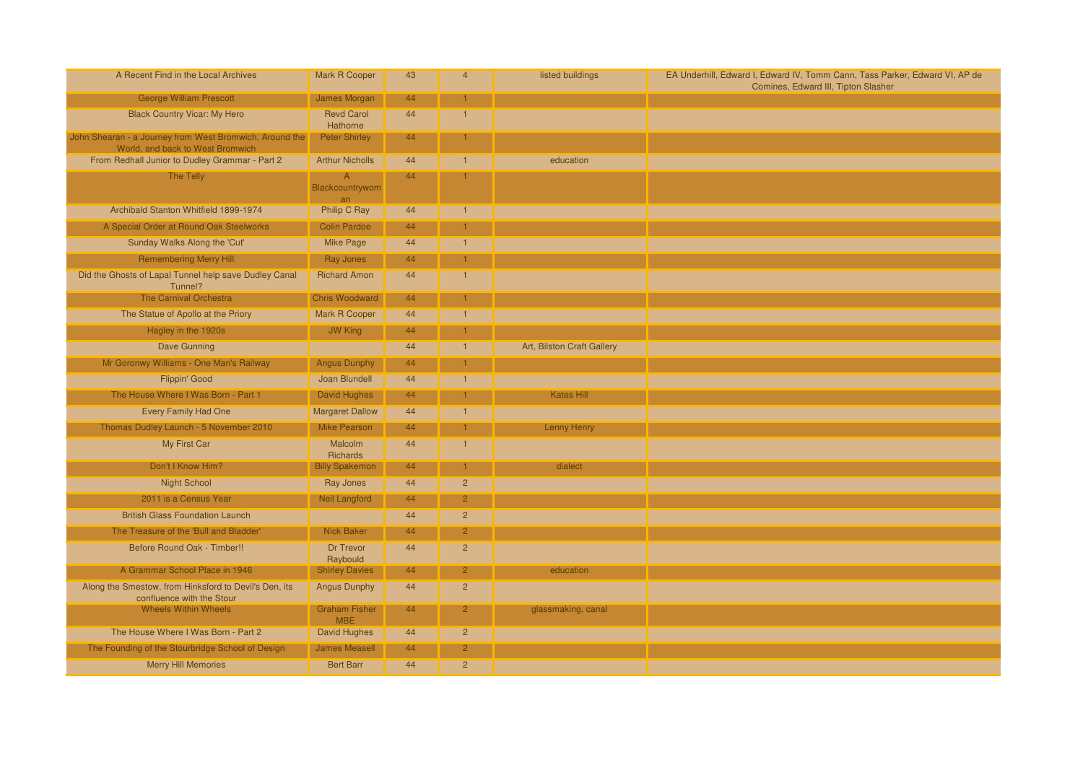| A Recent Find in the Local Archives                                                         | Mark R Cooper                           | 43 | $\overline{4}$ | listed buildings           | EA Underhill, Edward I, Edward IV, Tomm Cann, Tass Parker, Edward VI, AP de<br>Comines. Edward III. Tipton Slasher |
|---------------------------------------------------------------------------------------------|-----------------------------------------|----|----------------|----------------------------|--------------------------------------------------------------------------------------------------------------------|
| <b>George William Prescott</b>                                                              | <b>James Morgan</b>                     | 44 |                |                            |                                                                                                                    |
| <b>Black Country Vicar: My Hero</b>                                                         | <b>Revd Carol</b><br>Hathorne           | 44 | $\overline{1}$ |                            |                                                                                                                    |
| John Shearan - a Journey from West Bromwich, Around the<br>World, and back to West Bromwich | <b>Peter Shirley</b>                    | 44 |                |                            |                                                                                                                    |
| From Redhall Junior to Dudley Grammar - Part 2                                              | <b>Arthur Nicholls</b>                  | 44 |                | education                  |                                                                                                                    |
| <b>The Telly</b>                                                                            | $\overline{A}$<br>Blackcountrywom<br>an | 44 |                |                            |                                                                                                                    |
| Archibald Stanton Whitfield 1899-1974                                                       | <b>Philip C Ray</b>                     | 44 | $\mathbf{1}$   |                            |                                                                                                                    |
| A Special Order at Round Oak Steelworks                                                     | <b>Colin Pardoe</b>                     | 44 |                |                            |                                                                                                                    |
| Sunday Walks Along the 'Cut'                                                                | <b>Mike Page</b>                        | 44 | $\overline{1}$ |                            |                                                                                                                    |
| <b>Remembering Merry Hill</b>                                                               | Ray Jones                               | 44 |                |                            |                                                                                                                    |
| Did the Ghosts of Lapal Tunnel help save Dudley Canal<br>Tunnel?                            | <b>Richard Amon</b>                     | 44 | $\overline{1}$ |                            |                                                                                                                    |
| <b>The Carnival Orchestra</b>                                                               | <b>Chris Woodward</b>                   | 44 |                |                            |                                                                                                                    |
| The Statue of Apollo at the Priory                                                          | Mark R Cooper                           | 44 |                |                            |                                                                                                                    |
| Hagley in the 1920s                                                                         | <b>JW King</b>                          | 44 |                |                            |                                                                                                                    |
| <b>Dave Gunning</b>                                                                         |                                         | 44 |                | Art, Bilston Craft Gallery |                                                                                                                    |
| Mr Goronwy Williams - One Man's Railway                                                     | <b>Angus Dunphy</b>                     | 44 |                |                            |                                                                                                                    |
| <b>Flippin' Good</b>                                                                        | Joan Blundell                           | 44 | $\overline{1}$ |                            |                                                                                                                    |
| The House Where I Was Born - Part 1                                                         | David Hughes                            | 44 |                | <b>Kates Hill</b>          |                                                                                                                    |
| <b>Every Family Had One</b>                                                                 | <b>Margaret Dallow</b>                  | 44 | $\mathbf{1}$   |                            |                                                                                                                    |
| Thomas Dudley Launch - 5 November 2010                                                      | <b>Mike Pearson</b>                     | 44 |                | <b>Lenny Henry</b>         |                                                                                                                    |
| My First Car                                                                                | Malcolm<br><b>Richards</b>              | 44 |                |                            |                                                                                                                    |
| Don't I Know Him?                                                                           | <b>Billy Spakemon</b>                   | 44 |                | dialect                    |                                                                                                                    |
| <b>Night School</b>                                                                         | Ray Jones                               | 44 | $\overline{2}$ |                            |                                                                                                                    |
| 2011 is a Census Year                                                                       | <b>Neil Langford</b>                    | 44 | $\overline{2}$ |                            |                                                                                                                    |
| <b>British Glass Foundation Launch</b>                                                      |                                         | 44 | $\overline{2}$ |                            |                                                                                                                    |
| The Treasure of the 'Bull and Bladder'                                                      | <b>Nick Baker</b>                       | 44 | $\overline{2}$ |                            |                                                                                                                    |
| Before Round Oak - Timber!!                                                                 | <b>Dr Trevor</b><br>Raybould            | 44 | $\overline{2}$ |                            |                                                                                                                    |
| A Grammar School Place in 1946                                                              | <b>Shirley Davies</b>                   | 44 | $\overline{2}$ | education                  |                                                                                                                    |
| Along the Smestow, from Hinksford to Devil's Den, its<br>confluence with the Stour          | <b>Angus Dunphy</b>                     | 44 | $\overline{2}$ |                            |                                                                                                                    |
| <b>Wheels Within Wheels</b>                                                                 | <b>Graham Fisher</b><br><b>MBE</b>      | 44 | $\overline{2}$ | glassmaking, canal         |                                                                                                                    |
| The House Where I Was Born - Part 2                                                         | David Hughes                            | 44 | $\overline{2}$ |                            |                                                                                                                    |
| The Founding of the Stourbridge School of Design                                            | <b>James Measell</b>                    | 44 | $\overline{2}$ |                            |                                                                                                                    |
| <b>Merry Hill Memories</b>                                                                  | <b>Bert Barr</b>                        | 44 | $\overline{2}$ |                            |                                                                                                                    |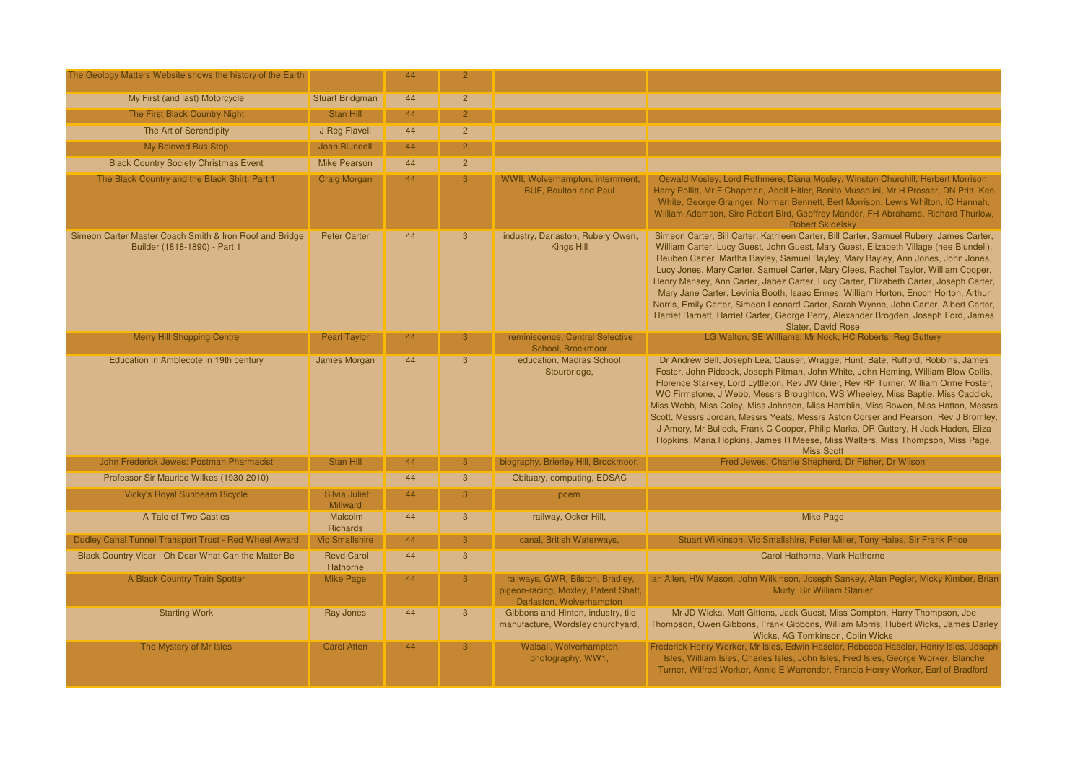| The Geology Matters Website shows the history of the Earth                              |                                  | 44 | $\overline{2}$ |                                                                                                      |                                                                                                                                                                                                                                                                                                                                                                                                                                                                                                                                                                                                                                                                                                                                                 |
|-----------------------------------------------------------------------------------------|----------------------------------|----|----------------|------------------------------------------------------------------------------------------------------|-------------------------------------------------------------------------------------------------------------------------------------------------------------------------------------------------------------------------------------------------------------------------------------------------------------------------------------------------------------------------------------------------------------------------------------------------------------------------------------------------------------------------------------------------------------------------------------------------------------------------------------------------------------------------------------------------------------------------------------------------|
| My First (and last) Motorcycle                                                          | <b>Stuart Bridgman</b>           | 44 | $\overline{2}$ |                                                                                                      |                                                                                                                                                                                                                                                                                                                                                                                                                                                                                                                                                                                                                                                                                                                                                 |
| The First Black Country Night                                                           | Stan Hill                        | 44 | 2 <sup>1</sup> |                                                                                                      |                                                                                                                                                                                                                                                                                                                                                                                                                                                                                                                                                                                                                                                                                                                                                 |
| The Art of Serendipity                                                                  | J Reg Flavell                    | 44 | $\overline{2}$ |                                                                                                      |                                                                                                                                                                                                                                                                                                                                                                                                                                                                                                                                                                                                                                                                                                                                                 |
| My Beloved Bus Stop                                                                     | Joan Blundell                    | 44 | $\overline{2}$ |                                                                                                      |                                                                                                                                                                                                                                                                                                                                                                                                                                                                                                                                                                                                                                                                                                                                                 |
| <b>Black Country Society Christmas Event</b>                                            | <b>Mike Pearson</b>              | 44 | $\overline{c}$ |                                                                                                      |                                                                                                                                                                                                                                                                                                                                                                                                                                                                                                                                                                                                                                                                                                                                                 |
| The Black Country and the Black Shirt. Part 1                                           | Craig Morgan                     | 44 | 3              | WWII, Wolverhampton, internment.<br><b>BUF, Boulton and Paul</b>                                     | Oswald Mosley, Lord Rothmere, Diana Mosley, Winston Churchill, Herbert Morrison,<br>Harry Pollitt, Mr F Chapman, Adolf Hitler, Benito Mussolini, Mr H Prosser, DN Pritt, Ken<br>White, George Grainger, Norman Bennett, Bert Morrison, Lewis Whilton, IC Hannah,<br>William Adamson, Sire Robert Bird, Geoffrey Mander, FH Abrahams, Richard Thurlow,<br><b>Robert Skidelsky</b>                                                                                                                                                                                                                                                                                                                                                                |
| Simeon Carter Master Coach Smith & Iron Roof and Bridge<br>Builder (1818-1890) - Part 1 | <b>Peter Carter</b>              | 44 | 3              | industry, Darlaston, Rubery Owen,<br><b>Kings Hill</b>                                               | Simeon Carter, Bill Carter, Kathleen Carter, Bill Carter, Samuel Rubery, James Carter,<br>William Carter, Lucy Guest, John Guest, Mary Guest, Elizabeth Village (nee Blundell),<br>Reuben Carter, Martha Bayley, Samuel Bayley, Mary Bayley, Ann Jones, John Jones,<br>Lucy Jones, Mary Carter, Samuel Carter, Mary Clees, Rachel Taylor, William Cooper,<br>Henry Mansey, Ann Carter, Jabez Carter, Lucy Carter, Elizabeth Carter, Joseph Carter,<br>Mary Jane Carter, Levinia Booth, Isaac Ennes, William Horton, Enoch Horton, Arthur<br>Norris, Emily Carter, Simeon Leonard Carter, Sarah Wynne, John Carter, Albert Carter,<br>Harriet Barnett, Harriet Carter, George Perry, Alexander Brogden, Joseph Ford, James<br>Slater, David Rose |
| <b>Merry Hill Shopping Centre</b>                                                       | <b>Pearl Taylor</b>              | 44 | 3              | reminiscence, Central Selective<br>School, Brockmoor                                                 | LG Walton, SE Williams, Mr Nock, HC Roberts, Reg Guttery                                                                                                                                                                                                                                                                                                                                                                                                                                                                                                                                                                                                                                                                                        |
| Education in Amblecote in 19th century                                                  | James Morgan                     | 44 | 3              | education, Madras School,<br>Stourbridge,                                                            | Dr Andrew Bell, Joseph Lea, Causer, Wragge, Hunt, Bate, Rufford, Robbins, James<br>Foster, John Pidcock, Joseph Pitman, John White, John Heming, William Blow Collis,<br>Florence Starkey, Lord Lyttleton, Rev JW Grier, Rev RP Turner, William Orme Foster,<br>WC Firmstone, J Webb, Messrs Broughton, WS Wheeley, Miss Baptie, Miss Caddick,<br>Miss Webb, Miss Coley, Miss Johnson, Miss Hamblin, Miss Bowen, Miss Hatton, Messrs<br>Scott, Messrs Jordan, Messrs Yeats, Messrs Aston Corser and Pearson, Rev J Bromley<br>J Amery, Mr Bullock, Frank C Cooper, Philip Marks, DR Guttery, H Jack Haden, Eliza<br>Hopkins, Maria Hopkins, James H Meese, Miss Walters, Miss Thompson, Miss Page,<br><b>Miss Scott</b>                         |
| John Frederick Jewes: Postman Pharmacist                                                | Stan Hill                        | 44 | 3              | biography, Brierley Hill, Brockmoor,                                                                 | Fred Jewes, Charlie Shepherd, Dr Fisher, Dr Wilson                                                                                                                                                                                                                                                                                                                                                                                                                                                                                                                                                                                                                                                                                              |
| Professor Sir Maurice Wilkes (1930-2010)                                                |                                  | 44 | $\overline{3}$ | Obituary, computing, EDSAC                                                                           |                                                                                                                                                                                                                                                                                                                                                                                                                                                                                                                                                                                                                                                                                                                                                 |
| <b>Vicky's Royal Sunbeam Bicycle</b>                                                    | <b>Silvia Juliet</b><br>Millward | 44 | 3              | poem                                                                                                 |                                                                                                                                                                                                                                                                                                                                                                                                                                                                                                                                                                                                                                                                                                                                                 |
| A Tale of Two Castles                                                                   | Malcolm<br>Richards              | 44 | 3              | railway, Ocker Hill,                                                                                 | <b>Mike Page</b>                                                                                                                                                                                                                                                                                                                                                                                                                                                                                                                                                                                                                                                                                                                                |
| Dudley Canal Tunnel Transport Trust - Red Wheel Award                                   | <b>Vic Smallshire</b>            | 44 | 3 <sup>1</sup> | canal, British Waterways,                                                                            | Stuart Wilkinson, Vic Smallshire, Peter Miller, Tony Hales, Sir Frank Price                                                                                                                                                                                                                                                                                                                                                                                                                                                                                                                                                                                                                                                                     |
| Black Country Vicar - Oh Dear What Can the Matter Be                                    | <b>Revd Carol</b><br>Hathorne    | 44 | $\overline{3}$ |                                                                                                      | Carol Hathorne, Mark Hathorne                                                                                                                                                                                                                                                                                                                                                                                                                                                                                                                                                                                                                                                                                                                   |
| A Black Country Train Spotter                                                           | Mike Page                        | 44 | 3              | railways, GWR, Bilston, Bradley,<br>pigeon-racing, Moxley, Patent Shaft,<br>Darlaston, Wolverhampton | Ian Allen, HW Mason, John Wilkinson, Joseph Sankey, Alan Pegler, Micky Kimber, Brian<br>Murty, Sir William Stanier                                                                                                                                                                                                                                                                                                                                                                                                                                                                                                                                                                                                                              |
| <b>Starting Work</b>                                                                    | Ray Jones                        | 44 | $\overline{3}$ | Gibbons and Hinton, industry, tile<br>manufacture, Wordsley churchyard,                              | Mr JD Wicks, Matt Gittens, Jack Guest, Miss Compton, Harry Thompson, Joe<br>Thompson, Owen Gibbons, Frank Gibbons, William Morris, Hubert Wicks, James Darley<br>Wicks, AG Tomkinson, Colin Wicks                                                                                                                                                                                                                                                                                                                                                                                                                                                                                                                                               |
| The Mystery of Mr Isles                                                                 | <b>Carol Atton</b>               | 44 |                | Walsall, Wolverhampton,<br>photography, WW1,                                                         | Frederick Henry Worker, Mr Isles, Edwin Haseler, Rebecca Haseler, Henry Isles, Joseph<br>Isles, William Isles, Charles Isles, John Isles, Fred Isles, George Worker, Blanche<br>Turner, Wilfred Worker, Annie E Warrender, Francis Henry Worker, Earl of Bradford                                                                                                                                                                                                                                                                                                                                                                                                                                                                               |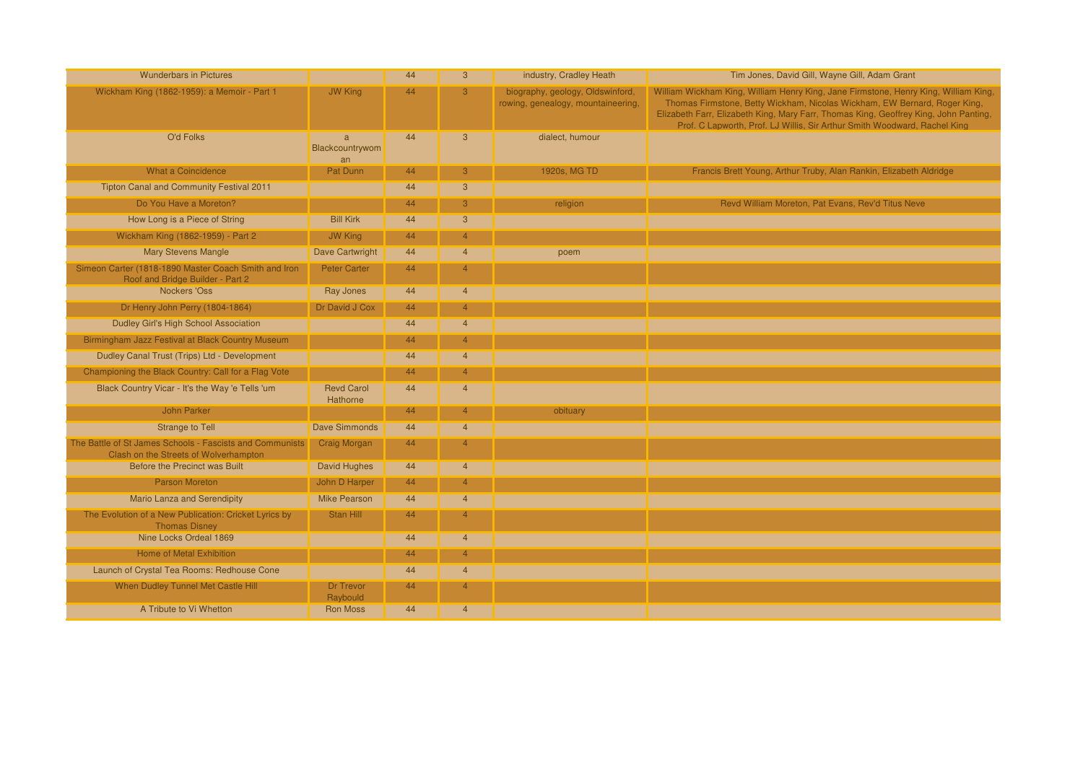| <b>Wunderbars in Pictures</b>                                                                     |                               | 44 | 3                       | industry, Cradley Heath                                               | Tim Jones, David Gill, Wayne Gill, Adam Grant                                                                                                                                                                                                                                                                                         |
|---------------------------------------------------------------------------------------------------|-------------------------------|----|-------------------------|-----------------------------------------------------------------------|---------------------------------------------------------------------------------------------------------------------------------------------------------------------------------------------------------------------------------------------------------------------------------------------------------------------------------------|
| Wickham King (1862-1959): a Memoir - Part 1                                                       | JW King                       | 44 | 3                       | biography, geology, Oldswinford,<br>rowing, genealogy, mountaineering | William Wickham King, William Henry King, Jane Firmstone, Henry King, William King,<br>Thomas Firmstone, Betty Wickham, Nicolas Wickham, EW Bernard, Roger King,<br>Elizabeth Farr, Elizabeth King, Mary Farr, Thomas King, Geoffrey King, John Panting,<br>Prof. C Lapworth, Prof. LJ Willis, Sir Arthur Smith Woodward, Rachel King |
| O'd Folks                                                                                         | a<br>Blackcountrywom<br>an    | 44 | 3                       | dialect, humour                                                       |                                                                                                                                                                                                                                                                                                                                       |
| What a Coincidence                                                                                | <b>Pat Dunn</b>               | 44 | 3                       | 1920s, MG TD                                                          | Francis Brett Young, Arthur Truby, Alan Rankin, Elizabeth Aldridge                                                                                                                                                                                                                                                                    |
| Tipton Canal and Community Festival 2011                                                          |                               | 44 | 3                       |                                                                       |                                                                                                                                                                                                                                                                                                                                       |
| Do You Have a Moreton?                                                                            |                               | 44 | 3                       | religion                                                              | Revd William Moreton, Pat Evans, Rev'd Titus Neve                                                                                                                                                                                                                                                                                     |
| How Long is a Piece of String                                                                     | <b>Bill Kirk</b>              | 44 | 3                       |                                                                       |                                                                                                                                                                                                                                                                                                                                       |
| Wickham King (1862-1959) - Part 2                                                                 | <b>JW King</b>                | 44 | 4                       |                                                                       |                                                                                                                                                                                                                                                                                                                                       |
| <b>Mary Stevens Mangle</b>                                                                        | <b>Dave Cartwright</b>        | 44 | $\overline{4}$          | poem                                                                  |                                                                                                                                                                                                                                                                                                                                       |
| Simeon Carter (1818-1890 Master Coach Smith and Iron<br>Roof and Bridge Builder - Part 2          | <b>Peter Carter</b>           | 44 | 4                       |                                                                       |                                                                                                                                                                                                                                                                                                                                       |
| Nockers 'Oss                                                                                      | <b>Ray Jones</b>              | 44 | $\overline{4}$          |                                                                       |                                                                                                                                                                                                                                                                                                                                       |
| Dr Henry John Perry (1804-1864)                                                                   | Dr David J Cox                | 44 | $\overline{\mathbf{4}}$ |                                                                       |                                                                                                                                                                                                                                                                                                                                       |
| Dudley Girl's High School Association                                                             |                               | 44 | $\overline{4}$          |                                                                       |                                                                                                                                                                                                                                                                                                                                       |
| Birmingham Jazz Festival at Black Country Museum                                                  |                               | 44 | 4                       |                                                                       |                                                                                                                                                                                                                                                                                                                                       |
| Dudley Canal Trust (Trips) Ltd - Development                                                      |                               | 44 | $\overline{4}$          |                                                                       |                                                                                                                                                                                                                                                                                                                                       |
| Championing the Black Country: Call for a Flag Vote                                               |                               | 44 | $\overline{4}$          |                                                                       |                                                                                                                                                                                                                                                                                                                                       |
| Black Country Vicar - It's the Way 'e Tells 'um                                                   | <b>Revd Carol</b><br>Hathorne | 44 | $\overline{4}$          |                                                                       |                                                                                                                                                                                                                                                                                                                                       |
| John Parker                                                                                       |                               | 44 |                         | obituary                                                              |                                                                                                                                                                                                                                                                                                                                       |
| <b>Strange to Tell</b>                                                                            | <b>Dave Simmonds</b>          | 44 | 4                       |                                                                       |                                                                                                                                                                                                                                                                                                                                       |
| The Battle of St James Schools - Fascists and Communists<br>Clash on the Streets of Wolverhampton | <b>Craig Morgan</b>           | 44 | $\overline{4}$          |                                                                       |                                                                                                                                                                                                                                                                                                                                       |
| Before the Precinct was Built                                                                     | <b>David Hughes</b>           | 44 | $\overline{4}$          |                                                                       |                                                                                                                                                                                                                                                                                                                                       |
| <b>Parson Moreton</b>                                                                             | John D Harper                 | 44 | $\overline{\mathbf{4}}$ |                                                                       |                                                                                                                                                                                                                                                                                                                                       |
| <b>Mario Lanza and Serendipity</b>                                                                | <b>Mike Pearson</b>           | 44 | $\overline{4}$          |                                                                       |                                                                                                                                                                                                                                                                                                                                       |
| The Evolution of a New Publication: Cricket Lyrics by<br><b>Thomas Disney</b>                     | Stan Hill                     | 44 | 4                       |                                                                       |                                                                                                                                                                                                                                                                                                                                       |
| Nine Locks Ordeal 1869                                                                            |                               | 44 | $\overline{4}$          |                                                                       |                                                                                                                                                                                                                                                                                                                                       |
| Home of Metal Exhibition                                                                          |                               | 44 | $\overline{4}$          |                                                                       |                                                                                                                                                                                                                                                                                                                                       |
| Launch of Crystal Tea Rooms: Redhouse Cone                                                        |                               | 44 | $\overline{4}$          |                                                                       |                                                                                                                                                                                                                                                                                                                                       |
| When Dudley Tunnel Met Castle Hill                                                                | <b>Dr</b> Trevor<br>Raybould  | 44 | $\Delta$                |                                                                       |                                                                                                                                                                                                                                                                                                                                       |
| A Tribute to Vi Whetton                                                                           | <b>Ron Moss</b>               | 44 | $\overline{4}$          |                                                                       |                                                                                                                                                                                                                                                                                                                                       |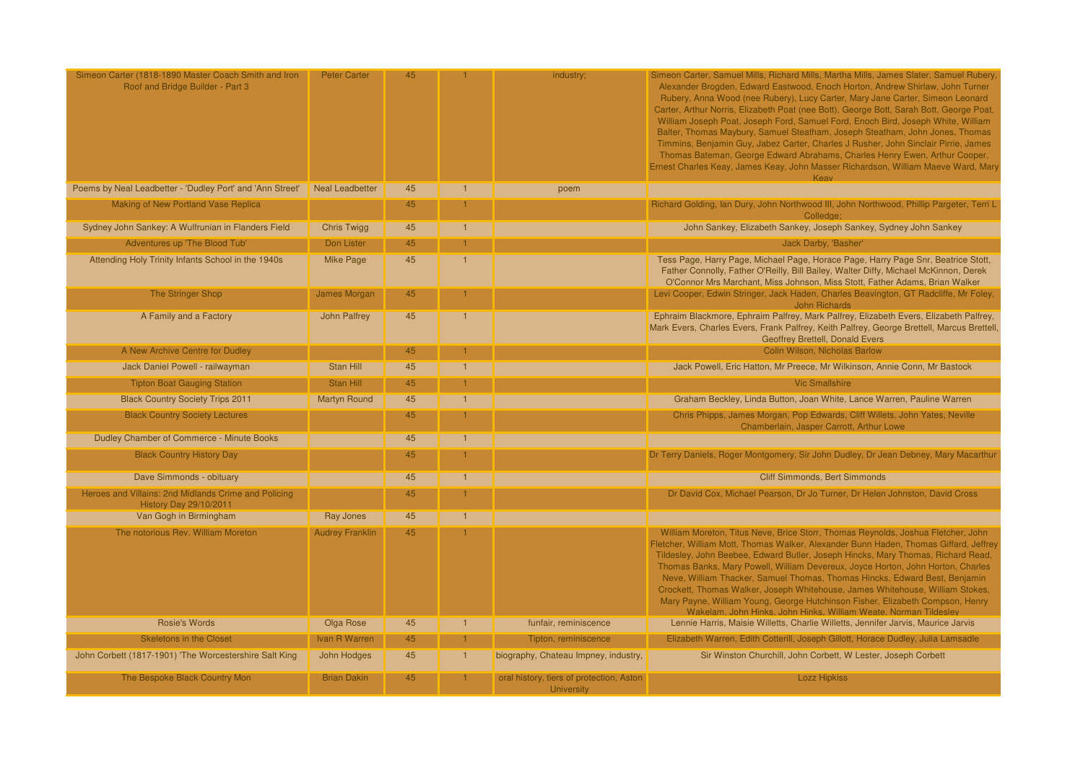| Simeon Carter (1818-1890 Master Coach Smith and Iron<br>Roof and Bridge Builder - Part 3 | <b>Peter Carter</b>    | 45 |                | industry;                                                     | Simeon Carter, Samuel Mills, Richard Mills, Martha Mills, James Slater, Samuel Rubery.<br>Alexander Brogden, Edward Eastwood, Enoch Horton, Andrew Shirlaw, John Turner<br>Rubery, Anna Wood (nee Rubery), Lucy Carter, Mary Jane Carter, Simeon Leonard<br>Carter, Arthur Norris, Elizabeth Poat (nee Bott), George Bott, Sarah Bott, George Poat,<br>William Joseph Poat, Joseph Ford, Samuel Ford, Enoch Bird, Joseph White, William<br>Balter, Thomas Maybury, Samuel Steatham, Joseph Steatham, John Jones, Thomas<br>Timmins, Benjamin Guy, Jabez Carter, Charles J Rusher, John Sinclair Pirrie, James<br>Thomas Bateman, George Edward Abrahams, Charles Henry Ewen, Arthur Cooper,<br>Ernest Charles Keay, James Keay, John Masser Richardson, William Maeve Ward, Mary<br>Keav |
|------------------------------------------------------------------------------------------|------------------------|----|----------------|---------------------------------------------------------------|------------------------------------------------------------------------------------------------------------------------------------------------------------------------------------------------------------------------------------------------------------------------------------------------------------------------------------------------------------------------------------------------------------------------------------------------------------------------------------------------------------------------------------------------------------------------------------------------------------------------------------------------------------------------------------------------------------------------------------------------------------------------------------------|
| Poems by Neal Leadbetter - 'Dudley Port' and 'Ann Street'   Neal Leadbetter              |                        | 45 |                | poem                                                          |                                                                                                                                                                                                                                                                                                                                                                                                                                                                                                                                                                                                                                                                                                                                                                                          |
| Making of New Portland Vase Replica                                                      |                        | 45 |                |                                                               | Richard Golding, Ian Dury, John Northwood III, John Northwood, Phillip Pargeter, Terri L<br>Colledge:                                                                                                                                                                                                                                                                                                                                                                                                                                                                                                                                                                                                                                                                                    |
| Sydney John Sankey: A Wulfrunian in Flanders Field                                       | <b>Chris Twigg</b>     | 45 |                |                                                               | John Sankey, Elizabeth Sankey, Joseph Sankey, Sydney John Sankey                                                                                                                                                                                                                                                                                                                                                                                                                                                                                                                                                                                                                                                                                                                         |
| Adventures up 'The Blood Tub'                                                            | Don Lister             | 45 |                |                                                               | Jack Darby, 'Basher'                                                                                                                                                                                                                                                                                                                                                                                                                                                                                                                                                                                                                                                                                                                                                                     |
| Attending Holy Trinity Infants School in the 1940s                                       | Mike Page              | 45 |                |                                                               | Tess Page, Harry Page, Michael Page, Horace Page, Harry Page Snr, Beatrice Stott,<br>Father Connolly, Father O'Reilly, Bill Bailey, Walter Diffy, Michael McKinnon, Derek<br>O'Connor Mrs Marchant, Miss Johnson, Miss Stott, Father Adams, Brian Walker                                                                                                                                                                                                                                                                                                                                                                                                                                                                                                                                 |
| <b>The Stringer Shop</b>                                                                 | <b>James Morgan</b>    | 45 |                |                                                               | Levi Cooper, Edwin Stringer, Jack Haden, Charles Beavington, GT Radcliffe, Mr Foley,<br><b>John Richards</b>                                                                                                                                                                                                                                                                                                                                                                                                                                                                                                                                                                                                                                                                             |
| A Family and a Factory                                                                   | <b>John Palfrey</b>    | 45 |                |                                                               | Ephraim Blackmore, Ephraim Palfrey, Mark Palfrey, Elizabeth Evers, Elizabeth Palfrey,<br>Mark Evers, Charles Evers, Frank Palfrey, Keith Palfrey, George Brettell, Marcus Brettell,<br>Geoffrey Brettell, Donald Evers                                                                                                                                                                                                                                                                                                                                                                                                                                                                                                                                                                   |
| A New Archive Centre for Dudley                                                          |                        | 45 |                |                                                               | <b>Colin Wilson, Nicholas Barlow</b>                                                                                                                                                                                                                                                                                                                                                                                                                                                                                                                                                                                                                                                                                                                                                     |
| Jack Daniel Powell - railwayman                                                          | Stan Hill              | 45 |                |                                                               | Jack Powell, Eric Hatton, Mr Preece, Mr Wilkinson, Annie Conn, Mr Bastock                                                                                                                                                                                                                                                                                                                                                                                                                                                                                                                                                                                                                                                                                                                |
| <b>Tipton Boat Gauging Station</b>                                                       | Stan Hill              | 45 |                |                                                               | <b>Vic Smallshire</b>                                                                                                                                                                                                                                                                                                                                                                                                                                                                                                                                                                                                                                                                                                                                                                    |
| <b>Black Country Society Trips 2011</b>                                                  | <b>Martyn Round</b>    | 45 |                |                                                               | Graham Beckley, Linda Button, Joan White, Lance Warren, Pauline Warren                                                                                                                                                                                                                                                                                                                                                                                                                                                                                                                                                                                                                                                                                                                   |
| <b>Black Country Society Lectures</b>                                                    |                        | 45 |                |                                                               | Chris Phipps, James Morgan, Pop Edwards, Cliff Willets, John Yates, Neville<br>Chamberlain, Jasper Carrott, Arthur Lowe                                                                                                                                                                                                                                                                                                                                                                                                                                                                                                                                                                                                                                                                  |
| Dudley Chamber of Commerce - Minute Books                                                |                        | 45 |                |                                                               |                                                                                                                                                                                                                                                                                                                                                                                                                                                                                                                                                                                                                                                                                                                                                                                          |
| <b>Black Country History Day</b>                                                         |                        | 45 |                |                                                               | Dr Terry Daniels, Roger Montgomery, Sir John Dudley, Dr Jean Debney, Mary Macarthur                                                                                                                                                                                                                                                                                                                                                                                                                                                                                                                                                                                                                                                                                                      |
| Dave Simmonds - obituary                                                                 |                        | 45 |                |                                                               | <b>Cliff Simmonds, Bert Simmonds</b>                                                                                                                                                                                                                                                                                                                                                                                                                                                                                                                                                                                                                                                                                                                                                     |
| Heroes and Villains: 2nd Midlands Crime and Policing<br><b>History Day 29/10/2011</b>    |                        | 45 |                |                                                               | Dr David Cox, Michael Pearson, Dr Jo Turner, Dr Helen Johnston, David Cross                                                                                                                                                                                                                                                                                                                                                                                                                                                                                                                                                                                                                                                                                                              |
| Van Gogh in Birmingham                                                                   | <b>Ray Jones</b>       | 45 | $\blacksquare$ |                                                               |                                                                                                                                                                                                                                                                                                                                                                                                                                                                                                                                                                                                                                                                                                                                                                                          |
| The notorious Rev. William Moreton                                                       | <b>Audrey Franklin</b> | 45 |                |                                                               | William Moreton, Titus Neve, Brice Storr, Thomas Reynolds, Joshua Fletcher, John<br>Fletcher, William Mott, Thomas Walker, Alexander Bunn Haden, Thomas Giffard, Jeffrey<br>Tildesley, John Beebee, Edward Butler, Joseph Hincks, Mary Thomas, Richard Read,<br>Thomas Banks, Mary Powell, William Devereux, Joyce Horton, John Horton, Charles<br>Neve, William Thacker, Samuel Thomas, Thomas Hincks, Edward Best, Benjamin<br>Crockett, Thomas Walker, Joseph Whitehouse, James Whitehouse, William Stokes,<br>Mary Payne, William Young, George Hutchinson Fisher, Elizabeth Compson, Henry<br>Wakelam. John Hinks. John Hinks. William Weate. Norman Tildeslev                                                                                                                      |
| <b>Rosie's Words</b>                                                                     | Olga Rose              | 45 |                | funfair, reminiscence                                         | Lennie Harris, Maisie Willetts, Charlie Willetts, Jennifer Jarvis, Maurice Jarvis                                                                                                                                                                                                                                                                                                                                                                                                                                                                                                                                                                                                                                                                                                        |
| <b>Skeletons in the Closet</b>                                                           | Ivan R Warren          | 45 |                | Tipton, reminiscence                                          | Elizabeth Warren, Edith Cotterill, Joseph Gillott, Horace Dudley, Julia Lamsadle                                                                                                                                                                                                                                                                                                                                                                                                                                                                                                                                                                                                                                                                                                         |
| John Corbett (1817-1901) 'The Worcestershire Salt King                                   | John Hodges            | 45 |                | biography, Chateau Impney, industry,                          | Sir Winston Churchill, John Corbett, W Lester, Joseph Corbett                                                                                                                                                                                                                                                                                                                                                                                                                                                                                                                                                                                                                                                                                                                            |
| The Bespoke Black Country Mon                                                            | <b>Brian Dakin</b>     | 45 |                | oral history, tiers of protection, Aston<br><b>University</b> | <b>Lozz Hipkiss</b>                                                                                                                                                                                                                                                                                                                                                                                                                                                                                                                                                                                                                                                                                                                                                                      |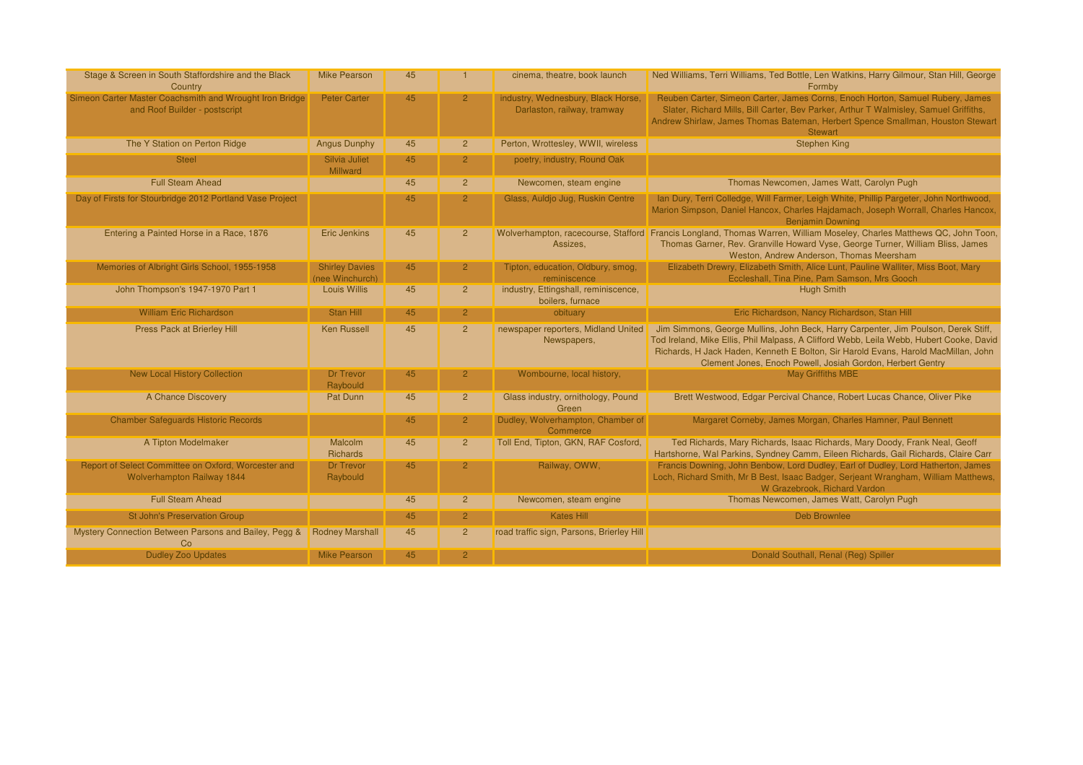| Stage & Screen in South Staffordshire and the Black<br>Country                           | <b>Mike Pearson</b>                      | 45 |                | cinema, theatre, book launch                                      | Ned Williams, Terri Williams, Ted Bottle, Len Watkins, Harry Gilmour, Stan Hill, George<br>Formby                                                                                                                                                                                                                                 |
|------------------------------------------------------------------------------------------|------------------------------------------|----|----------------|-------------------------------------------------------------------|-----------------------------------------------------------------------------------------------------------------------------------------------------------------------------------------------------------------------------------------------------------------------------------------------------------------------------------|
| Simeon Carter Master Coachsmith and Wrought Iron Bridge<br>and Roof Builder - postscript | <b>Peter Carter</b>                      | 45 | $\overline{2}$ | industry, Wednesbury, Black Horse,<br>Darlaston, railway, tramway | Reuben Carter, Simeon Carter, James Corns, Enoch Horton, Samuel Rubery, James<br>Slater, Richard Mills, Bill Carter, Bev Parker, Arthur T Walmisley, Samuel Griffiths,<br>Andrew Shirlaw, James Thomas Bateman, Herbert Spence Smallman, Houston Stewart<br><b>Stewart</b>                                                        |
| The Y Station on Perton Ridge                                                            | <b>Angus Dunphy</b>                      | 45 | $\overline{2}$ | Perton, Wrottesley, WWII, wireless                                | <b>Stephen King</b>                                                                                                                                                                                                                                                                                                               |
| <b>Steel</b>                                                                             | Silvia Juliet<br>Millward                | 45 | $\overline{2}$ | poetry, industry, Round Oak                                       |                                                                                                                                                                                                                                                                                                                                   |
| <b>Full Steam Ahead</b>                                                                  |                                          | 45 | $\overline{2}$ | Newcomen, steam engine                                            | Thomas Newcomen, James Watt, Carolyn Pugh                                                                                                                                                                                                                                                                                         |
| Day of Firsts for Stourbridge 2012 Portland Vase Project                                 |                                          | 45 | $\overline{2}$ | Glass, Auldjo Jug, Ruskin Centre                                  | Ian Dury, Terri Colledge, Will Farmer, Leigh White, Phillip Pargeter, John Northwood,<br>Marion Simpson, Daniel Hancox, Charles Hajdamach, Joseph Worrall, Charles Hancox,<br><b>Benjamin Downing</b>                                                                                                                             |
| Entering a Painted Horse in a Race, 1876                                                 | <b>Eric Jenkins</b>                      | 45 | $\overline{2}$ | Assizes.                                                          | Wolverhampton, racecourse, Stafford Francis Longland, Thomas Warren, William Moseley, Charles Matthews QC, John Toon,<br>Thomas Garner, Rev. Granville Howard Vyse, George Turner, William Bliss, James<br>Weston, Andrew Anderson, Thomas Meersham                                                                               |
| Memories of Albright Girls School, 1955-1958                                             | <b>Shirley Davies</b><br>(nee Winchurch) | 45 | $\overline{2}$ | Tipton, education, Oldbury, smog,<br>reminiscence                 | Elizabeth Drewry, Elizabeth Smith, Alice Lunt, Pauline Walliter, Miss Boot, Mary<br>Eccleshall, Tina Pine, Pam Samson, Mrs Gooch                                                                                                                                                                                                  |
| John Thompson's 1947-1970 Part 1                                                         | <b>Louis Willis</b>                      | 45 | $\overline{2}$ | industry, Ettingshall, reminiscence,<br>boilers, furnace          | <b>Hugh Smith</b>                                                                                                                                                                                                                                                                                                                 |
| <b>William Eric Richardson</b>                                                           | Stan Hill                                | 45 | $\overline{2}$ | obituary                                                          | Eric Richardson, Nancy Richardson, Stan Hill                                                                                                                                                                                                                                                                                      |
| <b>Press Pack at Brierley Hill</b>                                                       | <b>Ken Russell</b>                       | 45 | 2 <sup>1</sup> | newspaper reporters, Midland United<br>Newspapers,                | Jim Simmons, George Mullins, John Beck, Harry Carpenter, Jim Poulson, Derek Stiff,<br>Tod Ireland, Mike Ellis, Phil Malpass, A Clifford Webb, Leila Webb, Hubert Cooke, David<br>Richards, H Jack Haden, Kenneth E Bolton, Sir Harold Evans, Harold MacMillan, John<br>Clement Jones, Enoch Powell, Josiah Gordon, Herbert Gentry |
| <b>New Local History Collection</b>                                                      | <b>Dr Trevor</b><br>Raybould             | 45 | $\mathcal{P}$  | Wombourne, local history,                                         | <b>May Griffiths MBE</b>                                                                                                                                                                                                                                                                                                          |
| A Chance Discovery                                                                       | Pat Dunn                                 | 45 | 2 <sup>2</sup> | Glass industry, ornithology, Pound<br>Green                       | Brett Westwood, Edgar Percival Chance, Robert Lucas Chance, Oliver Pike                                                                                                                                                                                                                                                           |
| <b>Chamber Safeguards Historic Records</b>                                               |                                          | 45 | $\overline{2}$ | Dudley, Wolverhampton, Chamber of<br>Commerce                     | Margaret Corneby, James Morgan, Charles Hamner, Paul Bennett                                                                                                                                                                                                                                                                      |
| A Tipton Modelmaker                                                                      | Malcolm<br><b>Richards</b>               | 45 | $\overline{2}$ | Toll End, Tipton, GKN, RAF Cosford,                               | Ted Richards, Mary Richards, Isaac Richards, Mary Doody, Frank Neal, Geoff<br>Hartshorne, Wal Parkins, Syndney Camm, Eileen Richards, Gail Richards, Claire Carr                                                                                                                                                                  |
| Report of Select Committee on Oxford, Worcester and<br><b>Wolverhampton Railway 1844</b> | Dr Trevor<br>Raybould                    | 45 |                | Railway, OWW,                                                     | Francis Downing, John Benbow, Lord Dudley, Earl of Dudley, Lord Hatherton, James<br>Loch, Richard Smith, Mr B Best, Isaac Badger, Serjeant Wrangham, William Matthews,<br>W Grazebrook, Richard Vardon                                                                                                                            |
| <b>Full Steam Ahead</b>                                                                  |                                          | 45 | $\overline{2}$ | Newcomen, steam engine                                            | Thomas Newcomen, James Watt, Carolyn Pugh                                                                                                                                                                                                                                                                                         |
| <b>St John's Preservation Group</b>                                                      |                                          | 45 | 2 <sup>1</sup> | <b>Kates Hill</b>                                                 | <b>Deb Brownlee</b>                                                                                                                                                                                                                                                                                                               |
| Mystery Connection Between Parsons and Bailey, Pegg &<br>Co                              | <b>Rodney Marshall</b>                   | 45 | 2 <sup>1</sup> | road traffic sign, Parsons, Brierley Hill                         |                                                                                                                                                                                                                                                                                                                                   |
| <b>Dudley Zoo Updates</b>                                                                | Mike Pearson                             | 45 | $\overline{2}$ |                                                                   | Donald Southall, Renal (Reg) Spiller                                                                                                                                                                                                                                                                                              |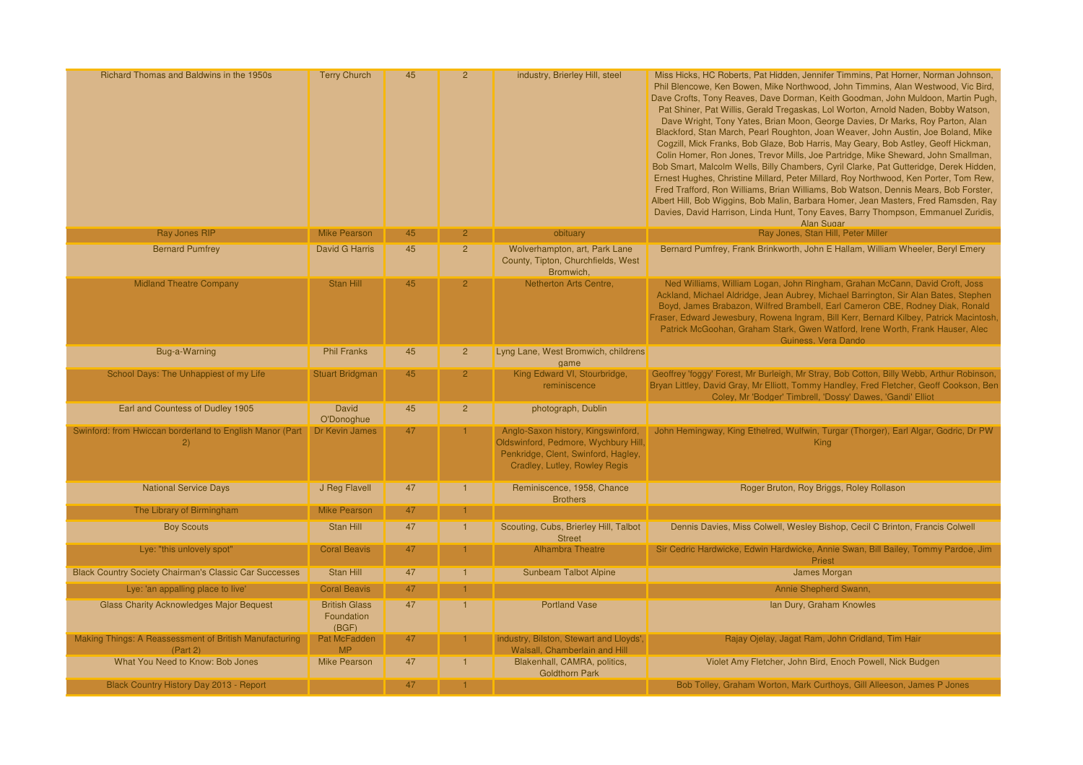| Richard Thomas and Baldwins in the 1950s                                       | <b>Terry Church</b>                         | 45 | $\overline{2}$ | industry, Brierley Hill, steel                                                                                                                     | Miss Hicks, HC Roberts, Pat Hidden, Jennifer Timmins, Pat Horner, Norman Johnson,<br>Phil Blencowe, Ken Bowen, Mike Northwood, John Timmins, Alan Westwood, Vic Bird.<br>Dave Crofts, Tony Reaves, Dave Dorman, Keith Goodman, John Muldoon, Martin Pugh.<br>Pat Shiner, Pat Willis, Gerald Tregaskas, Lol Worton, Arnold Naden, Bobby Watson,<br>Dave Wright, Tony Yates, Brian Moon, George Davies, Dr Marks, Roy Parton, Alan<br>Blackford, Stan March, Pearl Roughton, Joan Weaver, John Austin, Joe Boland, Mike<br>Cogzill, Mick Franks, Bob Glaze, Bob Harris, May Geary, Bob Astley, Geoff Hickman,<br>Colin Homer, Ron Jones, Trevor Mills, Joe Partridge, Mike Sheward, John Smallman,<br>Bob Smart, Malcolm Wells, Billy Chambers, Cyril Clarke, Pat Gutteridge, Derek Hidden,<br>Ernest Hughes, Christine Millard, Peter Millard, Roy Northwood, Ken Porter, Tom Rew,<br>Fred Trafford, Ron Williams, Brian Williams, Bob Watson, Dennis Mears, Bob Forster,<br>Albert Hill, Bob Wiggins, Bob Malin, Barbara Homer, Jean Masters, Fred Ramsden, Ray<br>Davies, David Harrison, Linda Hunt, Tony Eaves, Barry Thompson, Emmanuel Zuridis,<br>Alan Sugar |
|--------------------------------------------------------------------------------|---------------------------------------------|----|----------------|----------------------------------------------------------------------------------------------------------------------------------------------------|--------------------------------------------------------------------------------------------------------------------------------------------------------------------------------------------------------------------------------------------------------------------------------------------------------------------------------------------------------------------------------------------------------------------------------------------------------------------------------------------------------------------------------------------------------------------------------------------------------------------------------------------------------------------------------------------------------------------------------------------------------------------------------------------------------------------------------------------------------------------------------------------------------------------------------------------------------------------------------------------------------------------------------------------------------------------------------------------------------------------------------------------------------------------|
| Ray Jones RIP                                                                  | <b>Mike Pearson</b>                         | 45 |                | obituary                                                                                                                                           | Ray Jones, Stan Hill, Peter Miller                                                                                                                                                                                                                                                                                                                                                                                                                                                                                                                                                                                                                                                                                                                                                                                                                                                                                                                                                                                                                                                                                                                                 |
| <b>Bernard Pumfrey</b>                                                         | David G Harris                              | 45 | $\overline{2}$ | Wolverhampton, art, Park Lane<br>County, Tipton, Churchfields, West<br>Bromwich,                                                                   | Bernard Pumfrey, Frank Brinkworth, John E Hallam, William Wheeler, Beryl Emery                                                                                                                                                                                                                                                                                                                                                                                                                                                                                                                                                                                                                                                                                                                                                                                                                                                                                                                                                                                                                                                                                     |
| <b>Midland Theatre Company</b>                                                 | Stan Hill                                   | 45 |                | Netherton Arts Centre,                                                                                                                             | Ned Williams, William Logan, John Ringham, Grahan McCann, David Croft, Joss<br>Ackland, Michael Aldridge, Jean Aubrey, Michael Barrington, Sir Alan Bates, Stephen<br>Boyd, James Brabazon, Wilfred Brambell, Earl Cameron CBE, Rodney Diak, Ronald<br>Fraser, Edward Jewesbury, Rowena Ingram, Bill Kerr, Bernard Kilbey, Patrick Macintosh<br>Patrick McGoohan, Graham Stark, Gwen Watford, Irene Worth, Frank Hauser, Alec<br>Guiness, Vera Dando                                                                                                                                                                                                                                                                                                                                                                                                                                                                                                                                                                                                                                                                                                               |
| Bug-a-Warning                                                                  | <b>Phil Franks</b>                          | 45 | $\mathbf{2}$   | Lyng Lane, West Bromwich, childrens                                                                                                                |                                                                                                                                                                                                                                                                                                                                                                                                                                                                                                                                                                                                                                                                                                                                                                                                                                                                                                                                                                                                                                                                                                                                                                    |
| School Days: The Unhappiest of my Life                                         | <b>Stuart Bridgman</b>                      | 45 | $\overline{2}$ | game<br>King Edward VI, Stourbridge,<br>reminiscence                                                                                               | Geoffrey 'foggy' Forest, Mr Burleigh, Mr Stray, Bob Cotton, Billy Webb, Arthur Robinson,<br>Bryan Littley, David Gray, Mr Elliott, Tommy Handley, Fred Fletcher, Geoff Cookson, Ben<br>Coley, Mr 'Bodger' Timbrell, 'Dossy' Dawes, 'Gandi' Elliot                                                                                                                                                                                                                                                                                                                                                                                                                                                                                                                                                                                                                                                                                                                                                                                                                                                                                                                  |
| Earl and Countess of Dudley 1905                                               | <b>David</b><br>O'Donoghue                  | 45 | $\overline{2}$ | photograph, Dublin                                                                                                                                 |                                                                                                                                                                                                                                                                                                                                                                                                                                                                                                                                                                                                                                                                                                                                                                                                                                                                                                                                                                                                                                                                                                                                                                    |
| Swinford: from Hwiccan borderland to English Manor (Part Dr Kevin James<br>(2) |                                             | 47 |                | Anglo-Saxon history, Kingswinford,<br>Oldswinford, Pedmore, Wychbury Hill.<br>Penkridge, Clent, Swinford, Hagley,<br>Cradley, Lutley, Rowley Regis | John Hemingway, King Ethelred, Wulfwin, Turgar (Thorger), Earl Algar, Godric, Dr PW<br><b>King</b>                                                                                                                                                                                                                                                                                                                                                                                                                                                                                                                                                                                                                                                                                                                                                                                                                                                                                                                                                                                                                                                                 |
| <b>National Service Days</b>                                                   | J Reg Flavell                               | 47 |                | Reminiscence, 1958, Chance<br><b>Brothers</b>                                                                                                      | Roger Bruton, Roy Briggs, Roley Rollason                                                                                                                                                                                                                                                                                                                                                                                                                                                                                                                                                                                                                                                                                                                                                                                                                                                                                                                                                                                                                                                                                                                           |
| The Library of Birmingham                                                      | <b>Mike Pearson</b>                         | 47 |                |                                                                                                                                                    |                                                                                                                                                                                                                                                                                                                                                                                                                                                                                                                                                                                                                                                                                                                                                                                                                                                                                                                                                                                                                                                                                                                                                                    |
| <b>Boy Scouts</b>                                                              | Stan Hill                                   | 47 | $\mathbf{1}$   | Scouting, Cubs, Brierley Hill, Talbot<br><b>Street</b>                                                                                             | Dennis Davies, Miss Colwell, Wesley Bishop, Cecil C Brinton, Francis Colwell                                                                                                                                                                                                                                                                                                                                                                                                                                                                                                                                                                                                                                                                                                                                                                                                                                                                                                                                                                                                                                                                                       |
| Lye: "this unlovely spot"                                                      | <b>Coral Beavis</b>                         | 47 |                | <b>Alhambra Theatre</b>                                                                                                                            | Sir Cedric Hardwicke, Edwin Hardwicke, Annie Swan, Bill Bailey, Tommy Pardoe, Jim<br>Priest                                                                                                                                                                                                                                                                                                                                                                                                                                                                                                                                                                                                                                                                                                                                                                                                                                                                                                                                                                                                                                                                        |
| <b>Black Country Society Chairman's Classic Car Successes</b>                  | Stan Hill                                   | 47 |                | <b>Sunbeam Talbot Alpine</b>                                                                                                                       | <b>James Morgan</b>                                                                                                                                                                                                                                                                                                                                                                                                                                                                                                                                                                                                                                                                                                                                                                                                                                                                                                                                                                                                                                                                                                                                                |
| Lye: 'an appalling place to live'                                              | <b>Coral Beavis</b>                         | 47 |                |                                                                                                                                                    | Annie Shepherd Swann,                                                                                                                                                                                                                                                                                                                                                                                                                                                                                                                                                                                                                                                                                                                                                                                                                                                                                                                                                                                                                                                                                                                                              |
| <b>Glass Charity Acknowledges Major Bequest</b>                                | <b>British Glass</b><br>Foundation<br>(BGF) | 47 |                | <b>Portland Vase</b>                                                                                                                               | Ian Dury, Graham Knowles                                                                                                                                                                                                                                                                                                                                                                                                                                                                                                                                                                                                                                                                                                                                                                                                                                                                                                                                                                                                                                                                                                                                           |
| Making Things: A Reassessment of British Manufacturing<br>(Part 2)             | Pat McFadden<br><b>MP</b>                   | 47 |                | industry, Bilston, Stewart and Lloyds',<br>Walsall, Chamberlain and Hill                                                                           | Rajay Ojelay, Jagat Ram, John Cridland, Tim Hair                                                                                                                                                                                                                                                                                                                                                                                                                                                                                                                                                                                                                                                                                                                                                                                                                                                                                                                                                                                                                                                                                                                   |
| What You Need to Know: Bob Jones                                               | <b>Mike Pearson</b>                         | 47 |                | Blakenhall, CAMRA, politics,<br><b>Goldthorn Park</b>                                                                                              | Violet Amy Fletcher, John Bird, Enoch Powell, Nick Budgen                                                                                                                                                                                                                                                                                                                                                                                                                                                                                                                                                                                                                                                                                                                                                                                                                                                                                                                                                                                                                                                                                                          |
| Black Country History Day 2013 - Report                                        |                                             | 47 |                |                                                                                                                                                    | Bob Tolley, Graham Worton, Mark Curthoys, Gill Alleeson, James P Jones                                                                                                                                                                                                                                                                                                                                                                                                                                                                                                                                                                                                                                                                                                                                                                                                                                                                                                                                                                                                                                                                                             |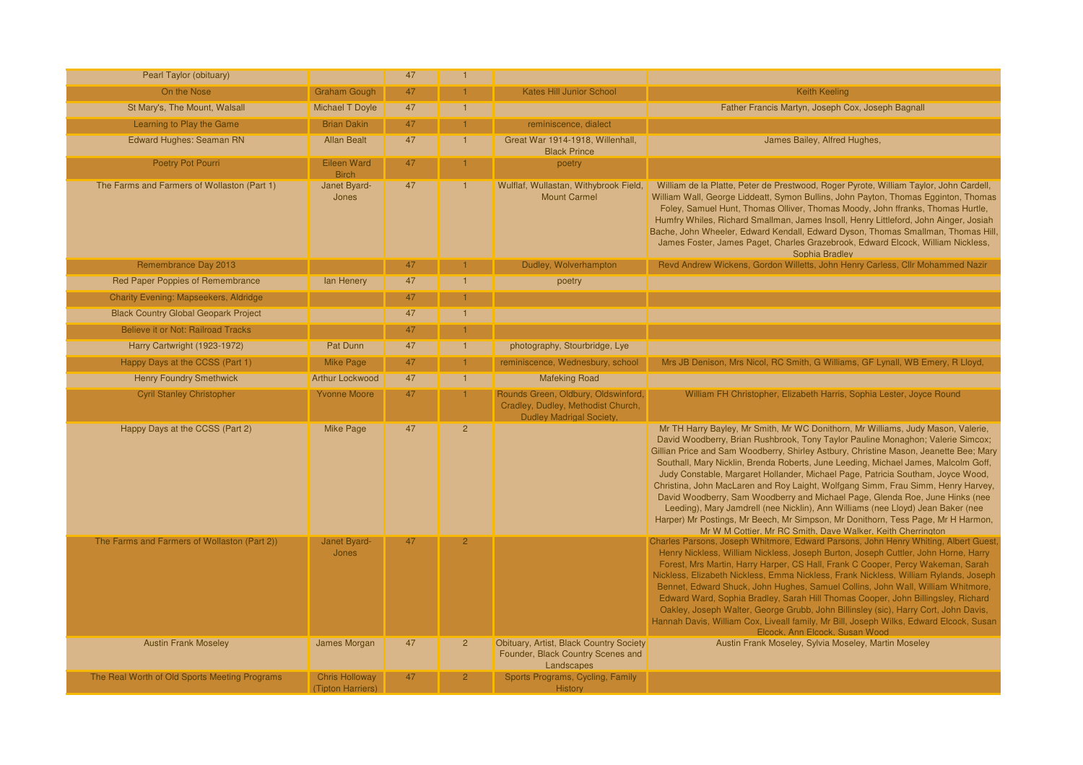| Pearl Taylor (obituary)                       |                                            | 47 |                |                                                                                                              |                                                                                                                                                                                                                                                                                                                                                                                                                                                                                                                                                                                                                                                                                                                                                                                                                                                 |
|-----------------------------------------------|--------------------------------------------|----|----------------|--------------------------------------------------------------------------------------------------------------|-------------------------------------------------------------------------------------------------------------------------------------------------------------------------------------------------------------------------------------------------------------------------------------------------------------------------------------------------------------------------------------------------------------------------------------------------------------------------------------------------------------------------------------------------------------------------------------------------------------------------------------------------------------------------------------------------------------------------------------------------------------------------------------------------------------------------------------------------|
| On the Nose                                   | <b>Graham Gough</b>                        | 47 |                | <b>Kates Hill Junior School</b>                                                                              | <b>Keith Keeling</b>                                                                                                                                                                                                                                                                                                                                                                                                                                                                                                                                                                                                                                                                                                                                                                                                                            |
| St Mary's, The Mount, Walsall                 | <b>Michael T Doyle</b>                     | 47 | $\mathbf{1}$   |                                                                                                              | Father Francis Martyn, Joseph Cox, Joseph Bagnall                                                                                                                                                                                                                                                                                                                                                                                                                                                                                                                                                                                                                                                                                                                                                                                               |
| Learning to Play the Game                     | <b>Brian Dakin</b>                         | 47 |                | reminiscence, dialect                                                                                        |                                                                                                                                                                                                                                                                                                                                                                                                                                                                                                                                                                                                                                                                                                                                                                                                                                                 |
| Edward Hughes: Seaman RN                      | <b>Allan Bealt</b>                         | 47 | $\overline{1}$ | Great War 1914-1918, Willenhall,<br><b>Black Prince</b>                                                      | James Bailey, Alfred Hughes,                                                                                                                                                                                                                                                                                                                                                                                                                                                                                                                                                                                                                                                                                                                                                                                                                    |
| Poetry Pot Pourri                             | Eileen Ward<br><b>Birch</b>                | 47 |                | poetry                                                                                                       |                                                                                                                                                                                                                                                                                                                                                                                                                                                                                                                                                                                                                                                                                                                                                                                                                                                 |
| The Farms and Farmers of Wollaston (Part 1)   | Janet Byard-<br>Jones                      | 47 |                | Wulflaf, Wullastan, Withybrook Field,<br><b>Mount Carmel</b>                                                 | William de la Platte, Peter de Prestwood, Roger Pyrote, William Taylor, John Cardell,<br>William Wall, George Liddeatt, Symon Bullins, John Payton, Thomas Egginton, Thomas<br>Foley, Samuel Hunt, Thomas Olliver, Thomas Moody, John ffranks, Thomas Hurtle,<br>Humfry Whiles, Richard Smallman, James Insoll, Henry Littleford, John Ainger, Josiah<br>Bache, John Wheeler, Edward Kendall, Edward Dyson, Thomas Smallman, Thomas Hill<br>James Foster, James Paget, Charles Grazebrook, Edward Elcock, William Nickless,<br>Sophia Bradley                                                                                                                                                                                                                                                                                                   |
| Remembrance Day 2013                          |                                            | 47 |                | Dudley, Wolverhampton                                                                                        | Revd Andrew Wickens, Gordon Willetts, John Henry Carless, Cllr Mohammed Nazir                                                                                                                                                                                                                                                                                                                                                                                                                                                                                                                                                                                                                                                                                                                                                                   |
| Red Paper Poppies of Remembrance              | lan Henery                                 | 47 | $\overline{1}$ | poetry                                                                                                       |                                                                                                                                                                                                                                                                                                                                                                                                                                                                                                                                                                                                                                                                                                                                                                                                                                                 |
| <b>Charity Evening: Mapseekers, Aldridge</b>  |                                            | 47 |                |                                                                                                              |                                                                                                                                                                                                                                                                                                                                                                                                                                                                                                                                                                                                                                                                                                                                                                                                                                                 |
| <b>Black Country Global Geopark Project</b>   |                                            | 47 |                |                                                                                                              |                                                                                                                                                                                                                                                                                                                                                                                                                                                                                                                                                                                                                                                                                                                                                                                                                                                 |
| <b>Believe it or Not: Railroad Tracks</b>     |                                            | 47 |                |                                                                                                              |                                                                                                                                                                                                                                                                                                                                                                                                                                                                                                                                                                                                                                                                                                                                                                                                                                                 |
| Harry Cartwright (1923-1972)                  | <b>Pat Dunn</b>                            | 47 |                | photography, Stourbridge, Lye                                                                                |                                                                                                                                                                                                                                                                                                                                                                                                                                                                                                                                                                                                                                                                                                                                                                                                                                                 |
| Happy Days at the CCSS (Part 1)               | Mike Page                                  | 47 |                | reminiscence, Wednesbury, school                                                                             | Mrs JB Denison, Mrs Nicol, RC Smith, G Williams, GF Lynall, WB Emery, R Lloyd,                                                                                                                                                                                                                                                                                                                                                                                                                                                                                                                                                                                                                                                                                                                                                                  |
| <b>Henry Foundry Smethwick</b>                | <b>Arthur Lockwood</b>                     | 47 | $\blacksquare$ | <b>Mafeking Road</b>                                                                                         |                                                                                                                                                                                                                                                                                                                                                                                                                                                                                                                                                                                                                                                                                                                                                                                                                                                 |
| <b>Cyril Stanley Christopher</b>              | <b>Yvonne Moore</b>                        | 47 |                | Rounds Green, Oldbury, Oldswinford,<br>Cradley, Dudley, Methodist Church,<br><b>Dudley Madrigal Society.</b> | William FH Christopher, Elizabeth Harris, Sophia Lester, Joyce Round                                                                                                                                                                                                                                                                                                                                                                                                                                                                                                                                                                                                                                                                                                                                                                            |
| Happy Days at the CCSS (Part 2)               | Mike Page                                  | 47 | $\overline{2}$ |                                                                                                              | Mr TH Harry Bayley, Mr Smith, Mr WC Donithorn, Mr Williams, Judy Mason, Valerie,<br>David Woodberry, Brian Rushbrook, Tony Taylor Pauline Monaghon; Valerie Simcox;<br>Gillian Price and Sam Woodberry, Shirley Astbury, Christine Mason, Jeanette Bee; Mary<br>Southall, Mary Nicklin, Brenda Roberts, June Leeding, Michael James, Malcolm Goff,<br>Judy Constable, Margaret Hollander, Michael Page, Patricia Southam, Joyce Wood,<br>Christina, John MacLaren and Roy Laight, Wolfgang Simm, Frau Simm, Henry Harvey,<br>David Woodberry, Sam Woodberry and Michael Page, Glenda Roe, June Hinks (nee<br>Leeding), Mary Jamdrell (nee Nicklin), Ann Williams (nee Lloyd) Jean Baker (nee<br>Harper) Mr Postings, Mr Beech, Mr Simpson, Mr Donithorn, Tess Page, Mr H Harmon,<br>Mr W M Cottier, Mr RC Smith, Dave Walker, Keith Cherrington |
| The Farms and Farmers of Wollaston (Part 2))  | Janet Byard-<br>Jones                      | 47 | $\overline{2}$ |                                                                                                              | Charles Parsons, Joseph Whitmore, Edward Parsons, John Henry Whiting, Albert Guest,<br>Henry Nickless, William Nickless, Joseph Burton, Joseph Cuttler, John Horne, Harry<br>Forest, Mrs Martin, Harry Harper, CS Hall, Frank C Cooper, Percy Wakeman, Sarah<br>Nickless, Elizabeth Nickless, Emma Nickless, Frank Nickless, William Rylands, Joseph<br>Bennet, Edward Shuck, John Hughes, Samuel Collins, John Wall, William Whitmore,<br>Edward Ward, Sophia Bradley, Sarah Hill Thomas Cooper, John Billingsley, Richard<br>Oakley, Joseph Walter, George Grubb, John Billinsley (sic), Harry Cort, John Davis,<br>Hannah Davis, William Cox, Liveall family, Mr Bill, Joseph Wilks, Edward Elcock, Susan<br>Elcock, Ann Elcock, Susan Wood                                                                                                  |
| <b>Austin Frank Moseley</b>                   | James Morgan                               | 47 | $\overline{2}$ | Obituary, Artist, Black Country Society<br>Founder, Black Country Scenes and<br>Landscapes                   | Austin Frank Moseley, Sylvia Moseley, Martin Moseley                                                                                                                                                                                                                                                                                                                                                                                                                                                                                                                                                                                                                                                                                                                                                                                            |
| The Real Worth of Old Sports Meeting Programs | <b>Chris Holloway</b><br>(Tipton Harriers) | 47 |                | Sports Programs, Cycling, Family<br><b>History</b>                                                           |                                                                                                                                                                                                                                                                                                                                                                                                                                                                                                                                                                                                                                                                                                                                                                                                                                                 |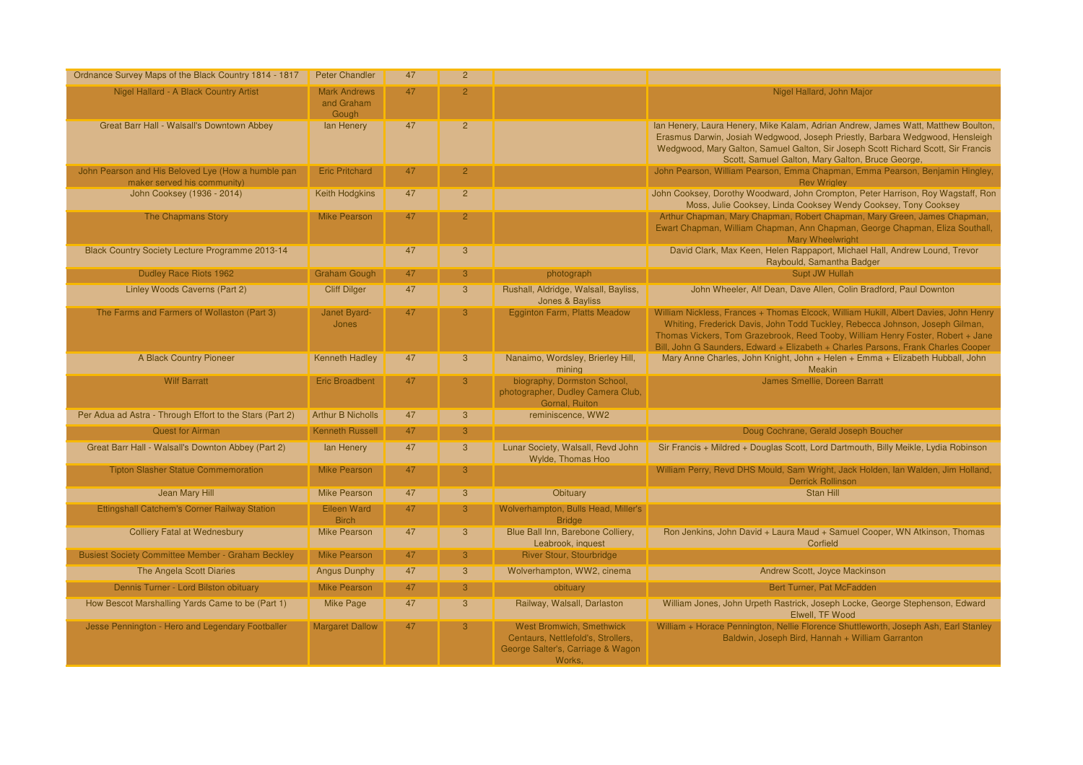| Ordnance Survey Maps of the Black Country 1814 - 1817                             | <b>Peter Chandler</b>                      | 47 | $\overline{a}$ |                                                                                                                      |                                                                                                                                                                                                                                                                                                                                              |
|-----------------------------------------------------------------------------------|--------------------------------------------|----|----------------|----------------------------------------------------------------------------------------------------------------------|----------------------------------------------------------------------------------------------------------------------------------------------------------------------------------------------------------------------------------------------------------------------------------------------------------------------------------------------|
| Nigel Hallard - A Black Country Artist                                            | <b>Mark Andrews</b><br>and Graham<br>Gough | 47 | $\overline{a}$ |                                                                                                                      | Nigel Hallard, John Major                                                                                                                                                                                                                                                                                                                    |
| Great Barr Hall - Walsall's Downtown Abbey                                        | lan Henery                                 | 47 | $\overline{2}$ |                                                                                                                      | Ian Henery, Laura Henery, Mike Kalam, Adrian Andrew, James Watt, Matthew Boulton,<br>Erasmus Darwin, Josiah Wedgwood, Joseph Priestly, Barbara Wedgwood, Hensleigh<br>Wedgwood, Mary Galton, Samuel Galton, Sir Joseph Scott Richard Scott, Sir Francis<br>Scott, Samuel Galton, Mary Galton, Bruce George,                                  |
| John Pearson and His Beloved Lye (How a humble pan<br>maker served his community) | <b>Eric Pritchard</b>                      | 47 | $\overline{2}$ |                                                                                                                      | John Pearson, William Pearson, Emma Chapman, Emma Pearson, Benjamin Hingley,<br><b>Rev Wrigley</b>                                                                                                                                                                                                                                           |
| John Cooksey (1936 - 2014)                                                        | <b>Keith Hodgkins</b>                      | 47 | $\overline{2}$ |                                                                                                                      | John Cooksey, Dorothy Woodward, John Crompton, Peter Harrison, Roy Wagstaff, Ron<br>Moss, Julie Cooksey, Linda Cooksey Wendy Cooksey, Tony Cooksey                                                                                                                                                                                           |
| The Chapmans Story                                                                | <b>Mike Pearson</b>                        | 47 | $\overline{2}$ |                                                                                                                      | Arthur Chapman, Mary Chapman, Robert Chapman, Mary Green, James Chapman,<br>Ewart Chapman, William Chapman, Ann Chapman, George Chapman, Eliza Southall,<br>Mary Wheelwright                                                                                                                                                                 |
| Black Country Society Lecture Programme 2013-14                                   |                                            | 47 | $\mathbf{3}$   |                                                                                                                      | David Clark, Max Keen, Helen Rappaport, Michael Hall, Andrew Lound, Trevor<br>Raybould, Samantha Badger                                                                                                                                                                                                                                      |
| Dudley Race Riots 1962                                                            | <b>Graham Gough</b>                        | 47 | 3              | photograph                                                                                                           | Supt JW Hullah                                                                                                                                                                                                                                                                                                                               |
| Linley Woods Caverns (Part 2)                                                     | <b>Cliff Dilger</b>                        | 47 | $\mathbf{3}$   | Rushall, Aldridge, Walsall, Bayliss,<br><b>Jones &amp; Bayliss</b>                                                   | John Wheeler, Alf Dean, Dave Allen, Colin Bradford, Paul Downton                                                                                                                                                                                                                                                                             |
| The Farms and Farmers of Wollaston (Part 3)                                       | <b>Janet Byard-</b><br>Jones               | 47 | $\overline{3}$ | Egginton Farm, Platts Meadow                                                                                         | William Nickless, Frances + Thomas Elcock, William Hukill, Albert Davies, John Henry<br>Whiting, Frederick Davis, John Todd Tuckley, Rebecca Johnson, Joseph Gilman,<br>Thomas Vickers, Tom Grazebrook, Reed Tooby, William Henry Foster, Robert + Jane<br>Bill, John G Saunders, Edward + Elizabeth + Charles Parsons, Frank Charles Cooper |
| A Black Country Pioneer                                                           | <b>Kenneth Hadley</b>                      | 47 | 3              | Nanaimo, Wordsley, Brierley Hill,<br>mining                                                                          | Mary Anne Charles, John Knight, John + Helen + Emma + Elizabeth Hubball, John<br><b>Meakin</b>                                                                                                                                                                                                                                               |
| <b>Wilf Barratt</b>                                                               | <b>Eric Broadbent</b>                      | 47 | 3              | biography, Dormston School,<br>photographer, Dudley Camera Club,<br>Gornal, Ruiton                                   | <b>James Smellie, Doreen Barratt</b>                                                                                                                                                                                                                                                                                                         |
| Per Adua ad Astra - Through Effort to the Stars (Part 2)                          | <b>Arthur B Nicholls</b>                   | 47 | 3              | reminiscence, WW2                                                                                                    |                                                                                                                                                                                                                                                                                                                                              |
| <b>Quest for Airman</b>                                                           | <b>Kenneth Russell</b>                     | 47 | 3              |                                                                                                                      | Doug Cochrane, Gerald Joseph Boucher                                                                                                                                                                                                                                                                                                         |
| Great Barr Hall - Walsall's Downton Abbey (Part 2)                                | lan Henery                                 | 47 | $\mathbf{3}$   | Lunar Society, Walsall, Revd John<br>Wylde, Thomas Hoo                                                               | Sir Francis + Mildred + Douglas Scott, Lord Dartmouth, Billy Meikle, Lydia Robinson                                                                                                                                                                                                                                                          |
| <b>Tipton Slasher Statue Commemoration</b>                                        | <b>Mike Pearson</b>                        | 47 | 3              |                                                                                                                      | William Perry, Revd DHS Mould, Sam Wright, Jack Holden, Ian Walden, Jim Holland,<br><b>Derrick Rollinson</b>                                                                                                                                                                                                                                 |
| Jean Mary Hill                                                                    | <b>Mike Pearson</b>                        | 47 | $\mathbf{3}$   | Obituary                                                                                                             | Stan Hill                                                                                                                                                                                                                                                                                                                                    |
| Ettingshall Catchem's Corner Railway Station                                      | Eileen Ward<br><b>Birch</b>                | 47 | $\overline{3}$ | Wolverhampton, Bulls Head, Miller's<br><b>Bridge</b>                                                                 |                                                                                                                                                                                                                                                                                                                                              |
| <b>Colliery Fatal at Wednesbury</b>                                               | <b>Mike Pearson</b>                        | 47 | $\mathbf{3}$   | Blue Ball Inn, Barebone Colliery,<br>Leabrook, inquest                                                               | Ron Jenkins, John David + Laura Maud + Samuel Cooper, WN Atkinson, Thomas<br>Corfield                                                                                                                                                                                                                                                        |
| <b>Busiest Society Committee Member - Graham Beckley</b>                          | Mike Pearson                               | 47 | 3              | River Stour, Stourbridge                                                                                             |                                                                                                                                                                                                                                                                                                                                              |
| The Angela Scott Diaries                                                          | <b>Angus Dunphy</b>                        | 47 | $\mathbf{3}$   | Wolverhampton, WW2, cinema                                                                                           | Andrew Scott, Joyce Mackinson                                                                                                                                                                                                                                                                                                                |
| Dennis Turner - Lord Bilston obituary                                             | <b>Mike Pearson</b>                        | 47 | 3              | obituary                                                                                                             | Bert Turner, Pat McFadden                                                                                                                                                                                                                                                                                                                    |
| How Bescot Marshalling Yards Came to be (Part 1)                                  | Mike Page                                  | 47 | 3              | Railway, Walsall, Darlaston                                                                                          | William Jones, John Urpeth Rastrick, Joseph Locke, George Stephenson, Edward<br>Elwell, TF Wood                                                                                                                                                                                                                                              |
| Jesse Pennington - Hero and Legendary Footballer                                  | <b>Margaret Dallow</b>                     | 47 | 3              | <b>West Bromwich, Smethwick</b><br>Centaurs, Nettlefold's, Strollers,<br>George Salter's, Carriage & Wagon<br>Works, | William + Horace Pennington, Nellie Florence Shuttleworth, Joseph Ash, Earl Stanley<br>Baldwin, Joseph Bird, Hannah + William Garranton                                                                                                                                                                                                      |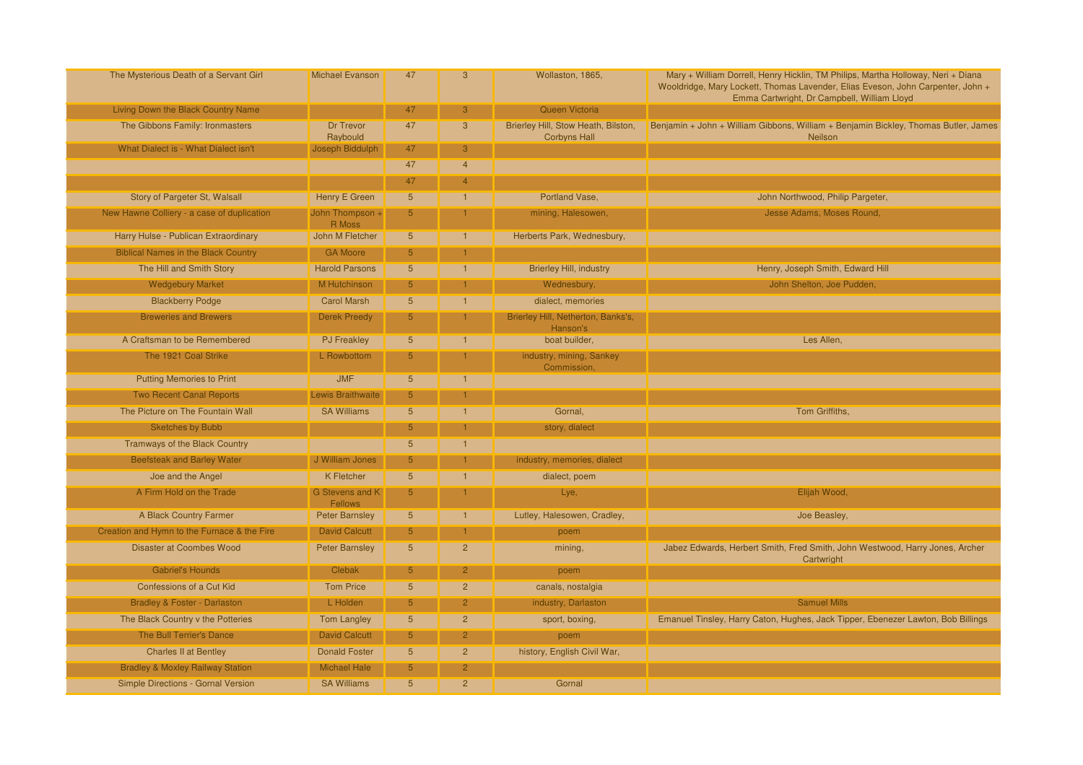| The Mysterious Death of a Servant Girl      | <b>Michael Evanson</b>                   | 47              | $\overline{3}$ | Wollaston, 1865,                                           | Mary + William Dorrell, Henry Hicklin, TM Philips, Martha Holloway, Neri + Diana<br>Wooldridge, Mary Lockett, Thomas Lavender, Elias Eveson, John Carpenter, John +<br>Emma Cartwright, Dr Campbell, William Lloyd |
|---------------------------------------------|------------------------------------------|-----------------|----------------|------------------------------------------------------------|--------------------------------------------------------------------------------------------------------------------------------------------------------------------------------------------------------------------|
| Living Down the Black Country Name          |                                          | 47              | 3              | Queen Victoria                                             |                                                                                                                                                                                                                    |
| The Gibbons Family: Ironmasters             | <b>Dr Trevor</b><br>Raybould             | 47              | $\overline{3}$ | Brierley Hill, Stow Heath, Bilston,<br><b>Corbyns Hall</b> | Benjamin + John + William Gibbons, William + Benjamin Bickley, Thomas Butler, James<br>Neilson                                                                                                                     |
| What Dialect is - What Dialect isn't        | Joseph Biddulph                          | 47              | 3              |                                                            |                                                                                                                                                                                                                    |
|                                             |                                          | 47              | $\overline{4}$ |                                                            |                                                                                                                                                                                                                    |
|                                             |                                          | 47              | $\overline{4}$ |                                                            |                                                                                                                                                                                                                    |
| Story of Pargeter St, Walsall               | Henry E Green                            | $5\overline{5}$ |                | Portland Vase,                                             | John Northwood, Philip Pargeter,                                                                                                                                                                                   |
| New Hawne Colliery - a case of duplication  | John Thompson +<br>R Moss                | $5\phantom{.0}$ |                | mining, Halesowen,                                         | Jesse Adams, Moses Round,                                                                                                                                                                                          |
| Harry Hulse - Publican Extraordinary        | John M Fletcher                          | $5\phantom{.0}$ | $\overline{1}$ | Herberts Park, Wednesbury,                                 |                                                                                                                                                                                                                    |
| <b>Biblical Names in the Black Country</b>  | <b>GA Moore</b>                          | 5 <sub>5</sub>  |                |                                                            |                                                                                                                                                                                                                    |
| The Hill and Smith Story                    | <b>Harold Parsons</b>                    | $5\overline{)}$ |                | <b>Brierley Hill, industry</b>                             | Henry, Joseph Smith, Edward Hill                                                                                                                                                                                   |
| <b>Wedgebury Market</b>                     | M Hutchinson                             | 5 <sup>5</sup>  |                | Wednesbury,                                                | John Shelton, Joe Pudden,                                                                                                                                                                                          |
| <b>Blackberry Podge</b>                     | <b>Carol Marsh</b>                       | $5\phantom{.0}$ |                | dialect, memories                                          |                                                                                                                                                                                                                    |
| <b>Breweries and Brewers</b>                | <b>Derek Preedy</b>                      | $5\overline{5}$ |                | Brierley Hill, Netherton, Banks's,<br>Hanson's             |                                                                                                                                                                                                                    |
| A Craftsman to be Remembered                | <b>PJ</b> Freakley                       | $5\phantom{.0}$ |                | boat builder,                                              | Les Allen,                                                                                                                                                                                                         |
| The 1921 Coal Strike                        | L Rowbottom                              | 5 <sup>5</sup>  |                | industry, mining, Sankey<br>Commission,                    |                                                                                                                                                                                                                    |
| <b>Putting Memories to Print</b>            | <b>JMF</b>                               | $5\overline{)}$ |                |                                                            |                                                                                                                                                                                                                    |
| <b>Two Recent Canal Reports</b>             | <b>Lewis Braithwaite</b>                 | 5 <sup>5</sup>  |                |                                                            |                                                                                                                                                                                                                    |
| The Picture on The Fountain Wall            | <b>SA Williams</b>                       | $5\overline{)}$ |                | Gornal,                                                    | Tom Griffiths,                                                                                                                                                                                                     |
| <b>Sketches by Bubb</b>                     |                                          | 5 <sup>5</sup>  |                | story, dialect                                             |                                                                                                                                                                                                                    |
| Tramways of the Black Country               |                                          | $5\phantom{.0}$ |                |                                                            |                                                                                                                                                                                                                    |
| <b>Beefsteak and Barley Water</b>           | J William Jones                          | $5\phantom{.}$  |                | industry, memories, dialect                                |                                                                                                                                                                                                                    |
| Joe and the Angel                           | <b>K</b> Fletcher                        | $5\phantom{.0}$ |                | dialect, poem                                              |                                                                                                                                                                                                                    |
| A Firm Hold on the Trade                    | <b>G Stevens and K</b><br><b>Fellows</b> | 5 <sup>5</sup>  |                | Lye,                                                       | Elijah Wood,                                                                                                                                                                                                       |
| A Black Country Farmer                      | <b>Peter Barnsley</b>                    | $5\phantom{.0}$ | $\overline{1}$ | Lutley, Halesowen, Cradley,                                | Joe Beasley,                                                                                                                                                                                                       |
| Creation and Hymn to the Furnace & the Fire | <b>David Calcutt</b>                     | 5 <sup>5</sup>  |                | poem                                                       |                                                                                                                                                                                                                    |
| <b>Disaster at Coombes Wood</b>             | <b>Peter Barnsley</b>                    | $5\overline{)}$ | $\overline{2}$ | mining,                                                    | Jabez Edwards, Herbert Smith, Fred Smith, John Westwood, Harry Jones, Archer<br>Cartwright                                                                                                                         |
| <b>Gabriel's Hounds</b>                     | <b>Clebak</b>                            | 5 <sup>5</sup>  | $\overline{2}$ | poem                                                       |                                                                                                                                                                                                                    |
| Confessions of a Cut Kid                    | <b>Tom Price</b>                         | 5 <sup>5</sup>  | $\overline{2}$ | canals, nostalgia                                          |                                                                                                                                                                                                                    |
| Bradley & Foster - Darlaston                | L Holden                                 | $5\phantom{.}$  | 2 <sup>1</sup> | industry, Darlaston                                        | <b>Samuel Mills</b>                                                                                                                                                                                                |
| The Black Country v the Potteries           | <b>Tom Langley</b>                       | $5\phantom{.0}$ | $\overline{2}$ | sport, boxing,                                             | Emanuel Tinsley, Harry Caton, Hughes, Jack Tipper, Ebenezer Lawton, Bob Billings                                                                                                                                   |
| The Bull Terrier's Dance                    | <b>David Calcutt</b>                     | $5\phantom{.0}$ | 2 <sup>1</sup> | poem                                                       |                                                                                                                                                                                                                    |
| <b>Charles II at Bentley</b>                | <b>Donald Foster</b>                     | $5\phantom{.0}$ | $\overline{2}$ | history, English Civil War,                                |                                                                                                                                                                                                                    |
| <b>Bradley &amp; Moxley Railway Station</b> | <b>Michael Hale</b>                      | 5               | $\overline{P}$ |                                                            |                                                                                                                                                                                                                    |
| <b>Simple Directions - Gornal Version</b>   | <b>SA Williams</b>                       | $5\overline{)}$ | $\overline{2}$ | Gornal                                                     |                                                                                                                                                                                                                    |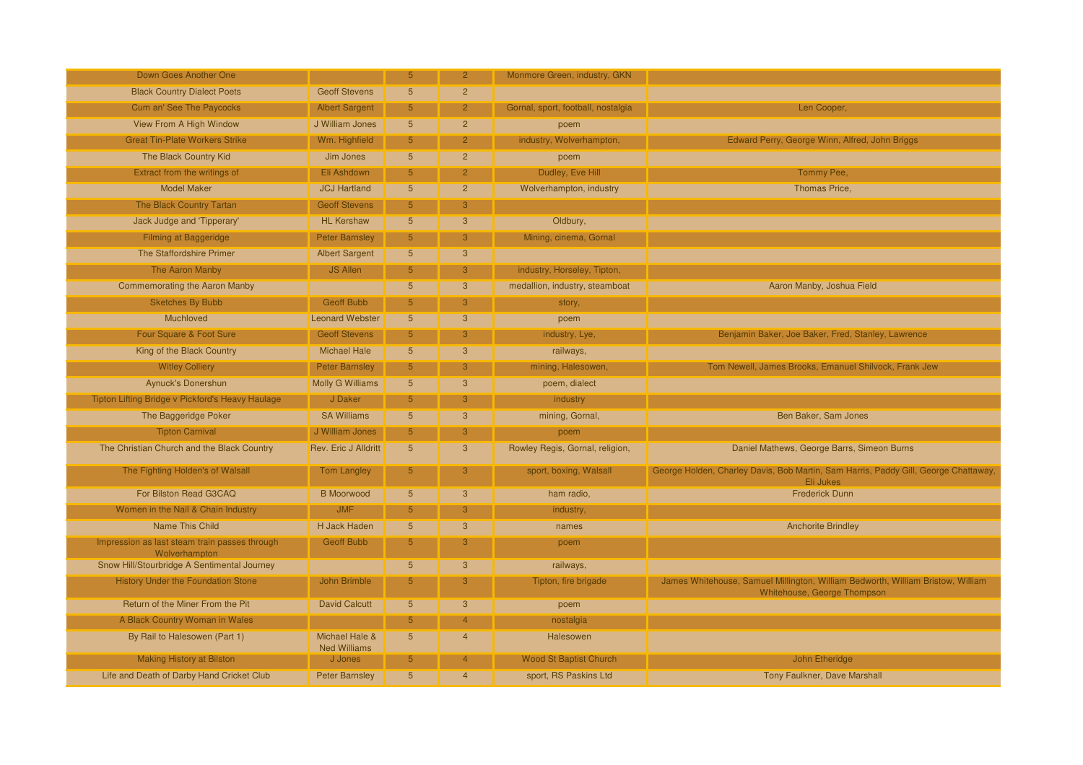| Down Goes Another One                                          |                                       | $5^{\circ}$     | $\overline{2}$ | Monmore Green, industry, GKN       |                                                                                                                |
|----------------------------------------------------------------|---------------------------------------|-----------------|----------------|------------------------------------|----------------------------------------------------------------------------------------------------------------|
| <b>Black Country Dialect Poets</b>                             | <b>Geoff Stevens</b>                  | $5\phantom{1}$  | $\overline{2}$ |                                    |                                                                                                                |
| <b>Cum an' See The Paycocks</b>                                | <b>Albert Sargent</b>                 | $5\phantom{1}$  | $\overline{2}$ | Gornal, sport, football, nostalgia | Len Cooper,                                                                                                    |
| View From A High Window                                        | J William Jones                       | $5\overline{)}$ | $\overline{2}$ | poem                               |                                                                                                                |
| <b>Great Tin-Plate Workers Strike</b>                          | Wm. Highfield                         | $5\phantom{.0}$ | 2 <sup>1</sup> | industry, Wolverhampton,           | Edward Perry, George Winn, Alfred, John Briggs                                                                 |
| The Black Country Kid                                          | Jim Jones                             | $5\phantom{1}$  | $\overline{2}$ | poem                               |                                                                                                                |
| Extract from the writings of                                   | Eli Ashdown                           | $5\phantom{.0}$ | $\overline{2}$ | Dudley, Eve Hill                   | Tommy Pee,                                                                                                     |
| <b>Model Maker</b>                                             | <b>JCJ</b> Hartland                   | $5\phantom{1}$  | $\overline{2}$ | Wolverhampton, industry            | Thomas Price,                                                                                                  |
| The Black Country Tartan                                       | <b>Geoff Stevens</b>                  | 5               | 3              |                                    |                                                                                                                |
| Jack Judge and 'Tipperary'                                     | <b>HL Kershaw</b>                     | $5\phantom{1}$  | 3              | Oldbury,                           |                                                                                                                |
| Filming at Baggeridge                                          | <b>Peter Barnsley</b>                 | $5\phantom{.0}$ | 3              | Mining, cinema, Gornal             |                                                                                                                |
| <b>The Staffordshire Primer</b>                                | <b>Albert Sargent</b>                 | $5\phantom{1}$  | 3              |                                    |                                                                                                                |
| The Aaron Manby                                                | <b>JS Allen</b>                       | $5\phantom{1}$  | 3              | industry, Horseley, Tipton,        |                                                                                                                |
| <b>Commemorating the Aaron Manby</b>                           |                                       | $5\overline{}$  | 3              | medallion, industry, steamboat     | Aaron Manby, Joshua Field                                                                                      |
| <b>Sketches By Bubb</b>                                        | <b>Geoff Bubb</b>                     | $5\phantom{.}$  | 3              | story,                             |                                                                                                                |
| Muchloved                                                      | <b>Leonard Webster</b>                | $5\overline{}$  | $\overline{3}$ | poem                               |                                                                                                                |
| Four Square & Foot Sure                                        | <b>Geoff Stevens</b>                  | $5\phantom{.0}$ | 3              | industry, Lye,                     | Benjamin Baker, Joe Baker, Fred, Stanley, Lawrence                                                             |
| King of the Black Country                                      | <b>Michael Hale</b>                   | 5               | 3              | railways,                          |                                                                                                                |
| <b>Witley Colliery</b>                                         | <b>Peter Barnsley</b>                 | $5\phantom{.0}$ | 3              | mining, Halesowen,                 | Tom Newell, James Brooks, Emanuel Shilvock, Frank Jew                                                          |
| <b>Aynuck's Donershun</b>                                      | <b>Molly G Williams</b>               | $5\phantom{1}$  | 3              | poem, dialect                      |                                                                                                                |
| Tipton Lifting Bridge v Pickford's Heavy Haulage               | J Daker                               | $5\phantom{1}$  | 3              | industry                           |                                                                                                                |
| The Baggeridge Poker                                           | <b>SA Williams</b>                    | $5\phantom{1}$  | 3              | mining, Gornal,                    | Ben Baker, Sam Jones                                                                                           |
| <b>Tipton Carnival</b>                                         | J William Jones                       | $5\phantom{.0}$ | 3              | poem                               |                                                                                                                |
| The Christian Church and the Black Country                     | Rev. Eric J Alldritt                  | $5\phantom{1}$  | 3              | Rowley Regis, Gornal, religion,    | Daniel Mathews, George Barrs, Simeon Burns                                                                     |
| The Fighting Holden's of Walsall                               | <b>Tom Langley</b>                    | $5\phantom{.}$  | 3              | sport, boxing, Walsall             | George Holden, Charley Davis, Bob Martin, Sam Harris, Paddy Gill, George Chattaway,<br>Eli Jukes               |
| For Bilston Read G3CAQ                                         | <b>B</b> Moorwood                     | $5\phantom{1}$  | $\mathbf{3}$   | ham radio,                         | <b>Frederick Dunn</b>                                                                                          |
| Women in the Nail & Chain Industry                             | <b>JMF</b>                            | $5\phantom{1}$  | 3              | industry,                          |                                                                                                                |
| <b>Name This Child</b>                                         | <b>H</b> Jack Haden                   | $5\phantom{1}$  | $\overline{3}$ | names                              | <b>Anchorite Brindley</b>                                                                                      |
| Impression as last steam train passes through<br>Wolverhampton | <b>Geoff Bubb</b>                     | $5\phantom{1}$  | 3              | poem                               |                                                                                                                |
| Snow Hill/Stourbridge A Sentimental Journey                    |                                       | $5\phantom{1}$  | $\mathbf{3}$   | railways,                          |                                                                                                                |
| <b>History Under the Foundation Stone</b>                      | <b>John Brimble</b>                   | $5\phantom{.}$  | 3              | Tipton, fire brigade               | James Whitehouse, Samuel Millington, William Bedworth, William Bristow, William<br>Whitehouse, George Thompson |
| Return of the Miner From the Pit                               | <b>David Calcutt</b>                  | $5\phantom{1}$  | 3              | poem                               |                                                                                                                |
| A Black Country Woman in Wales                                 |                                       | $5\phantom{.0}$ | $\overline{4}$ | nostalgia                          |                                                                                                                |
| By Rail to Halesowen (Part 1)                                  | Michael Hale &<br><b>Ned Williams</b> | 5               | $\overline{4}$ | Halesowen                          |                                                                                                                |
| <b>Making History at Bilston</b>                               | J Jones                               | $5\phantom{.}$  |                | <b>Wood St Baptist Church</b>      | John Etheridge                                                                                                 |
| Life and Death of Darby Hand Cricket Club                      | <b>Peter Barnsley</b>                 | $5\overline{}$  | $\overline{4}$ | sport, RS Paskins Ltd              | <b>Tony Faulkner, Dave Marshall</b>                                                                            |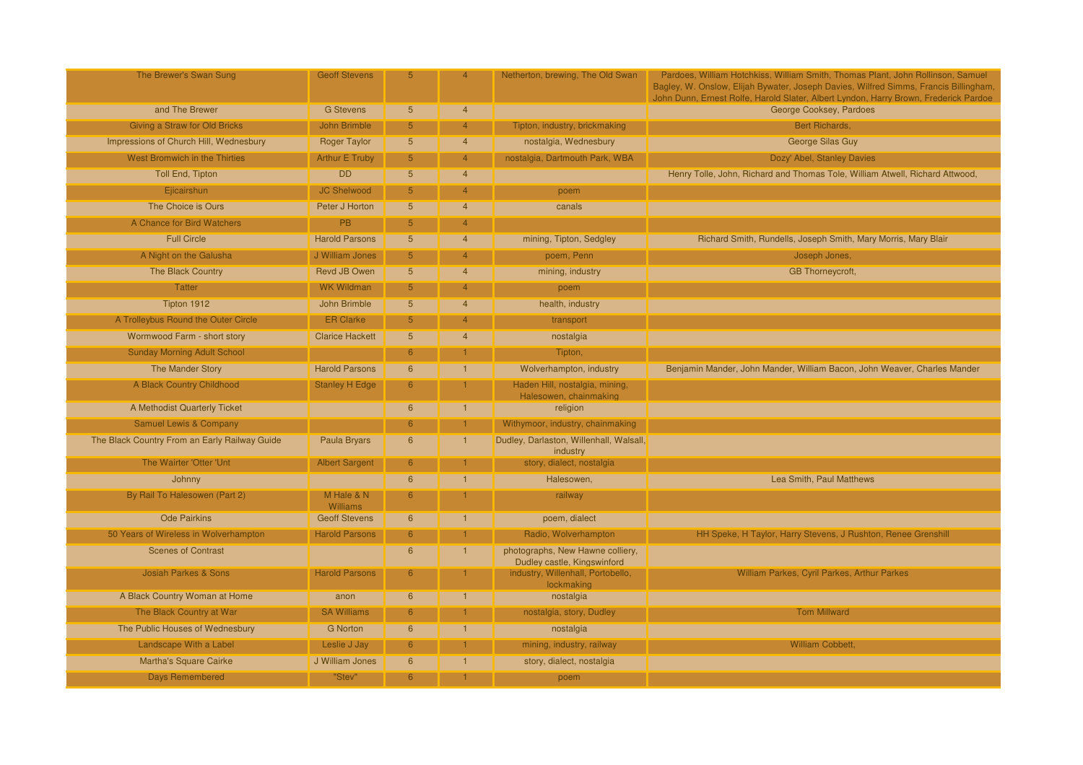| The Brewer's Swan Sung                        | <b>Geoff Stevens</b>          | -5.             |                | Netherton, brewing, The Old Swan                                | Pardoes, William Hotchkiss, William Smith, Thomas Plant, John Rollinson, Samuel<br>Bagley, W. Onslow, Elijah Bywater, Joseph Davies, Wilfred Simms, Francis Billingham<br>John Dunn, Ernest Rolfe, Harold Slater, Albert Lyndon, Harry Brown, Frederick Pardoe |
|-----------------------------------------------|-------------------------------|-----------------|----------------|-----------------------------------------------------------------|----------------------------------------------------------------------------------------------------------------------------------------------------------------------------------------------------------------------------------------------------------------|
| and The Brewer                                | <b>G</b> Stevens              | $5\overline{}$  | $\overline{4}$ |                                                                 | George Cooksey, Pardoes                                                                                                                                                                                                                                        |
| Giving a Straw for Old Bricks                 | John Brimble                  | $5\phantom{.0}$ | $\overline{4}$ | Tipton, industry, brickmaking                                   | Bert Richards,                                                                                                                                                                                                                                                 |
| Impressions of Church Hill, Wednesbury        | <b>Roger Taylor</b>           | $5\phantom{1}$  | $\overline{4}$ | nostalgia, Wednesbury                                           | <b>George Silas Guy</b>                                                                                                                                                                                                                                        |
| West Bromwich in the Thirties                 | <b>Arthur E Truby</b>         | 5 <sup>5</sup>  | $\overline{4}$ | nostalgia, Dartmouth Park, WBA                                  | Dozy' Abel, Stanley Davies                                                                                                                                                                                                                                     |
| Toll End, Tipton                              | <b>DD</b>                     | $5\phantom{1}$  | $\overline{4}$ |                                                                 | Henry Tolle, John, Richard and Thomas Tole, William Atwell, Richard Attwood,                                                                                                                                                                                   |
| Ejicairshun                                   | <b>JC Shelwood</b>            | $5\phantom{.0}$ | $\overline{4}$ | poem                                                            |                                                                                                                                                                                                                                                                |
| The Choice is Ours                            | Peter J Horton                | $5\phantom{1}$  | $\overline{4}$ | canals                                                          |                                                                                                                                                                                                                                                                |
| A Chance for Bird Watchers                    | <b>PB</b>                     | 5               | $\overline{4}$ |                                                                 |                                                                                                                                                                                                                                                                |
| <b>Full Circle</b>                            | <b>Harold Parsons</b>         | $5\phantom{.0}$ | $\overline{4}$ | mining, Tipton, Sedgley                                         | Richard Smith, Rundells, Joseph Smith, Mary Morris, Mary Blair                                                                                                                                                                                                 |
| A Night on the Galusha                        | J William Jones               | $5\phantom{.0}$ |                | poem, Penn                                                      | Joseph Jones,                                                                                                                                                                                                                                                  |
| The Black Country                             | <b>Revd JB Owen</b>           | $5\phantom{1}$  | $\overline{4}$ | mining, industry                                                | <b>GB</b> Thorneycroft,                                                                                                                                                                                                                                        |
| <b>Tatter</b>                                 | <b>WK Wildman</b>             | $5\phantom{1}$  | $\overline{4}$ | poem                                                            |                                                                                                                                                                                                                                                                |
| Tipton 1912                                   | John Brimble                  | $5\overline{}$  | $\overline{4}$ | health, industry                                                |                                                                                                                                                                                                                                                                |
| A Trolleybus Round the Outer Circle           | <b>ER Clarke</b>              | $5\phantom{1}$  | $\overline{4}$ | transport                                                       |                                                                                                                                                                                                                                                                |
| Wormwood Farm - short story                   | <b>Clarice Hackett</b>        | $5\overline{}$  | $\overline{4}$ | nostalgia                                                       |                                                                                                                                                                                                                                                                |
| <b>Sunday Morning Adult School</b>            |                               | 6               |                | Tipton,                                                         |                                                                                                                                                                                                                                                                |
| The Mander Story                              | <b>Harold Parsons</b>         | 6               |                | Wolverhampton, industry                                         | Benjamin Mander, John Mander, William Bacon, John Weaver, Charles Mander                                                                                                                                                                                       |
| A Black Country Childhood                     | <b>Stanley H Edge</b>         | 6               |                | Haden Hill, nostalgia, mining,<br>Halesowen, chainmaking        |                                                                                                                                                                                                                                                                |
| A Methodist Quarterly Ticket                  |                               | 6               |                | religion                                                        |                                                                                                                                                                                                                                                                |
| <b>Samuel Lewis &amp; Company</b>             |                               | 6               |                | Withymoor, industry, chainmaking                                |                                                                                                                                                                                                                                                                |
| The Black Country From an Early Railway Guide | Paula Bryars                  | 6               |                | Dudley, Darlaston, Willenhall, Walsall,<br>industry             |                                                                                                                                                                                                                                                                |
| The Wairter 'Otter 'Unt                       | <b>Albert Sargent</b>         | 6               |                | story, dialect, nostalgia                                       |                                                                                                                                                                                                                                                                |
| Johnny                                        |                               | 6               |                | Halesowen,                                                      | Lea Smith, Paul Matthews                                                                                                                                                                                                                                       |
| By Rail To Halesowen (Part 2)                 | M Hale & N<br><b>Williams</b> | 6               |                | railway                                                         |                                                                                                                                                                                                                                                                |
| <b>Ode Pairkins</b>                           | <b>Geoff Stevens</b>          | $6\phantom{1}6$ |                | poem, dialect                                                   |                                                                                                                                                                                                                                                                |
| 50 Years of Wireless in Wolverhampton         | <b>Harold Parsons</b>         | 6               |                | Radio, Wolverhampton                                            | HH Speke, H Taylor, Harry Stevens, J Rushton, Renee Grenshill                                                                                                                                                                                                  |
| <b>Scenes of Contrast</b>                     |                               | 6               |                | photographs, New Hawne colliery,<br>Dudley castle, Kingswinford |                                                                                                                                                                                                                                                                |
| <b>Josiah Parkes &amp; Sons</b>               | <b>Harold Parsons</b>         | 6               |                | industry, Willenhall, Portobello,<br>lockmaking                 | William Parkes, Cyril Parkes, Arthur Parkes                                                                                                                                                                                                                    |
| A Black Country Woman at Home                 | anon                          | 6               |                | nostalgia                                                       |                                                                                                                                                                                                                                                                |
| The Black Country at War                      | <b>SA Williams</b>            | 6               |                | nostalgia, story, Dudley                                        | <b>Tom Millward</b>                                                                                                                                                                                                                                            |
| The Public Houses of Wednesbury               | <b>G</b> Norton               | 6               |                | nostalgia                                                       |                                                                                                                                                                                                                                                                |
| Landscape With a Label                        | Leslie J Jay                  | 6               |                | mining, industry, railway                                       | William Cobbett.                                                                                                                                                                                                                                               |
| <b>Martha's Square Cairke</b>                 | J William Jones               | 6               |                | story, dialect, nostalgia                                       |                                                                                                                                                                                                                                                                |
| Days Remembered                               | "Stev"                        | 6               |                | poem                                                            |                                                                                                                                                                                                                                                                |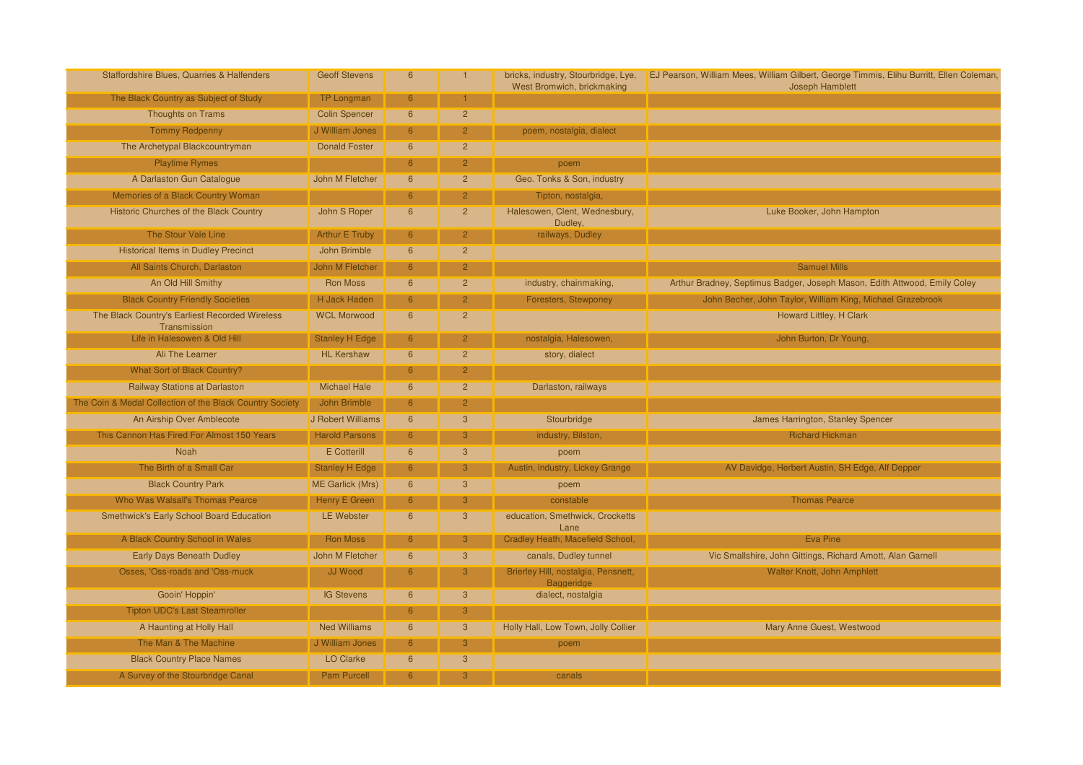| Staffordshire Blues, Quarries & Halfenders                     | <b>Geoff Stevens</b>  | 6               |                | bricks, industry, Stourbridge, Lye,<br>West Bromwich, brickmaking | EJ Pearson, William Mees, William Gilbert, George Timmis, Elihu Burritt, Ellen Coleman,<br><b>Joseph Hamblett</b> |
|----------------------------------------------------------------|-----------------------|-----------------|----------------|-------------------------------------------------------------------|-------------------------------------------------------------------------------------------------------------------|
| The Black Country as Subject of Study                          | <b>TP Longman</b>     | 6               |                |                                                                   |                                                                                                                   |
| <b>Thoughts on Trams</b>                                       | <b>Colin Spencer</b>  | 6               | $\overline{2}$ |                                                                   |                                                                                                                   |
| <b>Tommy Redpenny</b>                                          | J William Jones       | 6               | $\overline{2}$ | poem, nostalgia, dialect                                          |                                                                                                                   |
| The Archetypal Blackcountryman                                 | <b>Donald Foster</b>  | 6               | $\overline{2}$ |                                                                   |                                                                                                                   |
| <b>Playtime Rymes</b>                                          |                       | 6               | $\overline{2}$ | poem                                                              |                                                                                                                   |
| A Darlaston Gun Catalogue                                      | John M Fletcher       | 6               | 2 <sup>2</sup> | Geo. Tonks & Son, industry                                        |                                                                                                                   |
| Memories of a Black Country Woman                              |                       | 6               | $\overline{2}$ | Tipton, nostalgia,                                                |                                                                                                                   |
| Historic Churches of the Black Country                         | John S Roper          | 6               | $\overline{2}$ | Halesowen, Clent, Wednesbury,<br>Dudley,                          | Luke Booker, John Hampton                                                                                         |
| The Stour Vale Line                                            | <b>Arthur E Truby</b> | 6               | $\mathcal{P}$  | railways, Dudley                                                  |                                                                                                                   |
| <b>Historical Items in Dudley Precinct</b>                     | John Brimble          | $6\phantom{1}6$ | $\overline{2}$ |                                                                   |                                                                                                                   |
| All Saints Church, Darlaston                                   | John M Fletcher       | 6               | $\overline{2}$ |                                                                   | <b>Samuel Mills</b>                                                                                               |
| An Old Hill Smithy                                             | <b>Ron Moss</b>       | 6               | 2 <sup>1</sup> | industry, chainmaking,                                            | Arthur Bradney, Septimus Badger, Joseph Mason, Edith Attwood, Emily Coley                                         |
| <b>Black Country Friendly Societies</b>                        | <b>H</b> Jack Haden   | 6               | $\overline{2}$ | Foresters, Stewponey                                              | John Becher, John Taylor, William King, Michael Grazebrook                                                        |
| The Black Country's Earliest Recorded Wireless<br>Transmission | <b>WCL Morwood</b>    | 6               | 2 <sup>2</sup> |                                                                   | Howard Littley, H Clark                                                                                           |
| Life in Halesowen & Old Hill                                   | <b>Stanley H Edge</b> | 6               |                | nostalgia, Halesowen,                                             | John Burton, Dr Young,                                                                                            |
| Ali The Learner                                                | <b>HL Kershaw</b>     | 6               | $\overline{2}$ | story, dialect                                                    |                                                                                                                   |
| <b>What Sort of Black Country?</b>                             |                       | 6               | $\overline{a}$ |                                                                   |                                                                                                                   |
| Railway Stations at Darlaston                                  | <b>Michael Hale</b>   | 6               | $\overline{2}$ | Darlaston, railways                                               |                                                                                                                   |
| The Coin & Medal Collection of the Black Country Society       | John Brimble          | 6               | $\overline{2}$ |                                                                   |                                                                                                                   |
| An Airship Over Amblecote                                      | J Robert Williams     | 6               | $\mathbf{3}$   | Stourbridge                                                       | James Harrington, Stanley Spencer                                                                                 |
| This Cannon Has Fired For Almost 150 Years                     | <b>Harold Parsons</b> | 6               | 3              | industry, Bilston,                                                | <b>Richard Hickman</b>                                                                                            |
| Noah                                                           | <b>E</b> Cotterill    | $6\phantom{1}$  | $\mathbf{3}$   | poem                                                              |                                                                                                                   |
| The Birth of a Small Car                                       | <b>Stanley H Edge</b> | 6               | 3              | Austin, industry, Lickey Grange                                   | AV Davidge, Herbert Austin, SH Edge, Alf Depper                                                                   |
| <b>Black Country Park</b>                                      | ME Garlick (Mrs)      | 6               | $\mathbf{3}$   | poem                                                              |                                                                                                                   |
| Who Was Walsall's Thomas Pearce                                | Henry E Green         | 6               | 3              | constable                                                         | <b>Thomas Pearce</b>                                                                                              |
| <b>Smethwick's Early School Board Education</b>                | <b>LE Webster</b>     | 6               | $\overline{3}$ | education, Smethwick, Crocketts<br>Lane                           |                                                                                                                   |
| A Black Country School in Wales                                | Ron Moss              | 6               | 3              | Cradley Heath, Macefield School,                                  | Eva Pine                                                                                                          |
| <b>Early Days Beneath Dudley</b>                               | John M Fletcher       | $6\phantom{1}6$ | $\mathbf{3}$   | canals, Dudley tunnel                                             | Vic Smallshire, John Gittings, Richard Amott, Alan Garnell                                                        |
| Osses, 'Oss-roads and 'Oss-muck                                | JJ Wood               | 6               | $\overline{3}$ | Brierley Hill, nostalgia, Pensnett,<br><b>Baggeridge</b>          | Walter Knott, John Amphlett                                                                                       |
| Gooin' Hoppin'                                                 | <b>IG Stevens</b>     | 6               | 3              | dialect, nostalgia                                                |                                                                                                                   |
| <b>Tipton UDC's Last Steamroller</b>                           |                       | 6               | 3              |                                                                   |                                                                                                                   |
| A Haunting at Holly Hall                                       | <b>Ned Williams</b>   | 6               | 3              | Holly Hall, Low Town, Jolly Collier                               | Mary Anne Guest, Westwood                                                                                         |
| The Man & The Machine                                          | J William Jones       | 6               | 3              | poem                                                              |                                                                                                                   |
| <b>Black Country Place Names</b>                               | LO Clarke             | 6               | $\mathbf{3}$   |                                                                   |                                                                                                                   |
| A Survey of the Stourbridge Canal                              | <b>Pam Purcell</b>    | 6               | 3              | canals                                                            |                                                                                                                   |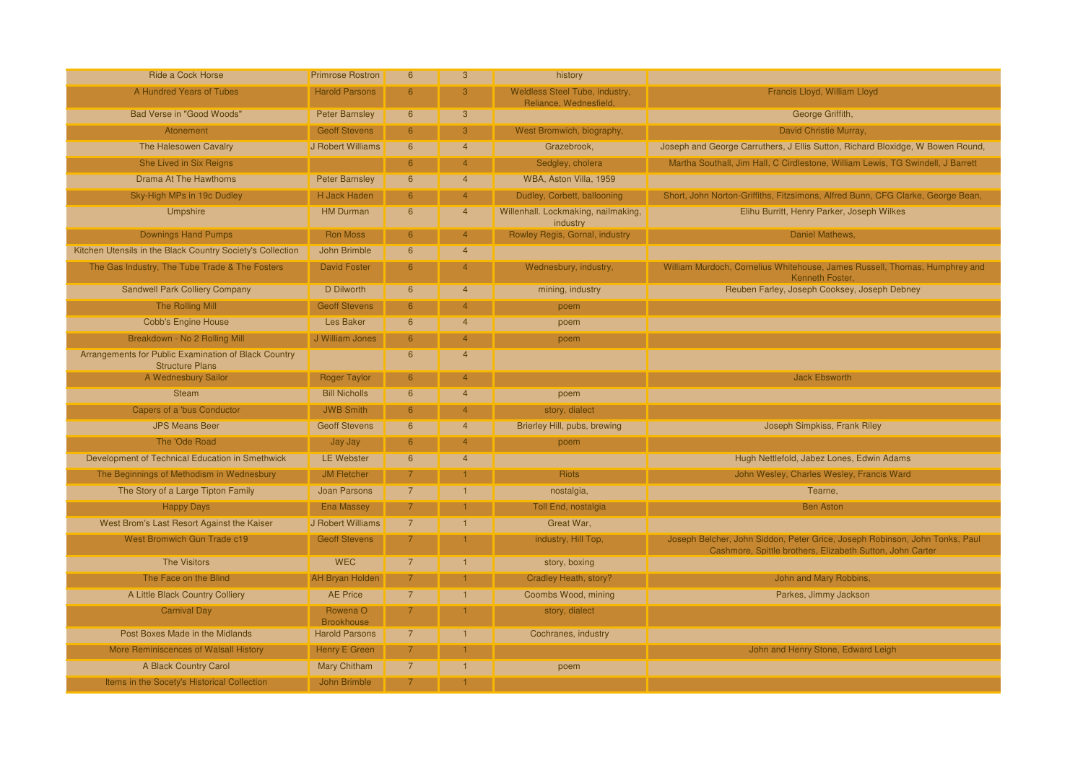| Ride a Cock Horse                                                              | <b>Primrose Rostron</b>       | 6               | 3                       | history                                                         |                                                                                                                                          |
|--------------------------------------------------------------------------------|-------------------------------|-----------------|-------------------------|-----------------------------------------------------------------|------------------------------------------------------------------------------------------------------------------------------------------|
| A Hundred Years of Tubes                                                       | <b>Harold Parsons</b>         | 6               | 3                       | <b>Weldless Steel Tube, industry,</b><br>Reliance, Wednesfield, | Francis Lloyd, William Lloyd                                                                                                             |
| <b>Bad Verse in "Good Woods"</b>                                               | <b>Peter Barnsley</b>         | $6\phantom{1}6$ | 3 <sup>5</sup>          |                                                                 | George Griffith,                                                                                                                         |
| Atonement                                                                      | <b>Geoff Stevens</b>          | 6               | 3                       | West Bromwich, biography,                                       | David Christie Murray,                                                                                                                   |
| The Halesowen Cavalry                                                          | J Robert Williams             | 6               | $\overline{4}$          | Grazebrook,                                                     | Joseph and George Carruthers, J Ellis Sutton, Richard Bloxidge, W Bowen Round,                                                           |
| She Lived in Six Reigns                                                        |                               | 6               | $\overline{4}$          | Sedgley, cholera                                                | Martha Southall, Jim Hall, C Cirdlestone, William Lewis, TG Swindell, J Barrett                                                          |
| Drama At The Hawthorns                                                         | <b>Peter Barnsley</b>         | 6               | $\overline{4}$          | WBA, Aston Villa, 1959                                          |                                                                                                                                          |
| Sky-High MPs in 19c Dudley                                                     | H Jack Haden                  | 6               | 4                       | Dudley, Corbett, ballooning                                     | Short, John Norton-Griffiths, Fitzsimons, Alfred Bunn, CFG Clarke, George Bean,                                                          |
| <b>Umpshire</b>                                                                | <b>HM Durman</b>              | 6               | $\overline{4}$          | Willenhall. Lockmaking, nailmaking,<br>industry                 | Elihu Burritt, Henry Parker, Joseph Wilkes                                                                                               |
| <b>Downings Hand Pumps</b>                                                     | <b>Ron Moss</b>               | 6               | 4                       | Rowley Regis, Gornal, industry                                  | Daniel Mathews,                                                                                                                          |
| Kitchen Utensils in the Black Country Society's Collection                     | John Brimble                  | 6               | $\overline{4}$          |                                                                 |                                                                                                                                          |
| The Gas Industry, The Tube Trade & The Fosters                                 | <b>David Foster</b>           | 6               | 4                       | Wednesbury, industry,                                           | William Murdoch, Cornelius Whitehouse, James Russell, Thomas, Humphrey and<br>Kenneth Foster,                                            |
| <b>Sandwell Park Colliery Company</b>                                          | D Dilworth                    | 6               | $\overline{4}$          | mining, industry                                                | Reuben Farley, Joseph Cooksey, Joseph Debney                                                                                             |
| The Rolling Mill                                                               | <b>Geoff Stevens</b>          | 6               | $\overline{4}$          | poem                                                            |                                                                                                                                          |
| <b>Cobb's Engine House</b>                                                     | <b>Les Baker</b>              | 6               | $\overline{4}$          | poem                                                            |                                                                                                                                          |
| Breakdown - No 2 Rolling Mill                                                  | J William Jones               | 6               | $\overline{4}$          | poem                                                            |                                                                                                                                          |
| Arrangements for Public Examination of Black Country<br><b>Structure Plans</b> |                               | 6               | $\overline{\mathbf{A}}$ |                                                                 |                                                                                                                                          |
| A Wednesbury Sailor                                                            | <b>Roger Taylor</b>           | 6               | $\overline{4}$          |                                                                 | <b>Jack Ebsworth</b>                                                                                                                     |
| <b>Steam</b>                                                                   | <b>Bill Nicholls</b>          | 6               | $\overline{4}$          | poem                                                            |                                                                                                                                          |
| <b>Capers of a 'bus Conductor</b>                                              | <b>JWB Smith</b>              | 6               | $\overline{4}$          | story, dialect                                                  |                                                                                                                                          |
| <b>JPS Means Beer</b>                                                          | <b>Geoff Stevens</b>          | 6               | $\overline{4}$          | Brierley Hill, pubs, brewing                                    | Joseph Simpkiss, Frank Riley                                                                                                             |
| The 'Ode Road                                                                  | Jay Jay                       | 6               | 4                       | poem                                                            |                                                                                                                                          |
| Development of Technical Education in Smethwick                                | <b>LE Webster</b>             | 6               | $\overline{4}$          |                                                                 | Hugh Nettlefold, Jabez Lones, Edwin Adams                                                                                                |
| The Beginnings of Methodism in Wednesbury                                      | <b>JM Fletcher</b>            |                 |                         | <b>Riots</b>                                                    | John Wesley, Charles Wesley, Francis Ward                                                                                                |
| The Story of a Large Tipton Family                                             | <b>Joan Parsons</b>           | $\overline{7}$  |                         | nostalgia,                                                      | Tearne,                                                                                                                                  |
| <b>Happy Days</b>                                                              | <b>Ena Massey</b>             | $\overline{7}$  |                         | Toll End, nostalgia                                             | <b>Ben Aston</b>                                                                                                                         |
| West Brom's Last Resort Against the Kaiser                                     | J Robert Williams             | $\overline{7}$  | $\overline{1}$          | Great War,                                                      |                                                                                                                                          |
| <b>West Bromwich Gun Trade c19</b>                                             | <b>Geoff Stevens</b>          | 7               |                         | industry, Hill Top,                                             | Joseph Belcher, John Siddon, Peter Grice, Joseph Robinson, John Tonks, Paul<br>Cashmore, Spittle brothers, Elizabeth Sutton, John Carter |
| <b>The Visitors</b>                                                            | <b>WEC</b>                    | $\overline{7}$  |                         | story, boxing                                                   |                                                                                                                                          |
| The Face on the Blind                                                          | AH Bryan Holden               |                 |                         | Cradley Heath, story?                                           | John and Mary Robbins,                                                                                                                   |
| A Little Black Country Colliery                                                | <b>AE Price</b>               |                 |                         | Coombs Wood, mining                                             | Parkes, Jimmy Jackson                                                                                                                    |
| <b>Carnival Day</b>                                                            | Rowena O<br><b>Brookhouse</b> |                 |                         | story, dialect                                                  |                                                                                                                                          |
| Post Boxes Made in the Midlands                                                | <b>Harold Parsons</b>         | -7              |                         | Cochranes, industry                                             |                                                                                                                                          |
| More Reminiscences of Walsall History                                          | Henry E Green                 | 7               |                         |                                                                 | John and Henry Stone, Edward Leigh                                                                                                       |
| A Black Country Carol                                                          | Mary Chitham                  | $\overline{7}$  |                         | poem                                                            |                                                                                                                                          |
| Items in the Socety's Historical Collection                                    | John Brimble                  | $\overline{7}$  |                         |                                                                 |                                                                                                                                          |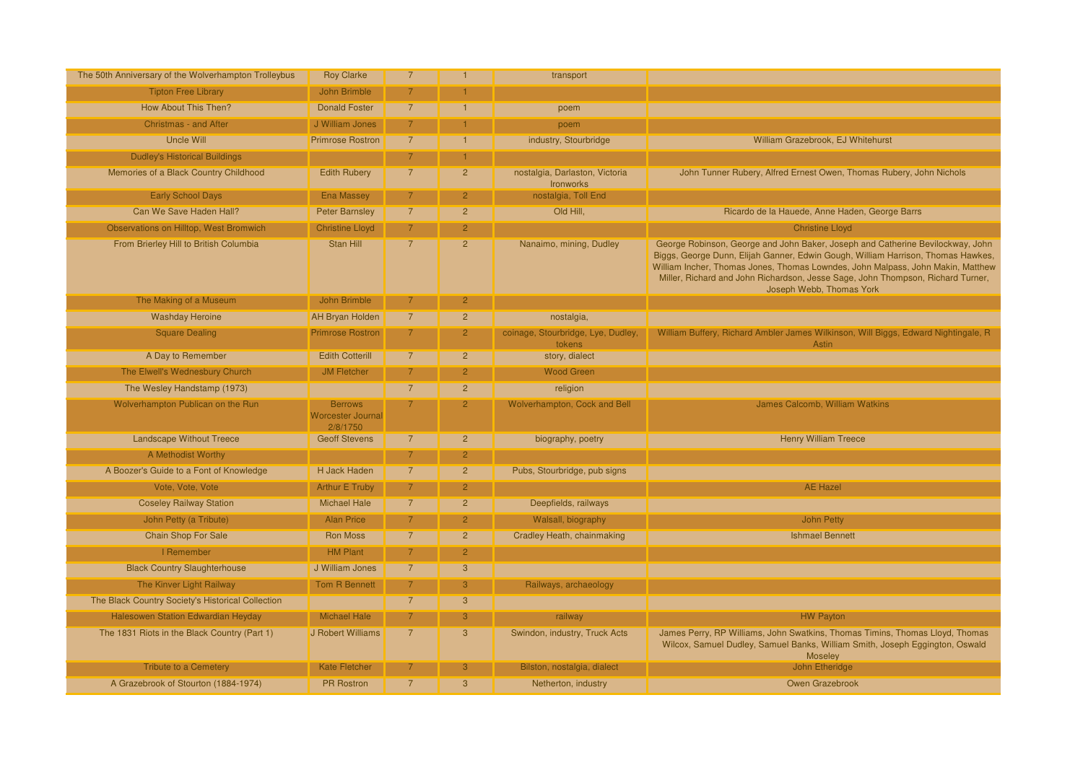| The 50th Anniversary of the Wolverhampton Trolleybus | <b>Roy Clarke</b>                                      | $\overline{7}$ |                | transport                                          |                                                                                                                                                                                                                                                                                                                                                                      |
|------------------------------------------------------|--------------------------------------------------------|----------------|----------------|----------------------------------------------------|----------------------------------------------------------------------------------------------------------------------------------------------------------------------------------------------------------------------------------------------------------------------------------------------------------------------------------------------------------------------|
| <b>Tipton Free Library</b>                           | <b>John Brimble</b>                                    |                |                |                                                    |                                                                                                                                                                                                                                                                                                                                                                      |
| <b>How About This Then?</b>                          | <b>Donald Foster</b>                                   | $\overline{7}$ |                | poem                                               |                                                                                                                                                                                                                                                                                                                                                                      |
| <b>Christmas - and After</b>                         | J William Jones                                        | $\overline{7}$ |                | poem                                               |                                                                                                                                                                                                                                                                                                                                                                      |
| <b>Uncle Will</b>                                    | <b>Primrose Rostron</b>                                | $\overline{7}$ |                | industry, Stourbridge                              | William Grazebrook, EJ Whitehurst                                                                                                                                                                                                                                                                                                                                    |
| <b>Dudley's Historical Buildings</b>                 |                                                        | $\overline{7}$ |                |                                                    |                                                                                                                                                                                                                                                                                                                                                                      |
| Memories of a Black Country Childhood                | <b>Edith Rubery</b>                                    | $\overline{7}$ | $\overline{2}$ | nostalgia, Darlaston, Victoria<br><b>Ironworks</b> | John Tunner Rubery, Alfred Ernest Owen, Thomas Rubery, John Nichols                                                                                                                                                                                                                                                                                                  |
| <b>Early School Days</b>                             | <b>Ena Massey</b>                                      |                | $\overline{2}$ | nostalgia, Toll End                                |                                                                                                                                                                                                                                                                                                                                                                      |
| Can We Save Haden Hall?                              | <b>Peter Barnsley</b>                                  | $\overline{7}$ | $\overline{2}$ | Old Hill,                                          | Ricardo de la Hauede, Anne Haden, George Barrs                                                                                                                                                                                                                                                                                                                       |
| Observations on Hilltop, West Bromwich               | <b>Christine Lloyd</b>                                 | 7              | $\overline{2}$ |                                                    | <b>Christine Lloyd</b>                                                                                                                                                                                                                                                                                                                                               |
| From Brierley Hill to British Columbia               | <b>Stan Hill</b>                                       | $\overline{7}$ | $\overline{2}$ | Nanaimo, mining, Dudley                            | George Robinson, George and John Baker, Joseph and Catherine Bevilockway, John<br>Biggs, George Dunn, Elijah Ganner, Edwin Gough, William Harrison, Thomas Hawkes,<br>William Incher, Thomas Jones, Thomas Lowndes, John Malpass, John Makin, Matthew<br>Miller, Richard and John Richardson, Jesse Sage, John Thompson, Richard Turner,<br>Joseph Webb, Thomas York |
| The Making of a Museum                               | <b>John Brimble</b>                                    |                | 2              |                                                    |                                                                                                                                                                                                                                                                                                                                                                      |
| <b>Washday Heroine</b>                               | <b>AH Bryan Holden</b>                                 | $\overline{7}$ | $\overline{2}$ | nostalgia,                                         |                                                                                                                                                                                                                                                                                                                                                                      |
| <b>Square Dealing</b>                                | <b>Primrose Rostron</b>                                | 7              | $\overline{2}$ | coinage, Stourbridge, Lye, Dudley,<br>tokens       | William Buffery, Richard Ambler James Wilkinson, Will Biggs, Edward Nightingale, R<br>Astin                                                                                                                                                                                                                                                                          |
| A Day to Remember                                    | <b>Edith Cotterill</b>                                 | $\overline{7}$ | $\overline{2}$ | story, dialect                                     |                                                                                                                                                                                                                                                                                                                                                                      |
| The Elwell's Wednesbury Church                       | <b>JM Fletcher</b>                                     |                | $\overline{2}$ | <b>Wood Green</b>                                  |                                                                                                                                                                                                                                                                                                                                                                      |
| The Wesley Handstamp (1973)                          |                                                        | $\overline{7}$ | $\overline{2}$ | religion                                           |                                                                                                                                                                                                                                                                                                                                                                      |
| Wolverhampton Publican on the Run                    | <b>Berrows</b><br><b>Worcester Journal</b><br>2/8/1750 |                | $\mathcal{P}$  | Wolverhampton, Cock and Bell                       | <b>James Calcomb, William Watkins</b>                                                                                                                                                                                                                                                                                                                                |
| <b>Landscape Without Treece</b>                      | <b>Geoff Stevens</b>                                   | 7              | $\overline{2}$ | biography, poetry                                  | <b>Henry William Treece</b>                                                                                                                                                                                                                                                                                                                                          |
| A Methodist Worthy                                   |                                                        | $\overline{7}$ | $\overline{2}$ |                                                    |                                                                                                                                                                                                                                                                                                                                                                      |
| A Boozer's Guide to a Font of Knowledge              | H Jack Haden                                           | $\overline{7}$ | $\overline{2}$ | Pubs, Stourbridge, pub signs                       |                                                                                                                                                                                                                                                                                                                                                                      |
| Vote, Vote, Vote                                     | <b>Arthur E Truby</b>                                  | $\overline{7}$ | $\overline{2}$ |                                                    | <b>AE Hazel</b>                                                                                                                                                                                                                                                                                                                                                      |
| <b>Coseley Railway Station</b>                       | <b>Michael Hale</b>                                    | $\overline{7}$ | $\overline{2}$ | Deepfields, railways                               |                                                                                                                                                                                                                                                                                                                                                                      |
| John Petty (a Tribute)                               | <b>Alan Price</b>                                      | 7              | 2 <sup>1</sup> | Walsall, biography                                 | <b>John Petty</b>                                                                                                                                                                                                                                                                                                                                                    |
| <b>Chain Shop For Sale</b>                           | <b>Ron Moss</b>                                        | $\overline{7}$ | $\overline{2}$ | Cradley Heath, chainmaking                         | <b>Ishmael Bennett</b>                                                                                                                                                                                                                                                                                                                                               |
| I Remember                                           | <b>HM Plant</b>                                        |                | 2 <sup>1</sup> |                                                    |                                                                                                                                                                                                                                                                                                                                                                      |
| <b>Black Country Slaughterhouse</b>                  | J William Jones                                        | $\overline{7}$ | $\overline{3}$ |                                                    |                                                                                                                                                                                                                                                                                                                                                                      |
| The Kinver Light Railway                             | <b>Tom R Bennett</b>                                   |                | 3              | Railways, archaeology                              |                                                                                                                                                                                                                                                                                                                                                                      |
| The Black Country Society's Historical Collection    |                                                        | $\overline{7}$ | 3              |                                                    |                                                                                                                                                                                                                                                                                                                                                                      |
| Halesowen Station Edwardian Heyday                   | <b>Michael Hale</b>                                    | -7             | 3              | railway                                            | <b>HW Payton</b>                                                                                                                                                                                                                                                                                                                                                     |
| The 1831 Riots in the Black Country (Part 1)         | J Robert Williams                                      | $\overline{7}$ | 3              | Swindon, industry, Truck Acts                      | James Perry, RP Williams, John Swatkins, Thomas Timins, Thomas Lloyd, Thomas<br>Wilcox, Samuel Dudley, Samuel Banks, William Smith, Joseph Eggington, Oswald<br>Moseley                                                                                                                                                                                              |
| <b>Tribute to a Cemetery</b>                         | <b>Kate Fletcher</b>                                   |                | 3              | Bilston, nostalgia, dialect                        | John Etheridge                                                                                                                                                                                                                                                                                                                                                       |
| A Grazebrook of Stourton (1884-1974)                 | <b>PR</b> Rostron                                      | $\overline{7}$ | $\overline{3}$ | Netherton, industry                                | Owen Grazebrook                                                                                                                                                                                                                                                                                                                                                      |
|                                                      |                                                        |                |                |                                                    |                                                                                                                                                                                                                                                                                                                                                                      |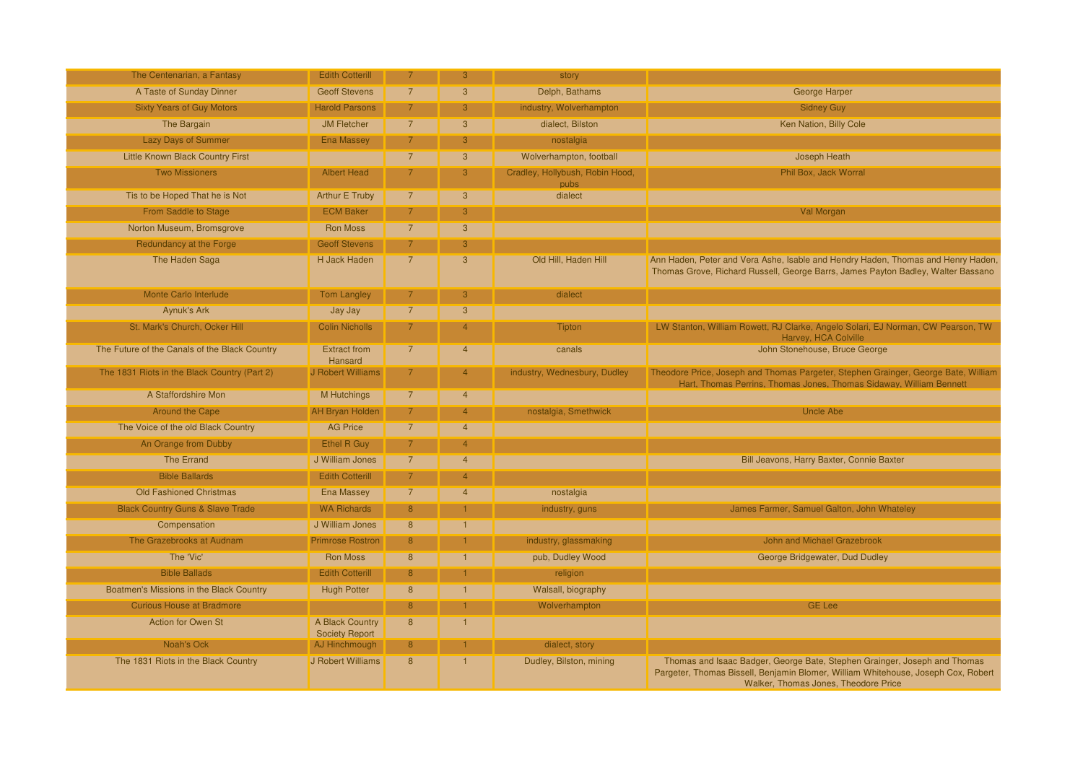| The Centenarian, a Fantasy                    | <b>Edith Cotterill</b>                   |                | 3              | story                                   |                                                                                                                                                                                                        |
|-----------------------------------------------|------------------------------------------|----------------|----------------|-----------------------------------------|--------------------------------------------------------------------------------------------------------------------------------------------------------------------------------------------------------|
| A Taste of Sunday Dinner                      | <b>Geoff Stevens</b>                     |                | 3              | Delph, Bathams                          | <b>George Harper</b>                                                                                                                                                                                   |
| <b>Sixty Years of Guy Motors</b>              | <b>Harold Parsons</b>                    |                | 3              | industry, Wolverhampton                 | <b>Sidney Guy</b>                                                                                                                                                                                      |
| The Bargain                                   | <b>JM Fletcher</b>                       | 7              | $\overline{3}$ | dialect, Bilston                        | Ken Nation, Billy Cole                                                                                                                                                                                 |
| <b>Lazy Days of Summer</b>                    | <b>Ena Massey</b>                        |                | 3              | nostalgia                               |                                                                                                                                                                                                        |
| <b>Little Known Black Country First</b>       |                                          | $\overline{7}$ | $\mathbf{3}$   | Wolverhampton, football                 | Joseph Heath                                                                                                                                                                                           |
| <b>Two Missioners</b>                         | <b>Albert Head</b>                       | $\overline{7}$ | 3              | Cradley, Hollybush, Robin Hood,<br>pubs | Phil Box, Jack Worral                                                                                                                                                                                  |
| Tis to be Hoped That he is Not                | Arthur E Truby                           | $\overline{7}$ | $\overline{3}$ | dialect                                 |                                                                                                                                                                                                        |
| From Saddle to Stage                          | <b>ECM Baker</b>                         |                | 3              |                                         | Val Morgan                                                                                                                                                                                             |
| Norton Museum, Bromsgrove                     | <b>Ron Moss</b>                          | 7              | $\mathbf{3}$   |                                         |                                                                                                                                                                                                        |
| Redundancy at the Forge                       | <b>Geoff Stevens</b>                     |                | 3              |                                         |                                                                                                                                                                                                        |
| The Haden Saga                                | H Jack Haden                             | $\overline{7}$ | $\mathbf{3}$   | Old Hill, Haden Hill                    | Ann Haden, Peter and Vera Ashe, Isable and Hendry Haden, Thomas and Henry Haden,<br>Thomas Grove, Richard Russell, George Barrs, James Payton Badley, Walter Bassano                                   |
| Monte Carlo Interlude                         | <b>Tom Langley</b>                       |                | 3              | dialect                                 |                                                                                                                                                                                                        |
| <b>Aynuk's Ark</b>                            | Jay Jay                                  | 7              | $\overline{3}$ |                                         |                                                                                                                                                                                                        |
| St. Mark's Church, Ocker Hill                 | <b>Colin Nicholls</b>                    |                | $\overline{4}$ | <b>Tipton</b>                           | LW Stanton, William Rowett, RJ Clarke, Angelo Solari, EJ Norman, CW Pearson, TW<br>Harvey, HCA Colville                                                                                                |
| The Future of the Canals of the Black Country | <b>Extract from</b><br>Hansard           | 7              | 4              | canals                                  | John Stonehouse, Bruce George                                                                                                                                                                          |
| The 1831 Riots in the Black Country (Part 2)  | J Robert Williams                        |                | $\overline{4}$ | industry, Wednesbury, Dudley            | Theodore Price, Joseph and Thomas Pargeter, Stephen Grainger, George Bate, William<br>Hart, Thomas Perrins, Thomas Jones, Thomas Sidaway, William Bennett                                              |
| A Staffordshire Mon                           | M Hutchings                              | $\overline{7}$ | $\overline{4}$ |                                         |                                                                                                                                                                                                        |
| Around the Cape                               | <b>AH Bryan Holden</b>                   |                | $\overline{4}$ | nostalgia, Smethwick                    | <b>Uncle Abe</b>                                                                                                                                                                                       |
| The Voice of the old Black Country            | <b>AG Price</b>                          | $\overline{7}$ | $\overline{4}$ |                                         |                                                                                                                                                                                                        |
| An Orange from Dubby                          | <b>Ethel R Guy</b>                       |                | $\overline{4}$ |                                         |                                                                                                                                                                                                        |
| <b>The Errand</b>                             | J William Jones                          | $\overline{7}$ | $\overline{4}$ |                                         | Bill Jeavons, Harry Baxter, Connie Baxter                                                                                                                                                              |
| <b>Bible Ballards</b>                         | <b>Edith Cotterill</b>                   |                | $\overline{4}$ |                                         |                                                                                                                                                                                                        |
| <b>Old Fashioned Christmas</b>                | <b>Ena Massey</b>                        | $\overline{7}$ | $\overline{4}$ | nostalgia                               |                                                                                                                                                                                                        |
| <b>Black Country Guns &amp; Slave Trade</b>   | <b>WA Richards</b>                       | 8              |                | industry, guns                          | James Farmer, Samuel Galton, John Whateley                                                                                                                                                             |
| Compensation                                  | J William Jones                          | 8              |                |                                         |                                                                                                                                                                                                        |
| The Grazebrooks at Audnam                     | <b>Primrose Rostron</b>                  | 8              |                | industry, glassmaking                   | John and Michael Grazebrook                                                                                                                                                                            |
| The 'Vic'                                     | <b>Ron Moss</b>                          | 8              |                | pub, Dudley Wood                        | George Bridgewater, Dud Dudley                                                                                                                                                                         |
| <b>Bible Ballads</b>                          | <b>Edith Cotterill</b>                   | 8              |                | religion                                |                                                                                                                                                                                                        |
| Boatmen's Missions in the Black Country       | <b>Hugh Potter</b>                       | 8              |                | Walsall, biography                      |                                                                                                                                                                                                        |
| <b>Curious House at Bradmore</b>              |                                          | 8              |                | Wolverhampton                           | <b>GE</b> Lee                                                                                                                                                                                          |
| <b>Action for Owen St</b>                     | A Black Country<br><b>Society Report</b> | 8              |                |                                         |                                                                                                                                                                                                        |
| Noah's Ock                                    | AJ Hinchmough                            | 8              |                | dialect, story                          |                                                                                                                                                                                                        |
| The 1831 Riots in the Black Country           | <b>J Robert Williams</b>                 | 8              |                | Dudley, Bilston, mining                 | Thomas and Isaac Badger, George Bate, Stephen Grainger, Joseph and Thomas<br>Pargeter, Thomas Bissell, Benjamin Blomer, William Whitehouse, Joseph Cox, Robert<br>Walker, Thomas Jones, Theodore Price |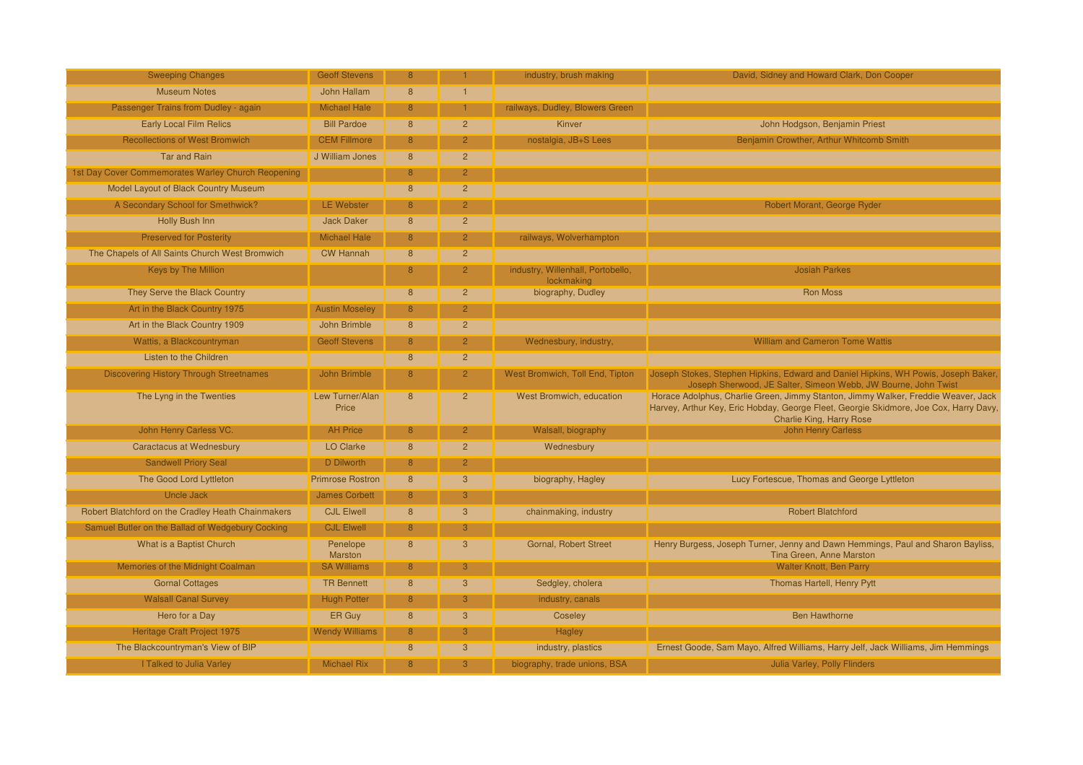| <b>Sweeping Changes</b>                            | <b>Geoff Stevens</b>     | 8             |                | industry, brush making                          | David, Sidney and Howard Clark, Don Cooper                                                                                                                                                                    |
|----------------------------------------------------|--------------------------|---------------|----------------|-------------------------------------------------|---------------------------------------------------------------------------------------------------------------------------------------------------------------------------------------------------------------|
| <b>Museum Notes</b>                                | <b>John Hallam</b>       | 8             |                |                                                 |                                                                                                                                                                                                               |
| Passenger Trains from Dudley - again               | <b>Michael Hale</b>      | $\mathcal{B}$ |                | railways, Dudley, Blowers Green                 |                                                                                                                                                                                                               |
| <b>Early Local Film Relics</b>                     | <b>Bill Pardoe</b>       | 8             | $\overline{2}$ | Kinver                                          | John Hodgson, Benjamin Priest                                                                                                                                                                                 |
| <b>Recollections of West Bromwich</b>              | <b>CEM Fillmore</b>      | 8             | $\overline{2}$ | nostalgia, JB+S Lees                            | Benjamin Crowther, Arthur Whitcomb Smith                                                                                                                                                                      |
| <b>Tar and Rain</b>                                | J William Jones          | 8             | $\overline{2}$ |                                                 |                                                                                                                                                                                                               |
| 1st Day Cover Commemorates Warley Church Reopening |                          | 8             | $\overline{2}$ |                                                 |                                                                                                                                                                                                               |
| Model Layout of Black Country Museum               |                          | 8             | $\overline{2}$ |                                                 |                                                                                                                                                                                                               |
| A Secondary School for Smethwick?                  | <b>LE Webster</b>        | 8             | $\overline{2}$ |                                                 | Robert Morant, George Ryder                                                                                                                                                                                   |
| Holly Bush Inn                                     | <b>Jack Daker</b>        | 8             | $\overline{2}$ |                                                 |                                                                                                                                                                                                               |
| <b>Preserved for Posterity</b>                     | <b>Michael Hale</b>      | $\mathcal{B}$ | $\overline{2}$ | railways, Wolverhampton                         |                                                                                                                                                                                                               |
| The Chapels of All Saints Church West Bromwich     | <b>CW Hannah</b>         | 8             | $\overline{2}$ |                                                 |                                                                                                                                                                                                               |
| Keys by The Million                                |                          | 8             | $\overline{2}$ | industry, Willenhall, Portobello,<br>lockmaking | <b>Josiah Parkes</b>                                                                                                                                                                                          |
| They Serve the Black Country                       |                          | 8             | $\overline{2}$ | biography, Dudley                               | <b>Ron Moss</b>                                                                                                                                                                                               |
| Art in the Black Country 1975                      | <b>Austin Moseley</b>    | 8             | $\overline{2}$ |                                                 |                                                                                                                                                                                                               |
| Art in the Black Country 1909                      | John Brimble             | 8             | $\overline{c}$ |                                                 |                                                                                                                                                                                                               |
| Wattis, a Blackcountryman                          | <b>Geoff Stevens</b>     | 8             | $\overline{a}$ | Wednesbury, industry,                           | <b>William and Cameron Tome Wattis</b>                                                                                                                                                                        |
| Listen to the Children                             |                          | 8             | $\overline{2}$ |                                                 |                                                                                                                                                                                                               |
| <b>Discovering History Through Streetnames</b>     | John Brimble             | 8             | 2 <sup>1</sup> | West Bromwich, Toll End, Tipton                 | Joseph Stokes, Stephen Hipkins, Edward and Daniel Hipkins, WH Powis, Joseph Baker,<br>Joseph Sherwood, JE Salter, Simeon Webb, JW Bourne, John Twist                                                          |
| The Lyng in the Twenties                           | Lew Turner/Alan<br>Price | 8             | $\overline{2}$ | West Bromwich, education                        | Horace Adolphus, Charlie Green, Jimmy Stanton, Jimmy Walker, Freddie Weaver, Jack<br>Harvey, Arthur Key, Eric Hobday, George Fleet, Georgie Skidmore, Joe Cox, Harry Davy,<br><b>Charlie King, Harry Rose</b> |
| John Henry Carless VC.                             | <b>AH Price</b>          |               | 2              | Walsall, biography                              | <b>John Henry Carless</b>                                                                                                                                                                                     |
| <b>Caractacus at Wednesbury</b>                    | LO Clarke                | $\mathbf{R}$  | $\overline{2}$ | Wednesbury                                      |                                                                                                                                                                                                               |
| <b>Sandwell Priory Seal</b>                        | D Dilworth               | -8            | $\overline{2}$ |                                                 |                                                                                                                                                                                                               |
| The Good Lord Lyttleton                            | <b>Primrose Rostron</b>  | 8             | 3              | biography, Hagley                               | Lucy Fortescue, Thomas and George Lyttleton                                                                                                                                                                   |
| <b>Uncle Jack</b>                                  | <b>James Corbett</b>     | 8             | 3              |                                                 |                                                                                                                                                                                                               |
| Robert Blatchford on the Cradley Heath Chainmakers | <b>CJL Elwell</b>        | 8             | $\mathbf{3}$   | chainmaking, industry                           | <b>Robert Blatchford</b>                                                                                                                                                                                      |
| Samuel Butler on the Ballad of Wedgebury Cocking   | <b>CJL Elwell</b>        | 8             | 3              |                                                 |                                                                                                                                                                                                               |
| What is a Baptist Church                           | Penelope<br>Marston      | 8             | $\mathbf{3}$   | Gornal, Robert Street                           | Henry Burgess, Joseph Turner, Jenny and Dawn Hemmings, Paul and Sharon Bayliss,<br>Tina Green, Anne Marston                                                                                                   |
| Memories of the Midnight Coalman                   | <b>SA Williams</b>       | 8             | 3              |                                                 | Walter Knott, Ben Parry                                                                                                                                                                                       |
| <b>Gornal Cottages</b>                             | <b>TR Bennett</b>        | 8             | 3              | Sedgley, cholera                                | Thomas Hartell, Henry Pytt                                                                                                                                                                                    |
| <b>Walsall Canal Survey</b>                        | <b>Hugh Potter</b>       | 8             | 3              | industry, canals                                |                                                                                                                                                                                                               |
| Hero for a Day                                     | <b>ER Guy</b>            | 8             | $\mathbf{3}$   | Coseley                                         | <b>Ben Hawthorne</b>                                                                                                                                                                                          |
| Heritage Craft Project 1975                        | <b>Wendy Williams</b>    | 8             | 3              | Hagley                                          |                                                                                                                                                                                                               |
| The Blackcountryman's View of BIP                  |                          | 8             | 3              | industry, plastics                              | Ernest Goode, Sam Mayo, Alfred Williams, Harry Jelf, Jack Williams, Jim Hemmings                                                                                                                              |
| I Talked to Julia Varley                           | <b>Michael Rix</b>       | 8             | 3              | biography, trade unions, BSA                    | Julia Varley, Polly Flinders                                                                                                                                                                                  |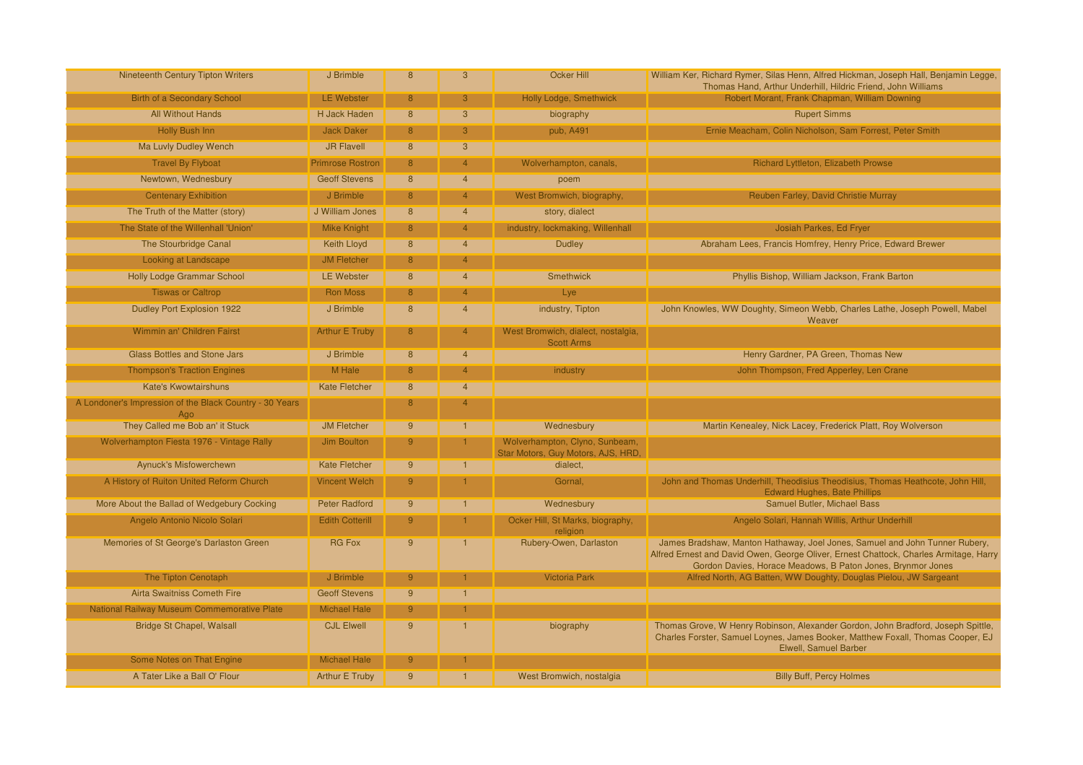| <b>Nineteenth Century Tipton Writers</b>                       | J Brimble               | $\overline{8}$ | $\overline{3}$          | <b>Ocker Hill</b>                                                    | William Ker, Richard Rymer, Silas Henn, Alfred Hickman, Joseph Hall, Benjamin Legge,<br>Thomas Hand, Arthur Underhill, Hildric Friend, John Williams                                                                                |
|----------------------------------------------------------------|-------------------------|----------------|-------------------------|----------------------------------------------------------------------|-------------------------------------------------------------------------------------------------------------------------------------------------------------------------------------------------------------------------------------|
| <b>Birth of a Secondary School</b>                             | <b>LE Webster</b>       | $\mathsf{R}$   | 3.                      | Holly Lodge, Smethwick                                               | Robert Morant, Frank Chapman, William Downing                                                                                                                                                                                       |
| <b>All Without Hands</b>                                       | H Jack Haden            | 8              | $\mathbf{3}$            | biography                                                            | <b>Rupert Simms</b>                                                                                                                                                                                                                 |
| Holly Bush Inn                                                 | <b>Jack Daker</b>       | 8              | 3                       | pub, A491                                                            | Ernie Meacham, Colin Nicholson, Sam Forrest, Peter Smith                                                                                                                                                                            |
| Ma Luvly Dudley Wench                                          | <b>JR Flavell</b>       | 8              | $\mathbf{3}$            |                                                                      |                                                                                                                                                                                                                                     |
| <b>Travel By Flyboat</b>                                       | <b>Primrose Rostron</b> | 8              | $\overline{4}$          | Wolverhampton, canals,                                               | Richard Lyttleton, Elizabeth Prowse                                                                                                                                                                                                 |
| Newtown, Wednesbury                                            | <b>Geoff Stevens</b>    | $\overline{8}$ | $\overline{4}$          | poem                                                                 |                                                                                                                                                                                                                                     |
| <b>Centenary Exhibition</b>                                    | J Brimble               | 8              | 4 <sup>1</sup>          | West Bromwich, biography,                                            | Reuben Farley, David Christie Murray                                                                                                                                                                                                |
| The Truth of the Matter (story)                                | J William Jones         | 8              | $\overline{4}$          | story, dialect                                                       |                                                                                                                                                                                                                                     |
| The State of the Willenhall 'Union'                            | <b>Mike Knight</b>      | 8              | $\overline{4}$          | industry, lockmaking, Willenhall                                     | <b>Josiah Parkes, Ed Fryer</b>                                                                                                                                                                                                      |
| The Stourbridge Canal                                          | <b>Keith Lloyd</b>      | 8              | $\overline{\mathbf{4}}$ | <b>Dudley</b>                                                        | Abraham Lees, Francis Homfrey, Henry Price, Edward Brewer                                                                                                                                                                           |
| Looking at Landscape                                           | <b>JM Fletcher</b>      | 8              |                         |                                                                      |                                                                                                                                                                                                                                     |
| Holly Lodge Grammar School                                     | <b>LE Webster</b>       | 8              |                         | Smethwick                                                            | Phyllis Bishop, William Jackson, Frank Barton                                                                                                                                                                                       |
| <b>Tiswas or Caltrop</b>                                       | <b>Ron Moss</b>         | 8              |                         | Lye                                                                  |                                                                                                                                                                                                                                     |
| Dudley Port Explosion 1922                                     | J Brimble               | 8              | $\overline{4}$          | industry, Tipton                                                     | John Knowles, WW Doughty, Simeon Webb, Charles Lathe, Joseph Powell, Mabel<br>Weaver                                                                                                                                                |
| Wimmin an' Children Fairst                                     | <b>Arthur E Truby</b>   | $\mathsf{R}$   | 4                       | West Bromwich, dialect, nostalgia,<br><b>Scott Arms</b>              |                                                                                                                                                                                                                                     |
| <b>Glass Bottles and Stone Jars</b>                            | J Brimble               | 8              | $\overline{4}$          |                                                                      | Henry Gardner, PA Green, Thomas New                                                                                                                                                                                                 |
| <b>Thompson's Traction Engines</b>                             | M Hale                  | 8              |                         | industry                                                             | John Thompson, Fred Apperley, Len Crane                                                                                                                                                                                             |
| Kate's Kwowtairshuns                                           | <b>Kate Fletcher</b>    | 8              | $\overline{4}$          |                                                                      |                                                                                                                                                                                                                                     |
| A Londoner's Impression of the Black Country - 30 Years<br>Ago |                         | 8              |                         |                                                                      |                                                                                                                                                                                                                                     |
| They Called me Bob an' it Stuck                                | <b>JM Fletcher</b>      | 9              |                         | Wednesbury                                                           | Martin Kenealey, Nick Lacey, Frederick Platt, Roy Wolverson                                                                                                                                                                         |
| Wolverhampton Fiesta 1976 - Vintage Rally                      | Jim Boulton             | 9              |                         | Wolverhampton, Clyno, Sunbeam,<br>Star Motors, Guy Motors, AJS, HRD, |                                                                                                                                                                                                                                     |
| <b>Aynuck's Misfowerchewn</b>                                  | <b>Kate Fletcher</b>    | 9              |                         | dialect.                                                             |                                                                                                                                                                                                                                     |
| A History of Ruiton United Reform Church                       | <b>Vincent Welch</b>    | 9              |                         | Gornal,                                                              | John and Thomas Underhill, Theodisius Theodisius, Thomas Heathcote, John Hill,<br><b>Edward Hughes, Bate Phillips</b>                                                                                                               |
| More About the Ballad of Wedgebury Cocking                     | <b>Peter Radford</b>    | 9              |                         | Wednesbury                                                           | Samuel Butler, Michael Bass                                                                                                                                                                                                         |
| Angelo Antonio Nicolo Solari                                   | <b>Edith Cotterill</b>  | 9              |                         | Ocker Hill, St Marks, biography,<br>religion                         | Angelo Solari, Hannah Willis, Arthur Underhill                                                                                                                                                                                      |
| Memories of St George's Darlaston Green                        | <b>RG Fox</b>           | 9              |                         | Rubery-Owen, Darlaston                                               | James Bradshaw, Manton Hathaway, Joel Jones, Samuel and John Tunner Rubery,<br>Alfred Ernest and David Owen, George Oliver, Ernest Chattock, Charles Armitage, Harry<br>Gordon Davies, Horace Meadows, B Paton Jones, Brynmor Jones |
| The Tipton Cenotaph                                            | J Brimble               | $\overline{9}$ |                         | <b>Victoria Park</b>                                                 | Alfred North, AG Batten, WW Doughty, Douglas Pielou, JW Sargeant                                                                                                                                                                    |
| <b>Airta Swaitniss Cometh Fire</b>                             | <b>Geoff Stevens</b>    | 9              |                         |                                                                      |                                                                                                                                                                                                                                     |
| National Railway Museum Commemorative Plate                    | <b>Michael Hale</b>     | 9              |                         |                                                                      |                                                                                                                                                                                                                                     |
| <b>Bridge St Chapel, Walsall</b>                               | <b>CJL Elwell</b>       | 9              |                         | biography                                                            | Thomas Grove, W Henry Robinson, Alexander Gordon, John Bradford, Joseph Spittle,<br>Charles Forster, Samuel Loynes, James Booker, Matthew Foxall, Thomas Cooper, EJ<br><b>Elwell, Samuel Barber</b>                                 |
| Some Notes on That Engine                                      | <b>Michael Hale</b>     |                |                         |                                                                      |                                                                                                                                                                                                                                     |
| A Tater Like a Ball O' Flour                                   | Arthur E Truby          | 9              | $\overline{1}$          | West Bromwich, nostalgia                                             | <b>Billy Buff, Percy Holmes</b>                                                                                                                                                                                                     |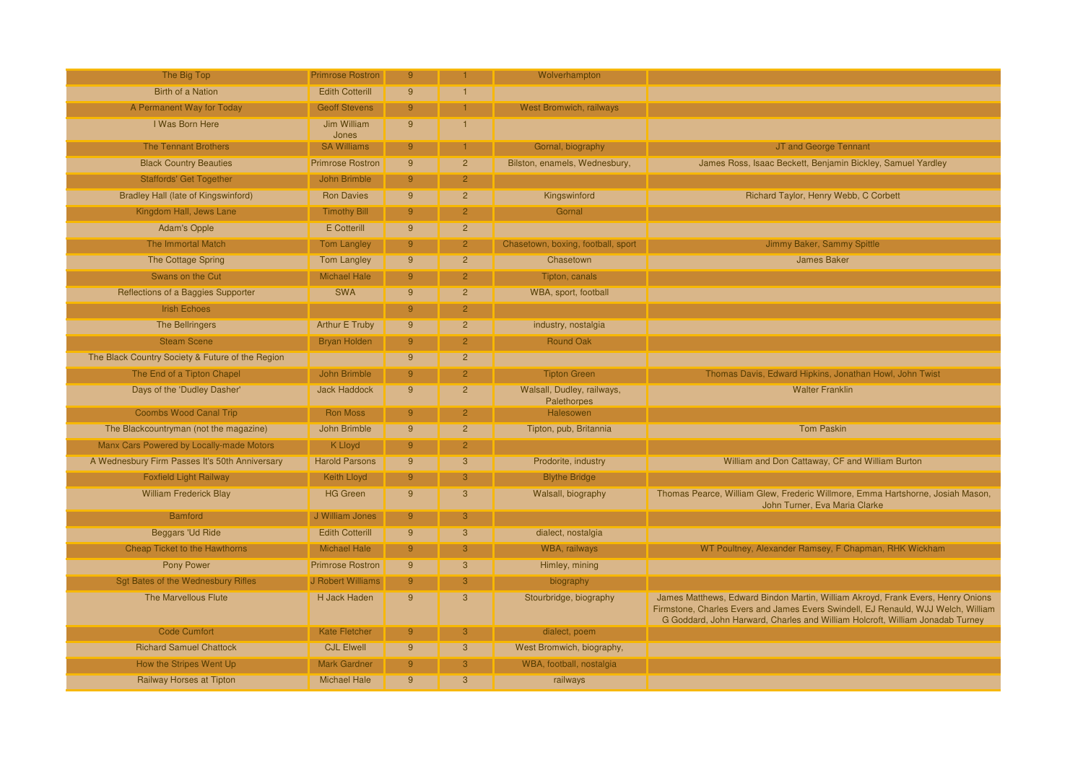| The Big Top                                      | <b>Primrose Rostron</b> | 9            |                | Wolverhampton                             |                                                                                                                                                                                                                                                       |
|--------------------------------------------------|-------------------------|--------------|----------------|-------------------------------------------|-------------------------------------------------------------------------------------------------------------------------------------------------------------------------------------------------------------------------------------------------------|
| <b>Birth of a Nation</b>                         | <b>Edith Cotterill</b>  | 9            |                |                                           |                                                                                                                                                                                                                                                       |
| A Permanent Way for Today                        | <b>Geoff Stevens</b>    | 9            |                | <b>West Bromwich, railways</b>            |                                                                                                                                                                                                                                                       |
| I Was Born Here                                  | Jim William<br>Jones    | 9            |                |                                           |                                                                                                                                                                                                                                                       |
| <b>The Tennant Brothers</b>                      | <b>SA Williams</b>      | 9            |                | Gornal, biography                         | JT and George Tennant                                                                                                                                                                                                                                 |
| <b>Black Country Beauties</b>                    | <b>Primrose Rostron</b> | 9            | $\overline{2}$ | Bilston, enamels, Wednesbury,             | James Ross, Isaac Beckett, Benjamin Bickley, Samuel Yardley                                                                                                                                                                                           |
| <b>Staffords' Get Together</b>                   | John Brimble            | 9            | $\overline{2}$ |                                           |                                                                                                                                                                                                                                                       |
| Bradley Hall (late of Kingswinford)              | <b>Ron Davies</b>       | 9            | $\overline{2}$ | Kingswinford                              | Richard Taylor, Henry Webb, C Corbett                                                                                                                                                                                                                 |
| Kingdom Hall, Jews Lane                          | <b>Timothy Bill</b>     | $\mathbf{Q}$ | $\overline{2}$ | Gornal                                    |                                                                                                                                                                                                                                                       |
| <b>Adam's Opple</b>                              | <b>E</b> Cotterill      | 9            | $\overline{2}$ |                                           |                                                                                                                                                                                                                                                       |
| <b>The Immortal Match</b>                        | <b>Tom Langley</b>      | 9            | $\overline{2}$ | Chasetown, boxing, football, sport        | Jimmy Baker, Sammy Spittle                                                                                                                                                                                                                            |
| The Cottage Spring                               | <b>Tom Langley</b>      | 9            | $\overline{a}$ | Chasetown                                 | <b>James Baker</b>                                                                                                                                                                                                                                    |
| Swans on the Cut                                 | <b>Michael Hale</b>     | 9            | $\overline{2}$ | Tipton, canals                            |                                                                                                                                                                                                                                                       |
| Reflections of a Baggies Supporter               | <b>SWA</b>              | 9            | $\overline{2}$ | WBA, sport, football                      |                                                                                                                                                                                                                                                       |
| <b>Irish Echoes</b>                              |                         | 9            | $\overline{2}$ |                                           |                                                                                                                                                                                                                                                       |
| The Bellringers                                  | Arthur E Truby          | 9            | $\overline{2}$ | industry, nostalgia                       |                                                                                                                                                                                                                                                       |
| <b>Steam Scene</b>                               | <b>Bryan Holden</b>     | 9            | $\overline{2}$ | Round Oak                                 |                                                                                                                                                                                                                                                       |
| The Black Country Society & Future of the Region |                         | 9            | $\overline{a}$ |                                           |                                                                                                                                                                                                                                                       |
| The End of a Tipton Chapel                       | John Brimble            | 9            | $\overline{2}$ | <b>Tipton Green</b>                       | Thomas Davis, Edward Hipkins, Jonathan Howl, John Twist                                                                                                                                                                                               |
| Days of the 'Dudley Dasher'                      | <b>Jack Haddock</b>     | 9            | $\overline{2}$ | Walsall, Dudley, railways,<br>Palethorpes | <b>Walter Franklin</b>                                                                                                                                                                                                                                |
| <b>Coombs Wood Canal Trip</b>                    | <b>Ron Moss</b>         | 9            | $\overline{2}$ | Halesowen                                 |                                                                                                                                                                                                                                                       |
| The Blackcountryman (not the magazine)           | John Brimble            | 9            | $\overline{2}$ | Tipton, pub, Britannia                    | <b>Tom Paskin</b>                                                                                                                                                                                                                                     |
| Manx Cars Powered by Locally-made Motors         | K Lloyd                 | $\mathbf{Q}$ | $\mathcal{P}$  |                                           |                                                                                                                                                                                                                                                       |
| A Wednesbury Firm Passes It's 50th Anniversary   | <b>Harold Parsons</b>   | 9            | 3              | Prodorite, industry                       | William and Don Cattaway, CF and William Burton                                                                                                                                                                                                       |
| <b>Foxfield Light Railway</b>                    | <b>Keith Lloyd</b>      | $\mathbf{q}$ | 3              | <b>Blythe Bridge</b>                      |                                                                                                                                                                                                                                                       |
| <b>William Frederick Blay</b>                    | <b>HG Green</b>         | 9            | $\mathbf{3}$   | Walsall, biography                        | Thomas Pearce, William Glew, Frederic Willmore, Emma Hartshorne, Josiah Mason,<br>John Turner, Eva Maria Clarke                                                                                                                                       |
| <b>Bamford</b>                                   | J William Jones         | 9            | 3              |                                           |                                                                                                                                                                                                                                                       |
| Beggars 'Ud Ride                                 | <b>Edith Cotterill</b>  | 9            | $\overline{3}$ | dialect, nostalgia                        |                                                                                                                                                                                                                                                       |
| <b>Cheap Ticket to the Hawthorns</b>             | <b>Michael Hale</b>     | 9            | 3              | WBA, railways                             | WT Poultney, Alexander Ramsey, F Chapman, RHK Wickham                                                                                                                                                                                                 |
| Pony Power                                       | <b>Primrose Rostron</b> | 9            | $\mathbf{3}$   | Himley, mining                            |                                                                                                                                                                                                                                                       |
| Sgt Bates of the Wednesbury Rifles               | J Robert Williams       | 9            | 3              | biography                                 |                                                                                                                                                                                                                                                       |
| The Marvellous Flute                             | H Jack Haden            | 9            | $\mathbf{3}$   | Stourbridge, biography                    | James Matthews, Edward Bindon Martin, William Akroyd, Frank Evers, Henry Onions<br>Firmstone, Charles Evers and James Evers Swindell, EJ Renauld, WJJ Welch, William<br>G Goddard, John Harward, Charles and William Holcroft, William Jonadab Turney |
| <b>Code Cumfort</b>                              | <b>Kate Fletcher</b>    | 9            | 3              | dialect, poem                             |                                                                                                                                                                                                                                                       |
| <b>Richard Samuel Chattock</b>                   | <b>CJL Elwell</b>       | 9            | $\overline{3}$ | West Bromwich, biography,                 |                                                                                                                                                                                                                                                       |
| How the Stripes Went Up                          | <b>Mark Gardner</b>     | 9            | 3              | WBA, football, nostalgia                  |                                                                                                                                                                                                                                                       |
| Railway Horses at Tipton                         | <b>Michael Hale</b>     | 9            | $\overline{3}$ | railways                                  |                                                                                                                                                                                                                                                       |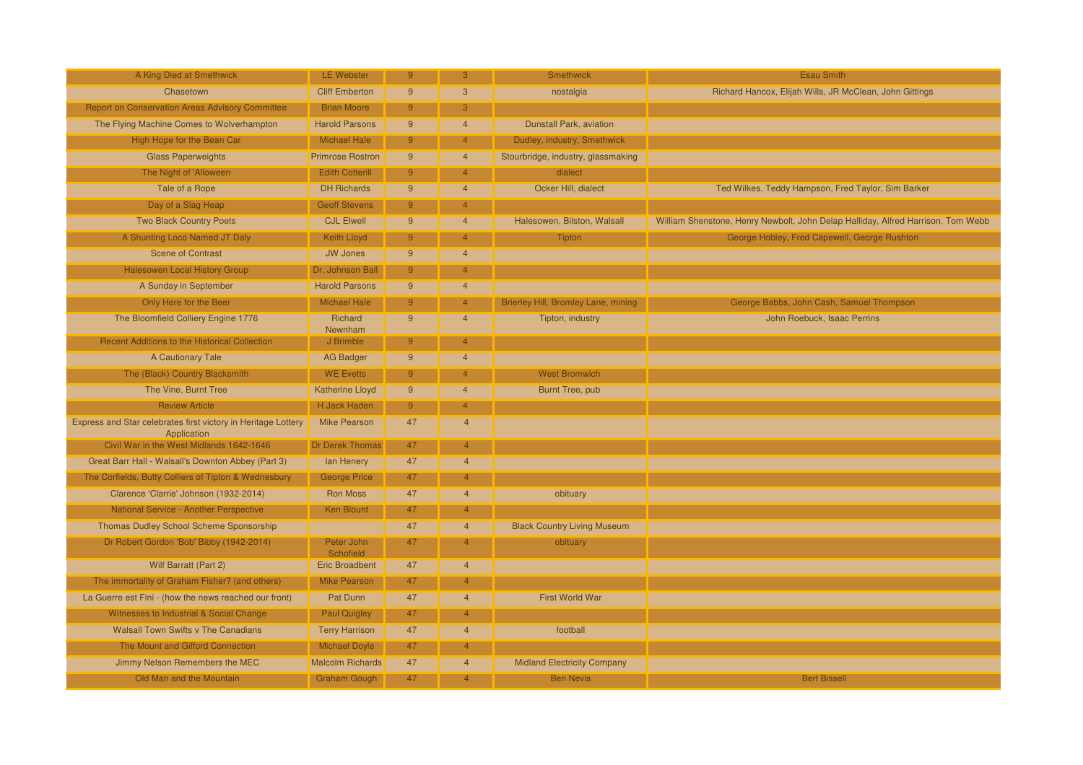| A King Died at Smethwick                                                     | <b>LE Webster</b>       | 9  | 3                       | Smethwick                           | <b>Esau Smith</b>                                                                |
|------------------------------------------------------------------------------|-------------------------|----|-------------------------|-------------------------------------|----------------------------------------------------------------------------------|
| Chasetown                                                                    | <b>Cliff Emberton</b>   | 9  | 3                       | nostalgia                           | Richard Hancox, Elijah Wills, JR McClean, John Gittings                          |
| <b>Report on Conservation Areas Advisory Committee</b>                       | <b>Brian Moore</b>      | 9  | 3                       |                                     |                                                                                  |
| The Flying Machine Comes to Wolverhampton                                    | <b>Harold Parsons</b>   | 9  | $\overline{4}$          | <b>Dunstall Park, aviation</b>      |                                                                                  |
| High Hope for the Bean Car                                                   | <b>Michael Hale</b>     | 9  | $\overline{4}$          | Dudley, industry, Smethwick         |                                                                                  |
| <b>Glass Paperweights</b>                                                    | <b>Primrose Rostron</b> | 9  | $\overline{4}$          | Stourbridge, industry, glassmaking  |                                                                                  |
| The Night of 'Alloween                                                       | <b>Edith Cotterill</b>  | 9  | $\overline{4}$          | dialect                             |                                                                                  |
| Tale of a Rope                                                               | <b>DH Richards</b>      | 9  | $\overline{4}$          | Ocker Hill, dialect                 | Ted Wilkes, Teddy Hampson, Fred Taylor, Sim Barker                               |
| Day of a Slag Heap                                                           | <b>Geoff Stevens</b>    | 9  | $\overline{4}$          |                                     |                                                                                  |
| <b>Two Black Country Poets</b>                                               | <b>CJL Elwell</b>       | 9  | $\overline{4}$          | Halesowen, Bilston, Walsall         | William Shenstone, Henry Newbolt, John Delap Halliday, Alfred Harrison, Tom Webb |
| A Shunting Loco Named JT Daly                                                | <b>Keith Lloyd</b>      | 9  | $\overline{4}$          | Tipton                              | George Hobley, Fred Capewell, George Rushton                                     |
| <b>Scene of Contrast</b>                                                     | <b>JW Jones</b>         | 9  | $\overline{4}$          |                                     |                                                                                  |
| Halesowen Local History Group                                                | Dr. Johnson Ball        | 9  | $\overline{4}$          |                                     |                                                                                  |
| A Sunday in September                                                        | <b>Harold Parsons</b>   | 9  | $\overline{4}$          |                                     |                                                                                  |
| Only Here for the Beer                                                       | <b>Michael Hale</b>     | 9  | $\overline{4}$          | Brierley Hill, Bromley Lane, mining | George Babbs, John Cash, Samuel Thompson                                         |
| The Bloomfield Colliery Engine 1776                                          | Richard<br>Newnham      | 9  | $\overline{4}$          | Tipton, industry                    | John Roebuck, Isaac Perrins                                                      |
| Recent Additions to the Historical Collection                                | J Brimble               | 9  | $\overline{4}$          |                                     |                                                                                  |
| A Cautionary Tale                                                            | <b>AG Badger</b>        | 9  | $\overline{4}$          |                                     |                                                                                  |
| The (Black) Country Blacksmith                                               | <b>WE Evetts</b>        | 9  | $\overline{4}$          | <b>West Bromwich</b>                |                                                                                  |
| The Vine, Burnt Tree                                                         | <b>Katherine Lloyd</b>  | 9  | $\overline{4}$          | Burnt Tree, pub                     |                                                                                  |
| <b>Review Article</b>                                                        | H Jack Haden            | 9  | $\overline{4}$          |                                     |                                                                                  |
| Express and Star celebrates first victory in Heritage Lottery<br>Application | <b>Mike Pearson</b>     | 47 | $\overline{4}$          |                                     |                                                                                  |
| Civil War in the West Midlands 1642-1646                                     | <b>Dr Derek Thomas</b>  | 47 | 4 <sup>1</sup>          |                                     |                                                                                  |
| Great Barr Hall - Walsall's Downton Abbey (Part 3)                           | lan Henery              | 47 | $\overline{4}$          |                                     |                                                                                  |
| The Corfields, Butty Colliers of Tipton & Wednesbury                         | <b>George Price</b>     | 47 | $\overline{4}$          |                                     |                                                                                  |
| Clarence 'Clarrie' Johnson (1932-2014)                                       | <b>Ron Moss</b>         | 47 | $\overline{4}$          | obituary                            |                                                                                  |
| National Service - Another Perspective                                       | Ken Blount              | 47 | $\overline{4}$          |                                     |                                                                                  |
| Thomas Dudley School Scheme Sponsorship                                      |                         | 47 | $\overline{4}$          | <b>Black Country Living Museum</b>  |                                                                                  |
| Dr Robert Gordon 'Bob' Bibby (1942-2014)                                     | Peter John<br>Schofield | 47 | $\overline{\mathbf{4}}$ | obituary                            |                                                                                  |
| Wilf Barratt (Part 2)                                                        | <b>Eric Broadbent</b>   | 47 | $\overline{4}$          |                                     |                                                                                  |
| The immortality of Graham Fisher? (and others)                               | <b>Mike Pearson</b>     | 47 | $\overline{4}$          |                                     |                                                                                  |
| La Guerre est Fini - (how the news reached our front)                        | Pat Dunn                | 47 | $\overline{4}$          | First World War                     |                                                                                  |
| Witnesses to Industrial & Social Change                                      | <b>Paul Quigley</b>     | 47 | $\overline{4}$          |                                     |                                                                                  |
| <b>Walsall Town Swifts v The Canadians</b>                                   | <b>Terry Harrison</b>   | 47 | $\overline{4}$          | football                            |                                                                                  |
| The Mount and Gifford Connection                                             | <b>Michael Doyle</b>    | 47 | $\overline{4}$          |                                     |                                                                                  |
| Jimmy Nelson Remembers the MEC                                               | <b>Malcolm Richards</b> | 47 | $\overline{4}$          | <b>Midland Electricity Company</b>  |                                                                                  |
| Old Man and the Mountain                                                     | <b>Graham Gough</b>     | 47 | $\overline{4}$          | <b>Ben Nevis</b>                    | <b>Bert Bissell</b>                                                              |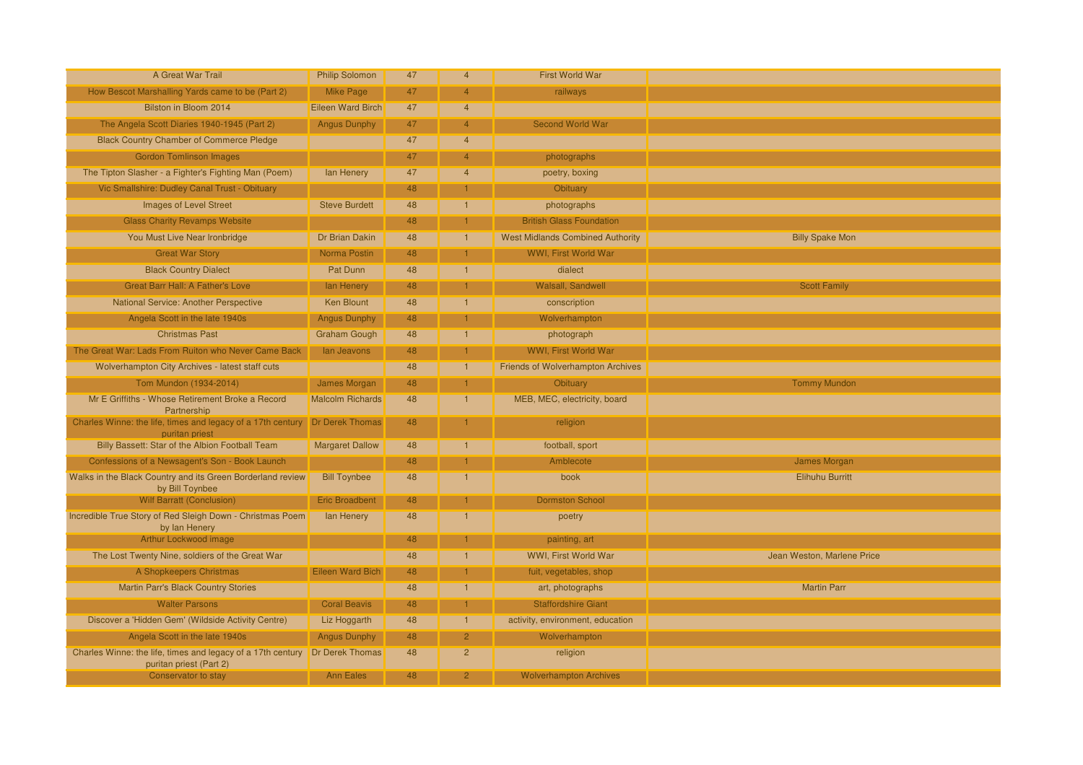| A Great War Trail                                                                                      | <b>Philip Solomon</b>    | 47 | $\overline{4}$ | <b>First World War</b>                  |                            |
|--------------------------------------------------------------------------------------------------------|--------------------------|----|----------------|-----------------------------------------|----------------------------|
| How Bescot Marshalling Yards came to be (Part 2)                                                       | Mike Page                | 47 | $\overline{4}$ | railways                                |                            |
| Bilston in Bloom 2014                                                                                  | <b>Eileen Ward Birch</b> | 47 | $\overline{4}$ |                                         |                            |
| The Angela Scott Diaries 1940-1945 (Part 2)                                                            | <b>Angus Dunphy</b>      | 47 | $\overline{4}$ | <b>Second World War</b>                 |                            |
| <b>Black Country Chamber of Commerce Pledge</b>                                                        |                          | 47 | $\overline{4}$ |                                         |                            |
| <b>Gordon Tomlinson Images</b>                                                                         |                          | 47 | $\overline{4}$ | photographs                             |                            |
| The Tipton Slasher - a Fighter's Fighting Man (Poem)                                                   | lan Henery               | 47 | $\overline{4}$ | poetry, boxing                          |                            |
| Vic Smallshire: Dudley Canal Trust - Obituary                                                          |                          | 48 | 1              | Obituary                                |                            |
| <b>Images of Level Street</b>                                                                          | <b>Steve Burdett</b>     | 48 | $\overline{1}$ | photographs                             |                            |
| <b>Glass Charity Revamps Website</b>                                                                   |                          | 48 | 1              | <b>British Glass Foundation</b>         |                            |
| You Must Live Near Ironbridge                                                                          | Dr Brian Dakin           | 48 | $\mathbf{1}$   | <b>West Midlands Combined Authority</b> | <b>Billy Spake Mon</b>     |
| <b>Great War Story</b>                                                                                 | Norma Postin             | 48 | 1              | WWI, First World War                    |                            |
| <b>Black Country Dialect</b>                                                                           | Pat Dunn                 | 48 | $\mathbf{1}$   | dialect                                 |                            |
| <b>Great Barr Hall: A Father's Love</b>                                                                | lan Henery               | 48 | $\mathbf{1}$   | <b>Walsall, Sandwell</b>                | <b>Scott Family</b>        |
| National Service: Another Perspective                                                                  | <b>Ken Blount</b>        | 48 | $\overline{1}$ | conscription                            |                            |
| Angela Scott in the late 1940s                                                                         | <b>Angus Dunphy</b>      | 48 | 1.             | Wolverhampton                           |                            |
| <b>Christmas Past</b>                                                                                  | <b>Graham Gough</b>      | 48 | $\mathbf{1}$   | photograph                              |                            |
| The Great War: Lads From Ruiton who Never Came Back                                                    | lan Jeavons              | 48 | $\mathbf{1}$   | WWI, First World War                    |                            |
| Wolverhampton City Archives - latest staff cuts                                                        |                          | 48 | 1              | Friends of Wolverhampton Archives       |                            |
| Tom Mundon (1934-2014)                                                                                 | James Morgan             | 48 |                | Obituary                                | <b>Tommy Mundon</b>        |
| Mr E Griffiths - Whose Retirement Broke a Record<br>Partnership                                        | <b>Malcolm Richards</b>  | 48 | $\overline{1}$ | MEB, MEC, electricity, board            |                            |
| Charles Winne: the life, times and legacy of a 17th century Dr Derek Thomas<br>puritan priest          |                          | 48 | 1.             | religion                                |                            |
| Billy Bassett: Star of the Albion Football Team                                                        | <b>Margaret Dallow</b>   | 48 |                | football, sport                         |                            |
| Confessions of a Newsagent's Son - Book Launch                                                         |                          | 48 | $\mathbf{1}$   | Amblecote                               | James Morgan               |
| Walks in the Black Country and its Green Borderland review<br>by Bill Toynbee                          | <b>Bill Toynbee</b>      | 48 | $\overline{1}$ | book                                    | <b>Elihuhu Burritt</b>     |
| <b>Wilf Barratt (Conclusion)</b>                                                                       | <b>Eric Broadbent</b>    | 48 | $\mathbf{1}$   | <b>Dormston School</b>                  |                            |
| Incredible True Story of Red Sleigh Down - Christmas Poem<br>by lan Henery                             | lan Henery               | 48 | $\overline{1}$ | poetry                                  |                            |
| Arthur Lockwood image                                                                                  |                          | 48 | 1              | painting, art                           |                            |
| The Lost Twenty Nine, soldiers of the Great War                                                        |                          | 48 | $\mathbf{1}$   | WWI, First World War                    | Jean Weston, Marlene Price |
| A Shopkeepers Christmas                                                                                | <b>Eileen Ward Bich</b>  | 48 | 1.             | fuit, vegetables, shop                  |                            |
| <b>Martin Parr's Black Country Stories</b>                                                             |                          | 48 | $\mathbf{1}$   | art, photographs                        | <b>Martin Parr</b>         |
| <b>Walter Parsons</b>                                                                                  | <b>Coral Beavis</b>      | 48 | 1              | <b>Staffordshire Giant</b>              |                            |
| Discover a 'Hidden Gem' (Wildside Activity Centre)                                                     | Liz Hoggarth             | 48 | $\mathbf{1}$   | activity, environment, education        |                            |
| Angela Scott in the late 1940s                                                                         | <b>Angus Dunphy</b>      | 48 | $\overline{2}$ | Wolverhampton                           |                            |
| Charles Winne: the life, times and legacy of a 17th century Dr Derek Thomas<br>puritan priest (Part 2) |                          | 48 | $\overline{2}$ | religion                                |                            |
| Conservator to stay                                                                                    | <b>Ann Eales</b>         | 48 | 2 <sup>1</sup> | <b>Wolverhampton Archives</b>           |                            |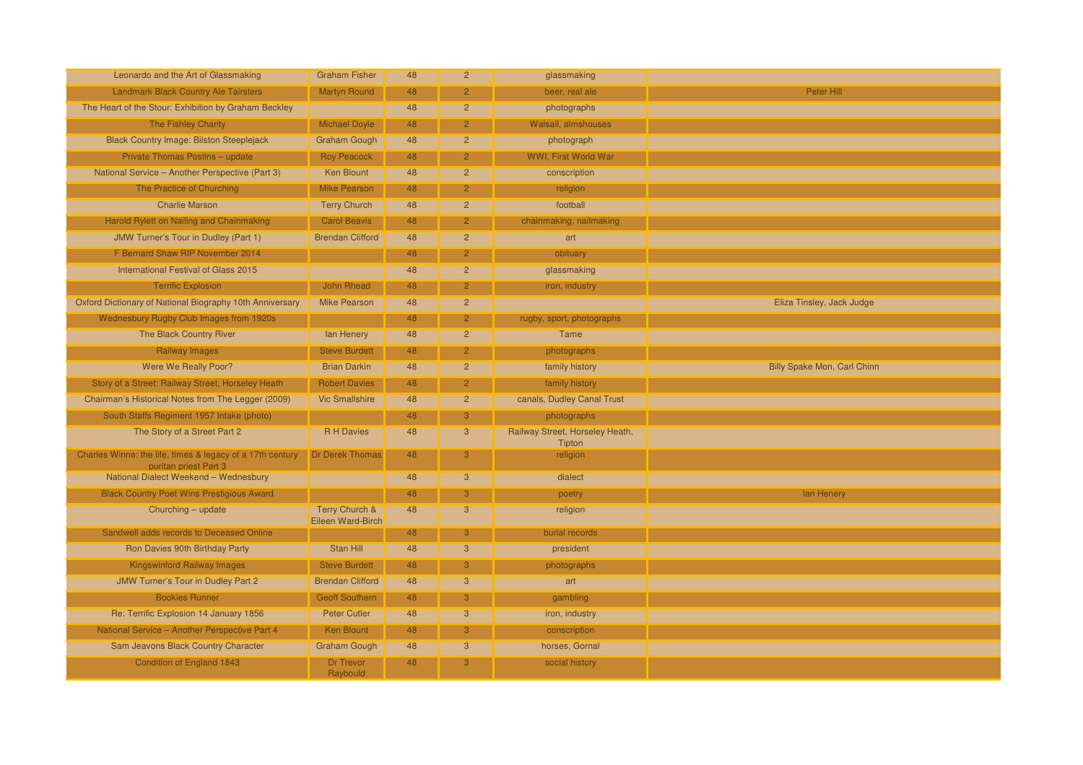| Leonardo and the Art of Glassmaking                                                                | <b>Graham Fisher</b>                                  | 48 | $\overline{2}$ | glassmaking                               |                             |
|----------------------------------------------------------------------------------------------------|-------------------------------------------------------|----|----------------|-------------------------------------------|-----------------------------|
| <b>Landmark Black Country Ale Tairsters</b>                                                        | <b>Martyn Round</b>                                   | 48 | $\overline{2}$ | beer, real ale                            | Peter Hill                  |
| The Heart of the Stour: Exhibition by Graham Beckley                                               |                                                       | 48 | $\overline{2}$ | photographs                               |                             |
| <b>The Fishley Charity</b>                                                                         | <b>Michael Doyle</b>                                  | 48 | $\overline{2}$ | Walsall, almshouses                       |                             |
| <b>Black Country Image: Bilston Steeplejack</b>                                                    | <b>Graham Gough</b>                                   | 48 | $\overline{2}$ | photograph                                |                             |
| Private Thomas Postins - update                                                                    | <b>Roy Peacock</b>                                    | 48 | $\overline{2}$ | WWI, First World War                      |                             |
| National Service - Another Perspective (Part 3)                                                    | <b>Ken Blount</b>                                     | 48 | $\overline{2}$ | conscription                              |                             |
| The Practice of Churching                                                                          | Mike Pearson                                          | 48 | 2              | religion                                  |                             |
| <b>Charlie Marson</b>                                                                              | <b>Terry Church</b>                                   | 48 | $\overline{2}$ | football                                  |                             |
| Harold Rylett on Nailing and Chainmaking                                                           | <b>Carol Beavis</b>                                   | 48 | $\overline{2}$ | chainmaking, nailmaking                   |                             |
| JMW Turner's Tour in Dudley (Part 1)                                                               | <b>Brendan Clifford</b>                               | 48 | $\overline{2}$ | art                                       |                             |
| F Bernard Shaw RIP November 2014                                                                   |                                                       | 48 | 2 <sup>1</sup> | obituary                                  |                             |
| International Festival of Glass 2015                                                               |                                                       | 48 | $\overline{2}$ | glassmaking                               |                             |
| <b>Terrific Explosion</b>                                                                          | <b>John Rhead</b>                                     | 48 | $\overline{2}$ | iron, industry                            |                             |
| Oxford Dictionary of National Biography 10th Anniversary                                           | <b>Mike Pearson</b>                                   | 48 | $\overline{2}$ |                                           | Eliza Tinsley, Jack Judge   |
| Wednesbury Rugby Club Images from 1920s                                                            |                                                       | 48 | $\overline{2}$ | rugby, sport, photographs                 |                             |
| The Black Country River                                                                            | lan Henery                                            | 48 | $\overline{2}$ | Tame                                      |                             |
| Railway Images                                                                                     | <b>Steve Burdett</b>                                  | 48 | 2 <sup>1</sup> | photographs                               |                             |
| Were We Really Poor?                                                                               | <b>Brian Darkin</b>                                   | 48 | $\overline{2}$ | family history                            | Billy Spake Mon, Carl Chinn |
| Story of a Street: Railway Street, Horseley Heath                                                  | <b>Robert Davies</b>                                  | 48 | $\overline{2}$ | family history                            |                             |
| Chairman's Historical Notes from The Legger (2009)                                                 | <b>Vic Smallshire</b>                                 | 48 | $\overline{2}$ | canals, Dudley Canal Trust                |                             |
| South Staffs Regiment 1957 Intake (photo)                                                          |                                                       | 48 | 3 <sup>°</sup> | photographs                               |                             |
| The Story of a Street Part 2                                                                       | <b>R H Davies</b>                                     | 48 | 3 <sup>5</sup> | Railway Street, Horseley Heath,<br>Tipton |                             |
| Charles Winne: the life, times & legacy of a 17th century Dr Derek Thomas<br>puritan priest Part 3 |                                                       | 48 | 3              | religion                                  |                             |
| National Dialect Weekend - Wednesbury                                                              |                                                       | 48 | 3              | dialect                                   |                             |
| <b>Black Country Poet Wins Prestigious Award</b>                                                   |                                                       | 48 | 3 <sup>°</sup> | poetry                                    | lan Henery                  |
| Churching - update                                                                                 | <b>Terry Church &amp;</b><br><b>Eileen Ward-Birch</b> | 48 | $\overline{3}$ | religion                                  |                             |
| Sandwell adds records to Deceased Online                                                           |                                                       | 48 | 3              | burial records                            |                             |
| Ron Davies 90th Birthday Party                                                                     | Stan Hill                                             | 48 | $\mathbf{3}$   | president                                 |                             |
| Kingswinford Railway Images                                                                        | <b>Steve Burdett</b>                                  | 48 | 3              | photographs                               |                             |
| JMW Turner's Tour in Dudley Part 2                                                                 | <b>Brendan Clifford</b>                               | 48 | 3              | art                                       |                             |
| <b>Bookies Runner</b>                                                                              | <b>Geoff Southern</b>                                 | 48 | 3              | gambling                                  |                             |
| Re: Terrific Explosion 14 January 1856                                                             | <b>Peter Cutler</b>                                   | 48 | $\overline{3}$ | iron, industry                            |                             |
| National Service - Another Perspective Part 4                                                      | <b>Ken Blount</b>                                     | 48 | 3              | conscription                              |                             |
| Sam Jeavons Black Country Character                                                                | <b>Graham Gough</b>                                   | 48 | $\overline{3}$ | horses, Gornal                            |                             |
| Condition of England 1843                                                                          | Dr Trevor<br>Raybould                                 | 48 | 3              | social history                            |                             |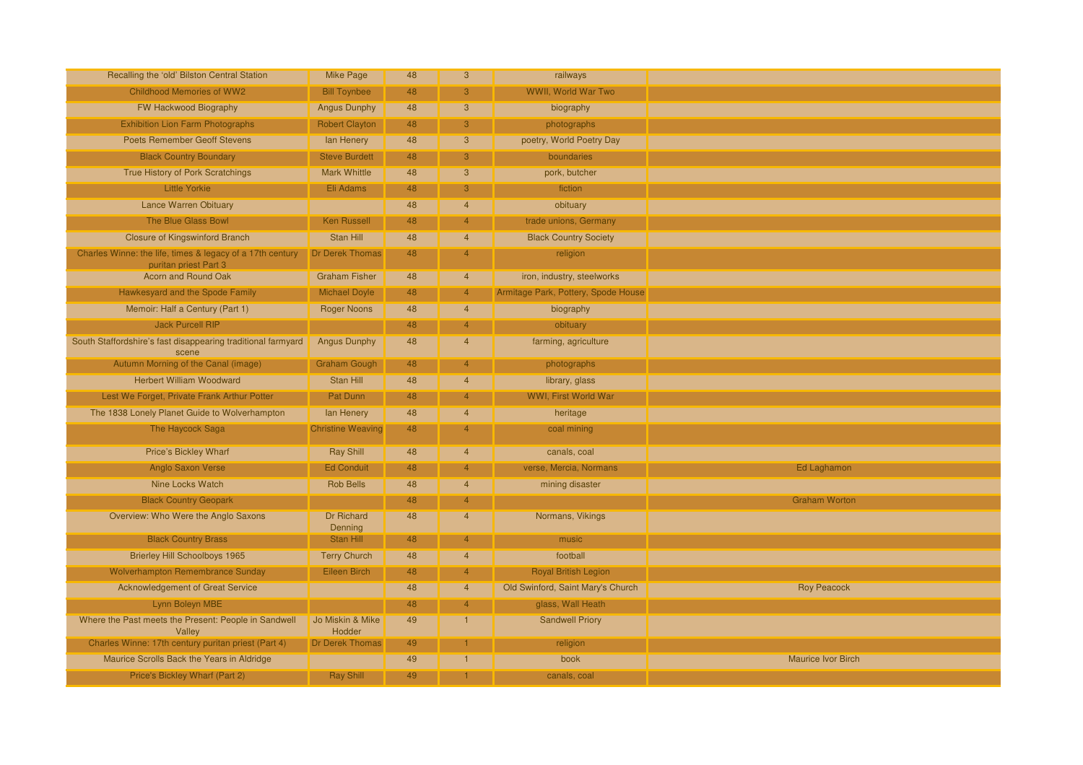| Recalling the 'old' Bilston Central Station                                        | <b>Mike Page</b>           | 48 | $\mathbf{3}$   | railways                            |                           |
|------------------------------------------------------------------------------------|----------------------------|----|----------------|-------------------------------------|---------------------------|
| <b>Childhood Memories of WW2</b>                                                   | <b>Bill Toynbee</b>        | 48 | 3              | WWII, World War Two                 |                           |
| FW Hackwood Biography                                                              | <b>Angus Dunphy</b>        | 48 | $\mathbf{3}$   | biography                           |                           |
| <b>Exhibition Lion Farm Photographs</b>                                            | <b>Robert Clayton</b>      | 48 | 3 <sup>°</sup> | photographs                         |                           |
| <b>Poets Remember Geoff Stevens</b>                                                | lan Henery                 | 48 | $\mathbf{3}$   | poetry, World Poetry Day            |                           |
| <b>Black Country Boundary</b>                                                      | <b>Steve Burdett</b>       | 48 | 3              | boundaries                          |                           |
| True History of Pork Scratchings                                                   | <b>Mark Whittle</b>        | 48 | $\mathbf{3}$   | pork, butcher                       |                           |
| <b>Little Yorkie</b>                                                               | Eli Adams                  | 48 | $\overline{3}$ | fiction                             |                           |
| <b>Lance Warren Obituary</b>                                                       |                            | 48 | $\overline{4}$ | obituary                            |                           |
| The Blue Glass Bowl                                                                | <b>Ken Russell</b>         | 48 | $\overline{4}$ | trade unions, Germany               |                           |
| <b>Closure of Kingswinford Branch</b>                                              | Stan Hill                  | 48 | $\overline{4}$ | <b>Black Country Society</b>        |                           |
| Charles Winne: the life, times & legacy of a 17th century<br>puritan priest Part 3 | <b>Dr Derek Thomas</b>     | 48 | $\overline{4}$ | religion                            |                           |
| Acorn and Round Oak                                                                | <b>Graham Fisher</b>       | 48 | $\overline{4}$ | iron, industry, steelworks          |                           |
| Hawkesyard and the Spode Family                                                    | <b>Michael Doyle</b>       | 48 | $\overline{4}$ | Armitage Park, Pottery, Spode House |                           |
| Memoir: Half a Century (Part 1)                                                    | <b>Roger Noons</b>         | 48 | $\overline{4}$ | biography                           |                           |
| <b>Jack Purcell RIP</b>                                                            |                            | 48 | $\overline{4}$ | obituary                            |                           |
| South Staffordshire's fast disappearing traditional farmyard<br>scene              | <b>Angus Dunphy</b>        | 48 | $\overline{4}$ | farming, agriculture                |                           |
| Autumn Morning of the Canal (image)                                                | <b>Graham Gough</b>        | 48 | 4              | photographs                         |                           |
| <b>Herbert William Woodward</b>                                                    | Stan Hill                  | 48 | $\overline{4}$ | library, glass                      |                           |
| Lest We Forget, Private Frank Arthur Potter                                        | Pat Dunn                   | 48 | $\overline{4}$ | WWI, First World War                |                           |
| The 1838 Lonely Planet Guide to Wolverhampton                                      | lan Henery                 | 48 | $\overline{4}$ | heritage                            |                           |
| The Haycock Saga                                                                   | <b>Christine Weaving</b>   | 48 | $\overline{4}$ | coal mining                         |                           |
| <b>Price's Bickley Wharf</b>                                                       | <b>Ray Shill</b>           | 48 | $\overline{4}$ | canals, coal                        |                           |
| <b>Anglo Saxon Verse</b>                                                           | <b>Ed Conduit</b>          | 48 | $\overline{4}$ | verse, Mercia, Normans              | <b>Ed Laghamon</b>        |
| Nine Locks Watch                                                                   | <b>Rob Bells</b>           | 48 | $\overline{4}$ | mining disaster                     |                           |
| <b>Black Country Geopark</b>                                                       |                            | 48 | $\overline{4}$ |                                     | <b>Graham Worton</b>      |
| Overview: Who Were the Anglo Saxons                                                | Dr Richard<br>Denning      | 48 | $\overline{4}$ | Normans, Vikings                    |                           |
| <b>Black Country Brass</b>                                                         | Stan Hill                  | 48 | $\overline{4}$ | music                               |                           |
| Brierley Hill Schoolboys 1965                                                      | <b>Terry Church</b>        | 48 | $\overline{4}$ | football                            |                           |
| <b>Wolverhampton Remembrance Sunday</b>                                            | Eileen Birch               | 48 | $\overline{4}$ | Royal British Legion                |                           |
| <b>Acknowledgement of Great Service</b>                                            |                            | 48 | $\overline{4}$ | Old Swinford, Saint Mary's Church   | <b>Roy Peacock</b>        |
| Lynn Boleyn MBE                                                                    |                            | 48 | $\overline{4}$ | glass, Wall Heath                   |                           |
| Where the Past meets the Present: People in Sandwell<br>Valley                     | Jo Miskin & Mike<br>Hodder | 49 |                | <b>Sandwell Priory</b>              |                           |
| Charles Winne: 17th century puritan priest (Part 4)                                | Dr Derek Thomas            | 49 |                | religion                            |                           |
| Maurice Scrolls Back the Years in Aldridge                                         |                            | 49 | $\overline{1}$ | book                                | <b>Maurice Ivor Birch</b> |
| Price's Bickley Wharf (Part 2)                                                     | <b>Ray Shill</b>           | 49 |                | canals, coal                        |                           |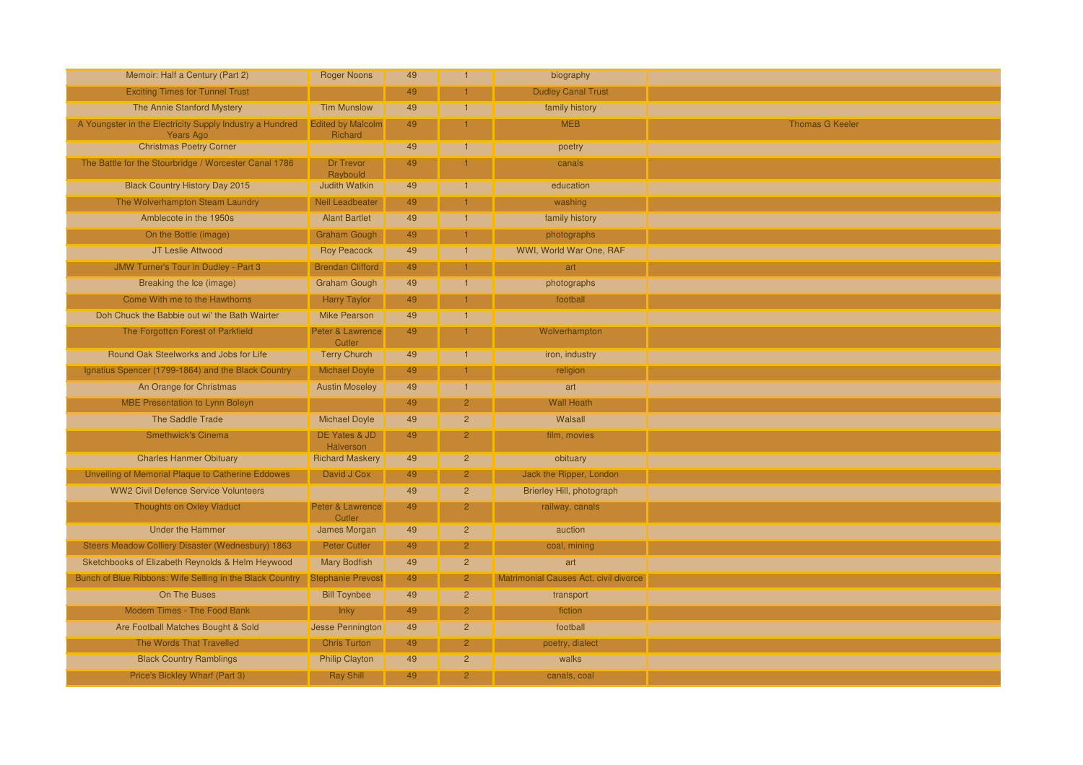| Memoir: Half a Century (Part 2)                                              | <b>Roger Noons</b>                  | 49 | $\overline{1}$ | biography                             |                        |
|------------------------------------------------------------------------------|-------------------------------------|----|----------------|---------------------------------------|------------------------|
| <b>Exciting Times for Tunnel Trust</b>                                       |                                     | 49 |                | <b>Dudley Canal Trust</b>             |                        |
| The Annie Stanford Mystery                                                   | <b>Tim Munslow</b>                  | 49 |                | family history                        |                        |
| A Youngster in the Electricity Supply Industry a Hundred<br><b>Years Ago</b> | <b>Edited by Malcolm</b><br>Richard | 49 |                | <b>MEB</b>                            | <b>Thomas G Keeler</b> |
| <b>Christmas Poetry Corner</b>                                               |                                     | 49 |                | poetry                                |                        |
| The Battle for the Stourbridge / Worcester Canal 1786                        | Dr Trevor<br>Raybould               | 49 |                | canals                                |                        |
| <b>Black Country History Day 2015</b>                                        | <b>Judith Watkin</b>                | 49 | $\overline{1}$ | education                             |                        |
| The Wolverhampton Steam Laundry                                              | <b>Neil Leadbeater</b>              | 49 |                | washing                               |                        |
| Amblecote in the 1950s                                                       | <b>Alant Bartlet</b>                | 49 |                | family history                        |                        |
| On the Bottle (image)                                                        | <b>Graham Gough</b>                 | 49 |                | photographs                           |                        |
| JT Leslie Attwood                                                            | <b>Roy Peacock</b>                  | 49 |                | WWI, World War One, RAF               |                        |
| JMW Turner's Tour in Dudley - Part 3                                         | <b>Brendan Clifford</b>             | 49 |                | art                                   |                        |
| Breaking the Ice (image)                                                     | <b>Graham Gough</b>                 | 49 | $\overline{1}$ | photographs                           |                        |
| Come With me to the Hawthorns                                                | <b>Harry Taylor</b>                 | 49 | 1.             | football                              |                        |
| Doh Chuck the Babbie out wi' the Bath Wairter                                | <b>Mike Pearson</b>                 | 49 | $\overline{1}$ |                                       |                        |
| The Forgott¢n Forest of Parkfield                                            | Peter & Lawrence<br>Cutler          | 49 |                | Wolverhampton                         |                        |
| Round Oak Steelworks and Jobs for Life                                       | <b>Terry Church</b>                 | 49 |                | iron, industry                        |                        |
| Ignatius Spencer (1799-1864) and the Black Country                           | <b>Michael Doyle</b>                | 49 |                | religion                              |                        |
| An Orange for Christmas                                                      | <b>Austin Moseley</b>               | 49 |                | art                                   |                        |
| <b>MBE Presentation to Lynn Boleyn</b>                                       |                                     | 49 | $\overline{2}$ | <b>Wall Heath</b>                     |                        |
| The Saddle Trade                                                             | <b>Michael Doyle</b>                | 49 | $\overline{2}$ | Walsall                               |                        |
| <b>Smethwick's Cinema</b>                                                    | DE Yates & JD<br>Halverson          | 49 | $\overline{2}$ | film, movies                          |                        |
| <b>Charles Hanmer Obituary</b>                                               | <b>Richard Maskery</b>              | 49 | $\overline{2}$ | obituary                              |                        |
| Unveiling of Memorial Plaque to Catherine Eddowes                            | David J Cox                         | 49 | 2 <sup>1</sup> | Jack the Ripper, London               |                        |
| <b>WW2 Civil Defence Service Volunteers</b>                                  |                                     | 49 | $\overline{2}$ | Brierley Hill, photograph             |                        |
| <b>Thoughts on Oxley Viaduct</b>                                             | Peter & Lawrence<br>Cutler          | 49 | $\overline{2}$ | railway, canals                       |                        |
| <b>Under the Hammer</b>                                                      | James Morgan                        | 49 | $\overline{2}$ | auction                               |                        |
| Steers Meadow Colliery Disaster (Wednesbury) 1863                            | <b>Peter Cutler</b>                 | 49 | $\overline{2}$ | coal, mining                          |                        |
| Sketchbooks of Elizabeth Reynolds & Helm Heywood                             | <b>Mary Bodfish</b>                 | 49 | $\overline{2}$ | art                                   |                        |
| Bunch of Blue Ribbons: Wife Selling in the Black Country                     | <b>Stephanie Prevost</b>            | 49 | 2 <sup>1</sup> | Matrimonial Causes Act, civil divorce |                        |
| On The Buses                                                                 | <b>Bill Toynbee</b>                 | 49 | $\overline{2}$ | transport                             |                        |
| Modem Times - The Food Bank                                                  | <b>Inky</b>                         | 49 | 2 <sup>1</sup> | fiction                               |                        |
| Are Football Matches Bought & Sold                                           | <b>Jesse Pennington</b>             | 49 | $\overline{2}$ | football                              |                        |
| The Words That Travelled                                                     | <b>Chris Turton</b>                 | 49 | $\overline{2}$ | poetry, dialect                       |                        |
| <b>Black Country Ramblings</b>                                               | <b>Philip Clayton</b>               | 49 | $\overline{2}$ | walks                                 |                        |
| Price's Bickley Wharf (Part 3)                                               | <b>Ray Shill</b>                    | 49 | $\overline{2}$ | canals, coal                          |                        |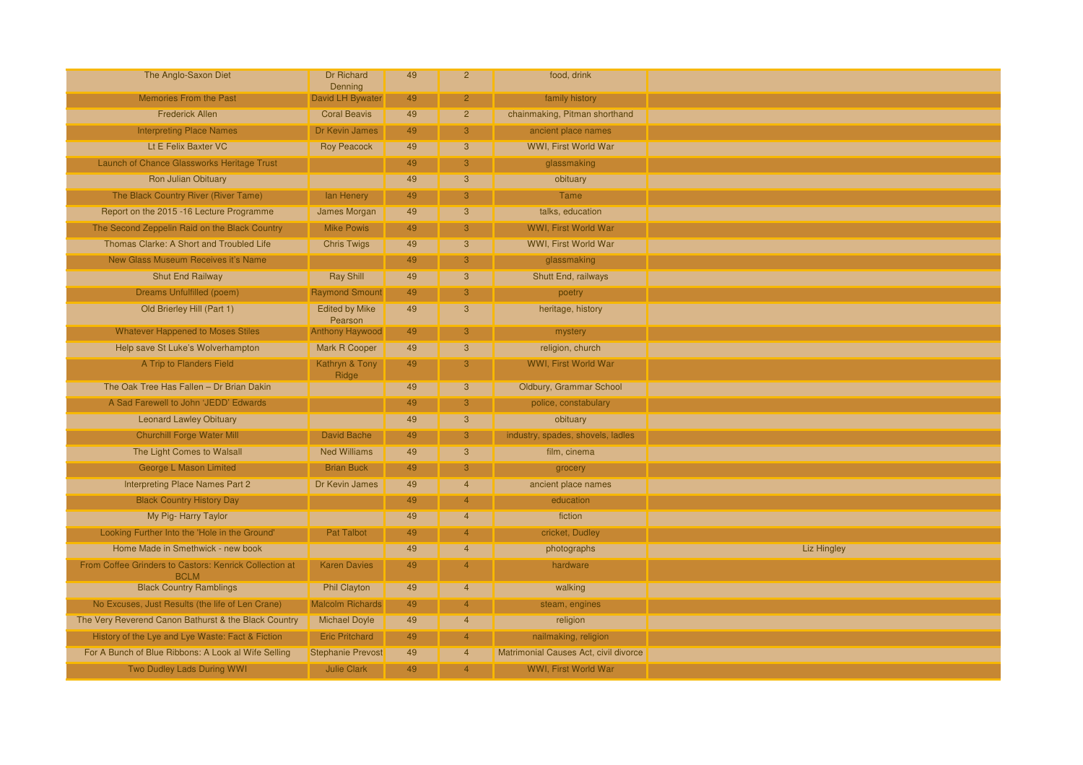| The Anglo-Saxon Diet                                                  | <b>Dr Richard</b><br>Denning     | 49 | $\overline{2}$ | food, drink                           |                    |
|-----------------------------------------------------------------------|----------------------------------|----|----------------|---------------------------------------|--------------------|
| <b>Memories From the Past</b>                                         | David LH Bywater                 | 49 | $\overline{2}$ | family history                        |                    |
| <b>Frederick Allen</b>                                                | <b>Coral Beavis</b>              | 49 | $\overline{2}$ | chainmaking, Pitman shorthand         |                    |
| <b>Interpreting Place Names</b>                                       | Dr Kevin James                   | 49 | 3 <sup>°</sup> | ancient place names                   |                    |
| Lt E Felix Baxter VC                                                  | <b>Roy Peacock</b>               | 49 | $\mathbf{3}$   | WWI, First World War                  |                    |
| Launch of Chance Glassworks Heritage Trust                            |                                  | 49 | 3 <sup>°</sup> | glassmaking                           |                    |
| Ron Julian Obituary                                                   |                                  | 49 | $\overline{3}$ | obituary                              |                    |
| The Black Country River (River Tame)                                  | lan Henery                       | 49 | $\mathbf{3}$   | Tame                                  |                    |
| Report on the 2015 -16 Lecture Programme                              | James Morgan                     | 49 | $\mathbf{3}$   | talks, education                      |                    |
| The Second Zeppelin Raid on the Black Country                         | <b>Mike Powis</b>                | 49 | 3 <sup>°</sup> | <b>WWI, First World War</b>           |                    |
| Thomas Clarke: A Short and Troubled Life                              | <b>Chris Twigs</b>               | 49 | $\overline{3}$ | <b>WWI. First World War</b>           |                    |
| New Glass Museum Receives it's Name                                   |                                  | 49 | 3 <sup>°</sup> | glassmaking                           |                    |
| <b>Shut End Railway</b>                                               | <b>Ray Shill</b>                 | 49 | $\mathbf{3}$   | Shutt End, railways                   |                    |
| Dreams Unfulfilled (poem)                                             | <b>Raymond Smount</b>            | 49 | 3 <sup>°</sup> | poetry                                |                    |
| Old Brierley Hill (Part 1)                                            | <b>Edited by Mike</b><br>Pearson | 49 | $\mathbf{3}$   | heritage, history                     |                    |
| <b>Whatever Happened to Moses Stiles</b>                              | <b>Anthony Haywood</b>           | 49 | 3 <sup>°</sup> | mystery                               |                    |
| Help save St Luke's Wolverhampton                                     | Mark R Cooper                    | 49 | $\overline{3}$ | religion, church                      |                    |
| A Trip to Flanders Field                                              | Kathryn & Tony<br>Ridge          | 49 | 3 <sup>°</sup> | WWI, First World War                  |                    |
| The Oak Tree Has Fallen - Dr Brian Dakin                              |                                  | 49 | 3 <sup>5</sup> | Oldbury, Grammar School               |                    |
| A Sad Farewell to John 'JEDD' Edwards                                 |                                  | 49 | 3              | police, constabulary                  |                    |
| <b>Leonard Lawley Obituary</b>                                        |                                  | 49 | $\mathbf{3}$   | obituary                              |                    |
| <b>Churchill Forge Water Mill</b>                                     | David Bache                      | 49 | 3 <sup>°</sup> | industry, spades, shovels, ladles     |                    |
| The Light Comes to Walsall                                            | <b>Ned Williams</b>              | 49 | 3 <sup>°</sup> | film, cinema                          |                    |
| George L Mason Limited                                                | <b>Brian Buck</b>                | 49 | 3 <sup>°</sup> | grocery                               |                    |
| Interpreting Place Names Part 2                                       | Dr Kevin James                   | 49 | $\overline{4}$ | ancient place names                   |                    |
| <b>Black Country History Day</b>                                      |                                  | 49 | $\overline{4}$ | education                             |                    |
| My Pig- Harry Taylor                                                  |                                  | 49 | $\overline{4}$ | fiction                               |                    |
| Looking Further Into the 'Hole in the Ground'                         | <b>Pat Talbot</b>                | 49 | $\overline{4}$ | cricket, Dudley                       |                    |
| Home Made in Smethwick - new book                                     |                                  | 49 | $\overline{4}$ | photographs                           | <b>Liz Hingley</b> |
| From Coffee Grinders to Castors: Kenrick Collection at<br><b>BCLM</b> | <b>Karen Davies</b>              | 49 | $\overline{4}$ | hardware                              |                    |
| <b>Black Country Ramblings</b>                                        | <b>Phil Clayton</b>              | 49 | $\overline{4}$ | walking                               |                    |
| No Excuses, Just Results (the life of Len Crane)                      | <b>Malcolm Richards</b>          | 49 | $\overline{4}$ | steam, engines                        |                    |
| The Very Reverend Canon Bathurst & the Black Country                  | <b>Michael Doyle</b>             | 49 | $\overline{4}$ | religion                              |                    |
| History of the Lye and Lye Waste: Fact & Fiction                      | <b>Eric Pritchard</b>            | 49 | $\overline{4}$ | nailmaking, religion                  |                    |
| For A Bunch of Blue Ribbons: A Look al Wife Selling                   | <b>Stephanie Prevost</b>         | 49 | $\overline{4}$ | Matrimonial Causes Act, civil divorce |                    |
| Two Dudley Lads During WWI                                            | <b>Julie Clark</b>               | 49 | $\overline{4}$ | WWI, First World War                  |                    |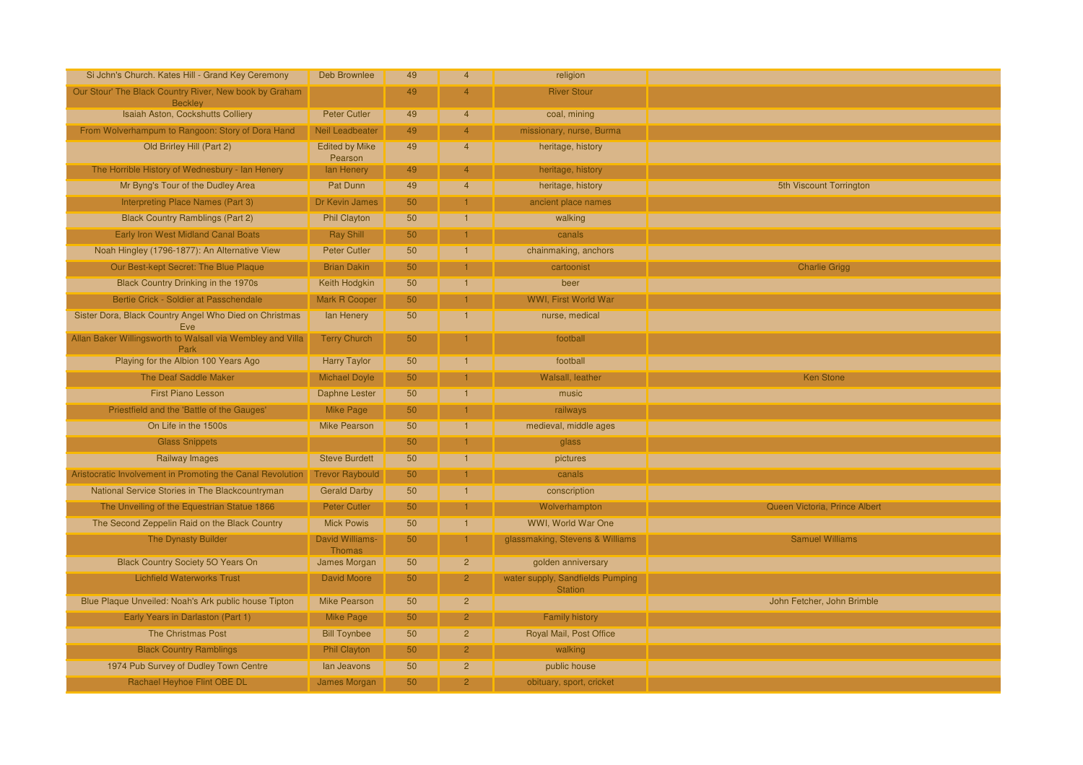| Si Jchn's Church. Kates Hill - Grand Key Ceremony                        | Deb Brownlee                            | 49 | $\overline{4}$ | religion                                           |                               |
|--------------------------------------------------------------------------|-----------------------------------------|----|----------------|----------------------------------------------------|-------------------------------|
| Our Stour' The Black Country River, New book by Graham<br><b>Beckley</b> |                                         | 49 | $\overline{4}$ | <b>River Stour</b>                                 |                               |
| Isaiah Aston, Cockshutts Colliery                                        | <b>Peter Cutler</b>                     | 49 | $\overline{4}$ | coal, mining                                       |                               |
| From Wolverhampum to Rangoon: Story of Dora Hand                         | <b>Neil Leadbeater</b>                  | 49 | $\overline{4}$ | missionary, nurse, Burma                           |                               |
| Old Brirley Hill (Part 2)                                                | <b>Edited by Mike</b><br>Pearson        | 49 | $\overline{4}$ | heritage, history                                  |                               |
| The Horrible History of Wednesbury - Ian Henery                          | lan Henery                              | 49 | $\overline{4}$ | heritage, history                                  |                               |
| Mr Byng's Tour of the Dudley Area                                        | Pat Dunn                                | 49 | $\overline{4}$ | heritage, history                                  | 5th Viscount Torrington       |
| Interpreting Place Names (Part 3)                                        | Dr Kevin James                          | 50 | $\mathbf{1}$   | ancient place names                                |                               |
| <b>Black Country Ramblings (Part 2)</b>                                  | <b>Phil Clayton</b>                     | 50 | $\mathbf{1}$   | walking                                            |                               |
| Early Iron West Midland Canal Boats                                      | <b>Ray Shill</b>                        | 50 | 1              | canals                                             |                               |
| Noah Hingley (1796-1877): An Alternative View                            | <b>Peter Cutler</b>                     | 50 | $\overline{1}$ | chainmaking, anchors                               |                               |
| Our Best-kept Secret: The Blue Plaque                                    | <b>Brian Dakin</b>                      | 50 | 1              | cartoonist                                         | <b>Charlie Grigg</b>          |
| Black Country Drinking in the 1970s                                      | Keith Hodgkin                           | 50 |                | beer                                               |                               |
| Bertie Crick - Soldier at Passchendale                                   | <b>Mark R Cooper</b>                    | 50 |                | <b>WWI, First World War</b>                        |                               |
| Sister Dora, Black Country Angel Who Died on Christmas<br>Eve            | lan Henery                              | 50 | $\overline{1}$ | nurse, medical                                     |                               |
| Allan Baker Willingsworth to Walsall via Wembley and Villa<br>Park       | <b>Terry Church</b>                     | 50 |                | football                                           |                               |
| Playing for the Albion 100 Years Ago                                     | <b>Harry Taylor</b>                     | 50 | $\mathbf{1}$   | football                                           |                               |
| <b>The Deaf Saddle Maker</b>                                             | <b>Michael Doyle</b>                    | 50 |                | Walsall, leather                                   | <b>Ken Stone</b>              |
| <b>First Piano Lesson</b>                                                | <b>Daphne Lester</b>                    | 50 | $\overline{1}$ | music                                              |                               |
| Priestfield and the 'Battle of the Gauges'                               | Mike Page                               | 50 | 1              | railways                                           |                               |
| On Life in the 1500s                                                     | <b>Mike Pearson</b>                     | 50 |                | medieval, middle ages                              |                               |
| <b>Glass Snippets</b>                                                    |                                         | 50 |                | glass                                              |                               |
| Railway Images                                                           | <b>Steve Burdett</b>                    | 50 |                | pictures                                           |                               |
| Aristocratic Involvement in Promoting the Canal Revolution               | <b>Trevor Raybould</b>                  | 50 |                | canals                                             |                               |
| National Service Stories in The Blackcountryman                          | <b>Gerald Darby</b>                     | 50 |                | conscription                                       |                               |
| The Unveiling of the Equestrian Statue 1866                              | <b>Peter Cutler</b>                     | 50 |                | Wolverhampton                                      | Queen Victoria, Prince Albert |
| The Second Zeppelin Raid on the Black Country                            | <b>Mick Powis</b>                       | 50 | $\mathbf{1}$   | WWI, World War One                                 |                               |
| <b>The Dynasty Builder</b>                                               | <b>David Williams-</b><br><b>Thomas</b> | 50 |                | glassmaking, Stevens & Williams                    | <b>Samuel Williams</b>        |
| <b>Black Country Society 50 Years On</b>                                 | James Morgan                            | 50 | $\overline{2}$ | golden anniversary                                 |                               |
| <b>Lichfield Waterworks Trust</b>                                        | <b>David Moore</b>                      | 50 | 2 <sup>1</sup> | water supply, Sandfields Pumping<br><b>Station</b> |                               |
| Blue Plaque Unveiled: Noah's Ark public house Tipton                     | <b>Mike Pearson</b>                     | 50 | $\overline{2}$ |                                                    | John Fetcher, John Brimble    |
| Early Years in Darlaston (Part 1)                                        | Mike Page                               | 50 | $\overline{2}$ | <b>Family history</b>                              |                               |
| <b>The Christmas Post</b>                                                | <b>Bill Toynbee</b>                     | 50 | $\overline{2}$ | Royal Mail, Post Office                            |                               |
| <b>Black Country Ramblings</b>                                           | <b>Phil Clayton</b>                     | 50 | 2 <sup>1</sup> | walking                                            |                               |
| 1974 Pub Survey of Dudley Town Centre                                    | lan Jeavons                             | 50 | $\overline{2}$ | public house                                       |                               |
| Rachael Heyhoe Flint OBE DL                                              | James Morgan                            | 50 | 2 <sup>1</sup> | obituary, sport, cricket                           |                               |
|                                                                          |                                         |    |                |                                                    |                               |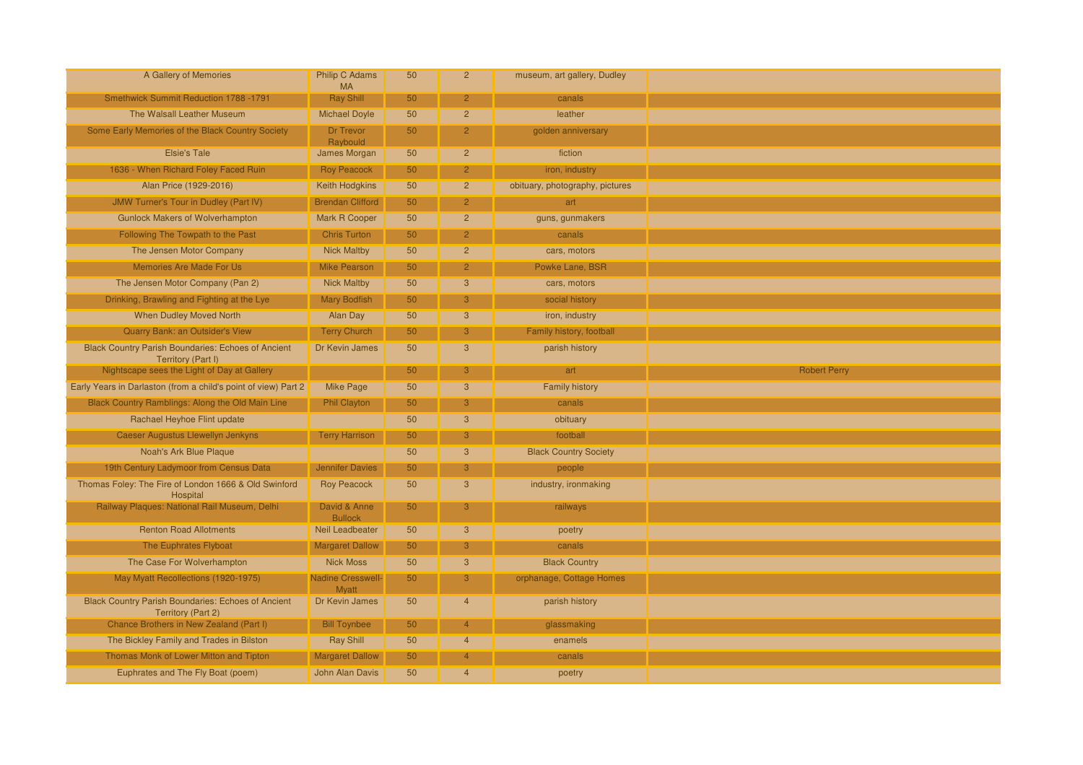| A Gallery of Memories                                                                  | <b>Philip C Adams</b><br><b>MA</b>       | 50              | $\overline{2}$ | museum, art gallery, Dudley     |                     |
|----------------------------------------------------------------------------------------|------------------------------------------|-----------------|----------------|---------------------------------|---------------------|
| <b>Smethwick Summit Reduction 1788 -1791</b>                                           | <b>Ray Shill</b>                         | 50              | $\overline{2}$ | canals                          |                     |
| The Walsall Leather Museum                                                             | <b>Michael Doyle</b>                     | 50              | $\overline{2}$ | leather                         |                     |
| Some Early Memories of the Black Country Society                                       | Dr Trevor<br>Raybould                    | 50              | $\overline{2}$ | golden anniversary              |                     |
| <b>Elsie's Tale</b>                                                                    | James Morgan                             | 50              | $\overline{2}$ | fiction                         |                     |
| 1636 - When Richard Foley Faced Ruin                                                   | <b>Roy Peacock</b>                       | 50              | 2 <sup>1</sup> | iron, industry                  |                     |
| Alan Price (1929-2016)                                                                 | <b>Keith Hodgkins</b>                    | 50              | $\overline{2}$ | obituary, photography, pictures |                     |
| <b>JMW Turner's Tour in Dudley (Part IV)</b>                                           | <b>Brendan Clifford</b>                  | 50              | $\overline{2}$ | art                             |                     |
| <b>Gunlock Makers of Wolverhampton</b>                                                 | Mark R Cooper                            | 50              | $\overline{2}$ | guns, gunmakers                 |                     |
| Following The Towpath to the Past                                                      | <b>Chris Turton</b>                      | 50              | $\overline{2}$ | canals                          |                     |
| The Jensen Motor Company                                                               | <b>Nick Maltby</b>                       | 50              | $\overline{2}$ | cars, motors                    |                     |
| <b>Memories Are Made For Us</b>                                                        | <b>Mike Pearson</b>                      | 50              | $\overline{2}$ | Powke Lane, BSR                 |                     |
| The Jensen Motor Company (Pan 2)                                                       | <b>Nick Maltby</b>                       | 50              | $\mathbf{3}$   | cars, motors                    |                     |
| Drinking, Brawling and Fighting at the Lye                                             | <b>Mary Bodfish</b>                      | 50              | 3              | social history                  |                     |
| <b>When Dudley Moved North</b>                                                         | Alan Day                                 | 50              | $\mathbf{3}$   | iron, industry                  |                     |
| Quarry Bank: an Outsider's View                                                        | <b>Terry Church</b>                      | 50              | 3              | Family history, football        |                     |
| <b>Black Country Parish Boundaries: Echoes of Ancient</b><br>Territory (Part I)        | Dr Kevin James                           | 50              | $\mathbf{3}$   | parish history                  |                     |
| Nightscape sees the Light of Day at Gallery                                            |                                          | 50              | 3              | art                             | <b>Robert Perry</b> |
| Early Years in Darlaston (from a child's point of view) Part 2                         | <b>Mike Page</b>                         | 50              | $\overline{3}$ | <b>Family history</b>           |                     |
| Black Country Ramblings: Along the Old Main Line                                       | Phil Clayton                             | 50              | $\mathbf{3}$   | canals                          |                     |
| Rachael Heyhoe Flint update                                                            |                                          | 50              | $\overline{3}$ | obituary                        |                     |
| Caeser Augustus Llewellyn Jenkyns                                                      | <b>Terry Harrison</b>                    | 50 <sub>2</sub> | 3              | football                        |                     |
| Noah's Ark Blue Plaque                                                                 |                                          | 50              | $\mathbf{3}$   | <b>Black Country Society</b>    |                     |
| 19th Century Ladymoor from Census Data                                                 | <b>Jennifer Davies</b>                   | 50              | 3              | people                          |                     |
| Thomas Foley: The Fire of London 1666 & Old Swinford<br>Hospital                       | <b>Roy Peacock</b>                       | 50              | $\mathbf{3}$   | industry, ironmaking            |                     |
| Railway Plaques: National Rail Museum, Delhi                                           | David & Anne<br><b>Bullock</b>           | 50              | 3              | railways                        |                     |
| <b>Renton Road Allotments</b>                                                          | Neil Leadbeater                          | 50              | $\mathbf{3}$   | poetry                          |                     |
| The Euphrates Flyboat                                                                  | <b>Margaret Dallow</b>                   | 50              | 3              | canals                          |                     |
| The Case For Wolverhampton                                                             | <b>Nick Moss</b>                         | 50              | $\mathbf{3}$   | <b>Black Country</b>            |                     |
| May Myatt Recollections (1920-1975)                                                    | <b>Nadine Cresswell-</b><br><b>Myatt</b> | 50              | 3              | orphanage, Cottage Homes        |                     |
| <b>Black Country Parish Boundaries: Echoes of Ancient</b><br><b>Territory (Part 2)</b> | Dr Kevin James                           | 50              | $\overline{4}$ | parish history                  |                     |
| Chance Brothers in New Zealand (Part I)                                                | <b>Bill Toynbee</b>                      | 50              | $\overline{4}$ | glassmaking                     |                     |
| The Bickley Family and Trades in Bilston                                               | <b>Ray Shill</b>                         | 50              | $\overline{4}$ | enamels                         |                     |
| Thomas Monk of Lower Mitton and Tipton                                                 | <b>Margaret Dallow</b>                   | 50              | $\overline{4}$ | canals                          |                     |
| Euphrates and The Fly Boat (poem)                                                      | John Alan Davis                          | 50              | $\overline{4}$ | poetry                          |                     |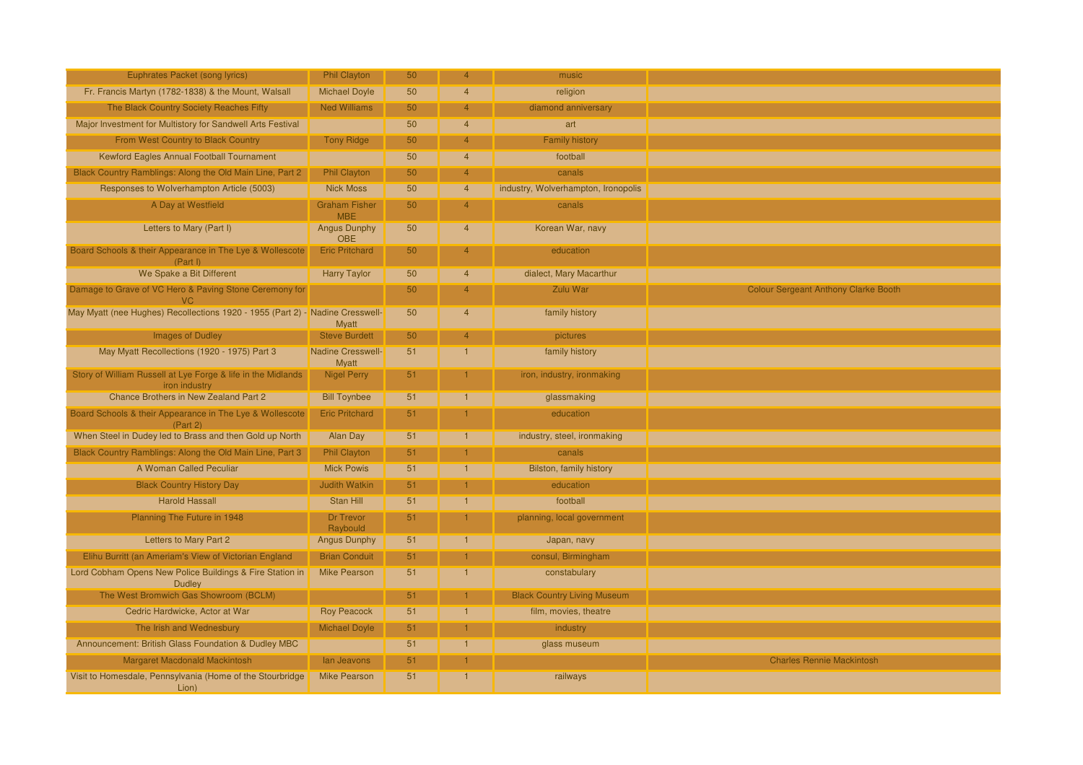| Euphrates Packet (song lyrics)                                                | Phil Clayton                             | 50 | $\overline{4}$ | music                               |                                             |
|-------------------------------------------------------------------------------|------------------------------------------|----|----------------|-------------------------------------|---------------------------------------------|
| Fr. Francis Martyn (1782-1838) & the Mount, Walsall                           | <b>Michael Doyle</b>                     | 50 | $\overline{4}$ | religion                            |                                             |
| The Black Country Society Reaches Fifty                                       | <b>Ned Williams</b>                      | 50 | $\overline{4}$ | diamond anniversary                 |                                             |
| Major Investment for Multistory for Sandwell Arts Festival                    |                                          | 50 | $\overline{4}$ | art                                 |                                             |
| From West Country to Black Country                                            | <b>Tony Ridge</b>                        | 50 | $\overline{4}$ | <b>Family history</b>               |                                             |
| Kewford Eagles Annual Football Tournament                                     |                                          | 50 | $\overline{4}$ | football                            |                                             |
| Black Country Ramblings: Along the Old Main Line, Part 2                      | <b>Phil Clayton</b>                      | 50 | $\overline{4}$ | canals                              |                                             |
| Responses to Wolverhampton Article (5003)                                     | <b>Nick Moss</b>                         | 50 | $\overline{4}$ | industry, Wolverhampton, Ironopolis |                                             |
| A Day at Westfield                                                            | <b>Graham Fisher</b><br><b>MBE</b>       | 50 | $\overline{4}$ | canals                              |                                             |
| Letters to Mary (Part I)                                                      | <b>Angus Dunphy</b><br><b>OBE</b>        | 50 | $\overline{4}$ | Korean War, navy                    |                                             |
| Board Schools & their Appearance in The Lye & Wollescote<br>(Part I)          | <b>Eric Pritchard</b>                    | 50 | $\overline{4}$ | education                           |                                             |
| We Spake a Bit Different                                                      | <b>Harry Taylor</b>                      | 50 | $\overline{4}$ | dialect, Mary Macarthur             |                                             |
| Damage to Grave of VC Hero & Paving Stone Ceremony for<br>VC.                 |                                          | 50 | $\overline{4}$ | Zulu War                            | <b>Colour Sergeant Anthony Clarke Booth</b> |
| May Myatt (nee Hughes) Recollections 1920 - 1955 (Part 2) - Nadine Cresswell- | <b>Myatt</b>                             | 50 | $\overline{4}$ | family history                      |                                             |
| <b>Images of Dudley</b>                                                       | <b>Steve Burdett</b>                     | 50 | $\overline{4}$ | pictures                            |                                             |
| May Myatt Recollections (1920 - 1975) Part 3                                  | <b>Nadine Cresswell-</b><br><b>Myatt</b> | 51 | $\mathbf{1}$   | family history                      |                                             |
| Story of William Russell at Lye Forge & life in the Midlands<br>iron industry | <b>Nigel Perry</b>                       | 51 | 1.             | iron, industry, ironmaking          |                                             |
| Chance Brothers in New Zealand Part 2                                         | <b>Bill Toynbee</b>                      | 51 | $\overline{1}$ | glassmaking                         |                                             |
| Board Schools & their Appearance in The Lye & Wollescote<br>(Part 2)          | <b>Eric Pritchard</b>                    | 51 |                | education                           |                                             |
| When Steel in Dudey led to Brass and then Gold up North                       | Alan Day                                 | 51 | $\mathbf{1}$   | industry, steel, ironmaking         |                                             |
| Black Country Ramblings: Along the Old Main Line, Part 3                      | <b>Phil Clayton</b>                      | 51 | $\mathbf{1}$   | canals                              |                                             |
| A Woman Called Peculiar                                                       | <b>Mick Powis</b>                        | 51 | $\mathbf{1}$   | Bilston, family history             |                                             |
| <b>Black Country History Day</b>                                              | <b>Judith Watkin</b>                     | 51 | $\mathbf{1}$   | education                           |                                             |
| <b>Harold Hassall</b>                                                         | Stan Hill                                | 51 | $\overline{1}$ | football                            |                                             |
| Planning The Future in 1948                                                   | Dr Trevor<br>Raybould                    | 51 | $\mathbf{1}$   | planning, local government          |                                             |
| Letters to Mary Part 2                                                        | <b>Angus Dunphy</b>                      | 51 | $\mathbf{1}$   | Japan, navy                         |                                             |
| Elihu Burritt (an Ameriam's View of Victorian England                         | <b>Brian Conduit</b>                     | 51 | 1.             | consul, Birmingham                  |                                             |
| Lord Cobham Opens New Police Buildings & Fire Station in<br><b>Dudley</b>     | <b>Mike Pearson</b>                      | 51 | $\overline{1}$ | constabulary                        |                                             |
| The West Bromwich Gas Showroom (BCLM)                                         |                                          | 51 | 1.             | <b>Black Country Living Museum</b>  |                                             |
| Cedric Hardwicke, Actor at War                                                | <b>Roy Peacock</b>                       | 51 | $\mathbf{1}$   | film, movies, theatre               |                                             |
| The Irish and Wednesbury                                                      | Michael Doyle                            | 51 | 1.             | industry                            |                                             |
| Announcement: British Glass Foundation & Dudley MBC                           |                                          | 51 | $\mathbf{1}$   | glass museum                        |                                             |
| Margaret Macdonald Mackintosh                                                 | lan Jeavons                              | 51 | 1              |                                     | <b>Charles Rennie Mackintosh</b>            |
| Visit to Homesdale, Pennsylvania (Home of the Stourbridge<br>Lion)            | <b>Mike Pearson</b>                      | 51 | $\overline{1}$ | railways                            |                                             |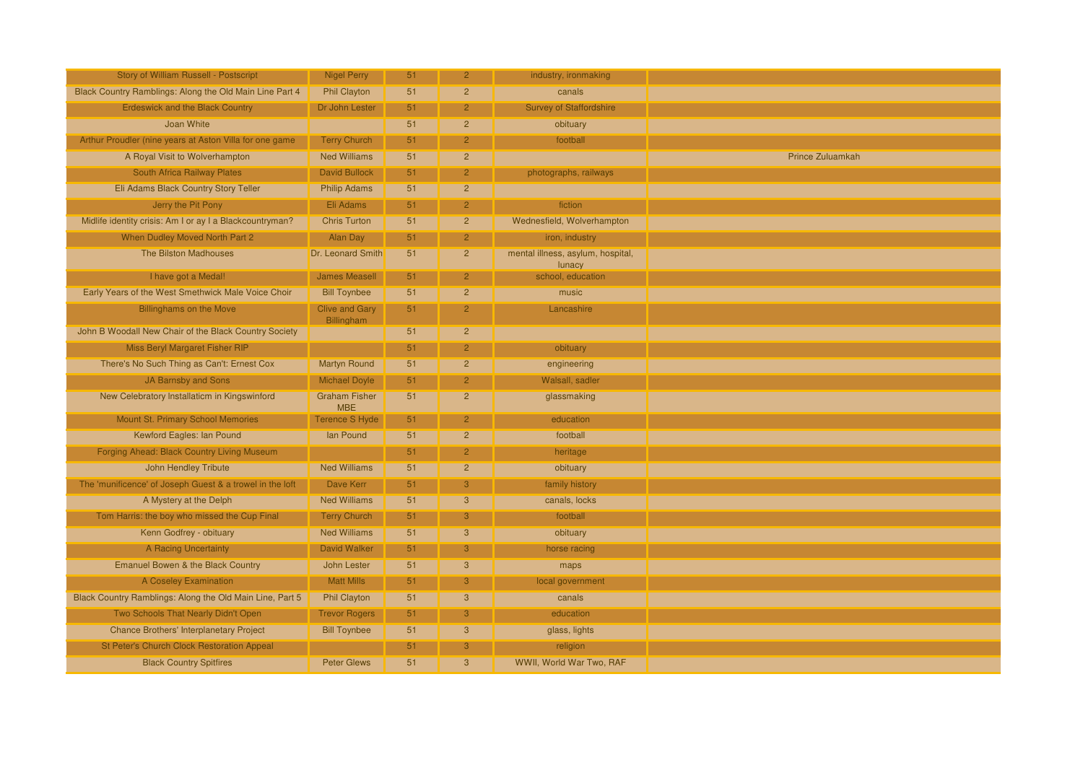| Story of William Russell - Postscript                    | <b>Nigel Perry</b>                         | 51 | $\overline{2}$ | industry, ironmaking                        |                         |
|----------------------------------------------------------|--------------------------------------------|----|----------------|---------------------------------------------|-------------------------|
| Black Country Ramblings: Along the Old Main Line Part 4  | <b>Phil Clayton</b>                        | 51 | $\overline{2}$ | canals                                      |                         |
| <b>Erdeswick and the Black Country</b>                   | Dr John Lester                             | 51 | 2 <sup>1</sup> | <b>Survey of Staffordshire</b>              |                         |
| Joan White                                               |                                            | 51 | $\overline{2}$ | obituary                                    |                         |
| Arthur Proudler (nine years at Aston Villa for one game  | <b>Terry Church</b>                        | 51 | 2 <sup>2</sup> | football                                    |                         |
| A Royal Visit to Wolverhampton                           | <b>Ned Williams</b>                        | 51 | $\overline{2}$ |                                             | <b>Prince Zuluamkah</b> |
| South Africa Railway Plates                              | David Bullock                              | 51 | 2 <sup>1</sup> | photographs, railways                       |                         |
| Eli Adams Black Country Story Teller                     | <b>Philip Adams</b>                        | 51 | $\overline{2}$ |                                             |                         |
| Jerry the Pit Pony                                       | Eli Adams                                  | 51 | $2^{\circ}$    | fiction                                     |                         |
| Midlife identity crisis: Am I or ay I a Blackcountryman? | <b>Chris Turton</b>                        | 51 | $\overline{2}$ | Wednesfield, Wolverhampton                  |                         |
| When Dudley Moved North Part 2                           | Alan Day                                   | 51 | 2 <sup>1</sup> | iron, industry                              |                         |
| The Bilston Madhouses                                    | Dr. Leonard Smith                          | 51 | $\overline{2}$ | mental illness, asylum, hospital,<br>lunacy |                         |
| I have got a Medal!                                      | <b>James Measell</b>                       | 51 | $\overline{2}$ | school, education                           |                         |
| Early Years of the West Smethwick Male Voice Choir       | <b>Bill Toynbee</b>                        | 51 | $\overline{2}$ | music                                       |                         |
| <b>Billinghams on the Move</b>                           | <b>Clive and Gary</b><br><b>Billingham</b> | 51 | $\overline{2}$ | Lancashire                                  |                         |
| John B Woodall New Chair of the Black Country Society    |                                            | 51 | 2 <sup>1</sup> |                                             |                         |
| Miss Beryl Margaret Fisher RIP                           |                                            | 51 | 2 <sup>1</sup> | obituary                                    |                         |
| There's No Such Thing as Can't: Ernest Cox               | <b>Martyn Round</b>                        | 51 | $\overline{2}$ | engineering                                 |                         |
| JA Barnsby and Sons                                      | <b>Michael Doyle</b>                       | 51 | 2 <sup>1</sup> | Walsall, sadler                             |                         |
| New Celebratory Installaticm in Kingswinford             | <b>Graham Fisher</b><br><b>MBE</b>         | 51 | $\overline{2}$ | glassmaking                                 |                         |
| <b>Mount St. Primary School Memories</b>                 | <b>Terence S Hyde</b>                      | 51 | 2 <sup>1</sup> | education                                   |                         |
| Kewford Eagles: Ian Pound                                | <b>lan Pound</b>                           | 51 | $\overline{2}$ | football                                    |                         |
| Forging Ahead: Black Country Living Museum               |                                            | 51 | $\overline{2}$ | heritage                                    |                         |
| John Hendley Tribute                                     | <b>Ned Williams</b>                        | 51 | $\overline{2}$ | obituary                                    |                         |
| The 'munificence' of Joseph Guest & a trowel in the loft | Dave Kerr                                  | 51 | $\mathbf{3}$   | family history                              |                         |
| A Mystery at the Delph                                   | <b>Ned Williams</b>                        | 51 | $\mathbf{3}$   | canals, locks                               |                         |
| Tom Harris: the boy who missed the Cup Final             | <b>Terry Church</b>                        | 51 | $\mathbf{3}$   | football                                    |                         |
| Kenn Godfrey - obituary                                  | <b>Ned Williams</b>                        | 51 | $\overline{3}$ | obituary                                    |                         |
| A Racing Uncertainty                                     | <b>David Walker</b>                        | 51 | 3              | horse racing                                |                         |
| <b>Emanuel Bowen &amp; the Black Country</b>             | <b>John Lester</b>                         | 51 | $\overline{3}$ | maps                                        |                         |
| A Coseley Examination                                    | <b>Matt Mills</b>                          | 51 | 3              | local government                            |                         |
| Black Country Ramblings: Along the Old Main Line, Part 5 | <b>Phil Clayton</b>                        | 51 | $\mathbf{3}$   | canals                                      |                         |
| Two Schools That Nearly Didn't Open                      | <b>Trevor Rogers</b>                       | 51 | 3 <sup>°</sup> | education                                   |                         |
| <b>Chance Brothers' Interplanetary Project</b>           | <b>Bill Toynbee</b>                        | 51 | $\mathbf{3}$   | glass, lights                               |                         |
| St Peter's Church Clock Restoration Appeal               |                                            | 51 | $\mathbf{3}$   | religion                                    |                         |
| <b>Black Country Spitfires</b>                           | <b>Peter Glews</b>                         | 51 | $\overline{3}$ | WWII, World War Two, RAF                    |                         |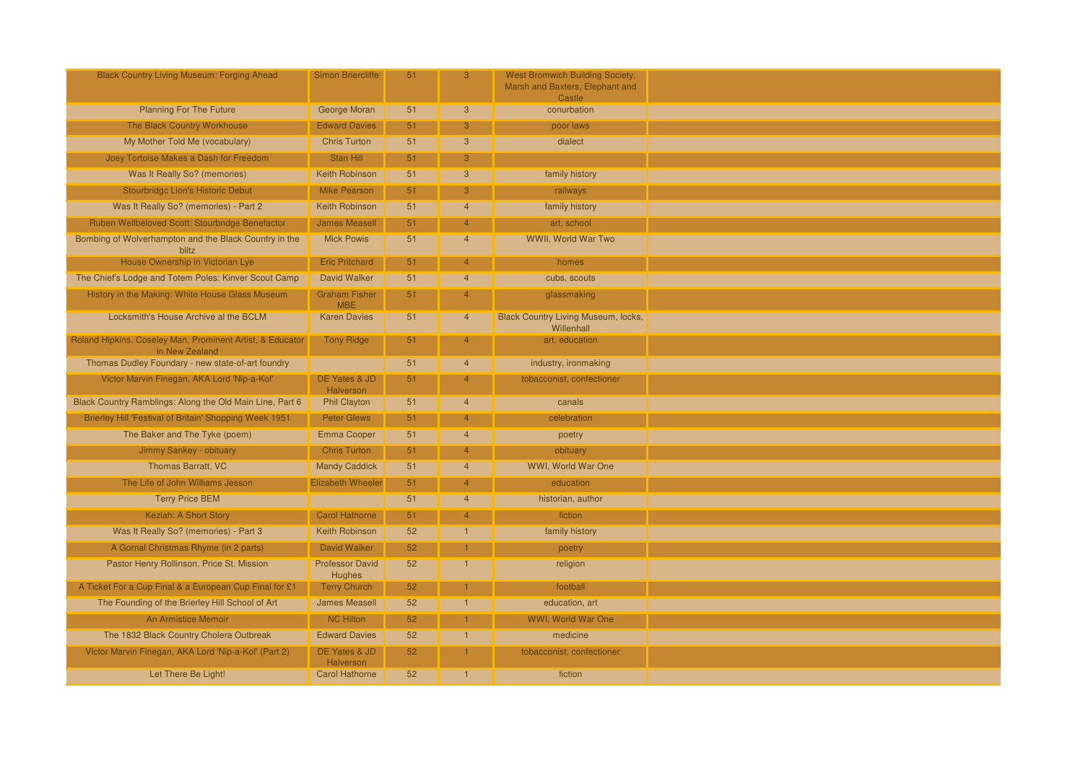| <b>Black Country Living Museum: Forging Ahead</b>                           | <b>Simon Briercliffe</b>                | 51              | 3              | West Bromwich Building Society,<br>Marsh and Baxters, Elephant and<br>Castle |  |
|-----------------------------------------------------------------------------|-----------------------------------------|-----------------|----------------|------------------------------------------------------------------------------|--|
| <b>Planning For The Future</b>                                              | George Moran                            | 51              | 3              | conurbation                                                                  |  |
| The Black Country Workhouse                                                 | <b>Edward Davies</b>                    | 51              | 3 <sup>1</sup> | poor laws                                                                    |  |
| My Mother Told Me (vocabulary)                                              | <b>Chris Turton</b>                     | 51              | $\overline{3}$ | dialect                                                                      |  |
| Joey Tortoise Makes a Dash for Freedom                                      | Stan Hill                               | 51              | 3 <sup>°</sup> |                                                                              |  |
| Was It Really So? (memories)                                                | <b>Keith Robinson</b>                   | 51              | $\mathbf{3}$   | family history                                                               |  |
| Stourbridge Lion's Historic Debut                                           | Mike Pearson                            | 51              | 3 <sup>°</sup> | railways                                                                     |  |
| Was It Really So? (memories) - Part 2                                       | Keith Robinson                          | 51              | $\overline{4}$ | family history                                                               |  |
| Ruben Wellbeloved Scott: Stourbndge Benefactor                              | <b>James Measell</b>                    | 51              | $\overline{4}$ | art, school                                                                  |  |
| Bombing of Wolverhampton and the Black Country in the<br>blitz              | <b>Mick Powis</b>                       | 51              | $\overline{4}$ | WWII, World War Two                                                          |  |
| House Ownership in Victorian Lye                                            | <b>Eric Pritchard</b>                   | 51              | $\overline{4}$ | homes                                                                        |  |
| The Chief's Lodge and Totem Poles: Kinver Scout Camp                        | <b>David Walker</b>                     | 51              | $\overline{4}$ | cubs, scouts                                                                 |  |
| History in the Making: White House Glass Museum                             | <b>Graham Fisher</b><br><b>MBE</b>      | 51              | $\overline{4}$ | glassmaking                                                                  |  |
| Locksmith's House Archive al the BCLM                                       | <b>Karen Davies</b>                     | 51              | $\overline{4}$ | Black Country Living Museum, locks,<br>Willenhall                            |  |
| Roland Hipkins. Coseley Man, Prominent Artist, & Educator<br>in New Zealand | <b>Tony Ridge</b>                       | 51              | $\overline{4}$ | art, education                                                               |  |
| Thomas Dudley Foundary - new state-of-art foundry                           |                                         | 51              | $\overline{4}$ | industry, ironmaking                                                         |  |
| Victor Marvin Finegan, AKA Lord 'Nip-a-Kof'                                 | DE Yates & JD<br>Halverson              | 51              | $\overline{4}$ | tobacconist, confectioner                                                    |  |
| Black Country Ramblings: Along the Old Main Line, Part 6                    | <b>Phil Clayton</b>                     | 51              | $\overline{4}$ | canals                                                                       |  |
| Brierley Hill 'Festival of Britain' Shopping Week 1951                      | <b>Peter Glews</b>                      | 51              | $\overline{4}$ | celebration                                                                  |  |
| The Baker and The Tyke (poem)                                               | <b>Emma Cooper</b>                      | 51              | $\overline{4}$ | poetry                                                                       |  |
| Jimmy Sankey - obituary                                                     | <b>Chris Turton</b>                     | 51              | $\overline{4}$ | obituary                                                                     |  |
| <b>Thomas Barratt, VC</b>                                                   | <b>Mandy Caddick</b>                    | 51              | $\overline{4}$ | WWI, World War One                                                           |  |
| The Life of John Williams Jesson                                            | <b>Elizabeth Wheeler</b>                | 51              | $\overline{4}$ | education                                                                    |  |
| <b>Terry Price BEM</b>                                                      |                                         | 51              | $\overline{4}$ | historian, author                                                            |  |
| Keziah: A Short Story                                                       | <b>Carol Hathorne</b>                   | 51              | $\overline{4}$ | fiction                                                                      |  |
| Was It Really So? (memories) - Part 3                                       | Keith Robinson                          | 52              |                | family history                                                               |  |
| A Gornal Christmas Rhyme (in 2 parts)                                       | David Walker                            | 52              |                | poetry                                                                       |  |
| Pastor Henry Rollinson, Price St. Mission                                   | <b>Professor David</b><br><b>Hughes</b> | 52              | $\overline{1}$ | religion                                                                     |  |
| A Ticket For a Cup Final & a European Cup Final for £1                      | <b>Terry Church</b>                     | 52              |                | football                                                                     |  |
| The Founding of the Brierley Hill School of Art                             | <b>James Measell</b>                    | 52              | 1              | education, art                                                               |  |
| <b>An Armistice Memoir</b>                                                  | <b>NC Hilton</b>                        | 52 <sub>2</sub> | 1.             | <b>WWI, World War One</b>                                                    |  |
| The 1832 Black Country Cholera Outbreak                                     | <b>Edward Davies</b>                    | 52              |                | medicine                                                                     |  |
| Victor Marvin Finegan, AKA Lord 'Nip-a-Kof' (Part 2)                        | DE Yates & JD<br>Halverson              | 52 <sub>2</sub> | 1              | tobacconist, confectioner                                                    |  |
| Let There Be Light!                                                         | <b>Carol Hathorne</b>                   | 52              | $\overline{1}$ | fiction                                                                      |  |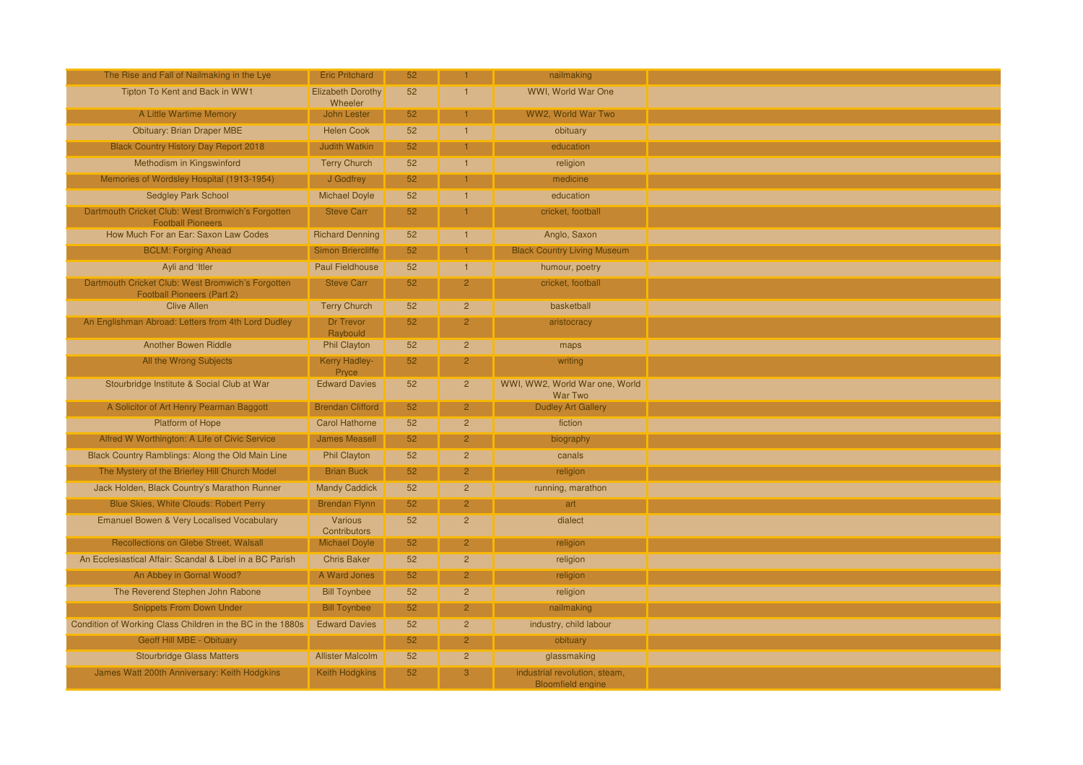| The Rise and Fall of Nailmaking in the Lye                                             | <b>Eric Pritchard</b>               | 52 |                | nailmaking                                                |
|----------------------------------------------------------------------------------------|-------------------------------------|----|----------------|-----------------------------------------------------------|
| Tipton To Kent and Back in WW1                                                         | <b>Elizabeth Dorothy</b><br>Wheeler | 52 |                | WWI, World War One                                        |
| A Little Wartime Memory                                                                | <b>John Lester</b>                  | 52 |                | WW2, World War Two                                        |
| <b>Obituary: Brian Draper MBE</b>                                                      | <b>Helen Cook</b>                   | 52 |                | obituary                                                  |
| <b>Black Country History Day Report 2018</b>                                           | <b>Judith Watkin</b>                | 52 |                | education                                                 |
| Methodism in Kingswinford                                                              | <b>Terry Church</b>                 | 52 | $\mathbf{1}$   | religion                                                  |
| Memories of Wordsley Hospital (1913-1954)                                              | J Godfrey                           | 52 |                | medicine                                                  |
| <b>Sedgley Park School</b>                                                             | <b>Michael Doyle</b>                | 52 | $\overline{1}$ | education                                                 |
| Dartmouth Cricket Club: West Bromwich's Forgotten<br><b>Football Pioneers</b>          | <b>Steve Carr</b>                   | 52 |                | cricket, football                                         |
| How Much For an Ear: Saxon Law Codes                                                   | <b>Richard Denning</b>              | 52 | $\mathbf{1}$   | Anglo, Saxon                                              |
| <b>BCLM: Forging Ahead</b>                                                             | <b>Simon Briercliffe</b>            | 52 | 1              | <b>Black Country Living Museum</b>                        |
| Ayli and 'Itler                                                                        | <b>Paul Fieldhouse</b>              | 52 | $\mathbf{1}$   | humour, poetry                                            |
| Dartmouth Cricket Club: West Bromwich's Forgotten<br><b>Football Pioneers (Part 2)</b> | <b>Steve Carr</b>                   | 52 | $\overline{2}$ | cricket, football                                         |
| <b>Clive Allen</b>                                                                     | <b>Terry Church</b>                 | 52 | $\overline{2}$ | basketball                                                |
| An Englishman Abroad: Letters from 4th Lord Dudley                                     | Dr Trevor<br>Raybould               | 52 | $\overline{2}$ | aristocracy                                               |
| <b>Another Bowen Riddle</b>                                                            | <b>Phil Clayton</b>                 | 52 | $\overline{2}$ | maps                                                      |
| All the Wrong Subjects                                                                 | Kerry Hadley-<br>Pryce              | 52 | $\overline{2}$ | writing                                                   |
| Stourbridge Institute & Social Club at War                                             | <b>Edward Davies</b>                | 52 | $\overline{2}$ | WWI, WW2, World War one, World<br>War Two                 |
| A Solicitor of Art Henry Pearman Baggott                                               | <b>Brendan Clifford</b>             | 52 | $\mathbf{2}$   | <b>Dudley Art Gallery</b>                                 |
| Platform of Hope                                                                       | <b>Carol Hathorne</b>               | 52 | $\overline{2}$ | fiction                                                   |
| Alfred W Worthington: A Life of Civic Service                                          | <b>James Measell</b>                | 52 | $\overline{2}$ | biography                                                 |
| Black Country Ramblings: Along the Old Main Line                                       | <b>Phil Clayton</b>                 | 52 | $\overline{2}$ | canals                                                    |
| The Mystery of the Brierley Hill Church Model                                          | <b>Brian Buck</b>                   | 52 | $\overline{2}$ | religion                                                  |
| Jack Holden, Black Country's Marathon Runner                                           | <b>Mandy Caddick</b>                | 52 | $\overline{2}$ | running, marathon                                         |
| Blue Skies, White Clouds: Robert Perry                                                 | <b>Brendan Flynn</b>                | 52 | $\overline{2}$ | art                                                       |
| Emanuel Bowen & Very Localised Vocabulary                                              | Various<br><b>Contributors</b>      | 52 | $\overline{2}$ | dialect                                                   |
| Recollections on Glebe Street, Walsall                                                 | <b>Michael Doyle</b>                | 52 | $\overline{2}$ | religion                                                  |
| An Ecclesiastical Affair: Scandal & Libel in a BC Parish                               | <b>Chris Baker</b>                  | 52 | $\overline{2}$ | religion                                                  |
| An Abbey in Gornal Wood?                                                               | A Ward Jones                        | 52 | 2 <sup>1</sup> | religion                                                  |
| The Reverend Stephen John Rabone                                                       | <b>Bill Toynbee</b>                 | 52 | $\overline{2}$ | religion                                                  |
| <b>Snippets From Down Under</b>                                                        | <b>Bill Toynbee</b>                 | 52 | 2 <sup>1</sup> | nailmaking                                                |
| Condition of Working Class Children in the BC in the 1880s                             | <b>Edward Davies</b>                | 52 | $\overline{2}$ | industry, child labour                                    |
| Geoff Hill MBE - Obituary                                                              |                                     | 52 | $\overline{2}$ | obituary                                                  |
| <b>Stourbridge Glass Matters</b>                                                       | <b>Allister Malcolm</b>             | 52 | $\overline{2}$ | glassmaking                                               |
| James Watt 200th Anniversary: Keith Hodgkins                                           | Keith Hodgkins                      | 52 | 3              | industrial revolution, steam,<br><b>Bloomfield engine</b> |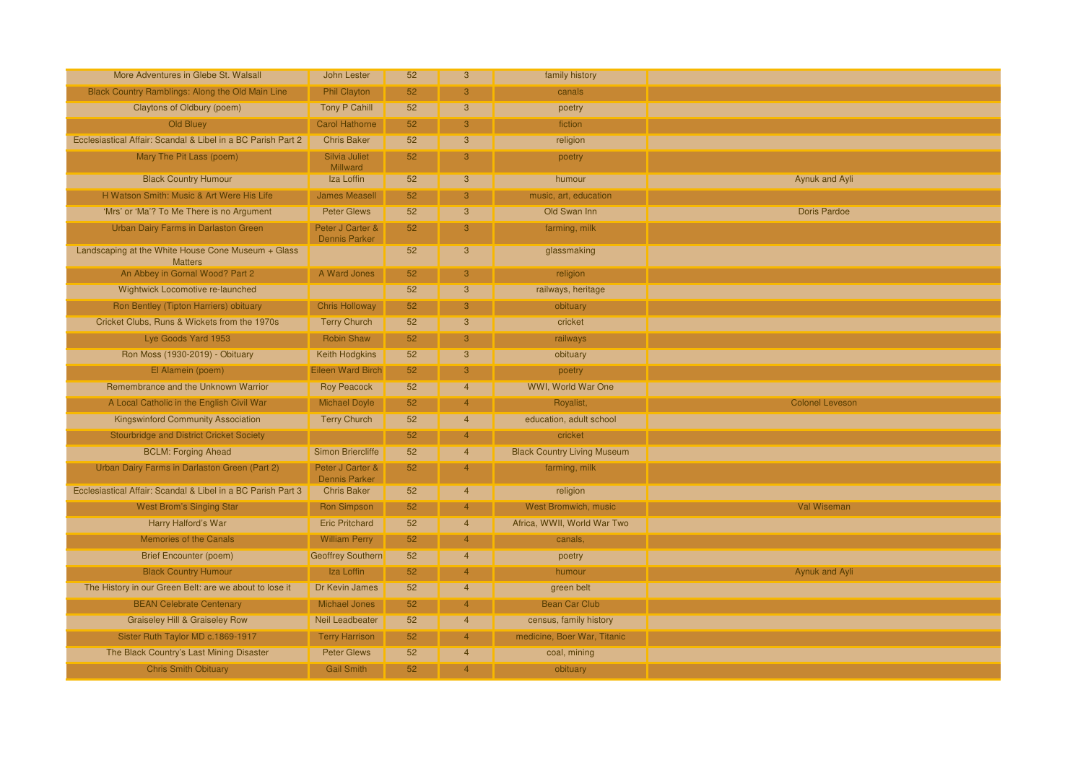| More Adventures in Glebe St. Walsall                                 | John Lester                              | 52              | 3 <sup>5</sup> | family history                     |                        |
|----------------------------------------------------------------------|------------------------------------------|-----------------|----------------|------------------------------------|------------------------|
| Black Country Ramblings: Along the Old Main Line                     | Phil Clayton                             | 52 <sub>2</sub> | $\mathbf{3}$   | canals                             |                        |
| Claytons of Oldbury (poem)                                           | <b>Tony P Cahill</b>                     | 52              | $\mathbf{3}$   | poetry                             |                        |
| Old Bluey                                                            | <b>Carol Hathorne</b>                    | 52              | 3 <sup>°</sup> | fiction                            |                        |
| Ecclesiastical Affair: Scandal & Libel in a BC Parish Part 2         | <b>Chris Baker</b>                       | 52              | $\mathbf{3}$   | religion                           |                        |
| Mary The Pit Lass (poem)                                             | Silvia Juliet<br>Millward                | 52              | 3 <sup>°</sup> | poetry                             |                        |
| <b>Black Country Humour</b>                                          | Iza Loffin                               | 52              | $\mathbf{3}$   | humour                             | Aynuk and Ayli         |
| H Watson Smith: Music & Art Were His Life                            | <b>James Measell</b>                     | 52              | 3              | music, art, education              |                        |
| 'Mrs' or 'Ma'? To Me There is no Argument                            | <b>Peter Glews</b>                       | 52              | $\mathbf{3}$   | Old Swan Inn                       | <b>Doris Pardoe</b>    |
| Urban Dairy Farms in Darlaston Green                                 | Peter J Carter &<br><b>Dennis Parker</b> | 52              | 3 <sup>°</sup> | farming, milk                      |                        |
| Landscaping at the White House Cone Museum + Glass<br><b>Matters</b> |                                          | 52              | $\mathbf{3}$   | glassmaking                        |                        |
| An Abbey in Gornal Wood? Part 2                                      | A Ward Jones                             | 52              | $\mathbf{3}$   | religion                           |                        |
| Wightwick Locomotive re-launched                                     |                                          | 52              | $\mathbf{3}$   | railways, heritage                 |                        |
| Ron Bentley (Tipton Harriers) obituary                               | <b>Chris Holloway</b>                    | 52              | 3              | obituary                           |                        |
| Cricket Clubs, Runs & Wickets from the 1970s                         | <b>Terry Church</b>                      | 52              | $\mathbf{3}$   | cricket                            |                        |
| Lye Goods Yard 1953                                                  | <b>Robin Shaw</b>                        | 52              | 3 <sup>°</sup> | railways                           |                        |
| Ron Moss (1930-2019) - Obituary                                      | <b>Keith Hodgkins</b>                    | 52              | 3 <sup>5</sup> | obituary                           |                        |
| El Alamein (poem)                                                    | <b>Eileen Ward Birch</b>                 | 52              | 3 <sup>°</sup> | poetry                             |                        |
| Remembrance and the Unknown Warrior                                  | <b>Roy Peacock</b>                       | 52              | $\overline{4}$ | WWI, World War One                 |                        |
| A Local Catholic in the English Civil War                            | <b>Michael Doyle</b>                     | 52              | $\overline{4}$ | Royalist,                          | <b>Colonel Leveson</b> |
| Kingswinford Community Association                                   | <b>Terry Church</b>                      | 52              | $\overline{4}$ | education, adult school            |                        |
| <b>Stourbridge and District Cricket Society</b>                      |                                          | 52 <sub>2</sub> | $\overline{4}$ | cricket                            |                        |
| <b>BCLM: Forging Ahead</b>                                           | <b>Simon Briercliffe</b>                 | 52              | $\overline{4}$ | <b>Black Country Living Museum</b> |                        |
| Urban Dairy Farms in Darlaston Green (Part 2)                        | Peter J Carter &<br><b>Dennis Parker</b> | 52              | $\overline{4}$ | farming, milk                      |                        |
| Ecclesiastical Affair: Scandal & Libel in a BC Parish Part 3         | <b>Chris Baker</b>                       | 52              | $\overline{4}$ | religion                           |                        |
| <b>West Brom's Singing Star</b>                                      | <b>Ron Simpson</b>                       | 52              | $\overline{4}$ | West Bromwich, music               | Val Wiseman            |
| Harry Halford's War                                                  | <b>Eric Pritchard</b>                    | 52              | $\overline{4}$ | Africa, WWII, World War Two        |                        |
| <b>Memories of the Canals</b>                                        | <b>William Perry</b>                     | 52              | $\overline{4}$ | canals,                            |                        |
| <b>Brief Encounter (poem)</b>                                        | <b>Geoffrey Southern</b>                 | 52              | $\overline{4}$ | poetry                             |                        |
| <b>Black Country Humour</b>                                          | Iza Loffin                               | 52              | $\overline{4}$ | humour                             | <b>Aynuk and Ayli</b>  |
| The History in our Green Belt: are we about to lose it               | Dr Kevin James                           | 52              | $\overline{4}$ | green belt                         |                        |
| <b>BEAN Celebrate Centenary</b>                                      | <b>Michael Jones</b>                     | 52              | $\overline{4}$ | <b>Bean Car Club</b>               |                        |
| <b>Graiseley Hill &amp; Graiseley Row</b>                            | <b>Neil Leadbeater</b>                   | 52              | $\overline{4}$ | census, family history             |                        |
| Sister Ruth Taylor MD c.1869-1917                                    | <b>Terry Harrison</b>                    | 52              | $\overline{4}$ | medicine, Boer War, Titanic        |                        |
| The Black Country's Last Mining Disaster                             | <b>Peter Glews</b>                       | 52              | $\overline{4}$ | coal, mining                       |                        |
| <b>Chris Smith Obituary</b>                                          | <b>Gail Smith</b>                        | 52              | $\overline{4}$ | obituary                           |                        |
|                                                                      |                                          |                 |                |                                    |                        |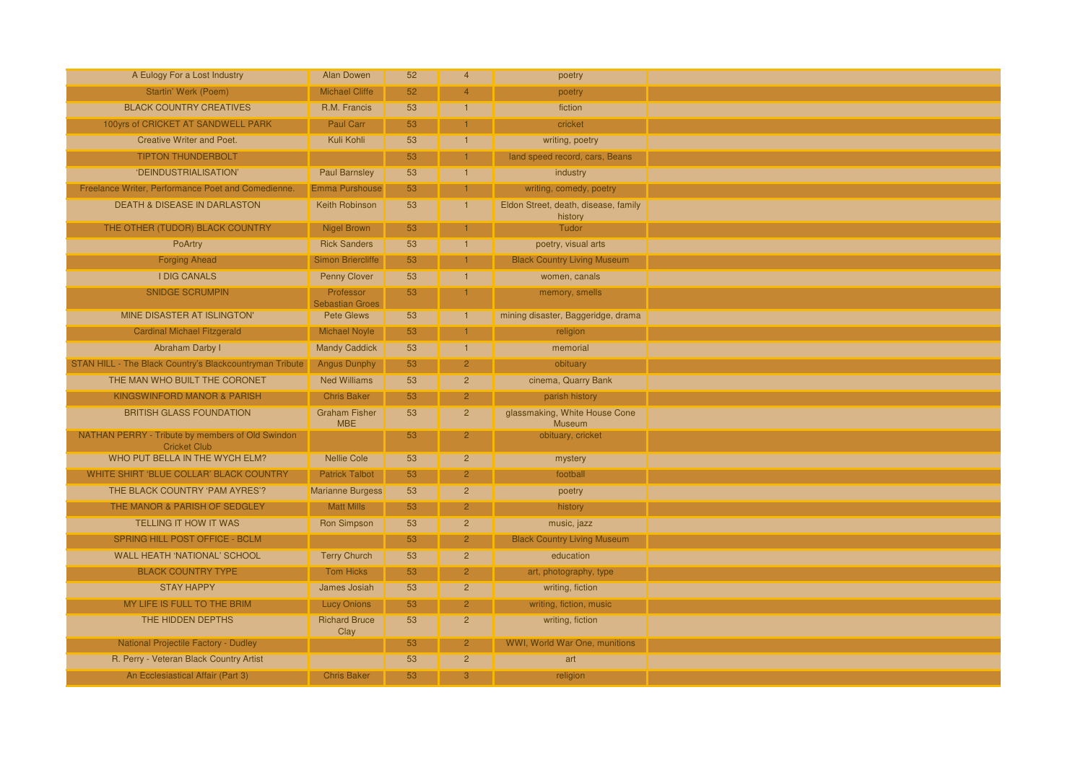| A Eulogy For a Lost Industry                                            | <b>Alan Dowen</b>                   | 52              | $\overline{4}$ | poetry                                          |
|-------------------------------------------------------------------------|-------------------------------------|-----------------|----------------|-------------------------------------------------|
| Startin' Werk (Poem)                                                    | <b>Michael Cliffe</b>               | 52 <sub>2</sub> | $\overline{4}$ | poetry                                          |
| <b>BLACK COUNTRY CREATIVES</b>                                          | R.M. Francis                        | 53              | $\overline{1}$ | fiction                                         |
| 100yrs of CRICKET AT SANDWELL PARK                                      | Paul Carr                           | 53              |                | cricket                                         |
| <b>Creative Writer and Poet.</b>                                        | Kuli Kohli                          | 53              | $\mathbf{1}$   | writing, poetry                                 |
| <b>TIPTON THUNDERBOLT</b>                                               |                                     | 53              |                | land speed record, cars, Beans                  |
| 'DEINDUSTRIALISATION'                                                   | <b>Paul Barnsley</b>                | 53              | $\overline{1}$ | industry                                        |
| Freelance Writer, Performance Poet and Comedienne.                      | <b>Emma Purshouse</b>               | 53              |                | writing, comedy, poetry                         |
| <b>DEATH &amp; DISEASE IN DARLASTON</b>                                 | <b>Keith Robinson</b>               | 53              | $\overline{1}$ | Eldon Street, death, disease, family<br>history |
| THE OTHER (TUDOR) BLACK COUNTRY                                         | <b>Nigel Brown</b>                  | 53              |                | Tudor                                           |
| PoArtry                                                                 | <b>Rick Sanders</b>                 | 53              |                | poetry, visual arts                             |
| <b>Forging Ahead</b>                                                    | <b>Simon Briercliffe</b>            | 53              |                | <b>Black Country Living Museum</b>              |
| <b>I DIG CANALS</b>                                                     | <b>Penny Clover</b>                 | 53              |                | women, canals                                   |
| <b>SNIDGE SCRUMPIN</b>                                                  | Professor<br><b>Sebastian Groes</b> | 53              |                | memory, smells                                  |
| MINE DISASTER AT ISLINGTON'                                             | <b>Pete Glews</b>                   | 53              | -1             | mining disaster, Baggeridge, drama              |
| <b>Cardinal Michael Fitzgerald</b>                                      | <b>Michael Noyle</b>                | 53              |                | religion                                        |
| Abraham Darby I                                                         | <b>Mandy Caddick</b>                | 53              | $\mathbf{1}$   | memorial                                        |
| STAN HILL - The Black Country's Blackcountryman Tribute                 | <b>Angus Dunphy</b>                 | 53              | 2 <sup>1</sup> | obituary                                        |
| THE MAN WHO BUILT THE CORONET                                           | <b>Ned Williams</b>                 | 53              | $\overline{2}$ | cinema, Quarry Bank                             |
| KINGSWINFORD MANOR & PARISH                                             | <b>Chris Baker</b>                  | 53              | 2 <sup>2</sup> | parish history                                  |
| <b>BRITISH GLASS FOUNDATION</b>                                         | <b>Graham Fisher</b><br><b>MBE</b>  | 53              | $\overline{2}$ | glassmaking, White House Cone<br>Museum         |
| NATHAN PERRY - Tribute by members of Old Swindon<br><b>Cricket Club</b> |                                     | 53              | 2 <sup>1</sup> | obituary, cricket                               |
| WHO PUT BELLA IN THE WYCH ELM?                                          | <b>Nellie Cole</b>                  | 53              | $\overline{2}$ | mystery                                         |
| WHITE SHIRT 'BLUE COLLAR' BLACK COUNTRY                                 | <b>Patrick Talbot</b>               | 53              | $\overline{2}$ | football                                        |
| THE BLACK COUNTRY 'PAM AYRES'?                                          | <b>Marianne Burgess</b>             | 53              | $\overline{2}$ | poetry                                          |
| THE MANOR & PARISH OF SEDGLEY                                           | <b>Matt Mills</b>                   | 53              | $\overline{2}$ | history                                         |
| <b>TELLING IT HOW IT WAS</b>                                            | <b>Ron Simpson</b>                  | 53              | $\overline{2}$ | music, jazz                                     |
| SPRING HILL POST OFFICE - BCLM                                          |                                     | 53              | 2 <sup>1</sup> | <b>Black Country Living Museum</b>              |
| WALL HEATH 'NATIONAL' SCHOOL                                            | <b>Terry Church</b>                 | 53              | $\overline{2}$ | education                                       |
| <b>BLACK COUNTRY TYPE</b>                                               | <b>Tom Hicks</b>                    | 53              | 2 <sup>1</sup> | art, photography, type                          |
| <b>STAY HAPPY</b>                                                       | <b>James Josiah</b>                 | 53              | $\overline{2}$ | writing, fiction                                |
| MY LIFE IS FULL TO THE BRIM                                             | <b>Lucy Onions</b>                  | 53              | $\overline{2}$ | writing, fiction, music                         |
| THE HIDDEN DEPTHS                                                       | <b>Richard Bruce</b><br>Clay        | 53              | $\overline{2}$ | writing, fiction                                |
| National Projectile Factory - Dudley                                    |                                     | 53              | $\overline{2}$ | WWI, World War One, munitions                   |
| R. Perry - Veteran Black Country Artist                                 |                                     | 53              | $\overline{2}$ | art                                             |
| An Ecclesiastical Affair (Part 3)                                       | <b>Chris Baker</b>                  | 53              | 3              | religion                                        |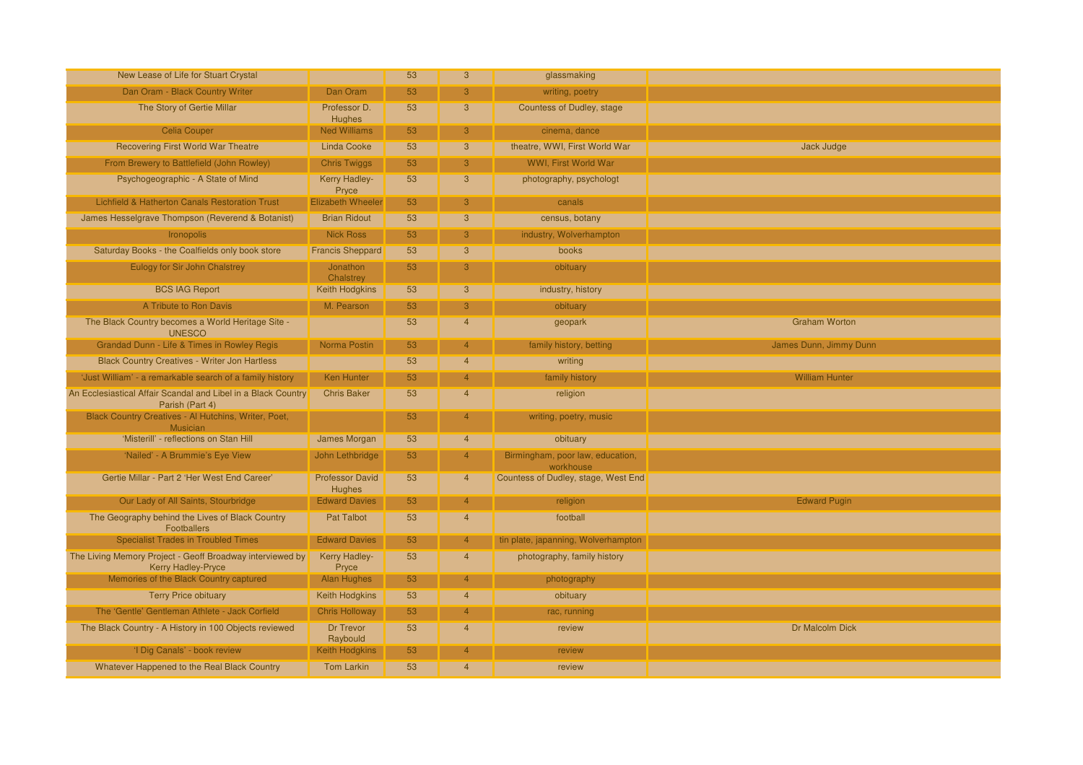| New Lease of Life for Stuart Crystal                                                   |                                         | 53 | $\mathbf{3}$   | glassmaking                                   |                        |
|----------------------------------------------------------------------------------------|-----------------------------------------|----|----------------|-----------------------------------------------|------------------------|
| Dan Oram - Black Country Writer                                                        | Dan Oram                                | 53 | 3              | writing, poetry                               |                        |
| The Story of Gertie Millar                                                             | Professor D.<br>Hughes                  | 53 | $\mathbf{3}$   | <b>Countess of Dudley, stage</b>              |                        |
| <b>Celia Couper</b>                                                                    | <b>Ned Williams</b>                     | 53 | 3              | cinema, dance                                 |                        |
| <b>Recovering First World War Theatre</b>                                              | <b>Linda Cooke</b>                      | 53 | $\mathbf{3}$   | theatre, WWI, First World War                 | Jack Judge             |
| From Brewery to Battlefield (John Rowley)                                              | <b>Chris Twiggs</b>                     | 53 | 3              | WWI, First World War                          |                        |
| Psychogeographic - A State of Mind                                                     | Kerry Hadley-<br>Pryce                  | 53 | $\mathbf{3}$   | photography, psychologt                       |                        |
| <b>Lichfield &amp; Hatherton Canals Restoration Trust</b>                              | <b>Elizabeth Wheeler</b>                | 53 | 3 <sup>°</sup> | canals                                        |                        |
| James Hesselgrave Thompson (Reverend & Botanist)                                       | <b>Brian Ridout</b>                     | 53 | $\overline{3}$ | census, botany                                |                        |
| <b>Ironopolis</b>                                                                      | <b>Nick Ross</b>                        | 53 | $\mathbf{3}$   | industry, Wolverhampton                       |                        |
| Saturday Books - the Coalfields only book store                                        | <b>Francis Sheppard</b>                 | 53 | $\mathbf{3}$   | books                                         |                        |
| Eulogy for Sir John Chalstrey                                                          | Jonathon<br>Chalstrey                   | 53 | 3              | obituary                                      |                        |
| <b>BCS IAG Report</b>                                                                  | Keith Hodgkins                          | 53 | $\mathbf{3}$   | industry, history                             |                        |
| A Tribute to Ron Davis                                                                 | M. Pearson                              | 53 | 3              | obituary                                      |                        |
| The Black Country becomes a World Heritage Site -<br><b>UNESCO</b>                     |                                         | 53 | $\overline{4}$ | geopark                                       | <b>Graham Worton</b>   |
| Grandad Dunn - Life & Times in Rowley Regis                                            | Norma Postin                            | 53 | $\overline{4}$ | family history, betting                       | James Dunn, Jimmy Dunn |
| <b>Black Country Creatives - Writer Jon Hartless</b>                                   |                                         | 53 | $\overline{4}$ | writing                                       |                        |
| 'Just William' - a remarkable search of a family history                               | Ken Hunter                              | 53 | $\overline{4}$ | family history                                | <b>William Hunter</b>  |
| An Ecclesiastical Affair Scandal and Libel in a Black Country<br>Parish (Part 4)       | <b>Chris Baker</b>                      | 53 | $\overline{4}$ | religion                                      |                        |
| Black Country Creatives - Al Hutchins, Writer, Poet,                                   |                                         | 53 | $\overline{4}$ | writing, poetry, music                        |                        |
| Musician<br>'Misterill' - reflections on Stan Hill                                     | James Morgan                            | 53 | $\overline{4}$ | obituary                                      |                        |
| 'Nailed' - A Brummie's Eye View                                                        | John Lethbridge                         | 53 | $\overline{4}$ | Birmingham, poor law, education,<br>workhouse |                        |
| Gertie Millar - Part 2 'Her West End Career'                                           | <b>Professor David</b><br><b>Hughes</b> | 53 | $\overline{4}$ | Countess of Dudley, stage, West End           |                        |
| Our Lady of All Saints, Stourbridge                                                    | <b>Edward Davies</b>                    | 53 | $\overline{4}$ | religion                                      | <b>Edward Pugin</b>    |
| The Geography behind the Lives of Black Country<br><b>Footballers</b>                  | <b>Pat Talbot</b>                       | 53 | $\overline{4}$ | football                                      |                        |
| <b>Specialist Trades in Troubled Times</b>                                             | <b>Edward Davies</b>                    | 53 | $\overline{4}$ | tin plate, japanning, Wolverhampton           |                        |
| The Living Memory Project - Geoff Broadway interviewed by<br><b>Kerry Hadley-Pryce</b> | Kerry Hadley-<br>Pryce                  | 53 | $\overline{4}$ | photography, family history                   |                        |
| Memories of the Black Country captured                                                 | Alan Hughes                             | 53 | $\overline{4}$ | photography                                   |                        |
| <b>Terry Price obituary</b>                                                            | Keith Hodgkins                          | 53 | $\overline{4}$ | obituary                                      |                        |
| The 'Gentle' Gentleman Athlete - Jack Corfield                                         | <b>Chris Holloway</b>                   | 53 | $\overline{4}$ | rac, running                                  |                        |
| The Black Country - A History in 100 Objects reviewed                                  | Dr Trevor<br>Raybould                   | 53 | $\overline{4}$ | review                                        | Dr Malcolm Dick        |
| 'I Dig Canals' - book review                                                           | <b>Keith Hodgkins</b>                   | 53 | $\overline{4}$ | review                                        |                        |
| Whatever Happened to the Real Black Country                                            | <b>Tom Larkin</b>                       | 53 | $\overline{4}$ | review                                        |                        |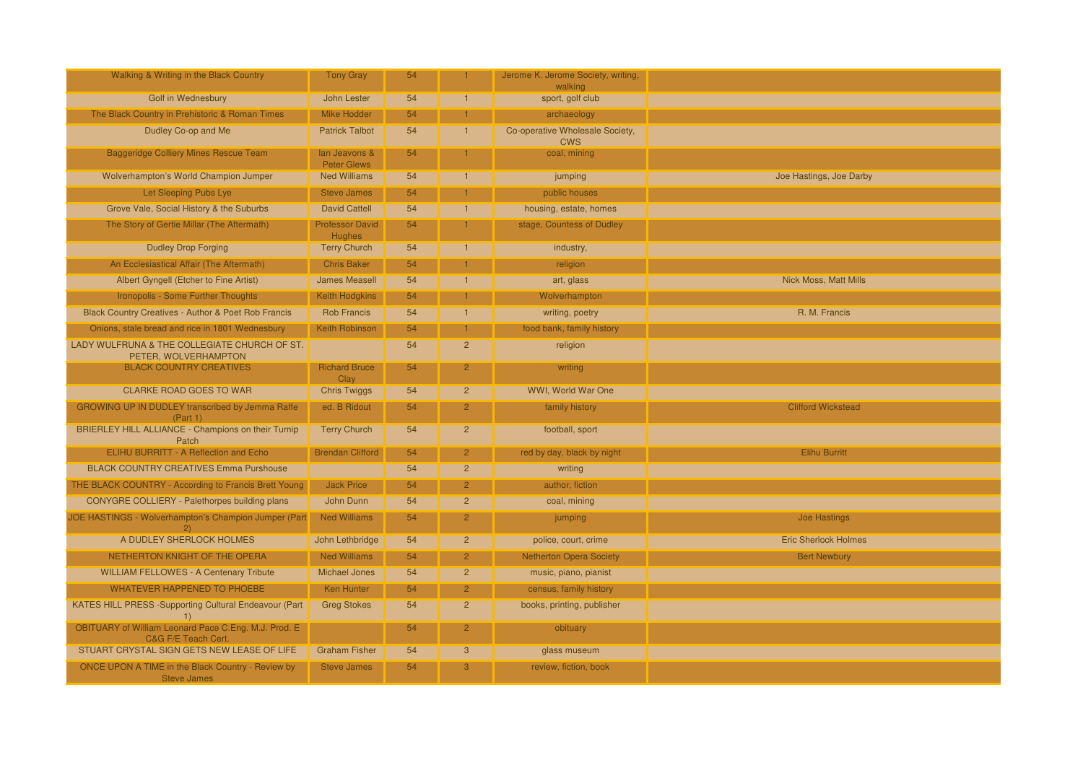| Walking & Writing in the Black Country                                      | <b>Tony Gray</b>                        | 54 | 1.             | Jerome K. Jerome Society, writing,<br>walking |                              |
|-----------------------------------------------------------------------------|-----------------------------------------|----|----------------|-----------------------------------------------|------------------------------|
| Golf in Wednesbury                                                          | <b>John Lester</b>                      | 54 | $\overline{1}$ | sport, golf club                              |                              |
| The Black Country in Prehistoric & Roman Times                              | <b>Mike Hodder</b>                      | 54 |                | archaeology                                   |                              |
| Dudley Co-op and Me                                                         | <b>Patrick Talbot</b>                   | 54 | $\overline{1}$ | Co-operative Wholesale Society,<br><b>CWS</b> |                              |
| <b>Baggeridge Colliery Mines Rescue Team</b>                                | lan Jeavons &<br><b>Peter Glews</b>     | 54 |                | coal, mining                                  |                              |
| Wolverhampton's World Champion Jumper                                       | <b>Ned Williams</b>                     | 54 | $\overline{1}$ | jumping                                       | Joe Hastings, Joe Darby      |
| Let Sleeping Pubs Lye                                                       | <b>Steve James</b>                      | 54 |                | public houses                                 |                              |
| Grove Vale, Social History & the Suburbs                                    | <b>David Cattell</b>                    | 54 | $\overline{1}$ | housing, estate, homes                        |                              |
| The Story of Gertie Millar (The Aftermath)                                  | <b>Professor David</b><br><b>Hughes</b> | 54 | 1.             | stage, Countess of Dudley                     |                              |
| <b>Dudley Drop Forging</b>                                                  | <b>Terry Church</b>                     | 54 | -1             | industry,                                     |                              |
| An Ecclesiastical Affair (The Aftermath)                                    | <b>Chris Baker</b>                      | 54 | $\mathbf{1}$   | religion                                      |                              |
| Albert Gyngell (Etcher to Fine Artist)                                      | <b>James Measell</b>                    | 54 | $\overline{1}$ | art, glass                                    | <b>Nick Moss, Matt Mills</b> |
| Ironopolis - Some Further Thoughts                                          | Keith Hodgkins                          | 54 | $\mathbf{1}$   | Wolverhampton                                 |                              |
| Black Country Creatives - Author & Poet Rob Francis                         | <b>Rob Francis</b>                      | 54 | $\overline{1}$ | writing, poetry                               | R. M. Francis                |
| Onions, stale bread and rice in 1801 Wednesbury                             | Keith Robinson                          | 54 |                | food bank, family history                     |                              |
| LADY WULFRUNA & THE COLLEGIATE CHURCH OF ST.<br>PETER, WOLVERHAMPTON        |                                         | 54 | $\overline{2}$ | religion                                      |                              |
| <b>BLACK COUNTRY CREATIVES</b>                                              | <b>Richard Bruce</b><br>Clay            | 54 | $\overline{2}$ | writing                                       |                              |
| <b>CLARKE ROAD GOES TO WAR</b>                                              | <b>Chris Twiggs</b>                     | 54 | $\overline{2}$ | WWI, World War One                            |                              |
| GROWING UP IN DUDLEY transcribed by Jemma Raffe<br>(Part 1)                 | ed. B Ridout                            | 54 | $\overline{2}$ | family history                                | <b>Clifford Wickstead</b>    |
| BRIERLEY HILL ALLIANCE - Champions on their Turnip<br>Patch                 | <b>Terry Church</b>                     | 54 | $\overline{2}$ | football, sport                               |                              |
| ELIHU BURRITT - A Reflection and Echo                                       | <b>Brendan Clifford</b>                 | 54 | $\overline{2}$ | red by day, black by night                    | <b>Elihu Burritt</b>         |
| <b>BLACK COUNTRY CREATIVES Emma Purshouse</b>                               |                                         | 54 | $\overline{2}$ | writing                                       |                              |
| THE BLACK COUNTRY - According to Francis Brett Young                        | <b>Jack Price</b>                       | 54 | $\overline{2}$ | author, fiction                               |                              |
| CONYGRE COLLIERY - Palethorpes building plans                               | John Dunn                               | 54 | $\overline{2}$ | coal, mining                                  |                              |
| JOE HASTINGS - Wolverhampton's Champion Jumper (Part                        | <b>Ned Williams</b>                     | 54 | $\overline{2}$ | jumping                                       | <b>Joe Hastings</b>          |
| A DUDLEY SHERLOCK HOLMES                                                    | John Lethbridge                         | 54 | 2 <sup>1</sup> | police, court, crime                          | <b>Eric Sherlock Holmes</b>  |
| NETHERTON KNIGHT OF THE OPERA                                               | <b>Ned Williams</b>                     | 54 | $\overline{2}$ | <b>Netherton Opera Society</b>                | <b>Bert Newbury</b>          |
| <b>WILLIAM FELLOWES - A Centenary Tribute</b>                               | <b>Michael Jones</b>                    | 54 | $\overline{2}$ | music, piano, pianist                         |                              |
| WHATEVER HAPPENED TO PHOEBE                                                 | <b>Ken Hunter</b>                       | 54 | $\overline{2}$ | census, family history                        |                              |
| KATES HILL PRESS - Supporting Cultural Endeavour (Part<br>$\left  \right $  | <b>Greg Stokes</b>                      | 54 | $\overline{2}$ | books, printing, publisher                    |                              |
| OBITUARY of William Leonard Pace C.Eng. M.J. Prod. E<br>C&G F/E Teach Cert. |                                         | 54 | $\overline{2}$ | obituary                                      |                              |
| STUART CRYSTAL SIGN GETS NEW LEASE OF LIFE                                  | <b>Graham Fisher</b>                    | 54 | $\mathbf{3}$   | glass museum                                  |                              |
| ONCE UPON A TIME in the Black Country - Review by<br><b>Steve James</b>     | <b>Steve James</b>                      | 54 | 3              | review, fiction, book                         |                              |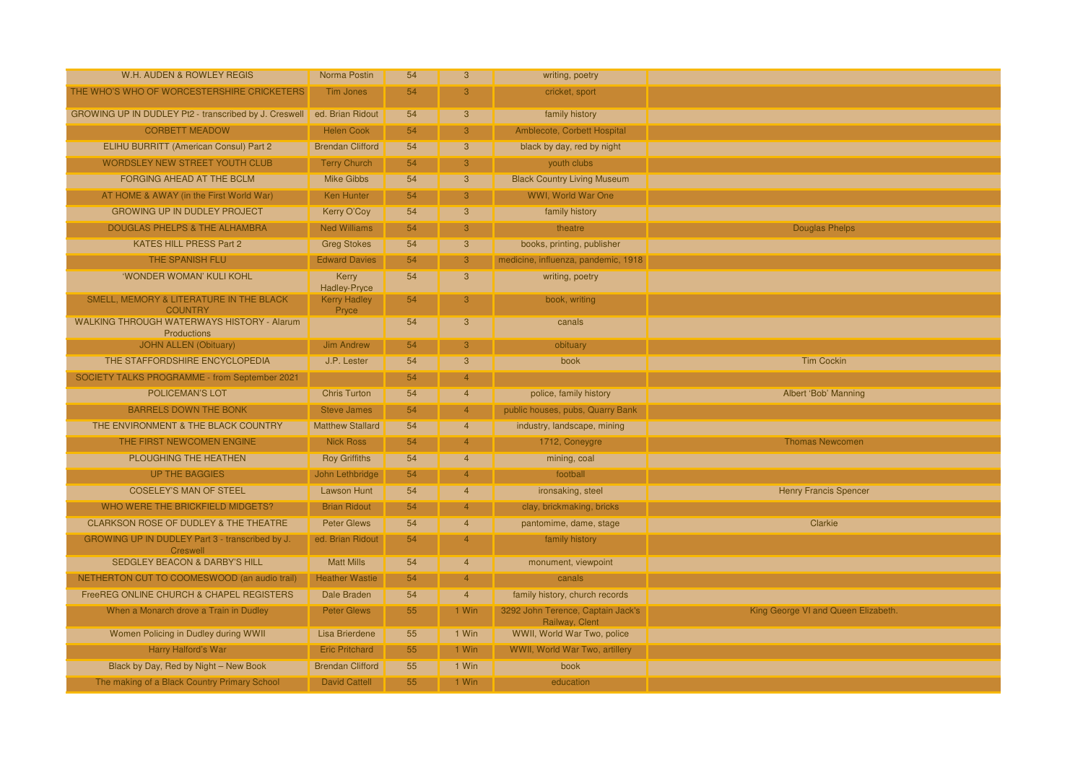| W.H. AUDEN & ROWLEY REGIS                                               | Norma Postin                 | 54 | $\overline{3}$ | writing, poetry                                     |                                     |
|-------------------------------------------------------------------------|------------------------------|----|----------------|-----------------------------------------------------|-------------------------------------|
| THE WHO'S WHO OF WORCESTERSHIRE CRICKETERS                              | Tim Jones                    | 54 | $\mathbf{3}$   | cricket, sport                                      |                                     |
| GROWING UP IN DUDLEY Pt2 - transcribed by J. Creswell                   | ed. Brian Ridout             | 54 | $\mathbf{3}$   | family history                                      |                                     |
| <b>CORBETT MEADOW</b>                                                   | <b>Helen Cook</b>            | 54 | 3 <sup>°</sup> | Amblecote, Corbett Hospital                         |                                     |
| ELIHU BURRITT (American Consul) Part 2                                  | <b>Brendan Clifford</b>      | 54 | $\mathbf{3}$   | black by day, red by night                          |                                     |
| WORDSLEY NEW STREET YOUTH CLUB                                          | <b>Terry Church</b>          | 54 | $\mathbf{3}$   | youth clubs                                         |                                     |
| FORGING AHEAD AT THE BCLM                                               | <b>Mike Gibbs</b>            | 54 | $\mathbf{3}$   | <b>Black Country Living Museum</b>                  |                                     |
| AT HOME & AWAY (in the First World War)                                 | Ken Hunter                   | 54 | 3              | <b>WWI, World War One</b>                           |                                     |
| <b>GROWING UP IN DUDLEY PROJECT</b>                                     | Kerry O'Coy                  | 54 | $\mathbf{3}$   | family history                                      |                                     |
| <b>DOUGLAS PHELPS &amp; THE ALHAMBRA</b>                                | <b>Ned Williams</b>          | 54 | $\mathbf{3}$   | theatre                                             | <b>Douglas Phelps</b>               |
| KATES HILL PRESS Part 2                                                 | <b>Greg Stokes</b>           | 54 | $\mathbf{3}$   | books, printing, publisher                          |                                     |
| THE SPANISH FLU                                                         | <b>Edward Davies</b>         | 54 | 3 <sup>°</sup> | medicine, influenza, pandemic, 1918                 |                                     |
| 'WONDER WOMAN' KULI KOHL                                                | Kerry<br><b>Hadley-Pryce</b> | 54 | $\overline{3}$ | writing, poetry                                     |                                     |
| SMELL, MEMORY & LITERATURE IN THE BLACK<br><b>COUNTRY</b>               | <b>Kerry Hadley</b><br>Pryce | 54 | $\mathbf{3}$   | book, writing                                       |                                     |
| <b>WALKING THROUGH WATERWAYS HISTORY - Alarum</b><br><b>Productions</b> |                              | 54 | $\overline{3}$ | canals                                              |                                     |
| <b>JOHN ALLEN (Obituary)</b>                                            | <b>Jim Andrew</b>            | 54 | $\mathbf{3}$   | obituary                                            |                                     |
| THE STAFFORDSHIRE ENCYCLOPEDIA                                          | J.P. Lester                  | 54 | $\mathbf{3}$   | book                                                | <b>Tim Cockin</b>                   |
| SOCIETY TALKS PROGRAMME - from September 2021                           |                              | 54 | $\overline{4}$ |                                                     |                                     |
| <b>POLICEMAN'S LOT</b>                                                  | <b>Chris Turton</b>          | 54 | $\overline{4}$ | police, family history                              | Albert 'Bob' Manning                |
| <b>BARRELS DOWN THE BONK</b>                                            | <b>Steve James</b>           | 54 | $\overline{4}$ | public houses, pubs, Quarry Bank                    |                                     |
| THE ENVIRONMENT & THE BLACK COUNTRY                                     | <b>Matthew Stallard</b>      | 54 | $\overline{4}$ | industry, landscape, mining                         |                                     |
| THE FIRST NEWCOMEN ENGINE                                               | <b>Nick Ross</b>             | 54 | $\overline{4}$ | 1712, Coneygre                                      | <b>Thomas Newcomen</b>              |
| PLOUGHING THE HEATHEN                                                   | <b>Roy Griffiths</b>         | 54 | $\overline{4}$ | mining, coal                                        |                                     |
| <b>UP THE BAGGIES</b>                                                   | John Lethbridge              | 54 | $\overline{4}$ | football                                            |                                     |
| <b>COSELEY'S MAN OF STEEL</b>                                           | <b>Lawson Hunt</b>           | 54 | $\overline{4}$ | ironsaking, steel                                   | <b>Henry Francis Spencer</b>        |
| WHO WERE THE BRICKFIELD MIDGETS?                                        | <b>Brian Ridout</b>          | 54 | 4 <sup>1</sup> | clay, brickmaking, bricks                           |                                     |
| <b>CLARKSON ROSE OF DUDLEY &amp; THE THEATRE</b>                        | <b>Peter Glews</b>           | 54 | $\overline{4}$ | pantomime, dame, stage                              | Clarkie                             |
| GROWING UP IN DUDLEY Part 3 - transcribed by J.<br>Creswell             | ed. Brian Ridout             | 54 | $\overline{4}$ | family history                                      |                                     |
| <b>SEDGLEY BEACON &amp; DARBY'S HILL</b>                                | <b>Matt Mills</b>            | 54 | $\overline{4}$ | monument, viewpoint                                 |                                     |
| NETHERTON CUT TO COOMESWOOD (an audio trail)                            | <b>Heather Wastie</b>        | 54 | $\overline{4}$ | canals                                              |                                     |
| FreeREG ONLINE CHURCH & CHAPEL REGISTERS                                | Dale Braden                  | 54 | $\overline{4}$ | family history, church records                      |                                     |
| When a Monarch drove a Train in Dudley                                  | <b>Peter Glews</b>           | 55 | 1 Win          | 3292 John Terence, Captain Jack's<br>Railway, Clent | King George VI and Queen Elizabeth. |
| Women Policing in Dudley during WWII                                    | Lisa Brierdene               | 55 | 1 Win          | WWII, World War Two, police                         |                                     |
| Harry Halford's War                                                     | <b>Eric Pritchard</b>        | 55 | 1 Win          | WWII, World War Two, artillery                      |                                     |
| Black by Day, Red by Night - New Book                                   | <b>Brendan Clifford</b>      | 55 | 1 Win          | book                                                |                                     |
| The making of a Black Country Primary School                            | <b>David Cattell</b>         | 55 | 1 Win          | education                                           |                                     |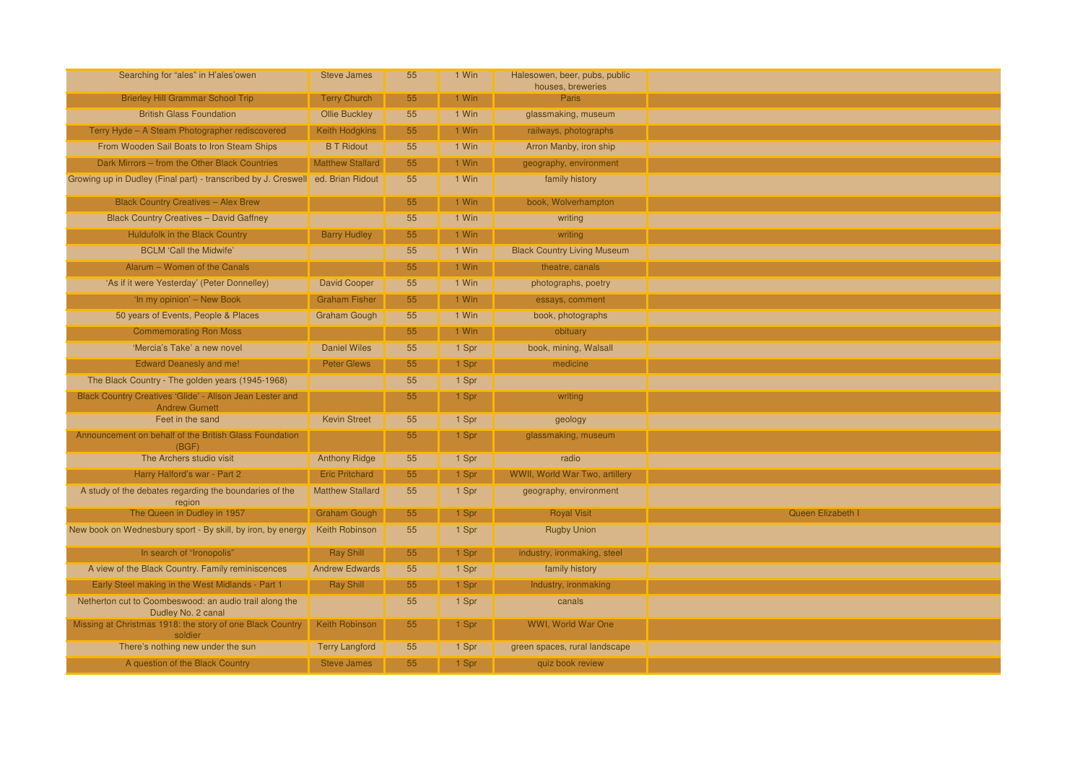| Searching for "ales" in H'ales'owen                                               | <b>Steve James</b>      | 55 | 1 Win | Halesowen, beer, pubs, public<br>houses, breweries |                   |
|-----------------------------------------------------------------------------------|-------------------------|----|-------|----------------------------------------------------|-------------------|
| <b>Brierley Hill Grammar School Trip</b>                                          | <b>Terry Church</b>     | 55 | 1 Win | Paris                                              |                   |
| <b>British Glass Foundation</b>                                                   | <b>Ollie Buckley</b>    | 55 | 1 Win | glassmaking, museum                                |                   |
| Terry Hyde - A Steam Photographer rediscovered                                    | <b>Keith Hodgkins</b>   | 55 | 1 Win | railways, photographs                              |                   |
| From Wooden Sail Boats to Iron Steam Ships                                        | <b>B T Ridout</b>       | 55 | 1 Win | Arron Manby, iron ship                             |                   |
| Dark Mirrors - from the Other Black Countries                                     | <b>Matthew Stallard</b> | 55 | 1 Win | geography, environment                             |                   |
| Growing up in Dudley (Final part) - transcribed by J. Creswell ed. Brian Ridout   |                         | 55 | 1 Win | family history                                     |                   |
| <b>Black Country Creatives - Alex Brew</b>                                        |                         | 55 | 1 Win | book, Wolverhampton                                |                   |
| <b>Black Country Creatives - David Gaffney</b>                                    |                         | 55 | 1 Win | writing                                            |                   |
| Huldufolk in the Black Country                                                    | <b>Barry Hudley</b>     | 55 | 1 Win | writing                                            |                   |
| <b>BCLM 'Call the Midwife'</b>                                                    |                         | 55 | 1 Win | <b>Black Country Living Museum</b>                 |                   |
| Alarum - Women of the Canals                                                      |                         | 55 | 1 Win | theatre, canals                                    |                   |
| 'As if it were Yesterday' (Peter Donnelley)                                       | <b>David Cooper</b>     | 55 | 1 Win | photographs, poetry                                |                   |
| 'In my opinion' - New Book                                                        | <b>Graham Fisher</b>    | 55 | 1 Win | essays, comment                                    |                   |
| 50 years of Events, People & Places                                               | <b>Graham Gough</b>     | 55 | 1 Win | book, photographs                                  |                   |
| <b>Commemorating Ron Moss</b>                                                     |                         | 55 | 1 Win | obituary                                           |                   |
| 'Mercia's Take' a new novel                                                       | <b>Daniel Wiles</b>     | 55 | 1 Spr | book, mining, Walsall                              |                   |
| Edward Deanesly and me!                                                           | <b>Peter Glews</b>      | 55 | 1 Spr | medicine                                           |                   |
| The Black Country - The golden years (1945-1968)                                  |                         | 55 | 1 Spr |                                                    |                   |
| Black Country Creatives 'Glide' - Alison Jean Lester and<br><b>Andrew Gurnett</b> |                         | 55 | 1 Spr | writing                                            |                   |
| Feet in the sand                                                                  | <b>Kevin Street</b>     | 55 | 1 Spr | geology                                            |                   |
| Announcement on behalf of the British Glass Foundation<br>(BGF)                   |                         | 55 | 1 Spr | glassmaking, museum                                |                   |
| The Archers studio visit                                                          | <b>Anthony Ridge</b>    | 55 | 1 Spr | radio                                              |                   |
| Harry Halford's war - Part 2                                                      | <b>Eric Pritchard</b>   | 55 | 1 Spr | WWII, World War Two, artillery                     |                   |
| A study of the debates regarding the boundaries of the<br>region                  | <b>Matthew Stallard</b> | 55 | 1 Spr | geography, environment                             |                   |
| The Queen in Dudley in 1957                                                       | <b>Graham Gough</b>     | 55 | 1 Spr | <b>Royal Visit</b>                                 | Queen Elizabeth I |
| New book on Wednesbury sport - By skill, by iron, by energy                       | <b>Keith Robinson</b>   | 55 | 1 Spr | <b>Rugby Union</b>                                 |                   |
| In search of "Ironopolis"                                                         | <b>Ray Shill</b>        | 55 | 1 Spr | industry, ironmaking, steel                        |                   |
| A view of the Black Country. Family reminiscences                                 | <b>Andrew Edwards</b>   | 55 | 1 Spr | family history                                     |                   |
| Early Steel making in the West Midlands - Part 1                                  | <b>Ray Shill</b>        | 55 | 1 Spr | Industry, ironmaking                               |                   |
| Netherton cut to Coombeswood: an audio trail along the<br>Dudley No. 2 canal      |                         | 55 | 1 Spr | canals                                             |                   |
| Missing at Christmas 1918: the story of one Black Country<br>soldier              | <b>Keith Robinson</b>   | 55 | 1 Spr | WWI, World War One                                 |                   |
| There's nothing new under the sun                                                 | <b>Terry Langford</b>   | 55 | 1 Spr | green spaces, rural landscape                      |                   |
| A question of the Black Country                                                   | <b>Steve James</b>      | 55 | 1 Spr | quiz book review                                   |                   |